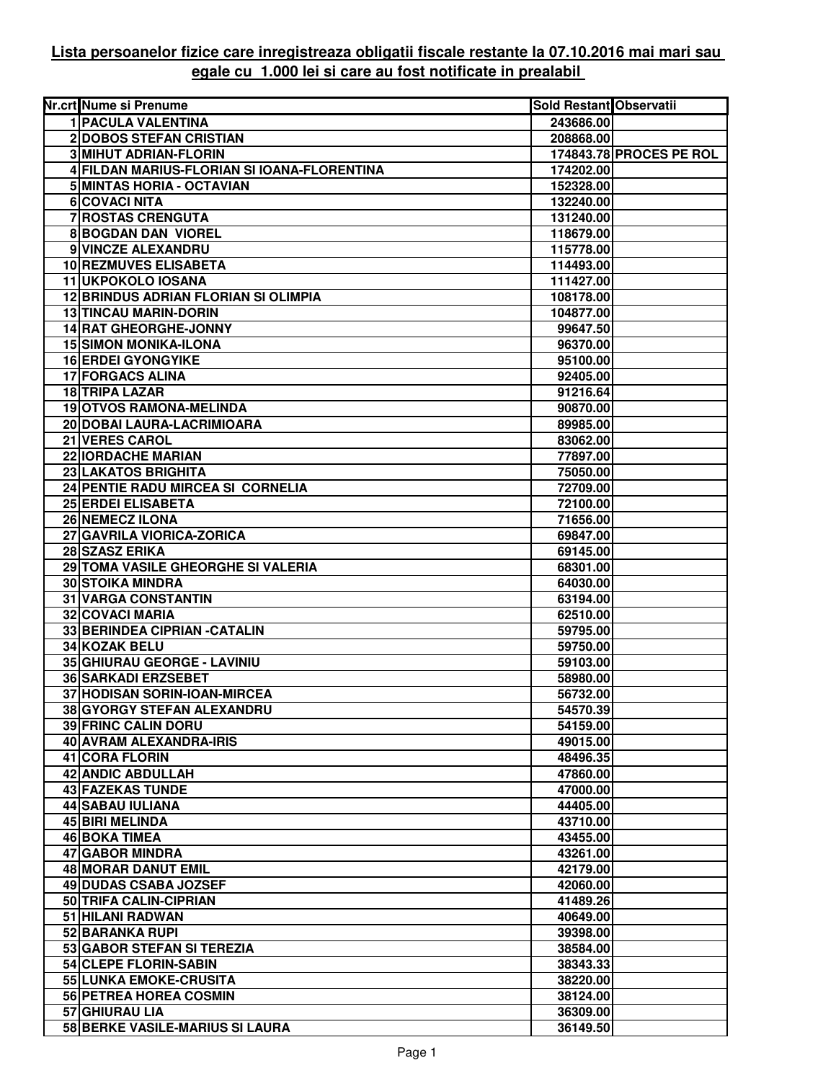## **Lista persoanelor fizice care inregistreaza obligatii fiscale restante la 07.10.2016 mai mari sau egale cu 1.000 lei si care au fost notificate in prealabil**

| Nr.crt Nume si Prenume                      | Sold Restant Observatii |                         |
|---------------------------------------------|-------------------------|-------------------------|
| <b>1 PACULA VALENTINA</b>                   | 243686.00               |                         |
| 2 DOBOS STEFAN CRISTIAN                     | 208868.00               |                         |
| <b>3 MIHUT ADRIAN-FLORIN</b>                |                         | 174843.78 PROCES PE ROL |
| 4 FILDAN MARIUS-FLORIAN SI IOANA-FLORENTINA | 174202.00               |                         |
| 5 MINTAS HORIA - OCTAVIAN                   | 152328.00               |                         |
| 6 COVACI NITA                               | 132240.00               |                         |
| 7 ROSTAS CRENGUTA                           | 131240.00               |                         |
| <b>8 BOGDAN DAN VIOREL</b>                  | 118679.00               |                         |
| 9 VINCZE ALEXANDRU                          | 115778.00               |                         |
| <b>10 REZMUVES ELISABETA</b>                | 114493.00               |                         |
| <b>11 UKPOKOLO IOSANA</b>                   | 111427.00               |                         |
| <b>12 BRINDUS ADRIAN FLORIAN SI OLIMPIA</b> | 108178.00               |                         |
| <b>13 TINCAU MARIN-DORIN</b>                | 104877.00               |                         |
| 14 RAT GHEORGHE-JONNY                       | 99647.50                |                         |
| <b>15 SIMON MONIKA-ILONA</b>                | 96370.00                |                         |
| <b>16 ERDEI GYONGYIKE</b>                   | 95100.00                |                         |
| 17 FORGACS ALINA                            | 92405.00                |                         |
| 18 TRIPA LAZAR                              | 91216.64                |                         |
| <b>19 OTVOS RAMONA-MELINDA</b>              | 90870.00                |                         |
| 20 DOBAI LAURA-LACRIMIOARA                  | 89985.00                |                         |
| 21 VERES CAROL                              | 83062.00                |                         |
| 22 IORDACHE MARIAN                          | 77897.00                |                         |
| 23 LAKATOS BRIGHITA                         | 75050.00                |                         |
| 24 PENTIE RADU MIRCEA SI CORNELIA           | 72709.00                |                         |
| <b>25 ERDEI ELISABETA</b>                   | 72100.00                |                         |
| <b>26 NEMECZ ILONA</b>                      | 71656.00                |                         |
| 27 GAVRILA VIORICA-ZORICA                   | 69847.00                |                         |
| 28 SZASZ ERIKA                              | 69145.00                |                         |
| 29 TOMA VASILE GHEORGHE SI VALERIA          | 68301.00                |                         |
| <b>30 STOIKA MINDRA</b>                     | 64030.00                |                         |
| <b>31 VARGA CONSTANTIN</b>                  | 63194.00                |                         |
| 32 COVACI MARIA                             | 62510.00                |                         |
| 33 BERINDEA CIPRIAN - CATALIN               | 59795.00                |                         |
| 34 KOZAK BELU                               | 59750.00                |                         |
| 35 GHIURAU GEORGE - LAVINIU                 | 59103.00                |                         |
| <b>36 SARKADI ERZSEBET</b>                  | 58980.00                |                         |
| 37 HODISAN SORIN-IOAN-MIRCEA                | 56732.00                |                         |
| 38 GYORGY STEFAN ALEXANDRU                  | 54570.39                |                         |
| <b>39 FRINC CALIN DORU</b>                  | 54159.00                |                         |
| 40 AVRAM ALEXANDRA-IRIS                     | 49015.00                |                         |
| 41 CORA FLORIN                              | 48496.35                |                         |
| 42 ANDIC ABDULLAH                           | 47860.00                |                         |
| <b>43 FAZEKAS TUNDE</b>                     | 47000.00                |                         |
| 44 SABAU IULIANA                            | 44405.00                |                         |
| 45 BIRI MELINDA                             | 43710.00                |                         |
| 46 BOKA TIMEA                               | 43455.00                |                         |
| 47 GABOR MINDRA                             | 43261.00                |                         |
| 48 MORAR DANUT EMIL                         | 42179.00                |                         |
| 49 DUDAS CSABA JOZSEF                       | 42060.00                |                         |
| 50 TRIFA CALIN-CIPRIAN                      | 41489.26                |                         |
| 51 HILANI RADWAN                            | 40649.00                |                         |
| 52 BARANKA RUPI                             | 39398.00                |                         |
| 53 GABOR STEFAN SI TEREZIA                  | 38584.00                |                         |
| 54 CLEPE FLORIN-SABIN                       | 38343.33                |                         |
| 55 LUNKA EMOKE-CRUSITA                      | 38220.00                |                         |
| 56 PETREA HOREA COSMIN                      | 38124.00                |                         |
| 57 GHIURAU LIA                              | 36309.00                |                         |
| 58 BERKE VASILE-MARIUS SI LAURA             | 36149.50                |                         |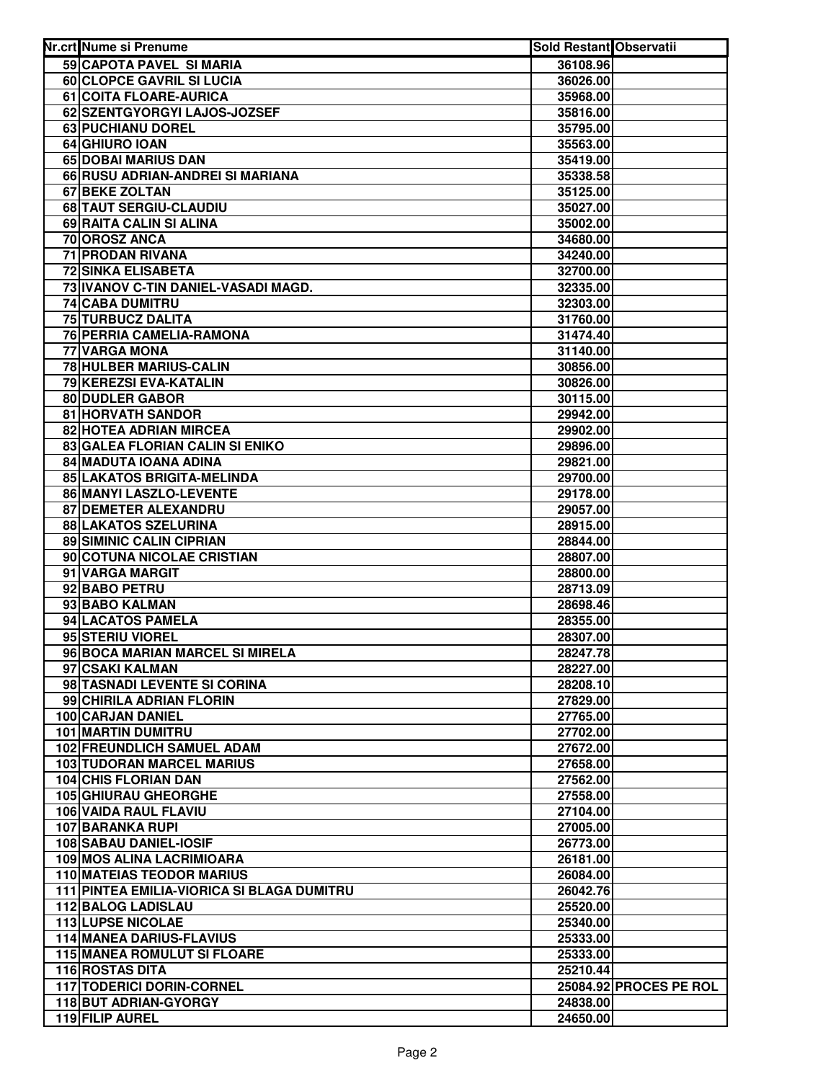| Nr.crt Nume si Prenume                                                | <b>Sold Restant Observatii</b> |                        |
|-----------------------------------------------------------------------|--------------------------------|------------------------|
| 59 CAPOTA PAVEL SI MARIA                                              | 36108.96                       |                        |
| 60 CLOPCE GAVRIL SI LUCIA                                             | 36026.00                       |                        |
| 61 COITA FLOARE-AURICA                                                | 35968.00                       |                        |
| 62 SZENTGYORGYI LAJOS-JOZSEF                                          | 35816.00                       |                        |
| 63 PUCHIANU DOREL                                                     | 35795.00                       |                        |
| 64 GHIURO IOAN                                                        | 35563.00                       |                        |
| 65 DOBAI MARIUS DAN                                                   | 35419.00                       |                        |
| 66 RUSU ADRIAN-ANDREI SI MARIANA                                      | 35338.58                       |                        |
| 67 BEKE ZOLTAN                                                        | 35125.00                       |                        |
| 68 TAUT SERGIU-CLAUDIU                                                | 35027.00                       |                        |
| 69 RAITA CALIN SI ALINA                                               | 35002.00                       |                        |
| 70 OROSZ ANCA                                                         | 34680.00                       |                        |
| <b>71 PRODAN RIVANA</b>                                               | 34240.00                       |                        |
| <b>72 SINKA ELISABETA</b>                                             | 32700.00                       |                        |
| 73 IVANOV C-TIN DANIEL-VASADI MAGD.                                   | 32335.00                       |                        |
| <b>74 CABA DUMITRU</b>                                                | 32303.00                       |                        |
| 75 TURBUCZ DALITA                                                     | 31760.00                       |                        |
| 76 PERRIA CAMELIA-RAMONA                                              | 31474.40                       |                        |
| 77 VARGA MONA                                                         | 31140.00                       |                        |
| 78 HULBER MARIUS-CALIN                                                | 30856.00                       |                        |
| 79 KEREZSI EVA-KATALIN                                                | 30826.00                       |                        |
| 80 DUDLER GABOR                                                       | 30115.00                       |                        |
| 81 HORVATH SANDOR                                                     | 29942.00                       |                        |
| 82 HOTEA ADRIAN MIRCEA                                                | 29902.00                       |                        |
| 83 GALEA FLORIAN CALIN SI ENIKO                                       | 29896.00                       |                        |
| 84 MADUTA IOANA ADINA                                                 | 29821.00                       |                        |
| 85 LAKATOS BRIGITA-MELINDA                                            | 29700.00                       |                        |
| 86 MANYI LASZLO-LEVENTE                                               | 29178.00                       |                        |
| 87 DEMETER ALEXANDRU                                                  | 29057.00                       |                        |
| 88 LAKATOS SZELURINA                                                  | 28915.00                       |                        |
| 89 SIMINIC CALIN CIPRIAN                                              | 28844.00                       |                        |
| 90 COTUNA NICOLAE CRISTIAN                                            | 28807.00                       |                        |
| 91 VARGA MARGIT                                                       | 28800.00                       |                        |
| 92 BABO PETRU                                                         | 28713.09                       |                        |
| 93 BABO KALMAN                                                        | 28698.46                       |                        |
| 94 LACATOS PAMELA                                                     | 28355.00                       |                        |
| 95 STERIU VIOREL                                                      | 28307.00                       |                        |
| 96 BOCA MARIAN MARCEL SI MIRELA                                       | 28247.78                       |                        |
| 97 CSAKI KALMAN                                                       | 28227.00                       |                        |
| 98 TASNADI LEVENTE SI CORINA                                          | 28208.10                       |                        |
| 99 CHIRILA ADRIAN FLORIN                                              | 27829.00                       |                        |
| 100 CARJAN DANIEL                                                     | 27765.00                       |                        |
| <b>101 MARTIN DUMITRU</b>                                             | 27702.00                       |                        |
| <b>102 FREUNDLICH SAMUEL ADAM</b>                                     | 27672.00                       |                        |
| <b>103 TUDORAN MARCEL MARIUS</b>                                      | 27658.00                       |                        |
| <b>104 CHIS FLORIAN DAN</b>                                           | 27562.00                       |                        |
| <b>105 GHIURAU GHEORGHE</b>                                           | 27558.00                       |                        |
| 106 VAIDA RAUL FLAVIU                                                 | 27104.00                       |                        |
| 107 BARANKA RUPI                                                      | 27005.00                       |                        |
| <b>108 SABAU DANIEL-IOSIF</b>                                         | 26773.00                       |                        |
| 109 MOS ALINA LACRIMIOARA                                             | 26181.00                       |                        |
| <b>110 MATEIAS TEODOR MARIUS</b>                                      | 26084.00                       |                        |
| <b>111 PINTEA EMILIA-VIORICA SI BLAGA DUMITRU</b>                     | 26042.76                       |                        |
| <b>112 BALOG LADISLAU</b>                                             | 25520.00                       |                        |
| <b>113 LUPSE NICOLAE</b>                                              | 25340.00                       |                        |
| <b>114 MANEA DARIUS-FLAVIUS</b><br><b>115 MANEA ROMULUT SI FLOARE</b> | 25333.00                       |                        |
| 116 ROSTAS DITA                                                       | 25333.00                       |                        |
| 117 TODERICI DORIN-CORNEL                                             | 25210.44                       | 25084.92 PROCES PE ROL |
| 118 BUT ADRIAN-GYORGY                                                 | 24838.00                       |                        |
| 119 FILIP AUREL                                                       | 24650.00                       |                        |
|                                                                       |                                |                        |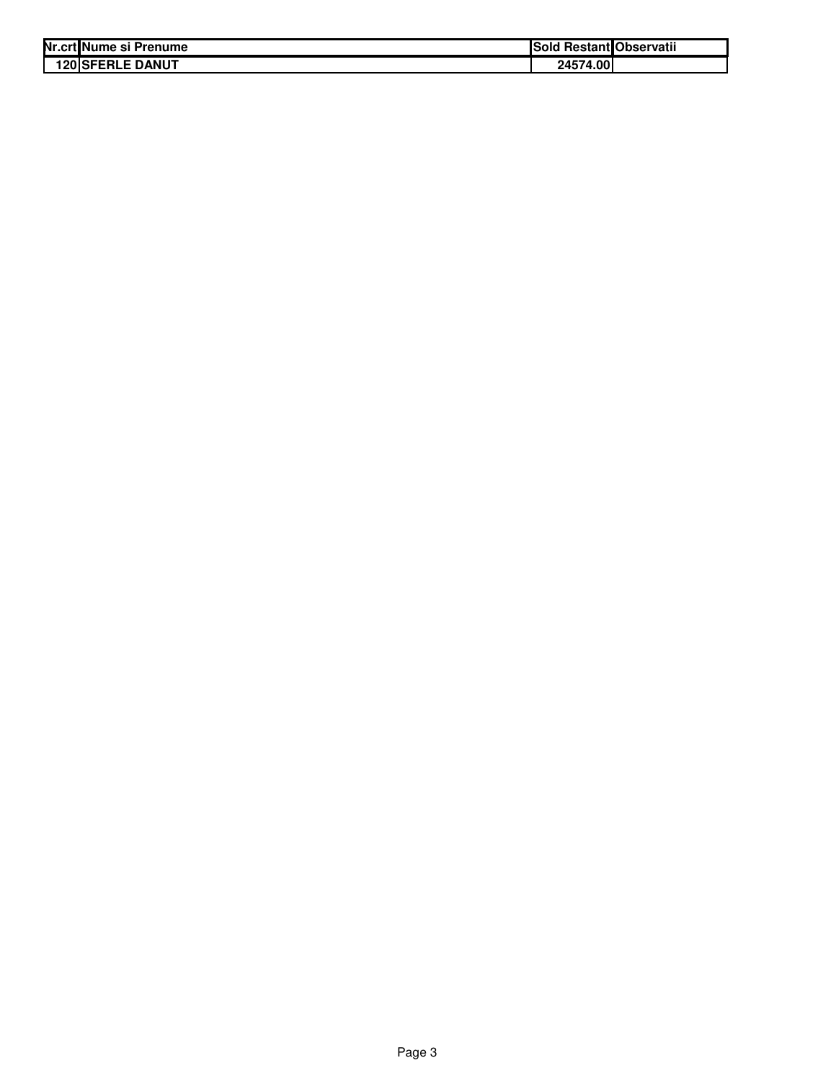| Nr.crt Nume si Prenume  | Sold Restant Observatii |  |
|-------------------------|-------------------------|--|
| <b>120 SFERLE DANUT</b> | 24574.00                |  |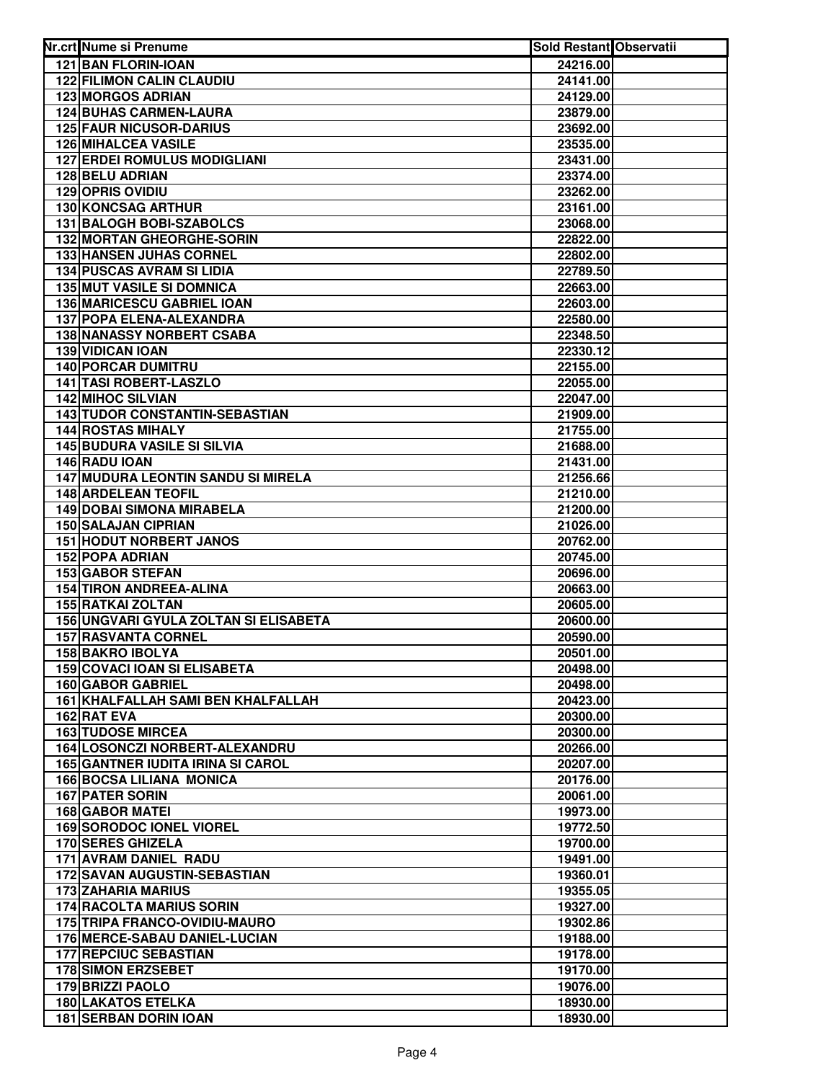| Nr.crt Nume si Prenume                                    | Sold Restant Observatii |  |
|-----------------------------------------------------------|-------------------------|--|
| <b>121 BAN FLORIN-IOAN</b>                                | 24216.00                |  |
| <b>122 FILIMON CALIN CLAUDIU</b>                          | 24141.00                |  |
| <b>123 MORGOS ADRIAN</b>                                  | 24129.00                |  |
| <b>124 BUHAS CARMEN-LAURA</b>                             | 23879.00                |  |
| <b>125 FAUR NICUSOR-DARIUS</b>                            | 23692.00                |  |
| 126 MIHALCEA VASILE                                       | 23535.00                |  |
| <b>127 ERDEI ROMULUS MODIGLIANI</b>                       | 23431.00                |  |
| 128 BELU ADRIAN                                           | 23374.00                |  |
| <b>129 OPRIS OVIDIU</b>                                   | 23262.00                |  |
| 130 KONCSAG ARTHUR                                        | 23161.00                |  |
| 131 BALOGH BOBI-SZABOLCS                                  | 23068.00                |  |
| 132 MORTAN GHEORGHE-SORIN                                 | 22822.00                |  |
| <b>133 HANSEN JUHAS CORNEL</b>                            | 22802.00                |  |
| <b>134 PUSCAS AVRAM SI LIDIA</b>                          | 22789.50                |  |
| <b>135 MUT VASILE SI DOMNICA</b>                          | 22663.00                |  |
| 136 MARICESCU GABRIEL IOAN                                | 22603.00                |  |
| 137 POPA ELENA-ALEXANDRA                                  | 22580.00                |  |
| <b>138 NANASSY NORBERT CSABA</b>                          | 22348.50                |  |
| <b>139 VIDICAN IOAN</b>                                   | 22330.12                |  |
| <b>140 PORCAR DUMITRU</b>                                 | 22155.00                |  |
| 141 TASI ROBERT-LASZLO                                    | 22055.00                |  |
| 142 MIHOC SILVIAN                                         | 22047.00                |  |
| <b>143 TUDOR CONSTANTIN-SEBASTIAN</b>                     | 21909.00                |  |
| <b>144 ROSTAS MIHALY</b>                                  | 21755.00                |  |
| 145 BUDURA VASILE SI SILVIA<br>146 RADU IOAN              | 21688.00                |  |
| 147 MUDURA LEONTIN SANDU SI MIRELA                        | 21431.00<br>21256.66    |  |
| <b>148 ARDELEAN TEOFIL</b>                                | 21210.00                |  |
| <b>149 DOBAI SIMONA MIRABELA</b>                          | 21200.00                |  |
| 150 SALAJAN CIPRIAN                                       | 21026.00                |  |
| <b>151 HODUT NORBERT JANOS</b>                            | 20762.00                |  |
| <b>152 POPA ADRIAN</b>                                    | 20745.00                |  |
| <b>153 GABOR STEFAN</b>                                   | 20696.00                |  |
| <b>154 TIRON ANDREEA-ALINA</b>                            | 20663.00                |  |
| <b>155 RATKAI ZOLTAN</b>                                  | 20605.00                |  |
| 156 UNGVARI GYULA ZOLTAN SI ELISABETA                     | 20600.00                |  |
| <b>157 RASVANTA CORNEL</b>                                | 20590.00                |  |
| <b>158 BAKRO IBOLYA</b>                                   | 20501.00                |  |
| <b>159 COVACI IOAN SI ELISABETA</b>                       | 20498.00                |  |
| <b>160 GABOR GABRIEL</b>                                  | 20498.00                |  |
| 161 KHALFALLAH SAMI BEN KHALFALLAH                        | 20423.00                |  |
| 162 RAT EVA                                               | 20300.00                |  |
| <b>163 TUDOSE MIRCEA</b>                                  | 20300.00                |  |
| 164 LOSONCZI NORBERT-ALEXANDRU                            | 20266.00                |  |
| <b>165 GANTNER IUDITA IRINA SI CAROL</b>                  | 20207.00                |  |
| <b>166 BOCSA LILIANA MONICA</b>                           | 20176.00                |  |
| <b>167 PATER SORIN</b>                                    | 20061.00                |  |
| <b>168 GABOR MATEI</b>                                    | 19973.00                |  |
| <b>169 SORODOC IONEL VIOREL</b>                           | 19772.50                |  |
| <b>170 SERES GHIZELA</b><br>171 AVRAM DANIEL RADU         | 19700.00                |  |
|                                                           | 19491.00                |  |
| 172 SAVAN AUGUSTIN-SEBASTIAN<br><b>173 ZAHARIA MARIUS</b> | 19360.01<br>19355.05    |  |
| <b>174 RACOLTA MARIUS SORIN</b>                           | 19327.00                |  |
| 175 TRIPA FRANCO-OVIDIU-MAURO                             | 19302.86                |  |
| 176 MERCE-SABAU DANIEL-LUCIAN                             | 19188.00                |  |
| <b>177 REPCIUC SEBASTIAN</b>                              | 19178.00                |  |
| <b>178 SIMON ERZSEBET</b>                                 | 19170.00                |  |
| 179 BRIZZI PAOLO                                          | 19076.00                |  |
| <b>180 LAKATOS ETELKA</b>                                 | 18930.00                |  |
| <b>181 SERBAN DORIN IOAN</b>                              | 18930.00                |  |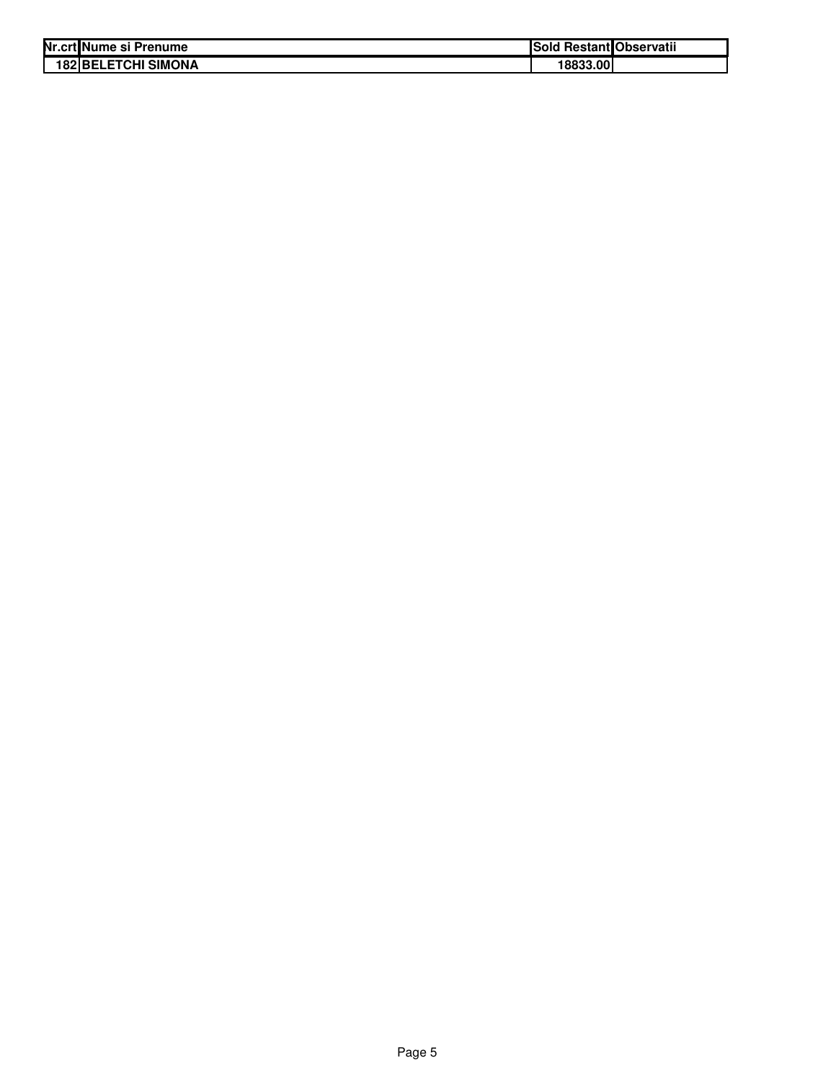| Nr.crt Nume si Prenume     | Sold Restant Observatii |  |
|----------------------------|-------------------------|--|
| <b>182 BELETCHI SIMONA</b> | 18833.00                |  |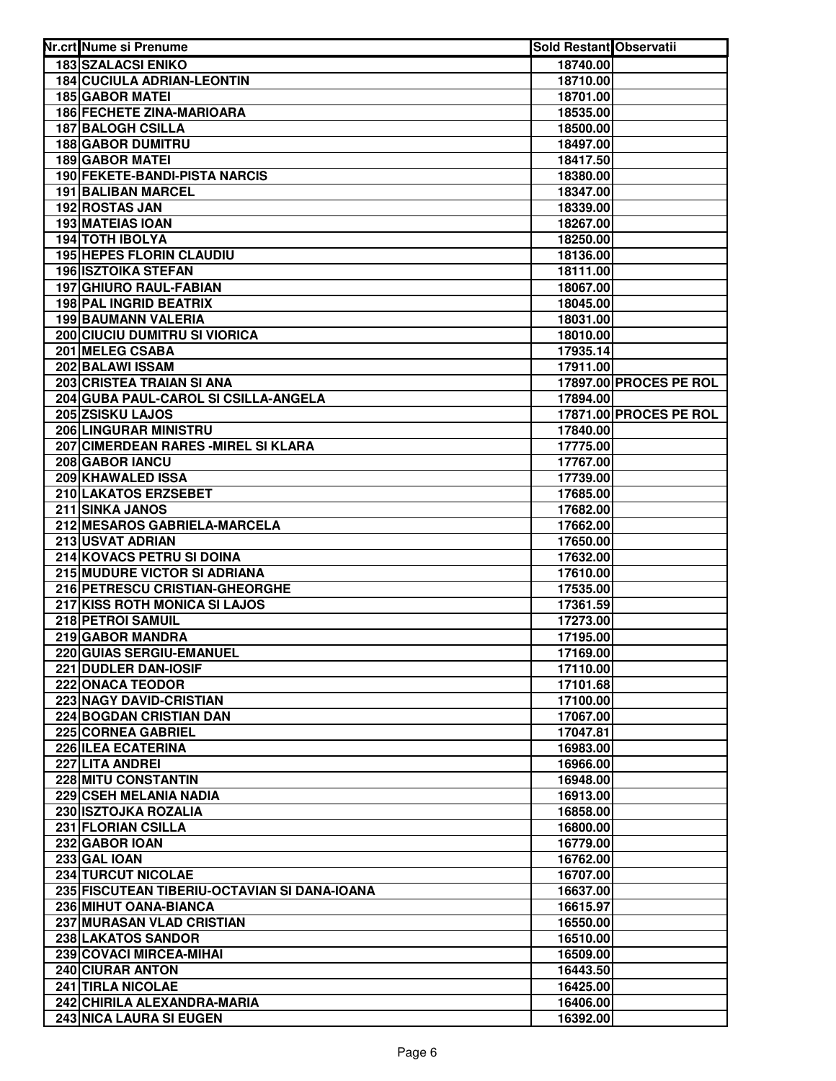| Nr.crt Nume si Prenume                             | <b>Sold Restant Observatii</b> |                               |
|----------------------------------------------------|--------------------------------|-------------------------------|
| <b>183 SZALACSI ENIKO</b>                          | 18740.00                       |                               |
| <b>184 CUCIULA ADRIAN-LEONTIN</b>                  | 18710.00                       |                               |
| <b>185 GABOR MATEI</b>                             | 18701.00                       |                               |
| <b>186 FECHETE ZINA-MARIOARA</b>                   | 18535.00                       |                               |
| <b>187 BALOGH CSILLA</b>                           | 18500.00                       |                               |
| <b>188 GABOR DUMITRU</b>                           | 18497.00                       |                               |
| <b>189 GABOR MATEI</b>                             | 18417.50                       |                               |
| 190 FEKETE-BANDI-PISTA NARCIS                      | 18380.00                       |                               |
| <b>191 BALIBAN MARCEL</b>                          | 18347.00                       |                               |
| 192 ROSTAS JAN                                     | 18339.00                       |                               |
| <b>193 MATEIAS IOAN</b>                            | 18267.00                       |                               |
| <b>194 TOTH IBOLYA</b>                             | 18250.00                       |                               |
| <b>195 HEPES FLORIN CLAUDIU</b>                    | 18136.00                       |                               |
| <b>196 ISZTOIKA STEFAN</b>                         | 18111.00                       |                               |
| 197 GHIURO RAUL-FABIAN                             | 18067.00                       |                               |
| 198 PAL INGRID BEATRIX                             | 18045.00                       |                               |
| <b>199 BAUMANN VALERIA</b>                         | 18031.00                       |                               |
| <b>200 CIUCIU DUMITRU SI VIORICA</b>               | 18010.00                       |                               |
| 201 MELEG CSABA                                    | 17935.14                       |                               |
| 202 BALAWI ISSAM                                   | 17911.00                       |                               |
| 203 CRISTEA TRAIAN SI ANA                          |                                | <b>17897.00 PROCES PE ROL</b> |
| 204 GUBA PAUL-CAROL SI CSILLA-ANGELA               | 17894.00                       |                               |
| 205 ZSISKU LAJOS                                   |                                | 17871.00 PROCES PE ROL        |
| 206 LINGURAR MINISTRU                              | 17840.00                       |                               |
| 207 CIMERDEAN RARES - MIREL SI KLARA               | 17775.00                       |                               |
| 208 GABOR IANCU                                    | 17767.00                       |                               |
| 209 KHAWALED ISSA                                  | 17739.00                       |                               |
| 210 LAKATOS ERZSEBET                               | 17685.00                       |                               |
| 211 SINKA JANOS                                    | 17682.00                       |                               |
| 212 MESAROS GABRIELA-MARCELA                       | 17662.00                       |                               |
| 213 USVAT ADRIAN                                   | 17650.00                       |                               |
| 214 KOVACS PETRU SI DOINA                          | 17632.00                       |                               |
| 215 MUDURE VICTOR SI ADRIANA                       | 17610.00                       |                               |
| 216 PETRESCU CRISTIAN-GHEORGHE                     | 17535.00                       |                               |
| 217 KISS ROTH MONICA SI LAJOS                      | 17361.59                       |                               |
| 218 PETROI SAMUIL                                  | 17273.00                       |                               |
| 219 GABOR MANDRA                                   | 17195.00                       |                               |
| 220 GUIAS SERGIU-EMANUEL                           | 17169.00                       |                               |
| 221 DUDLER DAN-IOSIF                               | 17110.00                       |                               |
| 222 ONACA TEODOR                                   | 17101.68                       |                               |
| <b>223 NAGY DAVID-CRISTIAN</b>                     | 17100.00                       |                               |
| 224 BOGDAN CRISTIAN DAN                            | 17067.00                       |                               |
| 225 CORNEA GABRIEL                                 | 17047.81                       |                               |
| 226 ILEA ECATERINA                                 | 16983.00                       |                               |
| 227 LITA ANDREI                                    | 16966.00                       |                               |
| 228 MITU CONSTANTIN                                | 16948.00                       |                               |
| 229 CSEH MELANIA NADIA                             | 16913.00                       |                               |
| 230 ISZTOJKA ROZALIA                               | 16858.00                       |                               |
| 231 FLORIAN CSILLA                                 | 16800.00                       |                               |
| 232 GABOR IOAN                                     | 16779.00                       |                               |
| 233 GAL IOAN                                       | 16762.00                       |                               |
| <b>234 TURCUT NICOLAE</b>                          | 16707.00                       |                               |
| 235 FISCUTEAN TIBERIU-OCTAVIAN SI DANA-IOANA       | 16637.00                       |                               |
| 236 MIHUT OANA-BIANCA                              | 16615.97                       |                               |
| 237 MURASAN VLAD CRISTIAN                          | 16550.00                       |                               |
| 238 LAKATOS SANDOR                                 | 16510.00                       |                               |
| 239 COVACI MIRCEA-MIHAI<br><b>240 CIURAR ANTON</b> | 16509.00                       |                               |
| 241 TIRLA NICOLAE                                  | 16443.50                       |                               |
| 242 CHIRILA ALEXANDRA-MARIA                        | 16425.00                       |                               |
|                                                    | 16406.00                       |                               |
| 243 NICA LAURA SI EUGEN                            | 16392.00                       |                               |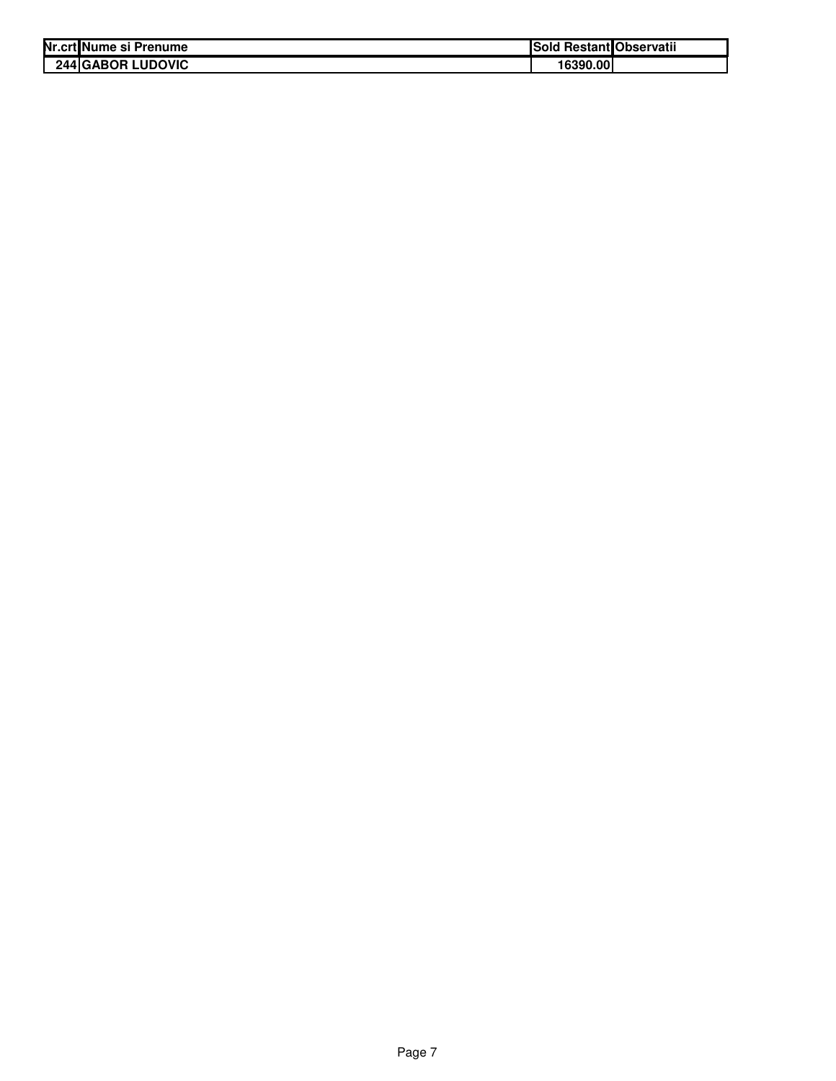| Nr.crt Nume si Prenume   | <b>Sold Restant Observatii</b> |  |
|--------------------------|--------------------------------|--|
| <b>244 GABOR LUDOVIC</b> | 16390.00                       |  |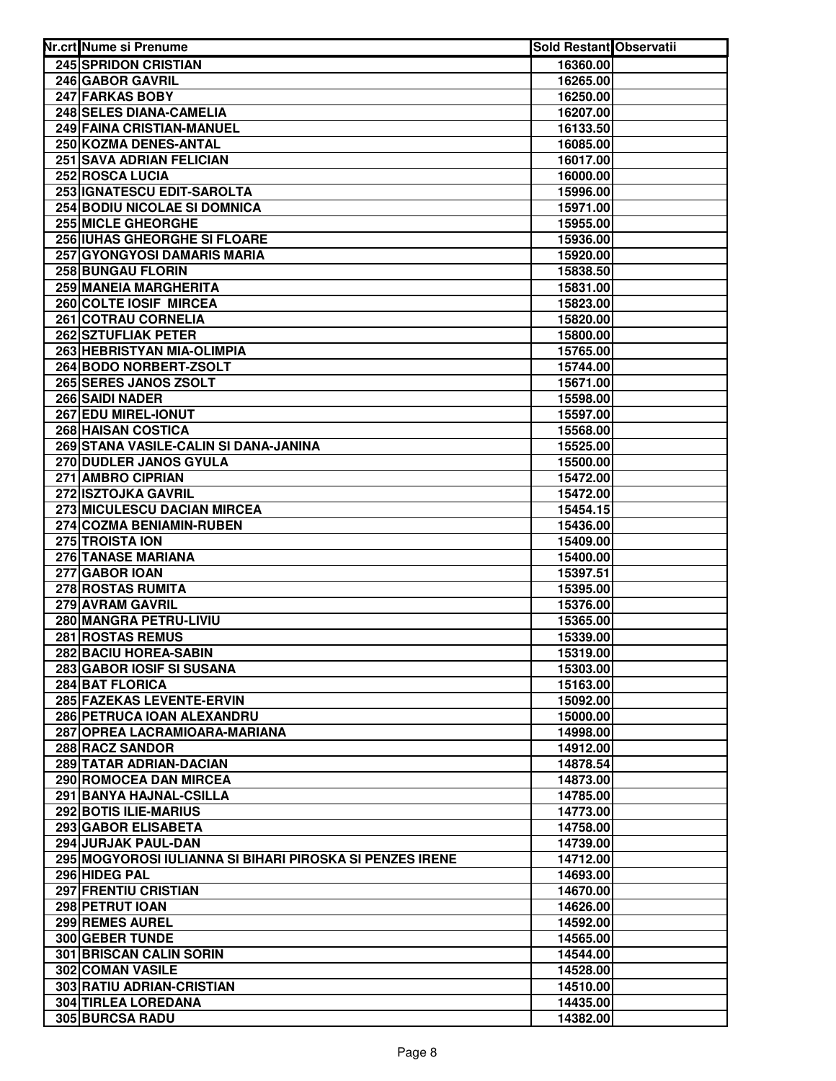| Nr.crt Nume si Prenume                                   | <b>Sold Restant Observatii</b> |  |
|----------------------------------------------------------|--------------------------------|--|
| <b>245 SPRIDON CRISTIAN</b>                              | 16360.00                       |  |
| 246 GABOR GAVRIL                                         | 16265.00                       |  |
| 247 FARKAS BOBY                                          | 16250.00                       |  |
| 248 SELES DIANA-CAMELIA                                  | 16207.00                       |  |
| 249 FAINA CRISTIAN-MANUEL                                | 16133.50                       |  |
| 250 KOZMA DENES-ANTAL                                    | 16085.00                       |  |
| 251 SAVA ADRIAN FELICIAN                                 | 16017.00                       |  |
| 252 ROSCA LUCIA                                          | 16000.00                       |  |
| 253 IGNATESCU EDIT-SAROLTA                               | 15996.00                       |  |
| 254 BODIU NICOLAE SI DOMNICA                             | 15971.00                       |  |
| 255 MICLE GHEORGHE                                       | 15955.00                       |  |
| 256 IUHAS GHEORGHE SI FLOARE                             | 15936.00                       |  |
| <b>257 GYONGYOSI DAMARIS MARIA</b>                       | 15920.00                       |  |
| <b>258 BUNGAU FLORIN</b>                                 | 15838.50                       |  |
| 259 MANEIA MARGHERITA                                    | 15831.00                       |  |
| 260 COLTE IOSIF MIRCEA                                   | 15823.00                       |  |
| 261 COTRAU CORNELIA                                      | 15820.00                       |  |
| 262 SZTUFLIAK PETER                                      | 15800.00                       |  |
| 263 HEBRISTYAN MIA-OLIMPIA                               | 15765.00                       |  |
| 264 BODO NORBERT-ZSOLT                                   | 15744.00                       |  |
| 265 SERES JANOS ZSOLT                                    | 15671.00                       |  |
| 266 SAIDI NADER                                          | 15598.00                       |  |
| 267 EDU MIREL-IONUT                                      | 15597.00                       |  |
| <b>268 HAISAN COSTICA</b>                                | 15568.00                       |  |
| 269 STANA VASILE-CALIN SI DANA-JANINA                    | 15525.00                       |  |
| 270 DUDLER JANOS GYULA                                   | 15500.00                       |  |
| 271 AMBRO CIPRIAN                                        | 15472.00                       |  |
| 272 ISZTOJKA GAVRIL<br>273 MICULESCU DACIAN MIRCEA       | 15472.00                       |  |
| 274 COZMA BENIAMIN-RUBEN                                 | 15454.15<br>15436.00           |  |
| 275 TROISTA ION                                          | 15409.00                       |  |
| 276 TANASE MARIANA                                       | 15400.00                       |  |
| 277 GABOR IOAN                                           | 15397.51                       |  |
| 278 ROSTAS RUMITA                                        | 15395.00                       |  |
| 279 AVRAM GAVRIL                                         | 15376.00                       |  |
| 280 MANGRA PETRU-LIVIU                                   | 15365.00                       |  |
| 281 ROSTAS REMUS                                         | 15339.00                       |  |
| 282 BACIU HOREA-SABIN                                    | 15319.00                       |  |
| 283 GABOR IOSIF SI SUSANA                                | 15303.00                       |  |
| 284 BAT FLORICA                                          | 15163.00                       |  |
| 285 FAZEKAS LEVENTE-ERVIN                                | 15092.00                       |  |
| 286 PETRUCA IOAN ALEXANDRU                               | 15000.00                       |  |
| 287 OPREA LACRAMIOARA-MARIANA                            | 14998.00                       |  |
| 288 RACZ SANDOR                                          | 14912.00                       |  |
| 289 TATAR ADRIAN-DACIAN                                  | 14878.54                       |  |
| 290 ROMOCEA DAN MIRCEA                                   | 14873.00                       |  |
| 291 BANYA HAJNAL-CSILLA                                  | 14785.00                       |  |
| 292 BOTIS ILIE-MARIUS                                    | 14773.00                       |  |
| 293 GABOR ELISABETA                                      | 14758.00                       |  |
| 294 JURJAK PAUL-DAN                                      | 14739.00                       |  |
| 295 MOGYOROSI IULIANNA SI BIHARI PIROSKA SI PENZES IRENE | 14712.00                       |  |
| 296 HIDEG PAL                                            | 14693.00                       |  |
| 297 FRENTIU CRISTIAN                                     | 14670.00                       |  |
| 298 PETRUT IOAN                                          | 14626.00                       |  |
| 299 REMES AUREL                                          | 14592.00                       |  |
| 300 GEBER TUNDE                                          | 14565.00                       |  |
| <b>301 BRISCAN CALIN SORIN</b>                           | 14544.00                       |  |
| 302 COMAN VASILE                                         | 14528.00                       |  |
| 303 RATIU ADRIAN-CRISTIAN                                | 14510.00                       |  |
| <b>304 TIRLEA LOREDANA</b>                               | 14435.00                       |  |
| 305 BURCSA RADU                                          | 14382.00                       |  |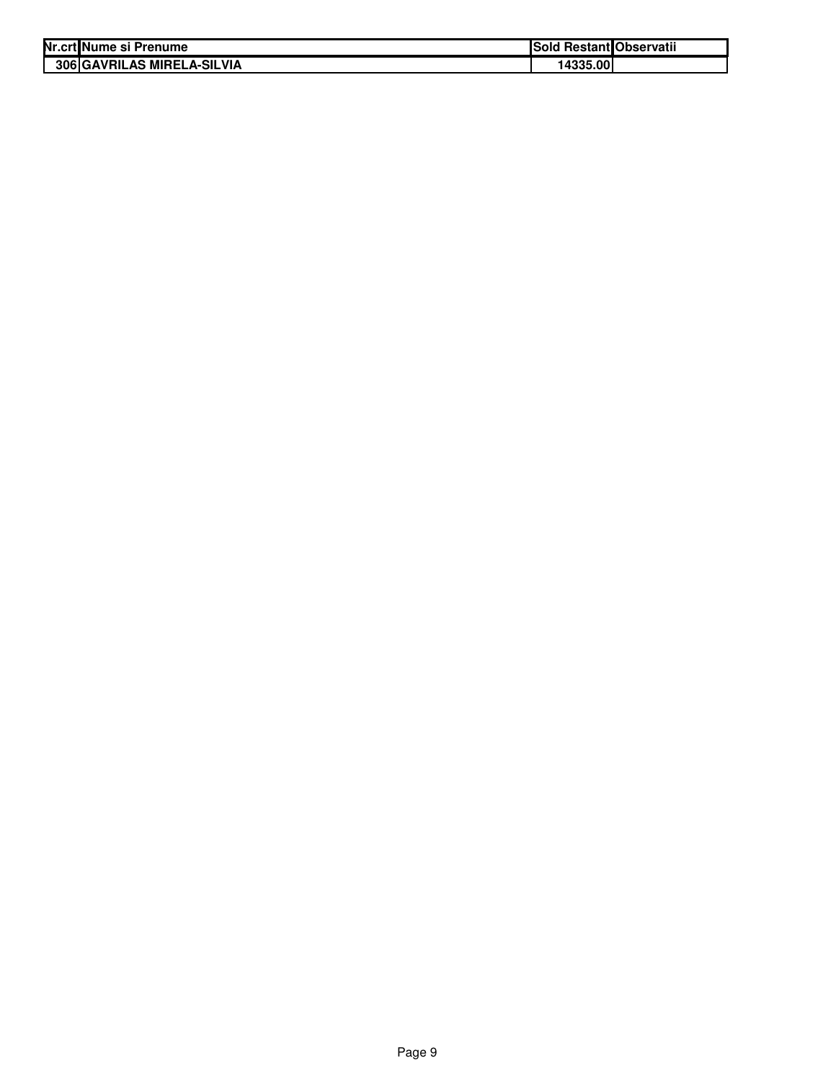| Nr.crtlNume si Prenume            | Sold Restant Observatii |  |
|-----------------------------------|-------------------------|--|
| <b>306 GAVRILAS MIRELA-SILVIA</b> | 14335.00                |  |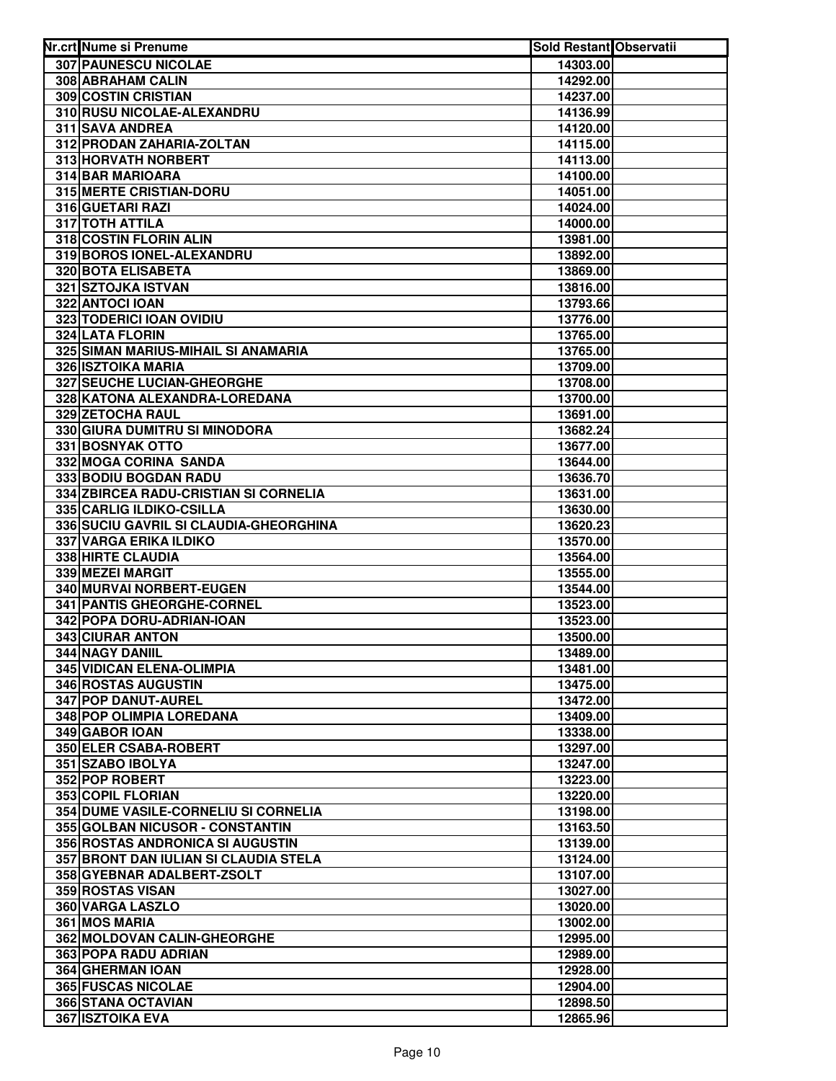| Nr.crt Nume si Prenume                 | <b>Sold Restant Observatii</b> |  |
|----------------------------------------|--------------------------------|--|
| 307 PAUNESCU NICOLAE                   | 14303.00                       |  |
| 308 ABRAHAM CALIN                      | 14292.00                       |  |
| 309 COSTIN CRISTIAN                    | 14237.00                       |  |
| 310 RUSU NICOLAE-ALEXANDRU             | 14136.99                       |  |
| 311 SAVA ANDREA                        | 14120.00                       |  |
| 312 PRODAN ZAHARIA-ZOLTAN              | 14115.00                       |  |
| 313 HORVATH NORBERT                    | 14113.00                       |  |
| 314 BAR MARIOARA                       | 14100.00                       |  |
| <b>315 MERTE CRISTIAN-DORU</b>         | 14051.00                       |  |
| 316 GUETARI RAZI                       | 14024.00                       |  |
| 317 TOTH ATTILA                        | 14000.00                       |  |
| 318 COSTIN FLORIN ALIN                 | 13981.00                       |  |
| 319 BOROS IONEL-ALEXANDRU              | 13892.00                       |  |
| 320 BOTA ELISABETA                     | 13869.00                       |  |
| 321 SZTOJKA ISTVAN                     | 13816.00                       |  |
| 322 ANTOCI IOAN                        | 13793.66                       |  |
| 323 TODERICI IOAN OVIDIU               | 13776.00                       |  |
| <b>324 LATA FLORIN</b>                 | 13765.00                       |  |
| 325 SIMAN MARIUS-MIHAIL SI ANAMARIA    | 13765.00                       |  |
| 326 ISZTOIKA MARIA                     | 13709.00                       |  |
| <b>327 SEUCHE LUCIAN-GHEORGHE</b>      | 13708.00                       |  |
| 328 KATONA ALEXANDRA-LOREDANA          | 13700.00                       |  |
| 329 ZETOCHA RAUL                       | 13691.00                       |  |
| 330 GIURA DUMITRU SI MINODORA          | 13682.24                       |  |
| 331 BOSNYAK OTTO                       | 13677.00                       |  |
| 332 MOGA CORINA SANDA                  | 13644.00                       |  |
| 333 BODIU BOGDAN RADU                  | 13636.70                       |  |
| 334 ZBIRCEA RADU-CRISTIAN SI CORNELIA  | 13631.00                       |  |
| 335 CARLIG ILDIKO-CSILLA               | 13630.00                       |  |
| 336 SUCIU GAVRIL SI CLAUDIA-GHEORGHINA | 13620.23                       |  |
| 337 VARGA ERIKA ILDIKO                 | 13570.00                       |  |
| 338 HIRTE CLAUDIA                      | 13564.00                       |  |
| 339 MEZEI MARGIT                       | 13555.00                       |  |
| 340 MURVAI NORBERT-EUGEN               | 13544.00                       |  |
| 341 PANTIS GHEORGHE-CORNEL             | 13523.00                       |  |
| 342 POPA DORU-ADRIAN-IOAN              | 13523.00                       |  |
| 343 CIURAR ANTON                       | 13500.00                       |  |
| <b>344 NAGY DANIIL</b>                 | 13489.00                       |  |
| <b>345 VIDICAN ELENA-OLIMPIA</b>       | 13481.00                       |  |
| <b>346 ROSTAS AUGUSTIN</b>             | 13475.00                       |  |
| <b>347 POP DANUT-AUREL</b>             | 13472.00                       |  |
| 348 POP OLIMPIA LOREDANA               | 13409.00                       |  |
| 349 GABOR IOAN                         | 13338.00                       |  |
| <b>350 ELER CSABA-ROBERT</b>           | 13297.00                       |  |
| 351 SZABO IBOLYA                       | 13247.00                       |  |
| 352 POP ROBERT                         | 13223.00                       |  |
| 353 COPIL FLORIAN                      | 13220.00                       |  |
| 354 DUME VASILE-CORNELIU SI CORNELIA   | 13198.00                       |  |
| 355 GOLBAN NICUSOR - CONSTANTIN        | 13163.50                       |  |
| 356 ROSTAS ANDRONICA SI AUGUSTIN       | 13139.00                       |  |
| 357 BRONT DAN IULIAN SI CLAUDIA STELA  | 13124.00                       |  |
| 358 GYEBNAR ADALBERT-ZSOLT             | 13107.00                       |  |
| 359 ROSTAS VISAN<br>360 VARGA LASZLO   | 13027.00                       |  |
| 361 MOS MARIA                          | 13020.00                       |  |
| 362 MOLDOVAN CALIN-GHEORGHE            | 13002.00<br>12995.00           |  |
| 363 POPA RADU ADRIAN                   | 12989.00                       |  |
| 364 GHERMAN IOAN                       | 12928.00                       |  |
| <b>365 FUSCAS NICOLAE</b>              | 12904.00                       |  |
| 366 STANA OCTAVIAN                     | 12898.50                       |  |
| <b>367 ISZTOIKA EVA</b>                | 12865.96                       |  |
|                                        |                                |  |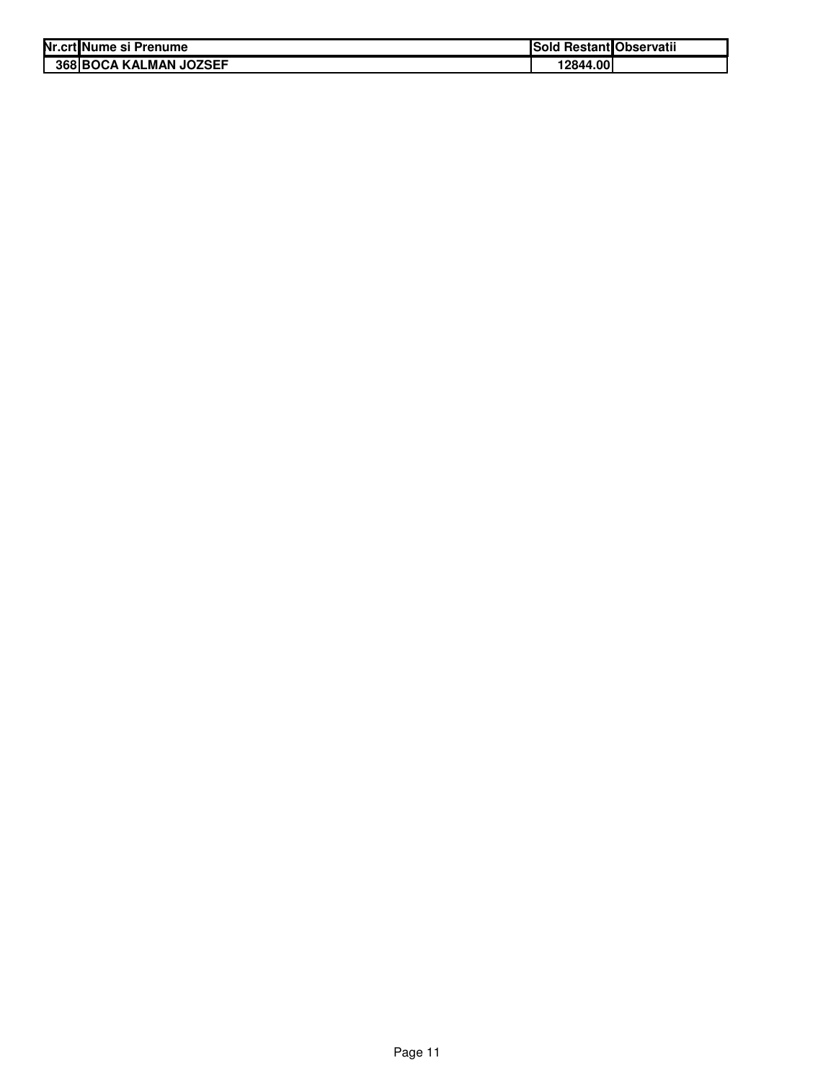| Nr.crt Nume si Prenume        | Sold Restant Observatii |  |
|-------------------------------|-------------------------|--|
| <b>368 BOCA KALMAN JOZSEF</b> | 12844.00                |  |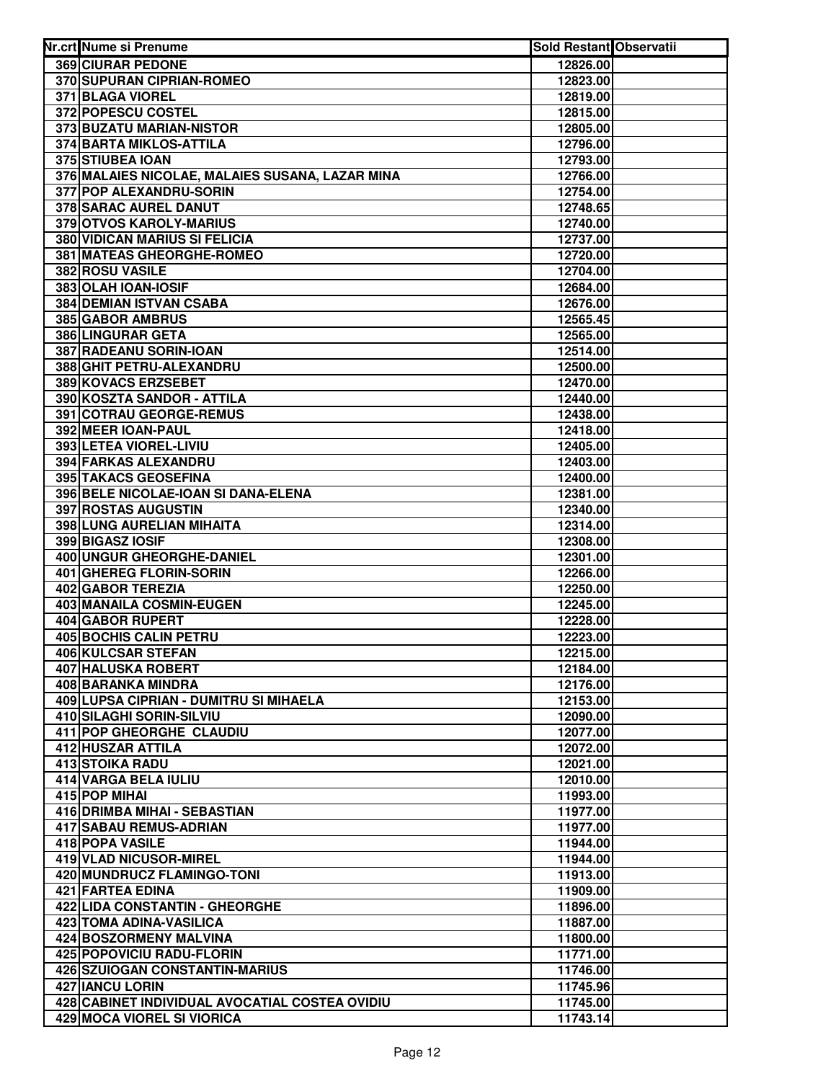| Nr.crt Nume si Prenume                                    | Sold Restant Observatii |  |
|-----------------------------------------------------------|-------------------------|--|
| 369 CIURAR PEDONE                                         | 12826.00                |  |
| 370 SUPURAN CIPRIAN-ROMEO                                 | 12823.00                |  |
| 371 BLAGA VIOREL                                          | 12819.00                |  |
| 372 POPESCU COSTEL                                        | 12815.00                |  |
| 373 BUZATU MARIAN-NISTOR                                  | 12805.00                |  |
| 374 BARTA MIKLOS-ATTILA                                   | 12796.00                |  |
| 375 STIUBEA IOAN                                          | 12793.00                |  |
| 376 MALAIES NICOLAE, MALAIES SUSANA, LAZAR MINA           | 12766.00                |  |
| 377 POP ALEXANDRU-SORIN                                   | 12754.00                |  |
| 378 SARAC AUREL DANUT                                     | 12748.65                |  |
| 379 OTVOS KAROLY-MARIUS                                   | 12740.00                |  |
| 380 VIDICAN MARIUS SI FELICIA                             | 12737.00                |  |
| 381 MATEAS GHEORGHE-ROMEO                                 | 12720.00                |  |
| <b>382 ROSU VASILE</b>                                    | 12704.00                |  |
| 383 OLAH IOAN-IOSIF                                       | 12684.00                |  |
| <b>384 DEMIAN ISTVAN CSABA</b>                            | 12676.00                |  |
| 385 GABOR AMBRUS                                          | 12565.45                |  |
| <b>386 LINGURAR GETA</b>                                  | 12565.00                |  |
| 387 RADEANU SORIN-IOAN                                    | 12514.00                |  |
| 388 GHIT PETRU-ALEXANDRU                                  | 12500.00                |  |
| 389 KOVACS ERZSEBET                                       | 12470.00                |  |
| 390 KOSZTA SANDOR - ATTILA                                | 12440.00                |  |
| 391 COTRAU GEORGE-REMUS                                   | 12438.00                |  |
| 392 MEER IOAN-PAUL                                        | 12418.00                |  |
| 393 LETEA VIOREL-LIVIU                                    | 12405.00                |  |
| 394 FARKAS ALEXANDRU                                      | 12403.00                |  |
| 395 TAKACS GEOSEFINA                                      | 12400.00                |  |
| 396 BELE NICOLAE-IOAN SI DANA-ELENA                       | 12381.00                |  |
| 397 ROSTAS AUGUSTIN                                       | 12340.00                |  |
| 398 LUNG AURELIAN MIHAITA                                 | 12314.00                |  |
| 399 BIGASZ IOSIF                                          | 12308.00                |  |
| 400 UNGUR GHEORGHE-DANIEL                                 | 12301.00                |  |
| 401 GHEREG FLORIN-SORIN                                   | 12266.00                |  |
| 402 GABOR TEREZIA                                         | 12250.00                |  |
| 403 MANAILA COSMIN-EUGEN                                  | 12245.00                |  |
| 404 GABOR RUPERT                                          | 12228.00                |  |
| 405 BOCHIS CALIN PETRU                                    | 12223.00                |  |
| <b>406 KULCSAR STEFAN</b>                                 | 12215.00                |  |
| 407 HALUSKA ROBERT                                        | 12184.00                |  |
| 408 BARANKA MINDRA                                        | 12176.00                |  |
| 409 LUPSA CIPRIAN - DUMITRU SI MIHAELA                    | 12153.00                |  |
| 410 SILAGHI SORIN-SILVIU                                  | 12090.00                |  |
| 411 POP GHEORGHE CLAUDIU                                  | 12077.00                |  |
| 412 HUSZAR ATTILA                                         | 12072.00                |  |
| <b>413 STOIKA RADU</b>                                    | 12021.00                |  |
| 414 VARGA BELA IULIU                                      | 12010.00                |  |
| 415 POP MIHAI                                             | 11993.00                |  |
| 416 DRIMBA MIHAI - SEBASTIAN                              | 11977.00                |  |
| 417 SABAU REMUS-ADRIAN                                    | 11977.00                |  |
| 418 POPA VASILE                                           | 11944.00                |  |
| 419 VLAD NICUSOR-MIREL                                    | 11944.00                |  |
| 420 MUNDRUCZ FLAMINGO-TONI<br>421 FARTEA EDINA            | 11913.00                |  |
|                                                           | 11909.00                |  |
| 422 LIDA CONSTANTIN - GHEORGHE<br>423 TOMA ADINA-VASILICA | 11896.00<br>11887.00    |  |
| 424 BOSZORMENY MALVINA                                    | 11800.00                |  |
| 425 POPOVICIU RADU-FLORIN                                 | 11771.00                |  |
| 426 SZUIOGAN CONSTANTIN-MARIUS                            | 11746.00                |  |
| 427 IANCU LORIN                                           | 11745.96                |  |
| 428 CABINET INDIVIDUAL AVOCATIAL COSTEA OVIDIU            | 11745.00                |  |
| 429 MOCA VIOREL SI VIORICA                                | 11743.14                |  |
|                                                           |                         |  |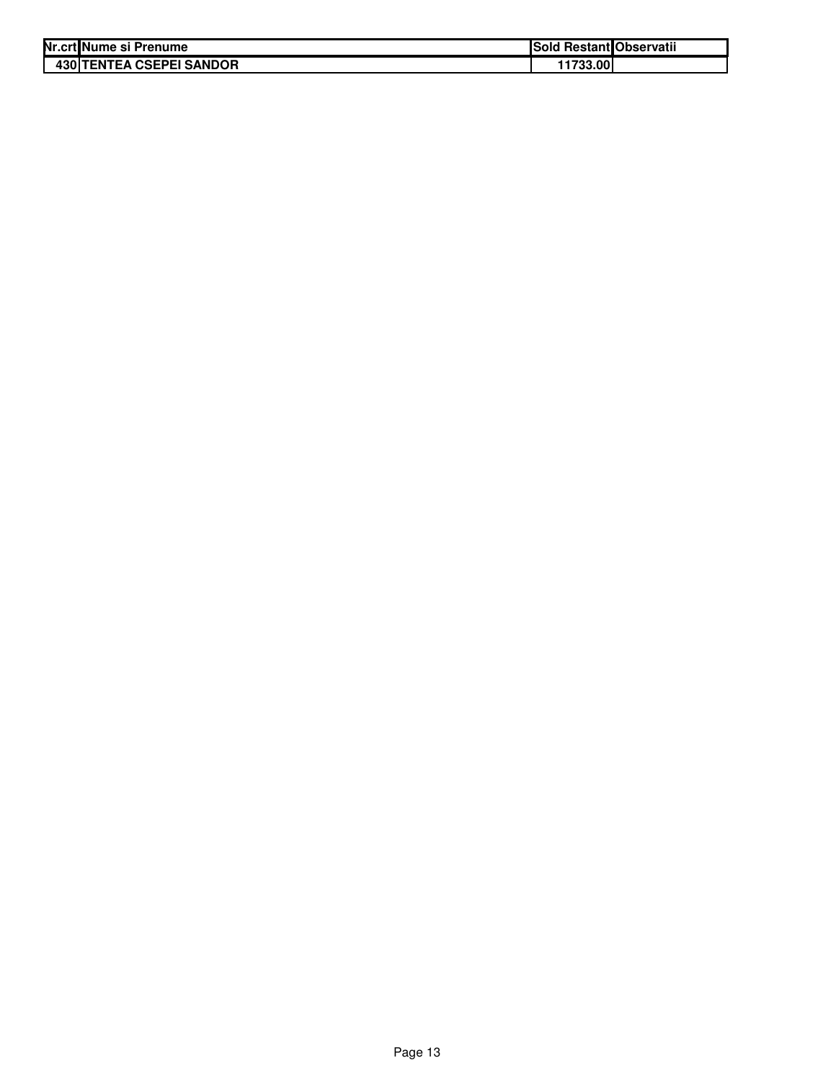| Nr.crt Nume si Prenume          | Sold Restant Observatii |  |
|---------------------------------|-------------------------|--|
| <b>430 TENTEA CSEPEI SANDOR</b> | 11733.00                |  |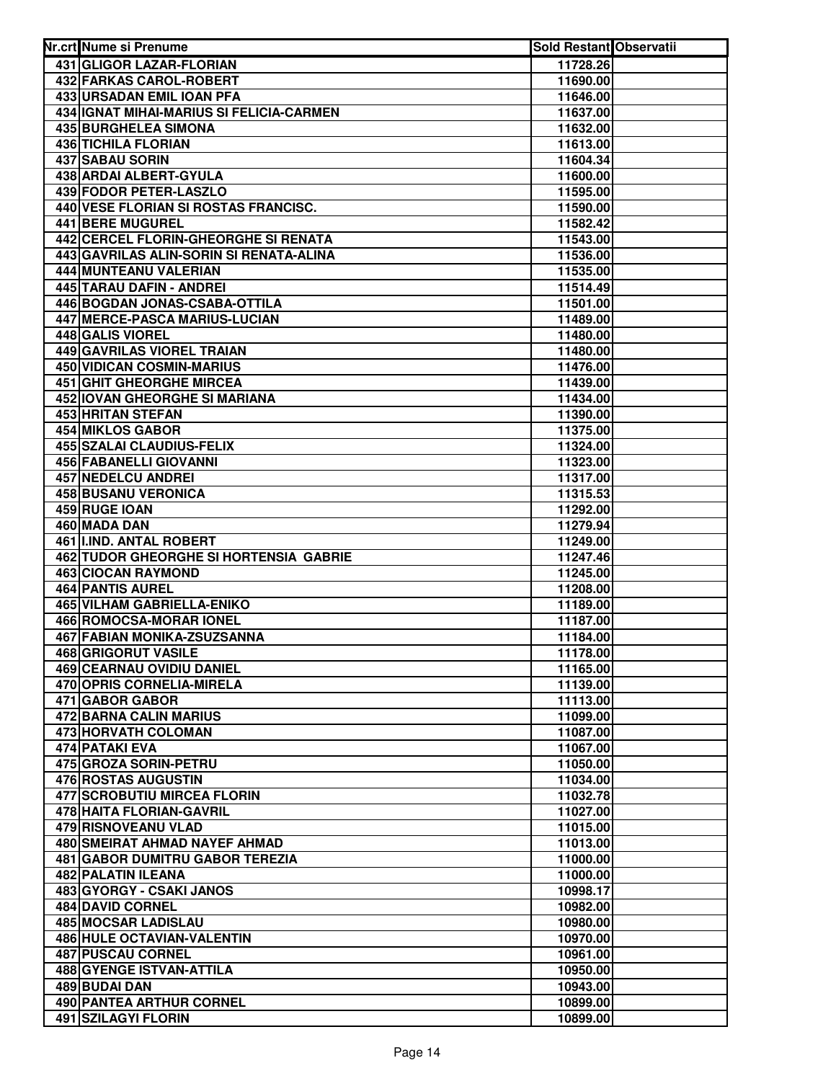| Nr.crt Nume si Prenume                                       | <b>Sold Restant Observatii</b> |  |
|--------------------------------------------------------------|--------------------------------|--|
| 431 GLIGOR LAZAR-FLORIAN                                     | 11728.26                       |  |
| 432 FARKAS CAROL-ROBERT                                      | 11690.00                       |  |
| 433 URSADAN EMIL IOAN PFA                                    | 11646.00                       |  |
| 434 IGNAT MIHAI-MARIUS SI FELICIA-CARMEN                     | 11637.00                       |  |
| 435 BURGHELEA SIMONA                                         | 11632.00                       |  |
| <b>436 TICHILA FLORIAN</b>                                   | 11613.00                       |  |
| 437 SABAU SORIN                                              | 11604.34                       |  |
| 438 ARDAI ALBERT-GYULA                                       | 11600.00                       |  |
| 439 FODOR PETER-LASZLO                                       | 11595.00                       |  |
| 440 VESE FLORIAN SI ROSTAS FRANCISC.                         | 11590.00                       |  |
| 441 BERE MUGUREL                                             | 11582.42                       |  |
| 442 CERCEL FLORIN-GHEORGHE SI RENATA                         | 11543.00                       |  |
| 443 GAVRILAS ALIN-SORIN SI RENATA-ALINA                      | 11536.00                       |  |
| 444 MUNTEANU VALERIAN                                        | 11535.00                       |  |
| 445 TARAU DAFIN - ANDREI                                     | 11514.49                       |  |
| 446 BOGDAN JONAS-CSABA-OTTILA                                | 11501.00                       |  |
| 447 MERCE-PASCA MARIUS-LUCIAN                                | 11489.00                       |  |
| 448 GALIS VIOREL                                             | 11480.00                       |  |
| 449 GAVRILAS VIOREL TRAIAN                                   | 11480.00                       |  |
| 450 VIDICAN COSMIN-MARIUS                                    | 11476.00                       |  |
| <b>451 GHIT GHEORGHE MIRCEA</b>                              | 11439.00                       |  |
| 452 IOVAN GHEORGHE SI MARIANA                                | 11434.00                       |  |
| 453 HRITAN STEFAN                                            | 11390.00                       |  |
| <b>454 MIKLOS GABOR</b>                                      | 11375.00                       |  |
| 455 SZALAI CLAUDIUS-FELIX<br>456 FABANELLI GIOVANNI          | 11324.00                       |  |
| 457 NEDELCU ANDREI                                           | 11323.00<br>11317.00           |  |
| <b>458 BUSANU VERONICA</b>                                   | 11315.53                       |  |
| 459 RUGE IOAN                                                | 11292.00                       |  |
| 460 MADA DAN                                                 | 11279.94                       |  |
| 461 IIIND. ANTAL ROBERT                                      | 11249.00                       |  |
| 462 TUDOR GHEORGHE SI HORTENSIA GABRIE                       | 11247.46                       |  |
| <b>463 CIOCAN RAYMOND</b>                                    | 11245.00                       |  |
| <b>464 PANTIS AUREL</b>                                      | 11208.00                       |  |
| 465 VILHAM GABRIELLA-ENIKO                                   | 11189.00                       |  |
| 466 ROMOCSA-MORAR IONEL                                      | 11187.00                       |  |
| <b>467 FABIAN MONIKA-ZSUZSANNA</b>                           | 11184.00                       |  |
| <b>468 GRIGORUT VASILE</b>                                   | 11178.00                       |  |
| <b>469 CEARNAU OVIDIU DANIEL</b>                             | 11165.00                       |  |
| 470 OPRIS CORNELIA-MIRELA                                    | 11139.00                       |  |
| 471 GABOR GABOR                                              | 11113.00                       |  |
| 472 BARNA CALIN MARIUS                                       | 11099.00                       |  |
| 473 HORVATH COLOMAN                                          | 11087.00                       |  |
| 474 PATAKI EVA                                               | 11067.00                       |  |
| 475 GROZA SORIN-PETRU                                        | 11050.00                       |  |
| 476 ROSTAS AUGUSTIN                                          | 11034.00                       |  |
| 477 SCROBUTIU MIRCEA FLORIN                                  | 11032.78                       |  |
| 478 HAITA FLORIAN-GAVRIL                                     | 11027.00                       |  |
| 479 RISNOVEANU VLAD                                          | 11015.00                       |  |
| 480 SMEIRAT AHMAD NAYEF AHMAD                                | 11013.00                       |  |
| <b>481 GABOR DUMITRU GABOR TEREZIA</b><br>482 PALATIN ILEANA | 11000.00<br>11000.00           |  |
| 483 GYORGY - CSAKI JANOS                                     | 10998.17                       |  |
| 484 DAVID CORNEL                                             | 10982.00                       |  |
| <b>485 MOCSAR LADISLAU</b>                                   | 10980.00                       |  |
| 486 HULE OCTAVIAN-VALENTIN                                   | 10970.00                       |  |
| <b>487 PUSCAU CORNEL</b>                                     | 10961.00                       |  |
| 488 GYENGE ISTVAN-ATTILA                                     | 10950.00                       |  |
| 489 BUDAI DAN                                                | 10943.00                       |  |
| 490 PANTEA ARTHUR CORNEL                                     | 10899.00                       |  |
| 491 SZILAGYI FLORIN                                          | 10899.00                       |  |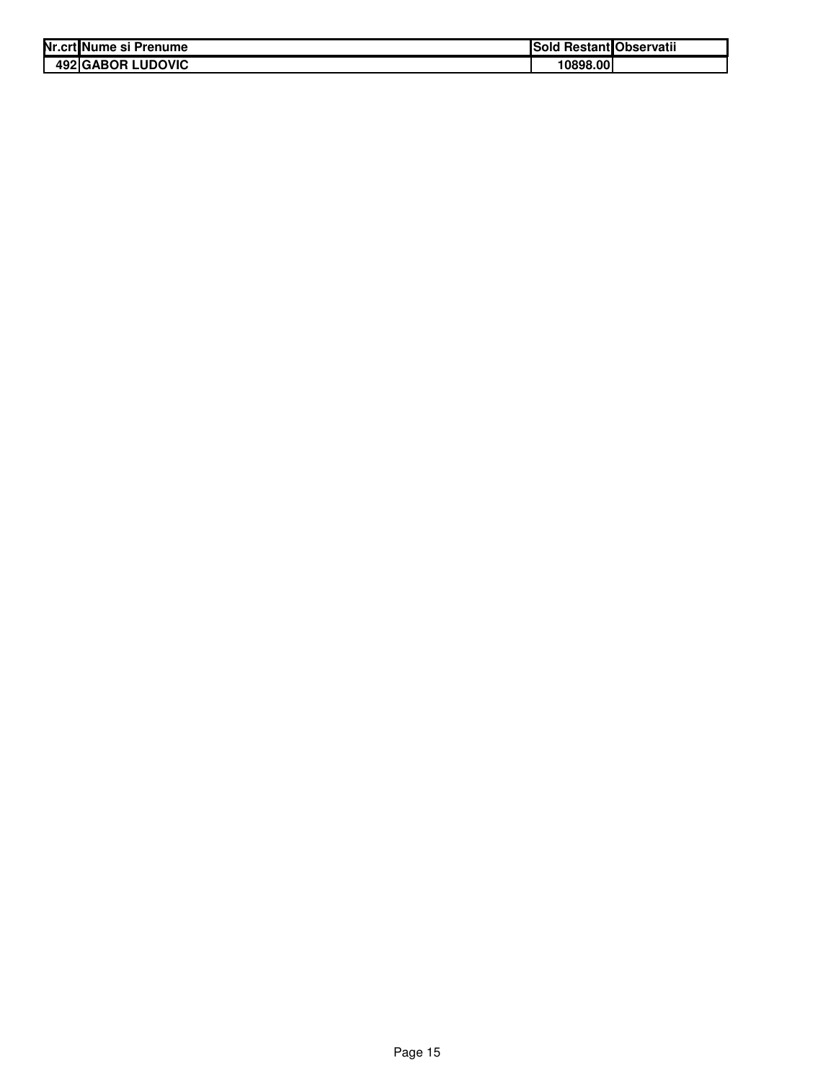| Nr.crt Nume si Prenume   | <b>Sold Restant Observatii</b> |  |
|--------------------------|--------------------------------|--|
| <b>492 GABOR LUDOVIC</b> | 10898.00                       |  |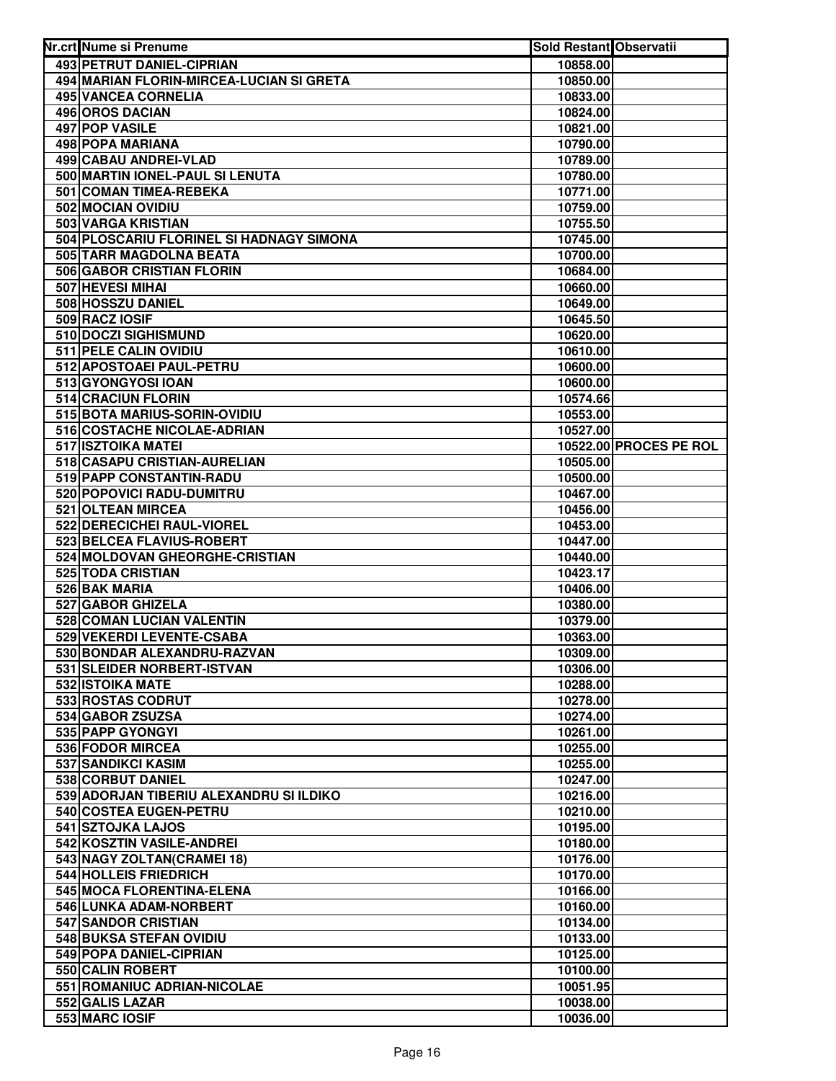| Nr.crt Nume si Prenume                          | <b>Sold Restant Observatii</b> |                        |
|-------------------------------------------------|--------------------------------|------------------------|
| 493 PETRUT DANIEL-CIPRIAN                       | 10858.00                       |                        |
| 494 MARIAN FLORIN-MIRCEA-LUCIAN SI GRETA        | 10850.00                       |                        |
| <b>495 VANCEA CORNELIA</b>                      | 10833.00                       |                        |
| 496 OROS DACIAN                                 | 10824.00                       |                        |
| 497 POP VASILE                                  | 10821.00                       |                        |
| 498 POPA MARIANA                                | 10790.00                       |                        |
| 499 CABAU ANDREI-VLAD                           | 10789.00                       |                        |
| 500 MARTIN IONEL-PAUL SI LENUTA                 | 10780.00                       |                        |
| 501 COMAN TIMEA-REBEKA                          | 10771.00                       |                        |
| 502 MOCIAN OVIDIU                               | 10759.00                       |                        |
| 503 VARGA KRISTIAN                              | 10755.50                       |                        |
| 504 PLOSCARIU FLORINEL SI HADNAGY SIMONA        | 10745.00                       |                        |
| 505 TARR MAGDOLNA BEATA                         | 10700.00                       |                        |
| 506 GABOR CRISTIAN FLORIN                       | 10684.00                       |                        |
| 507 HEVESI MIHAI                                | 10660.00                       |                        |
| 508 HOSSZU DANIEL                               | 10649.00                       |                        |
| 509 RACZ IOSIF                                  | 10645.50                       |                        |
| 510 DOCZI SIGHISMUND                            | 10620.00                       |                        |
| 511 PELE CALIN OVIDIU                           | 10610.00                       |                        |
| 512 APOSTOAEI PAUL-PETRU                        | 10600.00                       |                        |
| 513 GYONGYOSI IOAN                              | 10600.00                       |                        |
| 514 CRACIUN FLORIN                              | 10574.66                       |                        |
| 515 BOTA MARIUS-SORIN-OVIDIU                    | 10553.00                       |                        |
| 516 COSTACHE NICOLAE-ADRIAN                     | 10527.00                       |                        |
| 517 ISZTOIKA MATEI                              |                                | 10522.00 PROCES PE ROL |
| 518 CASAPU CRISTIAN-AURELIAN                    | 10505.00                       |                        |
| 519 PAPP CONSTANTIN-RADU                        | 10500.00                       |                        |
| 520 POPOVICI RADU-DUMITRU                       | 10467.00                       |                        |
| 521 OLTEAN MIRCEA<br>522 DERECICHEI RAUL-VIOREL | 10456.00<br>10453.00           |                        |
| 523 BELCEA FLAVIUS-ROBERT                       | 10447.00                       |                        |
| 524 MOLDOVAN GHEORGHE-CRISTIAN                  | 10440.00                       |                        |
| 525 TODA CRISTIAN                               | 10423.17                       |                        |
| 526 BAK MARIA                                   | 10406.00                       |                        |
| 527 GABOR GHIZELA                               | 10380.00                       |                        |
| 528 COMAN LUCIAN VALENTIN                       | 10379.00                       |                        |
| 529 VEKERDI LEVENTE-CSABA                       | 10363.00                       |                        |
| 530 BONDAR ALEXANDRU-RAZVAN                     | 10309.00                       |                        |
| 531 SLEIDER NORBERT-ISTVAN                      | 10306.00                       |                        |
| 532 ISTOIKA MATE                                | 10288.00                       |                        |
| 533 ROSTAS CODRUT                               | 10278.00                       |                        |
| 534 GABOR ZSUZSA                                | 10274.00                       |                        |
| <b>535 PAPP GYONGYI</b>                         | 10261.00                       |                        |
| <b>536 FODOR MIRCEA</b>                         | 10255.00                       |                        |
| 537 SANDIKCI KASIM                              | 10255.00                       |                        |
| 538 CORBUT DANIEL                               | 10247.00                       |                        |
| 539 ADORJAN TIBERIU ALEXANDRU SI ILDIKO         | 10216.00                       |                        |
| 540 COSTEA EUGEN-PETRU                          | 10210.00                       |                        |
| 541 SZTOJKA LAJOS                               | 10195.00                       |                        |
| 542 KOSZTIN VASILE-ANDREI                       | 10180.00                       |                        |
| 543 NAGY ZOLTAN(CRAMEI 18)                      | 10176.00                       |                        |
| 544 HOLLEIS FRIEDRICH                           | 10170.00                       |                        |
| 545 MOCA FLORENTINA-ELENA                       | 10166.00                       |                        |
| 546 LUNKA ADAM-NORBERT                          | 10160.00                       |                        |
| 547 SANDOR CRISTIAN                             | 10134.00                       |                        |
| 548 BUKSA STEFAN OVIDIU                         | 10133.00                       |                        |
| 549 POPA DANIEL-CIPRIAN<br>550 CALIN ROBERT     | 10125.00                       |                        |
| 551 ROMANIUC ADRIAN-NICOLAE                     | 10100.00                       |                        |
| 552 GALIS LAZAR                                 | 10051.95<br>10038.00           |                        |
| 553 MARC IOSIF                                  | 10036.00                       |                        |
|                                                 |                                |                        |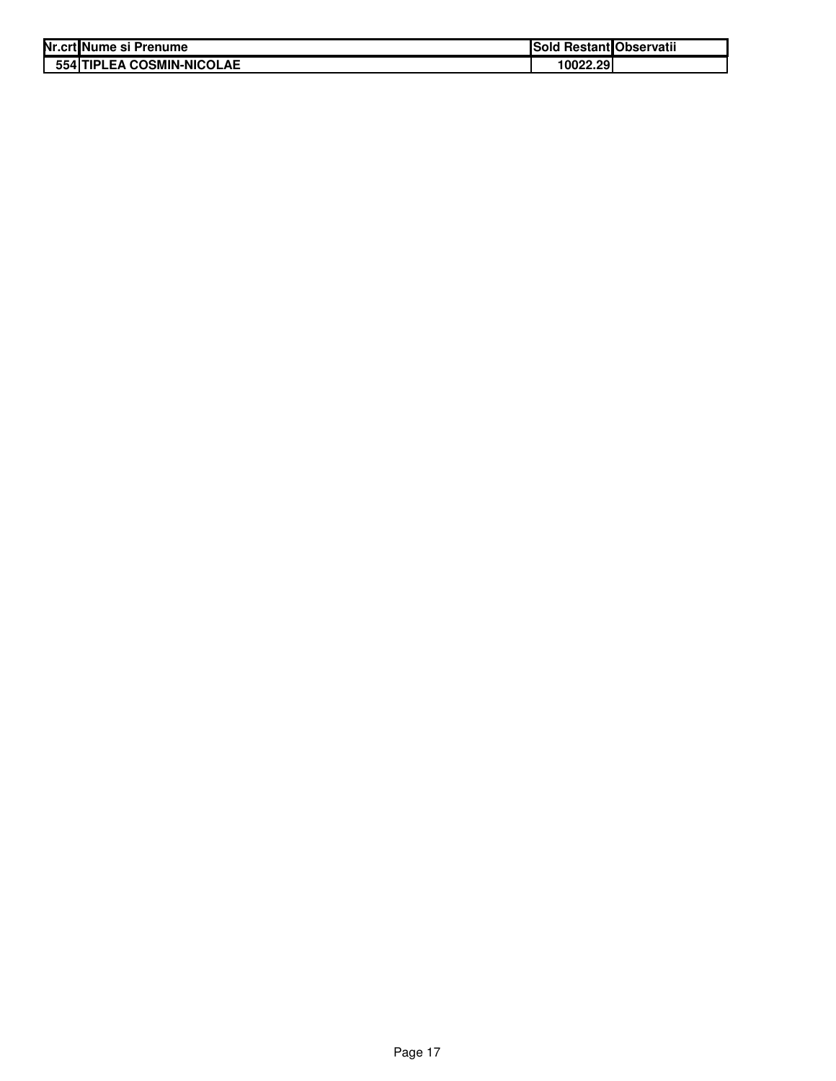| Nr.crt Nume si Prenume    | Sold Restant Observatii |  |
|---------------------------|-------------------------|--|
| 554 TIPLEA COSMIN-NICOLAE | 10022.29                |  |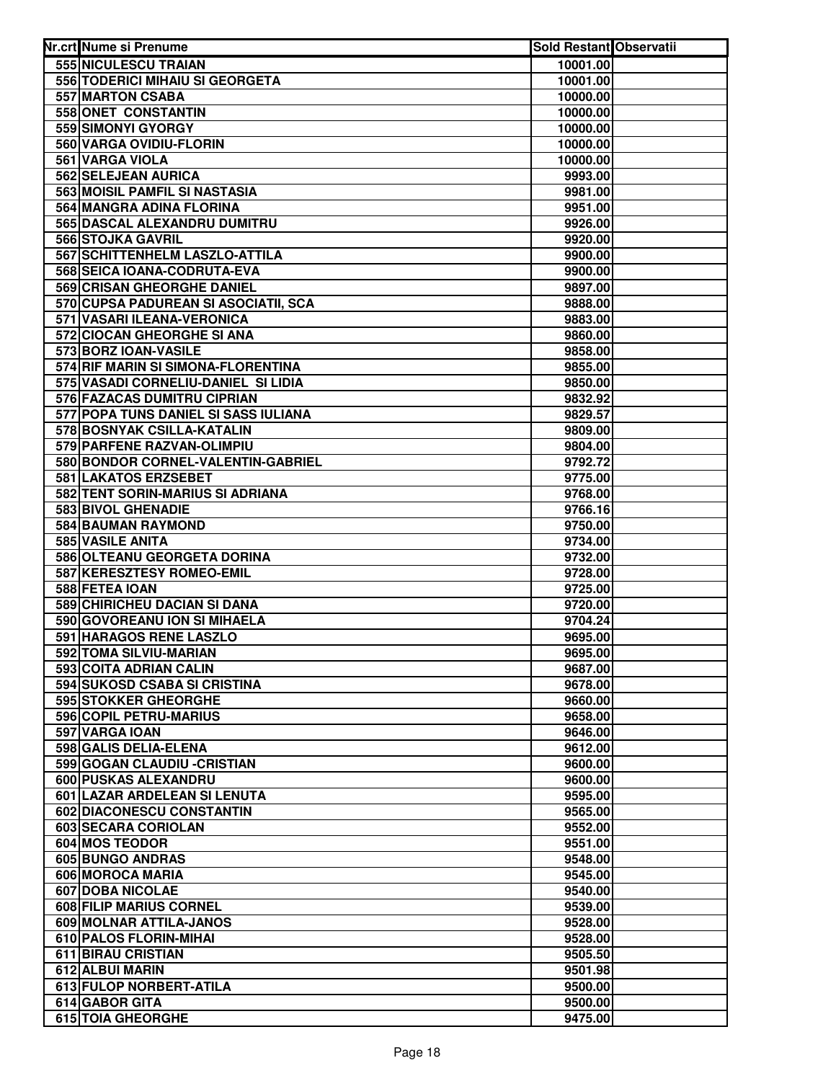| Nr.crt Nume si Prenume               | Sold Restant Observatii |  |
|--------------------------------------|-------------------------|--|
| 555 NICULESCU TRAIAN                 | 10001.00                |  |
| 556 TODERICI MIHAIU SI GEORGETA      | 10001.00                |  |
| 557 MARTON CSABA                     | 10000.00                |  |
| 558 ONET CONSTANTIN                  | 10000.00                |  |
| 559 SIMONYI GYORGY                   | 10000.00                |  |
| 560 VARGA OVIDIU-FLORIN              | 10000.00                |  |
| 561 VARGA VIOLA                      | 10000.00                |  |
| 562 SELEJEAN AURICA                  | 9993.00                 |  |
| 563 MOISIL PAMFIL SI NASTASIA        | 9981.00                 |  |
| 564 MANGRA ADINA FLORINA             | 9951.00                 |  |
| 565 DASCAL ALEXANDRU DUMITRU         | 9926.00                 |  |
| 566 STOJKA GAVRIL                    | 9920.00                 |  |
| 567 SCHITTENHELM LASZLO-ATTILA       | 9900.00                 |  |
| 568 SEICA IOANA-CODRUTA-EVA          | 9900.00                 |  |
| 569 CRISAN GHEORGHE DANIEL           | 9897.00                 |  |
| 570 CUPSA PADUREAN SI ASOCIATII, SCA | 9888.00                 |  |
| 571 VASARI ILEANA-VERONICA           | 9883.00                 |  |
| 572 CIOCAN GHEORGHE SI ANA           | 9860.00                 |  |
| 573 BORZ IOAN-VASILE                 | 9858.00                 |  |
| 574 RIF MARIN SI SIMONA-FLORENTINA   | 9855.00                 |  |
| 575 VASADI CORNELIU-DANIEL SI LIDIA  | 9850.00                 |  |
| 576 FAZACAS DUMITRU CIPRIAN          | 9832.92                 |  |
| 577 POPA TUNS DANIEL SI SASS IULIANA | 9829.57                 |  |
| 578 BOSNYAK CSILLA-KATALIN           | 9809.00                 |  |
| 579 PARFENE RAZVAN-OLIMPIU           | 9804.00                 |  |
| 580 BONDOR CORNEL-VALENTIN-GABRIEL   | 9792.72                 |  |
| 581 LAKATOS ERZSEBET                 | 9775.00                 |  |
| 582 TENT SORIN-MARIUS SI ADRIANA     | 9768.00                 |  |
| 583 BIVOL GHENADIE                   | 9766.16                 |  |
| 584 BAUMAN RAYMOND                   | 9750.00                 |  |
| 585 VASILE ANITA                     | 9734.00                 |  |
| 586 OLTEANU GEORGETA DORINA          | 9732.00                 |  |
| 587 KERESZTESY ROMEO-EMIL            | 9728.00                 |  |
| 588 FETEA IOAN                       | 9725.00                 |  |
| 589 CHIRICHEU DACIAN SI DANA         | 9720.00                 |  |
| 590 GOVOREANU ION SI MIHAELA         | 9704.24                 |  |
| 591 HARAGOS RENE LASZLO              | 9695.00                 |  |
| 592 TOMA SILVIU-MARIAN               | 9695.00                 |  |
| 593 COITA ADRIAN CALIN               | 9687.00                 |  |
| 594 SUKOSD CSABA SI CRISTINA         | 9678.00                 |  |
| 595 STOKKER GHEORGHE                 | 9660.00                 |  |
| 596 COPIL PETRU-MARIUS               | 9658.00                 |  |
| 597 VARGA IOAN                       | 9646.00                 |  |
| 598 GALIS DELIA-ELENA                | 9612.00                 |  |
| 599 GOGAN CLAUDIU - CRISTIAN         | 9600.00                 |  |
| 600 PUSKAS ALEXANDRU                 | 9600.00                 |  |
| 601 LAZAR ARDELEAN SI LENUTA         | 9595.00                 |  |
| 602 DIACONESCU CONSTANTIN            | 9565.00                 |  |
| 603 SECARA CORIOLAN                  | 9552.00                 |  |
| 604 MOS TEODOR                       | 9551.00                 |  |
| 605 BUNGO ANDRAS<br>606 MOROCA MARIA | 9548.00                 |  |
| 607 DOBA NICOLAE                     | 9545.00<br>9540.00      |  |
| 608 FILIP MARIUS CORNEL              | 9539.00                 |  |
| 609 MOLNAR ATTILA-JANOS              | 9528.00                 |  |
| 610 PALOS FLORIN-MIHAI               | 9528.00                 |  |
| 611 BIRAU CRISTIAN                   | 9505.50                 |  |
| 612 ALBUI MARIN                      | 9501.98                 |  |
| 613 FULOP NORBERT-ATILA              | 9500.00                 |  |
| 614 GABOR GITA                       | 9500.00                 |  |
| 615 TOIA GHEORGHE                    | 9475.00                 |  |
|                                      |                         |  |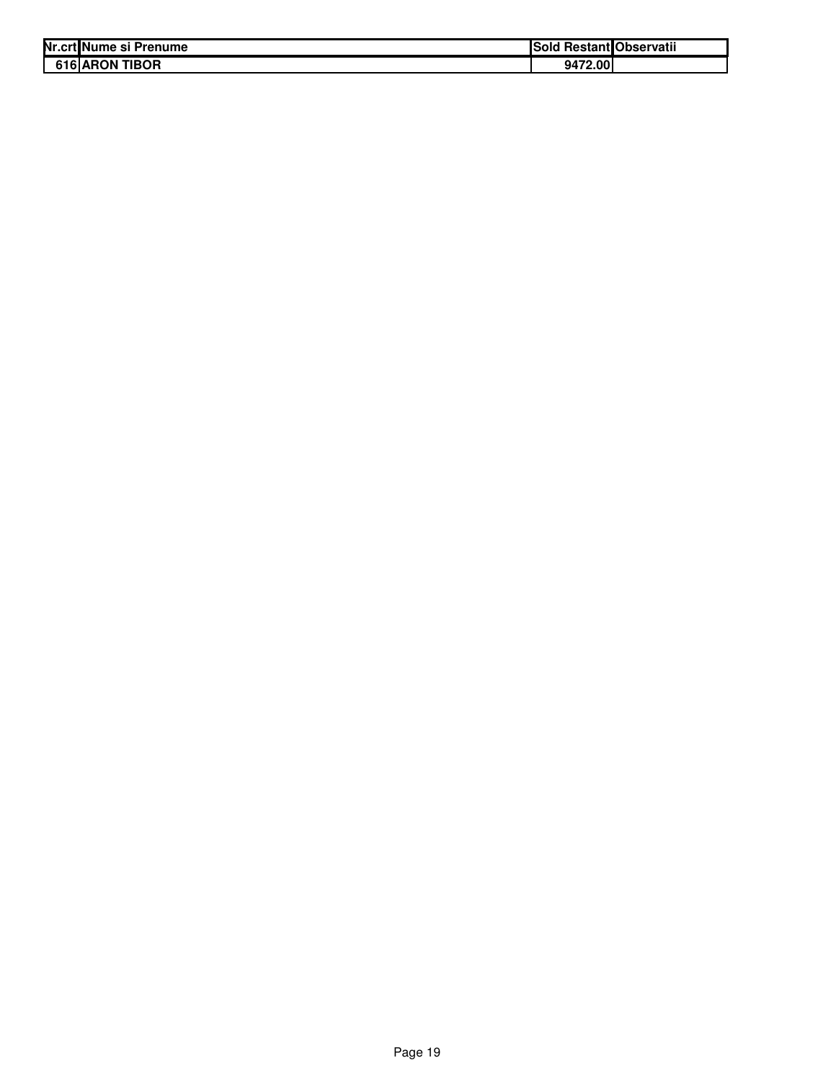| Nr.crt Nume si Prenume   | ISold   | l Restant Observatii |
|--------------------------|---------|----------------------|
| 616 ARON<br><b>TIBOR</b> | 9472.00 |                      |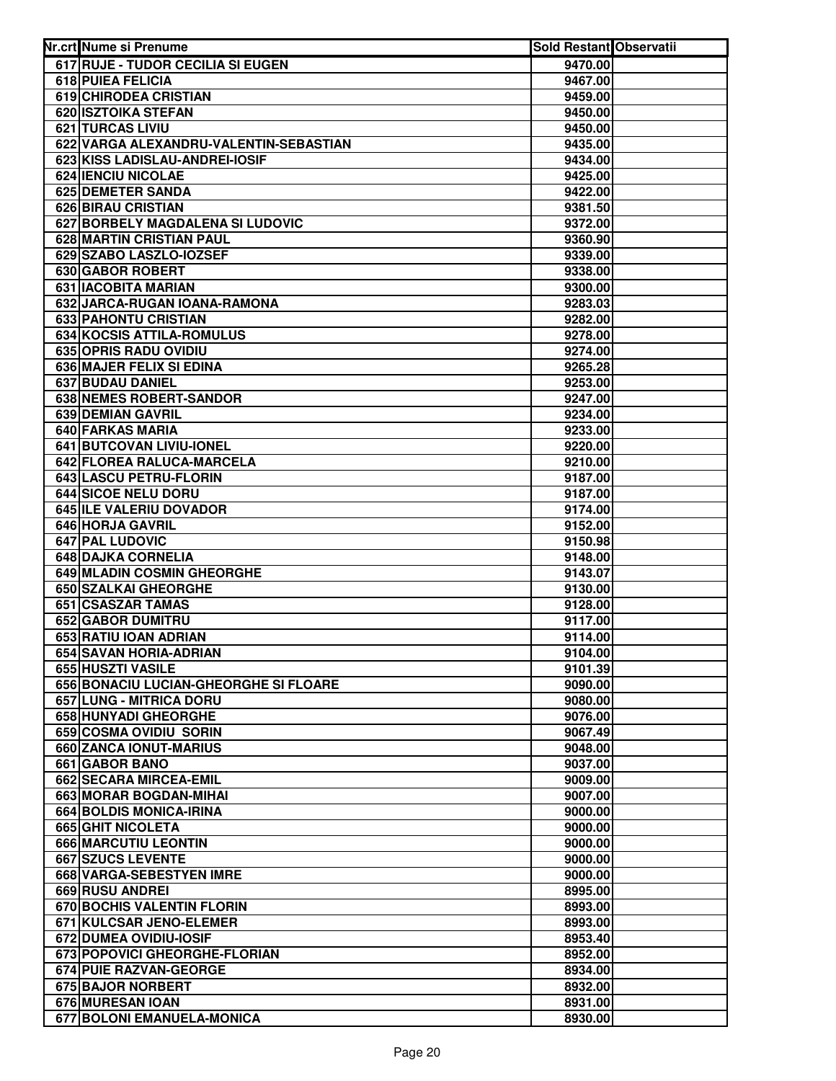| Nr.crt Nume si Prenume                            | <b>Sold Restant Observatii</b> |  |
|---------------------------------------------------|--------------------------------|--|
| 617 RUJE - TUDOR CECILIA SI EUGEN                 | 9470.00                        |  |
| 618 PUIEA FELICIA                                 | 9467.00                        |  |
| 619 CHIRODEA CRISTIAN                             | 9459.00                        |  |
| 620 ISZTOIKA STEFAN                               | 9450.00                        |  |
| 621 TURCAS LIVIU                                  | 9450.00                        |  |
| 622 VARGA ALEXANDRU-VALENTIN-SEBASTIAN            | 9435.00                        |  |
| 623 KISS LADISLAU-ANDREI-IOSIF                    | 9434.00                        |  |
| <b>624 IENCIU NICOLAE</b>                         | 9425.00                        |  |
| 625 DEMETER SANDA                                 | 9422.00                        |  |
| 626 BIRAU CRISTIAN                                | 9381.50                        |  |
| 627 BORBELY MAGDALENA SI LUDOVIC                  | 9372.00                        |  |
| 628 MARTIN CRISTIAN PAUL                          | 9360.90                        |  |
| 629 SZABO LASZLO-IOZSEF                           | 9339.00                        |  |
| 630 GABOR ROBERT                                  | 9338.00                        |  |
| 631 IACOBITA MARIAN                               | 9300.00                        |  |
| 632 JARCA-RUGAN IOANA-RAMONA                      | 9283.03                        |  |
| 633 PAHONTU CRISTIAN                              | 9282.00                        |  |
| 634 KOCSIS ATTILA-ROMULUS                         | 9278.00                        |  |
| 635 OPRIS RADU OVIDIU                             | 9274.00                        |  |
| 636 MAJER FELIX SI EDINA                          | 9265.28                        |  |
| 637 BUDAU DANIEL                                  | 9253.00                        |  |
| 638 NEMES ROBERT-SANDOR                           | 9247.00                        |  |
| 639 DEMIAN GAVRIL                                 | 9234.00                        |  |
| 640 FARKAS MARIA                                  | 9233.00                        |  |
| 641 BUTCOVAN LIVIU-IONEL                          | 9220.00                        |  |
| 642 FLOREA RALUCA-MARCELA                         | 9210.00                        |  |
| 643 LASCU PETRU-FLORIN                            | 9187.00                        |  |
| 644 SICOE NELU DORU                               | 9187.00                        |  |
| 645 ILE VALERIU DOVADOR                           | 9174.00                        |  |
| 646 HORJA GAVRIL                                  | 9152.00                        |  |
| 647 PAL LUDOVIC                                   | 9150.98                        |  |
| 648 DAJKA CORNELIA                                | 9148.00                        |  |
| 649 MLADIN COSMIN GHEORGHE                        | 9143.07                        |  |
| 650 SZALKAI GHEORGHE                              | 9130.00                        |  |
| 651 CSASZAR TAMAS                                 | 9128.00                        |  |
| 652 GABOR DUMITRU                                 | 9117.00                        |  |
| 653 RATIU IOAN ADRIAN                             | 9114.00                        |  |
| 654 SAVAN HORIA-ADRIAN                            | 9104.00                        |  |
| 655 HUSZTI VASILE                                 | 9101.39                        |  |
| 656 BONACIU LUCIAN-GHEORGHE SI FLOARE             | 9090.00                        |  |
| 657 LUNG - MITRICA DORU                           | 9080.00                        |  |
| <b>658 HUNYADI GHEORGHE</b>                       | 9076.00                        |  |
| 659 COSMA OVIDIU SORIN<br>660 ZANCA IONUT-MARIUS  | 9067.49                        |  |
|                                                   | 9048.00                        |  |
| 661 GABOR BANO<br>662 SECARA MIRCEA-EMIL          | 9037.00                        |  |
|                                                   | 9009.00                        |  |
| 663 MORAR BOGDAN-MIHAI<br>664 BOLDIS MONICA-IRINA | 9007.00<br>9000.00             |  |
| 665 GHIT NICOLETA                                 |                                |  |
| 666 MARCUTIU LEONTIN                              | 9000.00                        |  |
| 667 SZUCS LEVENTE                                 | 9000.00<br>9000.00             |  |
| 668 VARGA-SEBESTYEN IMRE                          | 9000.00                        |  |
| 669 RUSU ANDREI                                   | 8995.00                        |  |
| 670 BOCHIS VALENTIN FLORIN                        | 8993.00                        |  |
| 671 KULCSAR JENO-ELEMER                           | 8993.00                        |  |
| 672 DUMEA OVIDIU-IOSIF                            | 8953.40                        |  |
| 673 POPOVICI GHEORGHE-FLORIAN                     | 8952.00                        |  |
| 674 PUIE RAZVAN-GEORGE                            | 8934.00                        |  |
| 675 BAJOR NORBERT                                 | 8932.00                        |  |
| 676 MURESAN IOAN                                  | 8931.00                        |  |
| 677 BOLONI EMANUELA-MONICA                        | 8930.00                        |  |
|                                                   |                                |  |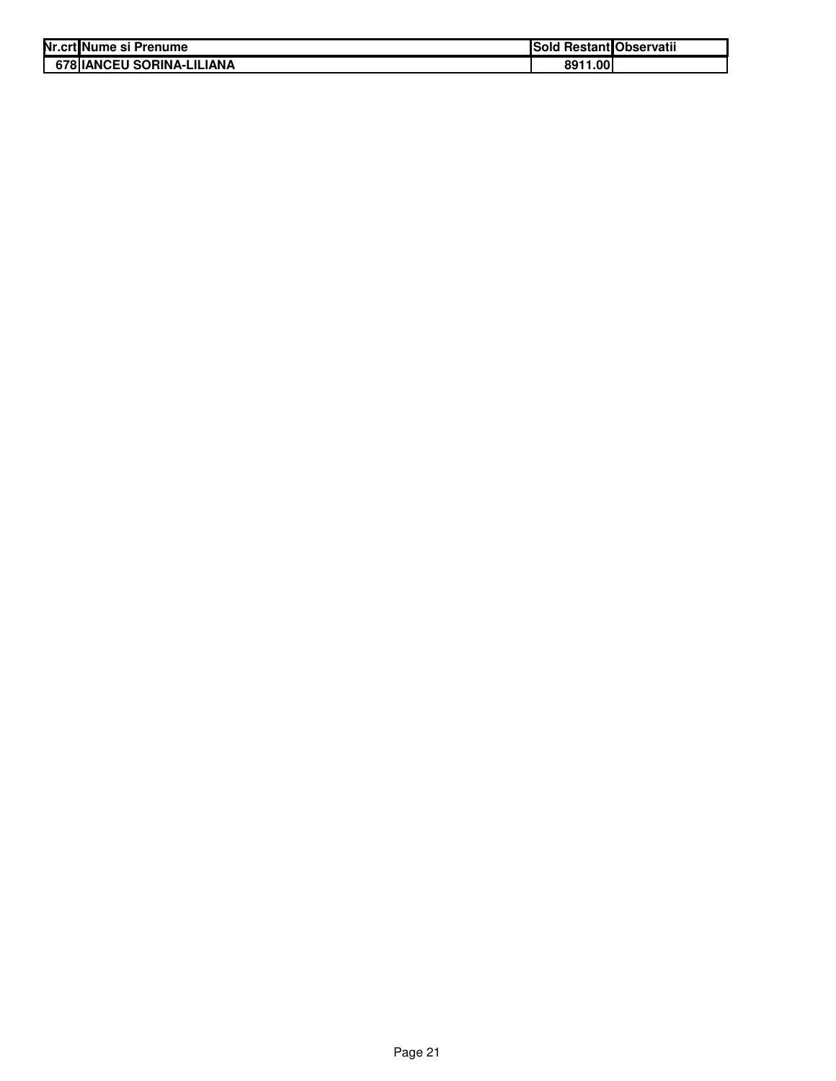| Nr.crt Nume si Prenume            | Sold Restant Observatii |  |
|-----------------------------------|-------------------------|--|
| <b>678 IIANCEU SORINA-LILIANA</b> | 8911.00                 |  |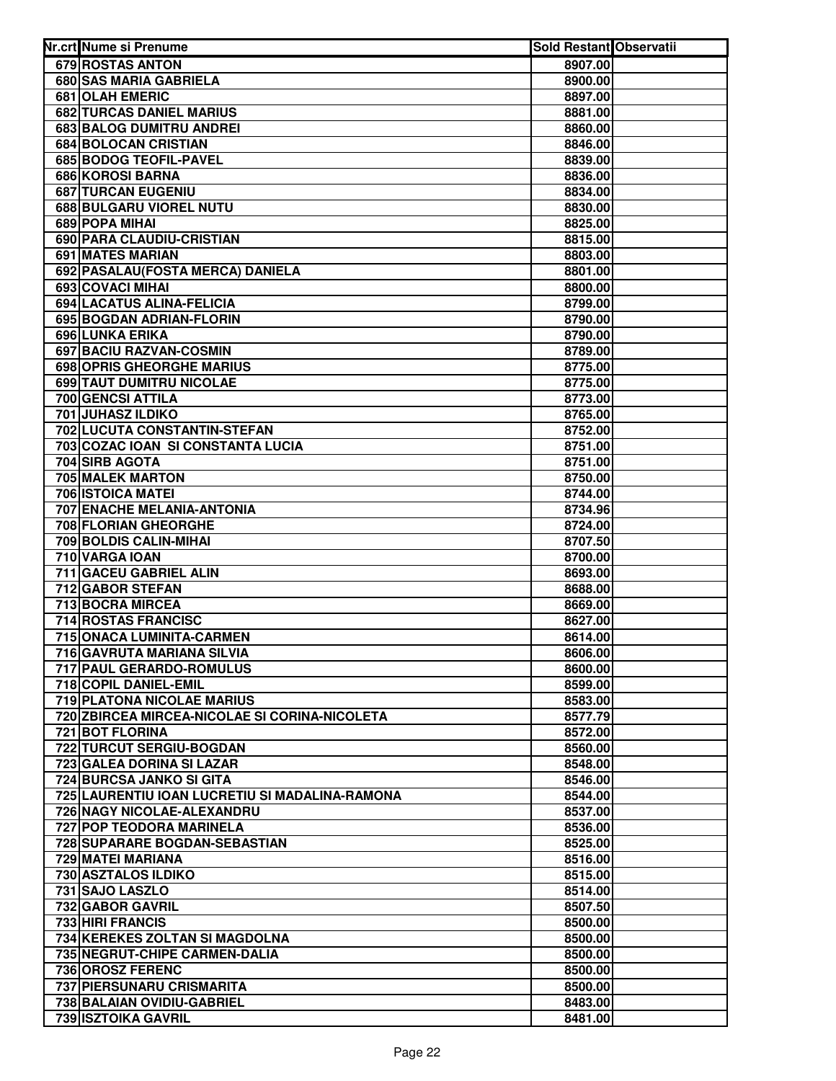| Nr.crt Nume si Prenume                         | <b>Sold Restant Observatii</b> |  |
|------------------------------------------------|--------------------------------|--|
| 679 ROSTAS ANTON                               | 8907.00                        |  |
| 680 SAS MARIA GABRIELA                         | 8900.00                        |  |
| 681 OLAH EMERIC                                | 8897.00                        |  |
| 682 TURCAS DANIEL MARIUS                       | 8881.00                        |  |
| 683 BALOG DUMITRU ANDREI                       | 8860.00                        |  |
| 684 BOLOCAN CRISTIAN                           | 8846.00                        |  |
| 685 BODOG TEOFIL-PAVEL                         | 8839.00                        |  |
| <b>686 KOROSI BARNA</b>                        | 8836.00                        |  |
| 687 TURCAN EUGENIU                             | 8834.00                        |  |
| 688 BULGARU VIOREL NUTU                        | 8830.00                        |  |
| 689 POPA MIHAI                                 | 8825.00                        |  |
| 690 PARA CLAUDIU-CRISTIAN                      | 8815.00                        |  |
| <b>691 MATES MARIAN</b>                        | 8803.00                        |  |
| 692 PASALAU (FOSTA MERCA) DANIELA              | 8801.00                        |  |
| 693 COVACI MIHAI                               | 8800.00                        |  |
| 694 LACATUS ALINA-FELICIA                      | 8799.00                        |  |
| 695 BOGDAN ADRIAN-FLORIN                       | 8790.00                        |  |
| 696 LUNKA ERIKA                                | 8790.00                        |  |
| 697 BACIU RAZVAN-COSMIN                        | 8789.00                        |  |
| <b>698 OPRIS GHEORGHE MARIUS</b>               | 8775.00                        |  |
| 699 TAUT DUMITRU NICOLAE                       | 8775.00                        |  |
| 700 GENCSI ATTILA                              | 8773.00                        |  |
| 701 JUHASZ ILDIKO                              | 8765.00                        |  |
| 702 LUCUTA CONSTANTIN-STEFAN                   | 8752.00                        |  |
| 703 COZAC IOAN SI CONSTANTA LUCIA              | 8751.00                        |  |
| 704 SIRB AGOTA                                 | 8751.00                        |  |
| <b>705 MALEK MARTON</b>                        | 8750.00                        |  |
| 706 ISTOICA MATEI                              | 8744.00                        |  |
| 707 ENACHE MELANIA-ANTONIA                     | 8734.96                        |  |
| 708 FLORIAN GHEORGHE                           | 8724.00                        |  |
| 709 BOLDIS CALIN-MIHAI                         | 8707.50                        |  |
| 710 VARGA IOAN                                 | 8700.00                        |  |
| 711 GACEU GABRIEL ALIN                         | 8693.00                        |  |
| 712 GABOR STEFAN                               | 8688.00                        |  |
| 713 BOCRA MIRCEA                               | 8669.00                        |  |
| 714 ROSTAS FRANCISC                            | 8627.00                        |  |
| 715 ONACA LUMINITA-CARMEN                      | 8614.00                        |  |
| 716 GAVRUTA MARIANA SILVIA                     | 8606.00                        |  |
| 717 PAUL GERARDO-ROMULUS                       | 8600.00                        |  |
| 718 COPIL DANIEL-EMIL                          | 8599.00                        |  |
| <b>719 PLATONA NICOLAE MARIUS</b>              | 8583.00                        |  |
| 720 ZBIRCEA MIRCEA-NICOLAE SI CORINA-NICOLETA  | 8577.79                        |  |
| <b>721 BOT FLORINA</b>                         | 8572.00                        |  |
| 722 TURCUT SERGIU-BOGDAN                       | 8560.00                        |  |
| 723 GALEA DORINA SI LAZAR                      | 8548.00                        |  |
| 724 BURCSA JANKO SI GITA                       | 8546.00                        |  |
| 725 LAURENTIU IOAN LUCRETIU SI MADALINA-RAMONA | 8544.00                        |  |
| 726 NAGY NICOLAE-ALEXANDRU                     | 8537.00                        |  |
| 727 POP TEODORA MARINELA                       | 8536.00                        |  |
| 728 SUPARARE BOGDAN-SEBASTIAN                  | 8525.00                        |  |
| 729 MATEI MARIANA                              | 8516.00                        |  |
| 730 ASZTALOS ILDIKO                            | 8515.00                        |  |
| 731 SAJO LASZLO<br>732 GABOR GAVRIL            | 8514.00                        |  |
| 733 HIRI FRANCIS                               | 8507.50<br>8500.00             |  |
| 734 KEREKES ZOLTAN SI MAGDOLNA                 | 8500.00                        |  |
| 735 NEGRUT-CHIPE CARMEN-DALIA                  | 8500.00                        |  |
| 736 OROSZ FERENC                               | 8500.00                        |  |
| 737 PIERSUNARU CRISMARITA                      | 8500.00                        |  |
| 738 BALAIAN OVIDIU-GABRIEL                     | 8483.00                        |  |
| 739 ISZTOIKA GAVRIL                            | 8481.00                        |  |
|                                                |                                |  |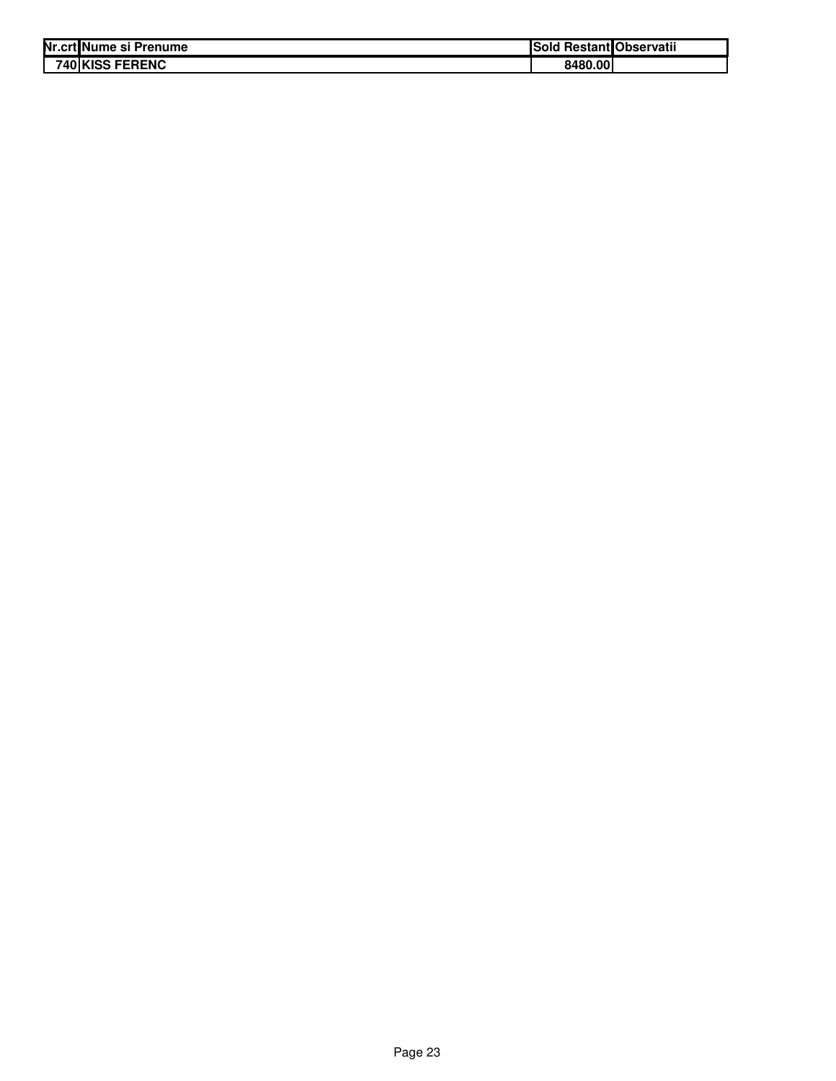| Nr.crt Nume si Prenume    | ISold   | <b>Restant Observatii</b> |
|---------------------------|---------|---------------------------|
| 740 KISS<br><b>FERENC</b> | 8480.00 |                           |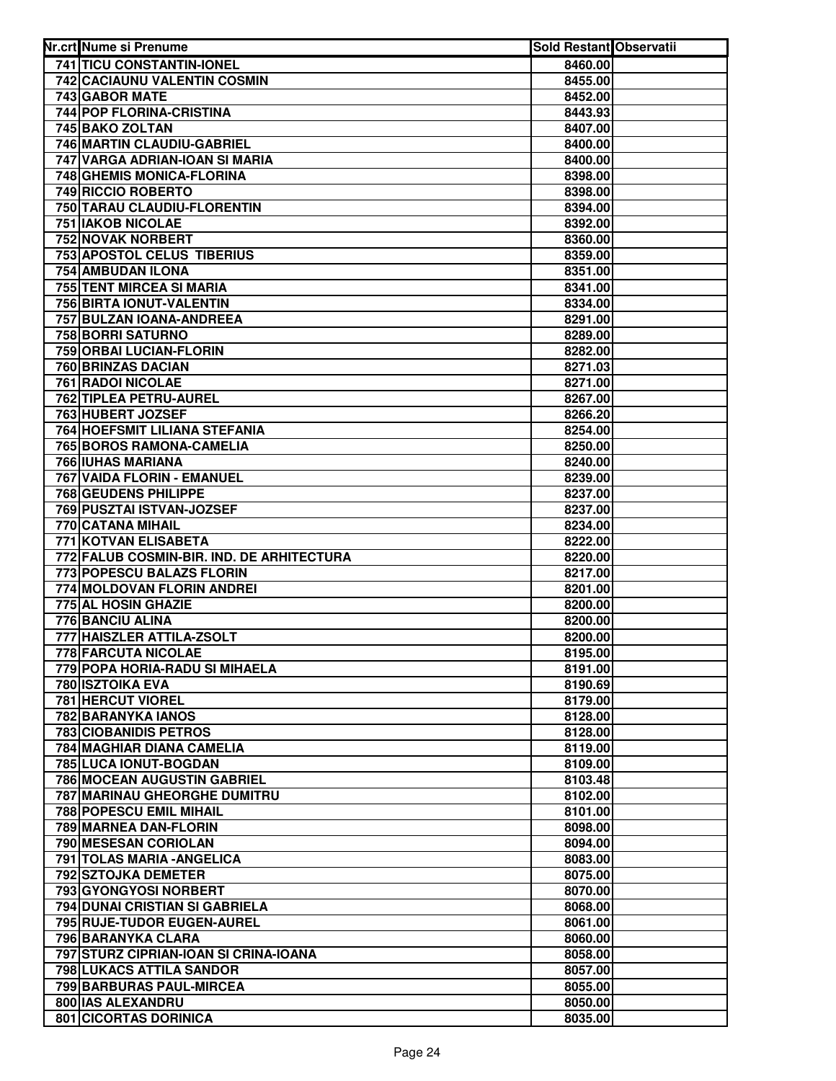| Nr.crt Nume si Prenume                                       | <b>Sold Restant Observatii</b> |  |
|--------------------------------------------------------------|--------------------------------|--|
| 741 TICU CONSTANTIN-IONEL                                    | 8460.00                        |  |
| 742 CACIAUNU VALENTIN COSMIN                                 | 8455.00                        |  |
| 743 GABOR MATE                                               | 8452.00                        |  |
| 744 POP FLORINA-CRISTINA                                     | 8443.93                        |  |
| 745 BAKO ZOLTAN                                              | 8407.00                        |  |
| 746 MARTIN CLAUDIU-GABRIEL                                   | 8400.00                        |  |
| 747 VARGA ADRIAN-IOAN SI MARIA                               | 8400.00                        |  |
| 748 GHEMIS MONICA-FLORINA                                    | 8398.00                        |  |
| 749 RICCIO ROBERTO                                           | 8398.00                        |  |
| 750 TARAU CLAUDIU-FLORENTIN                                  | 8394.00                        |  |
| <b>751 IAKOB NICOLAE</b>                                     | 8392.00                        |  |
| 752 NOVAK NORBERT                                            | 8360.00                        |  |
| <b>753 APOSTOL CELUS TIBERIUS</b>                            | 8359.00                        |  |
| 754 AMBUDAN ILONA                                            | 8351.00                        |  |
| 755 TENT MIRCEA SI MARIA                                     | 8341.00                        |  |
| 756 BIRTA IONUT-VALENTIN                                     | 8334.00                        |  |
| 757 BULZAN IOANA-ANDREEA                                     | 8291.00                        |  |
| 758 BORRI SATURNO                                            | 8289.00                        |  |
| 759 ORBAI LUCIAN-FLORIN                                      | 8282.00                        |  |
| 760 BRINZAS DACIAN                                           | 8271.03<br>8271.00             |  |
| 761 RADOI NICOLAE<br>762 TIPLEA PETRU-AUREL                  |                                |  |
| 763 HUBERT JOZSEF                                            | 8267.00<br>8266.20             |  |
| 764 HOEFSMIT LILIANA STEFANIA                                | 8254.00                        |  |
| 765 BOROS RAMONA-CAMELIA                                     | 8250.00                        |  |
| <b>766 IUHAS MARIANA</b>                                     | 8240.00                        |  |
| 767 VAIDA FLORIN - EMANUEL                                   | 8239.00                        |  |
| 768 GEUDENS PHILIPPE                                         | 8237.00                        |  |
| 769 PUSZTAI ISTVAN-JOZSEF                                    | 8237.00                        |  |
| 770 CATANA MIHAIL                                            | 8234.00                        |  |
| 771 KOTVAN ELISABETA                                         | 8222.00                        |  |
| 772 FALUB COSMIN-BIR. IND. DE ARHITECTURA                    | 8220.00                        |  |
| 773 POPESCU BALAZS FLORIN                                    | 8217.00                        |  |
| 774 MOLDOVAN FLORIN ANDREI                                   | 8201.00                        |  |
| 775 AL HOSIN GHAZIE                                          | 8200.00                        |  |
| 776 BANCIU ALINA                                             | 8200.00                        |  |
| 777 HAISZLER ATTILA-ZSOLT                                    | 8200.00                        |  |
| 778 FARCUTA NICOLAE<br><b>779 POPA HORIA-RADU SI MIHAELA</b> | 8195.00                        |  |
| 780 ISZTOIKA EVA                                             | 8191.00<br>8190.69             |  |
| <b>781 HERCUT VIOREL</b>                                     | 8179.00                        |  |
| 782 BARANYKA IANOS                                           | 8128.00                        |  |
| 783 CIOBANIDIS PETROS                                        | 8128.00                        |  |
| <b>784 MAGHIAR DIANA CAMELIA</b>                             | 8119.00                        |  |
| 785 LUCA IONUT-BOGDAN                                        | 8109.00                        |  |
| 786 MOCEAN AUGUSTIN GABRIEL                                  | 8103.48                        |  |
| 787 MARINAU GHEORGHE DUMITRU                                 | 8102.00                        |  |
| 788 POPESCU EMIL MIHAIL                                      | 8101.00                        |  |
| 789 MARNEA DAN-FLORIN                                        | 8098.00                        |  |
| 790 MESESAN CORIOLAN                                         | 8094.00                        |  |
| 791 TOLAS MARIA - ANGELICA                                   | 8083.00                        |  |
| 792 SZTOJKA DEMETER                                          | 8075.00                        |  |
| 793 GYONGYOSI NORBERT                                        | 8070.00                        |  |
| 794 DUNAI CRISTIAN SI GABRIELA                               | 8068.00                        |  |
| 795 RUJE-TUDOR EUGEN-AUREL                                   | 8061.00                        |  |
| 796 BARANYKA CLARA<br>797 STURZ CIPRIAN-IOAN SI CRINA-IOANA  | 8060.00                        |  |
| 798 LUKACS ATTILA SANDOR                                     | 8058.00<br>8057.00             |  |
| 799 BARBURAS PAUL-MIRCEA                                     | 8055.00                        |  |
| 800 IAS ALEXANDRU                                            | 8050.00                        |  |
| 801 CICORTAS DORINICA                                        | 8035.00                        |  |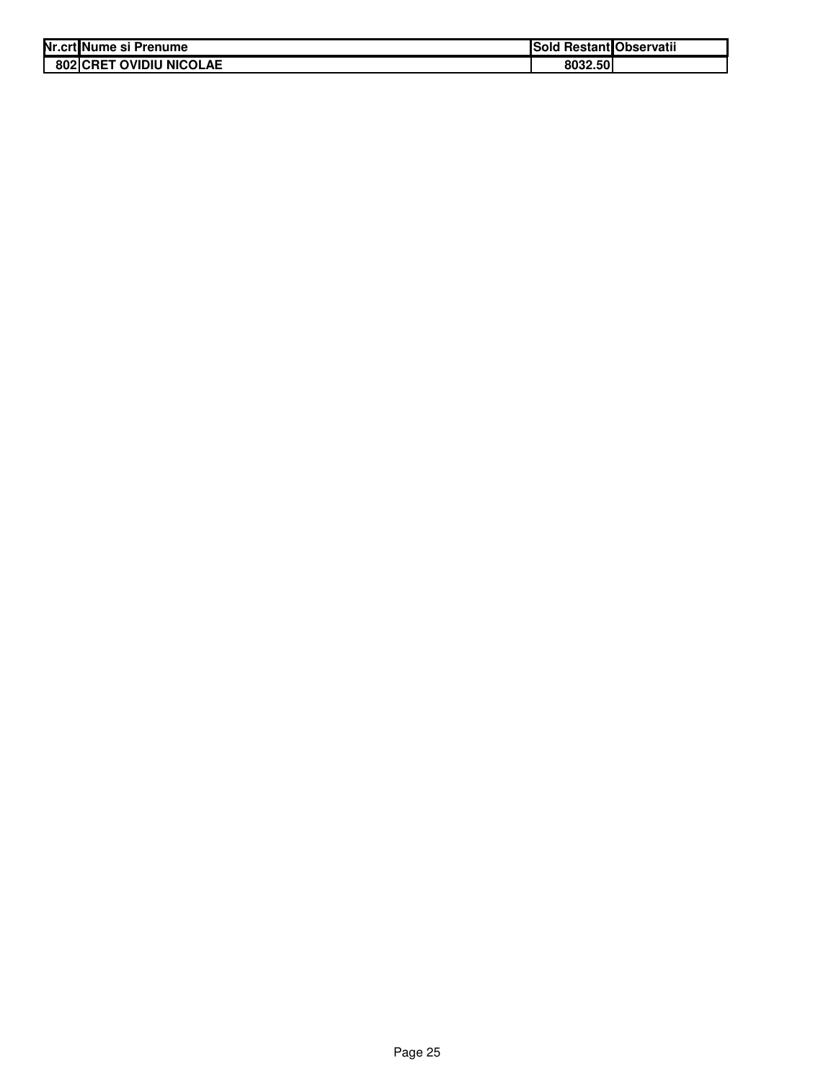| Nr.crt Nume si Prenume  | Sold Restant Observatii |  |
|-------------------------|-------------------------|--|
| 802 CRET OVIDIU NICOLAE | 8032.50                 |  |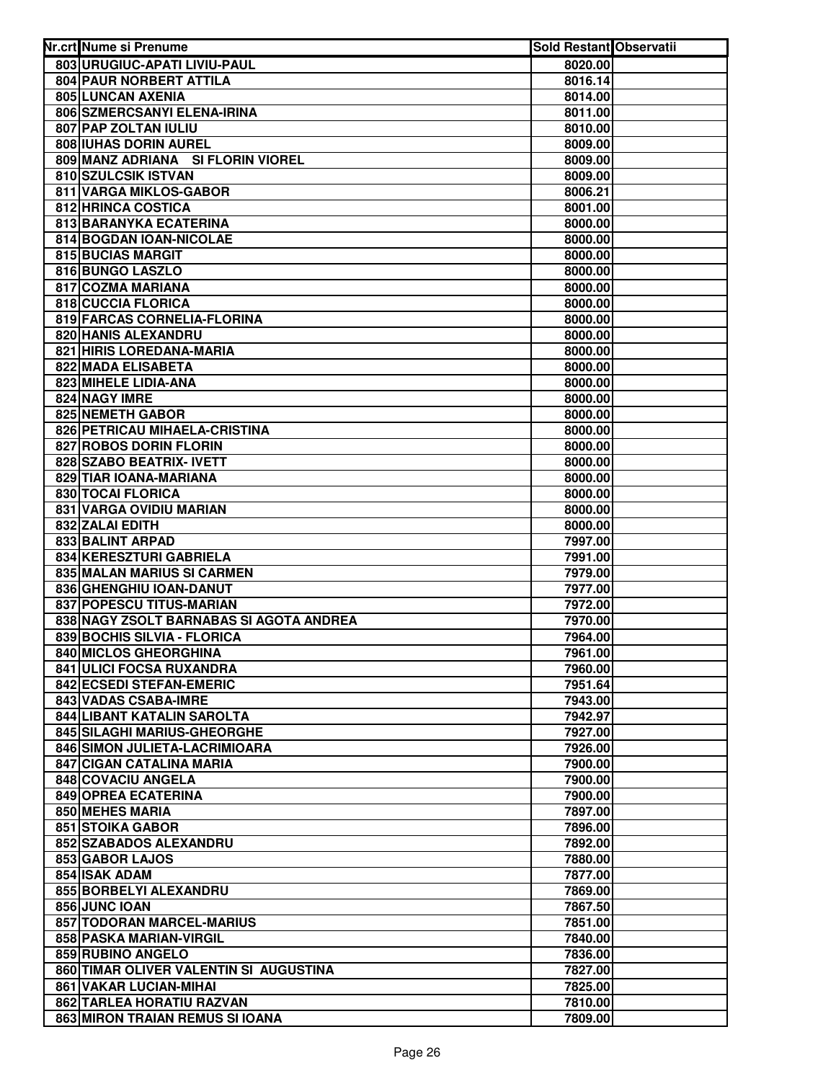| Nr.crt Nume si Prenume                                | Sold Restant Observatii |  |
|-------------------------------------------------------|-------------------------|--|
| 803 URUGIUC-APATI LIVIU-PAUL                          | 8020.00                 |  |
| 804 PAUR NORBERT ATTILA                               | 8016.14                 |  |
| 805 LUNCAN AXENIA                                     | 8014.00                 |  |
| 806 SZMERCSANYI ELENA-IRINA                           | 8011.00                 |  |
| 807 PAP ZOLTAN IULIU                                  | 8010.00                 |  |
| 808 IUHAS DORIN AUREL                                 | 8009.00                 |  |
| 809 MANZ ADRIANA SI FLORIN VIOREL                     | 8009.00                 |  |
| 810 SZULCSIK ISTVAN                                   | 8009.00                 |  |
| 811 VARGA MIKLOS-GABOR                                | 8006.21                 |  |
| 812 HRINCA COSTICA                                    | 8001.00                 |  |
| 813 BARANYKA ECATERINA                                | 8000.00                 |  |
| 814 BOGDAN IOAN-NICOLAE                               | 8000.00                 |  |
| 815 BUCIAS MARGIT                                     | 8000.00                 |  |
| 816 BUNGO LASZLO                                      | 8000.00                 |  |
| 817 COZMA MARIANA                                     | 8000.00                 |  |
| 818 CUCCIA FLORICA                                    | 8000.00                 |  |
| 819 FARCAS CORNELIA-FLORINA                           | 8000.00                 |  |
| 820 HANIS ALEXANDRU                                   | 8000.00                 |  |
| 821 HIRIS LOREDANA-MARIA                              | 8000.00                 |  |
| 822 MADA ELISABETA                                    | 8000.00                 |  |
| 823 MIHELE LIDIA-ANA                                  | 8000.00                 |  |
| 824 NAGY IMRE                                         | 8000.00                 |  |
| 825 NEMETH GABOR                                      | 8000.00                 |  |
| 826 PETRICAU MIHAELA-CRISTINA                         | 8000.00                 |  |
| 827 ROBOS DORIN FLORIN                                | 8000.00                 |  |
| 828 SZABO BEATRIX- IVETT                              | 8000.00                 |  |
| 829 TIAR IOANA-MARIANA                                | 8000.00                 |  |
| 830 TOCAI FLORICA                                     | 8000.00                 |  |
| 831 VARGA OVIDIU MARIAN                               | 8000.00                 |  |
| 832 ZALAI EDITH                                       | 8000.00                 |  |
| 833 BALINT ARPAD                                      | 7997.00                 |  |
| 834 KERESZTURI GABRIELA                               | 7991.00                 |  |
| 835 MALAN MARIUS SI CARMEN<br>836 GHENGHIU IOAN-DANUT | 7979.00<br>7977.00      |  |
| 837 POPESCU TITUS-MARIAN                              | 7972.00                 |  |
| 838 NAGY ZSOLT BARNABAS SI AGOTA ANDREA               | 7970.00                 |  |
| 839 BOCHIS SILVIA - FLORICA                           | 7964.00                 |  |
| 840 MICLOS GHEORGHINA                                 | 7961.00                 |  |
| <b>841 ULICI FOCSA RUXANDRA</b>                       | 7960.00                 |  |
| 842 ECSEDI STEFAN-EMERIC                              | 7951.64                 |  |
| 843 VADAS CSABA-IMRE                                  | 7943.00                 |  |
| 844 LIBANT KATALIN SAROLTA                            | 7942.97                 |  |
| 845 SILAGHI MARIUS-GHEORGHE                           | 7927.00                 |  |
| 846 SIMON JULIETA-LACRIMIOARA                         | 7926.00                 |  |
| 847 CIGAN CATALINA MARIA                              | 7900.00                 |  |
| 848 COVACIU ANGELA                                    | 7900.00                 |  |
| 849 OPREA ECATERINA                                   | 7900.00                 |  |
| 850 MEHES MARIA                                       | 7897.00                 |  |
| <b>851 STOIKA GABOR</b>                               | 7896.00                 |  |
| 852 SZABADOS ALEXANDRU                                | 7892.00                 |  |
| 853 GABOR LAJOS                                       | 7880.00                 |  |
| 854 ISAK ADAM                                         | 7877.00                 |  |
| 855 BORBELYI ALEXANDRU                                | 7869.00                 |  |
| 856 JUNC IOAN                                         | 7867.50                 |  |
| 857 TODORAN MARCEL-MARIUS                             | 7851.00                 |  |
| 858 PASKA MARIAN-VIRGIL                               | 7840.00                 |  |
| 859 RUBINO ANGELO                                     | 7836.00                 |  |
| 860 TIMAR OLIVER VALENTIN SI AUGUSTINA                | 7827.00                 |  |
| 861 VAKAR LUCIAN-MIHAI                                | 7825.00                 |  |
| 862 TARLEA HORATIU RAZVAN                             | 7810.00                 |  |
| 863 MIRON TRAIAN REMUS SI IOANA                       | 7809.00                 |  |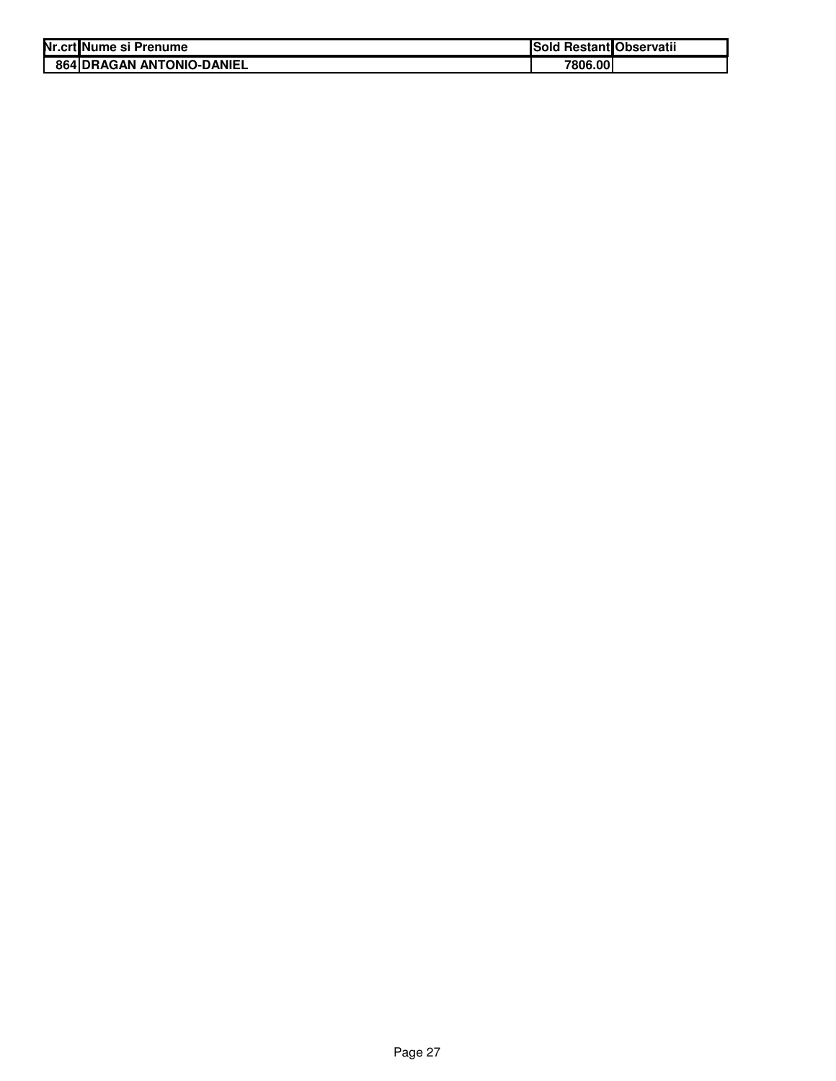| Nr.crtINume si Prenume           | Sold Restant Observatii |  |
|----------------------------------|-------------------------|--|
| <b>864 DRAGAN ANTONIO-DANIEL</b> | 7806.00                 |  |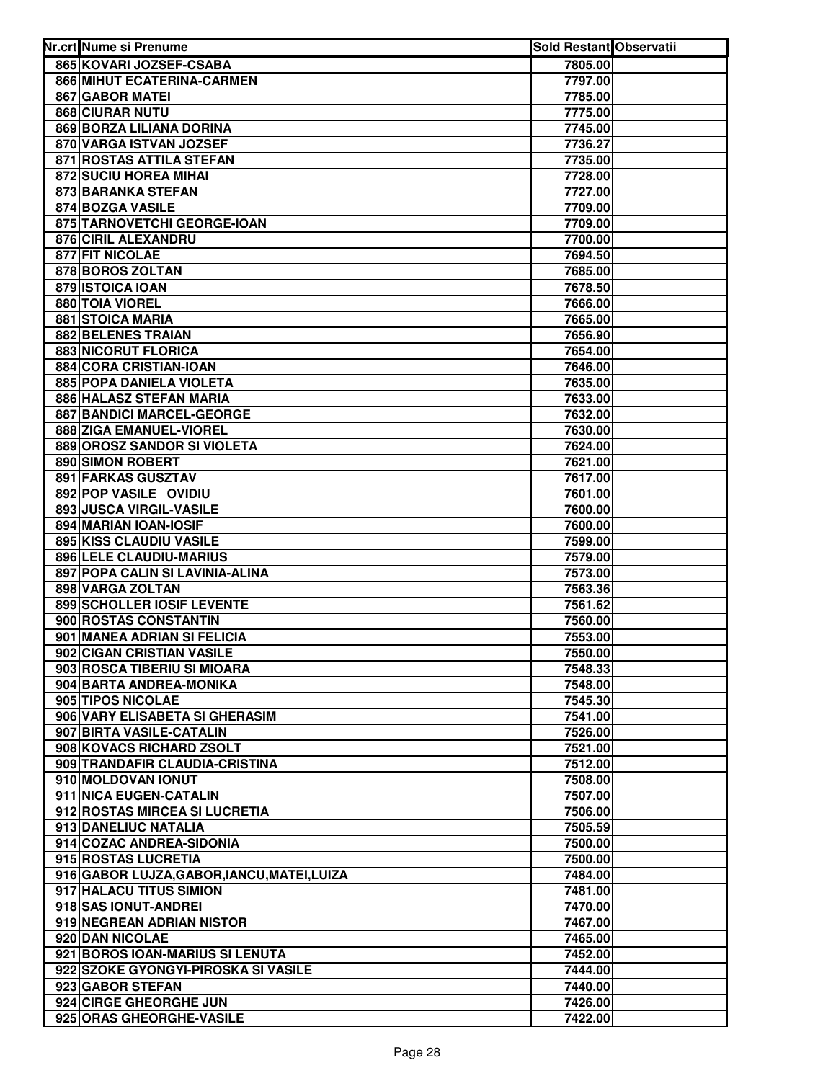| Nr.crt Nume si Prenume                                  | <b>Sold Restant Observatii</b> |  |
|---------------------------------------------------------|--------------------------------|--|
| 865 KOVARI JOZSEF-CSABA                                 | 7805.00                        |  |
| 866 MIHUT ECATERINA-CARMEN                              | 7797.00                        |  |
| 867 GABOR MATEI                                         | 7785.00                        |  |
| 868 CIURAR NUTU                                         | 7775.00                        |  |
| 869 BORZA LILIANA DORINA                                | 7745.00                        |  |
| 870 VARGA ISTVAN JOZSEF                                 | 7736.27                        |  |
| 871 ROSTAS ATTILA STEFAN                                | 7735.00                        |  |
| 872 SUCIU HOREA MIHAI                                   | 7728.00                        |  |
| 873 BARANKA STEFAN                                      | 7727.00                        |  |
| 874 BOZGA VASILE                                        | 7709.00                        |  |
| 875 TARNOVETCHI GEORGE-IOAN                             | 7709.00                        |  |
| 876 CIRIL ALEXANDRU                                     | 7700.00                        |  |
| 877 FIT NICOLAE                                         | 7694.50                        |  |
| 878 BOROS ZOLTAN                                        | 7685.00                        |  |
| 879 ISTOICA IOAN                                        | 7678.50                        |  |
| 880 TOIA VIOREL                                         | 7666.00                        |  |
| <b>881 STOICA MARIA</b>                                 | 7665.00                        |  |
| 882 BELENES TRAIAN                                      | 7656.90                        |  |
| 883 NICORUT FLORICA                                     | 7654.00                        |  |
| 884 CORA CRISTIAN-IOAN                                  | 7646.00                        |  |
| 885 POPA DANIELA VIOLETA                                | 7635.00                        |  |
| 886 HALASZ STEFAN MARIA                                 | 7633.00                        |  |
| 887 BANDICI MARCEL-GEORGE                               | 7632.00                        |  |
| 888 ZIGA EMANUEL-VIOREL                                 | 7630.00                        |  |
| 889 OROSZ SANDOR SI VIOLETA                             | 7624.00                        |  |
| 890 SIMON ROBERT                                        | 7621.00                        |  |
| 891 FARKAS GUSZTAV                                      | 7617.00                        |  |
| 892 POP VASILE OVIDIU                                   | 7601.00                        |  |
| 893 JUSCA VIRGIL-VASILE                                 | 7600.00                        |  |
| 894 MARIAN IOAN-IOSIF                                   | 7600.00                        |  |
| 895 KISS CLAUDIU VASILE                                 | 7599.00                        |  |
| 896 LELE CLAUDIU-MARIUS                                 | 7579.00                        |  |
| 897 POPA CALIN SI LAVINIA-ALINA                         | 7573.00                        |  |
| 898 VARGA ZOLTAN                                        | 7563.36                        |  |
| 899 SCHOLLER IOSIF LEVENTE                              | 7561.62                        |  |
| 900 ROSTAS CONSTANTIN                                   | 7560.00                        |  |
| 901 MANEA ADRIAN SI FELICIA                             | 7553.00                        |  |
| 902 CIGAN CRISTIAN VASILE                               | 7550.00                        |  |
| 903 ROSCA TIBERIU SI MIOARA                             | 7548.33                        |  |
| 904 BARTA ANDREA-MONIKA                                 | 7548.00                        |  |
| 905 TIPOS NICOLAE                                       | 7545.30                        |  |
| 906 VARY ELISABETA SI GHERASIM                          | 7541.00                        |  |
| 907 BIRTA VASILE-CATALIN                                | 7526.00                        |  |
| 908 KOVACS RICHARD ZSOLT                                | 7521.00                        |  |
| 909 TRANDAFIR CLAUDIA-CRISTINA                          | 7512.00                        |  |
| 910 MOLDOVAN IONUT                                      | 7508.00                        |  |
| 911 NICA EUGEN-CATALIN                                  | 7507.00                        |  |
| 912 ROSTAS MIRCEA SI LUCRETIA                           | 7506.00                        |  |
| 913 DANELIUC NATALIA                                    | 7505.59                        |  |
| 914 COZAC ANDREA-SIDONIA                                | 7500.00                        |  |
| 915 ROSTAS LUCRETIA                                     | 7500.00                        |  |
| 916 GABOR LUJZA, GABOR, IANCU, MATEI, LUIZA             | 7484.00                        |  |
| 917 HALACU TITUS SIMION                                 | 7481.00                        |  |
| 918 SAS IONUT-ANDREI                                    | 7470.00                        |  |
| 919 NEGREAN ADRIAN NISTOR                               | 7467.00                        |  |
| 920 DAN NICOLAE                                         | 7465.00                        |  |
| 921 BOROS IOAN-MARIUS SI LENUTA                         | 7452.00                        |  |
| 922 SZOKE GYONGYI-PIROSKA SI VASILE<br>923 GABOR STEFAN | 7444.00                        |  |
| 924 CIRGE GHEORGHE JUN                                  | 7440.00<br>7426.00             |  |
| 925 ORAS GHEORGHE-VASILE                                | 7422.00                        |  |
|                                                         |                                |  |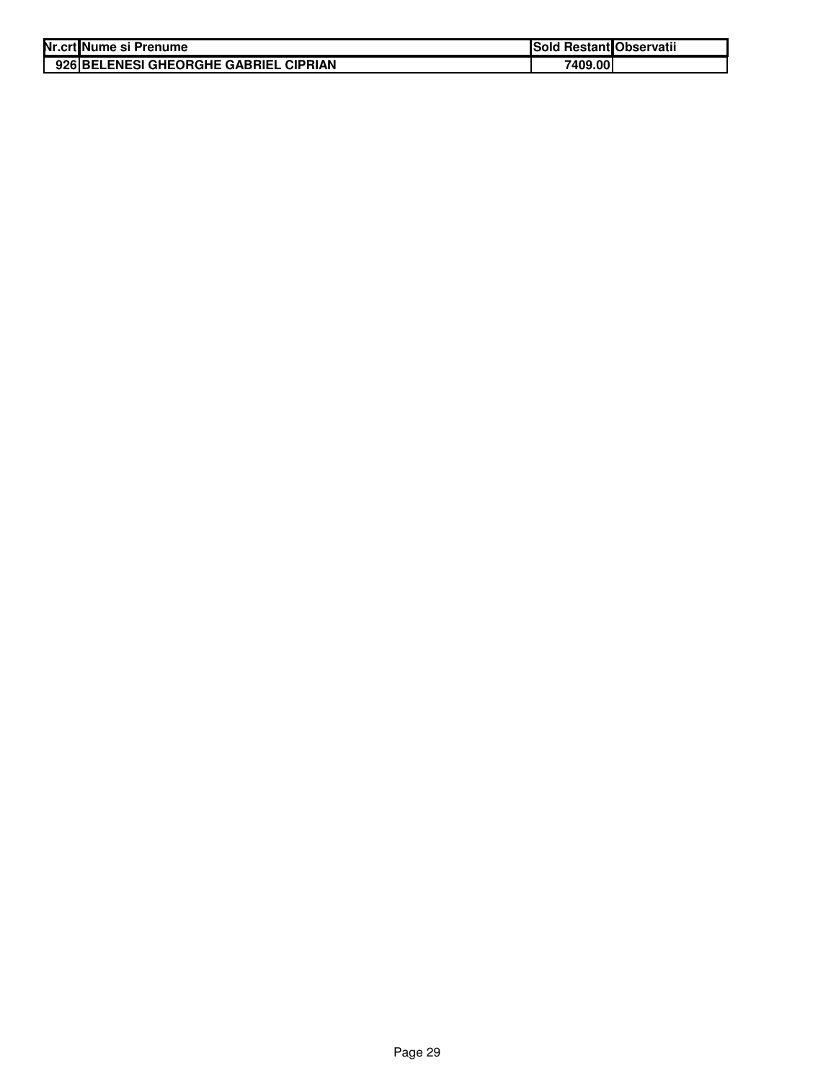| Nr.crt Nume si Prenume                | <b>Sold Restant Observatii</b> |  |
|---------------------------------------|--------------------------------|--|
| 926 BELENESI GHEORGHE GABRIEL CIPRIAN | 7409.00                        |  |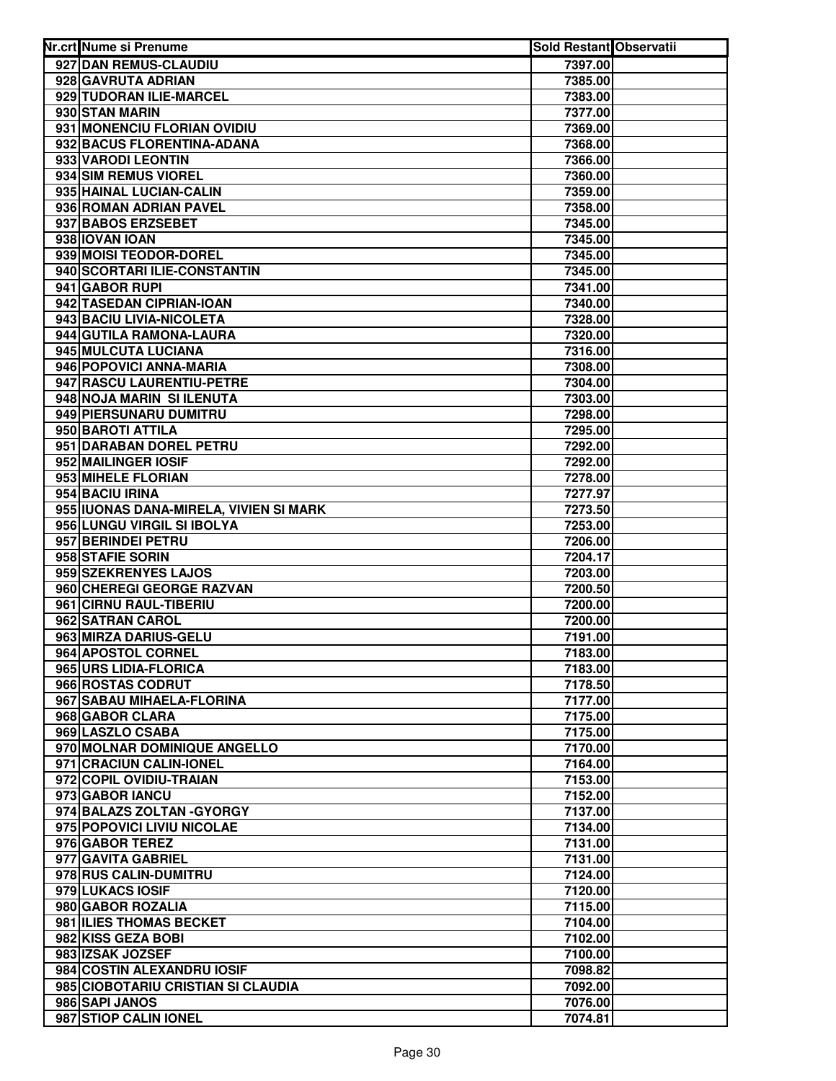| Nr.crt Nume si Prenume                                 | Sold Restant Observatii |  |
|--------------------------------------------------------|-------------------------|--|
| 927 DAN REMUS-CLAUDIU                                  | 7397.00                 |  |
| 928 GAVRUTA ADRIAN                                     | 7385.00                 |  |
| 929 TUDORAN ILIE-MARCEL                                | 7383.00                 |  |
| 930 STAN MARIN                                         | 7377.00                 |  |
| 931 MONENCIU FLORIAN OVIDIU                            | 7369.00                 |  |
| 932 BACUS FLORENTINA-ADANA                             | 7368.00                 |  |
| 933 VARODI LEONTIN                                     | 7366.00                 |  |
| 934 SIM REMUS VIOREL                                   | 7360.00                 |  |
| 935 HAINAL LUCIAN-CALIN                                | 7359.00                 |  |
| 936 ROMAN ADRIAN PAVEL                                 | 7358.00                 |  |
| 937 BABOS ERZSEBET                                     | 7345.00                 |  |
| 938 IOVAN IOAN                                         | 7345.00                 |  |
| 939 MOISI TEODOR-DOREL                                 | 7345.00                 |  |
| 940 SCORTARI ILIE-CONSTANTIN                           | 7345.00                 |  |
| 941 GABOR RUPI                                         | 7341.00                 |  |
| 942 TASEDAN CIPRIAN-IOAN                               | 7340.00                 |  |
| 943 BACIU LIVIA-NICOLETA                               | 7328.00                 |  |
| 944 GUTILA RAMONA-LAURA                                | 7320.00                 |  |
| 945 MULCUTA LUCIANA                                    | 7316.00                 |  |
| 946 POPOVICI ANNA-MARIA                                | 7308.00                 |  |
| 947 RASCU LAURENTIU-PETRE<br>948 NOJA MARIN SI ILENUTA | 7304.00                 |  |
| 949 PIERSUNARU DUMITRU                                 | 7303.00<br>7298.00      |  |
| 950 BAROTI ATTILA                                      | 7295.00                 |  |
| 951 DARABAN DOREL PETRU                                | 7292.00                 |  |
| 952 MAILINGER IOSIF                                    | 7292.00                 |  |
| 953 MIHELE FLORIAN                                     | 7278.00                 |  |
| 954 BACIU IRINA                                        | 7277.97                 |  |
| 955 IUONAS DANA-MIRELA, VIVIEN SI MARK                 | 7273.50                 |  |
| 956 LUNGU VIRGIL SI IBOLYA                             | 7253.00                 |  |
| 957 BERINDEI PETRU                                     | 7206.00                 |  |
| 958 STAFIE SORIN                                       | 7204.17                 |  |
| 959 SZEKRENYES LAJOS                                   | 7203.00                 |  |
| 960 CHEREGI GEORGE RAZVAN                              | 7200.50                 |  |
| 961 CIRNU RAUL-TIBERIU                                 | 7200.00                 |  |
| 962 SATRAN CAROL                                       | 7200.00                 |  |
| 963 MIRZA DARIUS-GELU                                  | 7191.00                 |  |
| 964 APOSTOL CORNEL                                     | 7183.00                 |  |
| 965 URS LIDIA-FLORICA<br>966 ROSTAS CODRUT             | 7183.00<br>7178.50      |  |
| 967 SABAU MIHAELA-FLORINA                              | 7177.00                 |  |
| 968 GABOR CLARA                                        | 7175.00                 |  |
| 969 LASZLO CSABA                                       | 7175.00                 |  |
| 970 MOLNAR DOMINIQUE ANGELLO                           | 7170.00                 |  |
| 971 CRACIUN CALIN-IONEL                                | 7164.00                 |  |
| 972 COPIL OVIDIU-TRAIAN                                | 7153.00                 |  |
| 973 GABOR IANCU                                        | 7152.00                 |  |
| 974 BALAZS ZOLTAN - GYORGY                             | 7137.00                 |  |
| 975 POPOVICI LIVIU NICOLAE                             | 7134.00                 |  |
| 976 GABOR TEREZ                                        | 7131.00                 |  |
| 977 GAVITA GABRIEL                                     | 7131.00                 |  |
| 978 RUS CALIN-DUMITRU                                  | 7124.00                 |  |
| 979 LUKACS IOSIF                                       | 7120.00                 |  |
| 980 GABOR ROZALIA                                      | 7115.00                 |  |
| 981 ILIES THOMAS BECKET                                | 7104.00                 |  |
| 982 KISS GEZA BOBI                                     | 7102.00                 |  |
| 983 IZSAK JOZSEF<br>984 COSTIN ALEXANDRU IOSIF         | 7100.00<br>7098.82      |  |
| 985 CIOBOTARIU CRISTIAN SI CLAUDIA                     | 7092.00                 |  |
| 986 SAPI JANOS                                         | 7076.00                 |  |
| 987 STIOP CALIN IONEL                                  | 7074.81                 |  |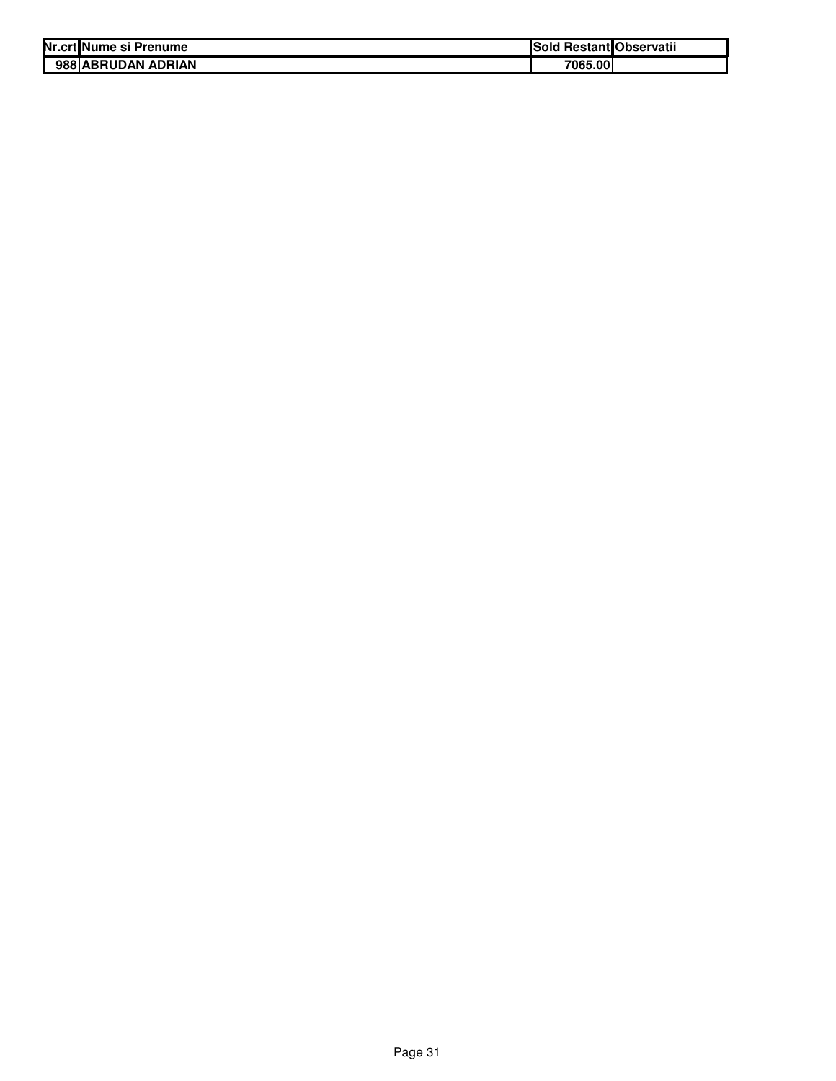| Nr.crt Nume si Prenume | ISold   | <b>Restant Observatii</b> |
|------------------------|---------|---------------------------|
| 988 ABRUDAN ADRIAN     | 7065.00 |                           |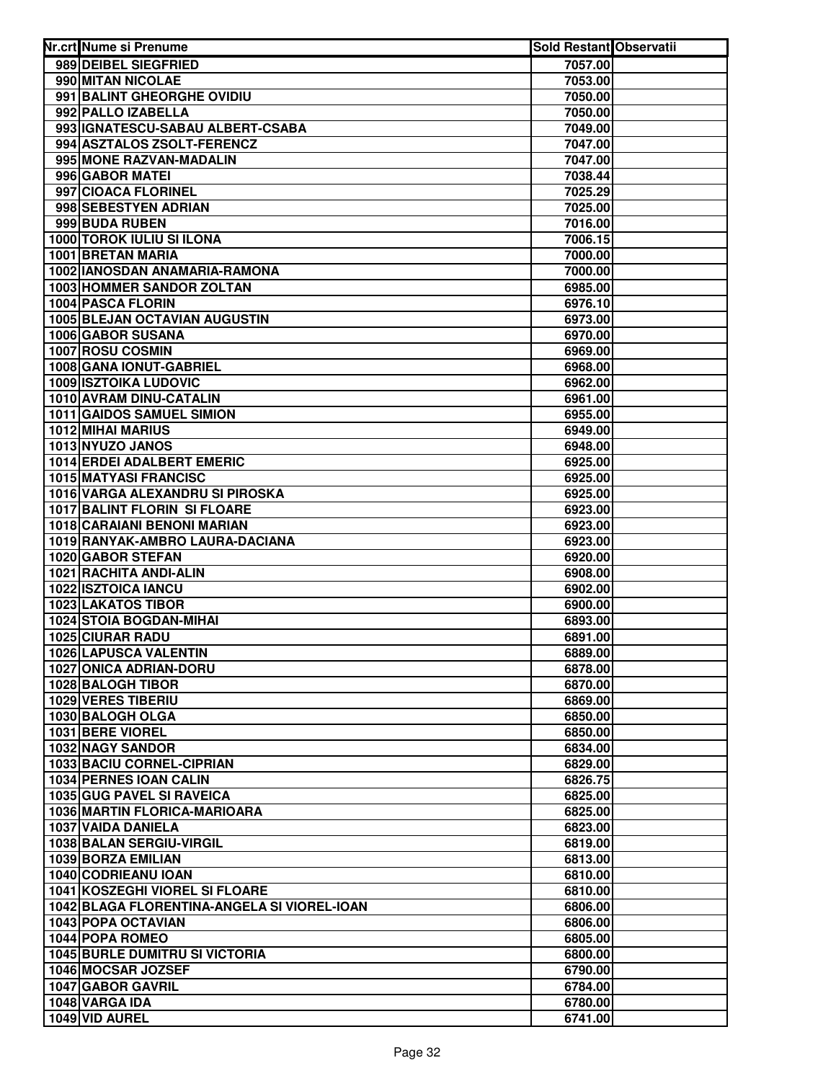| Nr.crt Nume si Prenume                         | <b>Sold Restant Observatii</b> |  |
|------------------------------------------------|--------------------------------|--|
| 989 DEIBEL SIEGFRIED                           | 7057.00                        |  |
| 990 MITAN NICOLAE                              | 7053.00                        |  |
| 991 BALINT GHEORGHE OVIDIU                     | 7050.00                        |  |
| 992 PALLO IZABELLA                             | 7050.00                        |  |
| 993 IGNATESCU-SABAU ALBERT-CSABA               | 7049.00                        |  |
| 994 ASZTALOS ZSOLT-FERENCZ                     | 7047.00                        |  |
| 995 MONE RAZVAN-MADALIN                        | 7047.00                        |  |
| 996 GABOR MATEI                                | 7038.44                        |  |
| 997 CIOACA FLORINEL                            | 7025.29                        |  |
| 998 SEBESTYEN ADRIAN                           | 7025.00                        |  |
| 999 BUDA RUBEN                                 | 7016.00                        |  |
| <b>1000 TOROK IULIU SI ILONA</b>               | 7006.15                        |  |
| <b>1001 BRETAN MARIA</b>                       | 7000.00                        |  |
| 1002 IANOSDAN ANAMARIA-RAMONA                  | 7000.00                        |  |
| 1003 HOMMER SANDOR ZOLTAN                      | 6985.00                        |  |
| 1004 PASCA FLORIN                              | 6976.10                        |  |
| <b>1005 BLEJAN OCTAVIAN AUGUSTIN</b>           | 6973.00                        |  |
| 1006 GABOR SUSANA                              | 6970.00                        |  |
| 1007 ROSU COSMIN                               | 6969.00                        |  |
| 1008 GANA IONUT-GABRIEL                        | 6968.00                        |  |
| <b>1009 ISZTOIKA LUDOVIC</b>                   | 6962.00                        |  |
| 1010 AVRAM DINU-CATALIN                        | 6961.00                        |  |
| 1011 GAIDOS SAMUEL SIMION                      | 6955.00                        |  |
| 1012 MIHAI MARIUS                              | 6949.00                        |  |
| 1013 NYUZO JANOS                               | 6948.00                        |  |
| 1014 ERDEI ADALBERT EMERIC                     | 6925.00                        |  |
| 1015 MATYASI FRANCISC                          | 6925.00                        |  |
| 1016 VARGA ALEXANDRU SI PIROSKA                | 6925.00                        |  |
| 1017 BALINT FLORIN SI FLOARE                   | 6923.00                        |  |
| 1018 CARAIANI BENONI MARIAN                    | 6923.00                        |  |
| 1019 RANYAK-AMBRO LAURA-DACIANA                | 6923.00                        |  |
| 1020 GABOR STEFAN                              | 6920.00                        |  |
| 1021 RACHITA ANDI-ALIN                         | 6908.00                        |  |
| 1022 ISZTOICA IANCU                            | 6902.00                        |  |
| <b>1023 LAKATOS TIBOR</b>                      | 6900.00                        |  |
| 1024 STOIA BOGDAN-MIHAI                        | 6893.00                        |  |
| <b>1025 CIURAR RADU</b>                        | 6891.00                        |  |
| 1026 LAPUSCA VALENTIN                          | 6889.00                        |  |
| <b>1027 ONICA ADRIAN-DORU</b>                  | 6878.00                        |  |
| 1028 BALOGH TIBOR                              | 6870.00                        |  |
| <b>1029 VERES TIBERIU</b>                      | 6869.00                        |  |
| 1030 BALOGH OLGA                               | 6850.00                        |  |
| 1031 BERE VIOREL                               | 6850.00                        |  |
| 1032 NAGY SANDOR                               | 6834.00                        |  |
| 1033 BACIU CORNEL-CIPRIAN                      | 6829.00                        |  |
| 1034 PERNES IOAN CALIN                         | 6826.75                        |  |
| 1035 GUG PAVEL SI RAVEICA                      | 6825.00                        |  |
| 1036 MARTIN FLORICA-MARIOARA                   | 6825.00                        |  |
| 1037 VAIDA DANIELA<br>1038 BALAN SERGIU-VIRGIL | 6823.00                        |  |
| 1039 BORZA EMILIAN                             | 6819.00                        |  |
| 1040 CODRIEANU IOAN                            | 6813.00                        |  |
| 1041 KOSZEGHI VIOREL SI FLOARE                 | 6810.00                        |  |
| 1042 BLAGA FLORENTINA-ANGELA SI VIOREL-IOAN    | 6810.00<br>6806.00             |  |
| 1043 POPA OCTAVIAN                             | 6806.00                        |  |
| 1044 POPA ROMEO                                | 6805.00                        |  |
| <b>1045 BURLE DUMITRU SI VICTORIA</b>          | 6800.00                        |  |
| 1046 MOCSAR JOZSEF                             | 6790.00                        |  |
| 1047 GABOR GAVRIL                              | 6784.00                        |  |
| 1048 VARGA IDA                                 | 6780.00                        |  |
| 1049 VID AUREL                                 | 6741.00                        |  |
|                                                |                                |  |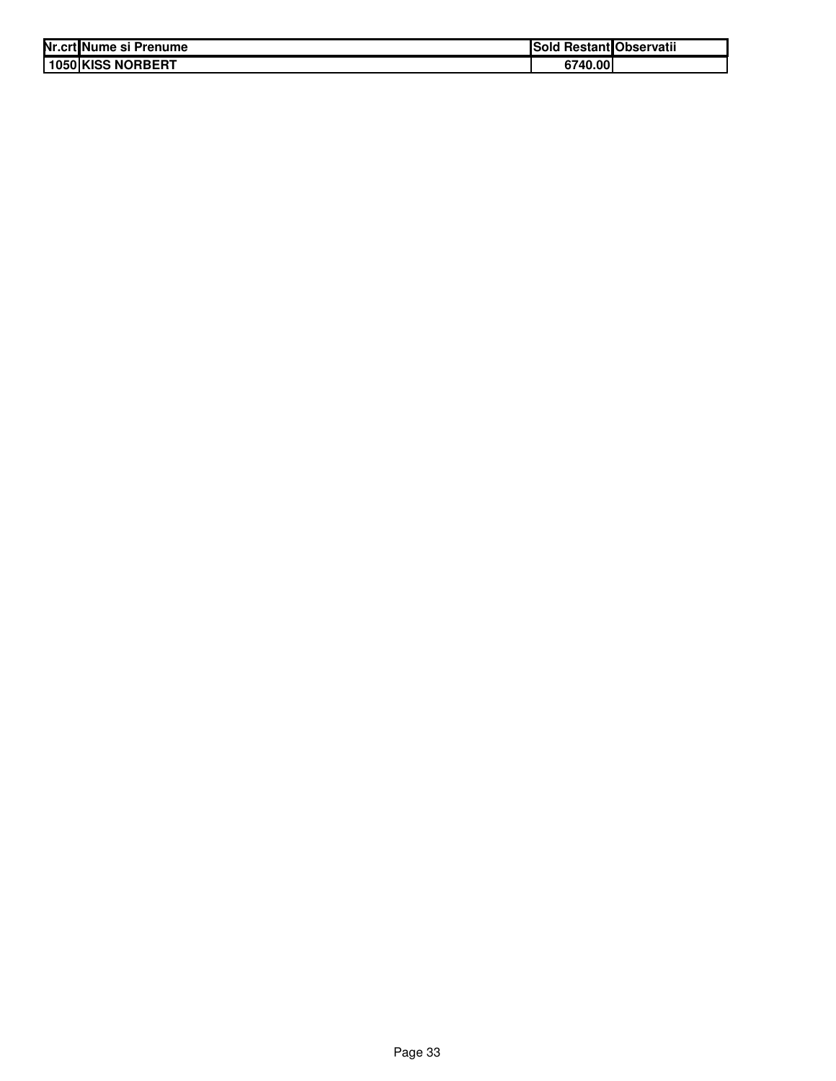| Nr.crt Nume si Prenume | ISold   | l Restant Observatii |
|------------------------|---------|----------------------|
| 1050 KISS NORBERT      | 6740.00 |                      |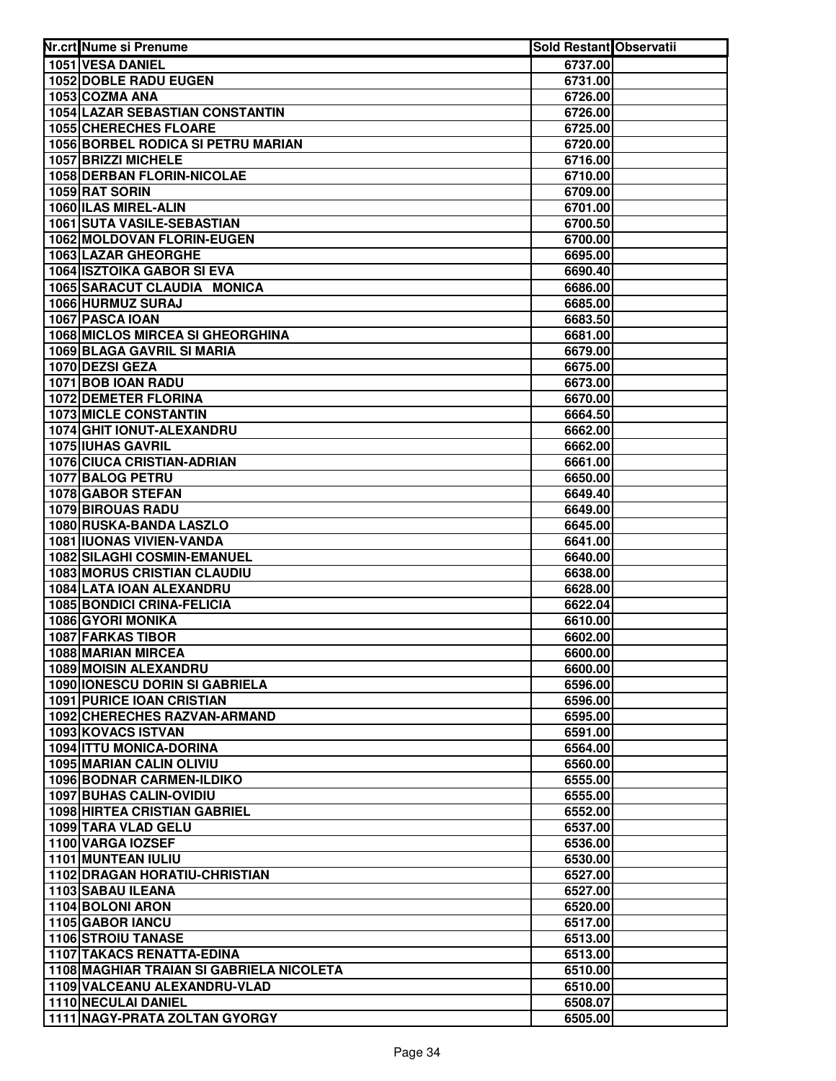| Nr.crt Nume si Prenume                                         | <b>Sold Restant Observatii</b> |  |
|----------------------------------------------------------------|--------------------------------|--|
| 1051 VESA DANIEL                                               | 6737.00                        |  |
| 1052 DOBLE RADU EUGEN                                          | 6731.00                        |  |
| 1053 COZMA ANA                                                 | 6726.00                        |  |
| 1054 LAZAR SEBASTIAN CONSTANTIN                                | 6726.00                        |  |
| <b>1055 CHERECHES FLOARE</b>                                   | 6725.00                        |  |
| 1056 BORBEL RODICA SI PETRU MARIAN                             | 6720.00                        |  |
| 1057 BRIZZI MICHELE                                            | 6716.00                        |  |
| 1058 DERBAN FLORIN-NICOLAE                                     | 6710.00                        |  |
| 1059 RAT SORIN                                                 | 6709.00                        |  |
| 1060 ILAS MIREL-ALIN                                           | 6701.00                        |  |
| 1061 SUTA VASILE-SEBASTIAN                                     | 6700.50                        |  |
| 1062 MOLDOVAN FLORIN-EUGEN                                     | 6700.00                        |  |
| 1063 LAZAR GHEORGHE                                            | 6695.00                        |  |
| <b>1064 ISZTOIKA GABOR SI EVA</b>                              | 6690.40                        |  |
| 1065 SARACUT CLAUDIA MONICA                                    | 6686.00                        |  |
| 1066 HURMUZ SURAJ                                              | 6685.00                        |  |
| 1067 PASCA IOAN                                                | 6683.50                        |  |
| 1068 MICLOS MIRCEA SI GHEORGHINA                               | 6681.00                        |  |
| <b>1069 BLAGA GAVRIL SI MARIA</b>                              | 6679.00                        |  |
| 1070 DEZSI GEZA                                                | 6675.00                        |  |
| 1071 BOB IOAN RADU                                             | 6673.00                        |  |
| <b>1072 DEMETER FLORINA</b>                                    | 6670.00                        |  |
| <b>1073 MICLE CONSTANTIN</b>                                   | 6664.50                        |  |
| 1074 GHIT IONUT-ALEXANDRU                                      | 6662.00                        |  |
| 1075 IUHAS GAVRIL                                              | 6662.00                        |  |
| 1076 CIUCA CRISTIAN-ADRIAN                                     | 6661.00                        |  |
| 1077 BALOG PETRU                                               | 6650.00                        |  |
| 1078 GABOR STEFAN                                              | 6649.40                        |  |
| 1079 BIROUAS RADU                                              | 6649.00                        |  |
| 1080 RUSKA-BANDA LASZLO                                        | 6645.00                        |  |
| 1081 IUONAS VIVIEN-VANDA                                       | 6641.00                        |  |
| 1082 SILAGHI COSMIN-EMANUEL                                    | 6640.00                        |  |
| <b>1083 MORUS CRISTIAN CLAUDIU</b><br>1084 LATA IOAN ALEXANDRU | 6638.00                        |  |
|                                                                | 6628.00                        |  |
| <b>1085 BONDICI CRINA-FELICIA</b><br>1086 GYORI MONIKA         | 6622.04<br>6610.00             |  |
| <b>1087 FARKAS TIBOR</b>                                       | 6602.00                        |  |
| 1088 MARIAN MIRCEA                                             | 6600.00                        |  |
| <b>1089 MOISIN ALEXANDRU</b>                                   | 6600.00                        |  |
| 1090 IONESCU DORIN SI GABRIELA                                 | 6596.00                        |  |
| <b>1091 PURICE IOAN CRISTIAN</b>                               | 6596.00                        |  |
| 1092 CHERECHES RAZVAN-ARMAND                                   | 6595.00                        |  |
| 1093 KOVACS ISTVAN                                             | 6591.00                        |  |
| 1094 ITTU MONICA-DORINA                                        | 6564.00                        |  |
| 1095 MARIAN CALIN OLIVIU                                       | 6560.00                        |  |
| <b>1096 BODNAR CARMEN-ILDIKO</b>                               | 6555.00                        |  |
| 1097 BUHAS CALIN-OVIDIU                                        | 6555.00                        |  |
| <b>1098 HIRTEA CRISTIAN GABRIEL</b>                            | 6552.00                        |  |
| 1099 TARA VLAD GELU                                            | 6537.00                        |  |
| 1100 VARGA IOZSEF                                              | 6536.00                        |  |
| 1101 MUNTEAN IULIU                                             | 6530.00                        |  |
| 1102 DRAGAN HORATIU-CHRISTIAN                                  | 6527.00                        |  |
| 1103 SABAU ILEANA                                              | 6527.00                        |  |
| 1104 BOLONI ARON                                               | 6520.00                        |  |
| 1105 GABOR IANCU                                               | 6517.00                        |  |
| <b>1106 STROIU TANASE</b>                                      | 6513.00                        |  |
| <b>1107 TAKACS RENATTA-EDINA</b>                               | 6513.00                        |  |
| 1108 MAGHIAR TRAIAN SI GABRIELA NICOLETA                       | 6510.00                        |  |
| 1109 VALCEANU ALEXANDRU-VLAD                                   | 6510.00                        |  |
| 1110 NECULAI DANIEL                                            | 6508.07                        |  |
| 1111 NAGY-PRATA ZOLTAN GYORGY                                  | 6505.00                        |  |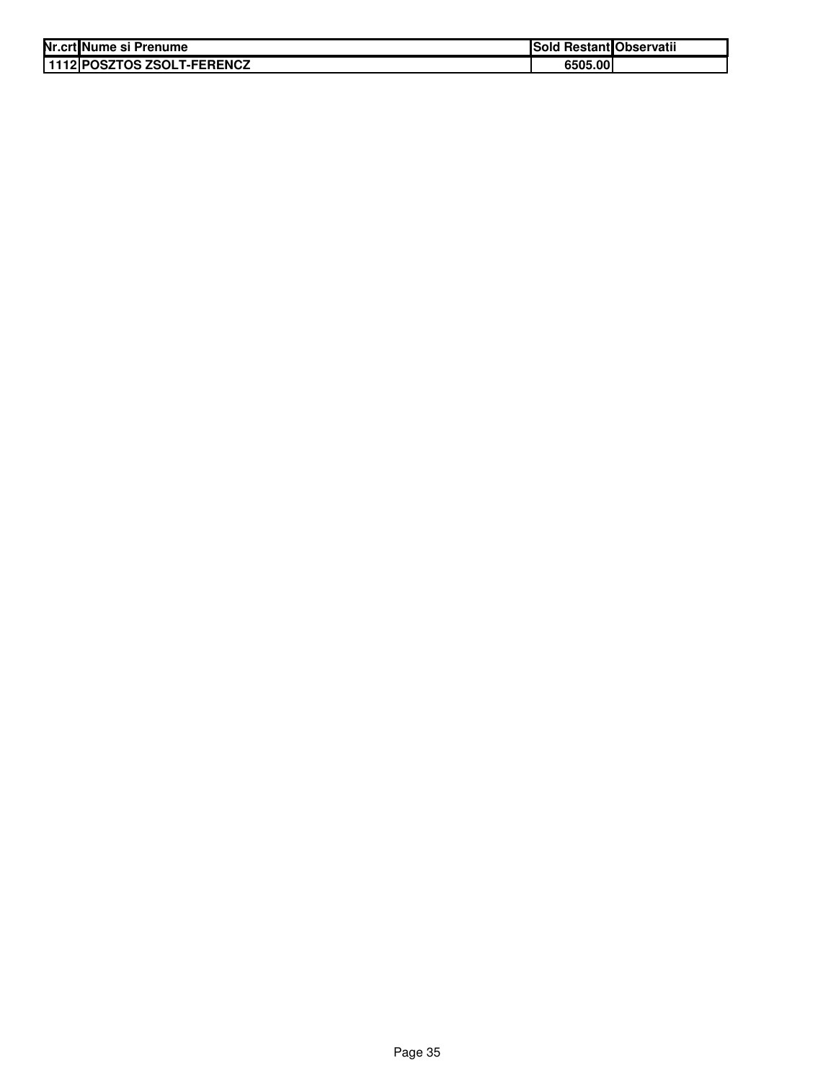| Nr.crt Nume si Prenume      | Sold Restant Observatii |  |
|-----------------------------|-------------------------|--|
| 11112 POSZTOS ZSOLT-FERENCZ | 6505.00                 |  |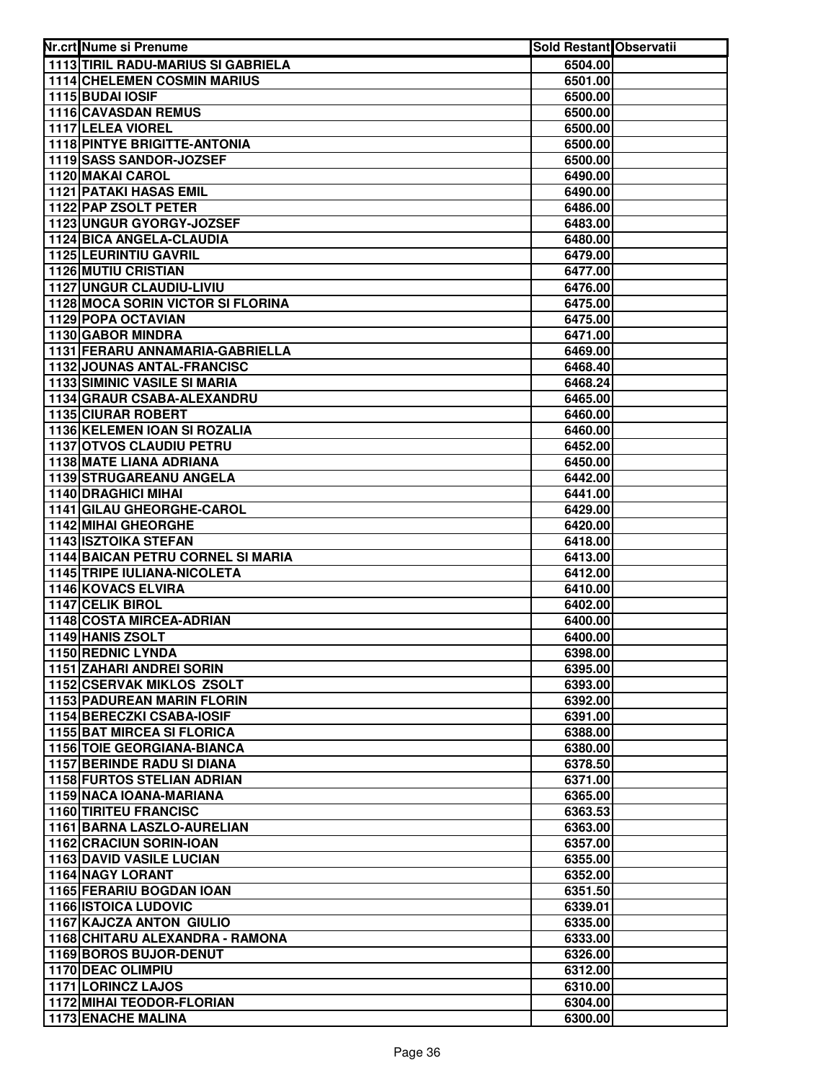| Nr.crt Nume si Prenume                                                 | Sold Restant Observatii |  |
|------------------------------------------------------------------------|-------------------------|--|
| <b>1113 TIRIL RADU-MARIUS SI GABRIELA</b>                              | 6504.00                 |  |
| <b>1114 CHELEMEN COSMIN MARIUS</b>                                     | 6501.00                 |  |
| 1115 BUDAI IOSIF                                                       | 6500.00                 |  |
| 1116 CAVASDAN REMUS                                                    | 6500.00                 |  |
| 1117 LELEA VIOREL                                                      | 6500.00                 |  |
| <b>1118 PINTYE BRIGITTE-ANTONIA</b>                                    | 6500.00                 |  |
| 1119 SASS SANDOR-JOZSEF                                                | 6500.00                 |  |
| <b>1120 MAKAI CAROL</b>                                                | 6490.00                 |  |
| <b>1121 PATAKI HASAS EMIL</b>                                          | 6490.00                 |  |
| 1122 PAP ZSOLT PETER                                                   | 6486.00                 |  |
| 1123 UNGUR GYORGY-JOZSEF                                               | 6483.00                 |  |
| 1124 BICA ANGELA-CLAUDIA                                               | 6480.00                 |  |
| <b>1125 LEURINTIU GAVRIL</b>                                           | 6479.00                 |  |
| <b>1126 MUTIU CRISTIAN</b>                                             | 6477.00                 |  |
| 1127 UNGUR CLAUDIU-LIVIU                                               | 6476.00                 |  |
| <b>1128 MOCA SORIN VICTOR SI FLORINA</b>                               | 6475.00                 |  |
| 1129 POPA OCTAVIAN                                                     | 6475.00                 |  |
| 1130 GABOR MINDRA                                                      | 6471.00                 |  |
| 1131 FERARU ANNAMARIA-GABRIELLA                                        | 6469.00                 |  |
| 1132 JOUNAS ANTAL-FRANCISC                                             | 6468.40                 |  |
| <b>1133 SIMINIC VASILE SI MARIA</b>                                    | 6468.24                 |  |
| 1134 GRAUR CSABA-ALEXANDRU                                             | 6465.00                 |  |
| <b>1135 CIURAR ROBERT</b>                                              | 6460.00                 |  |
| 1136 KELEMEN IOAN SI ROZALIA                                           | 6460.00                 |  |
| 1137 OTVOS CLAUDIU PETRU                                               | 6452.00                 |  |
| 1138 MATE LIANA ADRIANA                                                | 6450.00                 |  |
| 1139 STRUGAREANU ANGELA                                                | 6442.00                 |  |
| 1140 DRAGHICI MIHAI                                                    | 6441.00                 |  |
| 1141 GILAU GHEORGHE-CAROL                                              | 6429.00                 |  |
| 1142 MIHAI GHEORGHE                                                    | 6420.00                 |  |
| 1143 ISZTOIKA STEFAN                                                   | 6418.00                 |  |
| 1144 BAICAN PETRU CORNEL SI MARIA                                      | 6413.00                 |  |
| <b>1145 TRIPE IULIANA-NICOLETA</b>                                     | 6412.00                 |  |
| 1146 KOVACS ELVIRA                                                     | 6410.00                 |  |
| 1147 CELIK BIROL                                                       | 6402.00                 |  |
| 1148 COSTA MIRCEA-ADRIAN                                               | 6400.00                 |  |
| 1149 HANIS ZSOLT                                                       | 6400.00                 |  |
| 1150 REDNIC LYNDA                                                      | 6398.00                 |  |
| 1151 ZAHARI ANDREI SORIN                                               | 6395.00                 |  |
| 1152 CSERVAK MIKLOS ZSOLT                                              | 6393.00                 |  |
| <b>1153 PADUREAN MARIN FLORIN</b>                                      | 6392.00                 |  |
| 1154 BERECZKI CSABA-IOSIF                                              | 6391.00                 |  |
| <b>1155 BAT MIRCEA SI FLORICA</b>                                      | 6388.00                 |  |
| <b>1156 TOIE GEORGIANA-BIANCA</b><br><b>1157 BERINDE RADU SI DIANA</b> | 6380.00                 |  |
| <b>1158 FURTOS STELIAN ADRIAN</b>                                      | 6378.50                 |  |
| 1159 NACA IOANA-MARIANA                                                | 6371.00                 |  |
| <b>1160 TIRITEU FRANCISC</b>                                           | 6365.00<br>6363.53      |  |
| 1161 BARNA LASZLO-AURELIAN                                             | 6363.00                 |  |
| 1162 CRACIUN SORIN-IOAN                                                | 6357.00                 |  |
| 1163 DAVID VASILE LUCIAN                                               | 6355.00                 |  |
| <b>1164 NAGY LORANT</b>                                                | 6352.00                 |  |
| 1165 FERARIU BOGDAN IOAN                                               | 6351.50                 |  |
| <b>1166 ISTOICA LUDOVIC</b>                                            | 6339.01                 |  |
| <b>1167 KAJCZA ANTON GIULIO</b>                                        | 6335.00                 |  |
| 1168 CHITARU ALEXANDRA - RAMONA                                        | 6333.00                 |  |
| 1169 BOROS BUJOR-DENUT                                                 | 6326.00                 |  |
| 1170 DEAC OLIMPIU                                                      | 6312.00                 |  |
| 1171 LORINCZ LAJOS                                                     | 6310.00                 |  |
| 1172 MIHAI TEODOR-FLORIAN                                              | 6304.00                 |  |
| <b>1173 ENACHE MALINA</b>                                              | 6300.00                 |  |
|                                                                        |                         |  |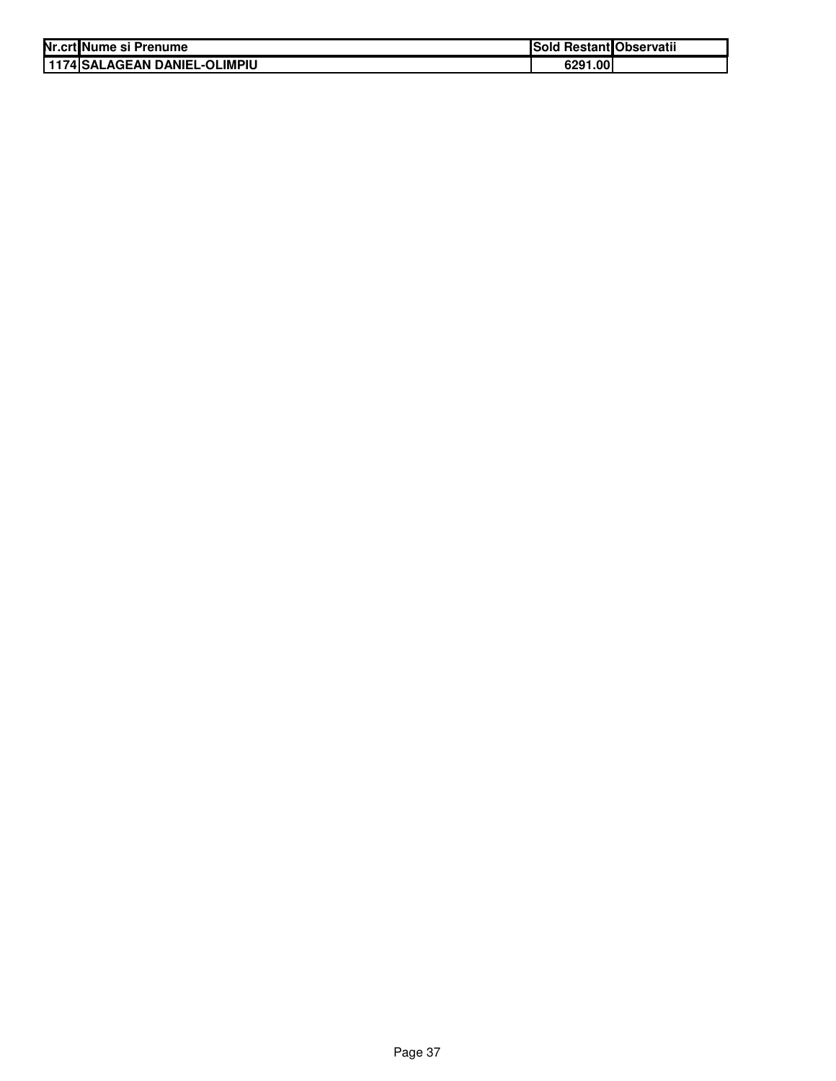| Nr.crt Nume si Prenume          | Sold Restant Observatii |  |
|---------------------------------|-------------------------|--|
| I 1174 ISALAGEAN DANIEL-OLIMPIU | 6291.00                 |  |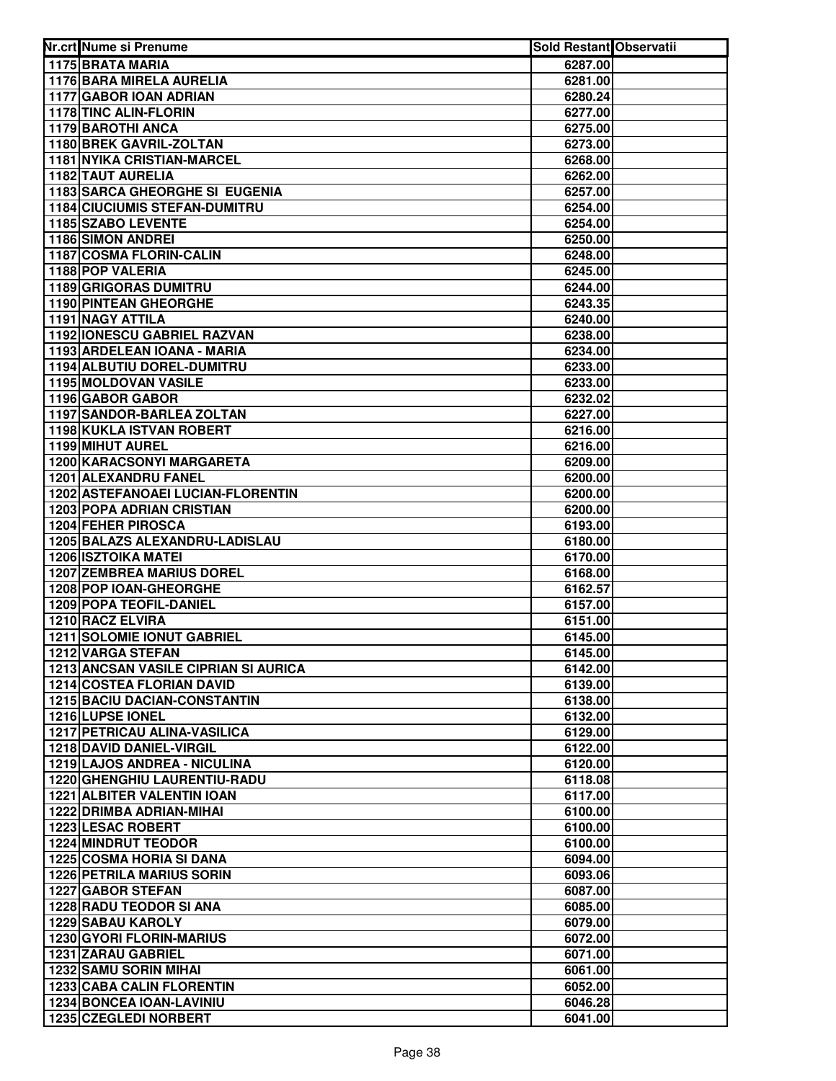| Nr.crt Nume si Prenume                                        | Sold Restant Observatii |  |
|---------------------------------------------------------------|-------------------------|--|
| 1175 BRATA MARIA                                              | 6287.00                 |  |
| 1176 BARA MIRELA AURELIA                                      | 6281.00                 |  |
| 1177 GABOR IOAN ADRIAN                                        | 6280.24                 |  |
| 1178 TINC ALIN-FLORIN                                         | 6277.00                 |  |
| 1179 BAROTHI ANCA                                             | 6275.00                 |  |
| 1180 BREK GAVRIL-ZOLTAN                                       | 6273.00                 |  |
| <b>1181 NYIKA CRISTIAN-MARCEL</b>                             | 6268.00                 |  |
| <b>1182 TAUT AURELIA</b>                                      | 6262.00                 |  |
| 1183 SARCA GHEORGHE SI EUGENIA                                | 6257.00                 |  |
| <b>1184 CIUCIUMIS STEFAN-DUMITRU</b>                          | 6254.00                 |  |
| 1185 SZABO LEVENTE                                            | 6254.00                 |  |
| 1186 SIMON ANDREI                                             | 6250.00                 |  |
| 1187 COSMA FLORIN-CALIN                                       | 6248.00                 |  |
| 1188 POP VALERIA                                              | 6245.00                 |  |
| <b>1189 GRIGORAS DUMITRU</b>                                  | 6244.00                 |  |
| <b>1190 PINTEAN GHEORGHE</b>                                  | 6243.35                 |  |
| <b>1191 NAGY ATTILA</b>                                       | 6240.00                 |  |
| 1192 IONESCU GABRIEL RAZVAN                                   | 6238.00                 |  |
| 1193 ARDELEAN IOANA - MARIA                                   | 6234.00                 |  |
| 1194 ALBUTIU DOREL-DUMITRU                                    | 6233.00                 |  |
| <b>1195 MOLDOVAN VASILE</b>                                   | 6233.00                 |  |
| 1196 GABOR GABOR                                              | 6232.02                 |  |
| 1197 SANDOR-BARLEA ZOLTAN                                     | 6227.00                 |  |
| 1198 KUKLA ISTVAN ROBERT                                      | 6216.00                 |  |
| 1199 MIHUT AUREL<br>1200 KARACSONYI MARGARETA                 | 6216.00                 |  |
| 1201 ALEXANDRU FANEL                                          | 6209.00<br>6200.00      |  |
| 1202 ASTEFANOAEI LUCIAN-FLORENTIN                             | 6200.00                 |  |
| <b>1203 POPA ADRIAN CRISTIAN</b>                              | 6200.00                 |  |
| 1204 FEHER PIROSCA                                            | 6193.00                 |  |
| 1205 BALAZS ALEXANDRU-LADISLAU                                | 6180.00                 |  |
| <b>1206 ISZTOIKA MATEI</b>                                    | 6170.00                 |  |
| <b>1207 ZEMBREA MARIUS DOREL</b>                              | 6168.00                 |  |
| 1208 POP IOAN-GHEORGHE                                        | 6162.57                 |  |
| 1209 POPA TEOFIL-DANIEL                                       | 6157.00                 |  |
| 1210 RACZ ELVIRA                                              | 6151.00                 |  |
| 1211 SOLOMIE IONUT GABRIEL                                    | 6145.00                 |  |
| 1212 VARGA STEFAN                                             | 6145.00                 |  |
| <b>1213 ANCSAN VASILE CIPRIAN SI AURICA</b>                   | 6142.00                 |  |
| <b>1214 COSTEA FLORIAN DAVID</b>                              | 6139.00                 |  |
| 1215 BACIU DACIAN-CONSTANTIN                                  | 6138.00                 |  |
| 1216 LUPSE IONEL                                              | 6132.00                 |  |
| <b>1217 PETRICAU ALINA-VASILICA</b>                           | 6129.00                 |  |
| 1218 DAVID DANIEL-VIRGIL                                      | 6122.00                 |  |
| 1219 LAJOS ANDREA - NICULINA                                  | 6120.00                 |  |
| 1220 GHENGHIU LAURENTIU-RADU                                  | 6118.08                 |  |
| <b>1221 ALBITER VALENTIN IOAN</b><br>1222 DRIMBA ADRIAN-MIHAI | 6117.00                 |  |
| <b>1223 LESAC ROBERT</b>                                      | 6100.00                 |  |
|                                                               | 6100.00                 |  |
| <b>1224 MINDRUT TEODOR</b><br>1225 COSMA HORIA SI DANA        | 6100.00<br>6094.00      |  |
| <b>1226 PETRILA MARIUS SORIN</b>                              | 6093.06                 |  |
| 1227 GABOR STEFAN                                             | 6087.00                 |  |
| 1228 RADU TEODOR SI ANA                                       | 6085.00                 |  |
| <b>1229 SABAU KAROLY</b>                                      | 6079.00                 |  |
| 1230 GYORI FLORIN-MARIUS                                      | 6072.00                 |  |
| 1231 ZARAU GABRIEL                                            | 6071.00                 |  |
| 1232 SAMU SORIN MIHAI                                         | 6061.00                 |  |
| <b>1233 CABA CALIN FLORENTIN</b>                              | 6052.00                 |  |
| 1234 BONCEA IOAN-LAVINIU                                      | 6046.28                 |  |
| 1235 CZEGLEDI NORBERT                                         | 6041.00                 |  |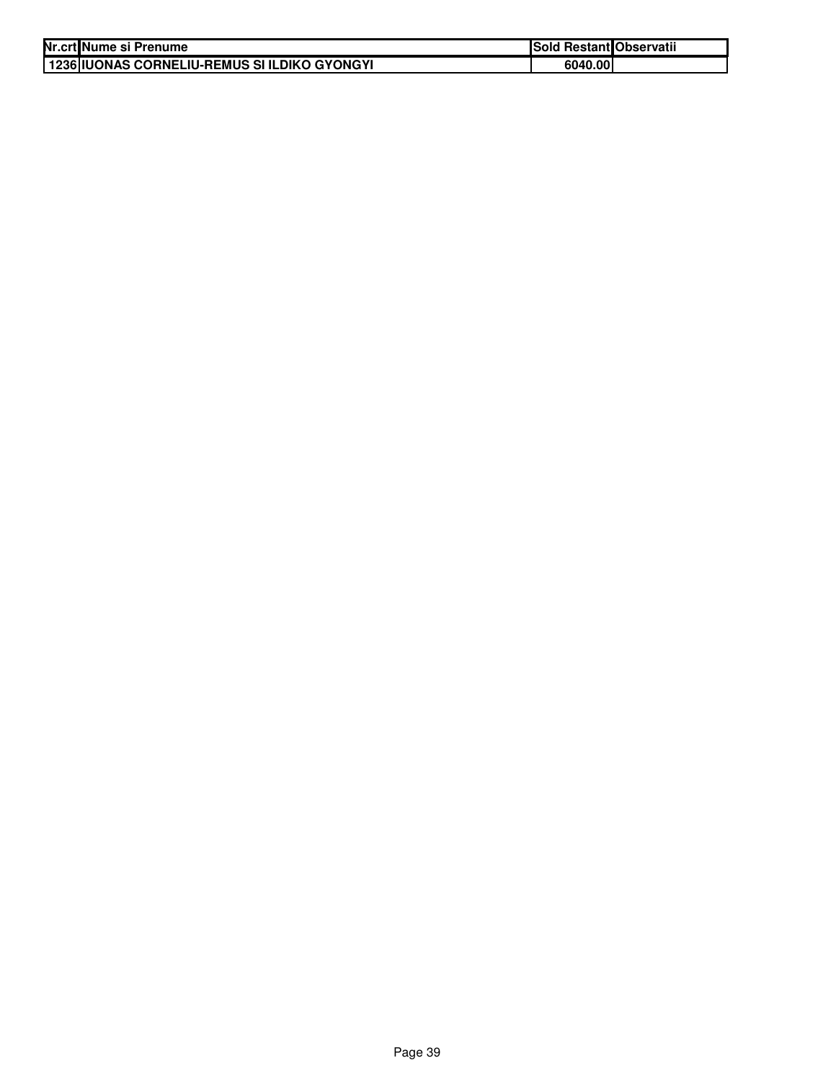| Nr.crt Nume si Prenume                       | Sold Restant Observatii |  |
|----------------------------------------------|-------------------------|--|
| 1236 IUONAS CORNELIU-REMUS SI ILDIKO GYONGYI | 6040.00                 |  |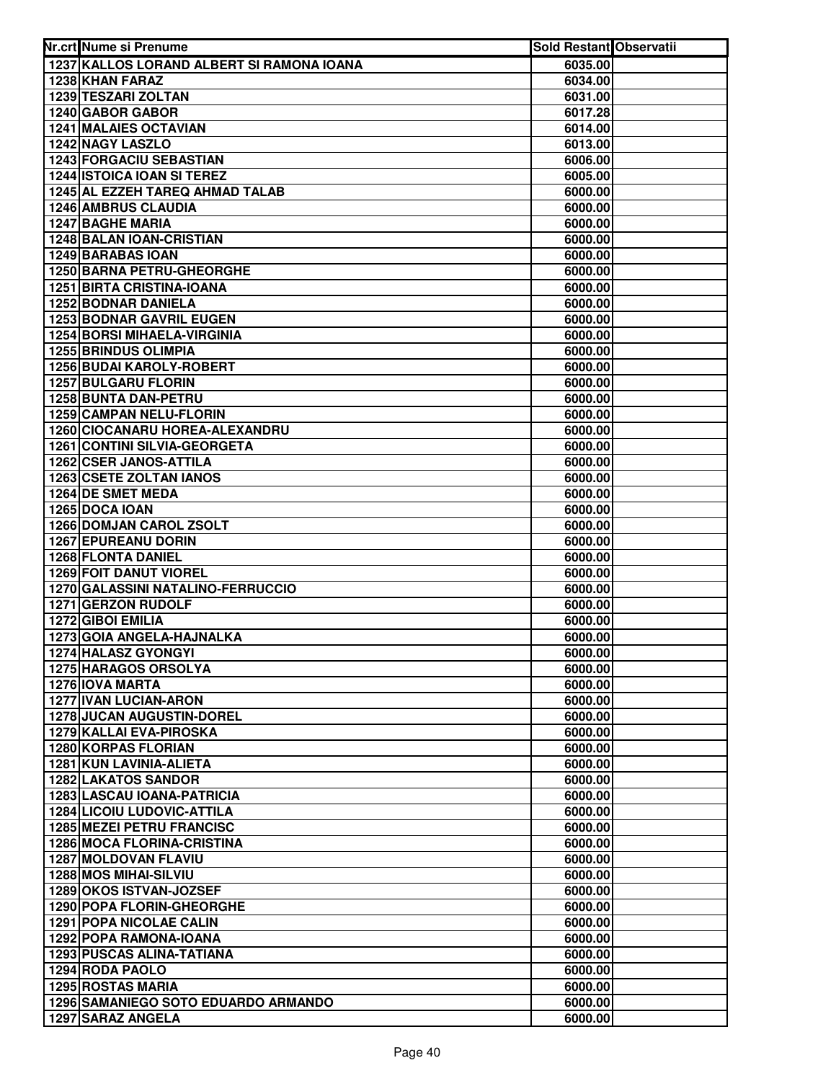| Nr.crt Nume si Prenume                                     | Sold Restant Observatii |  |
|------------------------------------------------------------|-------------------------|--|
| 1237 KALLOS LORAND ALBERT SI RAMONA IOANA                  | 6035.00                 |  |
| 1238 KHAN FARAZ                                            | 6034.00                 |  |
| 1239 TESZARI ZOLTAN                                        | 6031.00                 |  |
| 1240 GABOR GABOR                                           | 6017.28                 |  |
| <b>1241 MALAIES OCTAVIAN</b>                               | 6014.00                 |  |
| 1242 NAGY LASZLO                                           | 6013.00                 |  |
| <b>1243 FORGACIU SEBASTIAN</b>                             | 6006.00                 |  |
| 1244 ISTOICA IOAN SI TEREZ                                 | 6005.00                 |  |
| 1245 AL EZZEH TAREQ AHMAD TALAB                            | 6000.00                 |  |
| 1246 AMBRUS CLAUDIA                                        | 6000.00                 |  |
| <b>1247 BAGHE MARIA</b>                                    | 6000.00                 |  |
| 1248 BALAN IOAN-CRISTIAN                                   | 6000.00                 |  |
| <b>1249 BARABAS IOAN</b>                                   | 6000.00                 |  |
| <b>1250 BARNA PETRU-GHEORGHE</b>                           | 6000.00                 |  |
| <b>1251 BIRTA CRISTINA-IOANA</b>                           | 6000.00                 |  |
| 1252 BODNAR DANIELA                                        | 6000.00                 |  |
| <b>1253 BODNAR GAVRIL EUGEN</b>                            | 6000.00                 |  |
| <b>1254 BORSI MIHAELA-VIRGINIA</b>                         | 6000.00                 |  |
| <b>1255 BRINDUS OLIMPIA</b>                                | 6000.00                 |  |
| <b>1256 BUDAI KAROLY-ROBERT</b>                            | 6000.00                 |  |
| <b>1257 BULGARU FLORIN</b><br>1258 BUNTA DAN-PETRU         | 6000.00                 |  |
| 1259 CAMPAN NELU-FLORIN                                    | 6000.00<br>6000.00      |  |
| 1260 CIOCANARU HOREA-ALEXANDRU                             | 6000.00                 |  |
| 1261 CONTINI SILVIA-GEORGETA                               | 6000.00                 |  |
| 1262 CSER JANOS-ATTILA                                     | 6000.00                 |  |
| 1263 CSETE ZOLTAN IANOS                                    | 6000.00                 |  |
| 1264 DE SMET MEDA                                          | 6000.00                 |  |
| 1265 DOCA IOAN                                             | 6000.00                 |  |
| 1266 DOMJAN CAROL ZSOLT                                    | 6000.00                 |  |
| 1267 EPUREANU DORIN                                        | 6000.00                 |  |
| 1268 FLONTA DANIEL                                         | 6000.00                 |  |
| 1269 FOIT DANUT VIOREL                                     | 6000.00                 |  |
| 1270 GALASSINI NATALINO-FERRUCCIO                          | 6000.00                 |  |
| 1271 GERZON RUDOLF                                         | 6000.00                 |  |
| 1272 GIBOI EMILIA                                          | 6000.00                 |  |
| 1273 GOIA ANGELA-HAJNALKA                                  | 6000.00                 |  |
| 1274 HALASZ GYONGYI                                        | 6000.00                 |  |
| <b>1275 HARAGOS ORSOLYA</b><br><b>1276 IOVA MARTA</b>      | 6000.00<br>6000.00      |  |
| 1277 IVAN LUCIAN-ARON                                      | 6000.00                 |  |
| <b>1278 JUCAN AUGUSTIN-DOREL</b>                           | 6000.00                 |  |
| 1279 KALLAI EVA-PIROSKA                                    | 6000.00                 |  |
| 1280 KORPAS FLORIAN                                        | 6000.00                 |  |
| 1281 KUN LAVINIA-ALIETA                                    | 6000.00                 |  |
| <b>1282 LAKATOS SANDOR</b>                                 | 6000.00                 |  |
| <b>1283 LASCAU IOANA-PATRICIA</b>                          | 6000.00                 |  |
| <b>1284 LICOIU LUDOVIC-ATTILA</b>                          | 6000.00                 |  |
| <b>1285 MEZEI PETRU FRANCISC</b>                           | 6000.00                 |  |
| <b>1286 MOCA FLORINA-CRISTINA</b>                          | 6000.00                 |  |
| <b>1287 MOLDOVAN FLAVIU</b>                                | 6000.00                 |  |
| 1288 MOS MIHAI-SILVIU                                      | 6000.00                 |  |
| 1289 OKOS ISTVAN-JOZSEF                                    | 6000.00                 |  |
| <b>1290 POPA FLORIN-GHEORGHE</b>                           | 6000.00                 |  |
| <b>1291 POPA NICOLAE CALIN</b>                             | 6000.00                 |  |
| 1292 POPA RAMONA-IOANA<br><b>1293 PUSCAS ALINA-TATIANA</b> | 6000.00<br>6000.00      |  |
| 1294 RODA PAOLO                                            | 6000.00                 |  |
| <b>1295 ROSTAS MARIA</b>                                   | 6000.00                 |  |
| 1296 SAMANIEGO SOTO EDUARDO ARMANDO                        | 6000.00                 |  |
| 1297 SARAZ ANGELA                                          | 6000.00                 |  |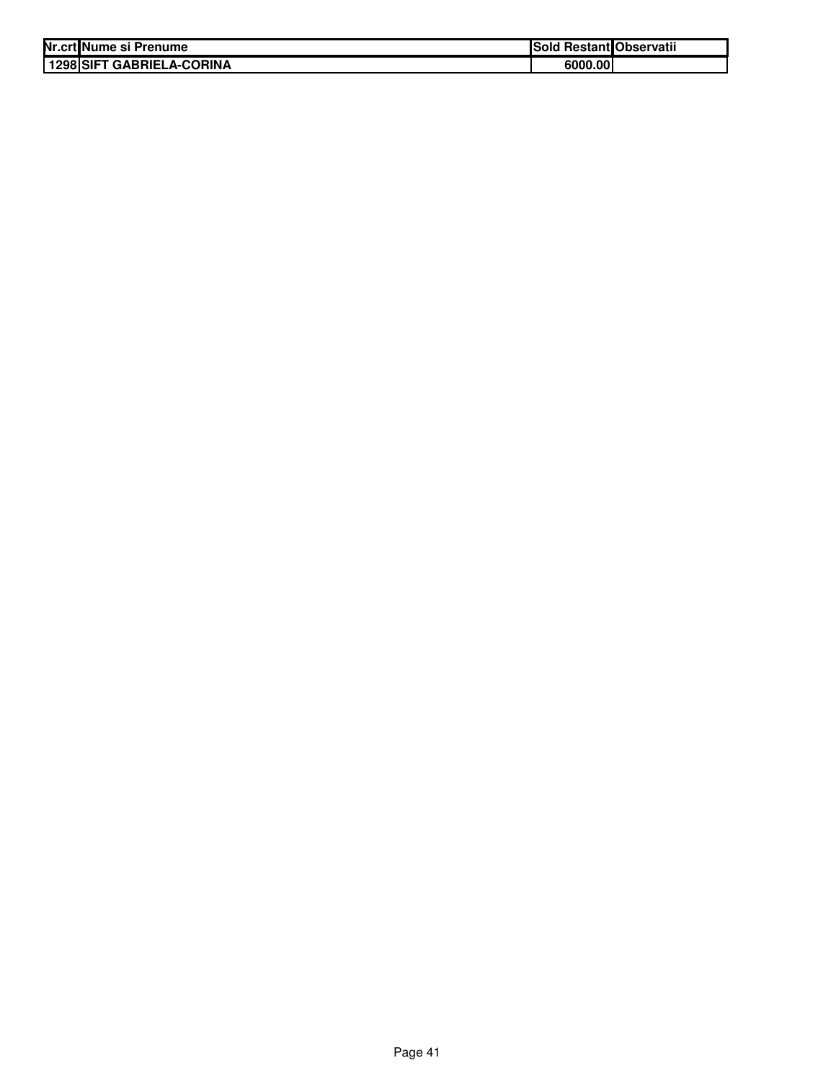| Nr.crt Nume si Prenume    | Sold Restant Observatii |  |
|---------------------------|-------------------------|--|
| 1298 SIFT GABRIELA-CORINA | 6000.00                 |  |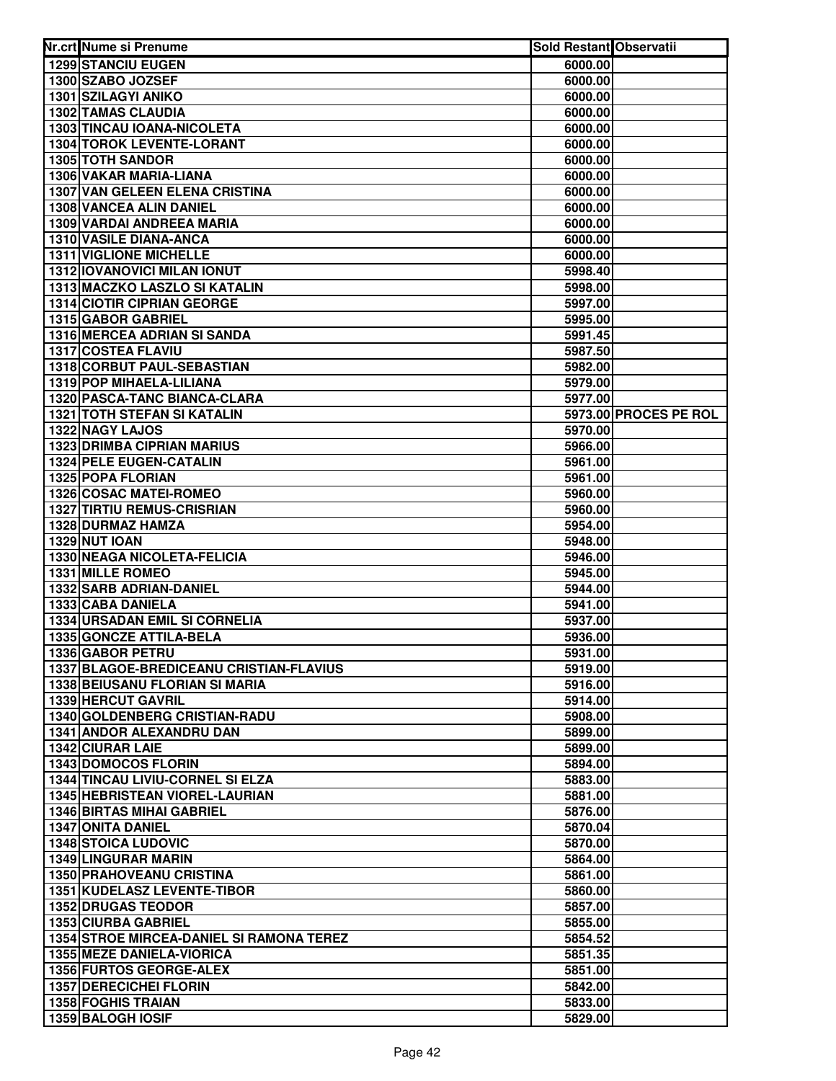| Nr.crt Nume si Prenume                                                 | Sold Restant Observatii |                       |
|------------------------------------------------------------------------|-------------------------|-----------------------|
| <b>1299 STANCIU EUGEN</b>                                              | 6000.00                 |                       |
| 1300 SZABO JOZSEF                                                      | 6000.00                 |                       |
| 1301 SZILAGYI ANIKO                                                    | 6000.00                 |                       |
| 1302 TAMAS CLAUDIA                                                     | 6000.00                 |                       |
| 1303 TINCAU IOANA-NICOLETA                                             | 6000.00                 |                       |
| 1304 TOROK LEVENTE-LORANT                                              | 6000.00                 |                       |
| 1305 TOTH SANDOR                                                       | 6000.00                 |                       |
| 1306 VAKAR MARIA-LIANA                                                 | 6000.00                 |                       |
| 1307 VAN GELEEN ELENA CRISTINA                                         | 6000.00                 |                       |
| 1308 VANCEA ALIN DANIEL                                                | 6000.00                 |                       |
| 1309 VARDAI ANDREEA MARIA                                              | 6000.00                 |                       |
| 1310 VASILE DIANA-ANCA                                                 | 6000.00                 |                       |
| <b>1311 VIGLIONE MICHELLE</b>                                          | 6000.00                 |                       |
| <b>1312 IOVANOVICI MILAN IONUT</b>                                     | 5998.40                 |                       |
| 1313 MACZKO LASZLO SI KATALIN                                          | 5998.00                 |                       |
| <b>1314 CIOTIR CIPRIAN GEORGE</b>                                      | 5997.00                 |                       |
| 1315 GABOR GABRIEL                                                     | 5995.00                 |                       |
| 1316 MERCEA ADRIAN SI SANDA                                            | 5991.45                 |                       |
| <b>1317 COSTEA FLAVIU</b>                                              | 5987.50                 |                       |
| 1318 CORBUT PAUL-SEBASTIAN                                             | 5982.00                 |                       |
| 1319 POP MIHAELA-LILIANA                                               | 5979.00                 |                       |
| 1320 PASCA-TANC BIANCA-CLARA                                           | 5977.00                 |                       |
| <b>1321 TOTH STEFAN SI KATALIN</b>                                     |                         | 5973.00 PROCES PE ROL |
| 1322 NAGY LAJOS                                                        | 5970.00                 |                       |
| <b>1323 DRIMBA CIPRIAN MARIUS</b>                                      | 5966.00                 |                       |
| 1324 PELE EUGEN-CATALIN                                                | 5961.00                 |                       |
| 1325 POPA FLORIAN                                                      | 5961.00                 |                       |
| 1326 COSAC MATEI-ROMEO                                                 | 5960.00                 |                       |
| <b>1327 TIRTIU REMUS-CRISRIAN</b>                                      | 5960.00                 |                       |
| 1328 DURMAZ HAMZA                                                      | 5954.00                 |                       |
| <b>1329 NUT IOAN</b>                                                   | 5948.00                 |                       |
| 1330 NEAGA NICOLETA-FELICIA                                            | 5946.00                 |                       |
| 1331 MILLE ROMEO                                                       | 5945.00                 |                       |
| 1332 SARB ADRIAN-DANIEL                                                | 5944.00                 |                       |
| 1333 CABA DANIELA                                                      | 5941.00                 |                       |
| 1334 URSADAN EMIL SI CORNELIA                                          | 5937.00                 |                       |
| 1335 GONCZE ATTILA-BELA                                                | 5936.00                 |                       |
| 1336 GABOR PETRU                                                       | 5931.00                 |                       |
| 1337 BLAGOE-BREDICEANU CRISTIAN-FLAVIUS                                | 5919.00                 |                       |
| <b>1338 BEIUSANU FLORIAN SI MARIA</b>                                  | 5916.00                 |                       |
| 1339 HERCUT GAVRIL                                                     | 5914.00                 |                       |
| 1340 GOLDENBERG CRISTIAN-RADU                                          | 5908.00                 |                       |
| 1341 ANDOR ALEXANDRU DAN                                               | 5899.00                 |                       |
| 1342 CIURAR LAIE                                                       | 5899.00                 |                       |
| <b>1343 DOMOCOS FLORIN</b>                                             | 5894.00                 |                       |
| <b>1344 TINCAU LIVIU-CORNEL SI ELZA</b>                                | 5883.00                 |                       |
| <b>1345 HEBRISTEAN VIOREL-LAURIAN</b>                                  | 5881.00                 |                       |
| <b>1346 BIRTAS MIHAI GABRIEL</b>                                       | 5876.00                 |                       |
| <b>1347 ONITA DANIEL</b>                                               | 5870.04                 |                       |
| <b>1348 STOICA LUDOVIC</b>                                             | 5870.00                 |                       |
| <b>1349 LINGURAR MARIN</b>                                             | 5864.00                 |                       |
| <b>1350 PRAHOVEANU CRISTINA</b>                                        | 5861.00                 |                       |
| <b>1351 KUDELASZ LEVENTE-TIBOR</b>                                     | 5860.00                 |                       |
| <b>1352 DRUGAS TEODOR</b>                                              | 5857.00                 |                       |
| <b>1353 CIURBA GABRIEL</b><br>1354 STROE MIRCEA-DANIEL SI RAMONA TEREZ | 5855.00                 |                       |
|                                                                        | 5854.52                 |                       |
| <b>1355 MEZE DANIELA-VIORICA</b><br>1356 FURTOS GEORGE-ALEX            | 5851.35                 |                       |
| <b>1357 DERECICHEI FLORIN</b>                                          | 5851.00                 |                       |
| <b>1358 FOGHIS TRAIAN</b>                                              | 5842.00<br>5833.00      |                       |
| 1359 BALOGH IOSIF                                                      | 5829.00                 |                       |
|                                                                        |                         |                       |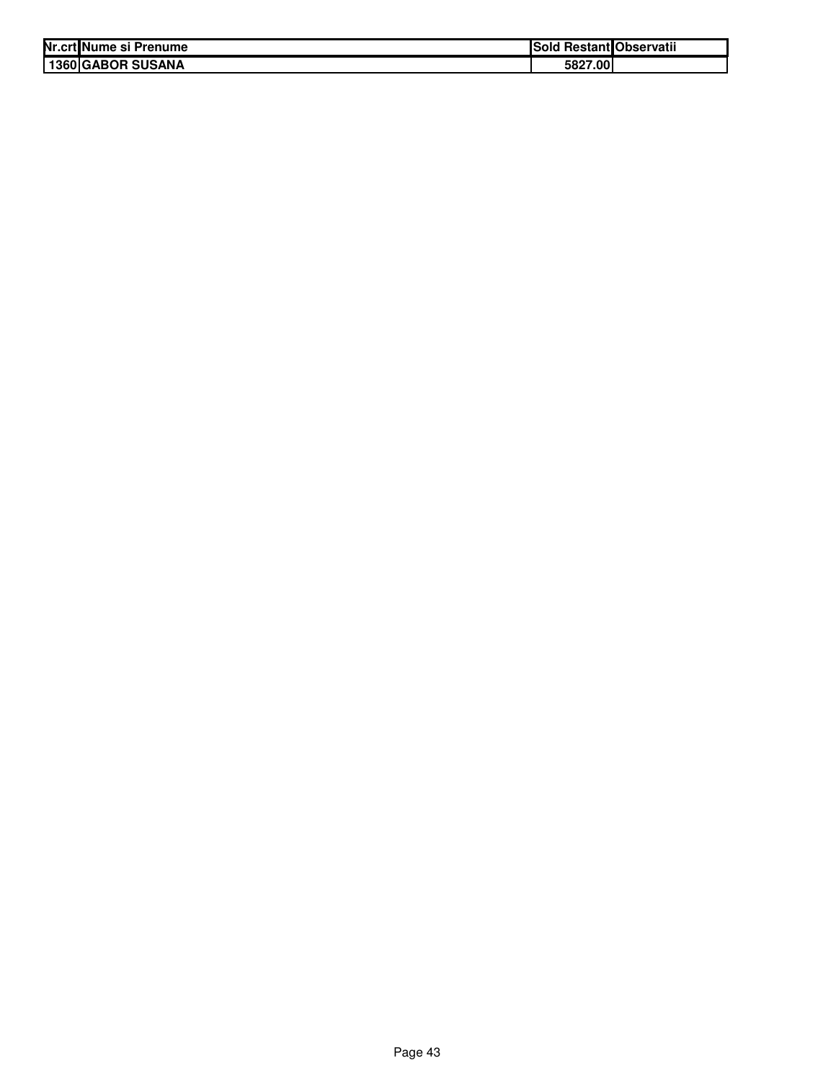| Nr.crt Nume si Prenume | <b>ISold</b> | I Restant Observatii |
|------------------------|--------------|----------------------|
| 1360 GABOR SUSANA      | 5827.00      |                      |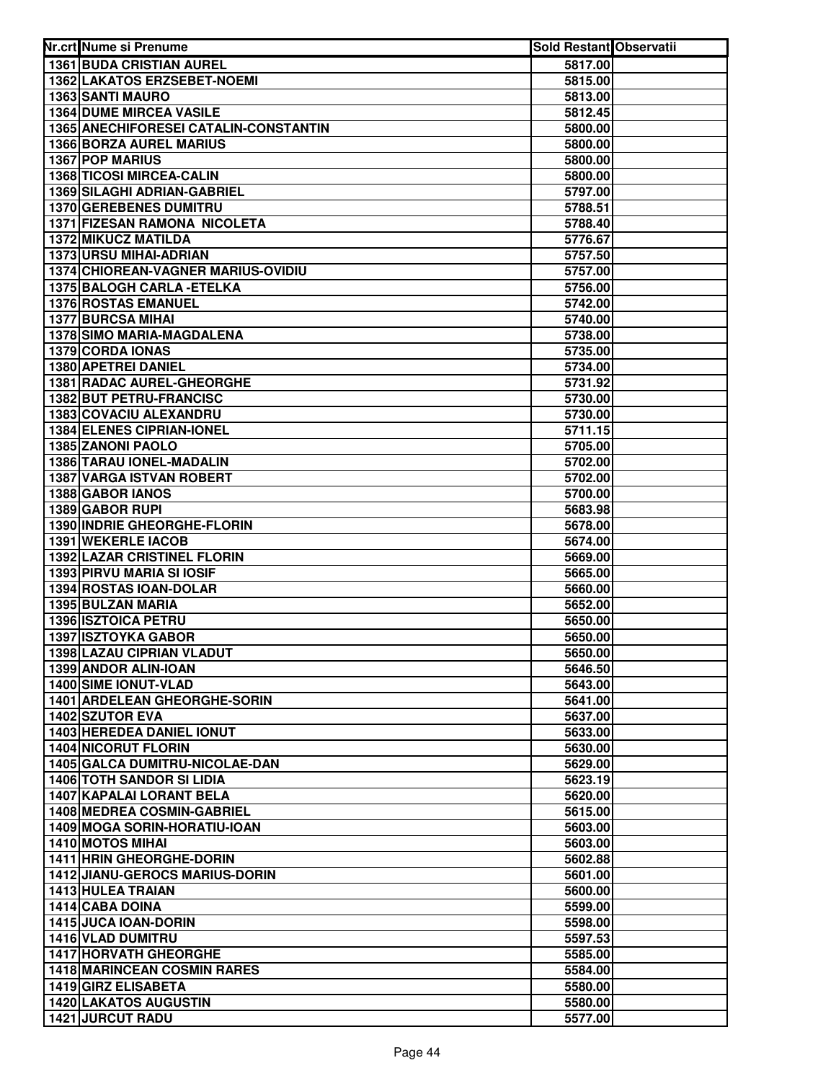| Nr.crt Nume si Prenume                | Sold Restant Observatii |  |
|---------------------------------------|-------------------------|--|
| <b>1361 BUDA CRISTIAN AUREL</b>       | 5817.00                 |  |
| 1362 LAKATOS ERZSEBET-NOEMI           | 5815.00                 |  |
| 1363 SANTI MAURO                      | 5813.00                 |  |
| <b>1364 DUME MIRCEA VASILE</b>        | 5812.45                 |  |
| 1365 ANECHIFORESEI CATALIN-CONSTANTIN | 5800.00                 |  |
| <b>1366 BORZA AUREL MARIUS</b>        | 5800.00                 |  |
| 1367 POP MARIUS                       | 5800.00                 |  |
| 1368 TICOSI MIRCEA-CALIN              | 5800.00                 |  |
| <b>1369 SILAGHI ADRIAN-GABRIEL</b>    | 5797.00                 |  |
| 1370 GEREBENES DUMITRU                | 5788.51                 |  |
| <b>1371 FIZESAN RAMONA NICOLETA</b>   | 5788.40                 |  |
| 1372 MIKUCZ MATILDA                   | 5776.67                 |  |
| <b>1373 URSU MIHAI-ADRIAN</b>         | 5757.50                 |  |
| 1374 CHIOREAN-VAGNER MARIUS-OVIDIU    | 5757.00                 |  |
| 1375 BALOGH CARLA - ETELKA            | 5756.00                 |  |
| <b>1376 ROSTAS EMANUEL</b>            | 5742.00                 |  |
| <b>1377 BURCSA MIHAI</b>              | 5740.00                 |  |
| 1378 SIMO MARIA-MAGDALENA             | 5738.00                 |  |
| 1379 CORDA IONAS                      | 5735.00                 |  |
| 1380 APETREI DANIEL                   | 5734.00                 |  |
| <b>1381 RADAC AUREL-GHEORGHE</b>      | 5731.92                 |  |
| 1382 BUT PETRU-FRANCISC               | 5730.00                 |  |
| 1383 COVACIU ALEXANDRU                | 5730.00                 |  |
| 1384 ELENES CIPRIAN-IONEL             | 5711.15                 |  |
| 1385 ZANONI PAOLO                     | 5705.00                 |  |
| 1386 TARAU IONEL-MADALIN              | 5702.00                 |  |
| 1387 VARGA ISTVAN ROBERT              | 5702.00                 |  |
| 1388 GABOR IANOS                      | 5700.00                 |  |
| 1389 GABOR RUPI                       | 5683.98                 |  |
| 1390 INDRIE GHEORGHE-FLORIN           | 5678.00                 |  |
| 1391 WEKERLE IACOB                    | 5674.00                 |  |
| 1392 LAZAR CRISTINEL FLORIN           | 5669.00                 |  |
| 1393 PIRVU MARIA SI IOSIF             | 5665.00                 |  |
| 1394 ROSTAS IOAN-DOLAR                | 5660.00                 |  |
| 1395 BULZAN MARIA                     | 5652.00                 |  |
| 1396 ISZTOICA PETRU                   | 5650.00                 |  |
| 1397 ISZTOYKA GABOR                   | 5650.00                 |  |
| 1398 LAZAU CIPRIAN VLADUT             | 5650.00                 |  |
| 1399 ANDOR ALIN-IOAN                  | 5646.50                 |  |
| <b>1400 SIME IONUT-VLAD</b>           | 5643.00                 |  |
| 1401 ARDELEAN GHEORGHE-SORIN          | 5641.00                 |  |
| <b>1402 SZUTOR EVA</b>                | 5637.00                 |  |
| 1403 HEREDEA DANIEL IONUT             | 5633.00                 |  |
| <b>1404 NICORUT FLORIN</b>            | 5630.00                 |  |
| 1405 GALCA DUMITRU-NICOLAE-DAN        | 5629.00                 |  |
| <b>1406 TOTH SANDOR SI LIDIA</b>      | 5623.19                 |  |
| <b>1407 KAPALAI LORANT BELA</b>       | 5620.00                 |  |
| 1408 MEDREA COSMIN-GABRIEL            | 5615.00                 |  |
| 1409 MOGA SORIN-HORATIU-IOAN          | 5603.00                 |  |
| 1410 MOTOS MIHAI                      | 5603.00                 |  |
| 1411 HRIN GHEORGHE-DORIN              | 5602.88                 |  |
| <b>1412 JIANU-GEROCS MARIUS-DORIN</b> | 5601.00                 |  |
| 1413 HULEA TRAIAN<br>1414 CABA DOINA  | 5600.00                 |  |
| 1415 JUCA IOAN-DORIN                  | 5599.00                 |  |
| 1416 VLAD DUMITRU                     | 5598.00<br>5597.53      |  |
| <b>1417 HORVATH GHEORGHE</b>          | 5585.00                 |  |
| <b>1418 MARINCEAN COSMIN RARES</b>    | 5584.00                 |  |
| 1419 GIRZ ELISABETA                   | 5580.00                 |  |
| <b>1420 LAKATOS AUGUSTIN</b>          | 5580.00                 |  |
| <b>1421 JURCUT RADU</b>               | 5577.00                 |  |
|                                       |                         |  |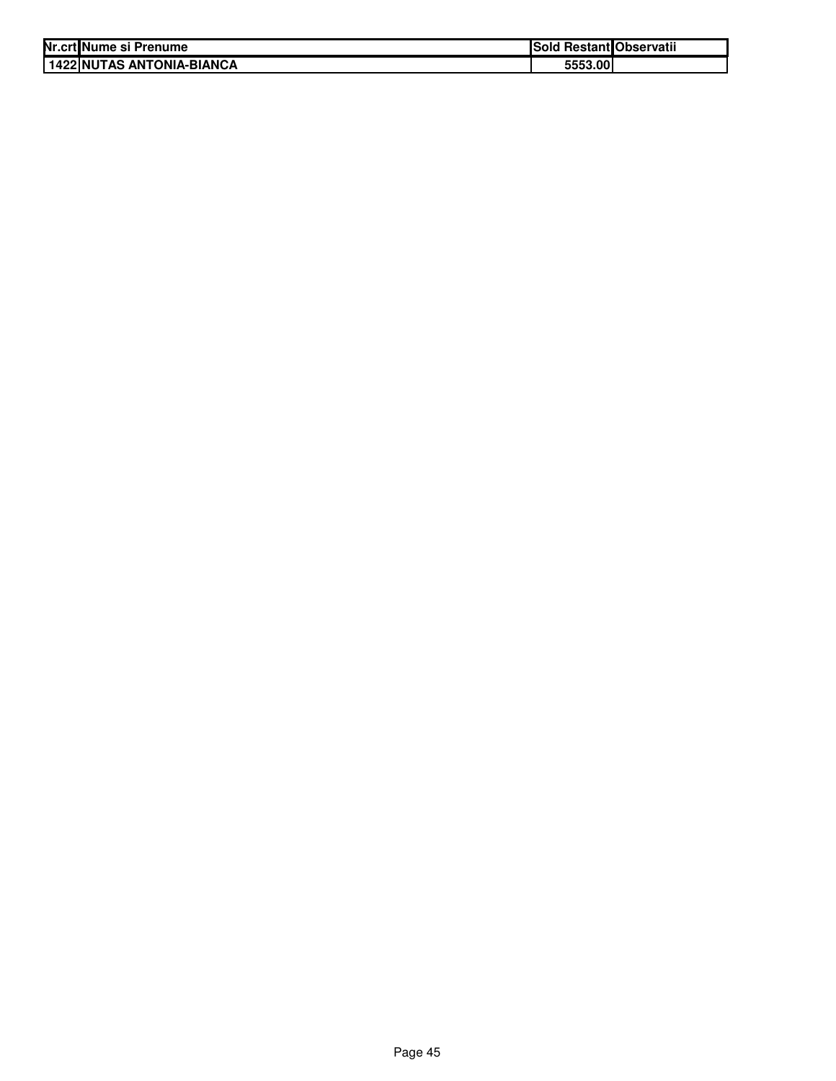| Nr.crt Nume si Prenume       | Sold Restant Observatii |  |
|------------------------------|-------------------------|--|
| I 1422 INUTAS ANTONIA-BIANCA | 5553.00                 |  |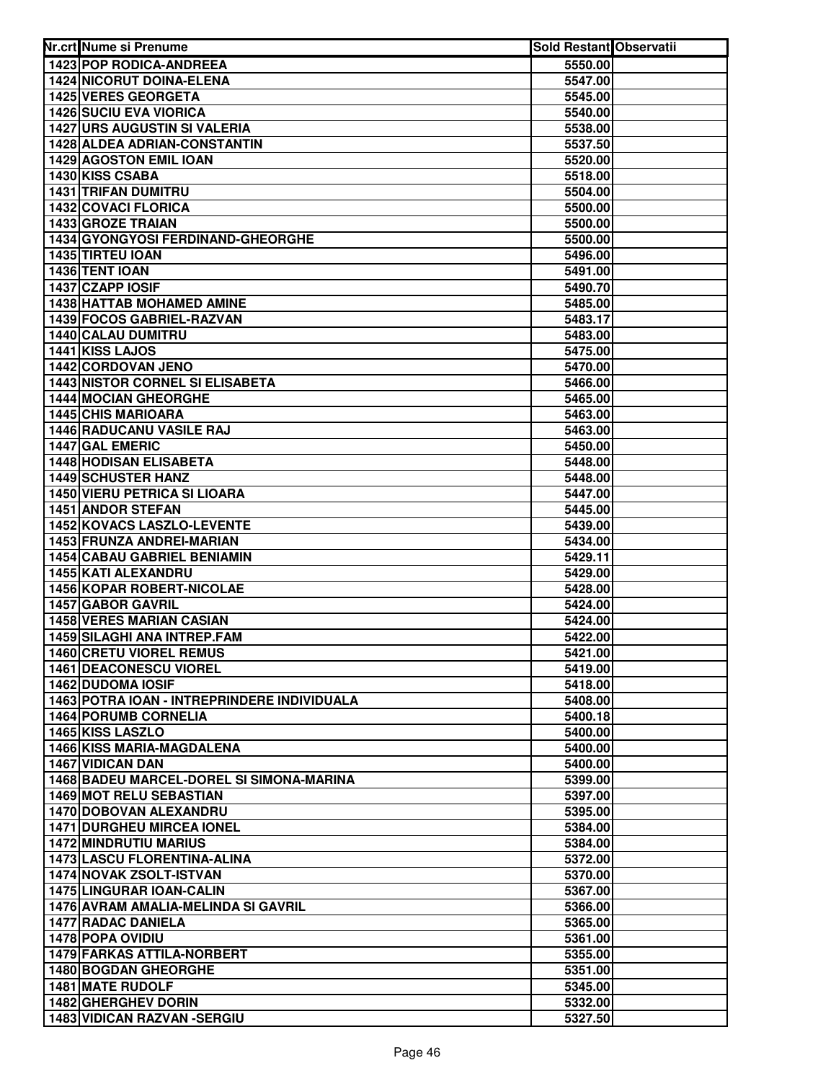| Nr.crt Nume si Prenume                                           | Sold Restant Observatii |  |
|------------------------------------------------------------------|-------------------------|--|
| <b>1423 POP RODICA-ANDREEA</b>                                   | 5550.00                 |  |
| 1424 NICORUT DOINA-ELENA                                         | 5547.00                 |  |
| 1425 VERES GEORGETA                                              | 5545.00                 |  |
| <b>1426 SUCIU EVA VIORICA</b>                                    | 5540.00                 |  |
| 1427 URS AUGUSTIN SI VALERIA                                     | 5538.00                 |  |
| 1428 ALDEA ADRIAN-CONSTANTIN                                     | 5537.50                 |  |
| 1429 AGOSTON EMIL IOAN                                           | 5520.00                 |  |
| 1430 KISS CSABA                                                  | 5518.00                 |  |
| 1431 TRIFAN DUMITRU                                              | 5504.00                 |  |
| 1432 COVACI FLORICA                                              | 5500.00                 |  |
| 1433 GROZE TRAIAN                                                | 5500.00                 |  |
| 1434 GYONGYOSI FERDINAND-GHEORGHE                                | 5500.00                 |  |
| <b>1435 TIRTEU IOAN</b>                                          | 5496.00                 |  |
| 1436 TENT IOAN                                                   | 5491.00                 |  |
| 1437 CZAPP IOSIF                                                 | 5490.70                 |  |
| <b>1438 HATTAB MOHAMED AMINE</b>                                 | 5485.00                 |  |
| 1439 FOCOS GABRIEL-RAZVAN                                        | 5483.17                 |  |
| 1440 CALAU DUMITRU                                               | 5483.00                 |  |
| 1441 KISS LAJOS                                                  | 5475.00                 |  |
| 1442 CORDOVAN JENO                                               | 5470.00                 |  |
| <b>1443 NISTOR CORNEL SI ELISABETA</b>                           | 5466.00                 |  |
| <b>1444 MOCIAN GHEORGHE</b>                                      | 5465.00                 |  |
| <b>1445 CHIS MARIOARA</b>                                        | 5463.00                 |  |
| <b>1446 RADUCANU VASILE RAJ</b>                                  | 5463.00                 |  |
| 1447 GAL EMERIC                                                  | 5450.00                 |  |
| 1448 HODISAN ELISABETA                                           | 5448.00                 |  |
| <b>1449 SCHUSTER HANZ</b>                                        | 5448.00                 |  |
| <b>1450 VIERU PETRICA SI LIOARA</b>                              | 5447.00                 |  |
| 1451 ANDOR STEFAN                                                | 5445.00                 |  |
| 1452 KOVACS LASZLO-LEVENTE                                       | 5439.00                 |  |
| 1453 FRUNZA ANDREI-MARIAN                                        | 5434.00                 |  |
| <b>1454 CABAU GABRIEL BENIAMIN</b>                               | 5429.11                 |  |
| 1455 KATI ALEXANDRU                                              | 5429.00                 |  |
| <b>1456 KOPAR ROBERT-NICOLAE</b>                                 | 5428.00                 |  |
| 1457 GABOR GAVRIL                                                | 5424.00                 |  |
| <b>1458 VERES MARIAN CASIAN</b>                                  | 5424.00                 |  |
| 1459 SILAGHI ANA INTREP.FAM                                      | 5422.00                 |  |
| 1460 CRETU VIOREL REMUS                                          | 5421.00                 |  |
| <b>1461 DEACONESCU VIOREL</b>                                    | 5419.00                 |  |
| 1462 DUDOMA IOSIF                                                | 5418.00                 |  |
| <b>1463 POTRA IOAN - INTREPRINDERE INDIVIDUALA</b>               | 5408.00                 |  |
| <b>1464 PORUMB CORNELIA</b>                                      | 5400.18                 |  |
| 1465 KISS LASZLO                                                 | 5400.00                 |  |
| 1466 KISS MARIA-MAGDALENA                                        | 5400.00                 |  |
| <b>1467 VIDICAN DAN</b>                                          | 5400.00                 |  |
| 1468 BADEU MARCEL-DOREL SI SIMONA-MARINA                         | 5399.00                 |  |
| <b>1469 MOT RELU SEBASTIAN</b>                                   | 5397.00                 |  |
| 1470 DOBOVAN ALEXANDRU                                           | 5395.00                 |  |
| <b>1471 DURGHEU MIRCEA IONEL</b>                                 | 5384.00                 |  |
| <b>1472 MINDRUTIU MARIUS</b>                                     | 5384.00                 |  |
| <b>1473 LASCU FLORENTINA-ALINA</b>                               | 5372.00                 |  |
| 1474 NOVAK ZSOLT-ISTVAN                                          | 5370.00                 |  |
| 1475 LINGURAR IOAN-CALIN                                         | 5367.00                 |  |
| 1476 AVRAM AMALIA-MELINDA SI GAVRIL<br><b>1477 RADAC DANIELA</b> | 5366.00                 |  |
| 1478 POPA OVIDIU                                                 | 5365.00                 |  |
|                                                                  | 5361.00                 |  |
| 1479 FARKAS ATTILA-NORBERT<br>1480 BOGDAN GHEORGHE               | 5355.00<br>5351.00      |  |
| 1481 MATE RUDOLF                                                 | 5345.00                 |  |
| 1482 GHERGHEV DORIN                                              | 5332.00                 |  |
| 1483 VIDICAN RAZVAN - SERGIU                                     | 5327.50                 |  |
|                                                                  |                         |  |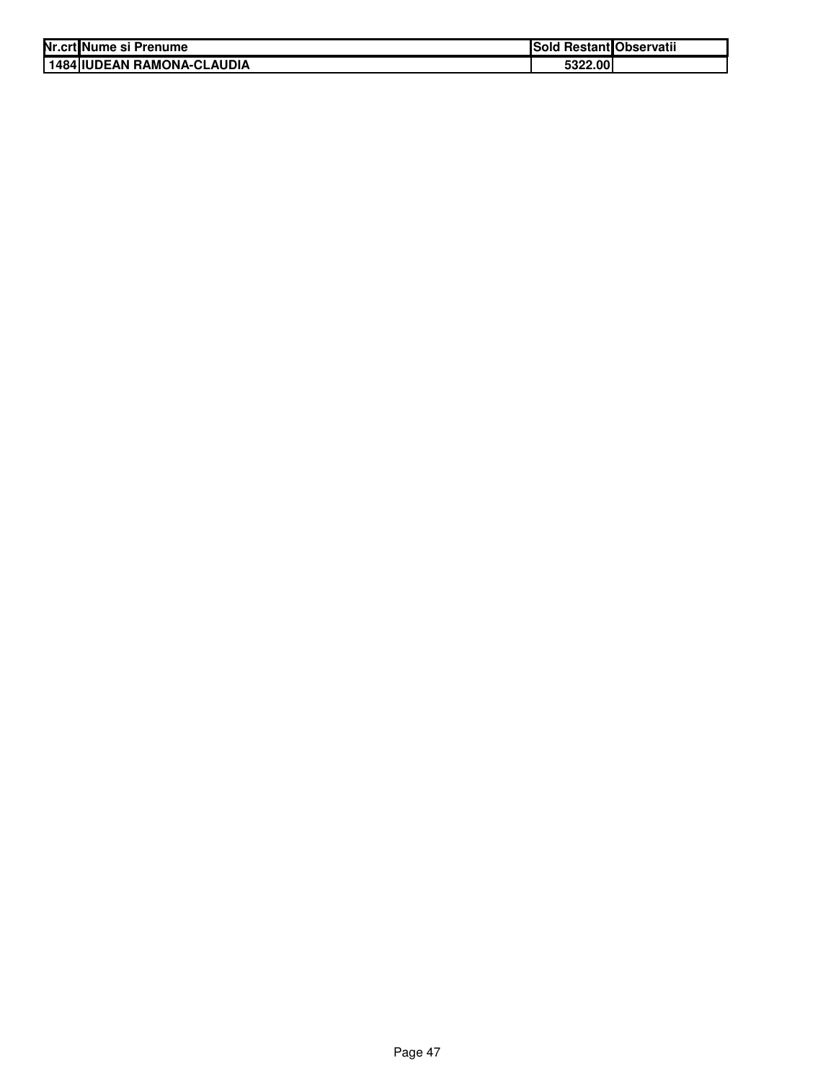| Nr.crtlNume si Prenume        | Sold Restant Observatii |  |
|-------------------------------|-------------------------|--|
| I 1484 IIUDEAN RAMONA-CLAUDIA | 5322.00                 |  |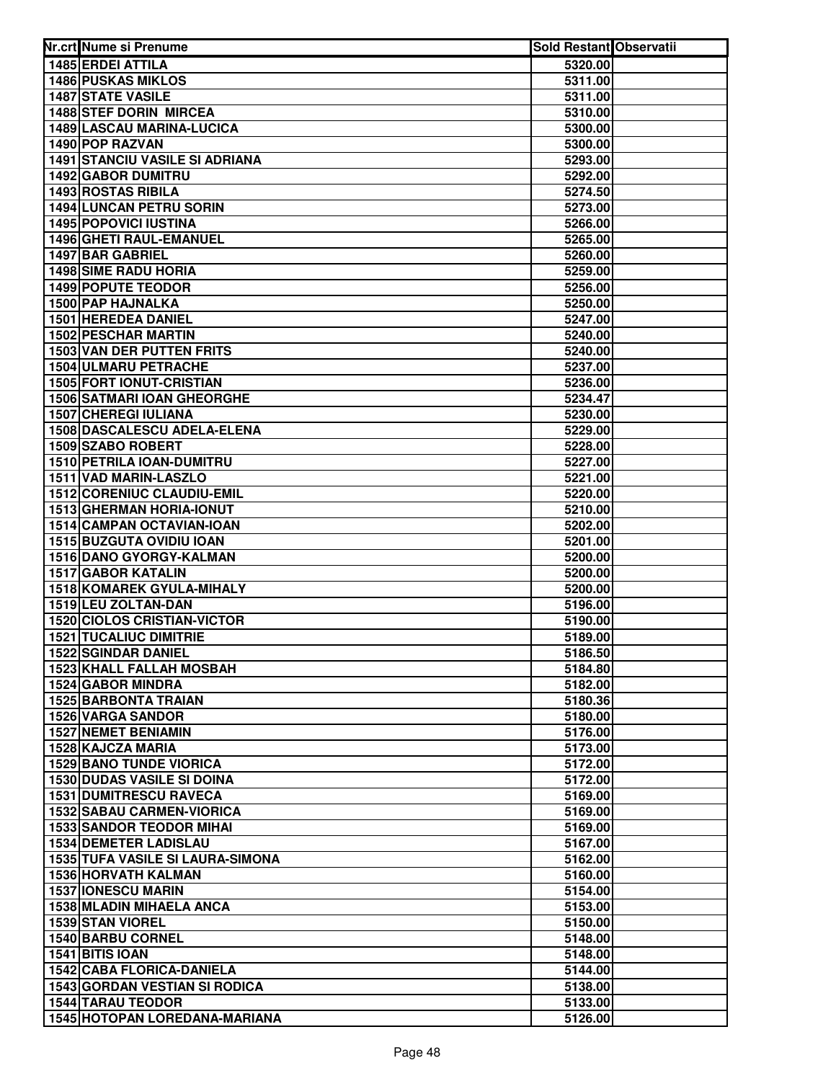| Nr.crt Nume si Prenume                           | Sold Restant Observatii |  |
|--------------------------------------------------|-------------------------|--|
| 1485 ERDEI ATTILA                                | 5320.00                 |  |
| <b>1486 PUSKAS MIKLOS</b>                        | 5311.00                 |  |
| <b>1487 STATE VASILE</b>                         | 5311.00                 |  |
| 1488 STEF DORIN MIRCEA                           | 5310.00                 |  |
| 1489 LASCAU MARINA-LUCICA                        | 5300.00                 |  |
| 1490 POP RAZVAN                                  | 5300.00                 |  |
| <b>1491 STANCIU VASILE SI ADRIANA</b>            | 5293.00                 |  |
| 1492 GABOR DUMITRU                               | 5292.00                 |  |
| 1493 ROSTAS RIBILA                               | 5274.50                 |  |
| <b>1494 LUNCAN PETRU SORIN</b>                   | 5273.00                 |  |
| <b>1495 POPOVICI IUSTINA</b>                     | 5266.00                 |  |
| 1496 GHETI RAUL-EMANUEL                          | 5265.00                 |  |
| <b>1497 BAR GABRIEL</b>                          | 5260.00                 |  |
| <b>1498 SIME RADU HORIA</b>                      | 5259.00                 |  |
| 1499 POPUTE TEODOR                               | 5256.00                 |  |
| 1500 PAP HAJNALKA                                | 5250.00                 |  |
| 1501 HEREDEA DANIEL                              | 5247.00                 |  |
| <b>1502 PESCHAR MARTIN</b>                       | 5240.00                 |  |
| 1503 VAN DER PUTTEN FRITS                        | 5240.00                 |  |
| 1504 ULMARU PETRACHE                             | 5237.00                 |  |
| <b>1505 FORT IONUT-CRISTIAN</b>                  | 5236.00                 |  |
| <b>1506 SATMARI IOAN GHEORGHE</b>                | 5234.47                 |  |
| <b>1507 CHEREGI IULIANA</b>                      | 5230.00                 |  |
| 1508 DASCALESCU ADELA-ELENA                      | 5229.00                 |  |
| 1509 SZABO ROBERT                                | 5228.00                 |  |
| 1510 PETRILA IOAN-DUMITRU                        | 5227.00                 |  |
| 1511 VAD MARIN-LASZLO                            | 5221.00                 |  |
| 1512 CORENIUC CLAUDIU-EMIL                       | 5220.00                 |  |
| 1513 GHERMAN HORIA-IONUT                         | 5210.00                 |  |
| 1514 CAMPAN OCTAVIAN-IOAN                        | 5202.00                 |  |
| 1515 BUZGUTA OVIDIU IOAN                         | 5201.00                 |  |
| 1516 DANO GYORGY-KALMAN                          | 5200.00                 |  |
| <b>1517 GABOR KATALIN</b>                        | 5200.00                 |  |
| 1518 KOMAREK GYULA-MIHALY<br>1519 LEU ZOLTAN-DAN | 5200.00                 |  |
| <b>1520 CIOLOS CRISTIAN-VICTOR</b>               | 5196.00<br>5190.00      |  |
| <b>1521 TUCALIUC DIMITRIE</b>                    | 5189.00                 |  |
| 1522 SGINDAR DANIEL                              | 5186.50                 |  |
| <b>1523 KHALL FALLAH MOSBAH</b>                  | 5184.80                 |  |
| <b>1524 GABOR MINDRA</b>                         | 5182.00                 |  |
| 1525 BARBONTA TRAIAN                             | 5180.36                 |  |
| <b>1526 VARGA SANDOR</b>                         | 5180.00                 |  |
| <b>1527 NEMET BENIAMIN</b>                       | 5176.00                 |  |
| 1528 KAJCZA MARIA                                | 5173.00                 |  |
| <b>1529 BANO TUNDE VIORICA</b>                   | 5172.00                 |  |
| <b>1530 DUDAS VASILE SI DOINA</b>                | 5172.00                 |  |
| <b>1531 DUMITRESCU RAVECA</b>                    | 5169.00                 |  |
| <b>1532 SABAU CARMEN-VIORICA</b>                 | 5169.00                 |  |
| <b>1533 SANDOR TEODOR MIHAI</b>                  | 5169.00                 |  |
| <b>1534 DEMETER LADISLAU</b>                     | 5167.00                 |  |
| 1535 TUFA VASILE SI LAURA-SIMONA                 | 5162.00                 |  |
| <b>1536 HORVATH KALMAN</b>                       | 5160.00                 |  |
| <b>1537 IONESCU MARIN</b>                        | 5154.00                 |  |
| 1538 MLADIN MIHAELA ANCA                         | 5153.00                 |  |
| 1539 STAN VIOREL                                 | 5150.00                 |  |
| 1540 BARBU CORNEL                                | 5148.00                 |  |
| 1541 BITIS IOAN                                  | 5148.00                 |  |
| <b>1542 CABA FLORICA-DANIELA</b>                 | 5144.00                 |  |
| <b>1543 GORDAN VESTIAN SI RODICA</b>             | 5138.00                 |  |
| <b>1544 TARAU TEODOR</b>                         | 5133.00                 |  |
| 1545 HOTOPAN LOREDANA-MARIANA                    | 5126.00                 |  |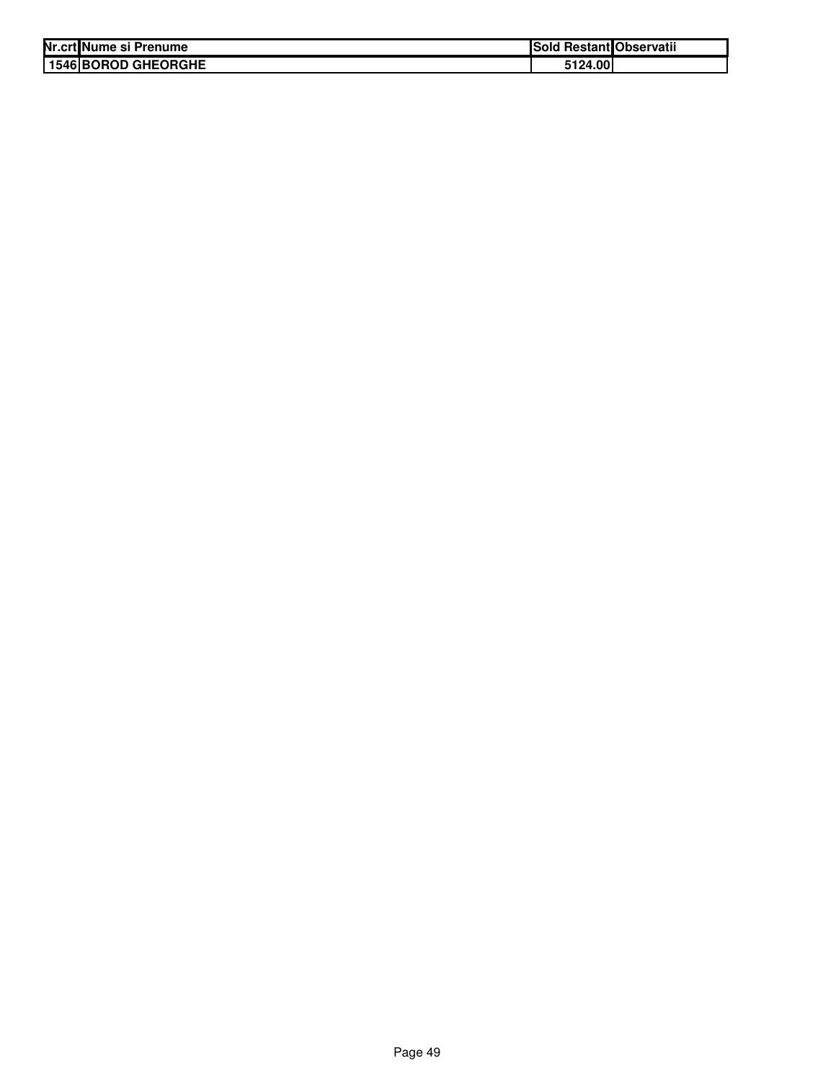| Nr.crt Nume si Prenume     | Sold Restant Observatii |  |
|----------------------------|-------------------------|--|
| <b>1546 BOROD GHEORGHE</b> | 5124.00                 |  |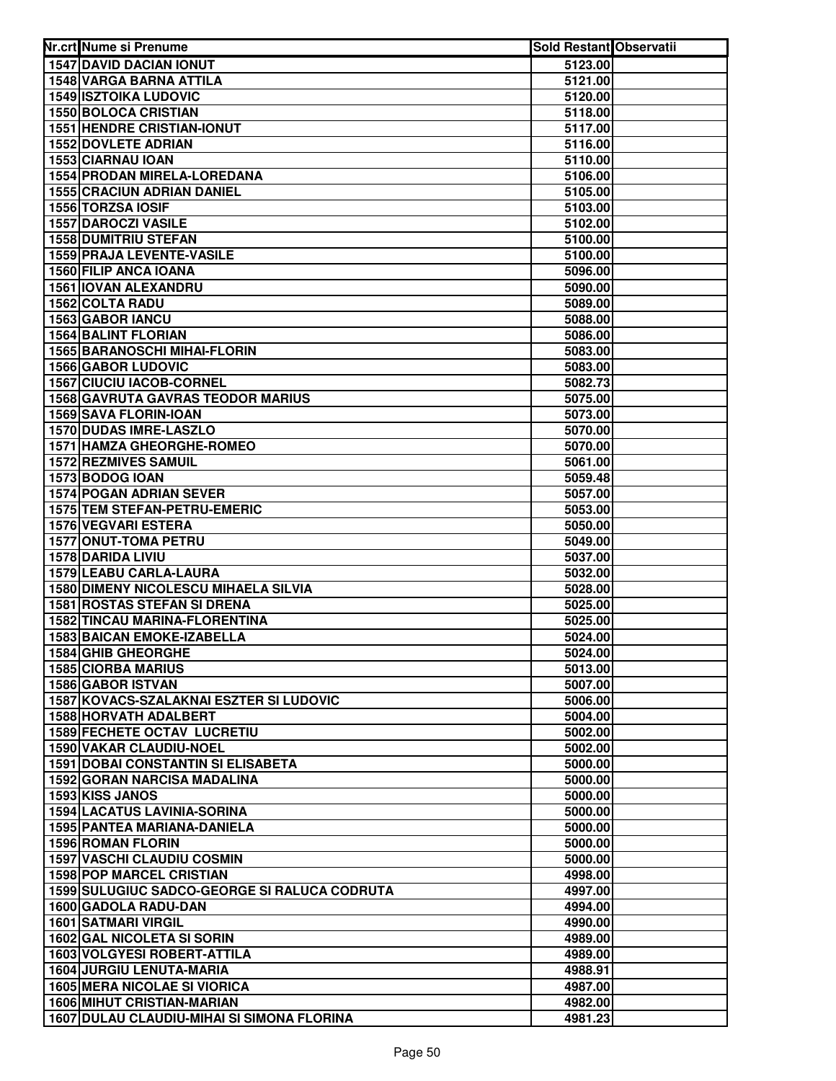| Nr.crt Nume si Prenume                                                          | Sold Restant Observatii |  |
|---------------------------------------------------------------------------------|-------------------------|--|
| <b>1547 DAVID DACIAN IONUT</b>                                                  | 5123.00                 |  |
| 1548 VARGA BARNA ATTILA                                                         | 5121.00                 |  |
| <b>1549 ISZTOIKA LUDOVIC</b>                                                    | 5120.00                 |  |
| 1550 BOLOCA CRISTIAN                                                            | 5118.00                 |  |
| <b>1551 HENDRE CRISTIAN-IONUT</b>                                               | 5117.00                 |  |
| 1552 DOVLETE ADRIAN                                                             | 5116.00                 |  |
| 1553 CIARNAU IOAN                                                               | 5110.00                 |  |
| 1554 PRODAN MIRELA-LOREDANA                                                     | 5106.00                 |  |
| <b>1555 CRACIUN ADRIAN DANIEL</b>                                               | 5105.00                 |  |
| 1556 TORZSA IOSIF                                                               | 5103.00                 |  |
| <b>1557 DAROCZI VASILE</b>                                                      | 5102.00                 |  |
| 1558 DUMITRIU STEFAN                                                            | 5100.00                 |  |
| 1559 PRAJA LEVENTE-VASILE                                                       | 5100.00                 |  |
| 1560 FILIP ANCA IOANA                                                           | 5096.00                 |  |
| 1561 IOVAN ALEXANDRU                                                            | 5090.00                 |  |
| 1562 COLTA RADU                                                                 | 5089.00                 |  |
| 1563 GABOR IANCU                                                                | 5088.00                 |  |
| <b>1564 BALINT FLORIAN</b>                                                      | 5086.00                 |  |
| 1565 BARANOSCHI MIHAI-FLORIN                                                    | 5083.00                 |  |
| <b>1566 GABOR LUDOVIC</b>                                                       | 5083.00                 |  |
| <b>1567 CIUCIU IACOB-CORNEL</b>                                                 | 5082.73                 |  |
| <b>1568 GAVRUTA GAVRAS TEODOR MARIUS</b>                                        | 5075.00                 |  |
| 1569 SAVA FLORIN-IOAN                                                           | 5073.00                 |  |
| 1570 DUDAS IMRE-LASZLO                                                          | 5070.00                 |  |
| 1571 HAMZA GHEORGHE-ROMEO                                                       | 5070.00                 |  |
| <b>1572 REZMIVES SAMUIL</b>                                                     | 5061.00                 |  |
| 1573 BODOG IOAN                                                                 | 5059.48                 |  |
| 1574 POGAN ADRIAN SEVER                                                         | 5057.00                 |  |
| 1575 TEM STEFAN-PETRU-EMERIC                                                    | 5053.00                 |  |
| 1576 VEGVARI ESTERA                                                             | 5050.00                 |  |
| 1577 ONUT-TOMA PETRU                                                            | 5049.00                 |  |
| 1578 DARIDA LIVIU                                                               | 5037.00                 |  |
| 1579 LEABU CARLA-LAURA                                                          | 5032.00                 |  |
| <b>1580 DIMENY NICOLESCU MIHAELA SILVIA</b>                                     | 5028.00                 |  |
| 1581 ROSTAS STEFAN SI DRENA                                                     | 5025.00                 |  |
| 1582 TINCAU MARINA-FLORENTINA                                                   | 5025.00                 |  |
| <b>1583 BAICAN EMOKE-IZABELLA</b>                                               | 5024.00                 |  |
| 1584 GHIB GHEORGHE                                                              | 5024.00                 |  |
| <b>1585 CIORBA MARIUS</b>                                                       | 5013.00                 |  |
| <b>1586 GABOR ISTVAN</b>                                                        | 5007.00                 |  |
| 1587 KOVACS-SZALAKNAI ESZTER SI LUDOVIC                                         | 5006.00                 |  |
| 1588 HORVATH ADALBERT                                                           | 5004.00                 |  |
| <b>1589 FECHETE OCTAV LUCRETIU</b>                                              | 5002.00                 |  |
| <b>1590 VAKAR CLAUDIU-NOEL</b>                                                  | 5002.00                 |  |
| <b>1591 DOBAI CONSTANTIN SI ELISABETA</b><br><b>1592 GORAN NARCISA MADALINA</b> | 5000.00                 |  |
|                                                                                 | 5000.00                 |  |
| 1593 KISS JANOS                                                                 | 5000.00                 |  |
| <b>1594 LACATUS LAVINIA-SORINA</b>                                              | 5000.00                 |  |
| <b>1595 PANTEA MARIANA-DANIELA</b>                                              | 5000.00                 |  |
| <b>1596 ROMAN FLORIN</b><br><b>1597 VASCHI CLAUDIU COSMIN</b>                   | 5000.00<br>5000.00      |  |
|                                                                                 |                         |  |
| <b>1598 POP MARCEL CRISTIAN</b><br>1599 SULUGIUC SADCO-GEORGE SI RALUCA CODRUTA | 4998.00<br>4997.00      |  |
| 1600 GADOLA RADU-DAN                                                            | 4994.00                 |  |
| <b>1601 SATMARI VIRGIL</b>                                                      | 4990.00                 |  |
| <b>1602 GAL NICOLETA SI SORIN</b>                                               | 4989.00                 |  |
| 1603 VOLGYESI ROBERT-ATTILA                                                     | 4989.00                 |  |
| <b>1604 JURGIU LENUTA-MARIA</b>                                                 | 4988.91                 |  |
| <b>1605 MERA NICOLAE SI VIORICA</b>                                             | 4987.00                 |  |
| <b>1606 MIHUT CRISTIAN-MARIAN</b>                                               | 4982.00                 |  |
| 1607 DULAU CLAUDIU-MIHAI SI SIMONA FLORINA                                      | 4981.23                 |  |
|                                                                                 |                         |  |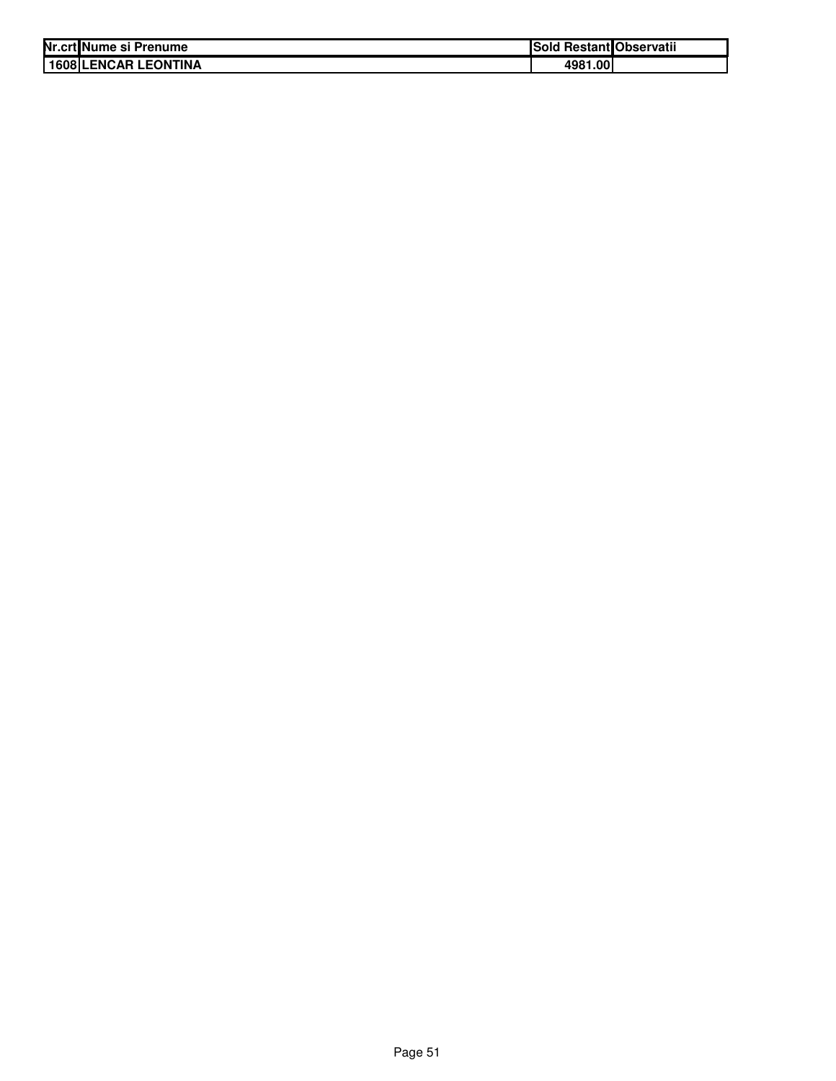| Nr.crt Nume si Prenume      | Sold Restant Observatii |  |
|-----------------------------|-------------------------|--|
| <b>1608 LENCAR LEONTINA</b> | 4981.00                 |  |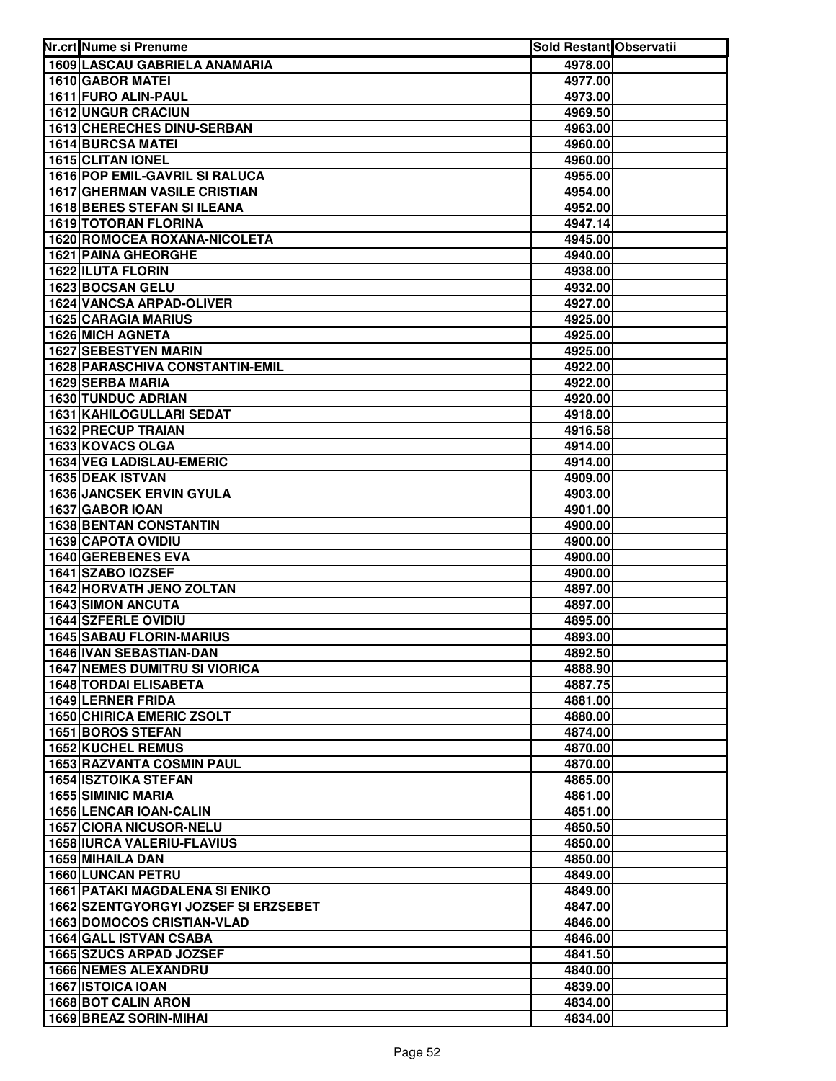| 1609 LASCAU GABRIELA ANAMARIA<br>4978.00<br><b>1610 GABOR MATEL</b><br>4977.00<br>1611 FURO ALIN-PAUL<br>4973.00<br>1612 UNGUR CRACIUN<br>4969.50<br><b>1613 CHERECHES DINU-SERBAN</b><br>4963.00<br><b>1614 BURCSA MATEI</b><br>4960.00<br>1615 CLITAN IONEL<br>4960.00<br>1616 POP EMIL-GAVRIL SI RALUCA<br>4955.00<br><b>1617 GHERMAN VASILE CRISTIAN</b><br>4954.00<br>1618 BERES STEFAN SI ILEANA<br>4952.00<br><b>1619 TOTORAN FLORINA</b><br>4947.14<br>1620 ROMOCEA ROXANA-NICOLETA<br>4945.00<br><b>1621 PAINA GHEORGHE</b><br>4940.00<br><b>1622 ILUTA FLORIN</b><br>4938.00<br>1623 BOCSAN GELU<br>4932.00<br><b>1624 VANCSA ARPAD-OLIVER</b><br>4927.00<br><b>1625 CARAGIA MARIUS</b><br>4925.00<br>1626 MICH AGNETA<br>4925.00<br><b>1627 SEBESTYEN MARIN</b><br>4925.00<br>1628 PARASCHIVA CONSTANTIN-EMIL<br>4922.00<br>1629 SERBA MARIA<br>4922.00<br><b>1630 TUNDUC ADRIAN</b><br>4920.00<br>1631 KAHILOGULLARI SEDAT<br>4918.00<br>1632 PRECUP TRAIAN<br>4916.58<br>1633 KOVACS OLGA<br>4914.00<br>1634 VEG LADISLAU-EMERIC<br>4914.00<br>1635 DEAK ISTVAN<br>4909.00<br><b>1636 JANCSEK ERVIN GYULA</b><br>4903.00<br>1637 GABOR IOAN<br>4901.00<br><b>1638 BENTAN CONSTANTIN</b><br>4900.00<br>1639 CAPOTA OVIDIU<br>4900.00<br>1640 GEREBENES EVA<br>4900.00<br>1641 SZABO IOZSEF<br>4900.00<br>1642 HORVATH JENO ZOLTAN<br>4897.00<br><b>1643 SIMON ANCUTA</b><br>4897.00<br>1644 SZFERLE OVIDIU<br>4895.00<br><b>1645 SABAU FLORIN-MARIUS</b><br>4893.00 | Nr.crt Nume si Prenume | <b>Sold Restant Observatii</b> |  |
|---------------------------------------------------------------------------------------------------------------------------------------------------------------------------------------------------------------------------------------------------------------------------------------------------------------------------------------------------------------------------------------------------------------------------------------------------------------------------------------------------------------------------------------------------------------------------------------------------------------------------------------------------------------------------------------------------------------------------------------------------------------------------------------------------------------------------------------------------------------------------------------------------------------------------------------------------------------------------------------------------------------------------------------------------------------------------------------------------------------------------------------------------------------------------------------------------------------------------------------------------------------------------------------------------------------------------------------------------------------------------------------------------------------------------------------------------------------------------------|------------------------|--------------------------------|--|
|                                                                                                                                                                                                                                                                                                                                                                                                                                                                                                                                                                                                                                                                                                                                                                                                                                                                                                                                                                                                                                                                                                                                                                                                                                                                                                                                                                                                                                                                                 |                        |                                |  |
|                                                                                                                                                                                                                                                                                                                                                                                                                                                                                                                                                                                                                                                                                                                                                                                                                                                                                                                                                                                                                                                                                                                                                                                                                                                                                                                                                                                                                                                                                 |                        |                                |  |
|                                                                                                                                                                                                                                                                                                                                                                                                                                                                                                                                                                                                                                                                                                                                                                                                                                                                                                                                                                                                                                                                                                                                                                                                                                                                                                                                                                                                                                                                                 |                        |                                |  |
|                                                                                                                                                                                                                                                                                                                                                                                                                                                                                                                                                                                                                                                                                                                                                                                                                                                                                                                                                                                                                                                                                                                                                                                                                                                                                                                                                                                                                                                                                 |                        |                                |  |
|                                                                                                                                                                                                                                                                                                                                                                                                                                                                                                                                                                                                                                                                                                                                                                                                                                                                                                                                                                                                                                                                                                                                                                                                                                                                                                                                                                                                                                                                                 |                        |                                |  |
|                                                                                                                                                                                                                                                                                                                                                                                                                                                                                                                                                                                                                                                                                                                                                                                                                                                                                                                                                                                                                                                                                                                                                                                                                                                                                                                                                                                                                                                                                 |                        |                                |  |
|                                                                                                                                                                                                                                                                                                                                                                                                                                                                                                                                                                                                                                                                                                                                                                                                                                                                                                                                                                                                                                                                                                                                                                                                                                                                                                                                                                                                                                                                                 |                        |                                |  |
|                                                                                                                                                                                                                                                                                                                                                                                                                                                                                                                                                                                                                                                                                                                                                                                                                                                                                                                                                                                                                                                                                                                                                                                                                                                                                                                                                                                                                                                                                 |                        |                                |  |
|                                                                                                                                                                                                                                                                                                                                                                                                                                                                                                                                                                                                                                                                                                                                                                                                                                                                                                                                                                                                                                                                                                                                                                                                                                                                                                                                                                                                                                                                                 |                        |                                |  |
|                                                                                                                                                                                                                                                                                                                                                                                                                                                                                                                                                                                                                                                                                                                                                                                                                                                                                                                                                                                                                                                                                                                                                                                                                                                                                                                                                                                                                                                                                 |                        |                                |  |
|                                                                                                                                                                                                                                                                                                                                                                                                                                                                                                                                                                                                                                                                                                                                                                                                                                                                                                                                                                                                                                                                                                                                                                                                                                                                                                                                                                                                                                                                                 |                        |                                |  |
|                                                                                                                                                                                                                                                                                                                                                                                                                                                                                                                                                                                                                                                                                                                                                                                                                                                                                                                                                                                                                                                                                                                                                                                                                                                                                                                                                                                                                                                                                 |                        |                                |  |
|                                                                                                                                                                                                                                                                                                                                                                                                                                                                                                                                                                                                                                                                                                                                                                                                                                                                                                                                                                                                                                                                                                                                                                                                                                                                                                                                                                                                                                                                                 |                        |                                |  |
|                                                                                                                                                                                                                                                                                                                                                                                                                                                                                                                                                                                                                                                                                                                                                                                                                                                                                                                                                                                                                                                                                                                                                                                                                                                                                                                                                                                                                                                                                 |                        |                                |  |
|                                                                                                                                                                                                                                                                                                                                                                                                                                                                                                                                                                                                                                                                                                                                                                                                                                                                                                                                                                                                                                                                                                                                                                                                                                                                                                                                                                                                                                                                                 |                        |                                |  |
|                                                                                                                                                                                                                                                                                                                                                                                                                                                                                                                                                                                                                                                                                                                                                                                                                                                                                                                                                                                                                                                                                                                                                                                                                                                                                                                                                                                                                                                                                 |                        |                                |  |
|                                                                                                                                                                                                                                                                                                                                                                                                                                                                                                                                                                                                                                                                                                                                                                                                                                                                                                                                                                                                                                                                                                                                                                                                                                                                                                                                                                                                                                                                                 |                        |                                |  |
|                                                                                                                                                                                                                                                                                                                                                                                                                                                                                                                                                                                                                                                                                                                                                                                                                                                                                                                                                                                                                                                                                                                                                                                                                                                                                                                                                                                                                                                                                 |                        |                                |  |
|                                                                                                                                                                                                                                                                                                                                                                                                                                                                                                                                                                                                                                                                                                                                                                                                                                                                                                                                                                                                                                                                                                                                                                                                                                                                                                                                                                                                                                                                                 |                        |                                |  |
|                                                                                                                                                                                                                                                                                                                                                                                                                                                                                                                                                                                                                                                                                                                                                                                                                                                                                                                                                                                                                                                                                                                                                                                                                                                                                                                                                                                                                                                                                 |                        |                                |  |
|                                                                                                                                                                                                                                                                                                                                                                                                                                                                                                                                                                                                                                                                                                                                                                                                                                                                                                                                                                                                                                                                                                                                                                                                                                                                                                                                                                                                                                                                                 |                        |                                |  |
|                                                                                                                                                                                                                                                                                                                                                                                                                                                                                                                                                                                                                                                                                                                                                                                                                                                                                                                                                                                                                                                                                                                                                                                                                                                                                                                                                                                                                                                                                 |                        |                                |  |
|                                                                                                                                                                                                                                                                                                                                                                                                                                                                                                                                                                                                                                                                                                                                                                                                                                                                                                                                                                                                                                                                                                                                                                                                                                                                                                                                                                                                                                                                                 |                        |                                |  |
|                                                                                                                                                                                                                                                                                                                                                                                                                                                                                                                                                                                                                                                                                                                                                                                                                                                                                                                                                                                                                                                                                                                                                                                                                                                                                                                                                                                                                                                                                 |                        |                                |  |
|                                                                                                                                                                                                                                                                                                                                                                                                                                                                                                                                                                                                                                                                                                                                                                                                                                                                                                                                                                                                                                                                                                                                                                                                                                                                                                                                                                                                                                                                                 |                        |                                |  |
|                                                                                                                                                                                                                                                                                                                                                                                                                                                                                                                                                                                                                                                                                                                                                                                                                                                                                                                                                                                                                                                                                                                                                                                                                                                                                                                                                                                                                                                                                 |                        |                                |  |
|                                                                                                                                                                                                                                                                                                                                                                                                                                                                                                                                                                                                                                                                                                                                                                                                                                                                                                                                                                                                                                                                                                                                                                                                                                                                                                                                                                                                                                                                                 |                        |                                |  |
|                                                                                                                                                                                                                                                                                                                                                                                                                                                                                                                                                                                                                                                                                                                                                                                                                                                                                                                                                                                                                                                                                                                                                                                                                                                                                                                                                                                                                                                                                 |                        |                                |  |
|                                                                                                                                                                                                                                                                                                                                                                                                                                                                                                                                                                                                                                                                                                                                                                                                                                                                                                                                                                                                                                                                                                                                                                                                                                                                                                                                                                                                                                                                                 |                        |                                |  |
|                                                                                                                                                                                                                                                                                                                                                                                                                                                                                                                                                                                                                                                                                                                                                                                                                                                                                                                                                                                                                                                                                                                                                                                                                                                                                                                                                                                                                                                                                 |                        |                                |  |
|                                                                                                                                                                                                                                                                                                                                                                                                                                                                                                                                                                                                                                                                                                                                                                                                                                                                                                                                                                                                                                                                                                                                                                                                                                                                                                                                                                                                                                                                                 |                        |                                |  |
|                                                                                                                                                                                                                                                                                                                                                                                                                                                                                                                                                                                                                                                                                                                                                                                                                                                                                                                                                                                                                                                                                                                                                                                                                                                                                                                                                                                                                                                                                 |                        |                                |  |
|                                                                                                                                                                                                                                                                                                                                                                                                                                                                                                                                                                                                                                                                                                                                                                                                                                                                                                                                                                                                                                                                                                                                                                                                                                                                                                                                                                                                                                                                                 |                        |                                |  |
|                                                                                                                                                                                                                                                                                                                                                                                                                                                                                                                                                                                                                                                                                                                                                                                                                                                                                                                                                                                                                                                                                                                                                                                                                                                                                                                                                                                                                                                                                 |                        |                                |  |
|                                                                                                                                                                                                                                                                                                                                                                                                                                                                                                                                                                                                                                                                                                                                                                                                                                                                                                                                                                                                                                                                                                                                                                                                                                                                                                                                                                                                                                                                                 |                        |                                |  |
|                                                                                                                                                                                                                                                                                                                                                                                                                                                                                                                                                                                                                                                                                                                                                                                                                                                                                                                                                                                                                                                                                                                                                                                                                                                                                                                                                                                                                                                                                 |                        |                                |  |
| 1646 IVAN SEBASTIAN-DAN                                                                                                                                                                                                                                                                                                                                                                                                                                                                                                                                                                                                                                                                                                                                                                                                                                                                                                                                                                                                                                                                                                                                                                                                                                                                                                                                                                                                                                                         |                        | 4892.50                        |  |
| <b>1647 NEMES DUMITRU SI VIORICA</b><br>4888.90                                                                                                                                                                                                                                                                                                                                                                                                                                                                                                                                                                                                                                                                                                                                                                                                                                                                                                                                                                                                                                                                                                                                                                                                                                                                                                                                                                                                                                 |                        |                                |  |
| <b>1648 TORDAI ELISABETA</b><br>4887.75                                                                                                                                                                                                                                                                                                                                                                                                                                                                                                                                                                                                                                                                                                                                                                                                                                                                                                                                                                                                                                                                                                                                                                                                                                                                                                                                                                                                                                         |                        |                                |  |
| <b>1649 LERNER FRIDA</b><br>4881.00                                                                                                                                                                                                                                                                                                                                                                                                                                                                                                                                                                                                                                                                                                                                                                                                                                                                                                                                                                                                                                                                                                                                                                                                                                                                                                                                                                                                                                             |                        |                                |  |
| <b>1650 CHIRICA EMERIC ZSOLT</b><br>4880.00                                                                                                                                                                                                                                                                                                                                                                                                                                                                                                                                                                                                                                                                                                                                                                                                                                                                                                                                                                                                                                                                                                                                                                                                                                                                                                                                                                                                                                     |                        |                                |  |
| <b>1651 BOROS STEFAN</b><br>4874.00                                                                                                                                                                                                                                                                                                                                                                                                                                                                                                                                                                                                                                                                                                                                                                                                                                                                                                                                                                                                                                                                                                                                                                                                                                                                                                                                                                                                                                             |                        |                                |  |
| <b>1652 KUCHEL REMUS</b><br>4870.00                                                                                                                                                                                                                                                                                                                                                                                                                                                                                                                                                                                                                                                                                                                                                                                                                                                                                                                                                                                                                                                                                                                                                                                                                                                                                                                                                                                                                                             |                        |                                |  |
| <b>1653 RAZVANTA COSMIN PAUL</b><br>4870.00                                                                                                                                                                                                                                                                                                                                                                                                                                                                                                                                                                                                                                                                                                                                                                                                                                                                                                                                                                                                                                                                                                                                                                                                                                                                                                                                                                                                                                     |                        |                                |  |
| <b>1654 ISZTOIKA STEFAN</b><br>4865.00                                                                                                                                                                                                                                                                                                                                                                                                                                                                                                                                                                                                                                                                                                                                                                                                                                                                                                                                                                                                                                                                                                                                                                                                                                                                                                                                                                                                                                          |                        |                                |  |
| <b>1655 SIMINIC MARIA</b><br>4861.00                                                                                                                                                                                                                                                                                                                                                                                                                                                                                                                                                                                                                                                                                                                                                                                                                                                                                                                                                                                                                                                                                                                                                                                                                                                                                                                                                                                                                                            |                        |                                |  |
| 1656 LENCAR IOAN-CALIN<br>4851.00                                                                                                                                                                                                                                                                                                                                                                                                                                                                                                                                                                                                                                                                                                                                                                                                                                                                                                                                                                                                                                                                                                                                                                                                                                                                                                                                                                                                                                               |                        |                                |  |
| <b>1657 CIORA NICUSOR-NELU</b><br>4850.50                                                                                                                                                                                                                                                                                                                                                                                                                                                                                                                                                                                                                                                                                                                                                                                                                                                                                                                                                                                                                                                                                                                                                                                                                                                                                                                                                                                                                                       |                        |                                |  |
| <b>1658 IURCA VALERIU-FLAVIUS</b><br>4850.00                                                                                                                                                                                                                                                                                                                                                                                                                                                                                                                                                                                                                                                                                                                                                                                                                                                                                                                                                                                                                                                                                                                                                                                                                                                                                                                                                                                                                                    |                        |                                |  |
| 1659 MIHAILA DAN<br>4850.00                                                                                                                                                                                                                                                                                                                                                                                                                                                                                                                                                                                                                                                                                                                                                                                                                                                                                                                                                                                                                                                                                                                                                                                                                                                                                                                                                                                                                                                     |                        |                                |  |
| 1660 LUNCAN PETRU<br>4849.00                                                                                                                                                                                                                                                                                                                                                                                                                                                                                                                                                                                                                                                                                                                                                                                                                                                                                                                                                                                                                                                                                                                                                                                                                                                                                                                                                                                                                                                    |                        |                                |  |
| <b>1661 PATAKI MAGDALENA SI ENIKO</b><br>4849.00                                                                                                                                                                                                                                                                                                                                                                                                                                                                                                                                                                                                                                                                                                                                                                                                                                                                                                                                                                                                                                                                                                                                                                                                                                                                                                                                                                                                                                |                        |                                |  |
| 1662 SZENTGYORGYI JOZSEF SI ERZSEBET<br>4847.00<br><b>1663 DOMOCOS CRISTIAN-VLAD</b><br>4846.00                                                                                                                                                                                                                                                                                                                                                                                                                                                                                                                                                                                                                                                                                                                                                                                                                                                                                                                                                                                                                                                                                                                                                                                                                                                                                                                                                                                 |                        |                                |  |
| 1664 GALL ISTVAN CSABA<br>4846.00                                                                                                                                                                                                                                                                                                                                                                                                                                                                                                                                                                                                                                                                                                                                                                                                                                                                                                                                                                                                                                                                                                                                                                                                                                                                                                                                                                                                                                               |                        |                                |  |
| 1665 SZUCS ARPAD JOZSEF<br>4841.50                                                                                                                                                                                                                                                                                                                                                                                                                                                                                                                                                                                                                                                                                                                                                                                                                                                                                                                                                                                                                                                                                                                                                                                                                                                                                                                                                                                                                                              |                        |                                |  |
| <b>1666 NEMES ALEXANDRU</b><br>4840.00                                                                                                                                                                                                                                                                                                                                                                                                                                                                                                                                                                                                                                                                                                                                                                                                                                                                                                                                                                                                                                                                                                                                                                                                                                                                                                                                                                                                                                          |                        |                                |  |
| 1667 ISTOICA IOAN<br>4839.00                                                                                                                                                                                                                                                                                                                                                                                                                                                                                                                                                                                                                                                                                                                                                                                                                                                                                                                                                                                                                                                                                                                                                                                                                                                                                                                                                                                                                                                    |                        |                                |  |
| 1668 BOT CALIN ARON<br>4834.00                                                                                                                                                                                                                                                                                                                                                                                                                                                                                                                                                                                                                                                                                                                                                                                                                                                                                                                                                                                                                                                                                                                                                                                                                                                                                                                                                                                                                                                  |                        |                                |  |
| 1669 BREAZ SORIN-MIHAI<br>4834.00                                                                                                                                                                                                                                                                                                                                                                                                                                                                                                                                                                                                                                                                                                                                                                                                                                                                                                                                                                                                                                                                                                                                                                                                                                                                                                                                                                                                                                               |                        |                                |  |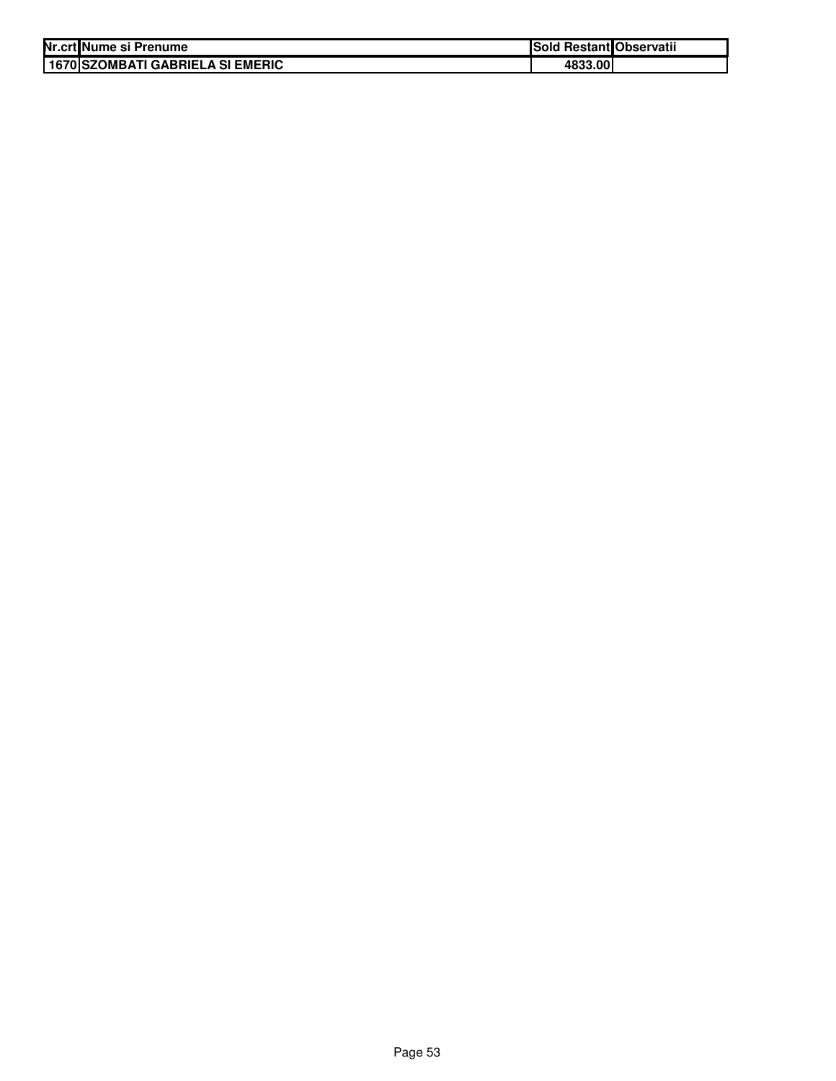| Nr.crt Nume si Prenume |                                     | <b>Sold Restant Observatii</b> |  |
|------------------------|-------------------------------------|--------------------------------|--|
|                        | I 1670 ISZOMBATI GABRIELA SI EMERIC | 4833.00                        |  |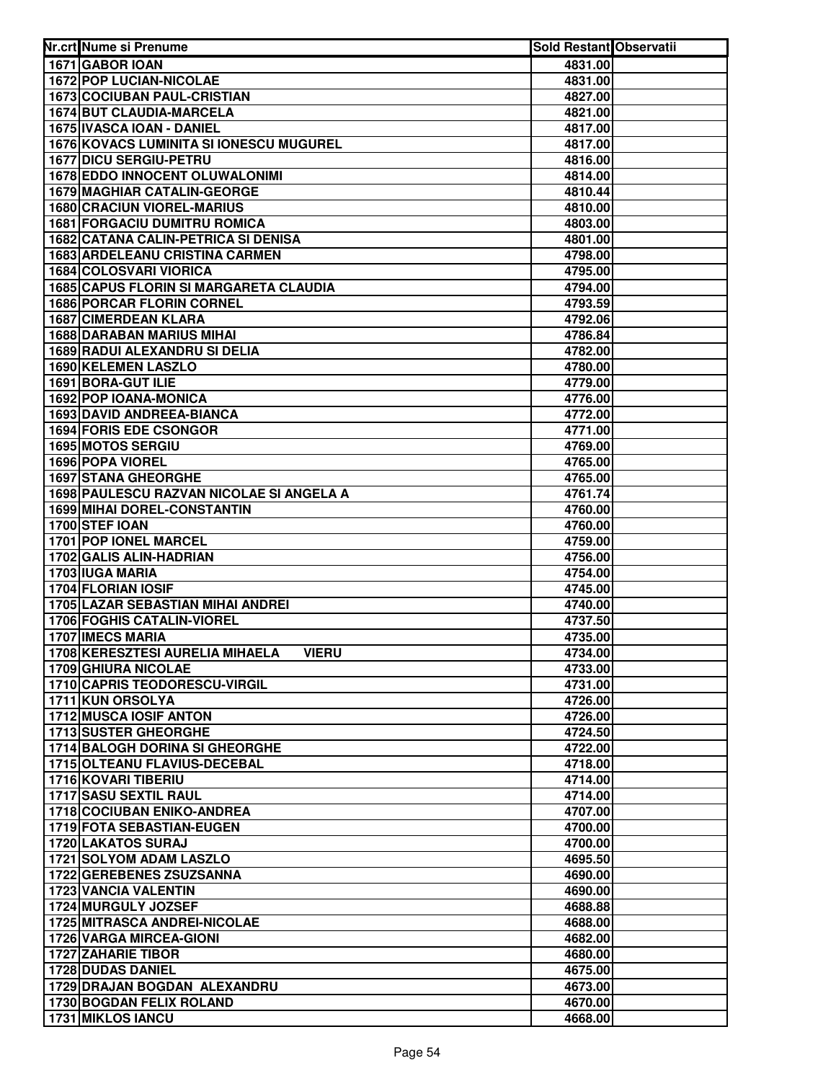| 1671 GABOR IOAN<br>4831.00<br><b>1672 POP LUCIAN-NICOLAE</b><br>4831.00<br><b>1673 COCIUBAN PAUL-CRISTIAN</b><br>4827.00<br>1674 BUT CLAUDIA-MARCELA<br>4821.00<br>1675 IVASCA IOAN - DANIEL<br>4817.00<br>1676 KOVACS LUMINITA SI IONESCU MUGUREL<br>4817.00<br>1677 DICU SERGIU-PETRU<br>4816.00<br><b>1678 EDDO INNOCENT OLUWALONIMI</b><br>4814.00<br>1679 MAGHIAR CATALIN-GEORGE<br>4810.44<br><b>1680 CRACIUN VIOREL-MARIUS</b><br>4810.00<br><b>1681 FORGACIU DUMITRU ROMICA</b><br>4803.00<br>1682 CATANA CALIN-PETRICA SI DENISA<br>4801.00<br><b>1683 ARDELEANU CRISTINA CARMEN</b><br>4798.00<br><b>1684 COLOSVARI VIORICA</b><br>4795.00<br><b>1685 CAPUS FLORIN SI MARGARETA CLAUDIA</b><br>4794.00<br><b>1686 PORCAR FLORIN CORNEL</b><br>4793.59<br><b>1687 CIMERDEAN KLARA</b><br>4792.06<br><b>1688 DARABAN MARIUS MIHAI</b><br>4786.84<br>1689 RADUI ALEXANDRU SI DELIA<br>4782.00<br>1690 KELEMEN LASZLO<br>4780.00<br>1691 BORA-GUT ILIE<br>4779.00<br>1692 POP IOANA-MONICA<br>4776.00<br>1693 DAVID ANDREEA-BIANCA<br>4772.00<br>1694 FORIS EDE CSONGOR<br>4771.00<br>1695 MOTOS SERGIU<br>4769.00<br>1696 POPA VIOREL<br>4765.00<br><b>1697 STANA GHEORGHE</b><br>4765.00<br>1698 PAULESCU RAZVAN NICOLAE SI ANGELA A<br>4761.74<br><b>1699 MIHAI DOREL-CONSTANTIN</b><br>4760.00<br>1700 STEF IOAN<br>4760.00<br>1701 POP IONEL MARCEL<br>4759.00<br>1702 GALIS ALIN-HADRIAN<br>4756.00<br>1703 IUGA MARIA<br>4754.00<br>1704 FLORIAN IOSIF<br>4745.00<br>1705 LAZAR SEBASTIAN MIHAI ANDREI<br>4740.00<br>1706 FOGHIS CATALIN-VIOREL<br>4737.50<br>1707 IMECS MARIA<br>4735.00<br>1708 KERESZTESI AURELIA MIHAELA<br>4734.00<br><b>VIERU</b><br><b>1709 GHIURA NICOLAE</b><br>4733.00<br><b>1710 CAPRIS TEODORESCU-VIRGIL</b><br>4731.00<br>1711 KUN ORSOLYA<br>4726.00<br><b>1712 MUSCA IOSIF ANTON</b><br>4726.00<br><b>1713 SUSTER GHEORGHE</b><br>4724.50<br><b>1714 BALOGH DORINA SI GHEORGHE</b><br>4722.00<br>1715 OLTEANU FLAVIUS-DECEBAL<br>4718.00<br><b>1716 KOVARI TIBERIU</b><br>4714.00<br><b>1717 SASU SEXTIL RAUL</b><br>4714.00<br><b>1718 COCIUBAN ENIKO-ANDREA</b><br>4707.00<br>1719 FOTA SEBASTIAN-EUGEN<br>4700.00<br><b>1720 LAKATOS SURAJ</b><br>4700.00<br>1721 SOLYOM ADAM LASZLO<br>4695.50<br>1722 GEREBENES ZSUZSANNA<br>4690.00<br><b>1723 VANCIA VALENTIN</b><br>4690.00<br>1724 MURGULY JOZSEF<br>4688.88<br><b>1725 MITRASCA ANDREI-NICOLAE</b><br>4688.00<br>1726 VARGA MIRCEA-GIONI<br>4682.00<br><b>1727 ZAHARIE TIBOR</b><br>4680.00<br>1728 DUDAS DANIEL<br>4675.00<br>1729 DRAJAN BOGDAN ALEXANDRU<br>4673.00<br>1730 BOGDAN FELIX ROLAND<br>4670.00<br>1731 MIKLOS IANCU | Nr.crt Nume si Prenume | Sold Restant Observatii |  |
|------------------------------------------------------------------------------------------------------------------------------------------------------------------------------------------------------------------------------------------------------------------------------------------------------------------------------------------------------------------------------------------------------------------------------------------------------------------------------------------------------------------------------------------------------------------------------------------------------------------------------------------------------------------------------------------------------------------------------------------------------------------------------------------------------------------------------------------------------------------------------------------------------------------------------------------------------------------------------------------------------------------------------------------------------------------------------------------------------------------------------------------------------------------------------------------------------------------------------------------------------------------------------------------------------------------------------------------------------------------------------------------------------------------------------------------------------------------------------------------------------------------------------------------------------------------------------------------------------------------------------------------------------------------------------------------------------------------------------------------------------------------------------------------------------------------------------------------------------------------------------------------------------------------------------------------------------------------------------------------------------------------------------------------------------------------------------------------------------------------------------------------------------------------------------------------------------------------------------------------------------------------------------------------------------------------------------------------------------------------------------------------------------------------------------------------------------------------------------------------------------------------------------------------------------------------------------------------------------------------------------------------|------------------------|-------------------------|--|
|                                                                                                                                                                                                                                                                                                                                                                                                                                                                                                                                                                                                                                                                                                                                                                                                                                                                                                                                                                                                                                                                                                                                                                                                                                                                                                                                                                                                                                                                                                                                                                                                                                                                                                                                                                                                                                                                                                                                                                                                                                                                                                                                                                                                                                                                                                                                                                                                                                                                                                                                                                                                                                          |                        |                         |  |
|                                                                                                                                                                                                                                                                                                                                                                                                                                                                                                                                                                                                                                                                                                                                                                                                                                                                                                                                                                                                                                                                                                                                                                                                                                                                                                                                                                                                                                                                                                                                                                                                                                                                                                                                                                                                                                                                                                                                                                                                                                                                                                                                                                                                                                                                                                                                                                                                                                                                                                                                                                                                                                          |                        |                         |  |
|                                                                                                                                                                                                                                                                                                                                                                                                                                                                                                                                                                                                                                                                                                                                                                                                                                                                                                                                                                                                                                                                                                                                                                                                                                                                                                                                                                                                                                                                                                                                                                                                                                                                                                                                                                                                                                                                                                                                                                                                                                                                                                                                                                                                                                                                                                                                                                                                                                                                                                                                                                                                                                          |                        |                         |  |
|                                                                                                                                                                                                                                                                                                                                                                                                                                                                                                                                                                                                                                                                                                                                                                                                                                                                                                                                                                                                                                                                                                                                                                                                                                                                                                                                                                                                                                                                                                                                                                                                                                                                                                                                                                                                                                                                                                                                                                                                                                                                                                                                                                                                                                                                                                                                                                                                                                                                                                                                                                                                                                          |                        |                         |  |
|                                                                                                                                                                                                                                                                                                                                                                                                                                                                                                                                                                                                                                                                                                                                                                                                                                                                                                                                                                                                                                                                                                                                                                                                                                                                                                                                                                                                                                                                                                                                                                                                                                                                                                                                                                                                                                                                                                                                                                                                                                                                                                                                                                                                                                                                                                                                                                                                                                                                                                                                                                                                                                          |                        |                         |  |
|                                                                                                                                                                                                                                                                                                                                                                                                                                                                                                                                                                                                                                                                                                                                                                                                                                                                                                                                                                                                                                                                                                                                                                                                                                                                                                                                                                                                                                                                                                                                                                                                                                                                                                                                                                                                                                                                                                                                                                                                                                                                                                                                                                                                                                                                                                                                                                                                                                                                                                                                                                                                                                          |                        |                         |  |
|                                                                                                                                                                                                                                                                                                                                                                                                                                                                                                                                                                                                                                                                                                                                                                                                                                                                                                                                                                                                                                                                                                                                                                                                                                                                                                                                                                                                                                                                                                                                                                                                                                                                                                                                                                                                                                                                                                                                                                                                                                                                                                                                                                                                                                                                                                                                                                                                                                                                                                                                                                                                                                          |                        |                         |  |
|                                                                                                                                                                                                                                                                                                                                                                                                                                                                                                                                                                                                                                                                                                                                                                                                                                                                                                                                                                                                                                                                                                                                                                                                                                                                                                                                                                                                                                                                                                                                                                                                                                                                                                                                                                                                                                                                                                                                                                                                                                                                                                                                                                                                                                                                                                                                                                                                                                                                                                                                                                                                                                          |                        |                         |  |
|                                                                                                                                                                                                                                                                                                                                                                                                                                                                                                                                                                                                                                                                                                                                                                                                                                                                                                                                                                                                                                                                                                                                                                                                                                                                                                                                                                                                                                                                                                                                                                                                                                                                                                                                                                                                                                                                                                                                                                                                                                                                                                                                                                                                                                                                                                                                                                                                                                                                                                                                                                                                                                          |                        |                         |  |
|                                                                                                                                                                                                                                                                                                                                                                                                                                                                                                                                                                                                                                                                                                                                                                                                                                                                                                                                                                                                                                                                                                                                                                                                                                                                                                                                                                                                                                                                                                                                                                                                                                                                                                                                                                                                                                                                                                                                                                                                                                                                                                                                                                                                                                                                                                                                                                                                                                                                                                                                                                                                                                          |                        |                         |  |
|                                                                                                                                                                                                                                                                                                                                                                                                                                                                                                                                                                                                                                                                                                                                                                                                                                                                                                                                                                                                                                                                                                                                                                                                                                                                                                                                                                                                                                                                                                                                                                                                                                                                                                                                                                                                                                                                                                                                                                                                                                                                                                                                                                                                                                                                                                                                                                                                                                                                                                                                                                                                                                          |                        |                         |  |
|                                                                                                                                                                                                                                                                                                                                                                                                                                                                                                                                                                                                                                                                                                                                                                                                                                                                                                                                                                                                                                                                                                                                                                                                                                                                                                                                                                                                                                                                                                                                                                                                                                                                                                                                                                                                                                                                                                                                                                                                                                                                                                                                                                                                                                                                                                                                                                                                                                                                                                                                                                                                                                          |                        |                         |  |
|                                                                                                                                                                                                                                                                                                                                                                                                                                                                                                                                                                                                                                                                                                                                                                                                                                                                                                                                                                                                                                                                                                                                                                                                                                                                                                                                                                                                                                                                                                                                                                                                                                                                                                                                                                                                                                                                                                                                                                                                                                                                                                                                                                                                                                                                                                                                                                                                                                                                                                                                                                                                                                          |                        |                         |  |
|                                                                                                                                                                                                                                                                                                                                                                                                                                                                                                                                                                                                                                                                                                                                                                                                                                                                                                                                                                                                                                                                                                                                                                                                                                                                                                                                                                                                                                                                                                                                                                                                                                                                                                                                                                                                                                                                                                                                                                                                                                                                                                                                                                                                                                                                                                                                                                                                                                                                                                                                                                                                                                          |                        |                         |  |
|                                                                                                                                                                                                                                                                                                                                                                                                                                                                                                                                                                                                                                                                                                                                                                                                                                                                                                                                                                                                                                                                                                                                                                                                                                                                                                                                                                                                                                                                                                                                                                                                                                                                                                                                                                                                                                                                                                                                                                                                                                                                                                                                                                                                                                                                                                                                                                                                                                                                                                                                                                                                                                          |                        |                         |  |
|                                                                                                                                                                                                                                                                                                                                                                                                                                                                                                                                                                                                                                                                                                                                                                                                                                                                                                                                                                                                                                                                                                                                                                                                                                                                                                                                                                                                                                                                                                                                                                                                                                                                                                                                                                                                                                                                                                                                                                                                                                                                                                                                                                                                                                                                                                                                                                                                                                                                                                                                                                                                                                          |                        |                         |  |
|                                                                                                                                                                                                                                                                                                                                                                                                                                                                                                                                                                                                                                                                                                                                                                                                                                                                                                                                                                                                                                                                                                                                                                                                                                                                                                                                                                                                                                                                                                                                                                                                                                                                                                                                                                                                                                                                                                                                                                                                                                                                                                                                                                                                                                                                                                                                                                                                                                                                                                                                                                                                                                          |                        |                         |  |
|                                                                                                                                                                                                                                                                                                                                                                                                                                                                                                                                                                                                                                                                                                                                                                                                                                                                                                                                                                                                                                                                                                                                                                                                                                                                                                                                                                                                                                                                                                                                                                                                                                                                                                                                                                                                                                                                                                                                                                                                                                                                                                                                                                                                                                                                                                                                                                                                                                                                                                                                                                                                                                          |                        |                         |  |
|                                                                                                                                                                                                                                                                                                                                                                                                                                                                                                                                                                                                                                                                                                                                                                                                                                                                                                                                                                                                                                                                                                                                                                                                                                                                                                                                                                                                                                                                                                                                                                                                                                                                                                                                                                                                                                                                                                                                                                                                                                                                                                                                                                                                                                                                                                                                                                                                                                                                                                                                                                                                                                          |                        |                         |  |
|                                                                                                                                                                                                                                                                                                                                                                                                                                                                                                                                                                                                                                                                                                                                                                                                                                                                                                                                                                                                                                                                                                                                                                                                                                                                                                                                                                                                                                                                                                                                                                                                                                                                                                                                                                                                                                                                                                                                                                                                                                                                                                                                                                                                                                                                                                                                                                                                                                                                                                                                                                                                                                          |                        |                         |  |
|                                                                                                                                                                                                                                                                                                                                                                                                                                                                                                                                                                                                                                                                                                                                                                                                                                                                                                                                                                                                                                                                                                                                                                                                                                                                                                                                                                                                                                                                                                                                                                                                                                                                                                                                                                                                                                                                                                                                                                                                                                                                                                                                                                                                                                                                                                                                                                                                                                                                                                                                                                                                                                          |                        |                         |  |
|                                                                                                                                                                                                                                                                                                                                                                                                                                                                                                                                                                                                                                                                                                                                                                                                                                                                                                                                                                                                                                                                                                                                                                                                                                                                                                                                                                                                                                                                                                                                                                                                                                                                                                                                                                                                                                                                                                                                                                                                                                                                                                                                                                                                                                                                                                                                                                                                                                                                                                                                                                                                                                          |                        |                         |  |
|                                                                                                                                                                                                                                                                                                                                                                                                                                                                                                                                                                                                                                                                                                                                                                                                                                                                                                                                                                                                                                                                                                                                                                                                                                                                                                                                                                                                                                                                                                                                                                                                                                                                                                                                                                                                                                                                                                                                                                                                                                                                                                                                                                                                                                                                                                                                                                                                                                                                                                                                                                                                                                          |                        |                         |  |
|                                                                                                                                                                                                                                                                                                                                                                                                                                                                                                                                                                                                                                                                                                                                                                                                                                                                                                                                                                                                                                                                                                                                                                                                                                                                                                                                                                                                                                                                                                                                                                                                                                                                                                                                                                                                                                                                                                                                                                                                                                                                                                                                                                                                                                                                                                                                                                                                                                                                                                                                                                                                                                          |                        |                         |  |
|                                                                                                                                                                                                                                                                                                                                                                                                                                                                                                                                                                                                                                                                                                                                                                                                                                                                                                                                                                                                                                                                                                                                                                                                                                                                                                                                                                                                                                                                                                                                                                                                                                                                                                                                                                                                                                                                                                                                                                                                                                                                                                                                                                                                                                                                                                                                                                                                                                                                                                                                                                                                                                          |                        |                         |  |
|                                                                                                                                                                                                                                                                                                                                                                                                                                                                                                                                                                                                                                                                                                                                                                                                                                                                                                                                                                                                                                                                                                                                                                                                                                                                                                                                                                                                                                                                                                                                                                                                                                                                                                                                                                                                                                                                                                                                                                                                                                                                                                                                                                                                                                                                                                                                                                                                                                                                                                                                                                                                                                          |                        |                         |  |
|                                                                                                                                                                                                                                                                                                                                                                                                                                                                                                                                                                                                                                                                                                                                                                                                                                                                                                                                                                                                                                                                                                                                                                                                                                                                                                                                                                                                                                                                                                                                                                                                                                                                                                                                                                                                                                                                                                                                                                                                                                                                                                                                                                                                                                                                                                                                                                                                                                                                                                                                                                                                                                          |                        |                         |  |
|                                                                                                                                                                                                                                                                                                                                                                                                                                                                                                                                                                                                                                                                                                                                                                                                                                                                                                                                                                                                                                                                                                                                                                                                                                                                                                                                                                                                                                                                                                                                                                                                                                                                                                                                                                                                                                                                                                                                                                                                                                                                                                                                                                                                                                                                                                                                                                                                                                                                                                                                                                                                                                          |                        |                         |  |
|                                                                                                                                                                                                                                                                                                                                                                                                                                                                                                                                                                                                                                                                                                                                                                                                                                                                                                                                                                                                                                                                                                                                                                                                                                                                                                                                                                                                                                                                                                                                                                                                                                                                                                                                                                                                                                                                                                                                                                                                                                                                                                                                                                                                                                                                                                                                                                                                                                                                                                                                                                                                                                          |                        |                         |  |
|                                                                                                                                                                                                                                                                                                                                                                                                                                                                                                                                                                                                                                                                                                                                                                                                                                                                                                                                                                                                                                                                                                                                                                                                                                                                                                                                                                                                                                                                                                                                                                                                                                                                                                                                                                                                                                                                                                                                                                                                                                                                                                                                                                                                                                                                                                                                                                                                                                                                                                                                                                                                                                          |                        |                         |  |
|                                                                                                                                                                                                                                                                                                                                                                                                                                                                                                                                                                                                                                                                                                                                                                                                                                                                                                                                                                                                                                                                                                                                                                                                                                                                                                                                                                                                                                                                                                                                                                                                                                                                                                                                                                                                                                                                                                                                                                                                                                                                                                                                                                                                                                                                                                                                                                                                                                                                                                                                                                                                                                          |                        |                         |  |
|                                                                                                                                                                                                                                                                                                                                                                                                                                                                                                                                                                                                                                                                                                                                                                                                                                                                                                                                                                                                                                                                                                                                                                                                                                                                                                                                                                                                                                                                                                                                                                                                                                                                                                                                                                                                                                                                                                                                                                                                                                                                                                                                                                                                                                                                                                                                                                                                                                                                                                                                                                                                                                          |                        |                         |  |
|                                                                                                                                                                                                                                                                                                                                                                                                                                                                                                                                                                                                                                                                                                                                                                                                                                                                                                                                                                                                                                                                                                                                                                                                                                                                                                                                                                                                                                                                                                                                                                                                                                                                                                                                                                                                                                                                                                                                                                                                                                                                                                                                                                                                                                                                                                                                                                                                                                                                                                                                                                                                                                          |                        |                         |  |
|                                                                                                                                                                                                                                                                                                                                                                                                                                                                                                                                                                                                                                                                                                                                                                                                                                                                                                                                                                                                                                                                                                                                                                                                                                                                                                                                                                                                                                                                                                                                                                                                                                                                                                                                                                                                                                                                                                                                                                                                                                                                                                                                                                                                                                                                                                                                                                                                                                                                                                                                                                                                                                          |                        |                         |  |
|                                                                                                                                                                                                                                                                                                                                                                                                                                                                                                                                                                                                                                                                                                                                                                                                                                                                                                                                                                                                                                                                                                                                                                                                                                                                                                                                                                                                                                                                                                                                                                                                                                                                                                                                                                                                                                                                                                                                                                                                                                                                                                                                                                                                                                                                                                                                                                                                                                                                                                                                                                                                                                          |                        |                         |  |
|                                                                                                                                                                                                                                                                                                                                                                                                                                                                                                                                                                                                                                                                                                                                                                                                                                                                                                                                                                                                                                                                                                                                                                                                                                                                                                                                                                                                                                                                                                                                                                                                                                                                                                                                                                                                                                                                                                                                                                                                                                                                                                                                                                                                                                                                                                                                                                                                                                                                                                                                                                                                                                          |                        |                         |  |
|                                                                                                                                                                                                                                                                                                                                                                                                                                                                                                                                                                                                                                                                                                                                                                                                                                                                                                                                                                                                                                                                                                                                                                                                                                                                                                                                                                                                                                                                                                                                                                                                                                                                                                                                                                                                                                                                                                                                                                                                                                                                                                                                                                                                                                                                                                                                                                                                                                                                                                                                                                                                                                          |                        |                         |  |
|                                                                                                                                                                                                                                                                                                                                                                                                                                                                                                                                                                                                                                                                                                                                                                                                                                                                                                                                                                                                                                                                                                                                                                                                                                                                                                                                                                                                                                                                                                                                                                                                                                                                                                                                                                                                                                                                                                                                                                                                                                                                                                                                                                                                                                                                                                                                                                                                                                                                                                                                                                                                                                          |                        |                         |  |
|                                                                                                                                                                                                                                                                                                                                                                                                                                                                                                                                                                                                                                                                                                                                                                                                                                                                                                                                                                                                                                                                                                                                                                                                                                                                                                                                                                                                                                                                                                                                                                                                                                                                                                                                                                                                                                                                                                                                                                                                                                                                                                                                                                                                                                                                                                                                                                                                                                                                                                                                                                                                                                          |                        |                         |  |
|                                                                                                                                                                                                                                                                                                                                                                                                                                                                                                                                                                                                                                                                                                                                                                                                                                                                                                                                                                                                                                                                                                                                                                                                                                                                                                                                                                                                                                                                                                                                                                                                                                                                                                                                                                                                                                                                                                                                                                                                                                                                                                                                                                                                                                                                                                                                                                                                                                                                                                                                                                                                                                          |                        |                         |  |
|                                                                                                                                                                                                                                                                                                                                                                                                                                                                                                                                                                                                                                                                                                                                                                                                                                                                                                                                                                                                                                                                                                                                                                                                                                                                                                                                                                                                                                                                                                                                                                                                                                                                                                                                                                                                                                                                                                                                                                                                                                                                                                                                                                                                                                                                                                                                                                                                                                                                                                                                                                                                                                          |                        |                         |  |
|                                                                                                                                                                                                                                                                                                                                                                                                                                                                                                                                                                                                                                                                                                                                                                                                                                                                                                                                                                                                                                                                                                                                                                                                                                                                                                                                                                                                                                                                                                                                                                                                                                                                                                                                                                                                                                                                                                                                                                                                                                                                                                                                                                                                                                                                                                                                                                                                                                                                                                                                                                                                                                          |                        |                         |  |
|                                                                                                                                                                                                                                                                                                                                                                                                                                                                                                                                                                                                                                                                                                                                                                                                                                                                                                                                                                                                                                                                                                                                                                                                                                                                                                                                                                                                                                                                                                                                                                                                                                                                                                                                                                                                                                                                                                                                                                                                                                                                                                                                                                                                                                                                                                                                                                                                                                                                                                                                                                                                                                          |                        |                         |  |
|                                                                                                                                                                                                                                                                                                                                                                                                                                                                                                                                                                                                                                                                                                                                                                                                                                                                                                                                                                                                                                                                                                                                                                                                                                                                                                                                                                                                                                                                                                                                                                                                                                                                                                                                                                                                                                                                                                                                                                                                                                                                                                                                                                                                                                                                                                                                                                                                                                                                                                                                                                                                                                          |                        |                         |  |
|                                                                                                                                                                                                                                                                                                                                                                                                                                                                                                                                                                                                                                                                                                                                                                                                                                                                                                                                                                                                                                                                                                                                                                                                                                                                                                                                                                                                                                                                                                                                                                                                                                                                                                                                                                                                                                                                                                                                                                                                                                                                                                                                                                                                                                                                                                                                                                                                                                                                                                                                                                                                                                          |                        |                         |  |
|                                                                                                                                                                                                                                                                                                                                                                                                                                                                                                                                                                                                                                                                                                                                                                                                                                                                                                                                                                                                                                                                                                                                                                                                                                                                                                                                                                                                                                                                                                                                                                                                                                                                                                                                                                                                                                                                                                                                                                                                                                                                                                                                                                                                                                                                                                                                                                                                                                                                                                                                                                                                                                          |                        |                         |  |
|                                                                                                                                                                                                                                                                                                                                                                                                                                                                                                                                                                                                                                                                                                                                                                                                                                                                                                                                                                                                                                                                                                                                                                                                                                                                                                                                                                                                                                                                                                                                                                                                                                                                                                                                                                                                                                                                                                                                                                                                                                                                                                                                                                                                                                                                                                                                                                                                                                                                                                                                                                                                                                          |                        |                         |  |
|                                                                                                                                                                                                                                                                                                                                                                                                                                                                                                                                                                                                                                                                                                                                                                                                                                                                                                                                                                                                                                                                                                                                                                                                                                                                                                                                                                                                                                                                                                                                                                                                                                                                                                                                                                                                                                                                                                                                                                                                                                                                                                                                                                                                                                                                                                                                                                                                                                                                                                                                                                                                                                          |                        |                         |  |
|                                                                                                                                                                                                                                                                                                                                                                                                                                                                                                                                                                                                                                                                                                                                                                                                                                                                                                                                                                                                                                                                                                                                                                                                                                                                                                                                                                                                                                                                                                                                                                                                                                                                                                                                                                                                                                                                                                                                                                                                                                                                                                                                                                                                                                                                                                                                                                                                                                                                                                                                                                                                                                          |                        |                         |  |
|                                                                                                                                                                                                                                                                                                                                                                                                                                                                                                                                                                                                                                                                                                                                                                                                                                                                                                                                                                                                                                                                                                                                                                                                                                                                                                                                                                                                                                                                                                                                                                                                                                                                                                                                                                                                                                                                                                                                                                                                                                                                                                                                                                                                                                                                                                                                                                                                                                                                                                                                                                                                                                          |                        |                         |  |
|                                                                                                                                                                                                                                                                                                                                                                                                                                                                                                                                                                                                                                                                                                                                                                                                                                                                                                                                                                                                                                                                                                                                                                                                                                                                                                                                                                                                                                                                                                                                                                                                                                                                                                                                                                                                                                                                                                                                                                                                                                                                                                                                                                                                                                                                                                                                                                                                                                                                                                                                                                                                                                          |                        |                         |  |
|                                                                                                                                                                                                                                                                                                                                                                                                                                                                                                                                                                                                                                                                                                                                                                                                                                                                                                                                                                                                                                                                                                                                                                                                                                                                                                                                                                                                                                                                                                                                                                                                                                                                                                                                                                                                                                                                                                                                                                                                                                                                                                                                                                                                                                                                                                                                                                                                                                                                                                                                                                                                                                          |                        |                         |  |
|                                                                                                                                                                                                                                                                                                                                                                                                                                                                                                                                                                                                                                                                                                                                                                                                                                                                                                                                                                                                                                                                                                                                                                                                                                                                                                                                                                                                                                                                                                                                                                                                                                                                                                                                                                                                                                                                                                                                                                                                                                                                                                                                                                                                                                                                                                                                                                                                                                                                                                                                                                                                                                          |                        |                         |  |
|                                                                                                                                                                                                                                                                                                                                                                                                                                                                                                                                                                                                                                                                                                                                                                                                                                                                                                                                                                                                                                                                                                                                                                                                                                                                                                                                                                                                                                                                                                                                                                                                                                                                                                                                                                                                                                                                                                                                                                                                                                                                                                                                                                                                                                                                                                                                                                                                                                                                                                                                                                                                                                          |                        |                         |  |
|                                                                                                                                                                                                                                                                                                                                                                                                                                                                                                                                                                                                                                                                                                                                                                                                                                                                                                                                                                                                                                                                                                                                                                                                                                                                                                                                                                                                                                                                                                                                                                                                                                                                                                                                                                                                                                                                                                                                                                                                                                                                                                                                                                                                                                                                                                                                                                                                                                                                                                                                                                                                                                          |                        |                         |  |
|                                                                                                                                                                                                                                                                                                                                                                                                                                                                                                                                                                                                                                                                                                                                                                                                                                                                                                                                                                                                                                                                                                                                                                                                                                                                                                                                                                                                                                                                                                                                                                                                                                                                                                                                                                                                                                                                                                                                                                                                                                                                                                                                                                                                                                                                                                                                                                                                                                                                                                                                                                                                                                          |                        |                         |  |
|                                                                                                                                                                                                                                                                                                                                                                                                                                                                                                                                                                                                                                                                                                                                                                                                                                                                                                                                                                                                                                                                                                                                                                                                                                                                                                                                                                                                                                                                                                                                                                                                                                                                                                                                                                                                                                                                                                                                                                                                                                                                                                                                                                                                                                                                                                                                                                                                                                                                                                                                                                                                                                          |                        |                         |  |
|                                                                                                                                                                                                                                                                                                                                                                                                                                                                                                                                                                                                                                                                                                                                                                                                                                                                                                                                                                                                                                                                                                                                                                                                                                                                                                                                                                                                                                                                                                                                                                                                                                                                                                                                                                                                                                                                                                                                                                                                                                                                                                                                                                                                                                                                                                                                                                                                                                                                                                                                                                                                                                          |                        |                         |  |
|                                                                                                                                                                                                                                                                                                                                                                                                                                                                                                                                                                                                                                                                                                                                                                                                                                                                                                                                                                                                                                                                                                                                                                                                                                                                                                                                                                                                                                                                                                                                                                                                                                                                                                                                                                                                                                                                                                                                                                                                                                                                                                                                                                                                                                                                                                                                                                                                                                                                                                                                                                                                                                          |                        |                         |  |
|                                                                                                                                                                                                                                                                                                                                                                                                                                                                                                                                                                                                                                                                                                                                                                                                                                                                                                                                                                                                                                                                                                                                                                                                                                                                                                                                                                                                                                                                                                                                                                                                                                                                                                                                                                                                                                                                                                                                                                                                                                                                                                                                                                                                                                                                                                                                                                                                                                                                                                                                                                                                                                          |                        | 4668.00                 |  |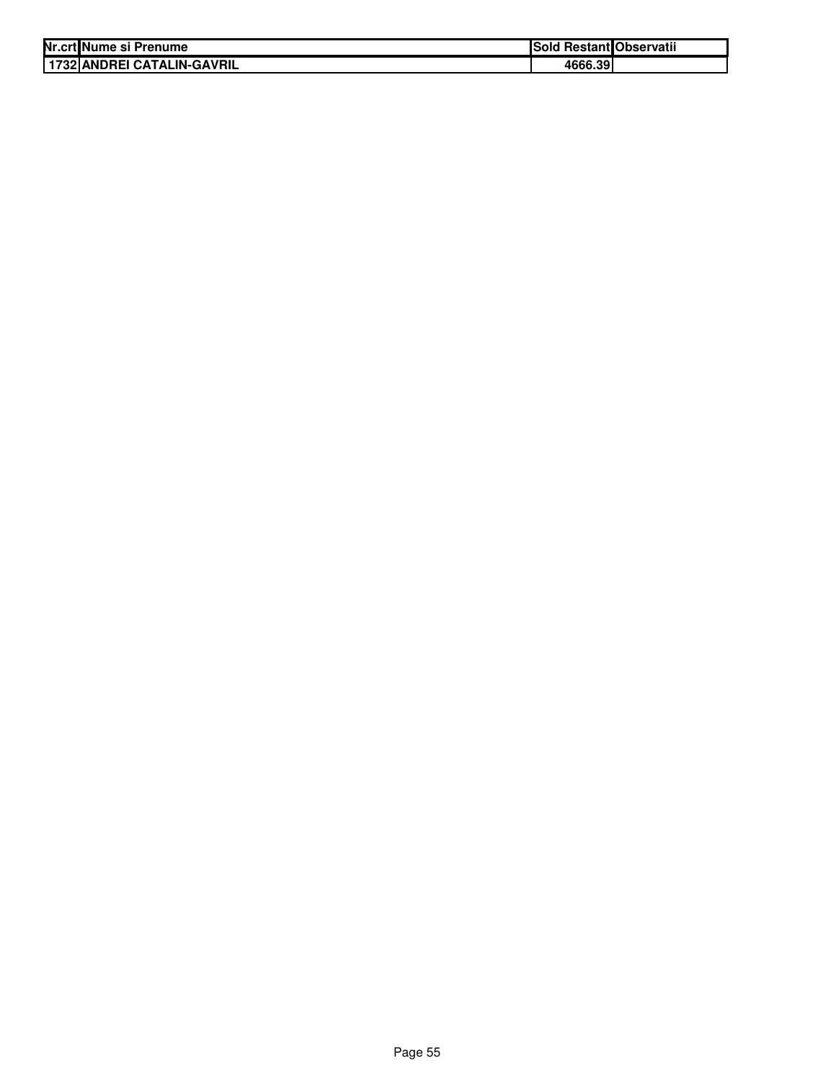| Nr.crt Nume si Prenume       | Sold Restant Observatii |  |
|------------------------------|-------------------------|--|
| I 1732 ANDREI CATALIN-GAVRIL | 4666.39                 |  |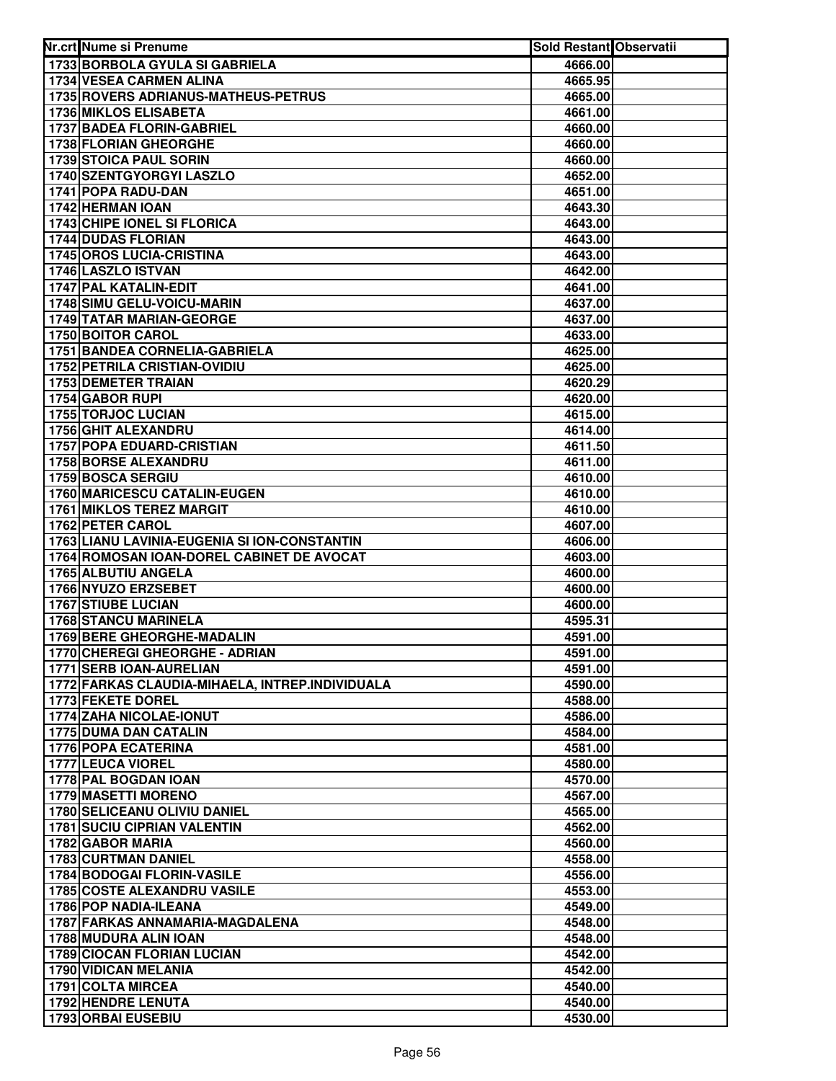| 1733 BORBOLA GYULA SI GABRIELA<br>4666.00<br>1734 VESEA CARMEN ALINA<br>4665.95<br>1735 ROVERS ADRIANUS-MATHEUS-PETRUS<br>4665.00<br>1736 MIKLOS ELISABETA<br>4661.00<br><b>1737 BADEA FLORIN-GABRIEL</b><br>4660.00<br>1738 FLORIAN GHEORGHE<br>4660.00<br>1739 STOICA PAUL SORIN<br>4660.00<br>1740 SZENTGYORGYI LASZLO<br>4652.00<br>1741 POPA RADU-DAN<br>4651.00<br>1742 HERMAN IOAN<br>4643.30<br>1743 CHIPE IONEL SI FLORICA<br>4643.00<br>1744 DUDAS FLORIAN<br>4643.00<br><b>1745 OROS LUCIA-CRISTINA</b><br>4643.00<br>1746 LASZLO ISTVAN<br>4642.00<br>1747 PAL KATALIN-EDIT<br>4641.00<br>1748 SIMU GELU-VOICU-MARIN<br>4637.00<br><b>1749 TATAR MARIAN-GEORGE</b><br>4637.00<br>1750 BOITOR CAROL<br>4633.00<br>1751 BANDEA CORNELIA-GABRIELA<br>4625.00<br>1752 PETRILA CRISTIAN-OVIDIU<br>4625.00<br>1753 DEMETER TRAIAN<br>4620.29<br>1754 GABOR RUPI<br>4620.00<br>1755 TORJOC LUCIAN<br>4615.00<br>1756 GHIT ALEXANDRU<br>4614.00<br><b>1757 POPA EDUARD-CRISTIAN</b><br>4611.50<br>1758 BORSE ALEXANDRU<br>4611.00<br>1759 BOSCA SERGIU<br>4610.00<br>1760 MARICESCU CATALIN-EUGEN<br>4610.00<br><b>1761 MIKLOS TEREZ MARGIT</b><br>4610.00<br>1762 PETER CAROL<br>4607.00<br>1763 LIANU LAVINIA-EUGENIA SI ION-CONSTANTIN<br>4606.00<br>1764 ROMOSAN IOAN-DOREL CABINET DE AVOCAT<br>4603.00<br>1765 ALBUTIU ANGELA<br>4600.00<br>1766 NYUZO ERZSEBET<br>4600.00<br>1767 STIUBE LUCIAN<br>4600.00<br>1768 STANCU MARINELA<br>4595.31<br>1769 BERE GHEORGHE-MADALIN<br>4591.00<br>1770 CHEREGI GHEORGHE - ADRIAN<br>4591.00<br><b>1771 SERB IOAN-AURELIAN</b><br>4591.00<br>1772 FARKAS CLAUDIA-MIHAELA, INTREP.INDIVIDUALA<br>4590.00<br>1773 FEKETE DOREL<br>4588.00<br>1774 ZAHA NICOLAE-IONUT<br>4586.00<br><b>1775 DUMA DAN CATALIN</b><br>4584.00<br>1776 POPA ECATERINA<br>4581.00<br>1777 LEUCA VIOREL<br>4580.00<br>1778 PAL BOGDAN IOAN<br>4570.00<br><b>1779 MASETTI MORENO</b><br>4567.00<br>1780 SELICEANU OLIVIU DANIEL<br>4565.00<br><b>1781 SUCIU CIPRIAN VALENTIN</b><br>4562.00<br>1782 GABOR MARIA<br>4560.00<br>1783 CURTMAN DANIEL<br>4558.00<br>1784 BODOGAI FLORIN-VASILE<br>4556.00<br>1785 COSTE ALEXANDRU VASILE<br>4553.00<br>1786 POP NADIA-ILEANA<br>4549.00<br>1787 FARKAS ANNAMARIA-MAGDALENA<br>4548.00<br>1788 MUDURA ALIN IOAN<br>4548.00<br><b>1789 CIOCAN FLORIAN LUCIAN</b><br>4542.00<br>1790 VIDICAN MELANIA<br>4542.00<br>1791 COLTA MIRCEA<br>4540.00<br>1792 HENDRE LENUTA<br>4540.00 | Nr.crt Nume si Prenume | Sold Restant Observatii |  |
|----------------------------------------------------------------------------------------------------------------------------------------------------------------------------------------------------------------------------------------------------------------------------------------------------------------------------------------------------------------------------------------------------------------------------------------------------------------------------------------------------------------------------------------------------------------------------------------------------------------------------------------------------------------------------------------------------------------------------------------------------------------------------------------------------------------------------------------------------------------------------------------------------------------------------------------------------------------------------------------------------------------------------------------------------------------------------------------------------------------------------------------------------------------------------------------------------------------------------------------------------------------------------------------------------------------------------------------------------------------------------------------------------------------------------------------------------------------------------------------------------------------------------------------------------------------------------------------------------------------------------------------------------------------------------------------------------------------------------------------------------------------------------------------------------------------------------------------------------------------------------------------------------------------------------------------------------------------------------------------------------------------------------------------------------------------------------------------------------------------------------------------------------------------------------------------------------------------------------------------------------------------------------------------------------------------------------------------------------------------------------------------------------------------------------------------------------|------------------------|-------------------------|--|
|                                                                                                                                                                                                                                                                                                                                                                                                                                                                                                                                                                                                                                                                                                                                                                                                                                                                                                                                                                                                                                                                                                                                                                                                                                                                                                                                                                                                                                                                                                                                                                                                                                                                                                                                                                                                                                                                                                                                                                                                                                                                                                                                                                                                                                                                                                                                                                                                                                                    |                        |                         |  |
|                                                                                                                                                                                                                                                                                                                                                                                                                                                                                                                                                                                                                                                                                                                                                                                                                                                                                                                                                                                                                                                                                                                                                                                                                                                                                                                                                                                                                                                                                                                                                                                                                                                                                                                                                                                                                                                                                                                                                                                                                                                                                                                                                                                                                                                                                                                                                                                                                                                    |                        |                         |  |
|                                                                                                                                                                                                                                                                                                                                                                                                                                                                                                                                                                                                                                                                                                                                                                                                                                                                                                                                                                                                                                                                                                                                                                                                                                                                                                                                                                                                                                                                                                                                                                                                                                                                                                                                                                                                                                                                                                                                                                                                                                                                                                                                                                                                                                                                                                                                                                                                                                                    |                        |                         |  |
|                                                                                                                                                                                                                                                                                                                                                                                                                                                                                                                                                                                                                                                                                                                                                                                                                                                                                                                                                                                                                                                                                                                                                                                                                                                                                                                                                                                                                                                                                                                                                                                                                                                                                                                                                                                                                                                                                                                                                                                                                                                                                                                                                                                                                                                                                                                                                                                                                                                    |                        |                         |  |
|                                                                                                                                                                                                                                                                                                                                                                                                                                                                                                                                                                                                                                                                                                                                                                                                                                                                                                                                                                                                                                                                                                                                                                                                                                                                                                                                                                                                                                                                                                                                                                                                                                                                                                                                                                                                                                                                                                                                                                                                                                                                                                                                                                                                                                                                                                                                                                                                                                                    |                        |                         |  |
|                                                                                                                                                                                                                                                                                                                                                                                                                                                                                                                                                                                                                                                                                                                                                                                                                                                                                                                                                                                                                                                                                                                                                                                                                                                                                                                                                                                                                                                                                                                                                                                                                                                                                                                                                                                                                                                                                                                                                                                                                                                                                                                                                                                                                                                                                                                                                                                                                                                    |                        |                         |  |
|                                                                                                                                                                                                                                                                                                                                                                                                                                                                                                                                                                                                                                                                                                                                                                                                                                                                                                                                                                                                                                                                                                                                                                                                                                                                                                                                                                                                                                                                                                                                                                                                                                                                                                                                                                                                                                                                                                                                                                                                                                                                                                                                                                                                                                                                                                                                                                                                                                                    |                        |                         |  |
|                                                                                                                                                                                                                                                                                                                                                                                                                                                                                                                                                                                                                                                                                                                                                                                                                                                                                                                                                                                                                                                                                                                                                                                                                                                                                                                                                                                                                                                                                                                                                                                                                                                                                                                                                                                                                                                                                                                                                                                                                                                                                                                                                                                                                                                                                                                                                                                                                                                    |                        |                         |  |
|                                                                                                                                                                                                                                                                                                                                                                                                                                                                                                                                                                                                                                                                                                                                                                                                                                                                                                                                                                                                                                                                                                                                                                                                                                                                                                                                                                                                                                                                                                                                                                                                                                                                                                                                                                                                                                                                                                                                                                                                                                                                                                                                                                                                                                                                                                                                                                                                                                                    |                        |                         |  |
|                                                                                                                                                                                                                                                                                                                                                                                                                                                                                                                                                                                                                                                                                                                                                                                                                                                                                                                                                                                                                                                                                                                                                                                                                                                                                                                                                                                                                                                                                                                                                                                                                                                                                                                                                                                                                                                                                                                                                                                                                                                                                                                                                                                                                                                                                                                                                                                                                                                    |                        |                         |  |
|                                                                                                                                                                                                                                                                                                                                                                                                                                                                                                                                                                                                                                                                                                                                                                                                                                                                                                                                                                                                                                                                                                                                                                                                                                                                                                                                                                                                                                                                                                                                                                                                                                                                                                                                                                                                                                                                                                                                                                                                                                                                                                                                                                                                                                                                                                                                                                                                                                                    |                        |                         |  |
|                                                                                                                                                                                                                                                                                                                                                                                                                                                                                                                                                                                                                                                                                                                                                                                                                                                                                                                                                                                                                                                                                                                                                                                                                                                                                                                                                                                                                                                                                                                                                                                                                                                                                                                                                                                                                                                                                                                                                                                                                                                                                                                                                                                                                                                                                                                                                                                                                                                    |                        |                         |  |
|                                                                                                                                                                                                                                                                                                                                                                                                                                                                                                                                                                                                                                                                                                                                                                                                                                                                                                                                                                                                                                                                                                                                                                                                                                                                                                                                                                                                                                                                                                                                                                                                                                                                                                                                                                                                                                                                                                                                                                                                                                                                                                                                                                                                                                                                                                                                                                                                                                                    |                        |                         |  |
|                                                                                                                                                                                                                                                                                                                                                                                                                                                                                                                                                                                                                                                                                                                                                                                                                                                                                                                                                                                                                                                                                                                                                                                                                                                                                                                                                                                                                                                                                                                                                                                                                                                                                                                                                                                                                                                                                                                                                                                                                                                                                                                                                                                                                                                                                                                                                                                                                                                    |                        |                         |  |
|                                                                                                                                                                                                                                                                                                                                                                                                                                                                                                                                                                                                                                                                                                                                                                                                                                                                                                                                                                                                                                                                                                                                                                                                                                                                                                                                                                                                                                                                                                                                                                                                                                                                                                                                                                                                                                                                                                                                                                                                                                                                                                                                                                                                                                                                                                                                                                                                                                                    |                        |                         |  |
|                                                                                                                                                                                                                                                                                                                                                                                                                                                                                                                                                                                                                                                                                                                                                                                                                                                                                                                                                                                                                                                                                                                                                                                                                                                                                                                                                                                                                                                                                                                                                                                                                                                                                                                                                                                                                                                                                                                                                                                                                                                                                                                                                                                                                                                                                                                                                                                                                                                    |                        |                         |  |
|                                                                                                                                                                                                                                                                                                                                                                                                                                                                                                                                                                                                                                                                                                                                                                                                                                                                                                                                                                                                                                                                                                                                                                                                                                                                                                                                                                                                                                                                                                                                                                                                                                                                                                                                                                                                                                                                                                                                                                                                                                                                                                                                                                                                                                                                                                                                                                                                                                                    |                        |                         |  |
|                                                                                                                                                                                                                                                                                                                                                                                                                                                                                                                                                                                                                                                                                                                                                                                                                                                                                                                                                                                                                                                                                                                                                                                                                                                                                                                                                                                                                                                                                                                                                                                                                                                                                                                                                                                                                                                                                                                                                                                                                                                                                                                                                                                                                                                                                                                                                                                                                                                    |                        |                         |  |
|                                                                                                                                                                                                                                                                                                                                                                                                                                                                                                                                                                                                                                                                                                                                                                                                                                                                                                                                                                                                                                                                                                                                                                                                                                                                                                                                                                                                                                                                                                                                                                                                                                                                                                                                                                                                                                                                                                                                                                                                                                                                                                                                                                                                                                                                                                                                                                                                                                                    |                        |                         |  |
|                                                                                                                                                                                                                                                                                                                                                                                                                                                                                                                                                                                                                                                                                                                                                                                                                                                                                                                                                                                                                                                                                                                                                                                                                                                                                                                                                                                                                                                                                                                                                                                                                                                                                                                                                                                                                                                                                                                                                                                                                                                                                                                                                                                                                                                                                                                                                                                                                                                    |                        |                         |  |
|                                                                                                                                                                                                                                                                                                                                                                                                                                                                                                                                                                                                                                                                                                                                                                                                                                                                                                                                                                                                                                                                                                                                                                                                                                                                                                                                                                                                                                                                                                                                                                                                                                                                                                                                                                                                                                                                                                                                                                                                                                                                                                                                                                                                                                                                                                                                                                                                                                                    |                        |                         |  |
|                                                                                                                                                                                                                                                                                                                                                                                                                                                                                                                                                                                                                                                                                                                                                                                                                                                                                                                                                                                                                                                                                                                                                                                                                                                                                                                                                                                                                                                                                                                                                                                                                                                                                                                                                                                                                                                                                                                                                                                                                                                                                                                                                                                                                                                                                                                                                                                                                                                    |                        |                         |  |
|                                                                                                                                                                                                                                                                                                                                                                                                                                                                                                                                                                                                                                                                                                                                                                                                                                                                                                                                                                                                                                                                                                                                                                                                                                                                                                                                                                                                                                                                                                                                                                                                                                                                                                                                                                                                                                                                                                                                                                                                                                                                                                                                                                                                                                                                                                                                                                                                                                                    |                        |                         |  |
|                                                                                                                                                                                                                                                                                                                                                                                                                                                                                                                                                                                                                                                                                                                                                                                                                                                                                                                                                                                                                                                                                                                                                                                                                                                                                                                                                                                                                                                                                                                                                                                                                                                                                                                                                                                                                                                                                                                                                                                                                                                                                                                                                                                                                                                                                                                                                                                                                                                    |                        |                         |  |
|                                                                                                                                                                                                                                                                                                                                                                                                                                                                                                                                                                                                                                                                                                                                                                                                                                                                                                                                                                                                                                                                                                                                                                                                                                                                                                                                                                                                                                                                                                                                                                                                                                                                                                                                                                                                                                                                                                                                                                                                                                                                                                                                                                                                                                                                                                                                                                                                                                                    |                        |                         |  |
|                                                                                                                                                                                                                                                                                                                                                                                                                                                                                                                                                                                                                                                                                                                                                                                                                                                                                                                                                                                                                                                                                                                                                                                                                                                                                                                                                                                                                                                                                                                                                                                                                                                                                                                                                                                                                                                                                                                                                                                                                                                                                                                                                                                                                                                                                                                                                                                                                                                    |                        |                         |  |
|                                                                                                                                                                                                                                                                                                                                                                                                                                                                                                                                                                                                                                                                                                                                                                                                                                                                                                                                                                                                                                                                                                                                                                                                                                                                                                                                                                                                                                                                                                                                                                                                                                                                                                                                                                                                                                                                                                                                                                                                                                                                                                                                                                                                                                                                                                                                                                                                                                                    |                        |                         |  |
|                                                                                                                                                                                                                                                                                                                                                                                                                                                                                                                                                                                                                                                                                                                                                                                                                                                                                                                                                                                                                                                                                                                                                                                                                                                                                                                                                                                                                                                                                                                                                                                                                                                                                                                                                                                                                                                                                                                                                                                                                                                                                                                                                                                                                                                                                                                                                                                                                                                    |                        |                         |  |
|                                                                                                                                                                                                                                                                                                                                                                                                                                                                                                                                                                                                                                                                                                                                                                                                                                                                                                                                                                                                                                                                                                                                                                                                                                                                                                                                                                                                                                                                                                                                                                                                                                                                                                                                                                                                                                                                                                                                                                                                                                                                                                                                                                                                                                                                                                                                                                                                                                                    |                        |                         |  |
|                                                                                                                                                                                                                                                                                                                                                                                                                                                                                                                                                                                                                                                                                                                                                                                                                                                                                                                                                                                                                                                                                                                                                                                                                                                                                                                                                                                                                                                                                                                                                                                                                                                                                                                                                                                                                                                                                                                                                                                                                                                                                                                                                                                                                                                                                                                                                                                                                                                    |                        |                         |  |
|                                                                                                                                                                                                                                                                                                                                                                                                                                                                                                                                                                                                                                                                                                                                                                                                                                                                                                                                                                                                                                                                                                                                                                                                                                                                                                                                                                                                                                                                                                                                                                                                                                                                                                                                                                                                                                                                                                                                                                                                                                                                                                                                                                                                                                                                                                                                                                                                                                                    |                        |                         |  |
|                                                                                                                                                                                                                                                                                                                                                                                                                                                                                                                                                                                                                                                                                                                                                                                                                                                                                                                                                                                                                                                                                                                                                                                                                                                                                                                                                                                                                                                                                                                                                                                                                                                                                                                                                                                                                                                                                                                                                                                                                                                                                                                                                                                                                                                                                                                                                                                                                                                    |                        |                         |  |
|                                                                                                                                                                                                                                                                                                                                                                                                                                                                                                                                                                                                                                                                                                                                                                                                                                                                                                                                                                                                                                                                                                                                                                                                                                                                                                                                                                                                                                                                                                                                                                                                                                                                                                                                                                                                                                                                                                                                                                                                                                                                                                                                                                                                                                                                                                                                                                                                                                                    |                        |                         |  |
|                                                                                                                                                                                                                                                                                                                                                                                                                                                                                                                                                                                                                                                                                                                                                                                                                                                                                                                                                                                                                                                                                                                                                                                                                                                                                                                                                                                                                                                                                                                                                                                                                                                                                                                                                                                                                                                                                                                                                                                                                                                                                                                                                                                                                                                                                                                                                                                                                                                    |                        |                         |  |
|                                                                                                                                                                                                                                                                                                                                                                                                                                                                                                                                                                                                                                                                                                                                                                                                                                                                                                                                                                                                                                                                                                                                                                                                                                                                                                                                                                                                                                                                                                                                                                                                                                                                                                                                                                                                                                                                                                                                                                                                                                                                                                                                                                                                                                                                                                                                                                                                                                                    |                        |                         |  |
|                                                                                                                                                                                                                                                                                                                                                                                                                                                                                                                                                                                                                                                                                                                                                                                                                                                                                                                                                                                                                                                                                                                                                                                                                                                                                                                                                                                                                                                                                                                                                                                                                                                                                                                                                                                                                                                                                                                                                                                                                                                                                                                                                                                                                                                                                                                                                                                                                                                    |                        |                         |  |
|                                                                                                                                                                                                                                                                                                                                                                                                                                                                                                                                                                                                                                                                                                                                                                                                                                                                                                                                                                                                                                                                                                                                                                                                                                                                                                                                                                                                                                                                                                                                                                                                                                                                                                                                                                                                                                                                                                                                                                                                                                                                                                                                                                                                                                                                                                                                                                                                                                                    |                        |                         |  |
|                                                                                                                                                                                                                                                                                                                                                                                                                                                                                                                                                                                                                                                                                                                                                                                                                                                                                                                                                                                                                                                                                                                                                                                                                                                                                                                                                                                                                                                                                                                                                                                                                                                                                                                                                                                                                                                                                                                                                                                                                                                                                                                                                                                                                                                                                                                                                                                                                                                    |                        |                         |  |
|                                                                                                                                                                                                                                                                                                                                                                                                                                                                                                                                                                                                                                                                                                                                                                                                                                                                                                                                                                                                                                                                                                                                                                                                                                                                                                                                                                                                                                                                                                                                                                                                                                                                                                                                                                                                                                                                                                                                                                                                                                                                                                                                                                                                                                                                                                                                                                                                                                                    |                        |                         |  |
|                                                                                                                                                                                                                                                                                                                                                                                                                                                                                                                                                                                                                                                                                                                                                                                                                                                                                                                                                                                                                                                                                                                                                                                                                                                                                                                                                                                                                                                                                                                                                                                                                                                                                                                                                                                                                                                                                                                                                                                                                                                                                                                                                                                                                                                                                                                                                                                                                                                    |                        |                         |  |
|                                                                                                                                                                                                                                                                                                                                                                                                                                                                                                                                                                                                                                                                                                                                                                                                                                                                                                                                                                                                                                                                                                                                                                                                                                                                                                                                                                                                                                                                                                                                                                                                                                                                                                                                                                                                                                                                                                                                                                                                                                                                                                                                                                                                                                                                                                                                                                                                                                                    |                        |                         |  |
|                                                                                                                                                                                                                                                                                                                                                                                                                                                                                                                                                                                                                                                                                                                                                                                                                                                                                                                                                                                                                                                                                                                                                                                                                                                                                                                                                                                                                                                                                                                                                                                                                                                                                                                                                                                                                                                                                                                                                                                                                                                                                                                                                                                                                                                                                                                                                                                                                                                    |                        |                         |  |
|                                                                                                                                                                                                                                                                                                                                                                                                                                                                                                                                                                                                                                                                                                                                                                                                                                                                                                                                                                                                                                                                                                                                                                                                                                                                                                                                                                                                                                                                                                                                                                                                                                                                                                                                                                                                                                                                                                                                                                                                                                                                                                                                                                                                                                                                                                                                                                                                                                                    |                        |                         |  |
|                                                                                                                                                                                                                                                                                                                                                                                                                                                                                                                                                                                                                                                                                                                                                                                                                                                                                                                                                                                                                                                                                                                                                                                                                                                                                                                                                                                                                                                                                                                                                                                                                                                                                                                                                                                                                                                                                                                                                                                                                                                                                                                                                                                                                                                                                                                                                                                                                                                    |                        |                         |  |
|                                                                                                                                                                                                                                                                                                                                                                                                                                                                                                                                                                                                                                                                                                                                                                                                                                                                                                                                                                                                                                                                                                                                                                                                                                                                                                                                                                                                                                                                                                                                                                                                                                                                                                                                                                                                                                                                                                                                                                                                                                                                                                                                                                                                                                                                                                                                                                                                                                                    |                        |                         |  |
|                                                                                                                                                                                                                                                                                                                                                                                                                                                                                                                                                                                                                                                                                                                                                                                                                                                                                                                                                                                                                                                                                                                                                                                                                                                                                                                                                                                                                                                                                                                                                                                                                                                                                                                                                                                                                                                                                                                                                                                                                                                                                                                                                                                                                                                                                                                                                                                                                                                    |                        |                         |  |
|                                                                                                                                                                                                                                                                                                                                                                                                                                                                                                                                                                                                                                                                                                                                                                                                                                                                                                                                                                                                                                                                                                                                                                                                                                                                                                                                                                                                                                                                                                                                                                                                                                                                                                                                                                                                                                                                                                                                                                                                                                                                                                                                                                                                                                                                                                                                                                                                                                                    |                        |                         |  |
|                                                                                                                                                                                                                                                                                                                                                                                                                                                                                                                                                                                                                                                                                                                                                                                                                                                                                                                                                                                                                                                                                                                                                                                                                                                                                                                                                                                                                                                                                                                                                                                                                                                                                                                                                                                                                                                                                                                                                                                                                                                                                                                                                                                                                                                                                                                                                                                                                                                    |                        |                         |  |
|                                                                                                                                                                                                                                                                                                                                                                                                                                                                                                                                                                                                                                                                                                                                                                                                                                                                                                                                                                                                                                                                                                                                                                                                                                                                                                                                                                                                                                                                                                                                                                                                                                                                                                                                                                                                                                                                                                                                                                                                                                                                                                                                                                                                                                                                                                                                                                                                                                                    |                        |                         |  |
|                                                                                                                                                                                                                                                                                                                                                                                                                                                                                                                                                                                                                                                                                                                                                                                                                                                                                                                                                                                                                                                                                                                                                                                                                                                                                                                                                                                                                                                                                                                                                                                                                                                                                                                                                                                                                                                                                                                                                                                                                                                                                                                                                                                                                                                                                                                                                                                                                                                    |                        |                         |  |
|                                                                                                                                                                                                                                                                                                                                                                                                                                                                                                                                                                                                                                                                                                                                                                                                                                                                                                                                                                                                                                                                                                                                                                                                                                                                                                                                                                                                                                                                                                                                                                                                                                                                                                                                                                                                                                                                                                                                                                                                                                                                                                                                                                                                                                                                                                                                                                                                                                                    |                        |                         |  |
|                                                                                                                                                                                                                                                                                                                                                                                                                                                                                                                                                                                                                                                                                                                                                                                                                                                                                                                                                                                                                                                                                                                                                                                                                                                                                                                                                                                                                                                                                                                                                                                                                                                                                                                                                                                                                                                                                                                                                                                                                                                                                                                                                                                                                                                                                                                                                                                                                                                    |                        |                         |  |
|                                                                                                                                                                                                                                                                                                                                                                                                                                                                                                                                                                                                                                                                                                                                                                                                                                                                                                                                                                                                                                                                                                                                                                                                                                                                                                                                                                                                                                                                                                                                                                                                                                                                                                                                                                                                                                                                                                                                                                                                                                                                                                                                                                                                                                                                                                                                                                                                                                                    |                        |                         |  |
|                                                                                                                                                                                                                                                                                                                                                                                                                                                                                                                                                                                                                                                                                                                                                                                                                                                                                                                                                                                                                                                                                                                                                                                                                                                                                                                                                                                                                                                                                                                                                                                                                                                                                                                                                                                                                                                                                                                                                                                                                                                                                                                                                                                                                                                                                                                                                                                                                                                    |                        |                         |  |
|                                                                                                                                                                                                                                                                                                                                                                                                                                                                                                                                                                                                                                                                                                                                                                                                                                                                                                                                                                                                                                                                                                                                                                                                                                                                                                                                                                                                                                                                                                                                                                                                                                                                                                                                                                                                                                                                                                                                                                                                                                                                                                                                                                                                                                                                                                                                                                                                                                                    |                        |                         |  |
|                                                                                                                                                                                                                                                                                                                                                                                                                                                                                                                                                                                                                                                                                                                                                                                                                                                                                                                                                                                                                                                                                                                                                                                                                                                                                                                                                                                                                                                                                                                                                                                                                                                                                                                                                                                                                                                                                                                                                                                                                                                                                                                                                                                                                                                                                                                                                                                                                                                    |                        |                         |  |
|                                                                                                                                                                                                                                                                                                                                                                                                                                                                                                                                                                                                                                                                                                                                                                                                                                                                                                                                                                                                                                                                                                                                                                                                                                                                                                                                                                                                                                                                                                                                                                                                                                                                                                                                                                                                                                                                                                                                                                                                                                                                                                                                                                                                                                                                                                                                                                                                                                                    |                        |                         |  |
|                                                                                                                                                                                                                                                                                                                                                                                                                                                                                                                                                                                                                                                                                                                                                                                                                                                                                                                                                                                                                                                                                                                                                                                                                                                                                                                                                                                                                                                                                                                                                                                                                                                                                                                                                                                                                                                                                                                                                                                                                                                                                                                                                                                                                                                                                                                                                                                                                                                    |                        |                         |  |
|                                                                                                                                                                                                                                                                                                                                                                                                                                                                                                                                                                                                                                                                                                                                                                                                                                                                                                                                                                                                                                                                                                                                                                                                                                                                                                                                                                                                                                                                                                                                                                                                                                                                                                                                                                                                                                                                                                                                                                                                                                                                                                                                                                                                                                                                                                                                                                                                                                                    |                        |                         |  |
| 1793 ORBAI EUSEBIU<br>4530.00                                                                                                                                                                                                                                                                                                                                                                                                                                                                                                                                                                                                                                                                                                                                                                                                                                                                                                                                                                                                                                                                                                                                                                                                                                                                                                                                                                                                                                                                                                                                                                                                                                                                                                                                                                                                                                                                                                                                                                                                                                                                                                                                                                                                                                                                                                                                                                                                                      |                        |                         |  |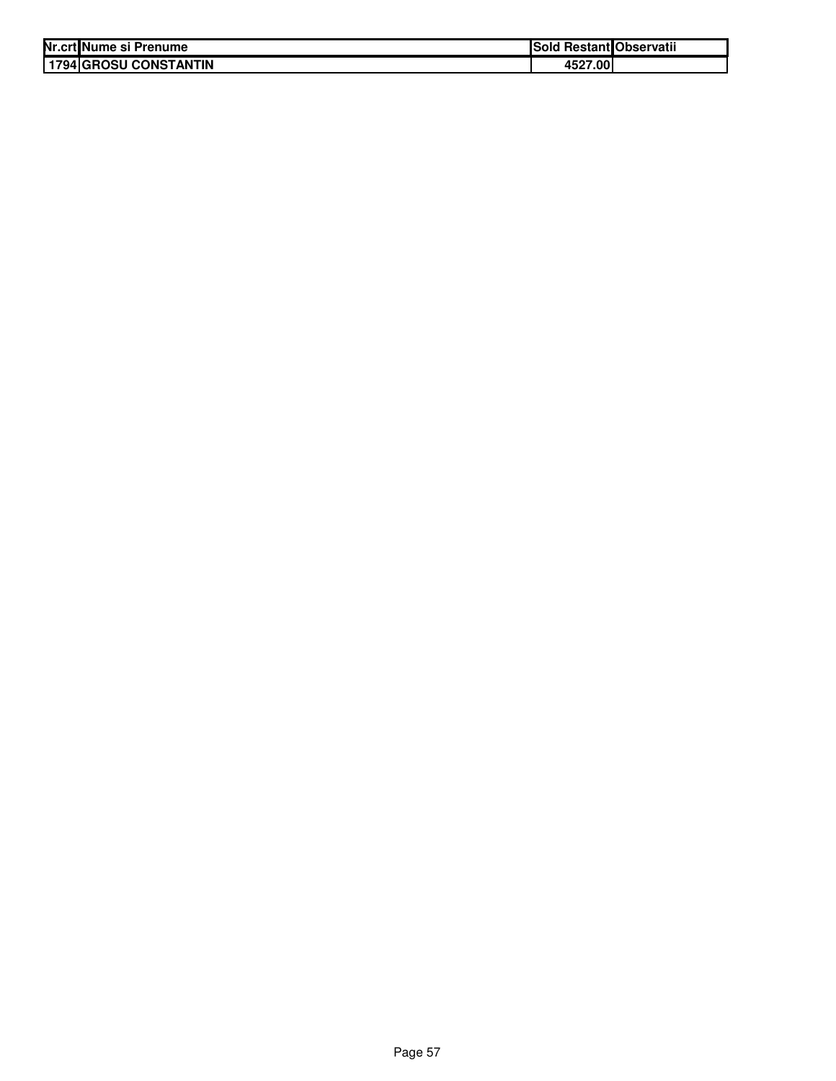| Nr.crt Nume si Prenume | Sold Restant Observatii |  |
|------------------------|-------------------------|--|
| 1794 GROSU CONSTANTIN  | 4527.00                 |  |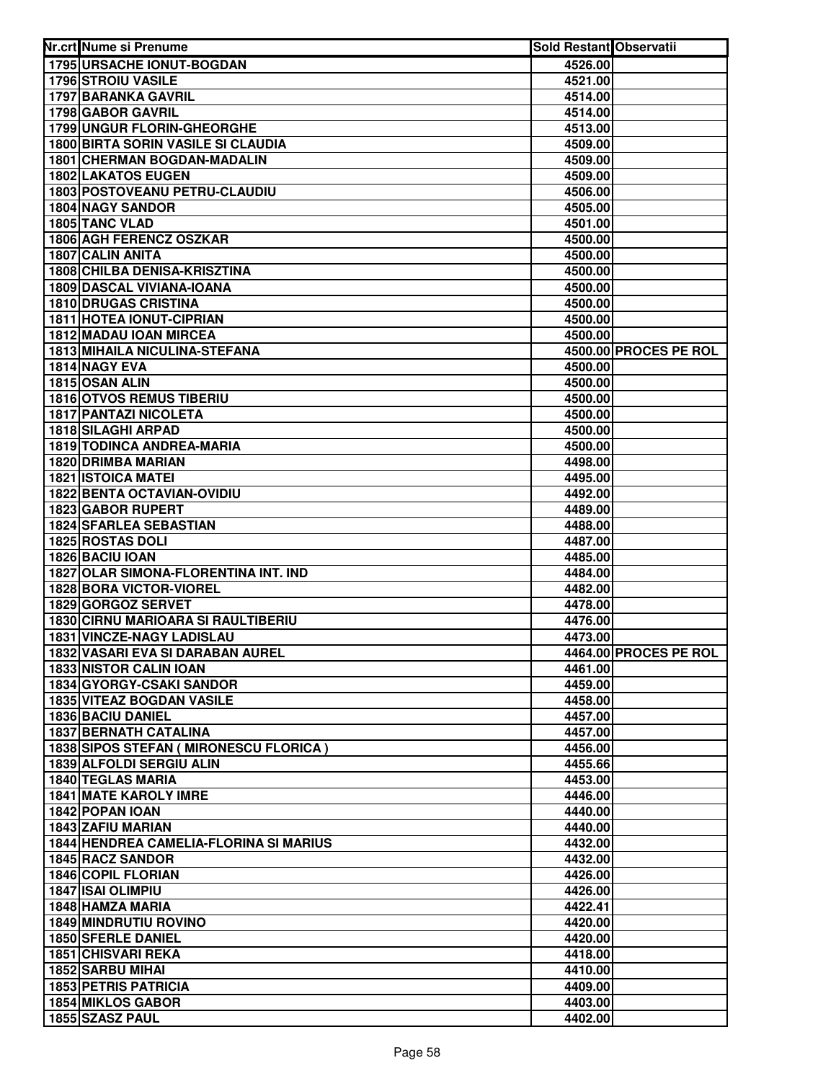| Nr.crt Nume si Prenume                            | <b>Sold Restant Observatii</b> |                       |
|---------------------------------------------------|--------------------------------|-----------------------|
| 1795 URSACHE IONUT-BOGDAN                         | 4526.00                        |                       |
| <b>1796 STROIU VASILE</b>                         | 4521.00                        |                       |
| 1797 BARANKA GAVRIL                               | 4514.00                        |                       |
| 1798 GABOR GAVRIL                                 | 4514.00                        |                       |
| 1799 UNGUR FLORIN-GHEORGHE                        | 4513.00                        |                       |
| <b>1800 BIRTA SORIN VASILE SI CLAUDIA</b>         | 4509.00                        |                       |
| <b>1801 CHERMAN BOGDAN-MADALIN</b>                | 4509.00                        |                       |
| 1802 LAKATOS EUGEN                                | 4509.00                        |                       |
| 1803 POSTOVEANU PETRU-CLAUDIU                     | 4506.00                        |                       |
| 1804 NAGY SANDOR                                  | 4505.00                        |                       |
| 1805 TANC VLAD                                    | 4501.00                        |                       |
| 1806 AGH FERENCZ OSZKAR                           | 4500.00                        |                       |
| <b>1807 CALIN ANITA</b>                           | 4500.00                        |                       |
| <b>1808 CHILBA DENISA-KRISZTINA</b>               | 4500.00                        |                       |
| 1809 DASCAL VIVIANA-IOANA                         | 4500.00                        |                       |
| <b>1810 DRUGAS CRISTINA</b>                       | 4500.00                        |                       |
| <b>1811 HOTEA IONUT-CIPRIAN</b>                   | 4500.00                        |                       |
| 1812 MADAU IOAN MIRCEA                            | 4500.00                        |                       |
| <b>1813 MIHAILA NICULINA-STEFANA</b>              |                                | 4500.00 PROCES PE ROL |
| 1814 NAGY EVA                                     | 4500.00                        |                       |
| 1815 OSAN ALIN                                    | 4500.00                        |                       |
| <b>1816 OTVOS REMUS TIBERIU</b>                   | 4500.00                        |                       |
| <b>1817 PANTAZI NICOLETA</b>                      | 4500.00                        |                       |
| 1818 SILAGHI ARPAD                                | 4500.00                        |                       |
| <b>1819 TODINCA ANDREA-MARIA</b>                  | 4500.00                        |                       |
| 1820 DRIMBA MARIAN                                | 4498.00                        |                       |
| <b>1821 ISTOICA MATEI</b>                         | 4495.00                        |                       |
| <b>1822 BENTA OCTAVIAN-OVIDIU</b>                 | 4492.00                        |                       |
| 1823 GABOR RUPERT                                 | 4489.00                        |                       |
| 1824 SFARLEA SEBASTIAN                            | 4488.00                        |                       |
| 1825 ROSTAS DOLI                                  | 4487.00                        |                       |
| 1826 BACIU IOAN                                   | 4485.00                        |                       |
| 1827 OLAR SIMONA-FLORENTINA INT. IND              | 4484.00                        |                       |
| 1828 BORA VICTOR-VIOREL                           | 4482.00                        |                       |
| 1829 GORGOZ SERVET                                | 4478.00                        |                       |
| 1830 CIRNU MARIOARA SI RAULTIBERIU                | 4476.00                        |                       |
| 1831 VINCZE-NAGY LADISLAU                         | 4473.00                        |                       |
| 1832 VASARI EVA SI DARABAN AUREL                  |                                | 4464.00 PROCES PE ROL |
| <b>1833 NISTOR CALIN IOAN</b>                     | 4461.00                        |                       |
| 1834 GYORGY-CSAKI SANDOR                          | 4459.00                        |                       |
| 1835 VITEAZ BOGDAN VASILE                         | 4458.00                        |                       |
| 1836 BACIU DANIEL<br><b>1837 BERNATH CATALINA</b> | 4457.00                        |                       |
| 1838 SIPOS STEFAN ( MIRONESCU FLORICA )           | 4457.00                        |                       |
| 1839 ALFOLDI SERGIU ALIN                          | 4456.00                        |                       |
| 1840 TEGLAS MARIA                                 | 4455.66                        |                       |
| <b>1841 MATE KAROLY IMRE</b>                      | 4453.00                        |                       |
| 1842 POPAN IOAN                                   | 4446.00                        |                       |
| 1843 ZAFIU MARIAN                                 | 4440.00<br>4440.00             |                       |
| <b>1844 HENDREA CAMELIA-FLORINA SI MARIUS</b>     | 4432.00                        |                       |
| 1845 RACZ SANDOR                                  | 4432.00                        |                       |
| <b>1846 COPIL FLORIAN</b>                         | 4426.00                        |                       |
| 1847 ISAI OLIMPIU                                 | 4426.00                        |                       |
| 1848 HAMZA MARIA                                  | 4422.41                        |                       |
| <b>1849 MINDRUTIU ROVINO</b>                      | 4420.00                        |                       |
| 1850 SFERLE DANIEL                                | 4420.00                        |                       |
| <b>1851 CHISVARI REKA</b>                         | 4418.00                        |                       |
| 1852 SARBU MIHAI                                  | 4410.00                        |                       |
| <b>1853 PETRIS PATRICIA</b>                       | 4409.00                        |                       |
| <b>1854 MIKLOS GABOR</b>                          | 4403.00                        |                       |
| 1855 SZASZ PAUL                                   | 4402.00                        |                       |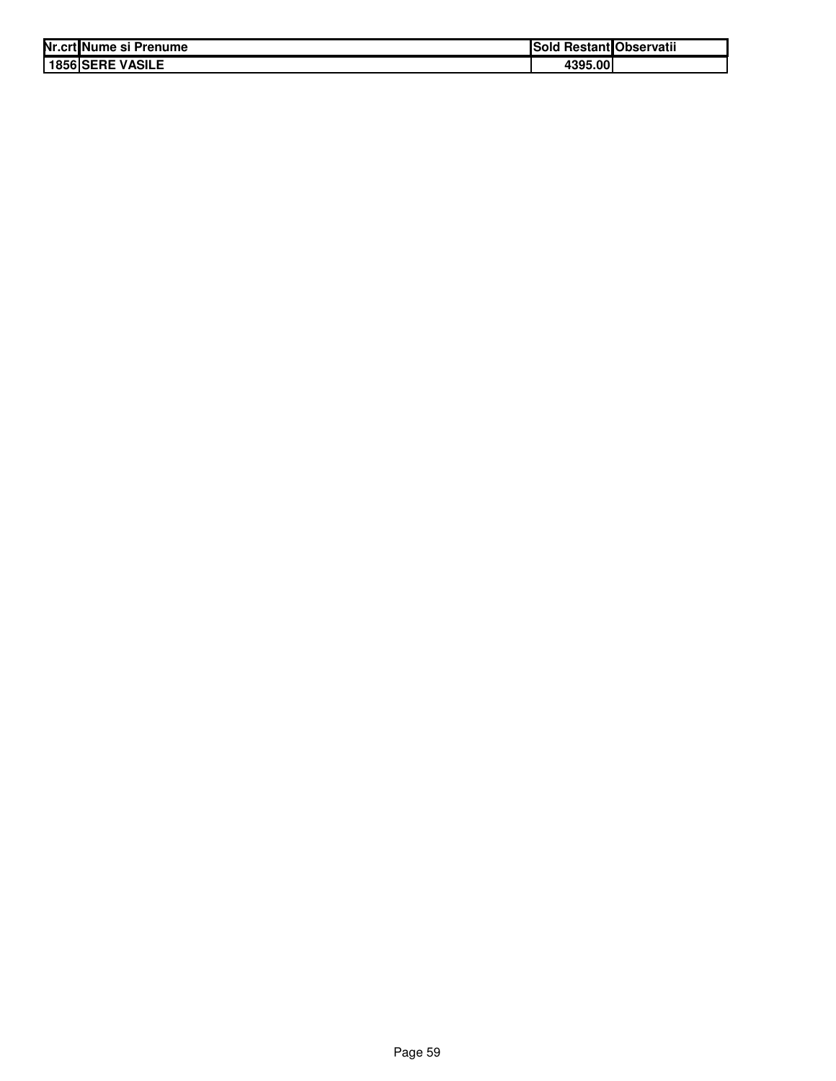| Nr.crt Nume si Prenume | ISold   | <b>Restant</b> Observatii |
|------------------------|---------|---------------------------|
| 1856 SERE VASILE       | 4395.00 |                           |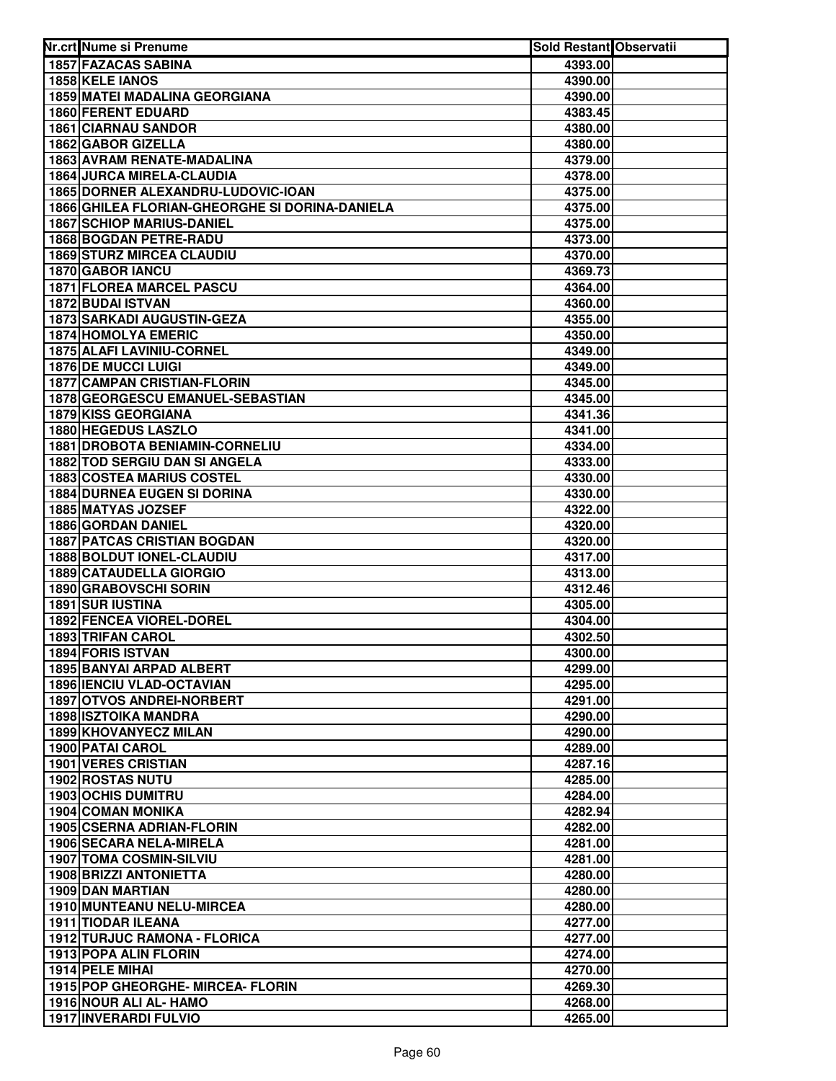| Nr.crt Nume si Prenume                                               | Sold Restant Observatii |  |
|----------------------------------------------------------------------|-------------------------|--|
| <b>1857 FAZACAS SABINA</b>                                           | 4393.00                 |  |
| 1858 KELE IANOS                                                      | 4390.00                 |  |
| <b>1859 MATEI MADALINA GEORGIANA</b>                                 | 4390.00                 |  |
| 1860 FERENT EDUARD                                                   | 4383.45                 |  |
| <b>1861 CIARNAU SANDOR</b>                                           | 4380.00                 |  |
| 1862 GABOR GIZELLA                                                   | 4380.00                 |  |
| 1863 AVRAM RENATE-MADALINA                                           | 4379.00                 |  |
| <b>1864 JURCA MIRELA-CLAUDIA</b>                                     | 4378.00                 |  |
| 1865 DORNER ALEXANDRU-LUDOVIC-IOAN                                   | 4375.00                 |  |
| 1866 GHILEA FLORIAN-GHEORGHE SI DORINA-DANIELA                       | 4375.00                 |  |
| <b>1867 SCHIOP MARIUS-DANIEL</b>                                     | 4375.00                 |  |
| 1868 BOGDAN PETRE-RADU                                               | 4373.00                 |  |
| <b>1869 STURZ MIRCEA CLAUDIU</b>                                     | 4370.00                 |  |
| 1870 GABOR IANCU                                                     | 4369.73                 |  |
| <b>1871 FLOREA MARCEL PASCU</b>                                      | 4364.00                 |  |
| 1872 BUDAI ISTVAN                                                    | 4360.00                 |  |
| <b>1873 SARKADI AUGUSTIN-GEZA</b>                                    | 4355.00                 |  |
| 1874 HOMOLYA EMERIC                                                  | 4350.00                 |  |
| 1875 ALAFI LAVINIU-CORNEL                                            | 4349.00                 |  |
| 1876 DE MUCCI LUIGI                                                  | 4349.00                 |  |
| <b>1877 CAMPAN CRISTIAN-FLORIN</b>                                   | 4345.00                 |  |
| 1878 GEORGESCU EMANUEL-SEBASTIAN                                     | 4345.00                 |  |
| 1879 KISS GEORGIANA                                                  | 4341.36                 |  |
| 1880 HEGEDUS LASZLO                                                  | 4341.00                 |  |
| <b>1881 DROBOTA BENIAMIN-CORNELIU</b>                                | 4334.00                 |  |
| 1882 TOD SERGIU DAN SI ANGELA                                        | 4333.00                 |  |
| <b>1883 COSTEA MARIUS COSTEL</b>                                     | 4330.00                 |  |
| <b>1884 DURNEA EUGEN SI DORINA</b>                                   | 4330.00                 |  |
| 1885 MATYAS JOZSEF                                                   | 4322.00                 |  |
| 1886 GORDAN DANIEL                                                   | 4320.00                 |  |
| <b>1887 PATCAS CRISTIAN BOGDAN</b>                                   | 4320.00                 |  |
| 1888 BOLDUT IONEL-CLAUDIU                                            | 4317.00                 |  |
| <b>1889 CATAUDELLA GIORGIO</b>                                       | 4313.00                 |  |
| 1890 GRABOVSCHI SORIN                                                | 4312.46                 |  |
| 1891 SUR IUSTINA                                                     | 4305.00                 |  |
| 1892 FENCEA VIOREL-DOREL                                             | 4304.00                 |  |
| 1893 TRIFAN CAROL                                                    | 4302.50                 |  |
| 1894 FORIS ISTVAN                                                    | 4300.00                 |  |
| 1895 BANYAI ARPAD ALBERT                                             | 4299.00                 |  |
| <b>1896 IENCIU VLAD-OCTAVIAN</b><br><b>1897 OTVOS ANDREI-NORBERT</b> | 4295.00                 |  |
|                                                                      | 4291.00                 |  |
| <b>1898 ISZTOIKA MANDRA</b><br>1899 KHOVANYECZ MILAN                 | 4290.00<br>4290.00      |  |
|                                                                      |                         |  |
| <b>1900 PATAI CAROL</b><br><b>1901 VERES CRISTIAN</b>                | 4289.00<br>4287.16      |  |
| <b>1902 ROSTAS NUTU</b>                                              | 4285.00                 |  |
| <b>1903 OCHIS DUMITRU</b>                                            | 4284.00                 |  |
| <b>1904 COMAN MONIKA</b>                                             | 4282.94                 |  |
| <b>1905 CSERNA ADRIAN-FLORIN</b>                                     | 4282.00                 |  |
| 1906 SECARA NELA-MIRELA                                              | 4281.00                 |  |
| <b>1907 TOMA COSMIN-SILVIU</b>                                       | 4281.00                 |  |
| <b>1908 BRIZZI ANTONIETTA</b>                                        | 4280.00                 |  |
| 1909 DAN MARTIAN                                                     | 4280.00                 |  |
| 1910 MUNTEANU NELU-MIRCEA                                            | 4280.00                 |  |
| 1911 TIODAR ILEANA                                                   | 4277.00                 |  |
| 1912 TURJUC RAMONA - FLORICA                                         | 4277.00                 |  |
| 1913 POPA ALIN FLORIN                                                | 4274.00                 |  |
| 1914 PELE MIHAI                                                      | 4270.00                 |  |
| 1915 POP GHEORGHE- MIRCEA- FLORIN                                    | 4269.30                 |  |
| 1916 NOUR ALI AL- HAMO                                               | 4268.00                 |  |
| 1917 INVERARDI FULVIO                                                | 4265.00                 |  |
|                                                                      |                         |  |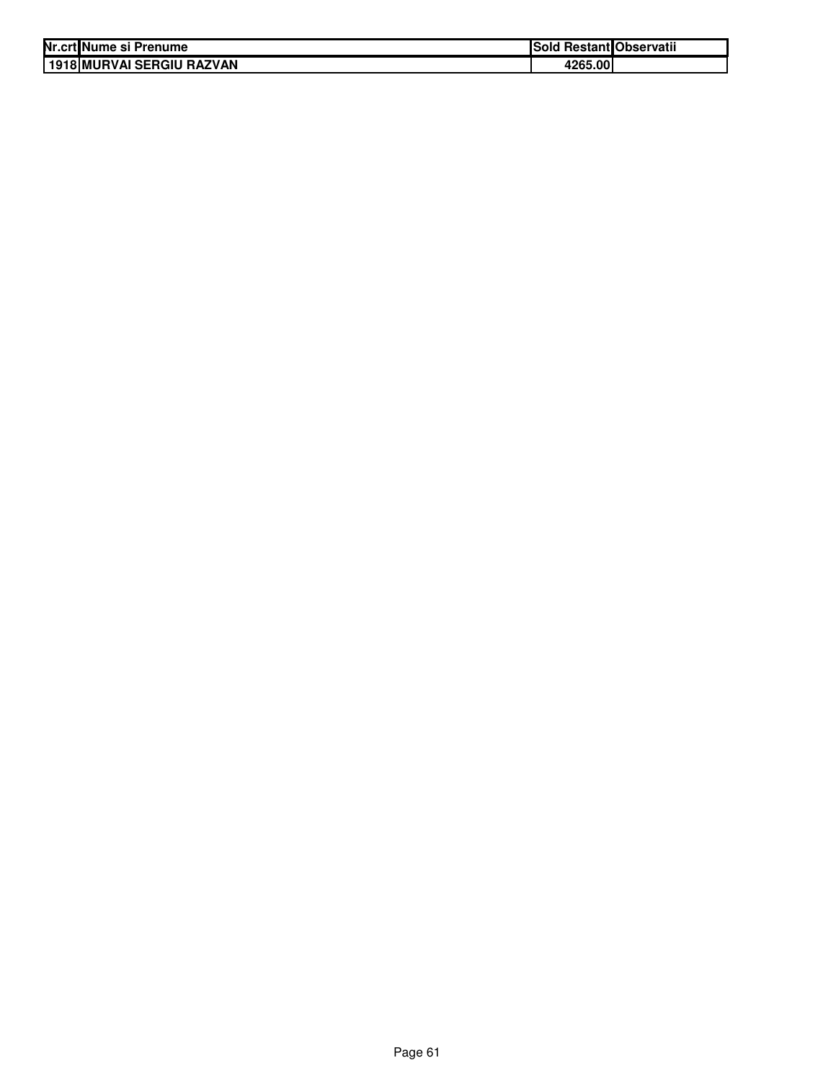| Nr.crt Nume si Prenume      | Sold Restant Observatii |  |
|-----------------------------|-------------------------|--|
| l 1918 MURVAI SERGIU RAZVAN | 4265.00                 |  |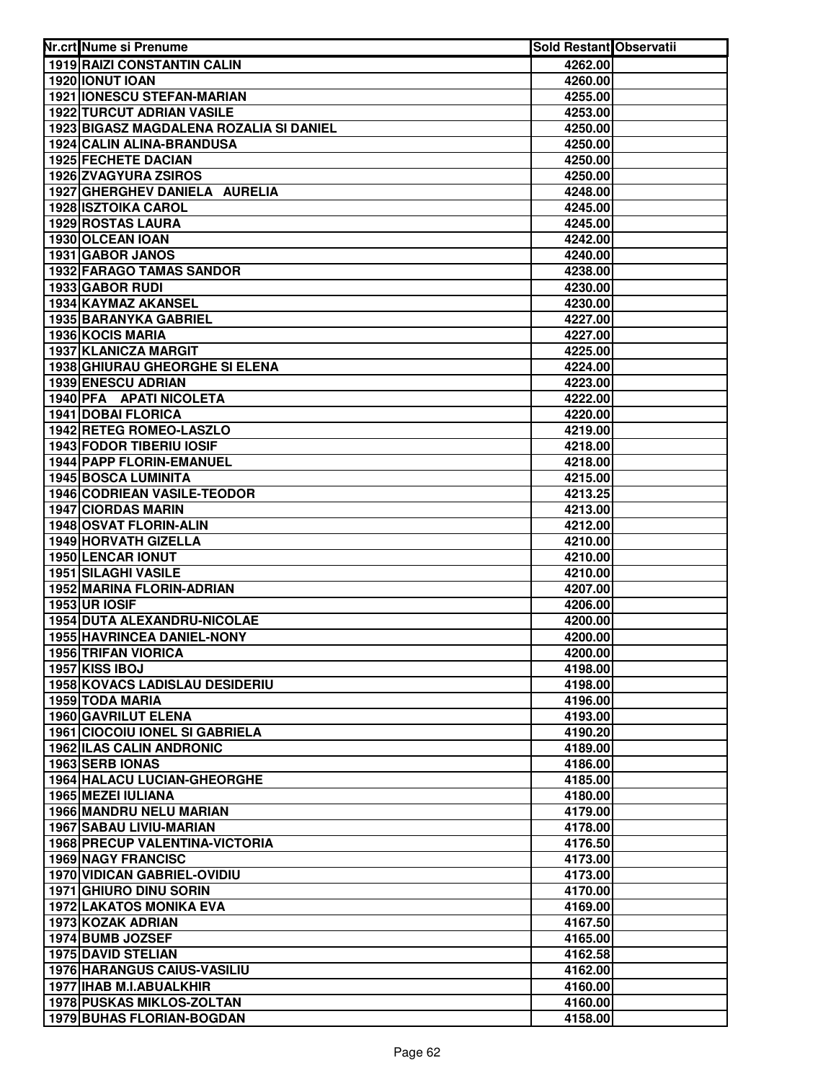| Nr.crt Nume si Prenume                                        | Sold Restant Observatii |  |
|---------------------------------------------------------------|-------------------------|--|
| <b>1919 RAIZI CONSTANTIN CALIN</b>                            | 4262.00                 |  |
| 1920 IONUT IOAN                                               | 4260.00                 |  |
| 1921 IONESCU STEFAN-MARIAN                                    | 4255.00                 |  |
| <b>1922 TURCUT ADRIAN VASILE</b>                              | 4253.00                 |  |
| 1923 BIGASZ MAGDALENA ROZALIA SI DANIEL                       | 4250.00                 |  |
| 1924 CALIN ALINA-BRANDUSA                                     | 4250.00                 |  |
| 1925 FECHETE DACIAN                                           | 4250.00                 |  |
| 1926 ZVAGYURA ZSIROS                                          | 4250.00                 |  |
| 1927 GHERGHEV DANIELA AURELIA                                 | 4248.00                 |  |
| <b>1928 ISZTOIKA CAROL</b>                                    | 4245.00                 |  |
| 1929 ROSTAS LAURA                                             | 4245.00                 |  |
| 1930 OLCEAN IOAN                                              | 4242.00                 |  |
| 1931 GABOR JANOS                                              | 4240.00                 |  |
| <b>1932 FARAGO TAMAS SANDOR</b>                               | 4238.00                 |  |
| 1933 GABOR RUDI                                               | 4230.00                 |  |
| 1934 KAYMAZ AKANSEL                                           | 4230.00                 |  |
| 1935 BARANYKA GABRIEL                                         | 4227.00                 |  |
| 1936 KOCIS MARIA                                              | 4227.00                 |  |
| 1937 KLANICZA MARGIT                                          | 4225.00                 |  |
| 1938 GHIURAU GHEORGHE SI ELENA                                | 4224.00                 |  |
| 1939 ENESCU ADRIAN                                            | 4223.00                 |  |
| 1940 PFA APATI NICOLETA                                       | 4222.00                 |  |
| 1941 DOBAI FLORICA                                            | 4220.00                 |  |
| 1942 RETEG ROMEO-LASZLO                                       | 4219.00                 |  |
| 1943 FODOR TIBERIU IOSIF                                      | 4218.00                 |  |
| 1944 PAPP FLORIN-EMANUEL                                      | 4218.00                 |  |
| <b>1945 BOSCA LUMINITA</b>                                    | 4215.00                 |  |
| 1946 CODRIEAN VASILE-TEODOR                                   | 4213.25                 |  |
| <b>1947 CIORDAS MARIN</b>                                     | 4213.00                 |  |
| 1948 OSVAT FLORIN-ALIN                                        | 4212.00                 |  |
| 1949 HORVATH GIZELLA                                          | 4210.00                 |  |
| 1950 LENCAR IONUT                                             | 4210.00                 |  |
| 1951 SILAGHI VASILE                                           | 4210.00                 |  |
| 1952 MARINA FLORIN-ADRIAN                                     | 4207.00                 |  |
| <b>1953 UR IOSIF</b>                                          | 4206.00                 |  |
| 1954 DUTA ALEXANDRU-NICOLAE                                   | 4200.00                 |  |
| <b>1955 HAVRINCEA DANIEL-NONY</b>                             | 4200.00                 |  |
| <b>1956 TRIFAN VIORICA</b>                                    | 4200.00                 |  |
| 1957 KISS IBOJ                                                | 4198.00                 |  |
| <b>1958 KOVACS LADISLAU DESIDERIU</b>                         | 4198.00                 |  |
| 1959 TODA MARIA                                               | 4196.00                 |  |
| 1960 GAVRILUT ELENA                                           | 4193.00                 |  |
| <b>1961 CIOCOIU IONEL SI GABRIELA</b>                         | 4190.20                 |  |
| <b>1962 ILAS CALIN ANDRONIC</b>                               | 4189.00                 |  |
| 1963 SERB IONAS                                               | 4186.00                 |  |
| <b>1964 HALACU LUCIAN-GHEORGHE</b>                            | 4185.00                 |  |
| 1965 MEZEI IULIANA                                            | 4180.00                 |  |
| 1966 MANDRU NELU MARIAN                                       | 4179.00                 |  |
| 1967 SABAU LIVIU-MARIAN                                       | 4178.00                 |  |
| <b>1968 PRECUP VALENTINA-VICTORIA</b>                         | 4176.50                 |  |
| <b>1969 NAGY FRANCISC</b>                                     | 4173.00                 |  |
| <b>1970 VIDICAN GABRIEL-OVIDIU</b>                            | 4173.00                 |  |
| <b>1971 GHIURO DINU SORIN</b>                                 | 4170.00                 |  |
| <b>1972 LAKATOS MONIKA EVA</b>                                | 4169.00                 |  |
| 1973 KOZAK ADRIAN                                             | 4167.50                 |  |
| 1974 BUMB JOZSEF<br><b>1975 DAVID STELIAN</b>                 | 4165.00                 |  |
|                                                               | 4162.58                 |  |
| <b>1976 HARANGUS CAIUS-VASILIU</b><br>1977 IHAB M.I.ABUALKHIR | 4162.00                 |  |
| 1978 PUSKAS MIKLOS-ZOLTAN                                     | 4160.00<br>4160.00      |  |
| <b>1979 BUHAS FLORIAN-BOGDAN</b>                              | 4158.00                 |  |
|                                                               |                         |  |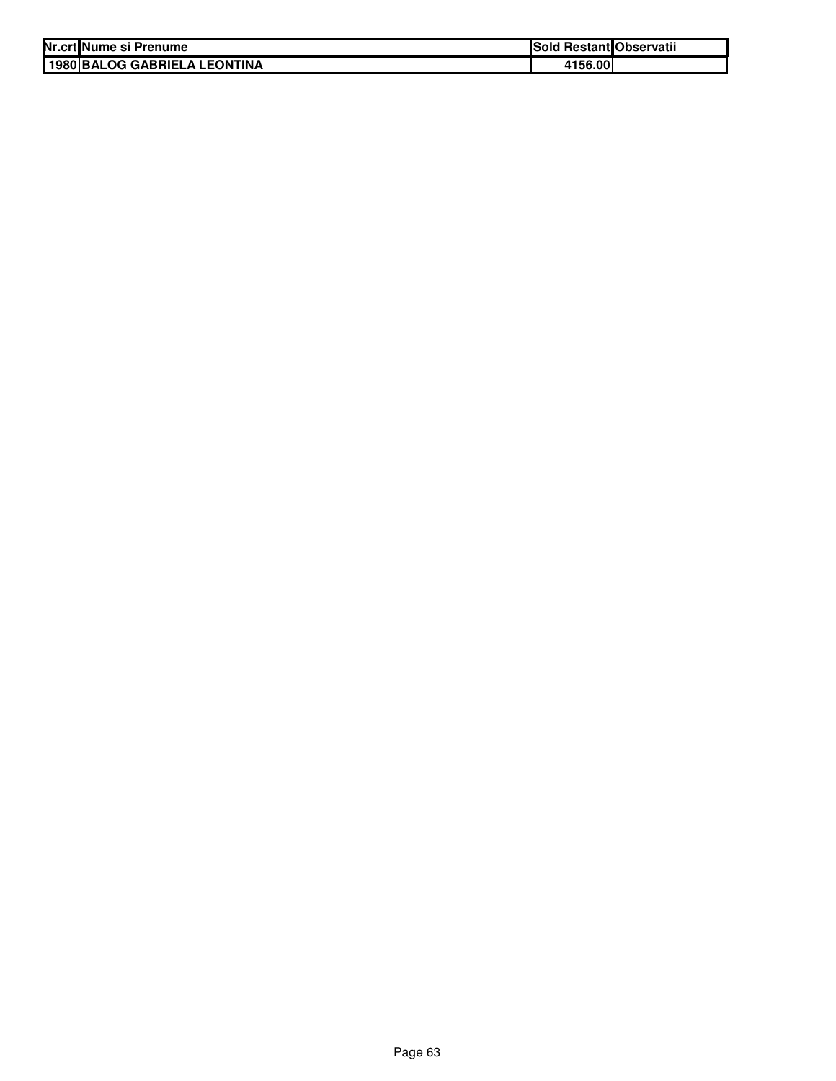| Nr.crt Nume si Prenume       | Sold Restant Observatii |  |
|------------------------------|-------------------------|--|
| 1980 BALOG GABRIELA LEONTINA | 4156.00                 |  |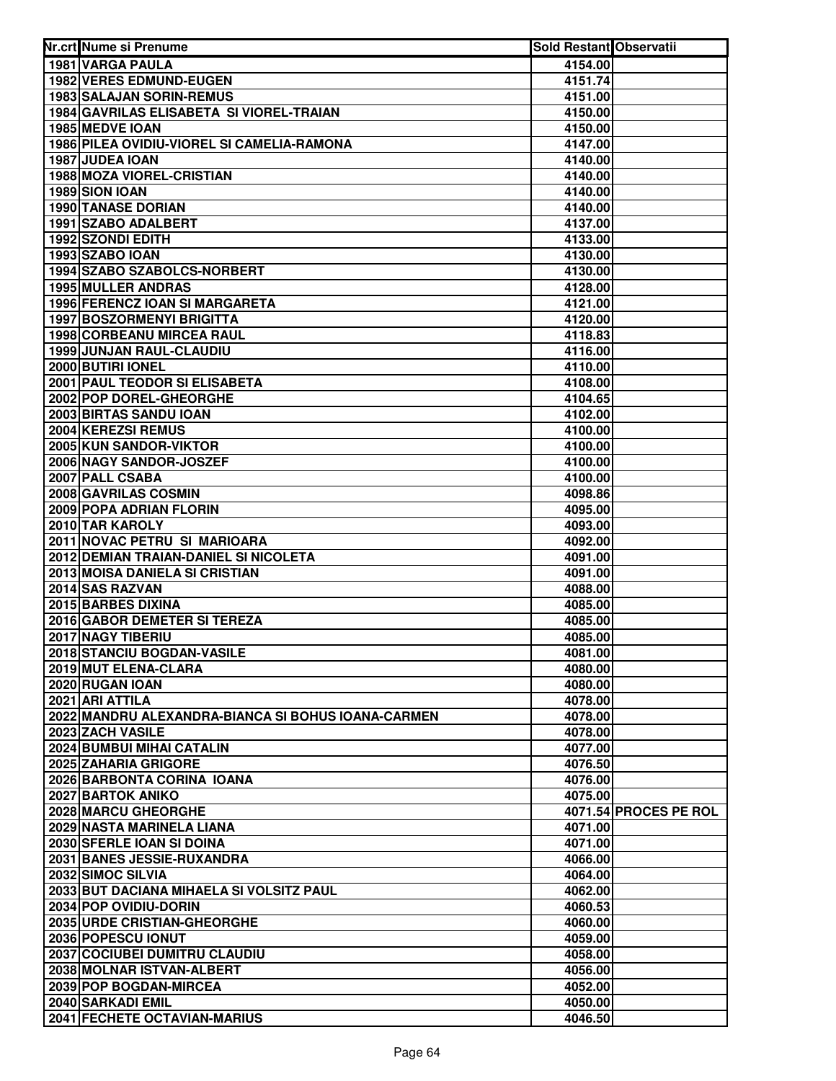| Nr.crt Nume si Prenume                             | Sold Restant Observatii |                       |
|----------------------------------------------------|-------------------------|-----------------------|
| <b>1981 VARGA PAULA</b>                            | 4154.00                 |                       |
| <b>1982 VERES EDMUND-EUGEN</b>                     | 4151.74                 |                       |
| 1983 SALAJAN SORIN-REMUS                           | 4151.00                 |                       |
| 1984 GAVRILAS ELISABETA SI VIOREL-TRAIAN           | 4150.00                 |                       |
| 1985 MEDVE IOAN                                    | 4150.00                 |                       |
| 1986 PILEA OVIDIU-VIOREL SI CAMELIA-RAMONA         | 4147.00                 |                       |
| 1987 JUDEA IOAN                                    | 4140.00                 |                       |
| 1988 MOZA VIOREL-CRISTIAN                          | 4140.00                 |                       |
| 1989 SION IOAN                                     | 4140.00                 |                       |
| <b>1990 TANASE DORIAN</b>                          | 4140.00                 |                       |
| 1991 SZABO ADALBERT                                | 4137.00                 |                       |
| 1992 SZONDI EDITH                                  | 4133.00                 |                       |
| <b>1993 SZABO IOAN</b>                             | 4130.00                 |                       |
| 1994 SZABO SZABOLCS-NORBERT                        | 4130.00                 |                       |
| 1995 MULLER ANDRAS                                 | 4128.00                 |                       |
| 1996 FERENCZ IOAN SI MARGARETA                     | 4121.00                 |                       |
| 1997 BOSZORMENYI BRIGITTA                          | 4120.00                 |                       |
| <b>1998 CORBEANU MIRCEA RAUL</b>                   | 4118.83                 |                       |
| 1999 JUNJAN RAUL-CLAUDIU                           | 4116.00                 |                       |
| 2000 BUTIRI IONEL                                  | 4110.00                 |                       |
| 2001 PAUL TEODOR SI ELISABETA                      | 4108.00                 |                       |
| 2002 POP DOREL-GHEORGHE                            | 4104.65                 |                       |
| 2003 BIRTAS SANDU IOAN                             | 4102.00                 |                       |
| 2004 KEREZSI REMUS                                 | 4100.00                 |                       |
| 2005 KUN SANDOR-VIKTOR                             | 4100.00                 |                       |
| 2006 NAGY SANDOR-JOSZEF                            | 4100.00                 |                       |
| 2007 PALL CSABA                                    | 4100.00                 |                       |
| 2008 GAVRILAS COSMIN                               | 4098.86                 |                       |
| 2009 POPA ADRIAN FLORIN                            | 4095.00                 |                       |
| 2010 TAR KAROLY                                    | 4093.00                 |                       |
| 2011 NOVAC PETRU SI MARIOARA                       | 4092.00                 |                       |
| 2012 DEMIAN TRAIAN-DANIEL SI NICOLETA              | 4091.00                 |                       |
| 2013 MOISA DANIELA SI CRISTIAN                     | 4091.00                 |                       |
| 2014 SAS RAZVAN<br>2015 BARBES DIXINA              | 4088.00                 |                       |
| 2016 GABOR DEMETER SI TEREZA                       | 4085.00<br>4085.00      |                       |
| 2017 NAGY TIBERIU                                  | 4085.00                 |                       |
| 2018 STANCIU BOGDAN-VASILE                         | 4081.00                 |                       |
| 2019 MUT ELENA-CLARA                               | 4080.00                 |                       |
| 2020 RUGAN IOAN                                    | 4080.00                 |                       |
| 2021 ARI ATTILA                                    | 4078.00                 |                       |
| 2022 MANDRU ALEXANDRA-BIANCA SI BOHUS IOANA-CARMEN | 4078.00                 |                       |
| 2023 ZACH VASILE                                   | 4078.00                 |                       |
| 2024 BUMBUI MIHAI CATALIN                          | 4077.00                 |                       |
| 2025 ZAHARIA GRIGORE                               | 4076.50                 |                       |
| 2026 BARBONTA CORINA IOANA                         | 4076.00                 |                       |
| 2027 BARTOK ANIKO                                  | 4075.00                 |                       |
| 2028 MARCU GHEORGHE                                |                         | 4071.54 PROCES PE ROL |
| 2029 NASTA MARINELA LIANA                          | 4071.00                 |                       |
| 2030 SFERLE IOAN SI DOINA                          | 4071.00                 |                       |
| 2031 BANES JESSIE-RUXANDRA                         | 4066.00                 |                       |
| 2032 SIMOC SILVIA                                  | 4064.00                 |                       |
| 2033 BUT DACIANA MIHAELA SI VOLSITZ PAUL           | 4062.00                 |                       |
| 2034 POP OVIDIU-DORIN                              | 4060.53                 |                       |
| 2035 URDE CRISTIAN-GHEORGHE                        | 4060.00                 |                       |
| 2036 POPESCU IONUT                                 | 4059.00                 |                       |
| 2037 COCIUBEI DUMITRU CLAUDIU                      | 4058.00                 |                       |
| 2038 MOLNAR ISTVAN-ALBERT                          | 4056.00                 |                       |
| 2039 POP BOGDAN-MIRCEA                             | 4052.00                 |                       |
| 2040 SARKADI EMIL                                  | 4050.00                 |                       |
| 2041 FECHETE OCTAVIAN-MARIUS                       | 4046.50                 |                       |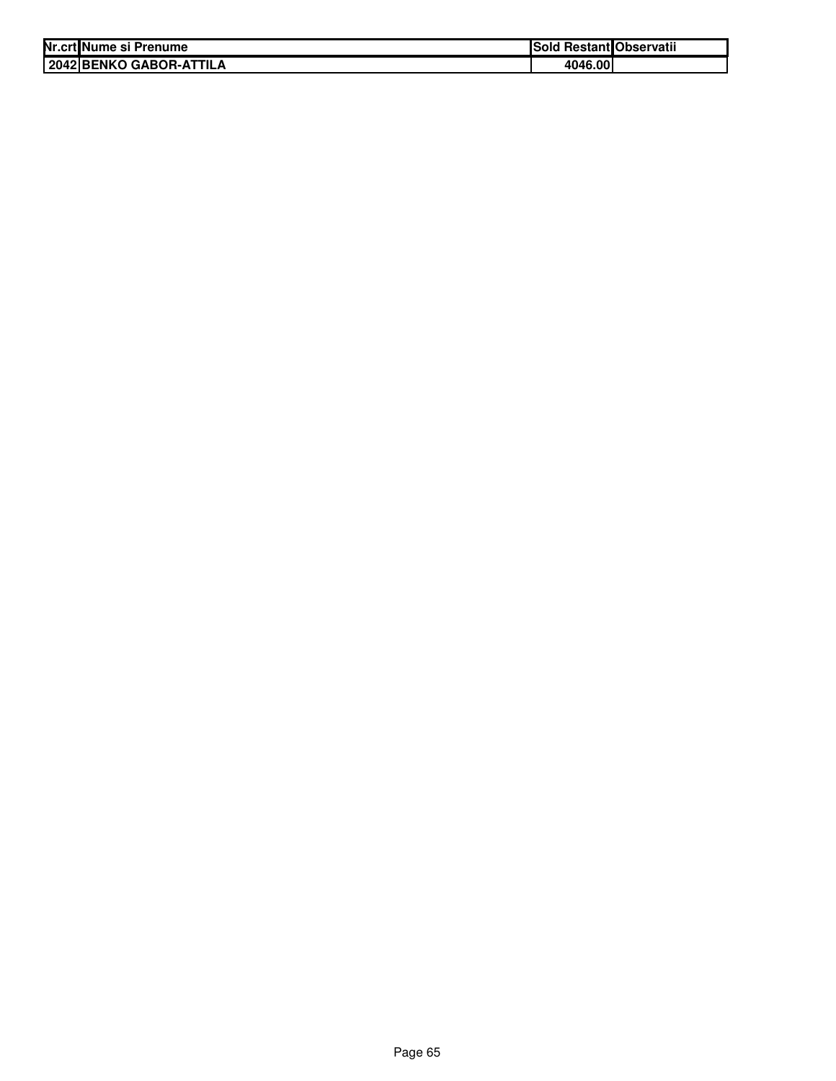| Nr.crt Nume si Prenume |                            | Sold Restant Observatii |  |
|------------------------|----------------------------|-------------------------|--|
|                        | I 2042 IBENKO GABOR-ATTILA | 4046.00                 |  |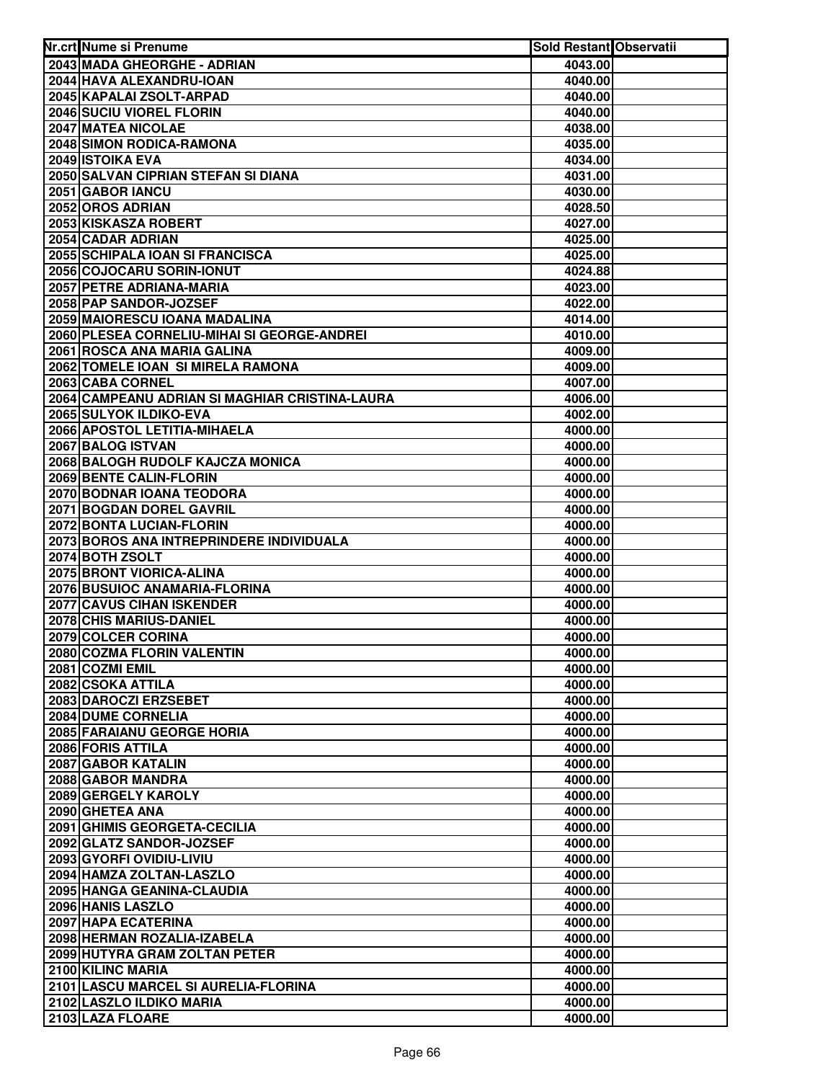| Nr.crt Nume si Prenume                                | Sold Restant Observatii |  |
|-------------------------------------------------------|-------------------------|--|
| 2043 MADA GHEORGHE - ADRIAN                           | 4043.00                 |  |
| 2044 HAVA ALEXANDRU-IOAN                              | 4040.00                 |  |
| 2045 KAPALAI ZSOLT-ARPAD                              | 4040.00                 |  |
| 2046 SUCIU VIOREL FLORIN                              | 4040.00                 |  |
| 2047 MATEA NICOLAE                                    | 4038.00                 |  |
| 2048 SIMON RODICA-RAMONA                              | 4035.00                 |  |
| 2049 ISTOIKA EVA                                      | 4034.00                 |  |
| 2050 SALVAN CIPRIAN STEFAN SI DIANA                   | 4031.00                 |  |
| 2051 GABOR IANCU                                      | 4030.00                 |  |
| 2052 OROS ADRIAN                                      | 4028.50                 |  |
| 2053 KISKASZA ROBERT                                  | 4027.00                 |  |
| 2054 CADAR ADRIAN                                     | 4025.00                 |  |
| 2055 SCHIPALA IOAN SI FRANCISCA                       | 4025.00                 |  |
| 2056 COJOCARU SORIN-IONUT                             | 4024.88                 |  |
| 2057 PETRE ADRIANA-MARIA                              | 4023.00                 |  |
| 2058 PAP SANDOR-JOZSEF                                | 4022.00                 |  |
| 2059 MAIORESCU IOANA MADALINA                         | 4014.00                 |  |
| 2060 PLESEA CORNELIU-MIHAI SI GEORGE-ANDREI           | 4010.00                 |  |
| 2061 ROSCA ANA MARIA GALINA                           | 4009.00                 |  |
| 2062 TOMELE IOAN SI MIRELA RAMONA                     | 4009.00                 |  |
| 2063 CABA CORNEL                                      | 4007.00                 |  |
| 2064 CAMPEANU ADRIAN SI MAGHIAR CRISTINA-LAURA        | 4006.00                 |  |
| 2065 SULYOK ILDIKO-EVA                                | 4002.00                 |  |
| 2066 APOSTOL LETITIA-MIHAELA                          | 4000.00                 |  |
| 2067 BALOG ISTVAN<br>2068 BALOGH RUDOLF KAJCZA MONICA | 4000.00                 |  |
| 2069 BENTE CALIN-FLORIN                               | 4000.00                 |  |
| 2070 BODNAR IOANA TEODORA                             | 4000.00<br>4000.00      |  |
| 2071 BOGDAN DOREL GAVRIL                              | 4000.00                 |  |
| 2072 BONTA LUCIAN-FLORIN                              | 4000.00                 |  |
| 2073 BOROS ANA INTREPRINDERE INDIVIDUALA              | 4000.00                 |  |
| 2074 BOTH ZSOLT                                       | 4000.00                 |  |
| 2075 BRONT VIORICA-ALINA                              | 4000.00                 |  |
| 2076 BUSUIOC ANAMARIA-FLORINA                         | 4000.00                 |  |
| 2077 CAVUS CIHAN ISKENDER                             | 4000.00                 |  |
| 2078 CHIS MARIUS-DANIEL                               | 4000.00                 |  |
| 2079 COLCER CORINA                                    | 4000.00                 |  |
| 2080 COZMA FLORIN VALENTIN                            | 4000.00                 |  |
| 2081 COZMI EMIL                                       | 4000.00                 |  |
| 2082 CSOKA ATTILA                                     | 4000.00                 |  |
| 2083 DAROCZI ERZSEBET                                 | 4000.00                 |  |
| 2084 DUME CORNELIA                                    | 4000.00                 |  |
| 2085 FARAIANU GEORGE HORIA                            | 4000.00                 |  |
| 2086 FORIS ATTILA                                     | 4000.00                 |  |
| 2087 GABOR KATALIN                                    | 4000.00                 |  |
| 2088 GABOR MANDRA                                     | 4000.00                 |  |
| 2089 GERGELY KAROLY                                   | 4000.00                 |  |
| 2090 GHETEA ANA<br>2091 GHIMIS GEORGETA-CECILIA       | 4000.00                 |  |
|                                                       | 4000.00                 |  |
| 2092 GLATZ SANDOR-JOZSEF<br>2093 GYORFI OVIDIU-LIVIU  | 4000.00<br>4000.00      |  |
| 2094 HAMZA ZOLTAN-LASZLO                              | 4000.00                 |  |
| 2095 HANGA GEANINA-CLAUDIA                            | 4000.00                 |  |
| 2096 HANIS LASZLO                                     | 4000.00                 |  |
| 2097 HAPA ECATERINA                                   | 4000.00                 |  |
| 2098 HERMAN ROZALIA-IZABELA                           | 4000.00                 |  |
| 2099 HUTYRA GRAM ZOLTAN PETER                         | 4000.00                 |  |
| 2100 KILINC MARIA                                     | 4000.00                 |  |
| 2101 LASCU MARCEL SI AURELIA-FLORINA                  | 4000.00                 |  |
| 2102 LASZLO ILDIKO MARIA                              | 4000.00                 |  |
| 2103 LAZA FLOARE                                      | 4000.00                 |  |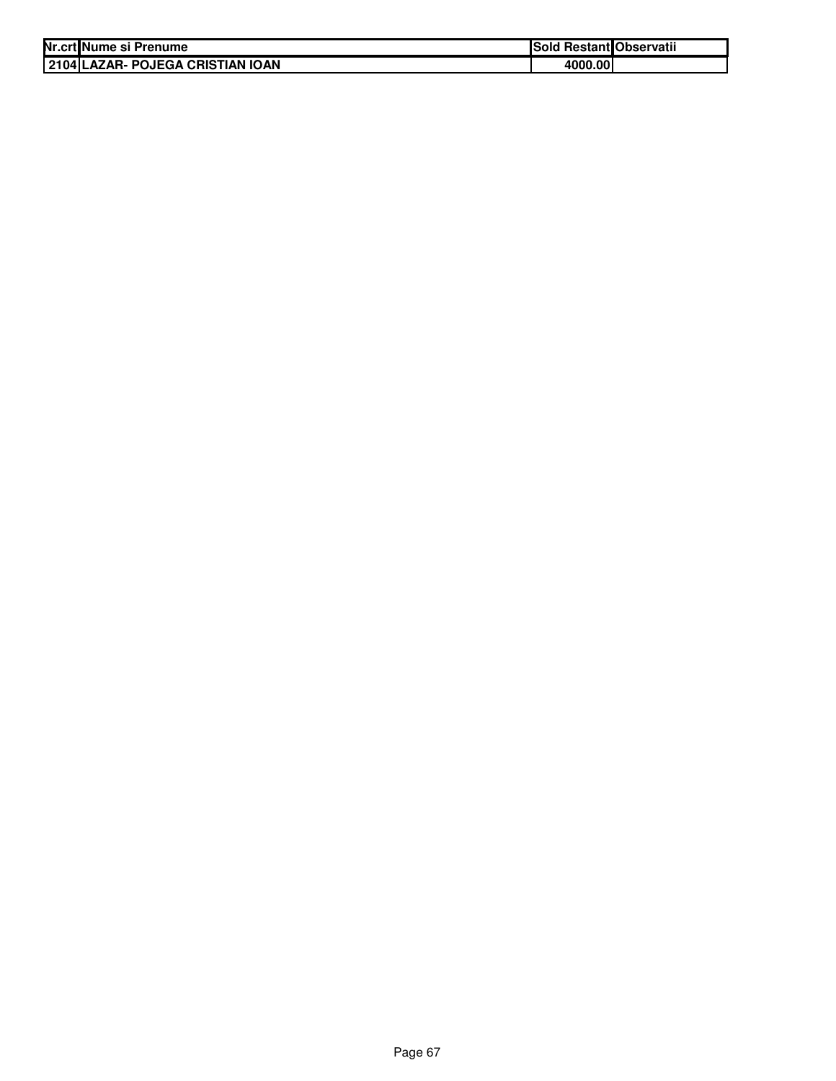| Nr.crt Nume si Prenume           | Sold Restant Observatii |  |
|----------------------------------|-------------------------|--|
| 2104 LAZAR- POJEGA CRISTIAN IOAN | 4000.00                 |  |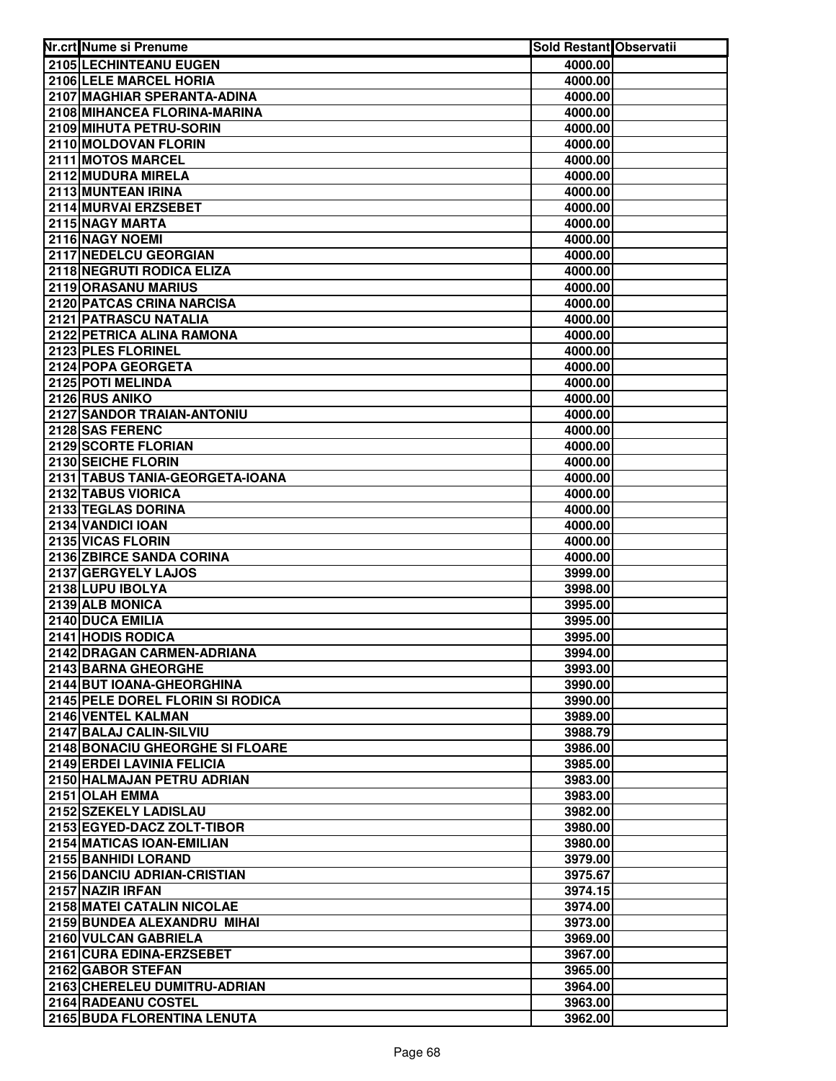| Nr.crt Nume si Prenume              | <b>Sold Restant Observatii</b> |  |
|-------------------------------------|--------------------------------|--|
| 2105 LECHINTEANU EUGEN              | 4000.00                        |  |
| 2106 LELE MARCEL HORIA              | 4000.00                        |  |
| 2107 MAGHIAR SPERANTA-ADINA         | 4000.00                        |  |
| 2108 MIHANCEA FLORINA-MARINA        | 4000.00                        |  |
| 2109 MIHUTA PETRU-SORIN             | 4000.00                        |  |
| 2110 MOLDOVAN FLORIN                | 4000.00                        |  |
| 2111 MOTOS MARCEL                   | 4000.00                        |  |
| 2112 MUDURA MIRELA                  | 4000.00                        |  |
| 2113 MUNTEAN IRINA                  | 4000.00                        |  |
| 2114 MURVAI ERZSEBET                | 4000.00                        |  |
| 2115 NAGY MARTA                     | 4000.00                        |  |
| 2116 NAGY NOEMI                     | 4000.00                        |  |
| 2117 NEDELCU GEORGIAN               | 4000.00                        |  |
| 2118 NEGRUTI RODICA ELIZA           | 4000.00                        |  |
| 2119 ORASANU MARIUS                 | 4000.00                        |  |
| 2120 PATCAS CRINA NARCISA           | 4000.00                        |  |
| 2121 PATRASCU NATALIA               | 4000.00                        |  |
| 2122 PETRICA ALINA RAMONA           | 4000.00                        |  |
| 2123 PLES FLORINEL                  | 4000.00                        |  |
| 2124 POPA GEORGETA                  | 4000.00                        |  |
| 2125 POTI MELINDA                   | 4000.00                        |  |
| 2126 RUS ANIKO                      | 4000.00                        |  |
| 2127 SANDOR TRAIAN-ANTONIU          | 4000.00                        |  |
| 2128 SAS FERENC                     | 4000.00                        |  |
| 2129 SCORTE FLORIAN                 | 4000.00                        |  |
| 2130 SEICHE FLORIN                  | 4000.00                        |  |
| 2131 TABUS TANIA-GEORGETA-IOANA     | 4000.00                        |  |
| 2132 TABUS VIORICA                  | 4000.00                        |  |
| 2133 TEGLAS DORINA                  | 4000.00                        |  |
| 2134 VANDICI IOAN                   | 4000.00                        |  |
| 2135 VICAS FLORIN                   | 4000.00                        |  |
| 2136 ZBIRCE SANDA CORINA            | 4000.00                        |  |
| 2137 GERGYELY LAJOS                 | 3999.00                        |  |
| 2138 LUPU IBOLYA<br>2139 ALB MONICA | 3998.00                        |  |
| 2140 DUCA EMILIA                    | 3995.00<br>3995.00             |  |
| 2141 HODIS RODICA                   | 3995.00                        |  |
| 2142 DRAGAN CARMEN-ADRIANA          | 3994.00                        |  |
| 2143 BARNA GHEORGHE                 | 3993.00                        |  |
| 2144 BUT IOANA-GHEORGHINA           | 3990.00                        |  |
| 2145 PELE DOREL FLORIN SI RODICA    | 3990.00                        |  |
| 2146 VENTEL KALMAN                  | 3989.00                        |  |
| 2147 BALAJ CALIN-SILVIU             | 3988.79                        |  |
| 2148 BONACIU GHEORGHE SI FLOARE     | 3986.00                        |  |
| 2149 ERDEI LAVINIA FELICIA          | 3985.00                        |  |
| 2150 HALMAJAN PETRU ADRIAN          | 3983.00                        |  |
| 2151 OLAH EMMA                      | 3983.00                        |  |
| 2152 SZEKELY LADISLAU               | 3982.00                        |  |
| 2153 EGYED-DACZ ZOLT-TIBOR          | 3980.00                        |  |
| 2154 MATICAS IOAN-EMILIAN           | 3980.00                        |  |
| 2155 BANHIDI LORAND                 | 3979.00                        |  |
| 2156 DANCIU ADRIAN-CRISTIAN         | 3975.67                        |  |
| 2157 NAZIR IRFAN                    | 3974.15                        |  |
| 2158 MATEI CATALIN NICOLAE          | 3974.00                        |  |
| 2159 BUNDEA ALEXANDRU MIHAI         | 3973.00                        |  |
| 2160 VULCAN GABRIELA                | 3969.00                        |  |
| 2161 CURA EDINA-ERZSEBET            | 3967.00                        |  |
| 2162 GABOR STEFAN                   | 3965.00                        |  |
| 2163 CHERELEU DUMITRU-ADRIAN        | 3964.00                        |  |
| 2164 RADEANU COSTEL                 | 3963.00                        |  |
| 2165 BUDA FLORENTINA LENUTA         | 3962.00                        |  |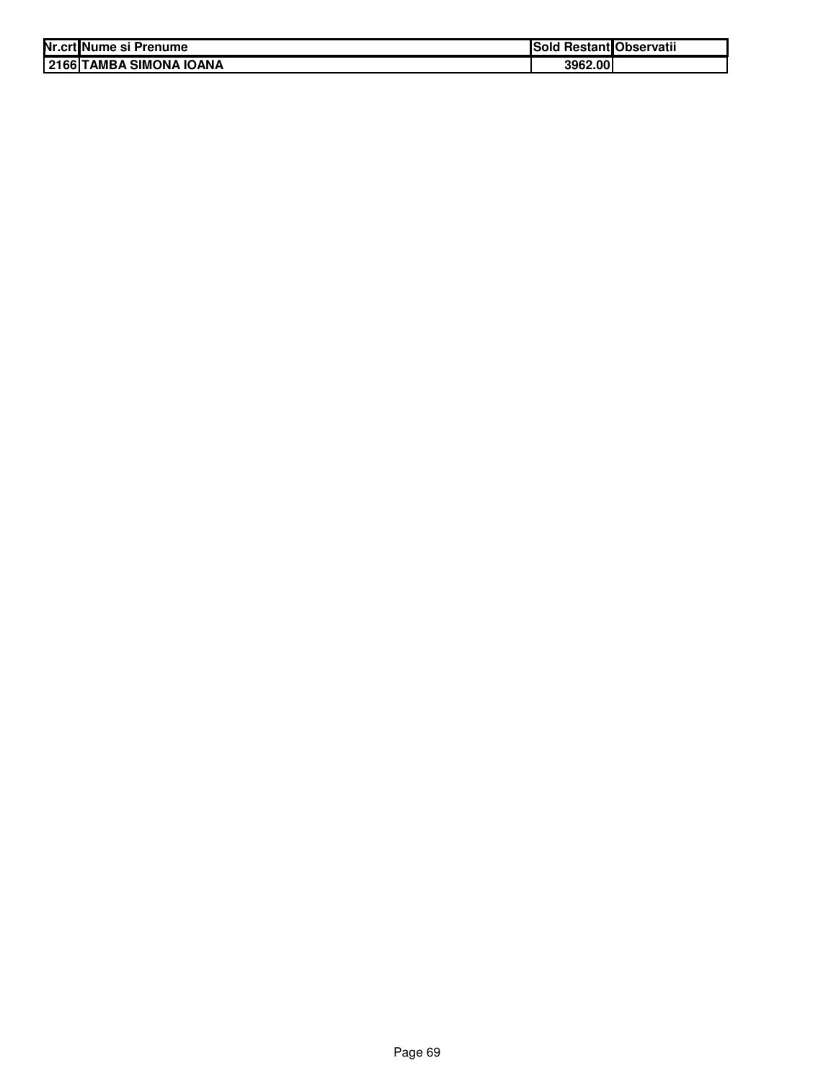| Nr.crt Nume si Prenume  | Sold Restant Observatii |  |
|-------------------------|-------------------------|--|
| 2166 TAMBA SIMONA IOANA | 3962.00                 |  |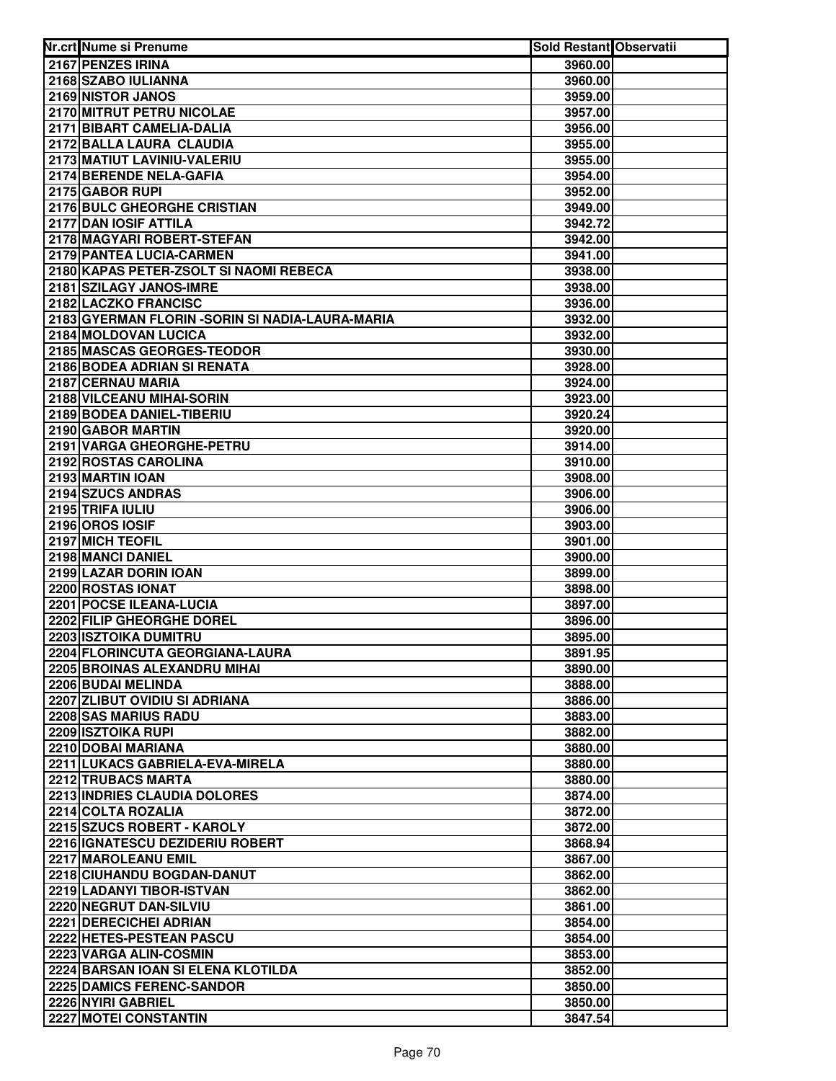| Nr.crt Nume si Prenume                           | Sold Restant Observatii |  |
|--------------------------------------------------|-------------------------|--|
| 2167 PENZES IRINA                                | 3960.00                 |  |
| 2168 SZABO IULIANNA                              | 3960.00                 |  |
| 2169 NISTOR JANOS                                | 3959.00                 |  |
| 2170 MITRUT PETRU NICOLAE                        | 3957.00                 |  |
| 2171 BIBART CAMELIA-DALIA                        | 3956.00                 |  |
| 2172 BALLA LAURA CLAUDIA                         | 3955.00                 |  |
| 2173 MATIUT LAVINIU-VALERIU                      | 3955.00                 |  |
| 2174 BERENDE NELA-GAFIA                          | 3954.00                 |  |
| 2175 GABOR RUPI                                  | 3952.00                 |  |
| 2176 BULC GHEORGHE CRISTIAN                      | 3949.00                 |  |
| 2177 DAN IOSIF ATTILA                            | 3942.72                 |  |
| 2178 MAGYARI ROBERT-STEFAN                       | 3942.00                 |  |
| 2179 PANTEA LUCIA-CARMEN                         | 3941.00                 |  |
| 2180 KAPAS PETER-ZSOLT SI NAOMI REBECA           | 3938.00                 |  |
| 2181 SZILAGY JANOS-IMRE                          | 3938.00                 |  |
| 2182 LACZKO FRANCISC                             | 3936.00                 |  |
| 2183 GYERMAN FLORIN - SORIN SI NADIA-LAURA-MARIA | 3932.00                 |  |
| 2184 MOLDOVAN LUCICA                             | 3932.00                 |  |
| 2185 MASCAS GEORGES-TEODOR                       | 3930.00                 |  |
| 2186 BODEA ADRIAN SI RENATA                      | 3928.00                 |  |
| 2187 CERNAU MARIA                                | 3924.00                 |  |
| 2188 VILCEANU MIHAI-SORIN                        | 3923.00                 |  |
| 2189 BODEA DANIEL-TIBERIU                        | 3920.24                 |  |
| 2190 GABOR MARTIN                                | 3920.00                 |  |
| 2191 VARGA GHEORGHE-PETRU                        | 3914.00                 |  |
| 2192 ROSTAS CAROLINA                             | 3910.00                 |  |
| 2193 MARTIN IOAN                                 | 3908.00                 |  |
| 2194 SZUCS ANDRAS                                | 3906.00                 |  |
| 2195 TRIFA IULIU                                 | 3906.00                 |  |
| 2196 OROS IOSIF                                  | 3903.00                 |  |
| 2197 MICH TEOFIL                                 | 3901.00                 |  |
| 2198 MANCI DANIEL                                | 3900.00                 |  |
| 2199 LAZAR DORIN IOAN                            | 3899.00                 |  |
| 2200 ROSTAS IONAT                                | 3898.00                 |  |
| 2201 POCSE ILEANA-LUCIA                          | 3897.00                 |  |
| 2202 FILIP GHEORGHE DOREL                        | 3896.00                 |  |
| 2203 ISZTOIKA DUMITRU                            | 3895.00                 |  |
| 2204 FLORINCUTA GEORGIANA-LAURA                  | 3891.95                 |  |
| 2205 BROINAS ALEXANDRU MIHAI                     | 3890.00                 |  |
| 2206 BUDAI MELINDA                               | 3888.00                 |  |
| 2207 ZLIBUT OVIDIU SI ADRIANA                    | 3886.00                 |  |
| 2208 SAS MARIUS RADU                             | 3883.00                 |  |
| <b>2209 ISZTOIKA RUPI</b>                        | 3882.00                 |  |
| 2210 DOBAI MARIANA                               | 3880.00                 |  |
| 2211 LUKACS GABRIELA-EVA-MIRELA                  | 3880.00                 |  |
| 2212 TRUBACS MARTA                               | 3880.00                 |  |
| 2213 INDRIES CLAUDIA DOLORES                     | 3874.00                 |  |
| 2214 COLTA ROZALIA                               | 3872.00                 |  |
| 2215 SZUCS ROBERT - KAROLY                       | 3872.00                 |  |
| <b>2216 IGNATESCU DEZIDERIU ROBERT</b>           | 3868.94                 |  |
| 2217 MAROLEANU EMIL                              | 3867.00                 |  |
| 2218 CIUHANDU BOGDAN-DANUT                       | 3862.00                 |  |
| 2219 LADANYI TIBOR-ISTVAN                        | 3862.00                 |  |
| 2220 NEGRUT DAN-SILVIU                           | 3861.00                 |  |
| 2221 DERECICHEI ADRIAN                           | 3854.00                 |  |
| 2222 HETES-PESTEAN PASCU                         | 3854.00                 |  |
| 2223 VARGA ALIN-COSMIN                           | 3853.00                 |  |
| 2224 BARSAN IOAN SI ELENA KLOTILDA               | 3852.00                 |  |
| 2225 DAMICS FERENC-SANDOR                        | 3850.00                 |  |
| 2226 NYIRI GABRIEL                               | 3850.00                 |  |
| 2227 MOTEI CONSTANTIN                            | 3847.54                 |  |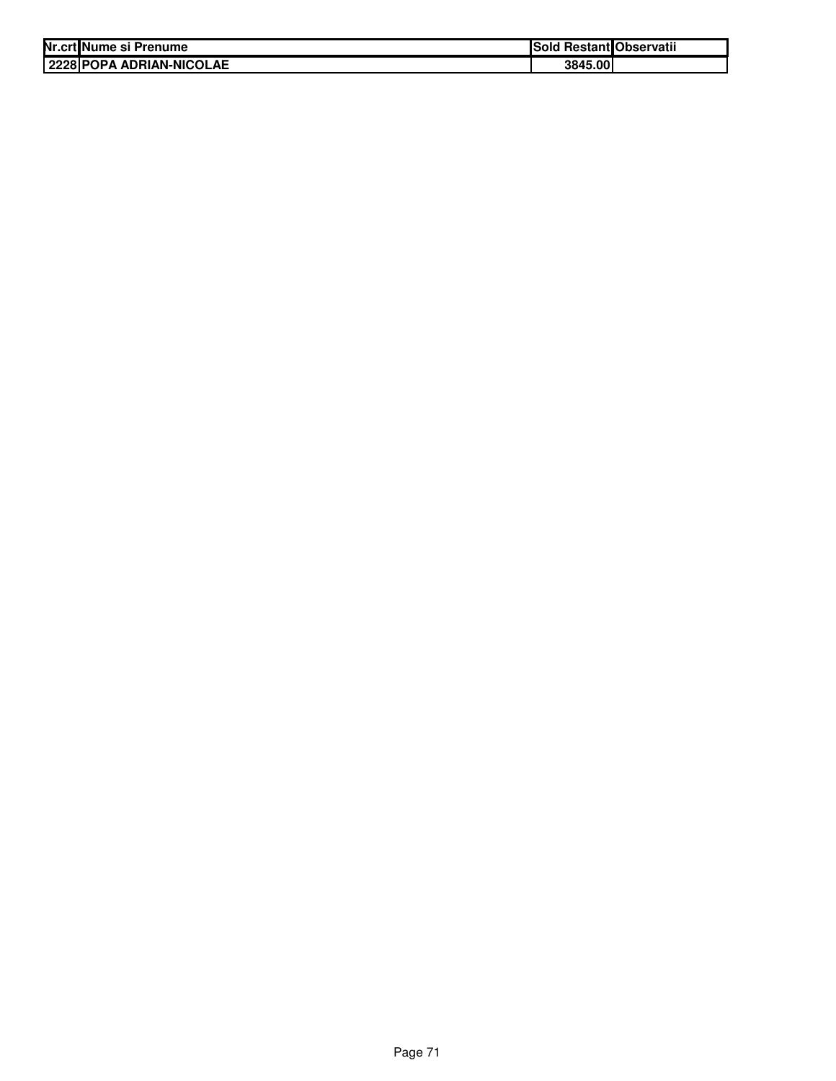| Nr.crt Nume si Prenume |                            | Sold Restant Observatii |  |
|------------------------|----------------------------|-------------------------|--|
|                        | I 2228 POPA ADRIAN-NICOLAE | 3845.00                 |  |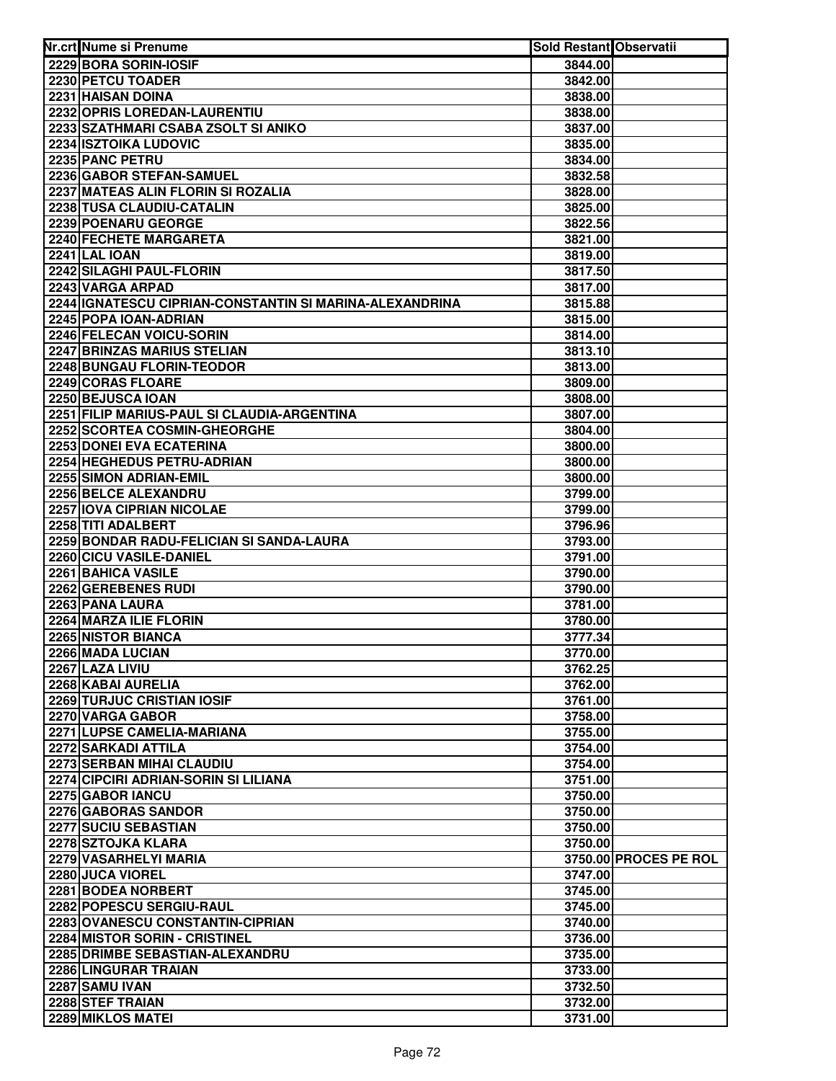| Nr.crt Nume si Prenume                                           | Sold Restant Observatii |                       |
|------------------------------------------------------------------|-------------------------|-----------------------|
| 2229 BORA SORIN-IOSIF                                            | 3844.00                 |                       |
| 2230 PETCU TOADER                                                | 3842.00                 |                       |
| 2231 HAISAN DOINA                                                | 3838.00                 |                       |
| 2232 OPRIS LOREDAN-LAURENTIU                                     | 3838.00                 |                       |
| 2233 SZATHMARI CSABA ZSOLT SI ANIKO                              | 3837.00                 |                       |
| 2234 ISZTOIKA LUDOVIC                                            | 3835.00                 |                       |
| 2235 PANC PETRU                                                  | 3834.00                 |                       |
| 2236 GABOR STEFAN-SAMUEL                                         | 3832.58                 |                       |
| 2237 MATEAS ALIN FLORIN SI ROZALIA                               | 3828.00                 |                       |
| 2238 TUSA CLAUDIU-CATALIN                                        | 3825.00                 |                       |
| 2239 POENARU GEORGE                                              | 3822.56                 |                       |
| 2240 FECHETE MARGARETA                                           | 3821.00                 |                       |
| <b>2241 LAL IOAN</b>                                             | 3819.00                 |                       |
| 2242 SILAGHI PAUL-FLORIN                                         | 3817.50                 |                       |
| 2243 VARGA ARPAD                                                 | 3817.00                 |                       |
| 2244   IGNATESCU CIPRIAN-CONSTANTIN SI MARINA-ALEXANDRINA        | 3815.88                 |                       |
| 2245 POPA IOAN-ADRIAN                                            | 3815.00                 |                       |
| 2246 FELECAN VOICU-SORIN                                         | 3814.00                 |                       |
| 2247 BRINZAS MARIUS STELIAN                                      | 3813.10                 |                       |
| 2248 BUNGAU FLORIN-TEODOR                                        | 3813.00                 |                       |
| 2249 CORAS FLOARE                                                | 3809.00                 |                       |
| 2250 BEJUSCA IOAN                                                | 3808.00                 |                       |
| 2251 FILIP MARIUS-PAUL SI CLAUDIA-ARGENTINA                      | 3807.00                 |                       |
| 2252 SCORTEA COSMIN-GHEORGHE                                     | 3804.00                 |                       |
| 2253 DONEI EVA ECATERINA                                         | 3800.00                 |                       |
| 2254 HEGHEDUS PETRU-ADRIAN                                       | 3800.00                 |                       |
| 2255 SIMON ADRIAN-EMIL                                           | 3800.00                 |                       |
| 2256 BELCE ALEXANDRU                                             | 3799.00                 |                       |
| 2257 IOVA CIPRIAN NICOLAE                                        | 3799.00                 |                       |
| 2258 TITI ADALBERT                                               | 3796.96                 |                       |
| 2259 BONDAR RADU-FELICIAN SI SANDA-LAURA                         | 3793.00                 |                       |
| 2260 CICU VASILE-DANIEL                                          | 3791.00                 |                       |
| 2261 BAHICA VASILE                                               | 3790.00                 |                       |
| 2262 GEREBENES RUDI                                              | 3790.00                 |                       |
| 2263 PANA LAURA                                                  | 3781.00                 |                       |
| 2264 MARZA ILIE FLORIN                                           | 3780.00                 |                       |
| 2265 NISTOR BIANCA                                               | 3777.34                 |                       |
| 2266 MADA LUCIAN                                                 | 3770.00                 |                       |
| 2267 LAZA LIVIU                                                  | 3762.25                 |                       |
| 2268 KABAI AURELIA                                               | 3762.00                 |                       |
| 2269 TURJUC CRISTIAN IOSIF                                       | 3761.00                 |                       |
| 2270 VARGA GABOR                                                 | 3758.00                 |                       |
| 2271 LUPSE CAMELIA-MARIANA                                       | 3755.00                 |                       |
| 2272 SARKADI ATTILA                                              | 3754.00                 |                       |
| 2273 SERBAN MIHAI CLAUDIU                                        | 3754.00                 |                       |
| 2274 CIPCIRI ADRIAN-SORIN SI LILIANA                             | 3751.00                 |                       |
| 2275 GABOR IANCU                                                 | 3750.00                 |                       |
| 2276 GABORAS SANDOR                                              | 3750.00                 |                       |
| 2277 SUCIU SEBASTIAN                                             | 3750.00                 |                       |
| 2278 SZTOJKA KLARA                                               | 3750.00                 |                       |
| 2279 VASARHELYI MARIA                                            |                         | 3750.00 PROCES PE ROL |
| 2280 JUCA VIOREL                                                 | 3747.00                 |                       |
| 2281 BODEA NORBERT                                               | 3745.00                 |                       |
| 2282 POPESCU SERGIU-RAUL                                         | 3745.00                 |                       |
| 2283 OVANESCU CONSTANTIN-CIPRIAN                                 | 3740.00                 |                       |
| 2284 MISTOR SORIN - CRISTINEL<br>2285 DRIMBE SEBASTIAN-ALEXANDRU | 3736.00                 |                       |
|                                                                  | 3735.00                 |                       |
| 2286 LINGURAR TRAIAN                                             | 3733.00                 |                       |
| 2287 SAMU IVAN                                                   | 3732.50                 |                       |
| 2288 STEF TRAIAN                                                 | 3732.00                 |                       |
| 2289 MIKLOS MATEI                                                | 3731.00                 |                       |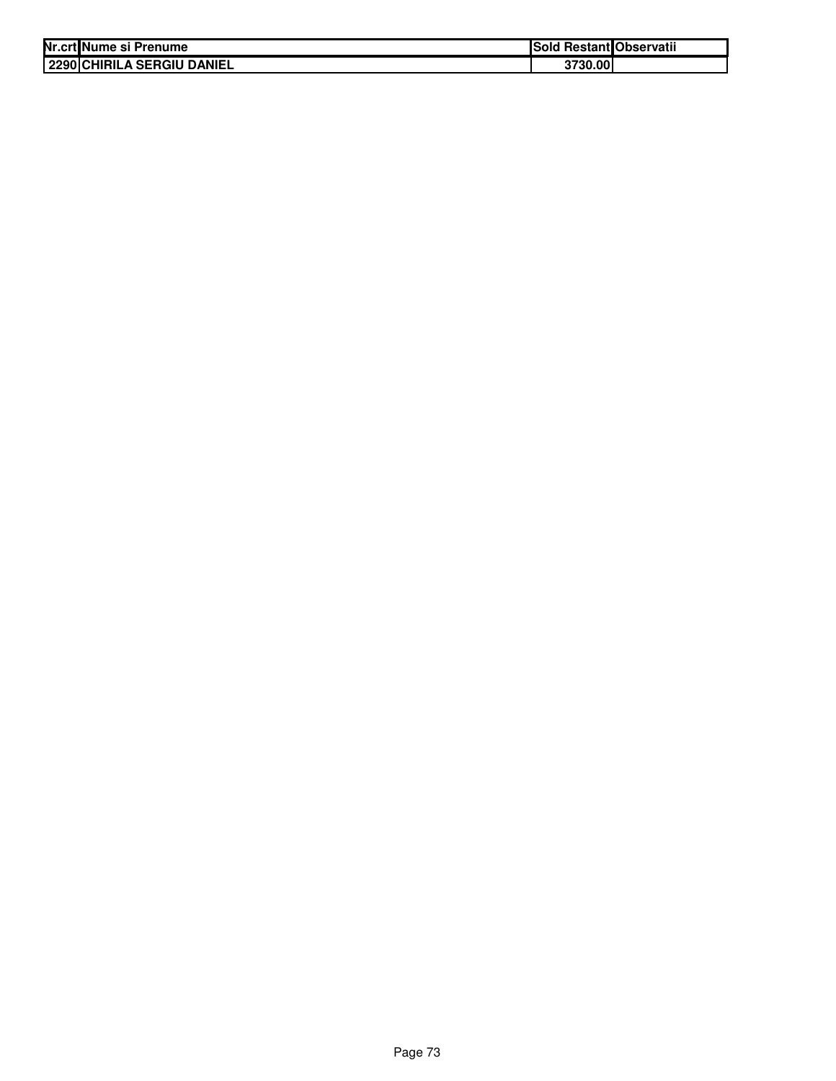| Nr.crt Nume si Prenume     | Sold Restant Observatii |  |
|----------------------------|-------------------------|--|
| 2290 CHIRILA SERGIU DANIEL | 3730.00                 |  |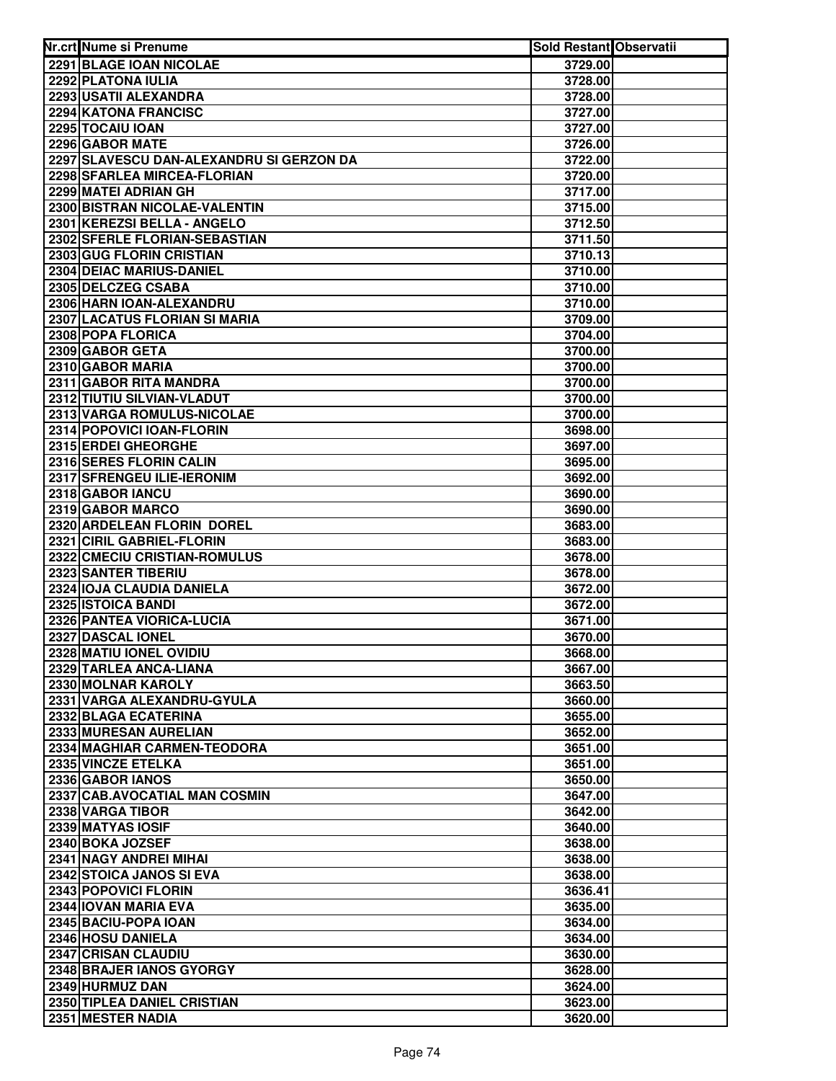| 2291 BLAGE IOAN NICOLAE<br>3729.00<br>2292 PLATONA IULIA<br>3728.00<br>2293 USATII ALEXANDRA<br>3728.00<br>2294 KATONA FRANCISC<br>3727.00<br>2295 TOCAIU IOAN<br>3727.00<br>2296 GABOR MATE<br>3726.00<br>2297 SLAVESCU DAN-ALEXANDRU SI GERZON DA<br>3722.00<br>2298 SFARLEA MIRCEA-FLORIAN<br>3720.00<br>2299 MATEI ADRIAN GH<br>3717.00<br>2300 BISTRAN NICOLAE-VALENTIN<br>3715.00<br>2301 KEREZSI BELLA - ANGELO<br>3712.50<br>2302 SFERLE FLORIAN-SEBASTIAN<br>3711.50<br>2303 GUG FLORIN CRISTIAN<br>3710.13<br>2304 DEIAC MARIUS-DANIEL<br>3710.00<br>2305 DELCZEG CSABA<br>3710.00<br>2306 HARN IOAN-ALEXANDRU<br>3710.00<br>2307 LACATUS FLORIAN SI MARIA<br>3709.00<br>2308 POPA FLORICA<br>3704.00<br>2309 GABOR GETA<br>3700.00<br>2310 GABOR MARIA<br>3700.00<br>2311 GABOR RITA MANDRA<br>3700.00<br>2312 TIUTIU SILVIAN-VLADUT<br>3700.00<br>2313 VARGA ROMULUS-NICOLAE<br>3700.00<br>2314 POPOVICI IOAN-FLORIN<br>3698.00<br>2315 ERDEI GHEORGHE<br>3697.00<br>2316 SERES FLORIN CALIN<br>3695.00<br>2317 SFRENGEU ILIE-IERONIM<br>3692.00<br>2318 GABOR IANCU<br>3690.00<br>2319 GABOR MARCO<br>3690.00<br>2320 ARDELEAN FLORIN DOREL<br>3683.00<br>2321 CIRIL GABRIEL-FLORIN<br>3683.00<br>2322 CMECIU CRISTIAN-ROMULUS<br>3678.00<br>2323 SANTER TIBERIU<br>3678.00<br>2324 IOJA CLAUDIA DANIELA<br>3672.00<br>2325 ISTOICA BANDI<br>3672.00<br>2326 PANTEA VIORICA-LUCIA<br>3671.00<br>2327 DASCAL IONEL<br>3670.00<br>2328 MATIU IONEL OVIDIU<br>3668.00<br>2329 TARLEA ANCA-LIANA<br>3667.00<br>2330 MOLNAR KAROLY<br>3663.50<br>2331 VARGA ALEXANDRU-GYULA<br>3660.00<br>2332 BLAGA ECATERINA<br>3655.00<br>2333 MURESAN AURELIAN<br>3652.00<br>2334 MAGHIAR CARMEN-TEODORA<br>3651.00<br>2335 VINCZE ETELKA<br>3651.00<br>2336 GABOR IANOS<br>3650.00<br>2337 CAB.AVOCATIAL MAN COSMIN<br>3647.00<br>2338 VARGA TIBOR<br>3642.00<br>2339 MATYAS IOSIF<br>3640.00<br>2340 BOKA JOZSEF<br>3638.00<br>2341 NAGY ANDREI MIHAI<br>3638.00<br>2342 STOICA JANOS SI EVA<br>3638.00<br>2343 POPOVICI FLORIN<br>3636.41<br>2344 IOVAN MARIA EVA<br>3635.00<br>2345 BACIU-POPA IOAN<br>3634.00<br>3634.00<br>2346 HOSU DANIELA<br>2347 CRISAN CLAUDIU<br>3630.00<br>2348 BRAJER IANOS GYORGY<br>3628.00<br>2349 HURMUZ DAN<br>3624.00<br>2350 TIPLEA DANIEL CRISTIAN<br>3623.00<br>2351 MESTER NADIA | Nr.crt Nume si Prenume | Sold Restant Observatii |  |
|----------------------------------------------------------------------------------------------------------------------------------------------------------------------------------------------------------------------------------------------------------------------------------------------------------------------------------------------------------------------------------------------------------------------------------------------------------------------------------------------------------------------------------------------------------------------------------------------------------------------------------------------------------------------------------------------------------------------------------------------------------------------------------------------------------------------------------------------------------------------------------------------------------------------------------------------------------------------------------------------------------------------------------------------------------------------------------------------------------------------------------------------------------------------------------------------------------------------------------------------------------------------------------------------------------------------------------------------------------------------------------------------------------------------------------------------------------------------------------------------------------------------------------------------------------------------------------------------------------------------------------------------------------------------------------------------------------------------------------------------------------------------------------------------------------------------------------------------------------------------------------------------------------------------------------------------------------------------------------------------------------------------------------------------------------------------------------------------------------------------------------------------------------------------------------------------------------------------------------------------------------------------------------------------------------------------|------------------------|-------------------------|--|
|                                                                                                                                                                                                                                                                                                                                                                                                                                                                                                                                                                                                                                                                                                                                                                                                                                                                                                                                                                                                                                                                                                                                                                                                                                                                                                                                                                                                                                                                                                                                                                                                                                                                                                                                                                                                                                                                                                                                                                                                                                                                                                                                                                                                                                                                                                                      |                        |                         |  |
|                                                                                                                                                                                                                                                                                                                                                                                                                                                                                                                                                                                                                                                                                                                                                                                                                                                                                                                                                                                                                                                                                                                                                                                                                                                                                                                                                                                                                                                                                                                                                                                                                                                                                                                                                                                                                                                                                                                                                                                                                                                                                                                                                                                                                                                                                                                      |                        |                         |  |
|                                                                                                                                                                                                                                                                                                                                                                                                                                                                                                                                                                                                                                                                                                                                                                                                                                                                                                                                                                                                                                                                                                                                                                                                                                                                                                                                                                                                                                                                                                                                                                                                                                                                                                                                                                                                                                                                                                                                                                                                                                                                                                                                                                                                                                                                                                                      |                        |                         |  |
|                                                                                                                                                                                                                                                                                                                                                                                                                                                                                                                                                                                                                                                                                                                                                                                                                                                                                                                                                                                                                                                                                                                                                                                                                                                                                                                                                                                                                                                                                                                                                                                                                                                                                                                                                                                                                                                                                                                                                                                                                                                                                                                                                                                                                                                                                                                      |                        |                         |  |
|                                                                                                                                                                                                                                                                                                                                                                                                                                                                                                                                                                                                                                                                                                                                                                                                                                                                                                                                                                                                                                                                                                                                                                                                                                                                                                                                                                                                                                                                                                                                                                                                                                                                                                                                                                                                                                                                                                                                                                                                                                                                                                                                                                                                                                                                                                                      |                        |                         |  |
|                                                                                                                                                                                                                                                                                                                                                                                                                                                                                                                                                                                                                                                                                                                                                                                                                                                                                                                                                                                                                                                                                                                                                                                                                                                                                                                                                                                                                                                                                                                                                                                                                                                                                                                                                                                                                                                                                                                                                                                                                                                                                                                                                                                                                                                                                                                      |                        |                         |  |
|                                                                                                                                                                                                                                                                                                                                                                                                                                                                                                                                                                                                                                                                                                                                                                                                                                                                                                                                                                                                                                                                                                                                                                                                                                                                                                                                                                                                                                                                                                                                                                                                                                                                                                                                                                                                                                                                                                                                                                                                                                                                                                                                                                                                                                                                                                                      |                        |                         |  |
|                                                                                                                                                                                                                                                                                                                                                                                                                                                                                                                                                                                                                                                                                                                                                                                                                                                                                                                                                                                                                                                                                                                                                                                                                                                                                                                                                                                                                                                                                                                                                                                                                                                                                                                                                                                                                                                                                                                                                                                                                                                                                                                                                                                                                                                                                                                      |                        |                         |  |
|                                                                                                                                                                                                                                                                                                                                                                                                                                                                                                                                                                                                                                                                                                                                                                                                                                                                                                                                                                                                                                                                                                                                                                                                                                                                                                                                                                                                                                                                                                                                                                                                                                                                                                                                                                                                                                                                                                                                                                                                                                                                                                                                                                                                                                                                                                                      |                        |                         |  |
|                                                                                                                                                                                                                                                                                                                                                                                                                                                                                                                                                                                                                                                                                                                                                                                                                                                                                                                                                                                                                                                                                                                                                                                                                                                                                                                                                                                                                                                                                                                                                                                                                                                                                                                                                                                                                                                                                                                                                                                                                                                                                                                                                                                                                                                                                                                      |                        |                         |  |
|                                                                                                                                                                                                                                                                                                                                                                                                                                                                                                                                                                                                                                                                                                                                                                                                                                                                                                                                                                                                                                                                                                                                                                                                                                                                                                                                                                                                                                                                                                                                                                                                                                                                                                                                                                                                                                                                                                                                                                                                                                                                                                                                                                                                                                                                                                                      |                        |                         |  |
|                                                                                                                                                                                                                                                                                                                                                                                                                                                                                                                                                                                                                                                                                                                                                                                                                                                                                                                                                                                                                                                                                                                                                                                                                                                                                                                                                                                                                                                                                                                                                                                                                                                                                                                                                                                                                                                                                                                                                                                                                                                                                                                                                                                                                                                                                                                      |                        |                         |  |
|                                                                                                                                                                                                                                                                                                                                                                                                                                                                                                                                                                                                                                                                                                                                                                                                                                                                                                                                                                                                                                                                                                                                                                                                                                                                                                                                                                                                                                                                                                                                                                                                                                                                                                                                                                                                                                                                                                                                                                                                                                                                                                                                                                                                                                                                                                                      |                        |                         |  |
|                                                                                                                                                                                                                                                                                                                                                                                                                                                                                                                                                                                                                                                                                                                                                                                                                                                                                                                                                                                                                                                                                                                                                                                                                                                                                                                                                                                                                                                                                                                                                                                                                                                                                                                                                                                                                                                                                                                                                                                                                                                                                                                                                                                                                                                                                                                      |                        |                         |  |
|                                                                                                                                                                                                                                                                                                                                                                                                                                                                                                                                                                                                                                                                                                                                                                                                                                                                                                                                                                                                                                                                                                                                                                                                                                                                                                                                                                                                                                                                                                                                                                                                                                                                                                                                                                                                                                                                                                                                                                                                                                                                                                                                                                                                                                                                                                                      |                        |                         |  |
|                                                                                                                                                                                                                                                                                                                                                                                                                                                                                                                                                                                                                                                                                                                                                                                                                                                                                                                                                                                                                                                                                                                                                                                                                                                                                                                                                                                                                                                                                                                                                                                                                                                                                                                                                                                                                                                                                                                                                                                                                                                                                                                                                                                                                                                                                                                      |                        |                         |  |
|                                                                                                                                                                                                                                                                                                                                                                                                                                                                                                                                                                                                                                                                                                                                                                                                                                                                                                                                                                                                                                                                                                                                                                                                                                                                                                                                                                                                                                                                                                                                                                                                                                                                                                                                                                                                                                                                                                                                                                                                                                                                                                                                                                                                                                                                                                                      |                        |                         |  |
|                                                                                                                                                                                                                                                                                                                                                                                                                                                                                                                                                                                                                                                                                                                                                                                                                                                                                                                                                                                                                                                                                                                                                                                                                                                                                                                                                                                                                                                                                                                                                                                                                                                                                                                                                                                                                                                                                                                                                                                                                                                                                                                                                                                                                                                                                                                      |                        |                         |  |
|                                                                                                                                                                                                                                                                                                                                                                                                                                                                                                                                                                                                                                                                                                                                                                                                                                                                                                                                                                                                                                                                                                                                                                                                                                                                                                                                                                                                                                                                                                                                                                                                                                                                                                                                                                                                                                                                                                                                                                                                                                                                                                                                                                                                                                                                                                                      |                        |                         |  |
|                                                                                                                                                                                                                                                                                                                                                                                                                                                                                                                                                                                                                                                                                                                                                                                                                                                                                                                                                                                                                                                                                                                                                                                                                                                                                                                                                                                                                                                                                                                                                                                                                                                                                                                                                                                                                                                                                                                                                                                                                                                                                                                                                                                                                                                                                                                      |                        |                         |  |
|                                                                                                                                                                                                                                                                                                                                                                                                                                                                                                                                                                                                                                                                                                                                                                                                                                                                                                                                                                                                                                                                                                                                                                                                                                                                                                                                                                                                                                                                                                                                                                                                                                                                                                                                                                                                                                                                                                                                                                                                                                                                                                                                                                                                                                                                                                                      |                        |                         |  |
|                                                                                                                                                                                                                                                                                                                                                                                                                                                                                                                                                                                                                                                                                                                                                                                                                                                                                                                                                                                                                                                                                                                                                                                                                                                                                                                                                                                                                                                                                                                                                                                                                                                                                                                                                                                                                                                                                                                                                                                                                                                                                                                                                                                                                                                                                                                      |                        |                         |  |
|                                                                                                                                                                                                                                                                                                                                                                                                                                                                                                                                                                                                                                                                                                                                                                                                                                                                                                                                                                                                                                                                                                                                                                                                                                                                                                                                                                                                                                                                                                                                                                                                                                                                                                                                                                                                                                                                                                                                                                                                                                                                                                                                                                                                                                                                                                                      |                        |                         |  |
|                                                                                                                                                                                                                                                                                                                                                                                                                                                                                                                                                                                                                                                                                                                                                                                                                                                                                                                                                                                                                                                                                                                                                                                                                                                                                                                                                                                                                                                                                                                                                                                                                                                                                                                                                                                                                                                                                                                                                                                                                                                                                                                                                                                                                                                                                                                      |                        |                         |  |
|                                                                                                                                                                                                                                                                                                                                                                                                                                                                                                                                                                                                                                                                                                                                                                                                                                                                                                                                                                                                                                                                                                                                                                                                                                                                                                                                                                                                                                                                                                                                                                                                                                                                                                                                                                                                                                                                                                                                                                                                                                                                                                                                                                                                                                                                                                                      |                        |                         |  |
|                                                                                                                                                                                                                                                                                                                                                                                                                                                                                                                                                                                                                                                                                                                                                                                                                                                                                                                                                                                                                                                                                                                                                                                                                                                                                                                                                                                                                                                                                                                                                                                                                                                                                                                                                                                                                                                                                                                                                                                                                                                                                                                                                                                                                                                                                                                      |                        |                         |  |
|                                                                                                                                                                                                                                                                                                                                                                                                                                                                                                                                                                                                                                                                                                                                                                                                                                                                                                                                                                                                                                                                                                                                                                                                                                                                                                                                                                                                                                                                                                                                                                                                                                                                                                                                                                                                                                                                                                                                                                                                                                                                                                                                                                                                                                                                                                                      |                        |                         |  |
|                                                                                                                                                                                                                                                                                                                                                                                                                                                                                                                                                                                                                                                                                                                                                                                                                                                                                                                                                                                                                                                                                                                                                                                                                                                                                                                                                                                                                                                                                                                                                                                                                                                                                                                                                                                                                                                                                                                                                                                                                                                                                                                                                                                                                                                                                                                      |                        |                         |  |
|                                                                                                                                                                                                                                                                                                                                                                                                                                                                                                                                                                                                                                                                                                                                                                                                                                                                                                                                                                                                                                                                                                                                                                                                                                                                                                                                                                                                                                                                                                                                                                                                                                                                                                                                                                                                                                                                                                                                                                                                                                                                                                                                                                                                                                                                                                                      |                        |                         |  |
|                                                                                                                                                                                                                                                                                                                                                                                                                                                                                                                                                                                                                                                                                                                                                                                                                                                                                                                                                                                                                                                                                                                                                                                                                                                                                                                                                                                                                                                                                                                                                                                                                                                                                                                                                                                                                                                                                                                                                                                                                                                                                                                                                                                                                                                                                                                      |                        |                         |  |
|                                                                                                                                                                                                                                                                                                                                                                                                                                                                                                                                                                                                                                                                                                                                                                                                                                                                                                                                                                                                                                                                                                                                                                                                                                                                                                                                                                                                                                                                                                                                                                                                                                                                                                                                                                                                                                                                                                                                                                                                                                                                                                                                                                                                                                                                                                                      |                        |                         |  |
|                                                                                                                                                                                                                                                                                                                                                                                                                                                                                                                                                                                                                                                                                                                                                                                                                                                                                                                                                                                                                                                                                                                                                                                                                                                                                                                                                                                                                                                                                                                                                                                                                                                                                                                                                                                                                                                                                                                                                                                                                                                                                                                                                                                                                                                                                                                      |                        |                         |  |
|                                                                                                                                                                                                                                                                                                                                                                                                                                                                                                                                                                                                                                                                                                                                                                                                                                                                                                                                                                                                                                                                                                                                                                                                                                                                                                                                                                                                                                                                                                                                                                                                                                                                                                                                                                                                                                                                                                                                                                                                                                                                                                                                                                                                                                                                                                                      |                        |                         |  |
|                                                                                                                                                                                                                                                                                                                                                                                                                                                                                                                                                                                                                                                                                                                                                                                                                                                                                                                                                                                                                                                                                                                                                                                                                                                                                                                                                                                                                                                                                                                                                                                                                                                                                                                                                                                                                                                                                                                                                                                                                                                                                                                                                                                                                                                                                                                      |                        |                         |  |
|                                                                                                                                                                                                                                                                                                                                                                                                                                                                                                                                                                                                                                                                                                                                                                                                                                                                                                                                                                                                                                                                                                                                                                                                                                                                                                                                                                                                                                                                                                                                                                                                                                                                                                                                                                                                                                                                                                                                                                                                                                                                                                                                                                                                                                                                                                                      |                        |                         |  |
|                                                                                                                                                                                                                                                                                                                                                                                                                                                                                                                                                                                                                                                                                                                                                                                                                                                                                                                                                                                                                                                                                                                                                                                                                                                                                                                                                                                                                                                                                                                                                                                                                                                                                                                                                                                                                                                                                                                                                                                                                                                                                                                                                                                                                                                                                                                      |                        |                         |  |
|                                                                                                                                                                                                                                                                                                                                                                                                                                                                                                                                                                                                                                                                                                                                                                                                                                                                                                                                                                                                                                                                                                                                                                                                                                                                                                                                                                                                                                                                                                                                                                                                                                                                                                                                                                                                                                                                                                                                                                                                                                                                                                                                                                                                                                                                                                                      |                        |                         |  |
|                                                                                                                                                                                                                                                                                                                                                                                                                                                                                                                                                                                                                                                                                                                                                                                                                                                                                                                                                                                                                                                                                                                                                                                                                                                                                                                                                                                                                                                                                                                                                                                                                                                                                                                                                                                                                                                                                                                                                                                                                                                                                                                                                                                                                                                                                                                      |                        |                         |  |
|                                                                                                                                                                                                                                                                                                                                                                                                                                                                                                                                                                                                                                                                                                                                                                                                                                                                                                                                                                                                                                                                                                                                                                                                                                                                                                                                                                                                                                                                                                                                                                                                                                                                                                                                                                                                                                                                                                                                                                                                                                                                                                                                                                                                                                                                                                                      |                        |                         |  |
|                                                                                                                                                                                                                                                                                                                                                                                                                                                                                                                                                                                                                                                                                                                                                                                                                                                                                                                                                                                                                                                                                                                                                                                                                                                                                                                                                                                                                                                                                                                                                                                                                                                                                                                                                                                                                                                                                                                                                                                                                                                                                                                                                                                                                                                                                                                      |                        |                         |  |
|                                                                                                                                                                                                                                                                                                                                                                                                                                                                                                                                                                                                                                                                                                                                                                                                                                                                                                                                                                                                                                                                                                                                                                                                                                                                                                                                                                                                                                                                                                                                                                                                                                                                                                                                                                                                                                                                                                                                                                                                                                                                                                                                                                                                                                                                                                                      |                        |                         |  |
|                                                                                                                                                                                                                                                                                                                                                                                                                                                                                                                                                                                                                                                                                                                                                                                                                                                                                                                                                                                                                                                                                                                                                                                                                                                                                                                                                                                                                                                                                                                                                                                                                                                                                                                                                                                                                                                                                                                                                                                                                                                                                                                                                                                                                                                                                                                      |                        |                         |  |
|                                                                                                                                                                                                                                                                                                                                                                                                                                                                                                                                                                                                                                                                                                                                                                                                                                                                                                                                                                                                                                                                                                                                                                                                                                                                                                                                                                                                                                                                                                                                                                                                                                                                                                                                                                                                                                                                                                                                                                                                                                                                                                                                                                                                                                                                                                                      |                        |                         |  |
|                                                                                                                                                                                                                                                                                                                                                                                                                                                                                                                                                                                                                                                                                                                                                                                                                                                                                                                                                                                                                                                                                                                                                                                                                                                                                                                                                                                                                                                                                                                                                                                                                                                                                                                                                                                                                                                                                                                                                                                                                                                                                                                                                                                                                                                                                                                      |                        |                         |  |
|                                                                                                                                                                                                                                                                                                                                                                                                                                                                                                                                                                                                                                                                                                                                                                                                                                                                                                                                                                                                                                                                                                                                                                                                                                                                                                                                                                                                                                                                                                                                                                                                                                                                                                                                                                                                                                                                                                                                                                                                                                                                                                                                                                                                                                                                                                                      |                        |                         |  |
|                                                                                                                                                                                                                                                                                                                                                                                                                                                                                                                                                                                                                                                                                                                                                                                                                                                                                                                                                                                                                                                                                                                                                                                                                                                                                                                                                                                                                                                                                                                                                                                                                                                                                                                                                                                                                                                                                                                                                                                                                                                                                                                                                                                                                                                                                                                      |                        |                         |  |
|                                                                                                                                                                                                                                                                                                                                                                                                                                                                                                                                                                                                                                                                                                                                                                                                                                                                                                                                                                                                                                                                                                                                                                                                                                                                                                                                                                                                                                                                                                                                                                                                                                                                                                                                                                                                                                                                                                                                                                                                                                                                                                                                                                                                                                                                                                                      |                        |                         |  |
|                                                                                                                                                                                                                                                                                                                                                                                                                                                                                                                                                                                                                                                                                                                                                                                                                                                                                                                                                                                                                                                                                                                                                                                                                                                                                                                                                                                                                                                                                                                                                                                                                                                                                                                                                                                                                                                                                                                                                                                                                                                                                                                                                                                                                                                                                                                      |                        |                         |  |
|                                                                                                                                                                                                                                                                                                                                                                                                                                                                                                                                                                                                                                                                                                                                                                                                                                                                                                                                                                                                                                                                                                                                                                                                                                                                                                                                                                                                                                                                                                                                                                                                                                                                                                                                                                                                                                                                                                                                                                                                                                                                                                                                                                                                                                                                                                                      |                        |                         |  |
|                                                                                                                                                                                                                                                                                                                                                                                                                                                                                                                                                                                                                                                                                                                                                                                                                                                                                                                                                                                                                                                                                                                                                                                                                                                                                                                                                                                                                                                                                                                                                                                                                                                                                                                                                                                                                                                                                                                                                                                                                                                                                                                                                                                                                                                                                                                      |                        |                         |  |
|                                                                                                                                                                                                                                                                                                                                                                                                                                                                                                                                                                                                                                                                                                                                                                                                                                                                                                                                                                                                                                                                                                                                                                                                                                                                                                                                                                                                                                                                                                                                                                                                                                                                                                                                                                                                                                                                                                                                                                                                                                                                                                                                                                                                                                                                                                                      |                        |                         |  |
|                                                                                                                                                                                                                                                                                                                                                                                                                                                                                                                                                                                                                                                                                                                                                                                                                                                                                                                                                                                                                                                                                                                                                                                                                                                                                                                                                                                                                                                                                                                                                                                                                                                                                                                                                                                                                                                                                                                                                                                                                                                                                                                                                                                                                                                                                                                      |                        |                         |  |
|                                                                                                                                                                                                                                                                                                                                                                                                                                                                                                                                                                                                                                                                                                                                                                                                                                                                                                                                                                                                                                                                                                                                                                                                                                                                                                                                                                                                                                                                                                                                                                                                                                                                                                                                                                                                                                                                                                                                                                                                                                                                                                                                                                                                                                                                                                                      |                        |                         |  |
|                                                                                                                                                                                                                                                                                                                                                                                                                                                                                                                                                                                                                                                                                                                                                                                                                                                                                                                                                                                                                                                                                                                                                                                                                                                                                                                                                                                                                                                                                                                                                                                                                                                                                                                                                                                                                                                                                                                                                                                                                                                                                                                                                                                                                                                                                                                      |                        |                         |  |
|                                                                                                                                                                                                                                                                                                                                                                                                                                                                                                                                                                                                                                                                                                                                                                                                                                                                                                                                                                                                                                                                                                                                                                                                                                                                                                                                                                                                                                                                                                                                                                                                                                                                                                                                                                                                                                                                                                                                                                                                                                                                                                                                                                                                                                                                                                                      |                        |                         |  |
|                                                                                                                                                                                                                                                                                                                                                                                                                                                                                                                                                                                                                                                                                                                                                                                                                                                                                                                                                                                                                                                                                                                                                                                                                                                                                                                                                                                                                                                                                                                                                                                                                                                                                                                                                                                                                                                                                                                                                                                                                                                                                                                                                                                                                                                                                                                      |                        |                         |  |
|                                                                                                                                                                                                                                                                                                                                                                                                                                                                                                                                                                                                                                                                                                                                                                                                                                                                                                                                                                                                                                                                                                                                                                                                                                                                                                                                                                                                                                                                                                                                                                                                                                                                                                                                                                                                                                                                                                                                                                                                                                                                                                                                                                                                                                                                                                                      |                        |                         |  |
|                                                                                                                                                                                                                                                                                                                                                                                                                                                                                                                                                                                                                                                                                                                                                                                                                                                                                                                                                                                                                                                                                                                                                                                                                                                                                                                                                                                                                                                                                                                                                                                                                                                                                                                                                                                                                                                                                                                                                                                                                                                                                                                                                                                                                                                                                                                      |                        |                         |  |
|                                                                                                                                                                                                                                                                                                                                                                                                                                                                                                                                                                                                                                                                                                                                                                                                                                                                                                                                                                                                                                                                                                                                                                                                                                                                                                                                                                                                                                                                                                                                                                                                                                                                                                                                                                                                                                                                                                                                                                                                                                                                                                                                                                                                                                                                                                                      |                        |                         |  |
|                                                                                                                                                                                                                                                                                                                                                                                                                                                                                                                                                                                                                                                                                                                                                                                                                                                                                                                                                                                                                                                                                                                                                                                                                                                                                                                                                                                                                                                                                                                                                                                                                                                                                                                                                                                                                                                                                                                                                                                                                                                                                                                                                                                                                                                                                                                      |                        | 3620.00                 |  |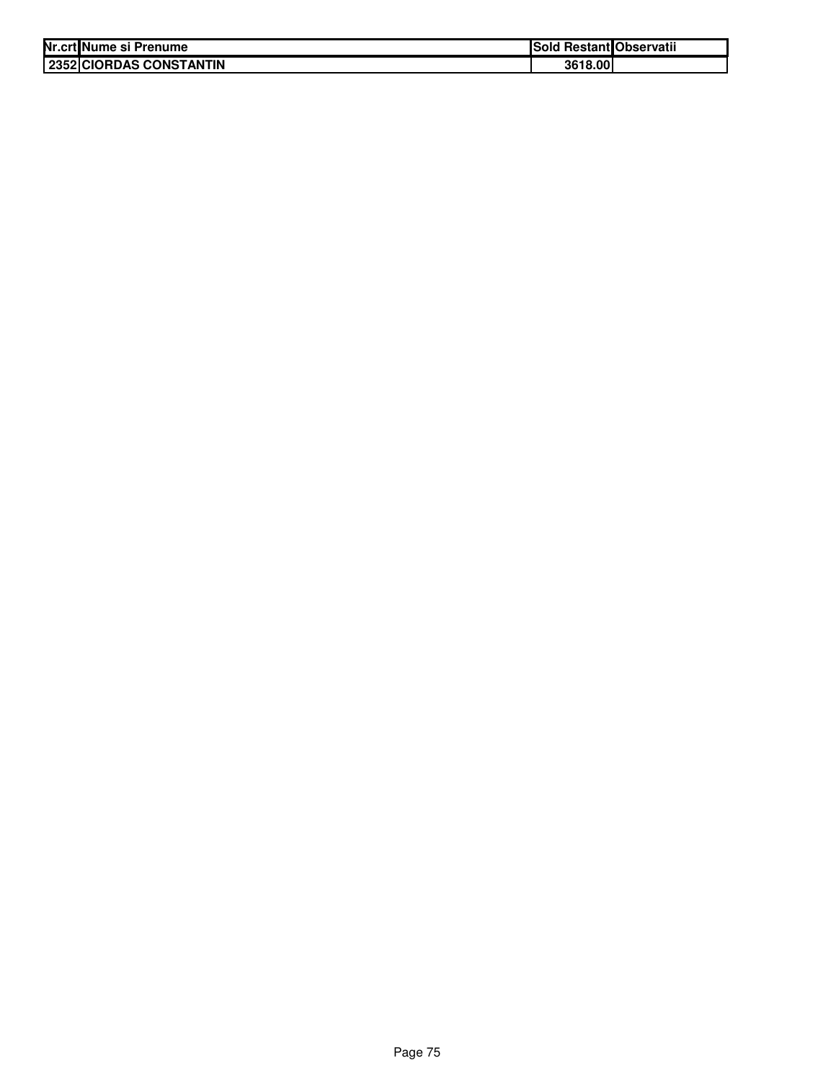| Nr.crt Nume si Prenume  | Sold Restant Observatii |  |
|-------------------------|-------------------------|--|
| 2352 CIORDAS CONSTANTIN | 3618.00                 |  |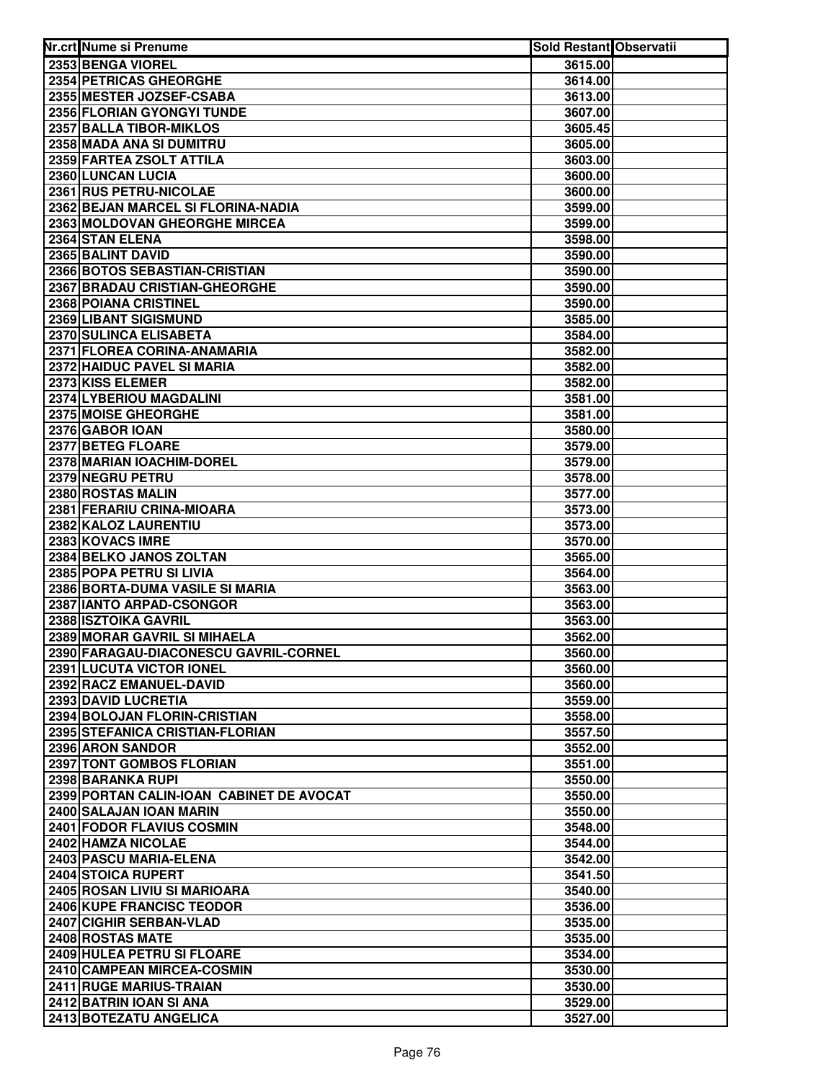| Nr.crt Nume si Prenume                             | Sold Restant Observatii |  |
|----------------------------------------------------|-------------------------|--|
| 2353 BENGA VIOREL                                  | 3615.00                 |  |
| 2354 PETRICAS GHEORGHE                             | 3614.00                 |  |
| 2355 MESTER JOZSEF-CSABA                           | 3613.00                 |  |
| 2356 FLORIAN GYONGYI TUNDE                         | 3607.00                 |  |
| 2357 BALLA TIBOR-MIKLOS                            | 3605.45                 |  |
| 2358 MADA ANA SI DUMITRU                           | 3605.00                 |  |
| 2359 FARTEA ZSOLT ATTILA                           | 3603.00                 |  |
| 2360 LUNCAN LUCIA                                  | 3600.00                 |  |
| 2361 RUS PETRU-NICOLAE                             | 3600.00                 |  |
| 2362 BEJAN MARCEL SI FLORINA-NADIA                 | 3599.00                 |  |
| 2363 MOLDOVAN GHEORGHE MIRCEA                      | 3599.00                 |  |
| 2364 STAN ELENA                                    | 3598.00                 |  |
| 2365 BALINT DAVID                                  | 3590.00                 |  |
| 2366 BOTOS SEBASTIAN-CRISTIAN                      | 3590.00                 |  |
| 2367 BRADAU CRISTIAN-GHEORGHE                      | 3590.00                 |  |
| 2368 POIANA CRISTINEL                              | 3590.00                 |  |
| 2369 LIBANT SIGISMUND                              | 3585.00                 |  |
| 2370 SULINCA ELISABETA                             | 3584.00                 |  |
| 2371 FLOREA CORINA-ANAMARIA                        | 3582.00                 |  |
| 2372 HAIDUC PAVEL SI MARIA                         | 3582.00                 |  |
| 2373 KISS ELEMER                                   | 3582.00                 |  |
| 2374 LYBERIOU MAGDALINI                            | 3581.00                 |  |
| <b>2375 MOISE GHEORGHE</b>                         | 3581.00                 |  |
| 2376 GABOR IOAN                                    | 3580.00                 |  |
| 2377 BETEG FLOARE                                  | 3579.00                 |  |
| 2378 MARIAN IOACHIM-DOREL                          | 3579.00                 |  |
| 2379 NEGRU PETRU                                   | 3578.00                 |  |
| 2380 ROSTAS MALIN<br>2381 FERARIU CRINA-MIOARA     | 3577.00                 |  |
| 2382 KALOZ LAURENTIU                               | 3573.00<br>3573.00      |  |
| 2383 KOVACS IMRE                                   | 3570.00                 |  |
| 2384 BELKO JANOS ZOLTAN                            | 3565.00                 |  |
| 2385 POPA PETRU SI LIVIA                           | 3564.00                 |  |
| 2386 BORTA-DUMA VASILE SI MARIA                    | 3563.00                 |  |
| 2387 IANTO ARPAD-CSONGOR                           | 3563.00                 |  |
| 2388 ISZTOIKA GAVRIL                               | 3563.00                 |  |
| 2389 MORAR GAVRIL SI MIHAELA                       | 3562.00                 |  |
| 2390 FARAGAU-DIACONESCU GAVRIL-CORNEL              | 3560.00                 |  |
| 2391 LUCUTA VICTOR IONEL                           | 3560.00                 |  |
| 2392 RACZ EMANUEL-DAVID                            | 3560.00                 |  |
| 2393 DAVID LUCRETIA                                | 3559.00                 |  |
| 2394 BOLOJAN FLORIN-CRISTIAN                       | 3558.00                 |  |
| 2395 STEFANICA CRISTIAN-FLORIAN                    | 3557.50                 |  |
| 2396 ARON SANDOR                                   | 3552.00                 |  |
| 2397 TONT GOMBOS FLORIAN                           | 3551.00                 |  |
| 2398 BARANKA RUPI                                  | 3550.00                 |  |
| 2399 PORTAN CALIN-IOAN CABINET DE AVOCAT           | 3550.00                 |  |
| 2400 SALAJAN IOAN MARIN                            | 3550.00                 |  |
| <b>2401 FODOR FLAVIUS COSMIN</b>                   | 3548.00                 |  |
| 2402 HAMZA NICOLAE                                 | 3544.00                 |  |
| 2403 PASCU MARIA-ELENA                             | 3542.00                 |  |
| 2404 STOICA RUPERT                                 | 3541.50                 |  |
| 2405 ROSAN LIVIU SI MARIOARA                       | 3540.00                 |  |
| 2406 KUPE FRANCISC TEODOR                          | 3536.00                 |  |
| 2407 CIGHIR SERBAN-VLAD                            | 3535.00                 |  |
| 2408 ROSTAS MATE                                   | 3535.00                 |  |
| 2409 HULEA PETRU SI FLOARE                         | 3534.00                 |  |
| 2410 CAMPEAN MIRCEA-COSMIN                         | 3530.00                 |  |
| 2411 RUGE MARIUS-TRAIAN<br>2412 BATRIN IOAN SI ANA | 3530.00                 |  |
| 2413 BOTEZATU ANGELICA                             | 3529.00<br>3527.00      |  |
|                                                    |                         |  |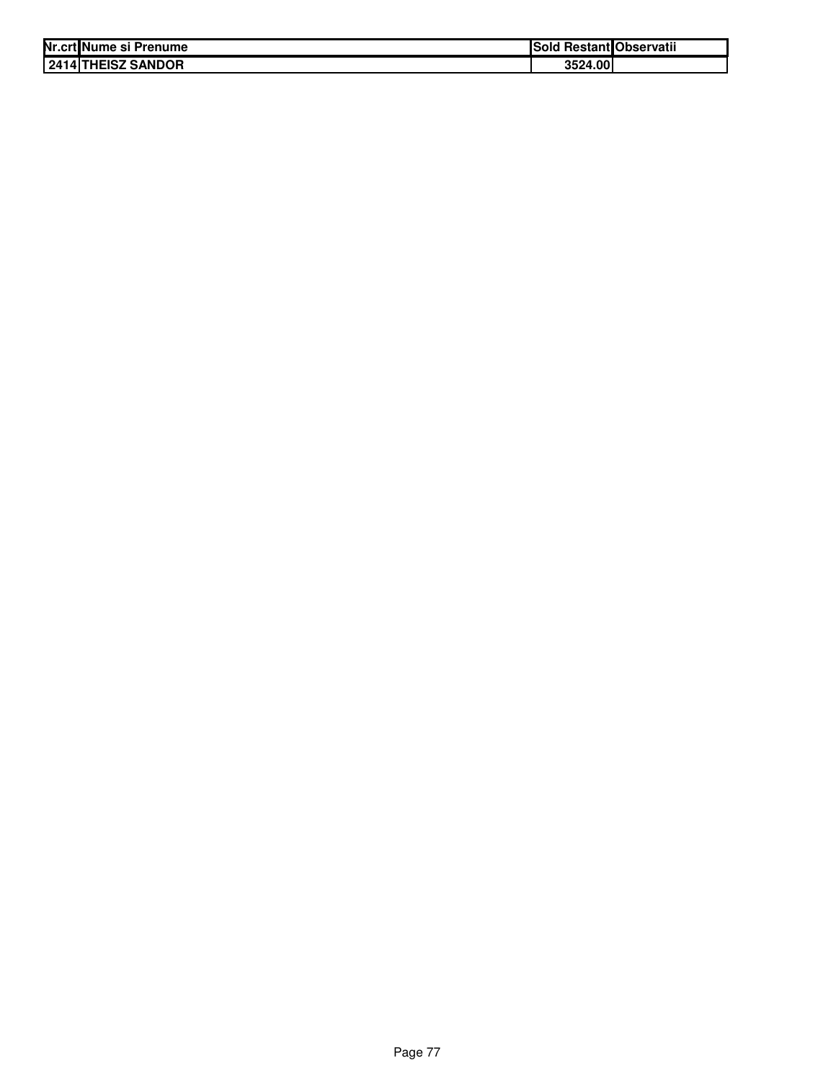| Nr.crt Nume si Prenume    | <b>Sold Restant Observatii</b> |
|---------------------------|--------------------------------|
| <b>2414 THEISZ SANDOR</b> | 3524.00                        |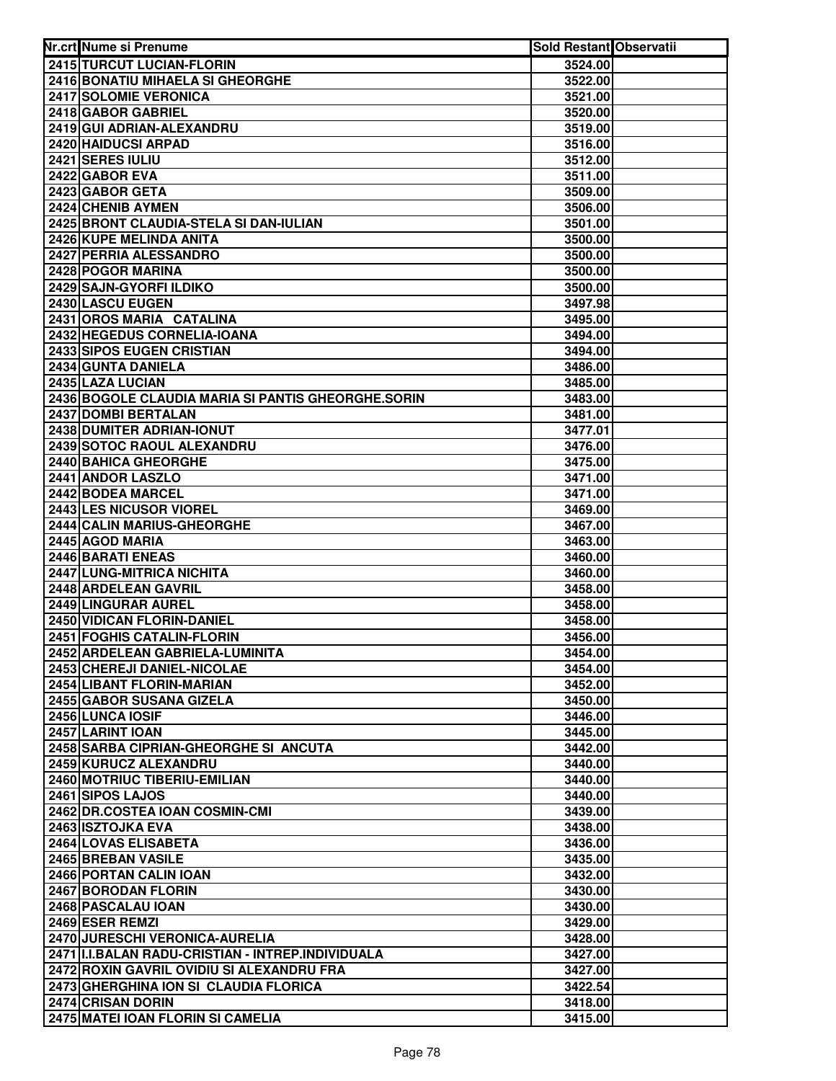| Nr.crt Nume si Prenume                               | Sold Restant Observatii |  |
|------------------------------------------------------|-------------------------|--|
| <b>2415 TURCUT LUCIAN-FLORIN</b>                     | 3524.00                 |  |
| 2416 BONATIU MIHAELA SI GHEORGHE                     | 3522.00                 |  |
| 2417 SOLOMIE VERONICA                                | 3521.00                 |  |
| 2418 GABOR GABRIEL                                   | 3520.00                 |  |
| 2419 GUI ADRIAN-ALEXANDRU                            | 3519.00                 |  |
| 2420 HAIDUCSI ARPAD                                  | 3516.00                 |  |
| 2421 SERES IULIU                                     | 3512.00                 |  |
| 2422 GABOR EVA                                       | 3511.00                 |  |
| 2423 GABOR GETA                                      | 3509.00                 |  |
| 2424 CHENIB AYMEN                                    | 3506.00                 |  |
| 2425 BRONT CLAUDIA-STELA SI DAN-IULIAN               | 3501.00                 |  |
| 2426 KUPE MELINDA ANITA                              | 3500.00                 |  |
| 2427 PERRIA ALESSANDRO                               | 3500.00                 |  |
| 2428 POGOR MARINA                                    | 3500.00                 |  |
| 2429 SAJN-GYORFI ILDIKO                              | 3500.00                 |  |
| 2430 LASCU EUGEN                                     | 3497.98                 |  |
| 2431 OROS MARIA CATALINA                             | 3495.00                 |  |
| 2432 HEGEDUS CORNELIA-IOANA                          | 3494.00                 |  |
| 2433 SIPOS EUGEN CRISTIAN                            | 3494.00                 |  |
| 2434 GUNTA DANIELA                                   | 3486.00                 |  |
| 2435 LAZA LUCIAN                                     | 3485.00                 |  |
| 2436 BOGOLE CLAUDIA MARIA SI PANTIS GHEORGHE.SORIN   | 3483.00                 |  |
| 2437 DOMBI BERTALAN                                  | 3481.00                 |  |
| 2438 DUMITER ADRIAN-IONUT                            | 3477.01                 |  |
| 2439 SOTOC RAOUL ALEXANDRU                           | 3476.00                 |  |
| 2440 BAHICA GHEORGHE                                 | 3475.00                 |  |
| 2441 ANDOR LASZLO                                    | 3471.00                 |  |
| 2442 BODEA MARCEL                                    | 3471.00                 |  |
| 2443 LES NICUSOR VIOREL                              | 3469.00                 |  |
| 2444 CALIN MARIUS-GHEORGHE                           | 3467.00                 |  |
| 2445 AGOD MARIA                                      | 3463.00                 |  |
| 2446 BARATI ENEAS                                    | 3460.00                 |  |
| 2447 LUNG-MITRICA NICHITA                            | 3460.00                 |  |
| 2448 ARDELEAN GAVRIL                                 | 3458.00                 |  |
| 2449 LINGURAR AUREL                                  | 3458.00                 |  |
| 2450 VIDICAN FLORIN-DANIEL                           | 3458.00                 |  |
| 2451 FOGHIS CATALIN-FLORIN                           | 3456.00                 |  |
| 2452 ARDELEAN GABRIELA-LUMINITA                      | 3454.00                 |  |
| 2453 CHEREJI DANIEL-NICOLAE                          | 3454.00                 |  |
| 2454 LIBANT FLORIN-MARIAN                            | 3452.00                 |  |
| 2455 GABOR SUSANA GIZELA                             | 3450.00                 |  |
| 2456 LUNCA IOSIF                                     | 3446.00                 |  |
| 2457 LARINT IOAN                                     | 3445.00                 |  |
| 2458 SARBA CIPRIAN-GHEORGHE SI ANCUTA                | 3442.00                 |  |
| 2459 KURUCZ ALEXANDRU                                | 3440.00                 |  |
| 2460 MOTRIUC TIBERIU-EMILIAN                         | 3440.00                 |  |
| 2461 SIPOS LAJOS                                     | 3440.00                 |  |
| 2462 DR.COSTEA IOAN COSMIN-CMI                       | 3439.00                 |  |
| 2463 ISZTOJKA EVA                                    | 3438.00                 |  |
| 2464 LOVAS ELISABETA                                 | 3436.00                 |  |
| 2465 BREBAN VASILE                                   | 3435.00                 |  |
| 2466 PORTAN CALIN IOAN                               | 3432.00                 |  |
| 2467 BORODAN FLORIN                                  | 3430.00                 |  |
| 2468 PASCALAU IOAN                                   | 3430.00                 |  |
| 2469 ESER REMZI                                      | 3429.00                 |  |
| 2470 JURESCHI VERONICA-AURELIA                       | 3428.00                 |  |
| 2471   I.I.BALAN RADU-CRISTIAN - INTREP. INDIVIDUALA | 3427.00                 |  |
| 2472 ROXIN GAVRIL OVIDIU SI ALEXANDRU FRA            | 3427.00                 |  |
| 2473 GHERGHINA ION SI CLAUDIA FLORICA                | 3422.54                 |  |
| 2474 CRISAN DORIN                                    | 3418.00                 |  |
| 2475 MATEI IOAN FLORIN SI CAMELIA                    | 3415.00                 |  |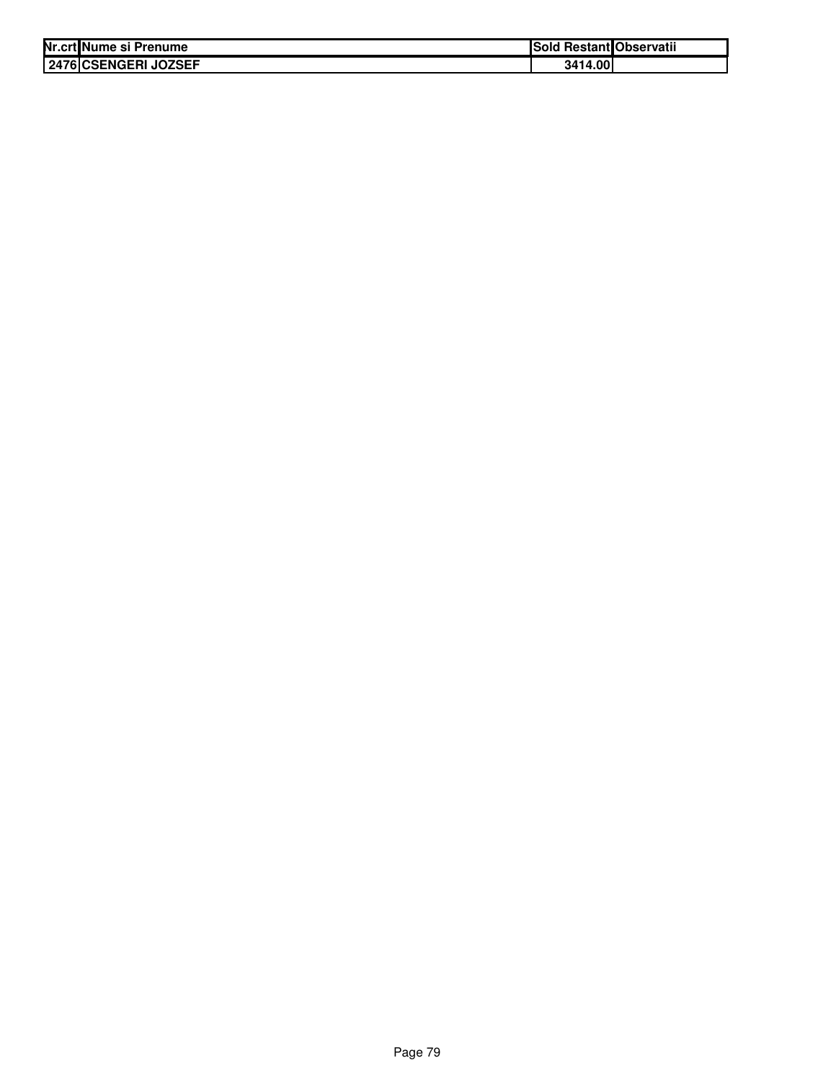| Nr.crt Nume si Prenume | <b>Sold Restant Observatii</b> |
|------------------------|--------------------------------|
| 2476 CSENGERI JOZSEF   | 3414.00                        |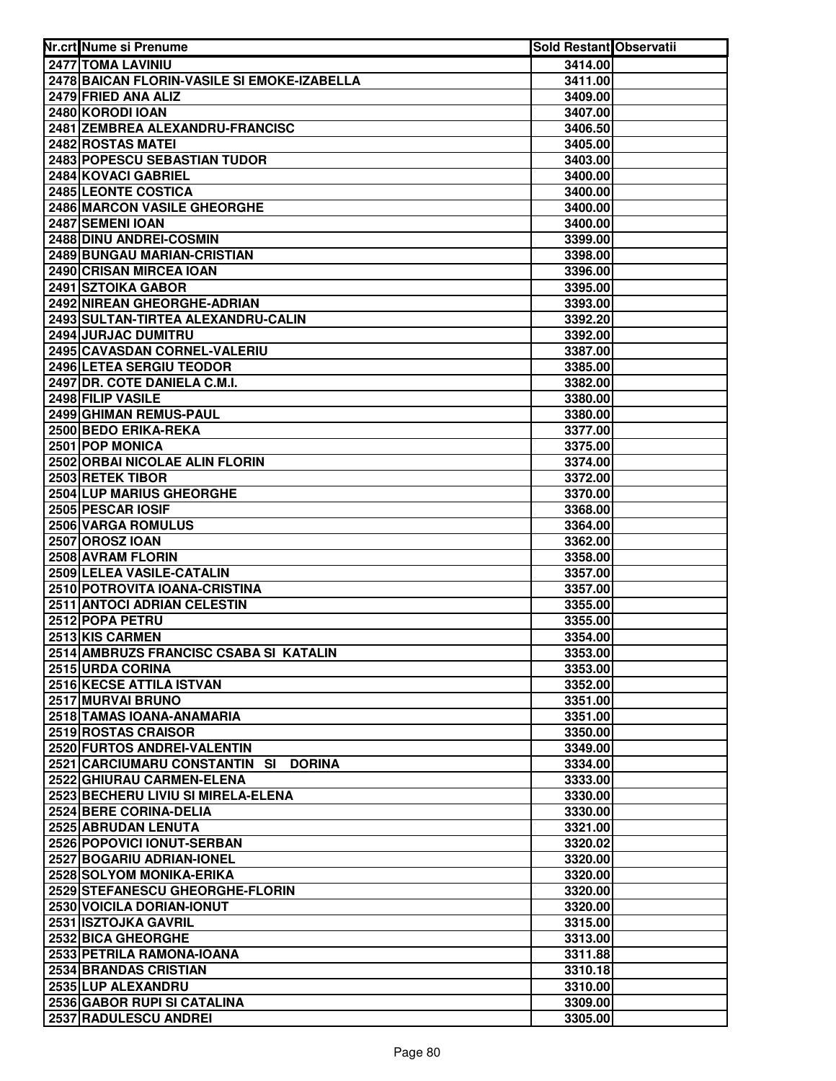| Nr.crt Nume si Prenume                         | <b>Sold Restant Observatii</b> |  |
|------------------------------------------------|--------------------------------|--|
| <b>2477 TOMA LAVINIU</b>                       | 3414.00                        |  |
| 2478 BAICAN FLORIN-VASILE SI EMOKE-IZABELLA    | 3411.00                        |  |
| 2479 FRIED ANA ALIZ                            | 3409.00                        |  |
| 2480 KORODI IOAN                               | 3407.00                        |  |
| 2481 ZEMBREA ALEXANDRU-FRANCISC                | 3406.50                        |  |
| 2482 ROSTAS MATEI                              | 3405.00                        |  |
| 2483 POPESCU SEBASTIAN TUDOR                   | 3403.00                        |  |
| 2484 KOVACI GABRIEL                            | 3400.00                        |  |
| 2485 LEONTE COSTICA                            | 3400.00                        |  |
| 2486 MARCON VASILE GHEORGHE                    | 3400.00                        |  |
| 2487 SEMENI IOAN                               | 3400.00                        |  |
| 2488 DINU ANDREI-COSMIN                        | 3399.00                        |  |
| <b>2489 BUNGAU MARIAN-CRISTIAN</b>             | 3398.00                        |  |
| 2490 CRISAN MIRCEA IOAN                        | 3396.00                        |  |
| 2491 SZTOIKA GABOR                             | 3395.00                        |  |
| 2492 NIREAN GHEORGHE-ADRIAN                    | 3393.00                        |  |
| 2493 SULTAN-TIRTEA ALEXANDRU-CALIN             | 3392.20                        |  |
| 2494 JURJAC DUMITRU                            | 3392.00                        |  |
| 2495 CAVASDAN CORNEL-VALERIU                   | 3387.00                        |  |
| 2496 LETEA SERGIU TEODOR                       | 3385.00                        |  |
| 2497 DR. COTE DANIELA C.M.I.                   | 3382.00                        |  |
| 2498 FILIP VASILE                              | 3380.00                        |  |
| 2499 GHIMAN REMUS-PAUL                         | 3380.00                        |  |
| 2500 BEDO ERIKA-REKA                           | 3377.00                        |  |
| 2501 POP MONICA                                | 3375.00                        |  |
| 2502 ORBAI NICOLAE ALIN FLORIN                 | 3374.00                        |  |
| 2503 RETEK TIBOR                               | 3372.00                        |  |
| 2504 LUP MARIUS GHEORGHE                       | 3370.00                        |  |
| 2505 PESCAR IOSIF                              | 3368.00                        |  |
| 2506 VARGA ROMULUS                             | 3364.00                        |  |
| 2507 OROSZ IOAN                                | 3362.00                        |  |
| 2508 AVRAM FLORIN                              | 3358.00                        |  |
| 2509 LELEA VASILE-CATALIN                      | 3357.00                        |  |
| 2510 POTROVITA IOANA-CRISTINA                  | 3357.00                        |  |
| 2511 ANTOCI ADRIAN CELESTIN                    | 3355.00                        |  |
| 2512 POPA PETRU                                | 3355.00                        |  |
| 2513 KIS CARMEN                                | 3354.00                        |  |
| 2514 AMBRUZS FRANCISC CSABA SI KATALIN         | 3353.00                        |  |
| 2515 URDA CORINA                               | 3353.00                        |  |
| <b>2516 KECSE ATTILA ISTVAN</b>                | 3352.00                        |  |
| <b>2517 MURVAI BRUNO</b>                       | 3351.00                        |  |
| 2518 TAMAS IOANA-ANAMARIA                      | 3351.00                        |  |
| 2519 ROSTAS CRAISOR                            | 3350.00                        |  |
| 2520 FURTOS ANDREI-VALENTIN                    | 3349.00                        |  |
| 2521 CARCIUMARU CONSTANTIN SI<br><b>DORINA</b> | 3334.00                        |  |
| 2522 GHIURAU CARMEN-ELENA                      | 3333.00                        |  |
| 2523 BECHERU LIVIU SI MIRELA-ELENA             | 3330.00                        |  |
| 2524 BERE CORINA-DELIA                         | 3330.00                        |  |
| 2525 ABRUDAN LENUTA                            | 3321.00                        |  |
| 2526 POPOVICI IONUT-SERBAN                     | 3320.02                        |  |
| <b>2527 BOGARIU ADRIAN-IONEL</b>               | 3320.00                        |  |
| 2528 SOLYOM MONIKA-ERIKA                       | 3320.00                        |  |
| 2529 STEFANESCU GHEORGHE-FLORIN                | 3320.00                        |  |
| 2530 VOICILA DORIAN-IONUT                      | 3320.00                        |  |
| 2531 ISZTOJKA GAVRIL<br>2532 BICA GHEORGHE     | 3315.00                        |  |
| 2533 PETRILA RAMONA-IOANA                      | 3313.00<br>3311.88             |  |
| 2534 BRANDAS CRISTIAN                          | 3310.18                        |  |
| 2535 LUP ALEXANDRU                             | 3310.00                        |  |
| 2536 GABOR RUPI SI CATALINA                    | 3309.00                        |  |
| 2537 RADULESCU ANDREI                          | 3305.00                        |  |
|                                                |                                |  |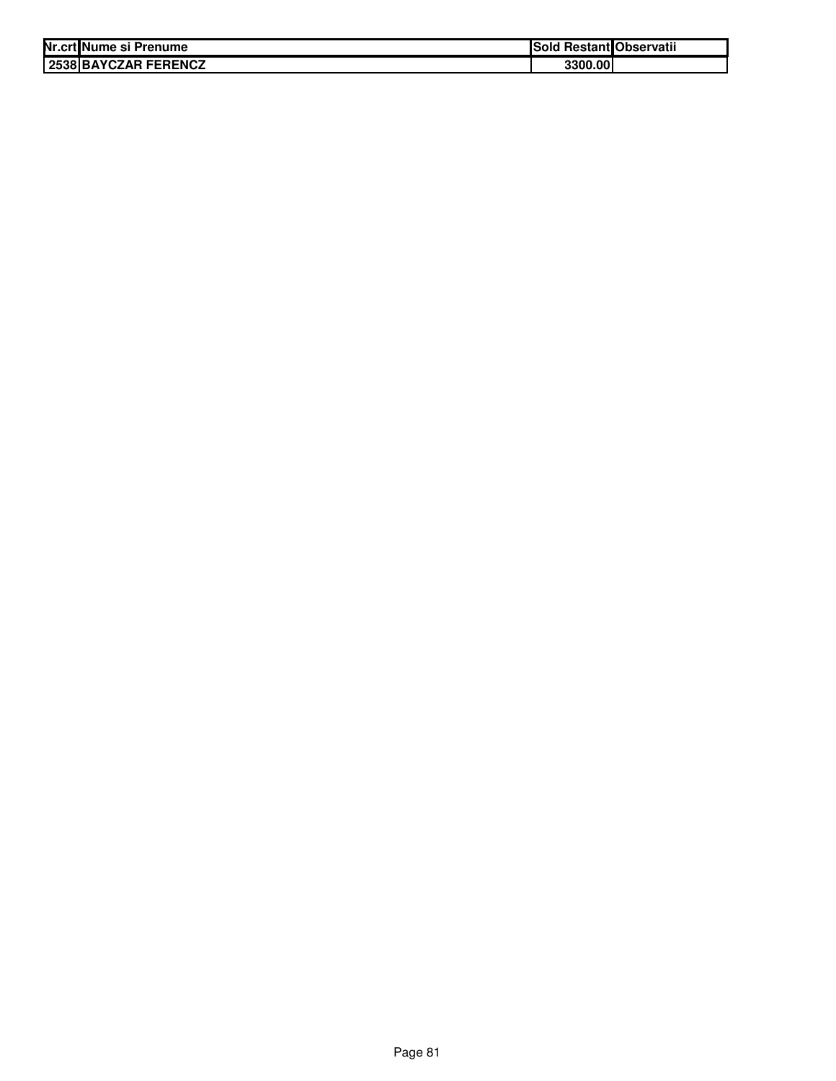| Nr.crt Nume si Prenume | l Restant Observatii<br>ISold |  |
|------------------------|-------------------------------|--|
| 2538 BAYCZAR FERENCZ   | 3300.00                       |  |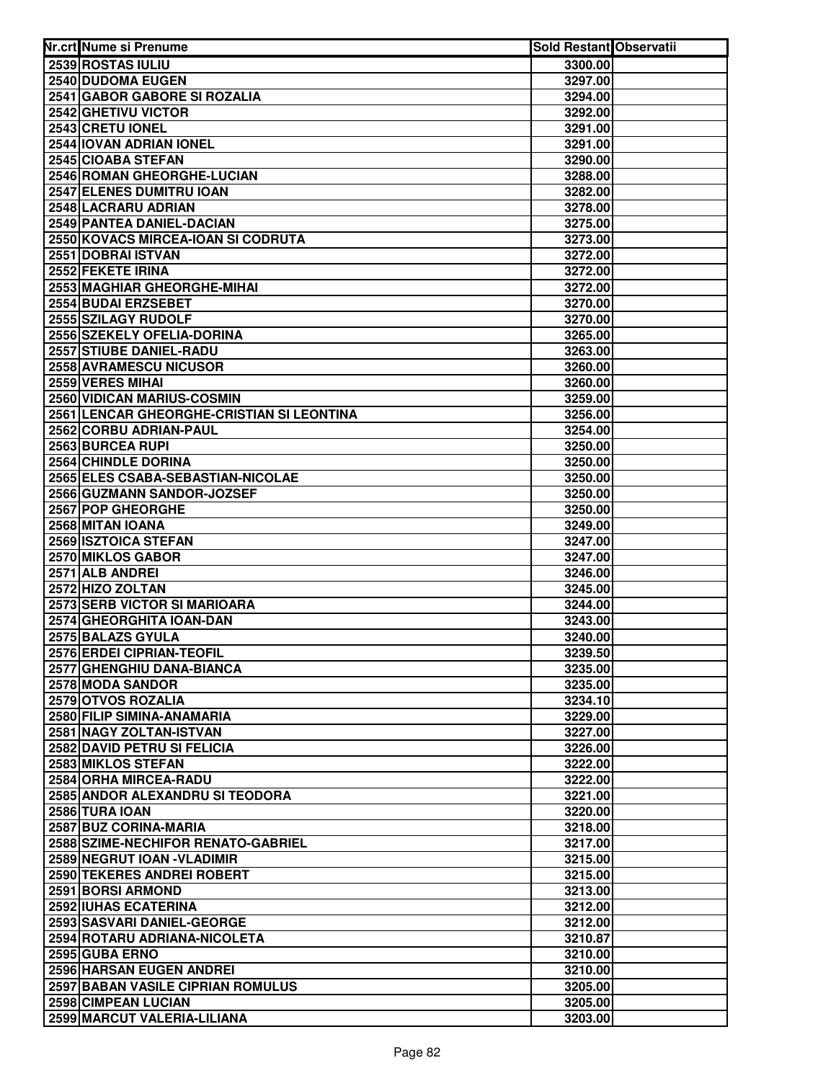| 2539 ROSTAS IULIU<br>3300.00<br>2540 DUDOMA EUGEN<br>3297.00<br>2541 GABOR GABORE SI ROZALIA<br>3294.00<br>2542 GHETIVU VICTOR<br>3292.00<br>2543 CRETU IONEL<br>3291.00<br>2544 IOVAN ADRIAN IONEL<br>3291.00<br>2545 CIOABA STEFAN<br>3290.00<br>2546 ROMAN GHEORGHE-LUCIAN<br>3288.00<br>2547 ELENES DUMITRU IOAN<br>3282.00<br>2548 LACRARU ADRIAN<br>3278.00<br>2549 PANTEA DANIEL-DACIAN<br>3275.00<br>2550 KOVACS MIRCEA-IOAN SI CODRUTA<br>3273.00<br>2551 DOBRAI ISTVAN<br>3272.00<br>2552 FEKETE IRINA<br>3272.00<br>2553 MAGHIAR GHEORGHE-MIHAI<br>3272.00<br>2554 BUDAI ERZSEBET<br>3270.00<br>2555 SZILAGY RUDOLF<br>3270.00<br>2556 SZEKELY OFELIA-DORINA<br>3265.00<br>2557 STIUBE DANIEL-RADU<br>3263.00<br>2558 AVRAMESCU NICUSOR<br>3260.00<br>2559 VERES MIHAI<br>3260.00<br>2560 VIDICAN MARIUS-COSMIN<br>3259.00<br>2561 LENCAR GHEORGHE-CRISTIAN SI LEONTINA<br>3256.00<br>2562 CORBU ADRIAN-PAUL<br>3254.00<br>2563 BURCEA RUPI<br>3250.00<br>2564 CHINDLE DORINA<br>3250.00<br>2565 ELES CSABA-SEBASTIAN-NICOLAE<br>3250.00<br>2566 GUZMANN SANDOR-JOZSEF<br>3250.00<br>2567 POP GHEORGHE<br>3250.00<br>2568 MITAN IOANA<br>3249.00<br>2569 ISZTOICA STEFAN<br>3247.00<br>2570 MIKLOS GABOR<br>3247.00<br>2571 ALB ANDREI<br>3246.00<br>2572 HIZO ZOLTAN<br>3245.00<br>2573 SERB VICTOR SI MARIOARA<br>3244.00<br>2574 GHEORGHITA IOAN-DAN<br>3243.00<br>2575 BALAZS GYULA<br>3240.00<br>2576 ERDEI CIPRIAN-TEOFIL<br>3239.50<br>2577 GHENGHIU DANA-BIANCA<br>3235.00<br>2578 MODA SANDOR<br>3235.00<br>2579 OTVOS ROZALIA<br>3234.10<br>2580 FILIP SIMINA-ANAMARIA<br>3229.00<br>2581 NAGY ZOLTAN-ISTVAN<br>3227.00<br>2582 DAVID PETRU SI FELICIA<br>3226.00<br>2583 MIKLOS STEFAN<br>3222.00<br>2584 ORHA MIRCEA-RADU<br>3222.00<br>2585 ANDOR ALEXANDRU SI TEODORA<br>3221.00<br>2586 TURA IOAN<br>3220.00<br>2587 BUZ CORINA-MARIA<br>3218.00<br>2588 SZIME-NECHIFOR RENATO-GABRIEL<br>3217.00<br>2589 NEGRUT IOAN - VLADIMIR<br>3215.00<br>2590 TEKERES ANDREI ROBERT<br>3215.00<br>2591 BORSI ARMOND<br>3213.00<br>2592 IUHAS ECATERINA<br>3212.00<br>2593 SASVARI DANIEL-GEORGE<br>3212.00<br>2594 ROTARU ADRIANA-NICOLETA<br>3210.87<br>2595 GUBA ERNO<br>3210.00<br>2596 HARSAN EUGEN ANDREI<br>3210.00<br>2597 BABAN VASILE CIPRIAN ROMULUS<br>3205.00<br>2598 CIMPEAN LUCIAN<br>3205.00<br>2599 MARCUT VALERIA-LILIANA<br>3203.00 | Nr.crt Nume si Prenume | <b>Sold Restant Observatii</b> |  |
|-----------------------------------------------------------------------------------------------------------------------------------------------------------------------------------------------------------------------------------------------------------------------------------------------------------------------------------------------------------------------------------------------------------------------------------------------------------------------------------------------------------------------------------------------------------------------------------------------------------------------------------------------------------------------------------------------------------------------------------------------------------------------------------------------------------------------------------------------------------------------------------------------------------------------------------------------------------------------------------------------------------------------------------------------------------------------------------------------------------------------------------------------------------------------------------------------------------------------------------------------------------------------------------------------------------------------------------------------------------------------------------------------------------------------------------------------------------------------------------------------------------------------------------------------------------------------------------------------------------------------------------------------------------------------------------------------------------------------------------------------------------------------------------------------------------------------------------------------------------------------------------------------------------------------------------------------------------------------------------------------------------------------------------------------------------------------------------------------------------------------------------------------------------------------------------------------------------------------------------------------------------------------------------------------------------------------------------------------------------------------|------------------------|--------------------------------|--|
|                                                                                                                                                                                                                                                                                                                                                                                                                                                                                                                                                                                                                                                                                                                                                                                                                                                                                                                                                                                                                                                                                                                                                                                                                                                                                                                                                                                                                                                                                                                                                                                                                                                                                                                                                                                                                                                                                                                                                                                                                                                                                                                                                                                                                                                                                                                                                                       |                        |                                |  |
|                                                                                                                                                                                                                                                                                                                                                                                                                                                                                                                                                                                                                                                                                                                                                                                                                                                                                                                                                                                                                                                                                                                                                                                                                                                                                                                                                                                                                                                                                                                                                                                                                                                                                                                                                                                                                                                                                                                                                                                                                                                                                                                                                                                                                                                                                                                                                                       |                        |                                |  |
|                                                                                                                                                                                                                                                                                                                                                                                                                                                                                                                                                                                                                                                                                                                                                                                                                                                                                                                                                                                                                                                                                                                                                                                                                                                                                                                                                                                                                                                                                                                                                                                                                                                                                                                                                                                                                                                                                                                                                                                                                                                                                                                                                                                                                                                                                                                                                                       |                        |                                |  |
|                                                                                                                                                                                                                                                                                                                                                                                                                                                                                                                                                                                                                                                                                                                                                                                                                                                                                                                                                                                                                                                                                                                                                                                                                                                                                                                                                                                                                                                                                                                                                                                                                                                                                                                                                                                                                                                                                                                                                                                                                                                                                                                                                                                                                                                                                                                                                                       |                        |                                |  |
|                                                                                                                                                                                                                                                                                                                                                                                                                                                                                                                                                                                                                                                                                                                                                                                                                                                                                                                                                                                                                                                                                                                                                                                                                                                                                                                                                                                                                                                                                                                                                                                                                                                                                                                                                                                                                                                                                                                                                                                                                                                                                                                                                                                                                                                                                                                                                                       |                        |                                |  |
|                                                                                                                                                                                                                                                                                                                                                                                                                                                                                                                                                                                                                                                                                                                                                                                                                                                                                                                                                                                                                                                                                                                                                                                                                                                                                                                                                                                                                                                                                                                                                                                                                                                                                                                                                                                                                                                                                                                                                                                                                                                                                                                                                                                                                                                                                                                                                                       |                        |                                |  |
|                                                                                                                                                                                                                                                                                                                                                                                                                                                                                                                                                                                                                                                                                                                                                                                                                                                                                                                                                                                                                                                                                                                                                                                                                                                                                                                                                                                                                                                                                                                                                                                                                                                                                                                                                                                                                                                                                                                                                                                                                                                                                                                                                                                                                                                                                                                                                                       |                        |                                |  |
|                                                                                                                                                                                                                                                                                                                                                                                                                                                                                                                                                                                                                                                                                                                                                                                                                                                                                                                                                                                                                                                                                                                                                                                                                                                                                                                                                                                                                                                                                                                                                                                                                                                                                                                                                                                                                                                                                                                                                                                                                                                                                                                                                                                                                                                                                                                                                                       |                        |                                |  |
|                                                                                                                                                                                                                                                                                                                                                                                                                                                                                                                                                                                                                                                                                                                                                                                                                                                                                                                                                                                                                                                                                                                                                                                                                                                                                                                                                                                                                                                                                                                                                                                                                                                                                                                                                                                                                                                                                                                                                                                                                                                                                                                                                                                                                                                                                                                                                                       |                        |                                |  |
|                                                                                                                                                                                                                                                                                                                                                                                                                                                                                                                                                                                                                                                                                                                                                                                                                                                                                                                                                                                                                                                                                                                                                                                                                                                                                                                                                                                                                                                                                                                                                                                                                                                                                                                                                                                                                                                                                                                                                                                                                                                                                                                                                                                                                                                                                                                                                                       |                        |                                |  |
|                                                                                                                                                                                                                                                                                                                                                                                                                                                                                                                                                                                                                                                                                                                                                                                                                                                                                                                                                                                                                                                                                                                                                                                                                                                                                                                                                                                                                                                                                                                                                                                                                                                                                                                                                                                                                                                                                                                                                                                                                                                                                                                                                                                                                                                                                                                                                                       |                        |                                |  |
|                                                                                                                                                                                                                                                                                                                                                                                                                                                                                                                                                                                                                                                                                                                                                                                                                                                                                                                                                                                                                                                                                                                                                                                                                                                                                                                                                                                                                                                                                                                                                                                                                                                                                                                                                                                                                                                                                                                                                                                                                                                                                                                                                                                                                                                                                                                                                                       |                        |                                |  |
|                                                                                                                                                                                                                                                                                                                                                                                                                                                                                                                                                                                                                                                                                                                                                                                                                                                                                                                                                                                                                                                                                                                                                                                                                                                                                                                                                                                                                                                                                                                                                                                                                                                                                                                                                                                                                                                                                                                                                                                                                                                                                                                                                                                                                                                                                                                                                                       |                        |                                |  |
|                                                                                                                                                                                                                                                                                                                                                                                                                                                                                                                                                                                                                                                                                                                                                                                                                                                                                                                                                                                                                                                                                                                                                                                                                                                                                                                                                                                                                                                                                                                                                                                                                                                                                                                                                                                                                                                                                                                                                                                                                                                                                                                                                                                                                                                                                                                                                                       |                        |                                |  |
|                                                                                                                                                                                                                                                                                                                                                                                                                                                                                                                                                                                                                                                                                                                                                                                                                                                                                                                                                                                                                                                                                                                                                                                                                                                                                                                                                                                                                                                                                                                                                                                                                                                                                                                                                                                                                                                                                                                                                                                                                                                                                                                                                                                                                                                                                                                                                                       |                        |                                |  |
|                                                                                                                                                                                                                                                                                                                                                                                                                                                                                                                                                                                                                                                                                                                                                                                                                                                                                                                                                                                                                                                                                                                                                                                                                                                                                                                                                                                                                                                                                                                                                                                                                                                                                                                                                                                                                                                                                                                                                                                                                                                                                                                                                                                                                                                                                                                                                                       |                        |                                |  |
|                                                                                                                                                                                                                                                                                                                                                                                                                                                                                                                                                                                                                                                                                                                                                                                                                                                                                                                                                                                                                                                                                                                                                                                                                                                                                                                                                                                                                                                                                                                                                                                                                                                                                                                                                                                                                                                                                                                                                                                                                                                                                                                                                                                                                                                                                                                                                                       |                        |                                |  |
|                                                                                                                                                                                                                                                                                                                                                                                                                                                                                                                                                                                                                                                                                                                                                                                                                                                                                                                                                                                                                                                                                                                                                                                                                                                                                                                                                                                                                                                                                                                                                                                                                                                                                                                                                                                                                                                                                                                                                                                                                                                                                                                                                                                                                                                                                                                                                                       |                        |                                |  |
|                                                                                                                                                                                                                                                                                                                                                                                                                                                                                                                                                                                                                                                                                                                                                                                                                                                                                                                                                                                                                                                                                                                                                                                                                                                                                                                                                                                                                                                                                                                                                                                                                                                                                                                                                                                                                                                                                                                                                                                                                                                                                                                                                                                                                                                                                                                                                                       |                        |                                |  |
|                                                                                                                                                                                                                                                                                                                                                                                                                                                                                                                                                                                                                                                                                                                                                                                                                                                                                                                                                                                                                                                                                                                                                                                                                                                                                                                                                                                                                                                                                                                                                                                                                                                                                                                                                                                                                                                                                                                                                                                                                                                                                                                                                                                                                                                                                                                                                                       |                        |                                |  |
|                                                                                                                                                                                                                                                                                                                                                                                                                                                                                                                                                                                                                                                                                                                                                                                                                                                                                                                                                                                                                                                                                                                                                                                                                                                                                                                                                                                                                                                                                                                                                                                                                                                                                                                                                                                                                                                                                                                                                                                                                                                                                                                                                                                                                                                                                                                                                                       |                        |                                |  |
|                                                                                                                                                                                                                                                                                                                                                                                                                                                                                                                                                                                                                                                                                                                                                                                                                                                                                                                                                                                                                                                                                                                                                                                                                                                                                                                                                                                                                                                                                                                                                                                                                                                                                                                                                                                                                                                                                                                                                                                                                                                                                                                                                                                                                                                                                                                                                                       |                        |                                |  |
|                                                                                                                                                                                                                                                                                                                                                                                                                                                                                                                                                                                                                                                                                                                                                                                                                                                                                                                                                                                                                                                                                                                                                                                                                                                                                                                                                                                                                                                                                                                                                                                                                                                                                                                                                                                                                                                                                                                                                                                                                                                                                                                                                                                                                                                                                                                                                                       |                        |                                |  |
|                                                                                                                                                                                                                                                                                                                                                                                                                                                                                                                                                                                                                                                                                                                                                                                                                                                                                                                                                                                                                                                                                                                                                                                                                                                                                                                                                                                                                                                                                                                                                                                                                                                                                                                                                                                                                                                                                                                                                                                                                                                                                                                                                                                                                                                                                                                                                                       |                        |                                |  |
|                                                                                                                                                                                                                                                                                                                                                                                                                                                                                                                                                                                                                                                                                                                                                                                                                                                                                                                                                                                                                                                                                                                                                                                                                                                                                                                                                                                                                                                                                                                                                                                                                                                                                                                                                                                                                                                                                                                                                                                                                                                                                                                                                                                                                                                                                                                                                                       |                        |                                |  |
|                                                                                                                                                                                                                                                                                                                                                                                                                                                                                                                                                                                                                                                                                                                                                                                                                                                                                                                                                                                                                                                                                                                                                                                                                                                                                                                                                                                                                                                                                                                                                                                                                                                                                                                                                                                                                                                                                                                                                                                                                                                                                                                                                                                                                                                                                                                                                                       |                        |                                |  |
|                                                                                                                                                                                                                                                                                                                                                                                                                                                                                                                                                                                                                                                                                                                                                                                                                                                                                                                                                                                                                                                                                                                                                                                                                                                                                                                                                                                                                                                                                                                                                                                                                                                                                                                                                                                                                                                                                                                                                                                                                                                                                                                                                                                                                                                                                                                                                                       |                        |                                |  |
|                                                                                                                                                                                                                                                                                                                                                                                                                                                                                                                                                                                                                                                                                                                                                                                                                                                                                                                                                                                                                                                                                                                                                                                                                                                                                                                                                                                                                                                                                                                                                                                                                                                                                                                                                                                                                                                                                                                                                                                                                                                                                                                                                                                                                                                                                                                                                                       |                        |                                |  |
|                                                                                                                                                                                                                                                                                                                                                                                                                                                                                                                                                                                                                                                                                                                                                                                                                                                                                                                                                                                                                                                                                                                                                                                                                                                                                                                                                                                                                                                                                                                                                                                                                                                                                                                                                                                                                                                                                                                                                                                                                                                                                                                                                                                                                                                                                                                                                                       |                        |                                |  |
|                                                                                                                                                                                                                                                                                                                                                                                                                                                                                                                                                                                                                                                                                                                                                                                                                                                                                                                                                                                                                                                                                                                                                                                                                                                                                                                                                                                                                                                                                                                                                                                                                                                                                                                                                                                                                                                                                                                                                                                                                                                                                                                                                                                                                                                                                                                                                                       |                        |                                |  |
|                                                                                                                                                                                                                                                                                                                                                                                                                                                                                                                                                                                                                                                                                                                                                                                                                                                                                                                                                                                                                                                                                                                                                                                                                                                                                                                                                                                                                                                                                                                                                                                                                                                                                                                                                                                                                                                                                                                                                                                                                                                                                                                                                                                                                                                                                                                                                                       |                        |                                |  |
|                                                                                                                                                                                                                                                                                                                                                                                                                                                                                                                                                                                                                                                                                                                                                                                                                                                                                                                                                                                                                                                                                                                                                                                                                                                                                                                                                                                                                                                                                                                                                                                                                                                                                                                                                                                                                                                                                                                                                                                                                                                                                                                                                                                                                                                                                                                                                                       |                        |                                |  |
|                                                                                                                                                                                                                                                                                                                                                                                                                                                                                                                                                                                                                                                                                                                                                                                                                                                                                                                                                                                                                                                                                                                                                                                                                                                                                                                                                                                                                                                                                                                                                                                                                                                                                                                                                                                                                                                                                                                                                                                                                                                                                                                                                                                                                                                                                                                                                                       |                        |                                |  |
|                                                                                                                                                                                                                                                                                                                                                                                                                                                                                                                                                                                                                                                                                                                                                                                                                                                                                                                                                                                                                                                                                                                                                                                                                                                                                                                                                                                                                                                                                                                                                                                                                                                                                                                                                                                                                                                                                                                                                                                                                                                                                                                                                                                                                                                                                                                                                                       |                        |                                |  |
|                                                                                                                                                                                                                                                                                                                                                                                                                                                                                                                                                                                                                                                                                                                                                                                                                                                                                                                                                                                                                                                                                                                                                                                                                                                                                                                                                                                                                                                                                                                                                                                                                                                                                                                                                                                                                                                                                                                                                                                                                                                                                                                                                                                                                                                                                                                                                                       |                        |                                |  |
|                                                                                                                                                                                                                                                                                                                                                                                                                                                                                                                                                                                                                                                                                                                                                                                                                                                                                                                                                                                                                                                                                                                                                                                                                                                                                                                                                                                                                                                                                                                                                                                                                                                                                                                                                                                                                                                                                                                                                                                                                                                                                                                                                                                                                                                                                                                                                                       |                        |                                |  |
|                                                                                                                                                                                                                                                                                                                                                                                                                                                                                                                                                                                                                                                                                                                                                                                                                                                                                                                                                                                                                                                                                                                                                                                                                                                                                                                                                                                                                                                                                                                                                                                                                                                                                                                                                                                                                                                                                                                                                                                                                                                                                                                                                                                                                                                                                                                                                                       |                        |                                |  |
|                                                                                                                                                                                                                                                                                                                                                                                                                                                                                                                                                                                                                                                                                                                                                                                                                                                                                                                                                                                                                                                                                                                                                                                                                                                                                                                                                                                                                                                                                                                                                                                                                                                                                                                                                                                                                                                                                                                                                                                                                                                                                                                                                                                                                                                                                                                                                                       |                        |                                |  |
|                                                                                                                                                                                                                                                                                                                                                                                                                                                                                                                                                                                                                                                                                                                                                                                                                                                                                                                                                                                                                                                                                                                                                                                                                                                                                                                                                                                                                                                                                                                                                                                                                                                                                                                                                                                                                                                                                                                                                                                                                                                                                                                                                                                                                                                                                                                                                                       |                        |                                |  |
|                                                                                                                                                                                                                                                                                                                                                                                                                                                                                                                                                                                                                                                                                                                                                                                                                                                                                                                                                                                                                                                                                                                                                                                                                                                                                                                                                                                                                                                                                                                                                                                                                                                                                                                                                                                                                                                                                                                                                                                                                                                                                                                                                                                                                                                                                                                                                                       |                        |                                |  |
|                                                                                                                                                                                                                                                                                                                                                                                                                                                                                                                                                                                                                                                                                                                                                                                                                                                                                                                                                                                                                                                                                                                                                                                                                                                                                                                                                                                                                                                                                                                                                                                                                                                                                                                                                                                                                                                                                                                                                                                                                                                                                                                                                                                                                                                                                                                                                                       |                        |                                |  |
|                                                                                                                                                                                                                                                                                                                                                                                                                                                                                                                                                                                                                                                                                                                                                                                                                                                                                                                                                                                                                                                                                                                                                                                                                                                                                                                                                                                                                                                                                                                                                                                                                                                                                                                                                                                                                                                                                                                                                                                                                                                                                                                                                                                                                                                                                                                                                                       |                        |                                |  |
|                                                                                                                                                                                                                                                                                                                                                                                                                                                                                                                                                                                                                                                                                                                                                                                                                                                                                                                                                                                                                                                                                                                                                                                                                                                                                                                                                                                                                                                                                                                                                                                                                                                                                                                                                                                                                                                                                                                                                                                                                                                                                                                                                                                                                                                                                                                                                                       |                        |                                |  |
|                                                                                                                                                                                                                                                                                                                                                                                                                                                                                                                                                                                                                                                                                                                                                                                                                                                                                                                                                                                                                                                                                                                                                                                                                                                                                                                                                                                                                                                                                                                                                                                                                                                                                                                                                                                                                                                                                                                                                                                                                                                                                                                                                                                                                                                                                                                                                                       |                        |                                |  |
|                                                                                                                                                                                                                                                                                                                                                                                                                                                                                                                                                                                                                                                                                                                                                                                                                                                                                                                                                                                                                                                                                                                                                                                                                                                                                                                                                                                                                                                                                                                                                                                                                                                                                                                                                                                                                                                                                                                                                                                                                                                                                                                                                                                                                                                                                                                                                                       |                        |                                |  |
|                                                                                                                                                                                                                                                                                                                                                                                                                                                                                                                                                                                                                                                                                                                                                                                                                                                                                                                                                                                                                                                                                                                                                                                                                                                                                                                                                                                                                                                                                                                                                                                                                                                                                                                                                                                                                                                                                                                                                                                                                                                                                                                                                                                                                                                                                                                                                                       |                        |                                |  |
|                                                                                                                                                                                                                                                                                                                                                                                                                                                                                                                                                                                                                                                                                                                                                                                                                                                                                                                                                                                                                                                                                                                                                                                                                                                                                                                                                                                                                                                                                                                                                                                                                                                                                                                                                                                                                                                                                                                                                                                                                                                                                                                                                                                                                                                                                                                                                                       |                        |                                |  |
|                                                                                                                                                                                                                                                                                                                                                                                                                                                                                                                                                                                                                                                                                                                                                                                                                                                                                                                                                                                                                                                                                                                                                                                                                                                                                                                                                                                                                                                                                                                                                                                                                                                                                                                                                                                                                                                                                                                                                                                                                                                                                                                                                                                                                                                                                                                                                                       |                        |                                |  |
|                                                                                                                                                                                                                                                                                                                                                                                                                                                                                                                                                                                                                                                                                                                                                                                                                                                                                                                                                                                                                                                                                                                                                                                                                                                                                                                                                                                                                                                                                                                                                                                                                                                                                                                                                                                                                                                                                                                                                                                                                                                                                                                                                                                                                                                                                                                                                                       |                        |                                |  |
|                                                                                                                                                                                                                                                                                                                                                                                                                                                                                                                                                                                                                                                                                                                                                                                                                                                                                                                                                                                                                                                                                                                                                                                                                                                                                                                                                                                                                                                                                                                                                                                                                                                                                                                                                                                                                                                                                                                                                                                                                                                                                                                                                                                                                                                                                                                                                                       |                        |                                |  |
|                                                                                                                                                                                                                                                                                                                                                                                                                                                                                                                                                                                                                                                                                                                                                                                                                                                                                                                                                                                                                                                                                                                                                                                                                                                                                                                                                                                                                                                                                                                                                                                                                                                                                                                                                                                                                                                                                                                                                                                                                                                                                                                                                                                                                                                                                                                                                                       |                        |                                |  |
|                                                                                                                                                                                                                                                                                                                                                                                                                                                                                                                                                                                                                                                                                                                                                                                                                                                                                                                                                                                                                                                                                                                                                                                                                                                                                                                                                                                                                                                                                                                                                                                                                                                                                                                                                                                                                                                                                                                                                                                                                                                                                                                                                                                                                                                                                                                                                                       |                        |                                |  |
|                                                                                                                                                                                                                                                                                                                                                                                                                                                                                                                                                                                                                                                                                                                                                                                                                                                                                                                                                                                                                                                                                                                                                                                                                                                                                                                                                                                                                                                                                                                                                                                                                                                                                                                                                                                                                                                                                                                                                                                                                                                                                                                                                                                                                                                                                                                                                                       |                        |                                |  |
|                                                                                                                                                                                                                                                                                                                                                                                                                                                                                                                                                                                                                                                                                                                                                                                                                                                                                                                                                                                                                                                                                                                                                                                                                                                                                                                                                                                                                                                                                                                                                                                                                                                                                                                                                                                                                                                                                                                                                                                                                                                                                                                                                                                                                                                                                                                                                                       |                        |                                |  |
|                                                                                                                                                                                                                                                                                                                                                                                                                                                                                                                                                                                                                                                                                                                                                                                                                                                                                                                                                                                                                                                                                                                                                                                                                                                                                                                                                                                                                                                                                                                                                                                                                                                                                                                                                                                                                                                                                                                                                                                                                                                                                                                                                                                                                                                                                                                                                                       |                        |                                |  |
|                                                                                                                                                                                                                                                                                                                                                                                                                                                                                                                                                                                                                                                                                                                                                                                                                                                                                                                                                                                                                                                                                                                                                                                                                                                                                                                                                                                                                                                                                                                                                                                                                                                                                                                                                                                                                                                                                                                                                                                                                                                                                                                                                                                                                                                                                                                                                                       |                        |                                |  |
|                                                                                                                                                                                                                                                                                                                                                                                                                                                                                                                                                                                                                                                                                                                                                                                                                                                                                                                                                                                                                                                                                                                                                                                                                                                                                                                                                                                                                                                                                                                                                                                                                                                                                                                                                                                                                                                                                                                                                                                                                                                                                                                                                                                                                                                                                                                                                                       |                        |                                |  |
|                                                                                                                                                                                                                                                                                                                                                                                                                                                                                                                                                                                                                                                                                                                                                                                                                                                                                                                                                                                                                                                                                                                                                                                                                                                                                                                                                                                                                                                                                                                                                                                                                                                                                                                                                                                                                                                                                                                                                                                                                                                                                                                                                                                                                                                                                                                                                                       |                        |                                |  |
|                                                                                                                                                                                                                                                                                                                                                                                                                                                                                                                                                                                                                                                                                                                                                                                                                                                                                                                                                                                                                                                                                                                                                                                                                                                                                                                                                                                                                                                                                                                                                                                                                                                                                                                                                                                                                                                                                                                                                                                                                                                                                                                                                                                                                                                                                                                                                                       |                        |                                |  |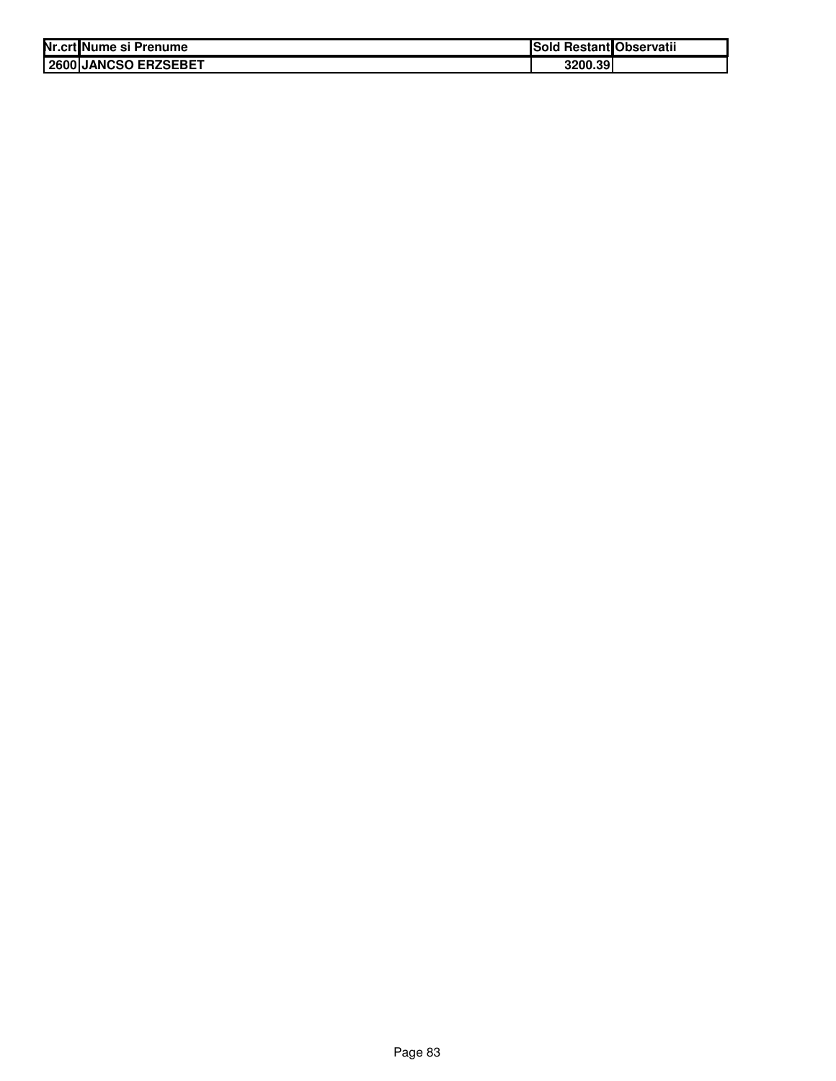| Nr.crt Nume si Prenume | Sold Restant Observatii |  |
|------------------------|-------------------------|--|
| 2600 JANCSO ERZSEBET   | 3200.39                 |  |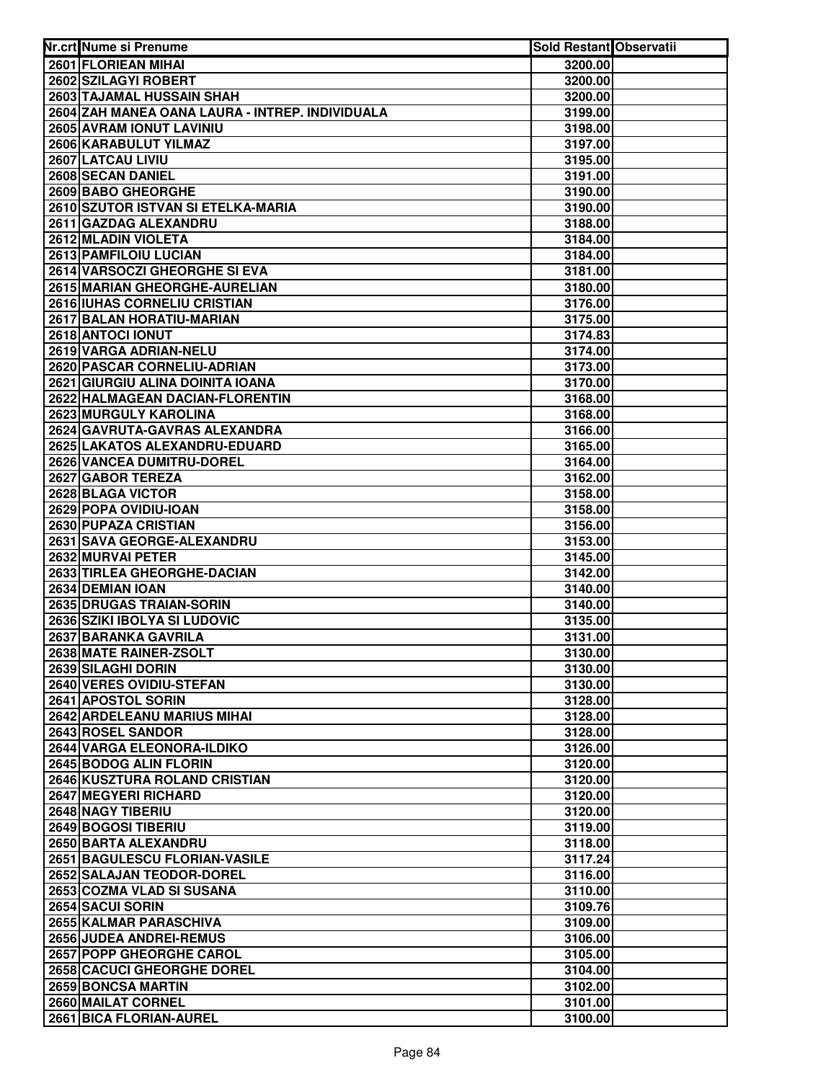| Nr.crt Nume si Prenume                                              | Sold Restant Observatii |  |
|---------------------------------------------------------------------|-------------------------|--|
| 2601 FLORIEAN MIHAI                                                 | 3200.00                 |  |
| 2602 SZILAGYI ROBERT                                                | 3200.00                 |  |
| 2603 TAJAMAL HUSSAIN SHAH                                           | 3200.00                 |  |
| 2604 ZAH MANEA OANA LAURA - INTREP. INDIVIDUALA                     | 3199.00                 |  |
| 2605 AVRAM IONUT LAVINIU                                            | 3198.00                 |  |
| 2606 KARABULUT YILMAZ                                               | 3197.00                 |  |
| 2607 LATCAU LIVIU                                                   | 3195.00                 |  |
| 2608 SECAN DANIEL                                                   | 3191.00                 |  |
| 2609 BABO GHEORGHE                                                  | 3190.00                 |  |
| 2610 SZUTOR ISTVAN SI ETELKA-MARIA                                  | 3190.00                 |  |
| 2611 GAZDAG ALEXANDRU                                               | 3188.00                 |  |
| 2612 MLADIN VIOLETA                                                 | 3184.00                 |  |
| 2613 PAMFILOIU LUCIAN                                               | 3184.00                 |  |
| 2614 VARSOCZI GHEORGHE SI EVA                                       | 3181.00                 |  |
| 2615 MARIAN GHEORGHE-AURELIAN                                       | 3180.00                 |  |
| 2616 IUHAS CORNELIU CRISTIAN                                        | 3176.00                 |  |
| 2617 BALAN HORATIU-MARIAN                                           | 3175.00                 |  |
| 2618 ANTOCI IONUT                                                   | 3174.83                 |  |
| 2619 VARGA ADRIAN-NELU                                              | 3174.00                 |  |
| 2620 PASCAR CORNELIU-ADRIAN                                         | 3173.00                 |  |
| 2621 GIURGIU ALINA DOINITA IOANA<br>2622 HALMAGEAN DACIAN-FLORENTIN | 3170.00                 |  |
| 2623 MURGULY KAROLINA                                               | 3168.00<br>3168.00      |  |
| 2624 GAVRUTA-GAVRAS ALEXANDRA                                       | 3166.00                 |  |
| 2625 LAKATOS ALEXANDRU-EDUARD                                       | 3165.00                 |  |
| 2626 VANCEA DUMITRU-DOREL                                           | 3164.00                 |  |
| 2627 GABOR TEREZA                                                   | 3162.00                 |  |
| 2628 BLAGA VICTOR                                                   | 3158.00                 |  |
| 2629 POPA OVIDIU-IOAN                                               | 3158.00                 |  |
| 2630 PUPAZA CRISTIAN                                                | 3156.00                 |  |
| 2631 SAVA GEORGE-ALEXANDRU                                          | 3153.00                 |  |
| 2632 MURVAI PETER                                                   | 3145.00                 |  |
| 2633 TIRLEA GHEORGHE-DACIAN                                         | 3142.00                 |  |
| 2634 DEMIAN IOAN                                                    | 3140.00                 |  |
| 2635 DRUGAS TRAIAN-SORIN                                            | 3140.00                 |  |
| 2636 SZIKI IBOLYA SI LUDOVIC                                        | 3135.00                 |  |
| 2637 BARANKA GAVRILA                                                | 3131.00                 |  |
| 2638 MATE RAINER-ZSOLT                                              | 3130.00                 |  |
| 2639 SILAGHI DORIN                                                  | 3130.00                 |  |
| 2640 VERES OVIDIU-STEFAN<br>2641 APOSTOL SORIN                      | 3130.00<br>3128.00      |  |
| 2642 ARDELEANU MARIUS MIHAI                                         | 3128.00                 |  |
| 2643 ROSEL SANDOR                                                   | 3128.00                 |  |
| <b>2644 VARGA ELEONORA-ILDIKO</b>                                   | 3126.00                 |  |
| 2645 BODOG ALIN FLORIN                                              | 3120.00                 |  |
| 2646 KUSZTURA ROLAND CRISTIAN                                       | 3120.00                 |  |
| <b>2647 MEGYERI RICHARD</b>                                         | 3120.00                 |  |
| 2648 NAGY TIBERIU                                                   | 3120.00                 |  |
| 2649 BOGOSI TIBERIU                                                 | 3119.00                 |  |
| 2650 BARTA ALEXANDRU                                                | 3118.00                 |  |
| 2651 BAGULESCU FLORIAN-VASILE                                       | 3117.24                 |  |
| 2652 SALAJAN TEODOR-DOREL                                           | 3116.00                 |  |
| 2653 COZMA VLAD SI SUSANA                                           | 3110.00                 |  |
| 2654 SACUI SORIN                                                    | 3109.76                 |  |
| 2655 KALMAR PARASCHIVA                                              | 3109.00                 |  |
| 2656 JUDEA ANDREI-REMUS                                             | 3106.00                 |  |
| 2657 POPP GHEORGHE CAROL<br>2658 CACUCI GHEORGHE DOREL              | 3105.00                 |  |
| 2659 BONCSA MARTIN                                                  | 3104.00<br>3102.00      |  |
| 2660 MAILAT CORNEL                                                  | 3101.00                 |  |
| 2661 BICA FLORIAN-AUREL                                             | 3100.00                 |  |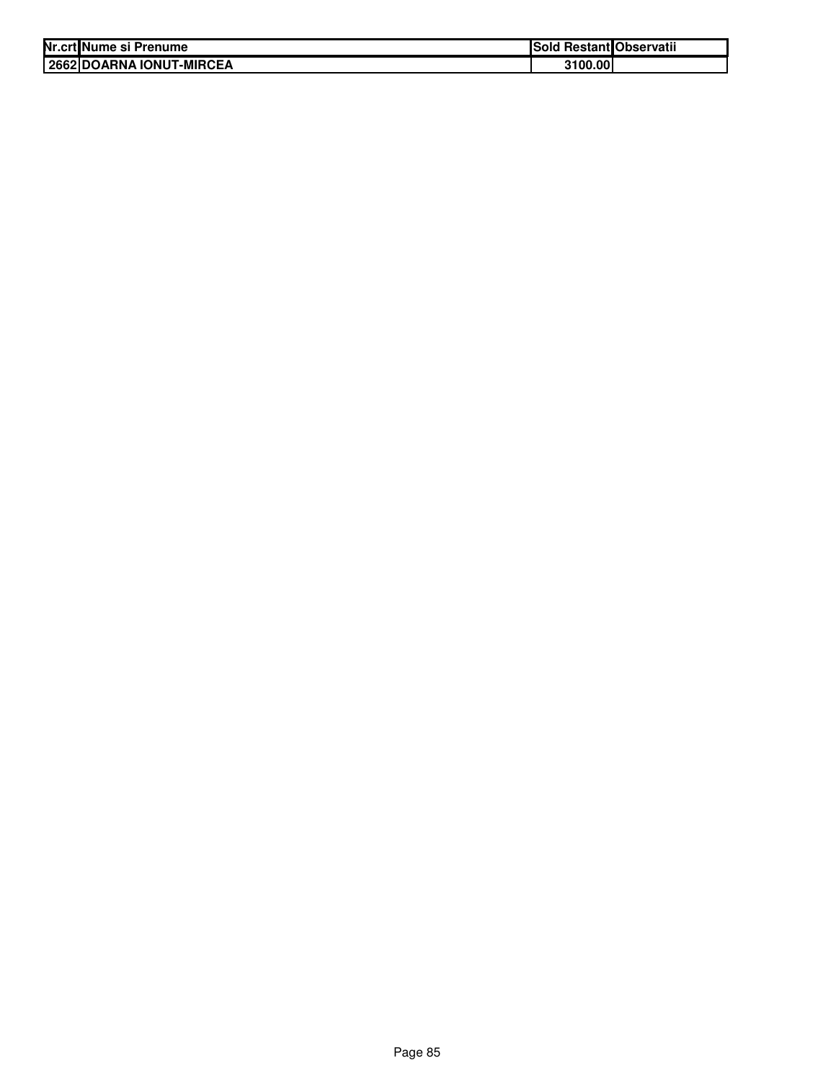| Nr.crt Nume si Prenume   | Sold Restant Observatii |  |
|--------------------------|-------------------------|--|
| 2662 DOARNA IONUT-MIRCEA | 3100.00                 |  |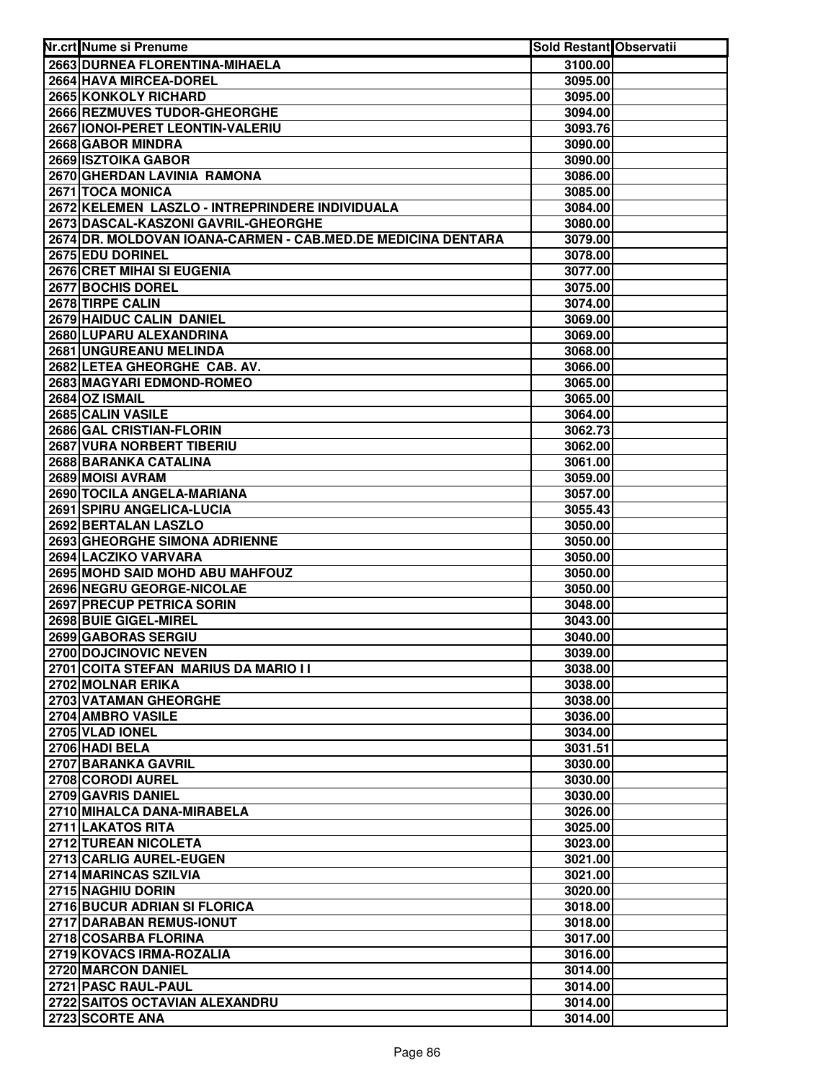| Nr.crt Nume si Prenume                                       | Sold Restant Observatii |  |
|--------------------------------------------------------------|-------------------------|--|
| 2663 DURNEA FLORENTINA-MIHAELA                               | 3100.00                 |  |
| 2664 HAVA MIRCEA-DOREL                                       | 3095.00                 |  |
| 2665 KONKOLY RICHARD                                         | 3095.00                 |  |
| 2666 REZMUVES TUDOR-GHEORGHE                                 | 3094.00                 |  |
| 2667 IONOI-PERET LEONTIN-VALERIU                             | 3093.76                 |  |
| 2668 GABOR MINDRA                                            | 3090.00                 |  |
| 2669 ISZTOIKA GABOR                                          | 3090.00                 |  |
| 2670 GHERDAN LAVINIA RAMONA                                  | 3086.00                 |  |
| 2671 TOCA MONICA                                             | 3085.00                 |  |
| 2672 KELEMEN LASZLO - INTREPRINDERE INDIVIDUALA              | 3084.00                 |  |
| 2673 DASCAL-KASZONI GAVRIL-GHEORGHE                          | 3080.00                 |  |
| 2674 DR. MOLDOVAN IOANA-CARMEN - CAB.MED.DE MEDICINA DENTARA | 3079.00                 |  |
| 2675 EDU DORINEL                                             | 3078.00                 |  |
| 2676 CRET MIHAI SI EUGENIA                                   | 3077.00                 |  |
| 2677 BOCHIS DOREL                                            | 3075.00                 |  |
| 2678 TIRPE CALIN                                             | 3074.00                 |  |
| 2679 HAIDUC CALIN DANIEL                                     | 3069.00                 |  |
| 2680 LUPARU ALEXANDRINA                                      | 3069.00                 |  |
| 2681 UNGUREANU MELINDA                                       | 3068.00                 |  |
| 2682 LETEA GHEORGHE CAB. AV.                                 | 3066.00                 |  |
| 2683 MAGYARI EDMOND-ROMEO                                    | 3065.00                 |  |
| 2684 OZ ISMAIL                                               | 3065.00                 |  |
| 2685 CALIN VASILE                                            | 3064.00                 |  |
| 2686 GAL CRISTIAN-FLORIN                                     | 3062.73                 |  |
| 2687 VURA NORBERT TIBERIU                                    | 3062.00                 |  |
| 2688 BARANKA CATALINA                                        | 3061.00                 |  |
| 2689 MOISI AVRAM                                             | 3059.00                 |  |
| 2690 TOCILA ANGELA-MARIANA                                   | 3057.00                 |  |
| 2691 SPIRU ANGELICA-LUCIA                                    | 3055.43                 |  |
| 2692 BERTALAN LASZLO                                         | 3050.00                 |  |
| 2693 GHEORGHE SIMONA ADRIENNE                                | 3050.00                 |  |
| 2694 LACZIKO VARVARA                                         | 3050.00                 |  |
| 2695 MOHD SAID MOHD ABU MAHFOUZ                              | 3050.00                 |  |
| 2696 NEGRU GEORGE-NICOLAE                                    | 3050.00                 |  |
| 2697 PRECUP PETRICA SORIN                                    | 3048.00                 |  |
| 2698 BUIE GIGEL-MIREL                                        | 3043.00                 |  |
| 2699 GABORAS SERGIU                                          | 3040.00                 |  |
| 2700 DOJCINOVIC NEVEN                                        | 3039.00                 |  |
| 2701 COITA STEFAN MARIUS DA MARIO I I                        | 3038.00                 |  |
| 2702 MOLNAR ERIKA                                            | 3038.00                 |  |
| 2703 VATAMAN GHEORGHE                                        | 3038.00                 |  |
| 2704 AMBRO VASILE                                            | 3036.00                 |  |
| 2705 VLAD IONEL                                              | 3034.00                 |  |
| 2706 HADI BELA                                               | 3031.51                 |  |
| 2707 BARANKA GAVRIL                                          | 3030.00                 |  |
| 2708 CORODI AUREL                                            | 3030.00                 |  |
| 2709 GAVRIS DANIEL                                           | 3030.00                 |  |
| 2710 MIHALCA DANA-MIRABELA                                   | 3026.00                 |  |
| 2711 LAKATOS RITA                                            | 3025.00                 |  |
| 2712 TUREAN NICOLETA                                         | 3023.00                 |  |
| 2713 CARLIG AUREL-EUGEN                                      | 3021.00                 |  |
| 2714 MARINCAS SZILVIA                                        | 3021.00                 |  |
| 2715 NAGHIU DORIN                                            | 3020.00                 |  |
| 2716 BUCUR ADRIAN SI FLORICA                                 | 3018.00                 |  |
| 2717 DARABAN REMUS-IONUT                                     | 3018.00                 |  |
| 2718 COSARBA FLORINA                                         | 3017.00                 |  |
| 2719 KOVACS IRMA-ROZALIA                                     | 3016.00                 |  |
| 2720 MARCON DANIEL                                           | 3014.00                 |  |
| 2721 PASC RAUL-PAUL                                          | 3014.00                 |  |
| 2722 SAITOS OCTAVIAN ALEXANDRU                               | 3014.00                 |  |
| 2723 SCORTE ANA                                              | 3014.00                 |  |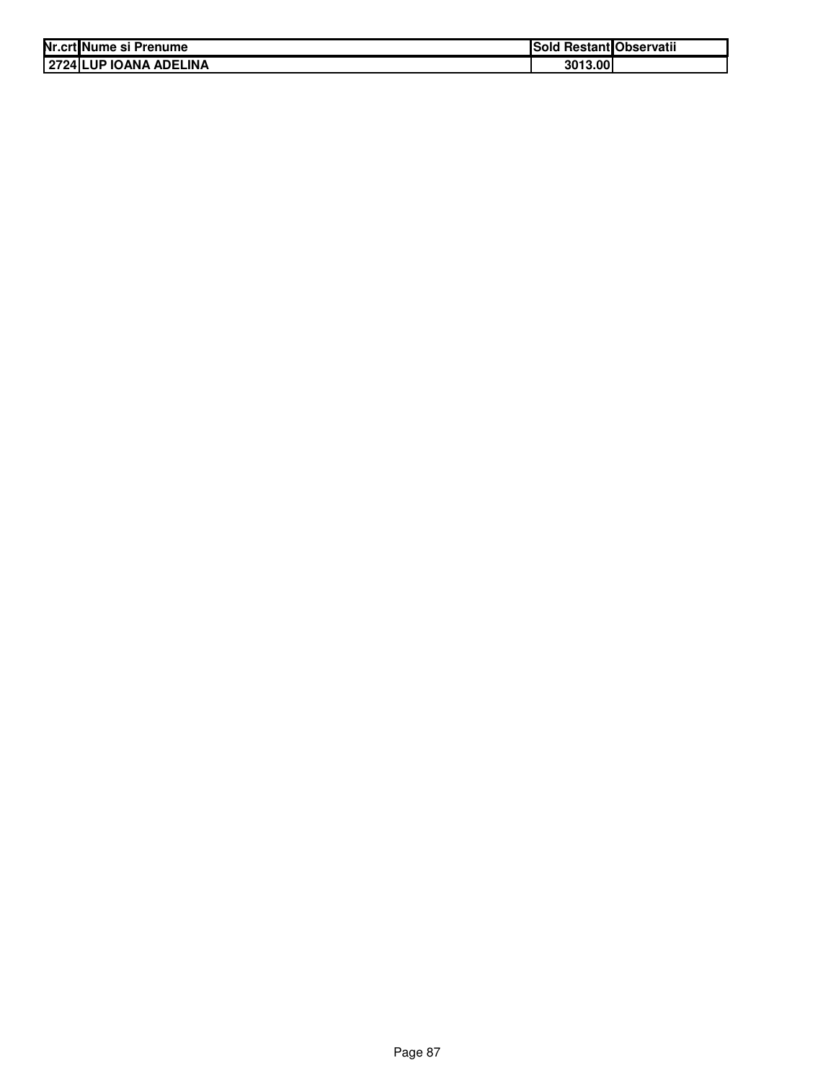| Nr.crt Nume si Prenume          | Sold Restant Observatii |
|---------------------------------|-------------------------|
| <b>12724 ILUP IOANA ADELINA</b> | 3013.00                 |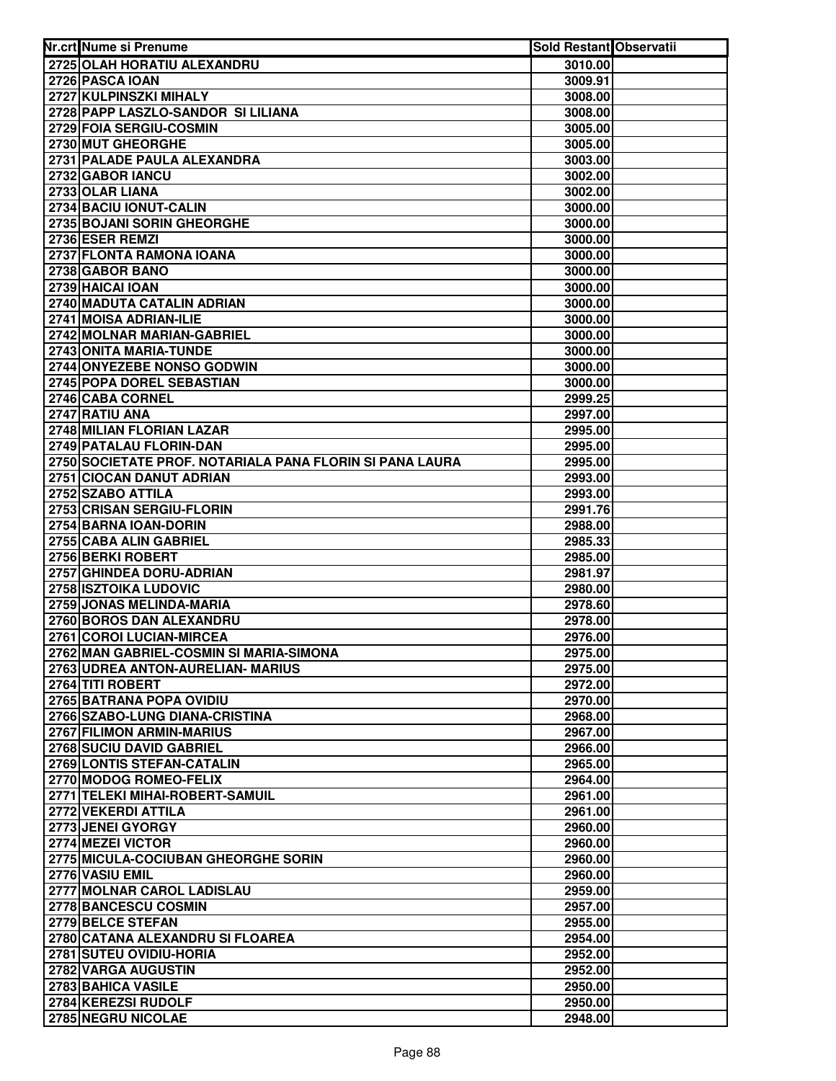| Nr.crt Nume si Prenume                                   | <b>Sold Restant Observatii</b> |  |
|----------------------------------------------------------|--------------------------------|--|
| 2725 OLAH HORATIU ALEXANDRU                              | 3010.00                        |  |
| 2726 PASCA IOAN                                          | 3009.91                        |  |
| 2727 KULPINSZKI MIHALY                                   | 3008.00                        |  |
| 2728 PAPP LASZLO-SANDOR SI LILIANA                       | 3008.00                        |  |
| 2729 FOIA SERGIU-COSMIN                                  | 3005.00                        |  |
| 2730 MUT GHEORGHE                                        | 3005.00                        |  |
| 2731 PALADE PAULA ALEXANDRA                              | 3003.00                        |  |
| 2732 GABOR IANCU                                         | 3002.00                        |  |
| 2733 OLAR LIANA                                          | 3002.00                        |  |
| 2734 BACIU IONUT-CALIN                                   | 3000.00                        |  |
| 2735 BOJANI SORIN GHEORGHE                               | 3000.00                        |  |
| 2736 ESER REMZI                                          | 3000.00                        |  |
| 2737 FLONTA RAMONA IOANA                                 | 3000.00                        |  |
| 2738 GABOR BANO                                          | 3000.00                        |  |
| 2739 HAICAI IOAN                                         | 3000.00                        |  |
| 2740 MADUTA CATALIN ADRIAN                               | 3000.00                        |  |
| 2741 MOISA ADRIAN-ILIE                                   | 3000.00                        |  |
| 2742 MOLNAR MARIAN-GABRIEL                               | 3000.00                        |  |
| 2743 ONITA MARIA-TUNDE                                   | 3000.00                        |  |
| 2744 ONYEZEBE NONSO GODWIN                               | 3000.00                        |  |
| 2745 POPA DOREL SEBASTIAN                                | 3000.00                        |  |
| 2746 CABA CORNEL                                         | 2999.25                        |  |
| 2747 RATIU ANA                                           | 2997.00                        |  |
| 2748 MILIAN FLORIAN LAZAR                                | 2995.00                        |  |
| 2749 PATALAU FLORIN-DAN                                  | 2995.00                        |  |
| 2750 SOCIETATE PROF. NOTARIALA PANA FLORIN SI PANA LAURA | 2995.00                        |  |
| 2751 CIOCAN DANUT ADRIAN                                 | 2993.00                        |  |
| 2752 SZABO ATTILA                                        | 2993.00                        |  |
| 2753 CRISAN SERGIU-FLORIN                                | 2991.76                        |  |
| 2754 BARNA IOAN-DORIN                                    | 2988.00                        |  |
| 2755 CABA ALIN GABRIEL                                   | 2985.33                        |  |
| 2756 BERKI ROBERT                                        | 2985.00                        |  |
| 2757 GHINDEA DORU-ADRIAN                                 | 2981.97                        |  |
| 2758 ISZTOIKA LUDOVIC                                    | 2980.00                        |  |
| 2759 JONAS MELINDA-MARIA                                 | 2978.60                        |  |
| 2760 BOROS DAN ALEXANDRU                                 | 2978.00                        |  |
| 2761 COROI LUCIAN-MIRCEA                                 | 2976.00                        |  |
| 2762 MAN GABRIEL-COSMIN SI MARIA-SIMONA                  | 2975.00                        |  |
| 2763 UDREA ANTON-AURELIAN- MARIUS                        | 2975.00                        |  |
| 2764 TITI ROBERT                                         | 2972.00                        |  |
| 2765 BATRANA POPA OVIDIU                                 | 2970.00                        |  |
| 2766 SZABO-LUNG DIANA-CRISTINA                           | 2968.00                        |  |
| 2767 FILIMON ARMIN-MARIUS                                | 2967.00                        |  |
| 2768 SUCIU DAVID GABRIEL                                 | 2966.00                        |  |
| 2769 LONTIS STEFAN-CATALIN                               | 2965.00                        |  |
| 2770 MODOG ROMEO-FELIX                                   | 2964.00                        |  |
| 2771 TELEKI MIHAI-ROBERT-SAMUIL                          | 2961.00                        |  |
| 2772 VEKERDI ATTILA                                      | 2961.00                        |  |
| 2773 JENEI GYORGY                                        | 2960.00                        |  |
| 2774 MEZEI VICTOR                                        | 2960.00                        |  |
| 2775 MICULA-COCIUBAN GHEORGHE SORIN                      | 2960.00                        |  |
| 2776 VASIU EMIL                                          | 2960.00                        |  |
| 2777 MOLNAR CAROL LADISLAU                               | 2959.00                        |  |
| 2778 BANCESCU COSMIN                                     | 2957.00                        |  |
| 2779 BELCE STEFAN                                        | 2955.00                        |  |
| 2780 CATANA ALEXANDRU SI FLOAREA                         | 2954.00                        |  |
| 2781 SUTEU OVIDIU-HORIA<br>2782 VARGA AUGUSTIN           | 2952.00                        |  |
|                                                          | 2952.00                        |  |
| 2783 BAHICA VASILE<br>2784 KEREZSI RUDOLF                | 2950.00                        |  |
|                                                          | 2950.00                        |  |
| 2785 NEGRU NICOLAE                                       | 2948.00                        |  |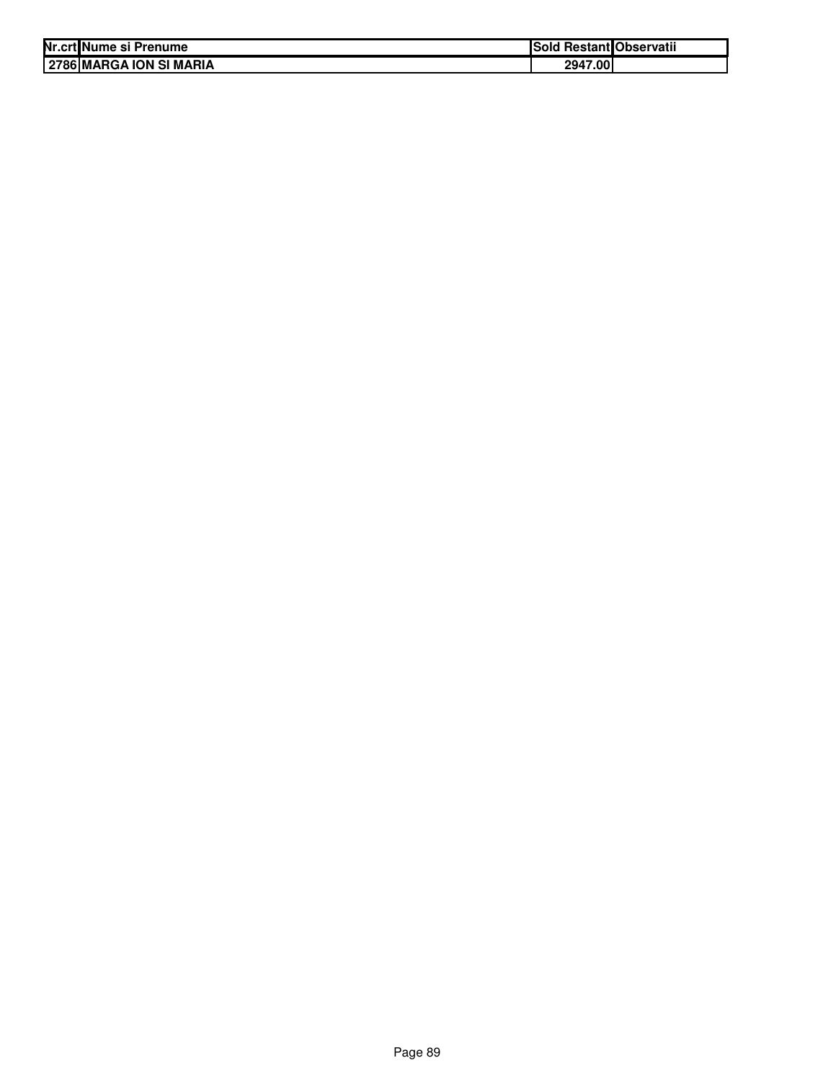| Nr.crt Nume si Prenume  | Sold Restant Observatii |  |
|-------------------------|-------------------------|--|
| 2786 MARGA ION SI MARIA | 2947.00                 |  |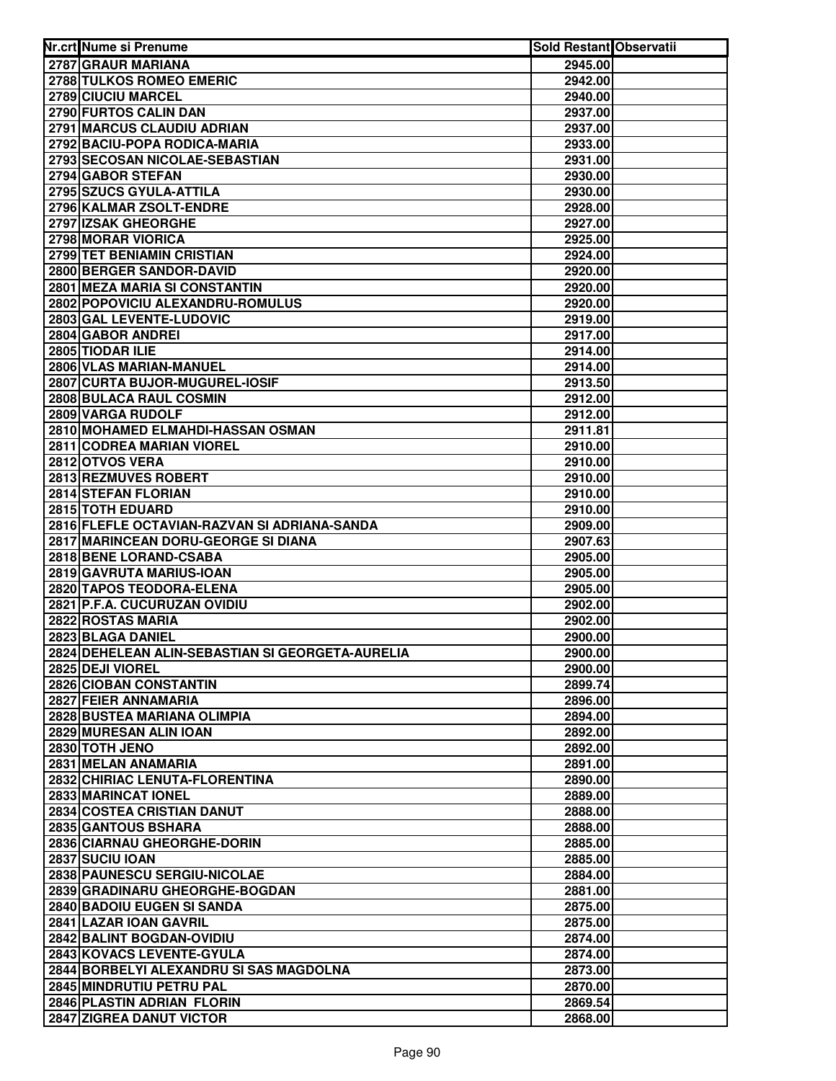| Nr.crt Nume si Prenume                                 | Sold Restant Observatii |  |
|--------------------------------------------------------|-------------------------|--|
| 2787 GRAUR MARIANA                                     | 2945.00                 |  |
| 2788 TULKOS ROMEO EMERIC                               | 2942.00                 |  |
| 2789 CIUCIU MARCEL                                     | 2940.00                 |  |
| 2790 FURTOS CALIN DAN                                  | 2937.00                 |  |
| 2791 MARCUS CLAUDIU ADRIAN                             | 2937.00                 |  |
| 2792 BACIU-POPA RODICA-MARIA                           | 2933.00                 |  |
| 2793 SECOSAN NICOLAE-SEBASTIAN                         | 2931.00                 |  |
| 2794 GABOR STEFAN                                      | 2930.00                 |  |
| 2795 SZUCS GYULA-ATTILA                                | 2930.00                 |  |
| 2796 KALMAR ZSOLT-ENDRE                                | 2928.00                 |  |
| 2797 IZSAK GHEORGHE                                    | 2927.00                 |  |
| 2798 MORAR VIORICA                                     | 2925.00                 |  |
| 2799 TET BENIAMIN CRISTIAN                             | 2924.00                 |  |
| 2800 BERGER SANDOR-DAVID                               | 2920.00                 |  |
| 2801 MEZA MARIA SI CONSTANTIN                          | 2920.00                 |  |
| 2802 POPOVICIU ALEXANDRU-ROMULUS                       | 2920.00                 |  |
| 2803 GAL LEVENTE-LUDOVIC                               | 2919.00                 |  |
| 2804 GABOR ANDREI                                      | 2917.00                 |  |
| 2805 TIODAR ILIE                                       | 2914.00                 |  |
| 2806 VLAS MARIAN-MANUEL                                | 2914.00                 |  |
| 2807 CURTA BUJOR-MUGUREL-IOSIF                         | 2913.50                 |  |
| 2808 BULACA RAUL COSMIN                                | 2912.00                 |  |
| 2809 VARGA RUDOLF                                      | 2912.00                 |  |
| 2810 MOHAMED ELMAHDI-HASSAN OSMAN                      | 2911.81                 |  |
| 2811 CODREA MARIAN VIOREL                              | 2910.00                 |  |
| 2812 OTVOS VERA                                        | 2910.00                 |  |
| 2813 REZMUVES ROBERT                                   | 2910.00                 |  |
| 2814 STEFAN FLORIAN                                    | 2910.00                 |  |
| 2815 TOTH EDUARD                                       | 2910.00                 |  |
| 2816 FLEFLE OCTAVIAN-RAZVAN SI ADRIANA-SANDA           | 2909.00                 |  |
| 2817 MARINCEAN DORU-GEORGE SI DIANA                    | 2907.63                 |  |
| 2818 BENE LORAND-CSABA                                 | 2905.00                 |  |
| 2819 GAVRUTA MARIUS-IOAN                               | 2905.00                 |  |
| 2820 TAPOS TEODORA-ELENA                               | 2905.00                 |  |
| 2821 P.F.A. CUCURUZAN OVIDIU                           | 2902.00                 |  |
| 2822 ROSTAS MARIA                                      | 2902.00                 |  |
| 2823 BLAGA DANIEL                                      | 2900.00                 |  |
| 2824 DEHELEAN ALIN-SEBASTIAN SI GEORGETA-AURELIA       | 2900.00                 |  |
| 2825 DEJI VIOREL                                       | 2900.00                 |  |
| 2826 CIOBAN CONSTANTIN                                 | 2899.74                 |  |
| 2827 FEIER ANNAMARIA                                   | 2896.00                 |  |
| 2828 BUSTEA MARIANA OLIMPIA                            | 2894.00                 |  |
| 2829 MURESAN ALIN IOAN                                 | 2892.00                 |  |
| 2830 TOTH JENO                                         | 2892.00                 |  |
| 2831 MELAN ANAMARIA                                    | 2891.00                 |  |
| 2832 CHIRIAC LENUTA-FLORENTINA                         | 2890.00                 |  |
| 2833 MARINCAT IONEL                                    | 2889.00                 |  |
| 2834 COSTEA CRISTIAN DANUT                             | 2888.00                 |  |
| 2835 GANTOUS BSHARA                                    | 2888.00                 |  |
| 2836 CIARNAU GHEORGHE-DORIN                            | 2885.00                 |  |
| 2837 SUCIU IOAN                                        | 2885.00                 |  |
| 2838 PAUNESCU SERGIU-NICOLAE                           | 2884.00                 |  |
| 2839 GRADINARU GHEORGHE-BOGDAN                         | 2881.00                 |  |
| 2840 BADOIU EUGEN SI SANDA                             | 2875.00                 |  |
| 2841 LAZAR IOAN GAVRIL                                 | 2875.00                 |  |
| 2842 BALINT BOGDAN-OVIDIU<br>2843 KOVACS LEVENTE-GYULA | 2874.00                 |  |
| 2844 BORBELYI ALEXANDRU SI SAS MAGDOLNA                | 2874.00<br>2873.00      |  |
| 2845 MINDRUTIU PETRU PAL                               |                         |  |
| 2846 PLASTIN ADRIAN FLORIN                             | 2870.00<br>2869.54      |  |
| 2847 ZIGREA DANUT VICTOR                               | 2868.00                 |  |
|                                                        |                         |  |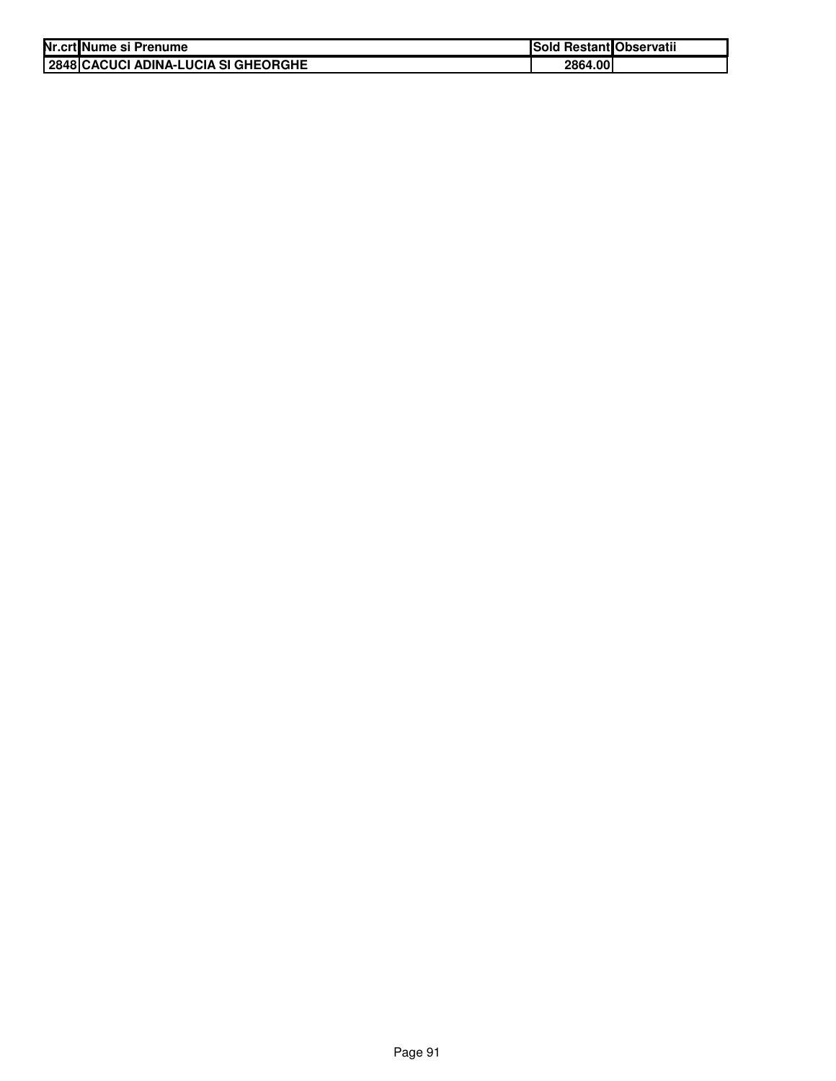| Nr.crt Nume si Prenume              | <b>Sold Restant Observatii</b> |  |
|-------------------------------------|--------------------------------|--|
| 2848 CACUCI ADINA-LUCIA SI GHEORGHE | 2864.00                        |  |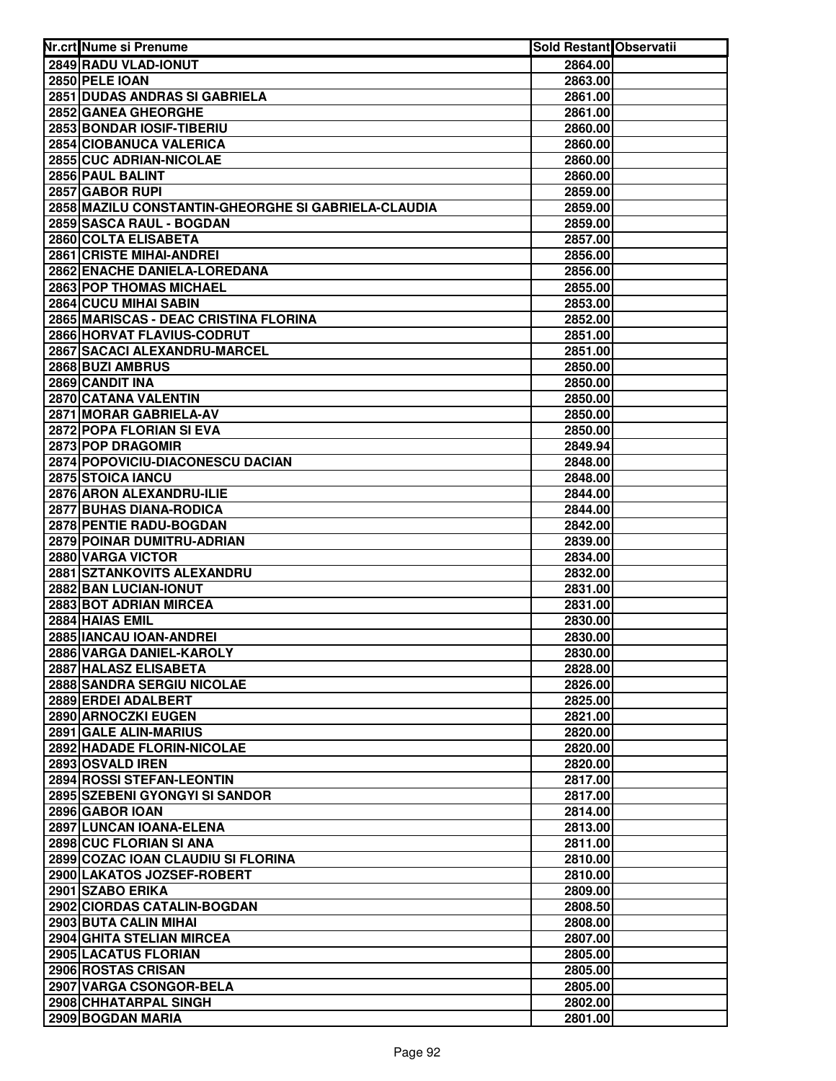| Nr.crt Nume si Prenume                              | <b>Sold Restant Observatii</b> |  |
|-----------------------------------------------------|--------------------------------|--|
| 2849 RADU VLAD-IONUT                                | 2864.00                        |  |
| 2850 PELE IOAN                                      | 2863.00                        |  |
| 2851 DUDAS ANDRAS SI GABRIELA                       | 2861.00                        |  |
| 2852 GANEA GHEORGHE                                 | 2861.00                        |  |
| 2853 BONDAR IOSIF-TIBERIU                           | 2860.00                        |  |
| 2854 CIOBANUCA VALERICA                             | 2860.00                        |  |
| 2855 CUC ADRIAN-NICOLAE                             | 2860.00                        |  |
| 2856 PAUL BALINT                                    | 2860.00                        |  |
| 2857 GABOR RUPI                                     | 2859.00                        |  |
| 2858 MAZILU CONSTANTIN-GHEORGHE SI GABRIELA-CLAUDIA | 2859.00                        |  |
| 2859 SASCA RAUL - BOGDAN                            | 2859.00                        |  |
| 2860 COLTA ELISABETA                                | 2857.00                        |  |
| <b>2861 CRISTE MIHAI-ANDREI</b>                     | 2856.00                        |  |
| 2862 ENACHE DANIELA-LOREDANA                        | 2856.00                        |  |
| 2863 POP THOMAS MICHAEL                             | 2855.00                        |  |
| 2864 CUCU MIHAI SABIN                               | 2853.00                        |  |
| 2865 MARISCAS - DEAC CRISTINA FLORINA               | 2852.00                        |  |
| 2866 HORVAT FLAVIUS-CODRUT                          | 2851.00                        |  |
| 2867 SACACI ALEXANDRU-MARCEL                        | 2851.00                        |  |
| 2868 BUZI AMBRUS                                    | 2850.00                        |  |
| 2869 CANDIT INA                                     | 2850.00                        |  |
| 2870 CATANA VALENTIN                                | 2850.00                        |  |
| 2871 MORAR GABRIELA-AV                              | 2850.00                        |  |
| 2872 POPA FLORIAN SI EVA                            | 2850.00                        |  |
| 2873 POP DRAGOMIR                                   | 2849.94                        |  |
| 2874 POPOVICIU-DIACONESCU DACIAN                    | 2848.00                        |  |
| 2875 STOICA IANCU                                   | 2848.00                        |  |
| 2876 ARON ALEXANDRU-ILIE                            | 2844.00                        |  |
| 2877 BUHAS DIANA-RODICA                             | 2844.00                        |  |
| 2878 PENTIE RADU-BOGDAN                             | 2842.00                        |  |
| 2879 POINAR DUMITRU-ADRIAN                          | 2839.00                        |  |
| 2880 VARGA VICTOR                                   | 2834.00                        |  |
| 2881 SZTANKOVITS ALEXANDRU                          | 2832.00                        |  |
| 2882 BAN LUCIAN-IONUT                               | 2831.00                        |  |
| 2883 BOT ADRIAN MIRCEA                              | 2831.00                        |  |
| 2884 HAIAS EMIL                                     | 2830.00                        |  |
| 2885 IANCAU IOAN-ANDREI                             | 2830.00                        |  |
| 2886 VARGA DANIEL-KAROLY                            | 2830.00                        |  |
| 2887 HALASZ ELISABETA                               | 2828.00                        |  |
| <b>2888 SANDRA SERGIU NICOLAE</b>                   | 2826.00                        |  |
| 2889 ERDEI ADALBERT                                 | 2825.00                        |  |
| 2890 ARNOCZKI EUGEN                                 | 2821.00                        |  |
| 2891 GALE ALIN-MARIUS                               | 2820.00                        |  |
| 2892 HADADE FLORIN-NICOLAE                          | 2820.00                        |  |
| 2893 OSVALD IREN                                    | 2820.00                        |  |
| 2894 ROSSI STEFAN-LEONTIN                           | 2817.00                        |  |
| 2895 SZEBENI GYONGYI SI SANDOR                      | 2817.00                        |  |
| 2896 GABOR IOAN                                     | 2814.00                        |  |
| 2897 LUNCAN IOANA-ELENA                             | 2813.00                        |  |
| 2898 CUC FLORIAN SI ANA                             | 2811.00                        |  |
| 2899 COZAC IOAN CLAUDIU SI FLORINA                  | 2810.00                        |  |
| 2900 LAKATOS JOZSEF-ROBERT                          | 2810.00                        |  |
| 2901 SZABO ERIKA<br>2902 CIORDAS CATALIN-BOGDAN     | 2809.00                        |  |
| 2903 BUTA CALIN MIHAI                               | 2808.50                        |  |
| 2904 GHITA STELIAN MIRCEA                           | 2808.00<br>2807.00             |  |
|                                                     |                                |  |
| 2905 LACATUS FLORIAN<br>2906 ROSTAS CRISAN          | 2805.00<br>2805.00             |  |
| 2907 VARGA CSONGOR-BELA                             | 2805.00                        |  |
| 2908 CHHATARPAL SINGH                               | 2802.00                        |  |
| 2909 BOGDAN MARIA                                   | 2801.00                        |  |
|                                                     |                                |  |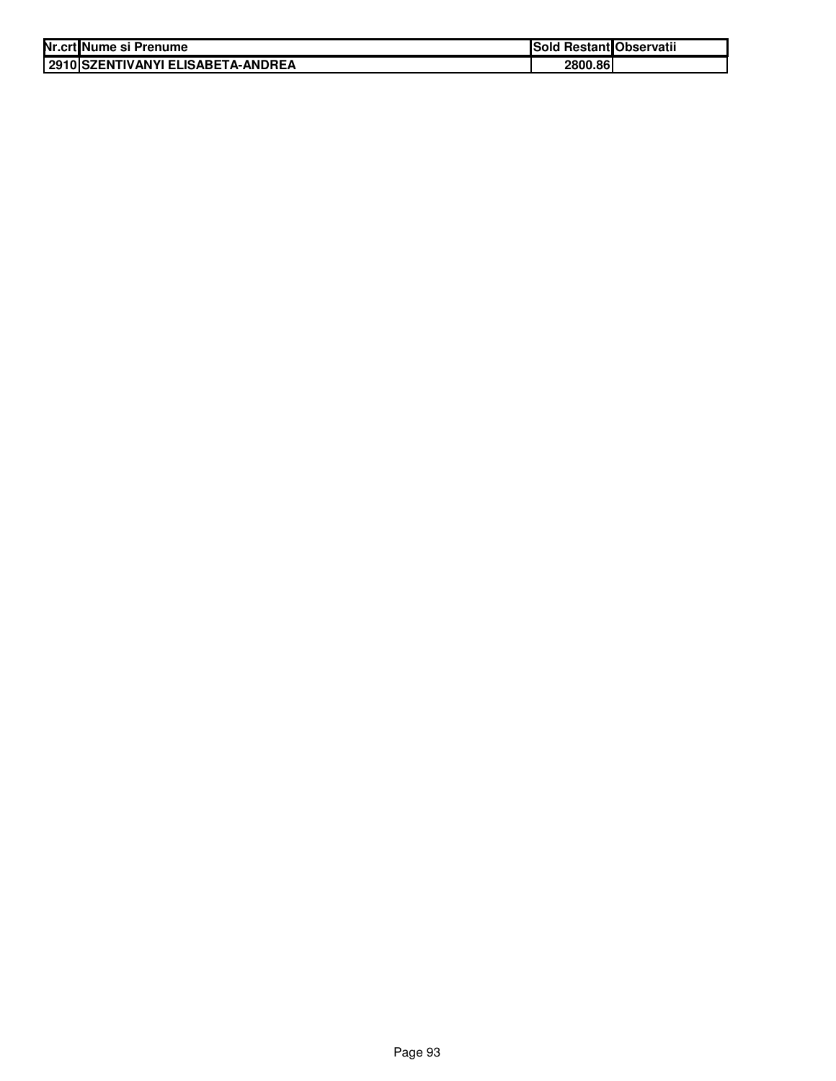| Nr.crt Nume si Prenume               | Sold Restant Observatii |  |
|--------------------------------------|-------------------------|--|
| I 2910 ISZENTIVANYI ELISABETA-ANDREA | 2800.86                 |  |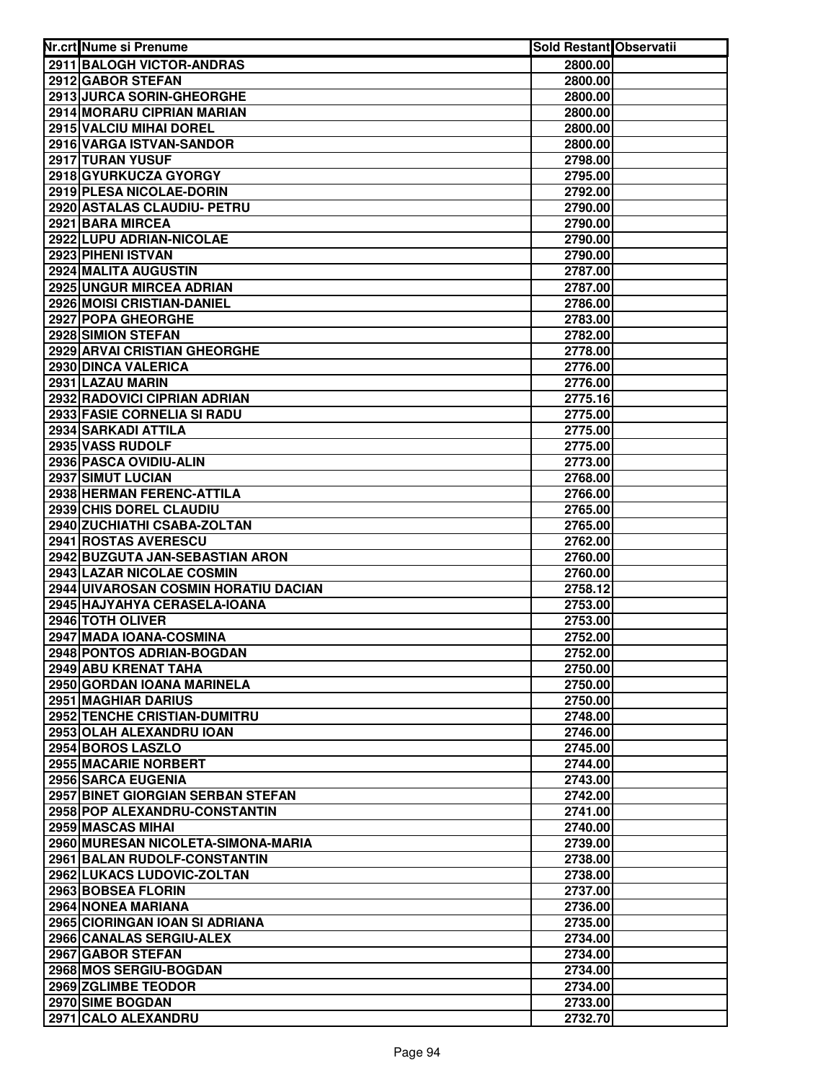| Nr.crt Nume si Prenume                      | Sold Restant Observatii |  |
|---------------------------------------------|-------------------------|--|
| 2911 BALOGH VICTOR-ANDRAS                   | 2800.00                 |  |
| 2912 GABOR STEFAN                           | 2800.00                 |  |
| 2913 JURCA SORIN-GHEORGHE                   | 2800.00                 |  |
| 2914 MORARU CIPRIAN MARIAN                  | 2800.00                 |  |
| 2915 VALCIU MIHAI DOREL                     | 2800.00                 |  |
| 2916 VARGA ISTVAN-SANDOR                    | 2800.00                 |  |
| 2917 TURAN YUSUF                            | 2798.00                 |  |
| 2918 GYURKUCZA GYORGY                       | 2795.00                 |  |
| 2919 PLESA NICOLAE-DORIN                    | 2792.00                 |  |
| 2920 ASTALAS CLAUDIU- PETRU                 | 2790.00                 |  |
| 2921 BARA MIRCEA                            | 2790.00                 |  |
| 2922 LUPU ADRIAN-NICOLAE                    | 2790.00                 |  |
| 2923 PIHENI ISTVAN                          | 2790.00                 |  |
| 2924 MALITA AUGUSTIN                        | 2787.00                 |  |
| <b>2925 UNGUR MIRCEA ADRIAN</b>             | 2787.00                 |  |
| 2926 MOISI CRISTIAN-DANIEL                  | 2786.00                 |  |
| 2927 POPA GHEORGHE                          | 2783.00                 |  |
| 2928 SIMION STEFAN                          | 2782.00                 |  |
| <b>2929 ARVAI CRISTIAN GHEORGHE</b>         | 2778.00                 |  |
| 2930 DINCA VALERICA                         | 2776.00                 |  |
| 2931 LAZAU MARIN                            | 2776.00                 |  |
| 2932 RADOVICI CIPRIAN ADRIAN                | 2775.16                 |  |
| 2933 FASIE CORNELIA SI RADU                 | 2775.00                 |  |
| 2934 SARKADI ATTILA                         | 2775.00                 |  |
| 2935 VASS RUDOLF                            | 2775.00                 |  |
| 2936 PASCA OVIDIU-ALIN<br>2937 SIMUT LUCIAN | 2773.00                 |  |
| 2938 HERMAN FERENC-ATTILA                   | 2768.00                 |  |
| 2939 CHIS DOREL CLAUDIU                     | 2766.00<br>2765.00      |  |
| 2940 ZUCHIATHI CSABA-ZOLTAN                 | 2765.00                 |  |
| 2941 ROSTAS AVERESCU                        | 2762.00                 |  |
| 2942 BUZGUTA JAN-SEBASTIAN ARON             | 2760.00                 |  |
| 2943 LAZAR NICOLAE COSMIN                   | 2760.00                 |  |
| 2944 UIVAROSAN COSMIN HORATIU DACIAN        | 2758.12                 |  |
| 2945 HAJYAHYA CERASELA-IOANA                | 2753.00                 |  |
| 2946 TOTH OLIVER                            | 2753.00                 |  |
| 2947 MADA IOANA-COSMINA                     | 2752.00                 |  |
| <b>2948 PONTOS ADRIAN-BOGDAN</b>            | 2752.00                 |  |
| 2949 ABU KRENAT TAHA                        | 2750.00                 |  |
| 2950 GORDAN IOANA MARINELA                  | 2750.00                 |  |
| 2951 MAGHIAR DARIUS                         | 2750.00                 |  |
| <b>2952 TENCHE CRISTIAN-DUMITRU</b>         | 2748.00                 |  |
| 2953 OLAH ALEXANDRU IOAN                    | 2746.00                 |  |
| 2954 BOROS LASZLO                           | 2745.00                 |  |
| 2955 MACARIE NORBERT                        | 2744.00                 |  |
| 2956 SARCA EUGENIA                          | 2743.00                 |  |
| 2957 BINET GIORGIAN SERBAN STEFAN           | 2742.00                 |  |
| 2958 POP ALEXANDRU-CONSTANTIN               | 2741.00                 |  |
| 2959 MASCAS MIHAI                           | 2740.00                 |  |
| 2960 MURESAN NICOLETA-SIMONA-MARIA          | 2739.00                 |  |
| 2961 BALAN RUDOLF-CONSTANTIN                | 2738.00                 |  |
| 2962 LUKACS LUDOVIC-ZOLTAN                  | 2738.00                 |  |
| 2963 BOBSEA FLORIN                          | 2737.00                 |  |
| 2964 NONEA MARIANA                          | 2736.00                 |  |
| 2965 CIORINGAN IOAN SI ADRIANA              | 2735.00                 |  |
| 2966 CANALAS SERGIU-ALEX                    | 2734.00                 |  |
| 2967 GABOR STEFAN                           | 2734.00                 |  |
| 2968 MOS SERGIU-BOGDAN                      | 2734.00                 |  |
| 2969 ZGLIMBE TEODOR                         | 2734.00                 |  |
| 2970 SIME BOGDAN                            | 2733.00                 |  |
| 2971 CALO ALEXANDRU                         | 2732.70                 |  |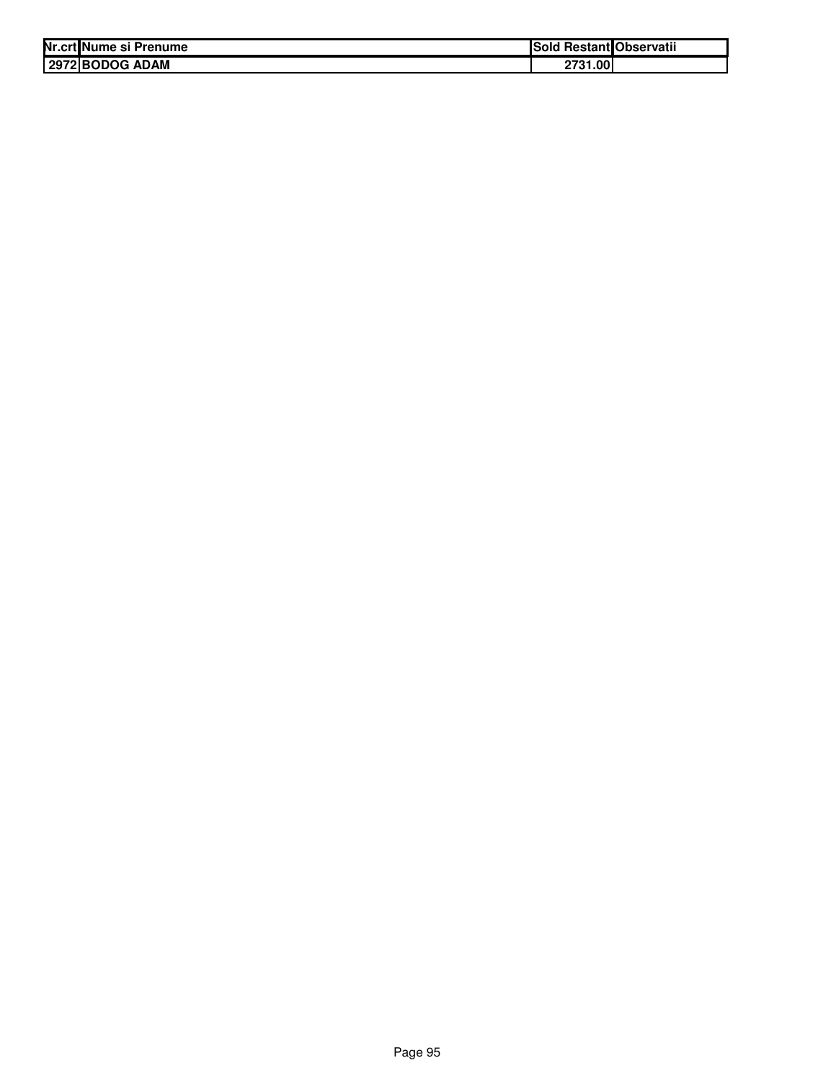| Nr.crt Nume si Prenume | <b>Sold Restant Observatii</b> |
|------------------------|--------------------------------|
| 2972 BODOG ADAM        | 2731.00                        |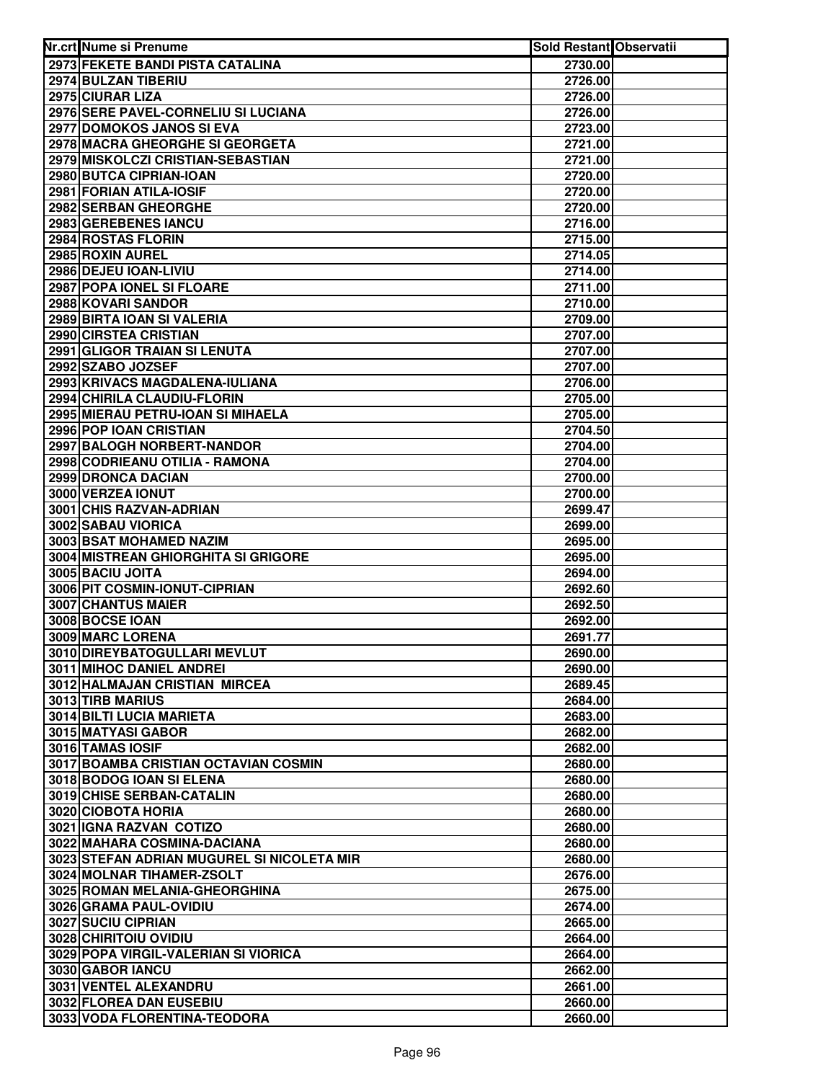| Nr.crt Nume si Prenume                                   | Sold Restant Observatii |  |
|----------------------------------------------------------|-------------------------|--|
| 2973 FEKETE BANDI PISTA CATALINA                         | 2730.00                 |  |
| 2974 BULZAN TIBERIU                                      | 2726.00                 |  |
| 2975 CIURAR LIZA                                         | 2726.00                 |  |
| 2976 SERE PAVEL-CORNELIU SI LUCIANA                      | 2726.00                 |  |
| 2977 DOMOKOS JANOS SI EVA                                | 2723.00                 |  |
| 2978 MACRA GHEORGHE SI GEORGETA                          | 2721.00                 |  |
| 2979 MISKOLCZI CRISTIAN-SEBASTIAN                        | 2721.00                 |  |
| 2980 BUTCA CIPRIAN-IOAN                                  | 2720.00                 |  |
| 2981 FORIAN ATILA-IOSIF                                  | 2720.00                 |  |
| 2982 SERBAN GHEORGHE                                     | 2720.00                 |  |
| 2983 GEREBENES IANCU                                     | 2716.00                 |  |
| 2984 ROSTAS FLORIN                                       | 2715.00                 |  |
| 2985 ROXIN AUREL                                         | 2714.05                 |  |
| 2986 DEJEU IOAN-LIVIU                                    | 2714.00                 |  |
| 2987 POPA IONEL SI FLOARE                                | 2711.00                 |  |
| 2988 KOVARI SANDOR                                       | 2710.00                 |  |
| 2989 BIRTA IOAN SI VALERIA                               | 2709.00                 |  |
| 2990 CIRSTEA CRISTIAN                                    | 2707.00                 |  |
| 2991 GLIGOR TRAIAN SI LENUTA                             | 2707.00                 |  |
| 2992 SZABO JOZSEF                                        | 2707.00                 |  |
| 2993 KRIVACS MAGDALENA-IULIANA                           | 2706.00                 |  |
| 2994 CHIRILA CLAUDIU-FLORIN                              | 2705.00                 |  |
| 2995 MIERAU PETRU-IOAN SI MIHAELA                        | 2705.00                 |  |
| 2996 POP IOAN CRISTIAN                                   | 2704.50                 |  |
| 2997 BALOGH NORBERT-NANDOR                               | 2704.00                 |  |
| 2998 CODRIEANU OTILIA - RAMONA                           | 2704.00                 |  |
| 2999 DRONCA DACIAN                                       | 2700.00                 |  |
| 3000 VERZEA IONUT                                        | 2700.00                 |  |
| 3001 CHIS RAZVAN-ADRIAN                                  | 2699.47                 |  |
| 3002 SABAU VIORICA                                       | 2699.00                 |  |
| 3003 BSAT MOHAMED NAZIM                                  | 2695.00                 |  |
| 3004 MISTREAN GHIORGHITA SI GRIGORE                      | 2695.00                 |  |
| 3005 BACIU JOITA                                         | 2694.00                 |  |
| 3006 PIT COSMIN-IONUT-CIPRIAN                            | 2692.60                 |  |
| 3007 CHANTUS MAIER                                       | 2692.50                 |  |
| 3008 BOCSE IOAN                                          | 2692.00                 |  |
| 3009 MARC LORENA                                         | 2691.77                 |  |
| 3010 DIREYBATOGULLARI MEVLUT                             | 2690.00                 |  |
| 3011 MIHOC DANIEL ANDREI                                 | 2690.00                 |  |
| 3012 HALMAJAN CRISTIAN MIRCEA                            | 2689.45                 |  |
| 3013 TIRB MARIUS                                         | 2684.00                 |  |
| 3014 BILTI LUCIA MARIETA<br>3015 MATYASI GABOR           | 2683.00                 |  |
|                                                          | 2682.00                 |  |
| 3016 TAMAS IOSIF<br>3017 BOAMBA CRISTIAN OCTAVIAN COSMIN | 2682.00<br>2680.00      |  |
| 3018 BODOG IOAN SI ELENA                                 | 2680.00                 |  |
| 3019 CHISE SERBAN-CATALIN                                | 2680.00                 |  |
| 3020 CIOBOTA HORIA                                       | 2680.00                 |  |
| 3021 IGNA RAZVAN COTIZO                                  | 2680.00                 |  |
| 3022 MAHARA COSMINA-DACIANA                              | 2680.00                 |  |
| 3023 STEFAN ADRIAN MUGUREL SI NICOLETA MIR               | 2680.00                 |  |
| 3024 MOLNAR TIHAMER-ZSOLT                                | 2676.00                 |  |
| 3025 ROMAN MELANIA-GHEORGHINA                            | 2675.00                 |  |
| 3026 GRAMA PAUL-OVIDIU                                   | 2674.00                 |  |
| 3027 SUCIU CIPRIAN                                       | 2665.00                 |  |
| 3028 CHIRITOIU OVIDIU                                    | 2664.00                 |  |
| 3029 POPA VIRGIL-VALERIAN SI VIORICA                     | 2664.00                 |  |
| 3030 GABOR IANCU                                         | 2662.00                 |  |
| 3031 VENTEL ALEXANDRU                                    | 2661.00                 |  |
| 3032 FLOREA DAN EUSEBIU                                  | 2660.00                 |  |
| 3033 VODA FLORENTINA-TEODORA                             | 2660.00                 |  |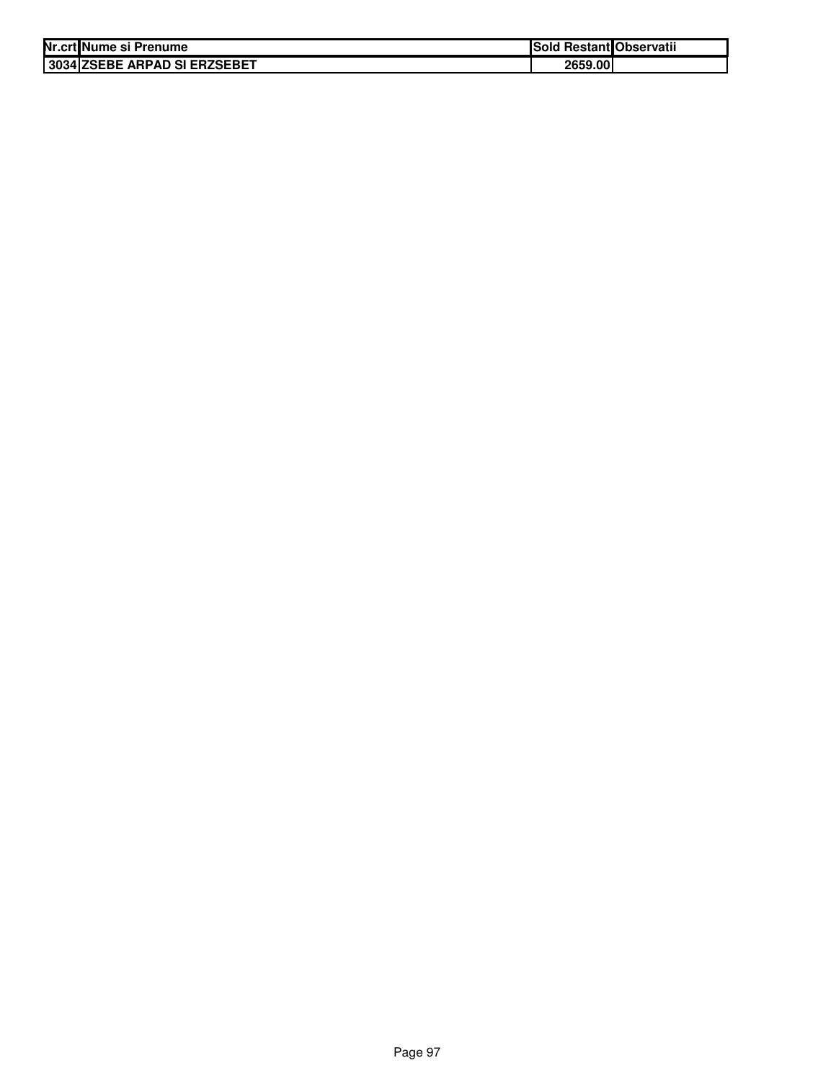| Nr.crtlNume si Prenume       | Sold Restant Observatii |  |
|------------------------------|-------------------------|--|
| 3034 ZSEBE ARPAD SI ERZSEBET | 2659.00                 |  |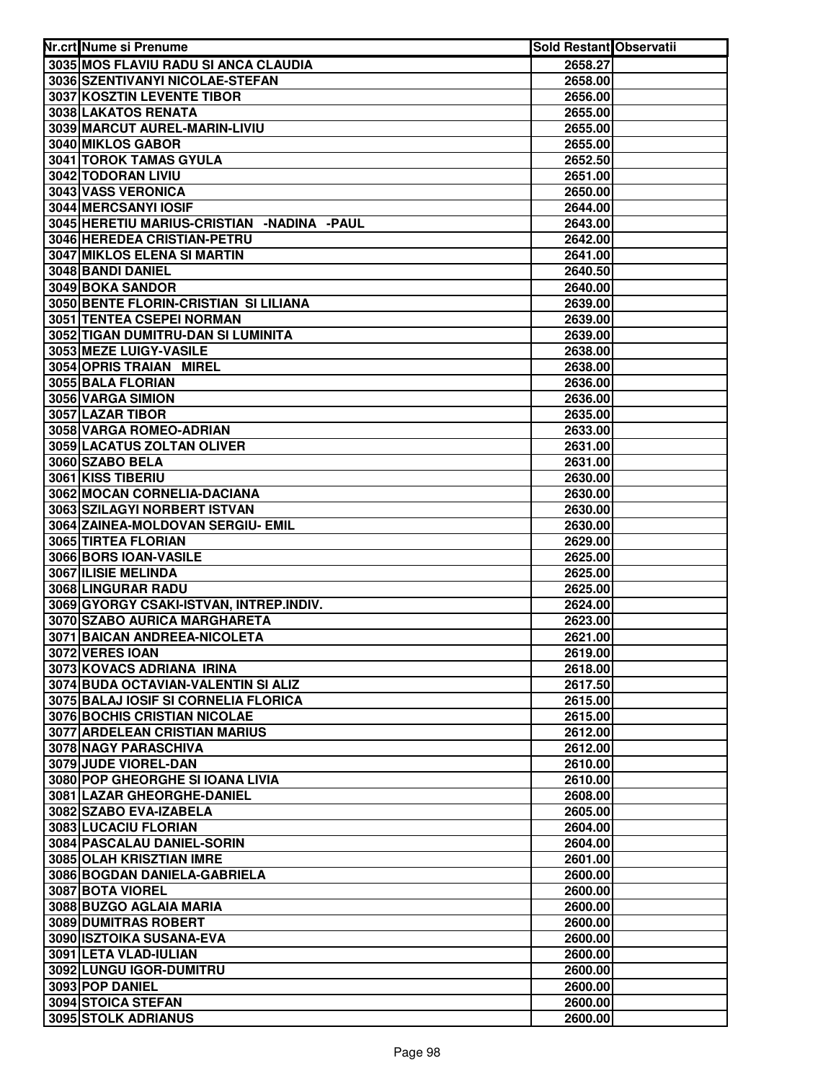| Nr.crt Nume si Prenume                                 | Sold Restant Observatii |  |
|--------------------------------------------------------|-------------------------|--|
| 3035 MOS FLAVIU RADU SI ANCA CLAUDIA                   | 2658.27                 |  |
| 3036 SZENTIVANYI NICOLAE-STEFAN                        | 2658.00                 |  |
| 3037 KOSZTIN LEVENTE TIBOR                             | 2656.00                 |  |
| 3038 LAKATOS RENATA                                    | 2655.00                 |  |
| 3039 MARCUT AUREL-MARIN-LIVIU                          | 2655.00                 |  |
| 3040 MIKLOS GABOR                                      | 2655.00                 |  |
| 3041 TOROK TAMAS GYULA                                 | 2652.50                 |  |
| 3042 TODORAN LIVIU                                     | 2651.00                 |  |
| 3043 VASS VERONICA                                     | 2650.00                 |  |
| 3044 MERCSANYI IOSIF                                   | 2644.00                 |  |
| 3045 HERETIU MARIUS-CRISTIAN -NADINA -PAUL             | 2643.00                 |  |
| 3046 HEREDEA CRISTIAN-PETRU                            | 2642.00                 |  |
| 3047 MIKLOS ELENA SI MARTIN                            | 2641.00                 |  |
| 3048 BANDI DANIEL                                      | 2640.50                 |  |
| 3049 BOKA SANDOR                                       | 2640.00                 |  |
| 3050 BENTE FLORIN-CRISTIAN SI LILIANA                  | 2639.00                 |  |
| 3051 TENTEA CSEPEI NORMAN                              | 2639.00                 |  |
| 3052 TIGAN DUMITRU-DAN SI LUMINITA                     | 2639.00                 |  |
| 3053 MEZE LUIGY-VASILE                                 | 2638.00                 |  |
| 3054 OPRIS TRAIAN MIREL                                | 2638.00                 |  |
| 3055 BALA FLORIAN                                      | 2636.00                 |  |
| 3056 VARGA SIMION                                      | 2636.00                 |  |
| 3057 LAZAR TIBOR                                       | 2635.00                 |  |
| 3058 VARGA ROMEO-ADRIAN                                | 2633.00                 |  |
| 3059 LACATUS ZOLTAN OLIVER                             | 2631.00                 |  |
| 3060 SZABO BELA<br>3061 KISS TIBERIU                   | 2631.00                 |  |
| 3062 MOCAN CORNELIA-DACIANA                            | 2630.00<br>2630.00      |  |
| 3063 SZILAGYI NORBERT ISTVAN                           | 2630.00                 |  |
| 3064 ZAINEA-MOLDOVAN SERGIU- EMIL                      | 2630.00                 |  |
| 3065 TIRTEA FLORIAN                                    | 2629.00                 |  |
| 3066 BORS IOAN-VASILE                                  | 2625.00                 |  |
| 3067 ILISIE MELINDA                                    | 2625.00                 |  |
| 3068 LINGURAR RADU                                     | 2625.00                 |  |
| 3069 GYORGY CSAKI-ISTVAN, INTREP.INDIV.                | 2624.00                 |  |
| 3070 SZABO AURICA MARGHARETA                           | 2623.00                 |  |
| 3071 BAICAN ANDREEA-NICOLETA                           | 2621.00                 |  |
| 3072 VERES IOAN                                        | 2619.00                 |  |
| 3073 KOVACS ADRIANA IRINA                              | 2618.00                 |  |
| 3074 BUDA OCTAVIAN-VALENTIN SI ALIZ                    | 2617.50                 |  |
| 3075 BALAJ IOSIF SI CORNELIA FLORICA                   | 2615.00                 |  |
| 3076 BOCHIS CRISTIAN NICOLAE                           | 2615.00                 |  |
| 3077 ARDELEAN CRISTIAN MARIUS                          | 2612.00                 |  |
| 3078 NAGY PARASCHIVA                                   | 2612.00                 |  |
| 3079 JUDE VIOREL-DAN                                   | 2610.00                 |  |
| 3080 POP GHEORGHE SI IOANA LIVIA                       | 2610.00                 |  |
| 3081 LAZAR GHEORGHE-DANIEL                             | 2608.00                 |  |
| 3082 SZABO EVA-IZABELA                                 | 2605.00                 |  |
| 3083 LUCACIU FLORIAN                                   | 2604.00                 |  |
| 3084 PASCALAU DANIEL-SORIN<br>3085 OLAH KRISZTIAN IMRE | 2604.00<br>2601.00      |  |
| 3086 BOGDAN DANIELA-GABRIELA                           | 2600.00                 |  |
| 3087 BOTA VIOREL                                       | 2600.00                 |  |
| 3088 BUZGO AGLAIA MARIA                                | 2600.00                 |  |
| 3089 DUMITRAS ROBERT                                   | 2600.00                 |  |
| 3090 ISZTOIKA SUSANA-EVA                               | 2600.00                 |  |
| 3091 LETA VLAD-IULIAN                                  | 2600.00                 |  |
| 3092 LUNGU IGOR-DUMITRU                                | 2600.00                 |  |
| 3093 POP DANIEL                                        | 2600.00                 |  |
| 3094 STOICA STEFAN                                     | 2600.00                 |  |
| 3095 STOLK ADRIANUS                                    | 2600.00                 |  |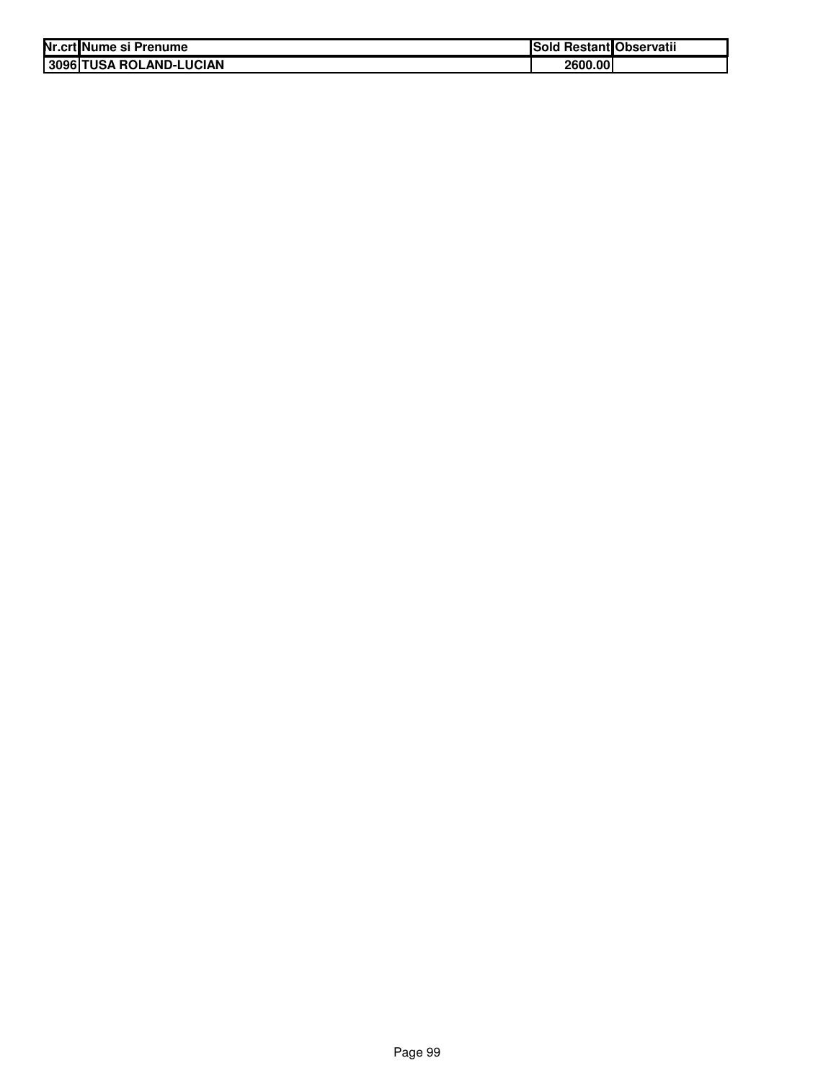| Nr.crt Nume si Prenume  | Sold Restant Observatii |  |
|-------------------------|-------------------------|--|
| 3096 TUSA ROLAND-LUCIAN | 2600.00                 |  |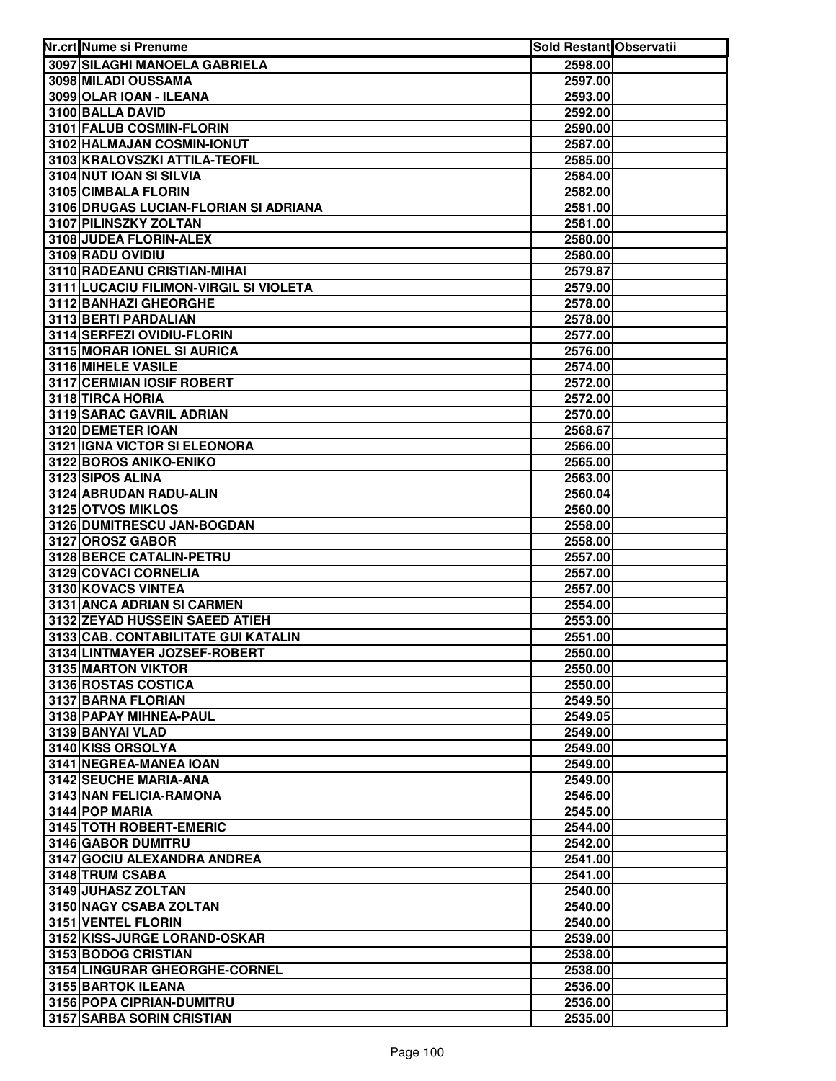| Nr.crt Nume si Prenume                            | Sold Restant Observatii |  |
|---------------------------------------------------|-------------------------|--|
| 3097 SILAGHI MANOELA GABRIELA                     | 2598.00                 |  |
| 3098 MILADI OUSSAMA                               | 2597.00                 |  |
| 3099 OLAR IOAN - ILEANA                           | 2593.00                 |  |
| 3100 BALLA DAVID                                  | 2592.00                 |  |
| 3101 FALUB COSMIN-FLORIN                          | 2590.00                 |  |
| 3102 HALMAJAN COSMIN-IONUT                        | 2587.00                 |  |
| 3103 KRALOVSZKI ATTILA-TEOFIL                     | 2585.00                 |  |
| 3104 NUT IOAN SI SILVIA                           | 2584.00                 |  |
| 3105 CIMBALA FLORIN                               | 2582.00                 |  |
| 3106 DRUGAS LUCIAN-FLORIAN SI ADRIANA             | 2581.00                 |  |
| 3107 PILINSZKY ZOLTAN                             | 2581.00                 |  |
| 3108 JUDEA FLORIN-ALEX                            | 2580.00                 |  |
| 3109 RADU OVIDIU                                  | 2580.00                 |  |
| 3110 RADEANU CRISTIAN-MIHAI                       | 2579.87                 |  |
| 3111 LUCACIU FILIMON-VIRGIL SI VIOLETA            | 2579.00                 |  |
| 3112 BANHAZI GHEORGHE                             | 2578.00                 |  |
| 3113 BERTI PARDALIAN                              | 2578.00                 |  |
| 3114 SERFEZI OVIDIU-FLORIN                        | 2577.00                 |  |
| 3115 MORAR IONEL SI AURICA                        | 2576.00                 |  |
| 3116 MIHELE VASILE                                | 2574.00                 |  |
| 3117 CERMIAN IOSIF ROBERT                         | 2572.00                 |  |
| 3118 TIRCA HORIA                                  | 2572.00                 |  |
| 3119 SARAC GAVRIL ADRIAN                          | 2570.00                 |  |
| 3120 DEMETER IOAN                                 | 2568.67                 |  |
| 3121 IGNA VICTOR SI ELEONORA                      | 2566.00                 |  |
| 3122 BOROS ANIKO-ENIKO                            | 2565.00                 |  |
| 3123 SIPOS ALINA                                  | 2563.00                 |  |
| 3124 ABRUDAN RADU-ALIN                            | 2560.04                 |  |
| 3125 OTVOS MIKLOS                                 | 2560.00                 |  |
| 3126 DUMITRESCU JAN-BOGDAN                        | 2558.00                 |  |
| 3127 OROSZ GABOR                                  | 2558.00                 |  |
| 3128 BERCE CATALIN-PETRU                          | 2557.00                 |  |
| 3129 COVACI CORNELIA                              | 2557.00                 |  |
| 3130 KOVACS VINTEA                                | 2557.00                 |  |
| 3131 ANCA ADRIAN SI CARMEN                        | 2554.00                 |  |
| 3132 ZEYAD HUSSEIN SAEED ATIEH                    | 2553.00                 |  |
| 3133 CAB. CONTABILITATE GUI KATALIN               | 2551.00                 |  |
| 3134 LINTMAYER JOZSEF-ROBERT                      | 2550.00                 |  |
| 3135 MARTON VIKTOR                                | 2550.00                 |  |
| 3136 ROSTAS COSTICA                               | 2550.00                 |  |
| 3137 BARNA FLORIAN                                | 2549.50                 |  |
| 3138 PAPAY MIHNEA-PAUL                            | 2549.05                 |  |
| 3139 BANYAI VLAD                                  | 2549.00                 |  |
| 3140 KISS ORSOLYA                                 | 2549.00                 |  |
| 3141 NEGREA-MANEA IOAN                            | 2549.00                 |  |
| 3142 SEUCHE MARIA-ANA                             | 2549.00                 |  |
| 3143 NAN FELICIA-RAMONA                           | 2546.00                 |  |
| 3144 POP MARIA                                    | 2545.00                 |  |
| 3145 TOTH ROBERT-EMERIC                           | 2544.00                 |  |
| 3146 GABOR DUMITRU<br>3147 GOCIU ALEXANDRA ANDREA | 2542.00                 |  |
| 3148 TRUM CSABA                                   | 2541.00<br>2541.00      |  |
| 3149 JUHASZ ZOLTAN                                | 2540.00                 |  |
| 3150 NAGY CSABA ZOLTAN                            | 2540.00                 |  |
| 3151 VENTEL FLORIN                                | 2540.00                 |  |
| 3152 KISS-JURGE LORAND-OSKAR                      | 2539.00                 |  |
| 3153 BODOG CRISTIAN                               | 2538.00                 |  |
| 3154 LINGURAR GHEORGHE-CORNEL                     | 2538.00                 |  |
| 3155 BARTOK ILEANA                                | 2536.00                 |  |
| 3156 POPA CIPRIAN-DUMITRU                         | 2536.00                 |  |
| 3157 SARBA SORIN CRISTIAN                         | 2535.00                 |  |
|                                                   |                         |  |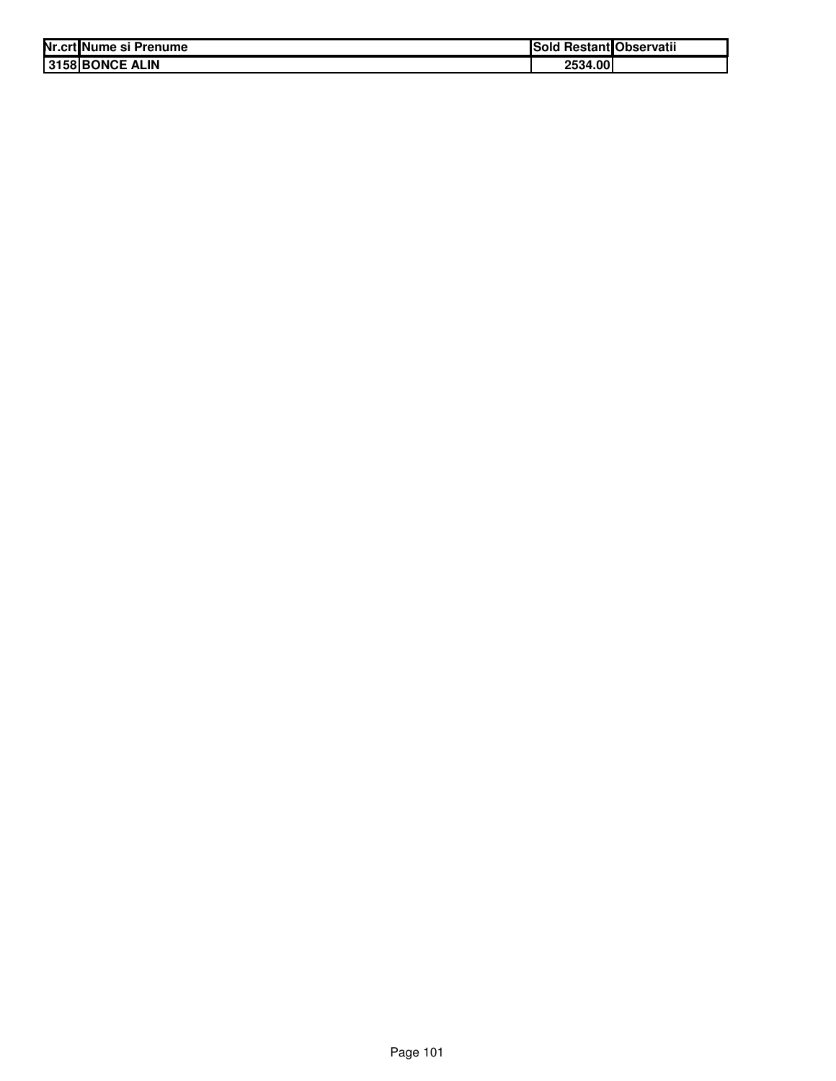| Nr.crt Nume si Prenume | <b>Restant</b> Observatii<br>'Sold |
|------------------------|------------------------------------|
| 3158 BONCE ALIN        | 2534.00                            |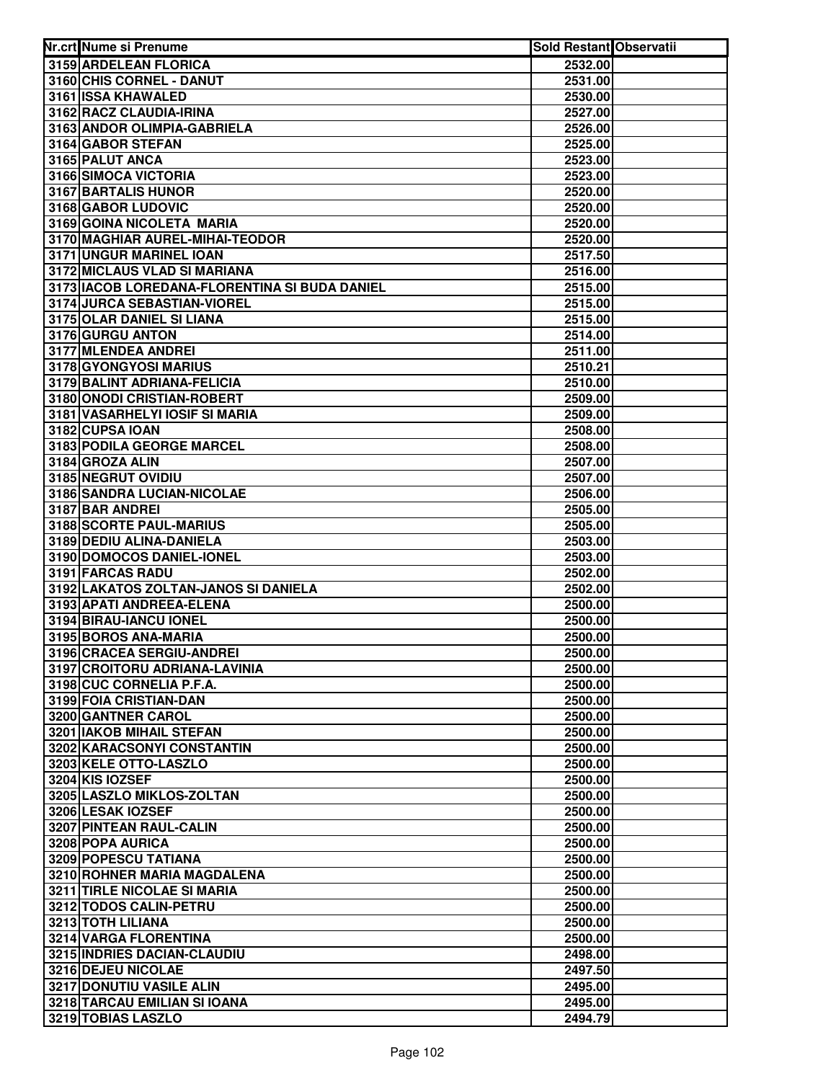| Nr.crt Nume si Prenume                                           | <b>Sold Restant Observatii</b> |  |
|------------------------------------------------------------------|--------------------------------|--|
| 3159 ARDELEAN FLORICA                                            | 2532.00                        |  |
| 3160 CHIS CORNEL - DANUT                                         | 2531.00                        |  |
| 3161 ISSA KHAWALED                                               | 2530.00                        |  |
| 3162 RACZ CLAUDIA-IRINA                                          | 2527.00                        |  |
| 3163 ANDOR OLIMPIA-GABRIELA                                      | 2526.00                        |  |
| 3164 GABOR STEFAN                                                | 2525.00                        |  |
| 3165 PALUT ANCA                                                  | 2523.00                        |  |
| 3166 SIMOCA VICTORIA                                             | 2523.00                        |  |
| 3167 BARTALIS HUNOR                                              | 2520.00                        |  |
| 3168 GABOR LUDOVIC                                               | 2520.00                        |  |
| 3169 GOINA NICOLETA MARIA                                        | 2520.00                        |  |
| 3170 MAGHIAR AUREL-MIHAI-TEODOR                                  | 2520.00                        |  |
| 3171 UNGUR MARINEL IOAN                                          | 2517.50                        |  |
| 3172 MICLAUS VLAD SI MARIANA                                     | 2516.00                        |  |
| 3173 IACOB LOREDANA-FLORENTINA SI BUDA DANIEL                    | 2515.00                        |  |
| 3174 JURCA SEBASTIAN-VIOREL                                      | 2515.00                        |  |
| 3175 OLAR DANIEL SI LIANA                                        | 2515.00                        |  |
| 3176 GURGU ANTON                                                 | 2514.00                        |  |
| 3177 MLENDEA ANDREI                                              | 2511.00                        |  |
| 3178 GYONGYOSI MARIUS                                            | 2510.21                        |  |
| 3179 BALINT ADRIANA-FELICIA                                      | 2510.00                        |  |
| 3180 ONODI CRISTIAN-ROBERT                                       | 2509.00                        |  |
| 3181 VASARHELYI IOSIF SI MARIA                                   | 2509.00                        |  |
| 3182 CUPSA IOAN                                                  | 2508.00                        |  |
| 3183 PODILA GEORGE MARCEL                                        | 2508.00                        |  |
| 3184 GROZA ALIN                                                  | 2507.00                        |  |
| 3185 NEGRUT OVIDIU                                               | 2507.00                        |  |
| 3186 SANDRA LUCIAN-NICOLAE                                       | 2506.00                        |  |
| 3187 BAR ANDREI                                                  | 2505.00                        |  |
| 3188 SCORTE PAUL-MARIUS                                          | 2505.00                        |  |
| 3189 DEDIU ALINA-DANIELA                                         | 2503.00                        |  |
| 3190 DOMOCOS DANIEL-IONEL                                        | 2503.00                        |  |
| 3191 FARCAS RADU                                                 | 2502.00                        |  |
| 3192 LAKATOS ZOLTAN-JANOS SI DANIELA<br>3193 APATI ANDREEA-ELENA | 2502.00                        |  |
| 3194 BIRAU-IANCU IONEL                                           | 2500.00<br>2500.00             |  |
| 3195 BOROS ANA-MARIA                                             | 2500.00                        |  |
| 3196 CRACEA SERGIU-ANDREI                                        | 2500.00                        |  |
| 3197 CROITORU ADRIANA-LAVINIA                                    | 2500.00                        |  |
| 3198 CUC CORNELIA P.F.A.                                         | 2500.00                        |  |
| 3199 FOIA CRISTIAN-DAN                                           | 2500.00                        |  |
| 3200 GANTNER CAROL                                               | 2500.00                        |  |
| <b>3201 IAKOB MIHAIL STEFAN</b>                                  | 2500.00                        |  |
| 3202 KARACSONYI CONSTANTIN                                       | 2500.00                        |  |
| 3203 KELE OTTO-LASZLO                                            | 2500.00                        |  |
| 3204 KIS IOZSEF                                                  | 2500.00                        |  |
| 3205 LASZLO MIKLOS-ZOLTAN                                        | 2500.00                        |  |
| 3206 LESAK IOZSEF                                                | 2500.00                        |  |
| 3207 PINTEAN RAUL-CALIN                                          | 2500.00                        |  |
| 3208 POPA AURICA                                                 | 2500.00                        |  |
| 3209 POPESCU TATIANA                                             | 2500.00                        |  |
| 3210 ROHNER MARIA MAGDALENA                                      | 2500.00                        |  |
| 3211 TIRLE NICOLAE SI MARIA                                      | 2500.00                        |  |
| 3212 TODOS CALIN-PETRU                                           | 2500.00                        |  |
| 3213 TOTH LILIANA                                                | 2500.00                        |  |
| 3214 VARGA FLORENTINA                                            | 2500.00                        |  |
| 3215 INDRIES DACIAN-CLAUDIU                                      | 2498.00                        |  |
| 3216 DEJEU NICOLAE                                               | 2497.50                        |  |
| 3217 DONUTIU VASILE ALIN                                         | 2495.00                        |  |
| 3218 TARCAU EMILIAN SI IOANA                                     | 2495.00                        |  |
| 3219 TOBIAS LASZLO                                               | 2494.79                        |  |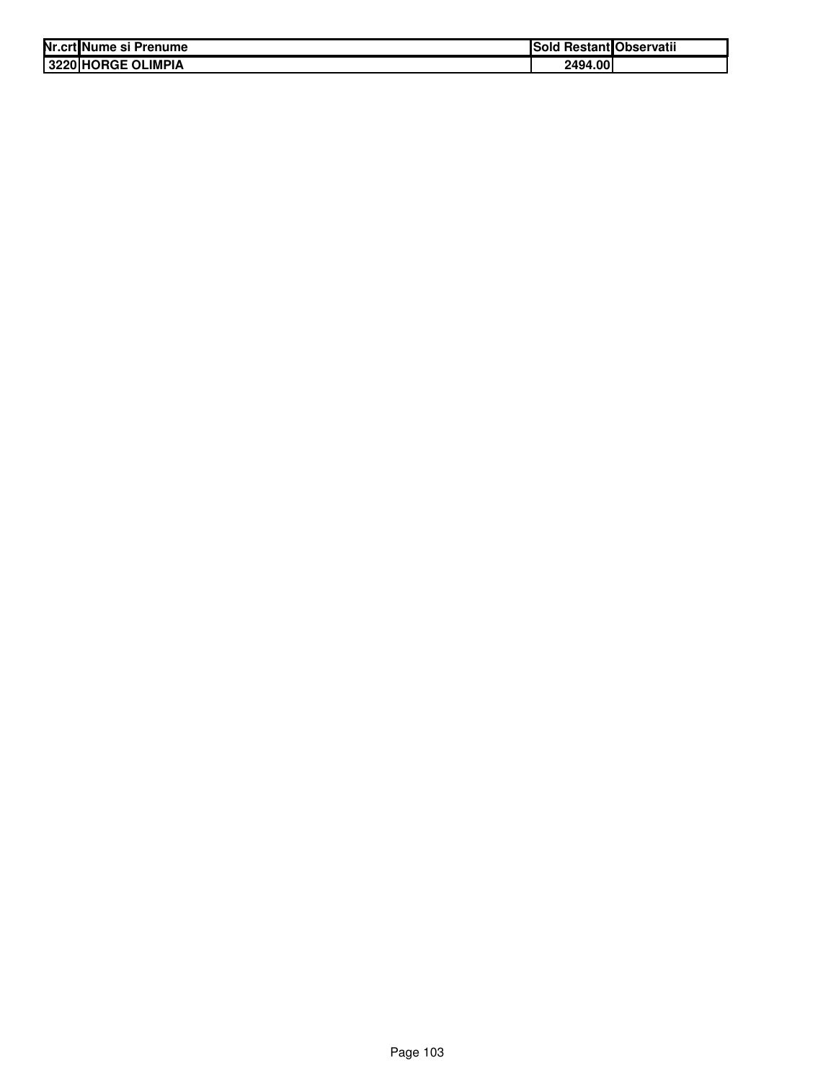| Nr.crt Nume si Prenume    | <b>Sold</b> | l Restant Observatii |
|---------------------------|-------------|----------------------|
| <b>3220 HORGE OLIMPIA</b> | 2494.00     |                      |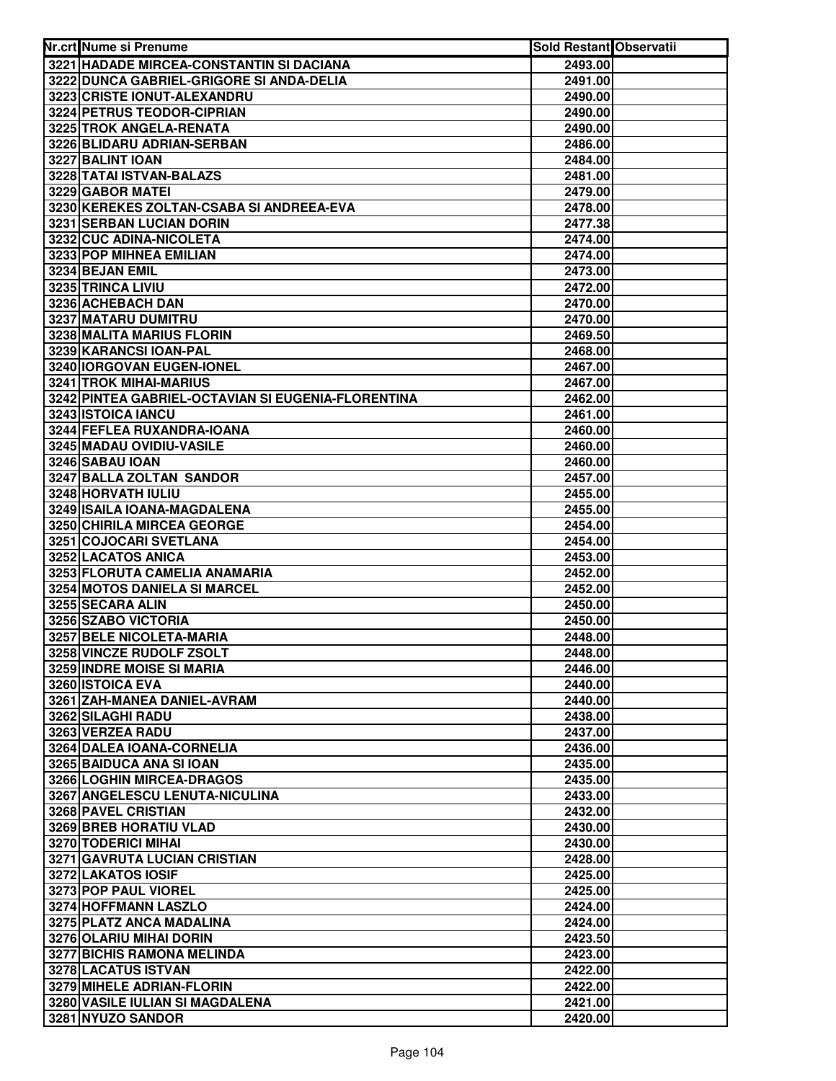| Nr.crt Nume si Prenume                              | Sold Restant Observatii |  |
|-----------------------------------------------------|-------------------------|--|
| 3221 HADADE MIRCEA-CONSTANTIN SI DACIANA            | 2493.00                 |  |
| 3222 DUNCA GABRIEL-GRIGORE SI ANDA-DELIA            | 2491.00                 |  |
| 3223 CRISTE IONUT-ALEXANDRU                         | 2490.00                 |  |
| 3224 PETRUS TEODOR-CIPRIAN                          | 2490.00                 |  |
| 3225 TROK ANGELA-RENATA                             | 2490.00                 |  |
| 3226 BLIDARU ADRIAN-SERBAN                          | 2486.00                 |  |
| 3227 BALINT IOAN                                    | 2484.00                 |  |
| 3228 TATAI ISTVAN-BALAZS                            | 2481.00                 |  |
| 3229 GABOR MATEI                                    | 2479.00                 |  |
| 3230 KEREKES ZOLTAN-CSABA SI ANDREEA-EVA            | 2478.00                 |  |
| 3231 SERBAN LUCIAN DORIN                            | 2477.38                 |  |
| 3232 CUC ADINA-NICOLETA                             | 2474.00                 |  |
| 3233 POP MIHNEA EMILIAN                             | 2474.00                 |  |
| 3234 BEJAN EMIL                                     | 2473.00                 |  |
| 3235 TRINCA LIVIU                                   | 2472.00                 |  |
| 3236 ACHEBACH DAN                                   | 2470.00                 |  |
| 3237 MATARU DUMITRU                                 | 2470.00                 |  |
| 3238 MALITA MARIUS FLORIN                           | 2469.50                 |  |
| 3239 KARANCSI IOAN-PAL                              | 2468.00                 |  |
| 3240 IORGOVAN EUGEN-IONEL                           | 2467.00                 |  |
| <b>3241 TROK MIHAI-MARIUS</b>                       | 2467.00                 |  |
| 3242 PINTEA GABRIEL-OCTAVIAN SI EUGENIA-FLORENTINA  | 2462.00                 |  |
| 3243 ISTOICA IANCU                                  | 2461.00                 |  |
| 3244 FEFLEA RUXANDRA-IOANA                          | 2460.00                 |  |
| 3245 MADAU OVIDIU-VASILE                            | 2460.00                 |  |
| 3246 SABAU IOAN                                     | 2460.00                 |  |
| 3247 BALLA ZOLTAN SANDOR                            | 2457.00                 |  |
| 3248 HORVATH IULIU                                  | 2455.00                 |  |
| 3249 ISAILA IOANA-MAGDALENA                         | 2455.00                 |  |
| 3250 CHIRILA MIRCEA GEORGE                          | 2454.00                 |  |
| 3251 COJOCARI SVETLANA                              | 2454.00                 |  |
| 3252 LACATOS ANICA                                  | 2453.00                 |  |
| 3253 FLORUTA CAMELIA ANAMARIA                       | 2452.00                 |  |
| 3254 MOTOS DANIELA SI MARCEL                        | 2452.00                 |  |
| 3255 SECARA ALIN                                    | 2450.00                 |  |
| 3256 SZABO VICTORIA                                 | 2450.00                 |  |
| 3257 BELE NICOLETA-MARIA                            | 2448.00                 |  |
| 3258 VINCZE RUDOLF ZSOLT                            | 2448.00                 |  |
| 3259 INDRE MOISE SI MARIA                           | 2446.00                 |  |
| 3260 ISTOICA EVA                                    | 2440.00                 |  |
| 3261 ZAH-MANEA DANIEL-AVRAM                         | 2440.00                 |  |
| 3262 SILAGHI RADU                                   | 2438.00                 |  |
| 3263 VERZEA RADU                                    | 2437.00                 |  |
| 3264 DALEA IOANA-CORNELIA                           | 2436.00                 |  |
| 3265 BAIDUCA ANA SI IOAN                            | 2435.00                 |  |
| 3266 LOGHIN MIRCEA-DRAGOS                           | 2435.00                 |  |
| 3267 ANGELESCU LENUTA-NICULINA                      | 2433.00                 |  |
| 3268 PAVEL CRISTIAN<br>3269 BREB HORATIU VLAD       | 2432.00                 |  |
|                                                     | 2430.00                 |  |
| 3270 TODERICI MIHAI<br>3271 GAVRUTA LUCIAN CRISTIAN | 2430.00                 |  |
| 3272 LAKATOS IOSIF                                  | 2428.00                 |  |
| 3273 POP PAUL VIOREL                                | 2425.00<br>2425.00      |  |
| 3274 HOFFMANN LASZLO                                | 2424.00                 |  |
| 3275 PLATZ ANCA MADALINA                            | 2424.00                 |  |
| 3276 OLARIU MIHAI DORIN                             | 2423.50                 |  |
| 3277 BICHIS RAMONA MELINDA                          | 2423.00                 |  |
| 3278 LACATUS ISTVAN                                 | 2422.00                 |  |
| 3279 MIHELE ADRIAN-FLORIN                           | 2422.00                 |  |
| 3280 VASILE IULIAN SI MAGDALENA                     | 2421.00                 |  |
| 3281 NYUZO SANDOR                                   | 2420.00                 |  |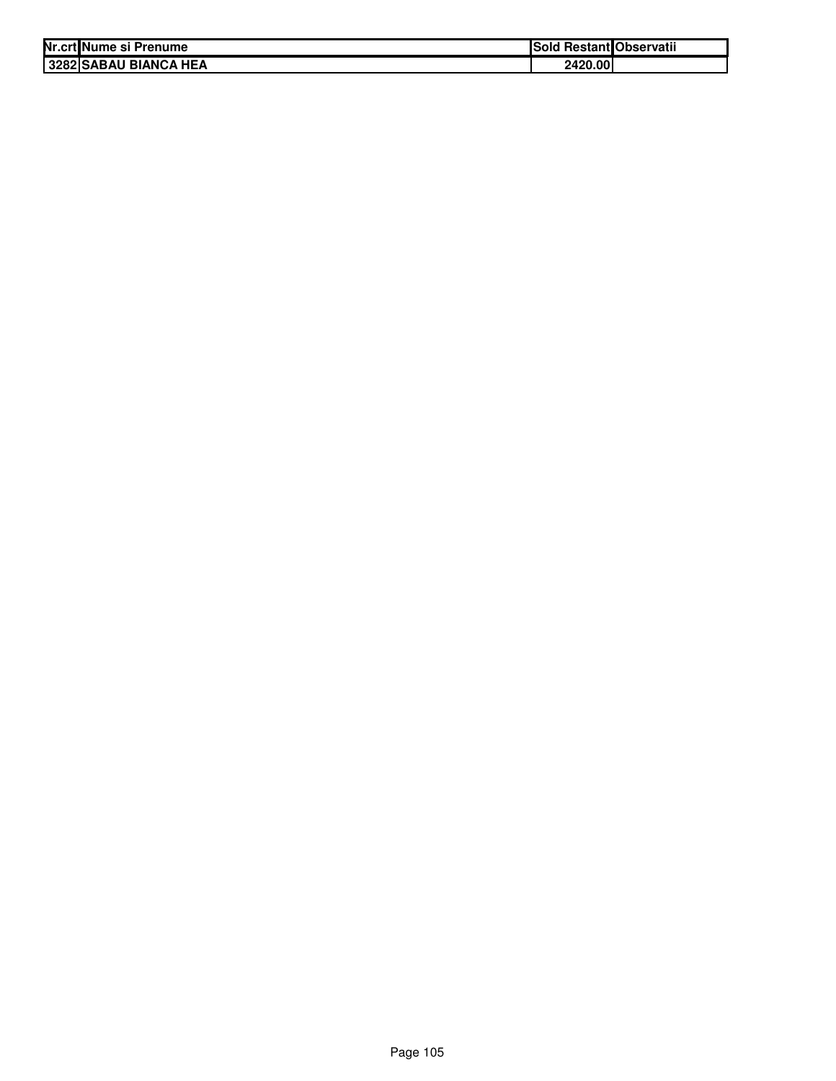| Nr.crt Nume si Prenume | Sold Restant Observatii |  |
|------------------------|-------------------------|--|
| 3282 SABAU BIANCA HEA  | 2420.00                 |  |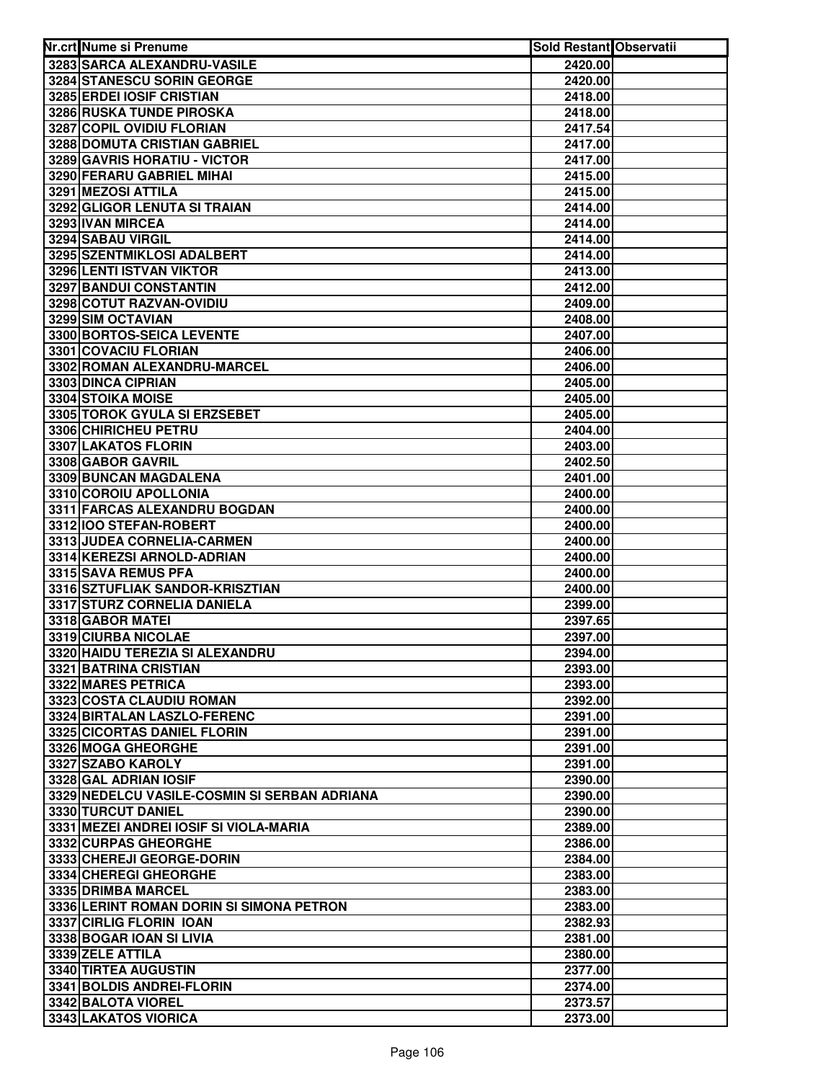| Nr.crt Nume si Prenume                       | Sold Restant Observatii |  |
|----------------------------------------------|-------------------------|--|
| 3283 SARCA ALEXANDRU-VASILE                  | 2420.00                 |  |
| 3284 STANESCU SORIN GEORGE                   | 2420.00                 |  |
| 3285 ERDEI IOSIF CRISTIAN                    | 2418.00                 |  |
| 3286 RUSKA TUNDE PIROSKA                     | 2418.00                 |  |
| 3287 COPIL OVIDIU FLORIAN                    | 2417.54                 |  |
| 3288 DOMUTA CRISTIAN GABRIEL                 | 2417.00                 |  |
| 3289 GAVRIS HORATIU - VICTOR                 | 2417.00                 |  |
| 3290 FERARU GABRIEL MIHAI                    | 2415.00                 |  |
| 3291 MEZOSI ATTILA                           | 2415.00                 |  |
| 3292 GLIGOR LENUTA SI TRAIAN                 | 2414.00                 |  |
| 3293 IVAN MIRCEA                             | 2414.00                 |  |
| 3294 SABAU VIRGIL                            | 2414.00                 |  |
| 3295 SZENTMIKLOSI ADALBERT                   | 2414.00                 |  |
| 3296 LENTI ISTVAN VIKTOR                     | 2413.00                 |  |
| 3297 BANDUI CONSTANTIN                       | 2412.00                 |  |
| 3298 COTUT RAZVAN-OVIDIU                     | 2409.00                 |  |
| 3299 SIM OCTAVIAN                            | 2408.00                 |  |
| 3300 BORTOS-SEICA LEVENTE                    | 2407.00                 |  |
| 3301 COVACIU FLORIAN                         | 2406.00                 |  |
| 3302 ROMAN ALEXANDRU-MARCEL                  | 2406.00                 |  |
| 3303 DINCA CIPRIAN                           | 2405.00                 |  |
| <b>3304 STOIKA MOISE</b>                     | 2405.00                 |  |
| 3305 TOROK GYULA SI ERZSEBET                 | 2405.00                 |  |
| 3306 CHIRICHEU PETRU                         | 2404.00                 |  |
| 3307 LAKATOS FLORIN                          | 2403.00                 |  |
| 3308 GABOR GAVRIL                            | 2402.50                 |  |
| 3309 BUNCAN MAGDALENA                        | 2401.00                 |  |
| 3310 COROIU APOLLONIA                        | 2400.00                 |  |
| 3311 FARCAS ALEXANDRU BOGDAN                 | 2400.00                 |  |
| 3312 100 STEFAN-ROBERT                       | 2400.00                 |  |
| 3313 JUDEA CORNELIA-CARMEN                   | 2400.00                 |  |
| 3314 KEREZSI ARNOLD-ADRIAN                   | 2400.00                 |  |
| 3315 SAVA REMUS PFA                          | 2400.00                 |  |
| 3316 SZTUFLIAK SANDOR-KRISZTIAN              | 2400.00                 |  |
| 3317 STURZ CORNELIA DANIELA                  | 2399.00                 |  |
| 3318 GABOR MATEI<br>3319 CIURBA NICOLAE      | 2397.65<br>2397.00      |  |
| 3320 HAIDU TEREZIA SI ALEXANDRU              | 2394.00                 |  |
| 3321 BATRINA CRISTIAN                        | 2393.00                 |  |
| 3322 MARES PETRICA                           | 2393.00                 |  |
| 3323 COSTA CLAUDIU ROMAN                     | 2392.00                 |  |
| 3324 BIRTALAN LASZLO-FERENC                  | 2391.00                 |  |
| 3325 CICORTAS DANIEL FLORIN                  | 2391.00                 |  |
| 3326 MOGA GHEORGHE                           | 2391.00                 |  |
| 3327 SZABO KAROLY                            | 2391.00                 |  |
| 3328 GAL ADRIAN IOSIF                        | 2390.00                 |  |
| 3329 NEDELCU VASILE-COSMIN SI SERBAN ADRIANA | 2390.00                 |  |
| 3330 TURCUT DANIEL                           | 2390.00                 |  |
| 3331 MEZEI ANDREI IOSIF SI VIOLA-MARIA       | 2389.00                 |  |
| 3332 CURPAS GHEORGHE                         | 2386.00                 |  |
| 3333 CHEREJI GEORGE-DORIN                    | 2384.00                 |  |
| 3334 CHEREGI GHEORGHE                        | 2383.00                 |  |
| 3335 DRIMBA MARCEL                           | 2383.00                 |  |
| 3336 LERINT ROMAN DORIN SI SIMONA PETRON     | 2383.00                 |  |
| 3337 CIRLIG FLORIN IOAN                      | 2382.93                 |  |
| 3338 BOGAR IOAN SI LIVIA                     | 2381.00                 |  |
| 3339 ZELE ATTILA                             | 2380.00                 |  |
| 3340 TIRTEA AUGUSTIN                         | 2377.00                 |  |
| 3341 BOLDIS ANDREI-FLORIN                    | 2374.00                 |  |
| 3342 BALOTA VIOREL                           | 2373.57                 |  |
| 3343 LAKATOS VIORICA                         | 2373.00                 |  |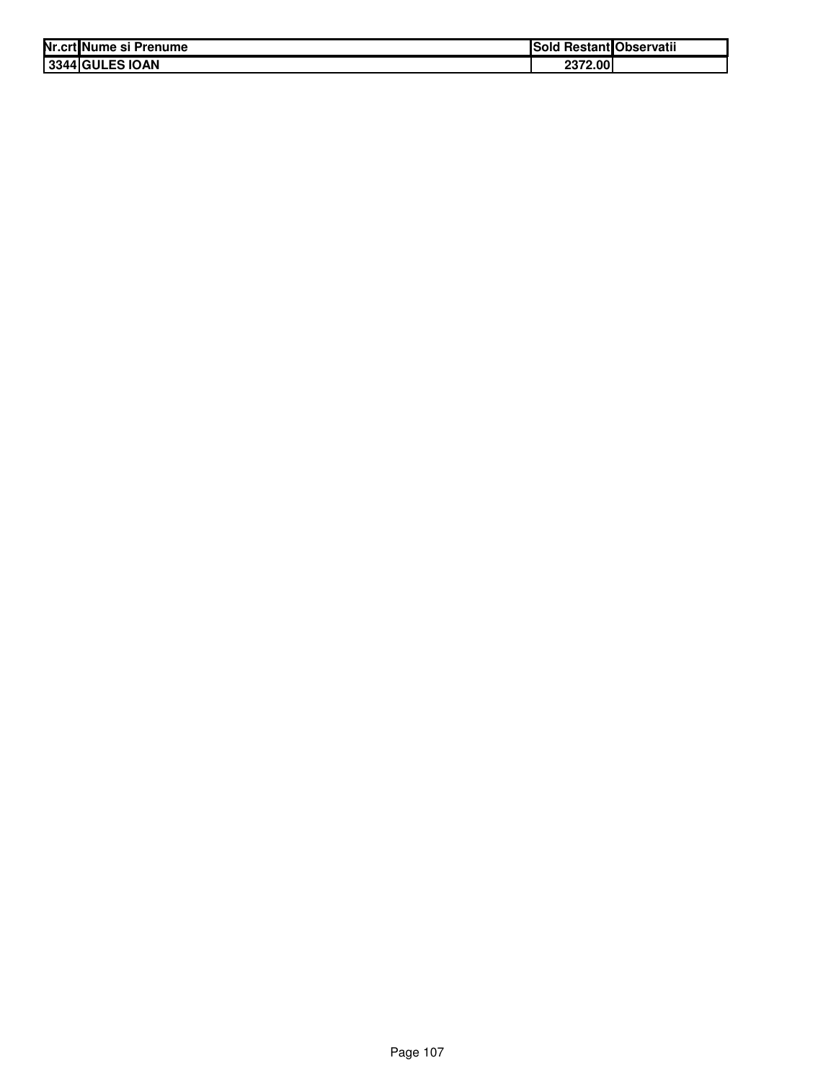| Nr.crt Nume si Prenume | ISold   | l Restant Observatii |
|------------------------|---------|----------------------|
| 3344 GULES IOAN        | 2372.00 |                      |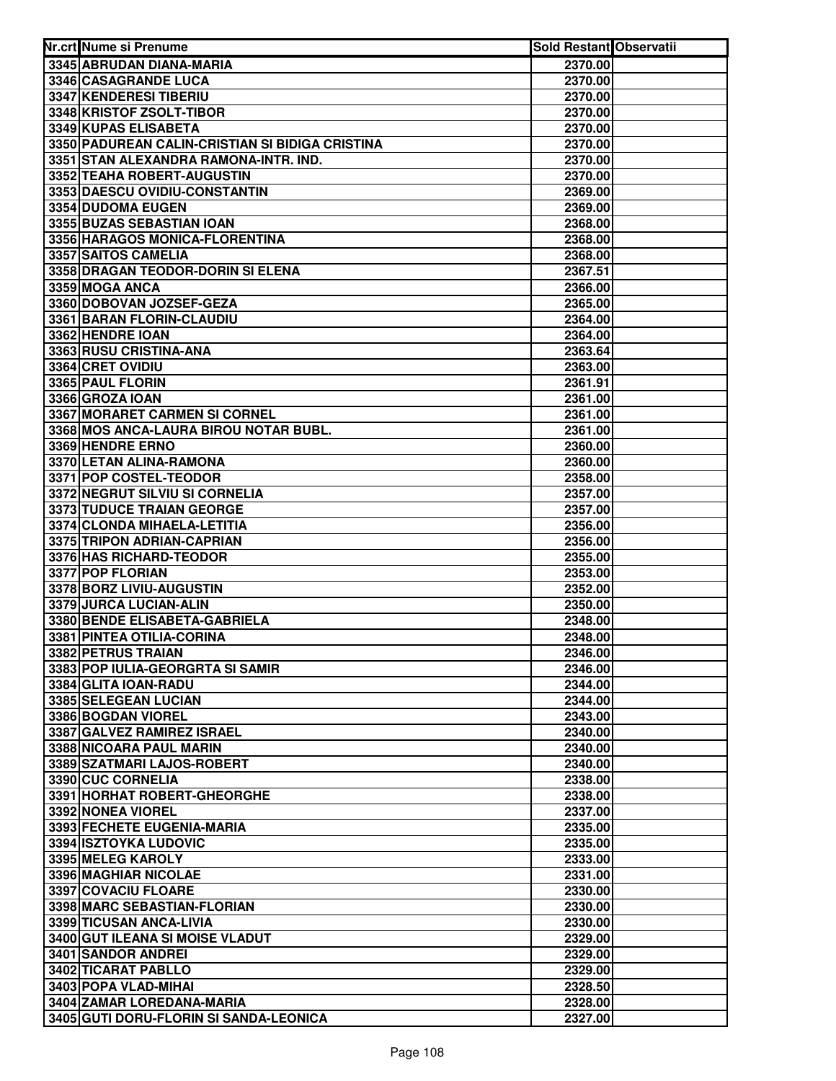| Nr.crt Nume si Prenume                          | Sold Restant Observatii |  |
|-------------------------------------------------|-------------------------|--|
| 3345 ABRUDAN DIANA-MARIA                        | 2370.00                 |  |
| 3346 CASAGRANDE LUCA                            | 2370.00                 |  |
| 3347 KENDERESI TIBERIU                          | 2370.00                 |  |
| 3348 KRISTOF ZSOLT-TIBOR                        | 2370.00                 |  |
| 3349 KUPAS ELISABETA                            | 2370.00                 |  |
| 3350 PADUREAN CALIN-CRISTIAN SI BIDIGA CRISTINA | 2370.00                 |  |
| 3351 STAN ALEXANDRA RAMONA-INTR. IND.           | 2370.00                 |  |
| 3352 TEAHA ROBERT-AUGUSTIN                      | 2370.00                 |  |
| 3353 DAESCU OVIDIU-CONSTANTIN                   | 2369.00                 |  |
| 3354 DUDOMA EUGEN                               | 2369.00                 |  |
| 3355 BUZAS SEBASTIAN IOAN                       | 2368.00                 |  |
| 3356 HARAGOS MONICA-FLORENTINA                  | 2368.00                 |  |
| 3357 SAITOS CAMELIA                             | 2368.00                 |  |
| 3358 DRAGAN TEODOR-DORIN SI ELENA               | 2367.51                 |  |
| 3359 MOGA ANCA                                  | 2366.00                 |  |
| 3360 DOBOVAN JOZSEF-GEZA                        | 2365.00                 |  |
| 3361 BARAN FLORIN-CLAUDIU                       | 2364.00                 |  |
| 3362 HENDRE IOAN                                | 2364.00                 |  |
| 3363 RUSU CRISTINA-ANA                          | 2363.64                 |  |
| 3364 CRET OVIDIU                                | 2363.00                 |  |
| 3365 PAUL FLORIN                                | 2361.91                 |  |
| 3366 GROZA IOAN                                 | 2361.00                 |  |
| 3367 MORARET CARMEN SI CORNEL                   | 2361.00                 |  |
| 3368 MOS ANCA-LAURA BIROU NOTAR BUBL.           | 2361.00                 |  |
| 3369 HENDRE ERNO                                | 2360.00                 |  |
| 3370 LETAN ALINA-RAMONA                         | 2360.00                 |  |
| 3371 POP COSTEL-TEODOR                          | 2358.00                 |  |
| 3372 NEGRUT SILVIU SI CORNELIA                  | 2357.00                 |  |
| 3373 TUDUCE TRAIAN GEORGE                       | 2357.00                 |  |
| 3374 CLONDA MIHAELA-LETITIA                     | 2356.00                 |  |
| 3375 TRIPON ADRIAN-CAPRIAN                      | 2356.00                 |  |
| 3376 HAS RICHARD-TEODOR                         | 2355.00                 |  |
| 3377 POP FLORIAN                                | 2353.00                 |  |
| 3378 BORZ LIVIU-AUGUSTIN                        | 2352.00                 |  |
| 3379 JURCA LUCIAN-ALIN                          | 2350.00                 |  |
| 3380 BENDE ELISABETA-GABRIELA                   | 2348.00                 |  |
| 3381 PINTEA OTILIA-CORINA                       | 2348.00                 |  |
| 3382 PETRUS TRAIAN                              | 2346.00                 |  |
| 3383 POP IULIA-GEORGRTA SI SAMIR                | 2346.00                 |  |
| 3384 GLITA IOAN-RADU                            | 2344.00                 |  |
| 3385 SELEGEAN LUCIAN                            | 2344.00                 |  |
| 3386 BOGDAN VIOREL                              | 2343.00                 |  |
| 3387 GALVEZ RAMIREZ ISRAEL                      | 2340.00                 |  |
| 3388 NICOARA PAUL MARIN                         | 2340.00                 |  |
| 3389 SZATMARI LAJOS-ROBERT                      | 2340.00                 |  |
| 3390 CUC CORNELIA                               | 2338.00                 |  |
| 3391 HORHAT ROBERT-GHEORGHE                     | 2338.00                 |  |
| 3392 NONEA VIOREL                               | 2337.00                 |  |
| 3393 FECHETE EUGENIA-MARIA                      | 2335.00                 |  |
| 3394 ISZTOYKA LUDOVIC                           | 2335.00                 |  |
| 3395 MELEG KAROLY                               | 2333.00                 |  |
| 3396 MAGHIAR NICOLAE<br>3397 COVACIU FLOARE     | 2331.00<br>2330.00      |  |
| 3398 MARC SEBASTIAN-FLORIAN                     | 2330.00                 |  |
| 3399 TICUSAN ANCA-LIVIA                         | 2330.00                 |  |
| 3400 GUT ILEANA SI MOISE VLADUT                 | 2329.00                 |  |
| 3401 SANDOR ANDREI                              | 2329.00                 |  |
| 3402 TICARAT PABLLO                             | 2329.00                 |  |
| 3403 POPA VLAD-MIHAI                            | 2328.50                 |  |
| 3404 ZAMAR LOREDANA-MARIA                       | 2328.00                 |  |
| 3405 GUTI DORU-FLORIN SI SANDA-LEONICA          | 2327.00                 |  |
|                                                 |                         |  |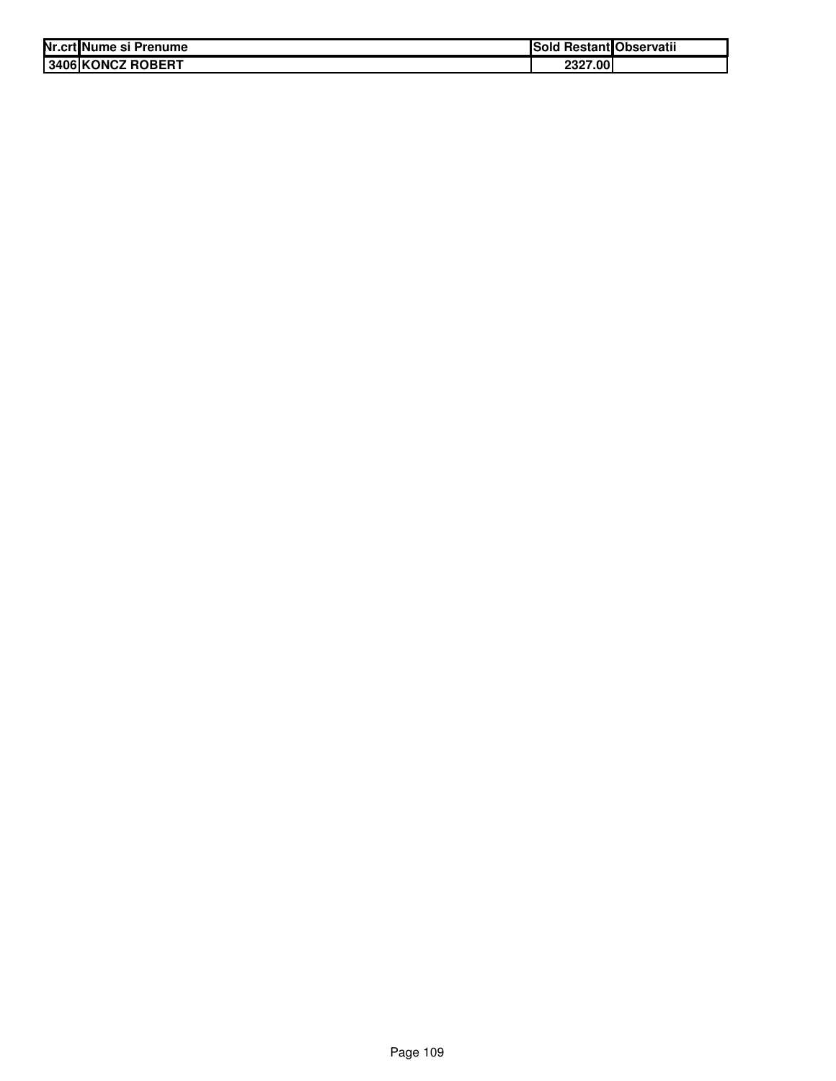| Nr.crtINume si Prenume    | Sold Restant Observatii |
|---------------------------|-------------------------|
| <b>13406 KONCZ ROBERT</b> | 2327.00                 |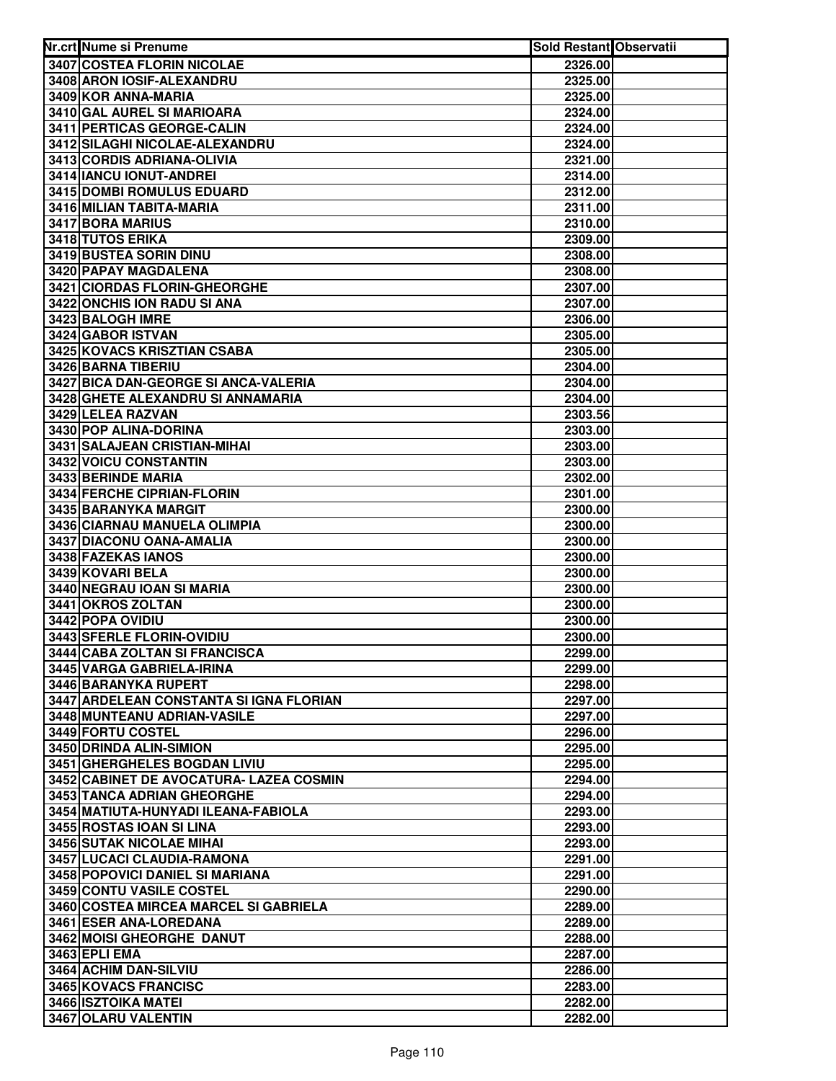| Nr.crt Nume si Prenume                  | Sold Restant Observatii |  |
|-----------------------------------------|-------------------------|--|
| <b>3407 COSTEA FLORIN NICOLAE</b>       | 2326.00                 |  |
| 3408 ARON IOSIF-ALEXANDRU               | 2325.00                 |  |
| 3409 KOR ANNA-MARIA                     | 2325.00                 |  |
| 3410 GAL AUREL SI MARIOARA              | 2324.00                 |  |
| 3411 PERTICAS GEORGE-CALIN              | 2324.00                 |  |
| 3412 SILAGHI NICOLAE-ALEXANDRU          | 2324.00                 |  |
| 3413 CORDIS ADRIANA-OLIVIA              | 2321.00                 |  |
| 3414 IANCU IONUT-ANDREI                 | 2314.00                 |  |
| 3415 DOMBI ROMULUS EDUARD               | 2312.00                 |  |
| 3416 MILIAN TABITA-MARIA                | 2311.00                 |  |
| 3417 BORA MARIUS                        | 2310.00                 |  |
| 3418 TUTOS ERIKA                        | 2309.00                 |  |
| 3419 BUSTEA SORIN DINU                  | 2308.00                 |  |
| 3420 PAPAY MAGDALENA                    | 2308.00                 |  |
| 3421 CIORDAS FLORIN-GHEORGHE            | 2307.00                 |  |
| 3422 ONCHIS ION RADU SI ANA             | 2307.00                 |  |
| 3423 BALOGH IMRE                        | 2306.00                 |  |
| 3424 GABOR ISTVAN                       | 2305.00                 |  |
| 3425 KOVACS KRISZTIAN CSABA             | 2305.00                 |  |
| 3426 BARNA TIBERIU                      | 2304.00                 |  |
| 3427 BICA DAN-GEORGE SI ANCA-VALERIA    | 2304.00                 |  |
| 3428 GHETE ALEXANDRU SI ANNAMARIA       | 2304.00                 |  |
| 3429 LELEA RAZVAN                       | 2303.56                 |  |
| 3430 POP ALINA-DORINA                   | 2303.00                 |  |
| 3431 SALAJEAN CRISTIAN-MIHAI            | 2303.00                 |  |
| 3432 VOICU CONSTANTIN                   | 2303.00                 |  |
| 3433 BERINDE MARIA                      | 2302.00                 |  |
| 3434 FERCHE CIPRIAN-FLORIN              | 2301.00                 |  |
| 3435 BARANYKA MARGIT                    | 2300.00                 |  |
| 3436 CIARNAU MANUELA OLIMPIA            | 2300.00                 |  |
| 3437 DIACONU OANA-AMALIA                | 2300.00                 |  |
| 3438 FAZEKAS IANOS                      | 2300.00                 |  |
| 3439 KOVARI BELA                        | 2300.00                 |  |
| 3440 NEGRAU IOAN SI MARIA               | 2300.00                 |  |
| 3441 OKROS ZOLTAN                       | 2300.00                 |  |
| 3442 POPA OVIDIU                        | 2300.00                 |  |
| 3443 SFERLE FLORIN-OVIDIU               | 2300.00                 |  |
| 3444 CABA ZOLTAN SI FRANCISCA           | 2299.00                 |  |
| 3445 VARGA GABRIELA-IRINA               | 2299.00                 |  |
| 3446 BARANYKA RUPERT                    | 2298.00                 |  |
| 3447 ARDELEAN CONSTANTA SI IGNA FLORIAN | 2297.00                 |  |
| 3448 MUNTEANU ADRIAN-VASILE             | 2297.00                 |  |
| 3449 FORTU COSTEL                       | 2296.00                 |  |
| 3450 DRINDA ALIN-SIMION                 | 2295.00                 |  |
| 3451 GHERGHELES BOGDAN LIVIU            | 2295.00                 |  |
| 3452 CABINET DE AVOCATURA- LAZEA COSMIN | 2294.00                 |  |
| 3453 TANCA ADRIAN GHEORGHE              | 2294.00                 |  |
| 3454 MATIUTA-HUNYADI ILEANA-FABIOLA     | 2293.00                 |  |
| 3455 ROSTAS IOAN SI LINA                | 2293.00                 |  |
| <b>3456 SUTAK NICOLAE MIHAI</b>         | 2293.00                 |  |
| 3457 LUCACI CLAUDIA-RAMONA              | 2291.00                 |  |
| 3458 POPOVICI DANIEL SI MARIANA         | 2291.00                 |  |
| 3459 CONTU VASILE COSTEL                | 2290.00                 |  |
| 3460 COSTEA MIRCEA MARCEL SI GABRIELA   | 2289.00                 |  |
| 3461 ESER ANA-LOREDANA                  | 2289.00                 |  |
| 3462 MOISI GHEORGHE DANUT               | 2288.00                 |  |
| 3463 EPLI EMA                           | 2287.00                 |  |
| 3464 ACHIM DAN-SILVIU                   | 2286.00                 |  |
| 3465 KOVACS FRANCISC                    | 2283.00                 |  |
| 3466 ISZTOIKA MATEI                     | 2282.00                 |  |
| 3467 OLARU VALENTIN                     | 2282.00                 |  |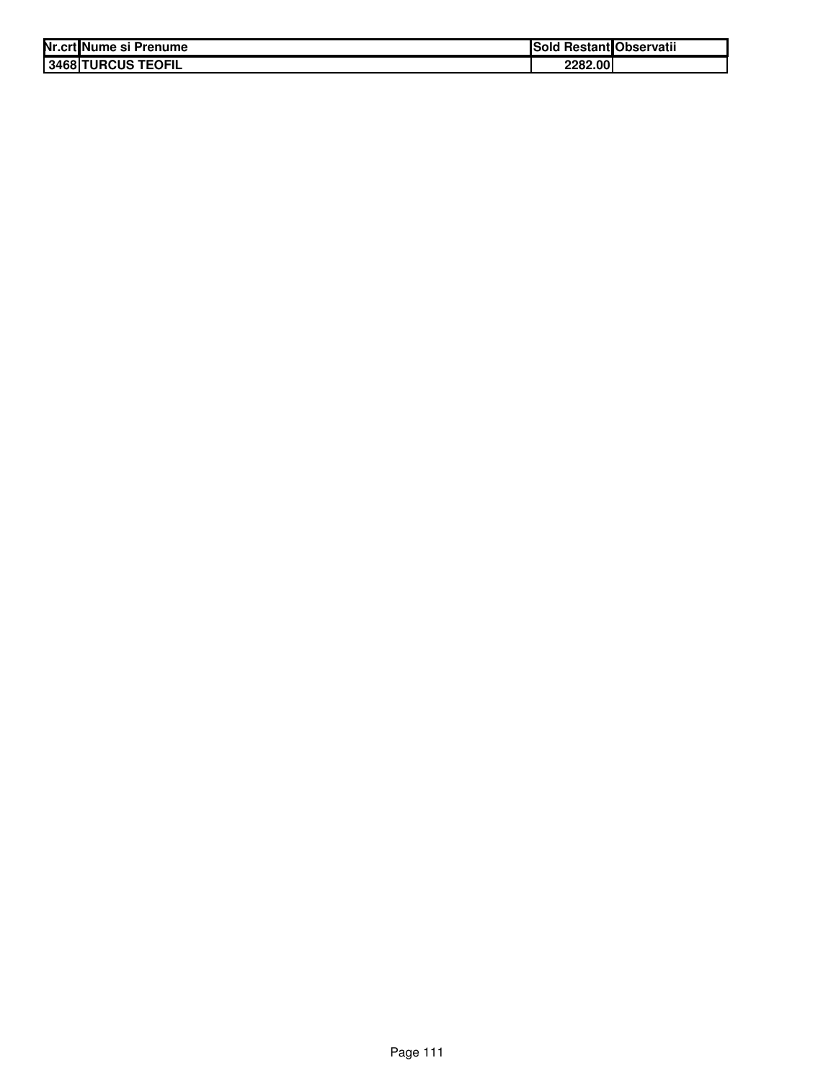| Nr.crt Nume si Prenume       | סוספו   | <b>Restant Observatii</b> |
|------------------------------|---------|---------------------------|
| <b>TURCUS TEOFIL</b><br>3468 | 2282.00 |                           |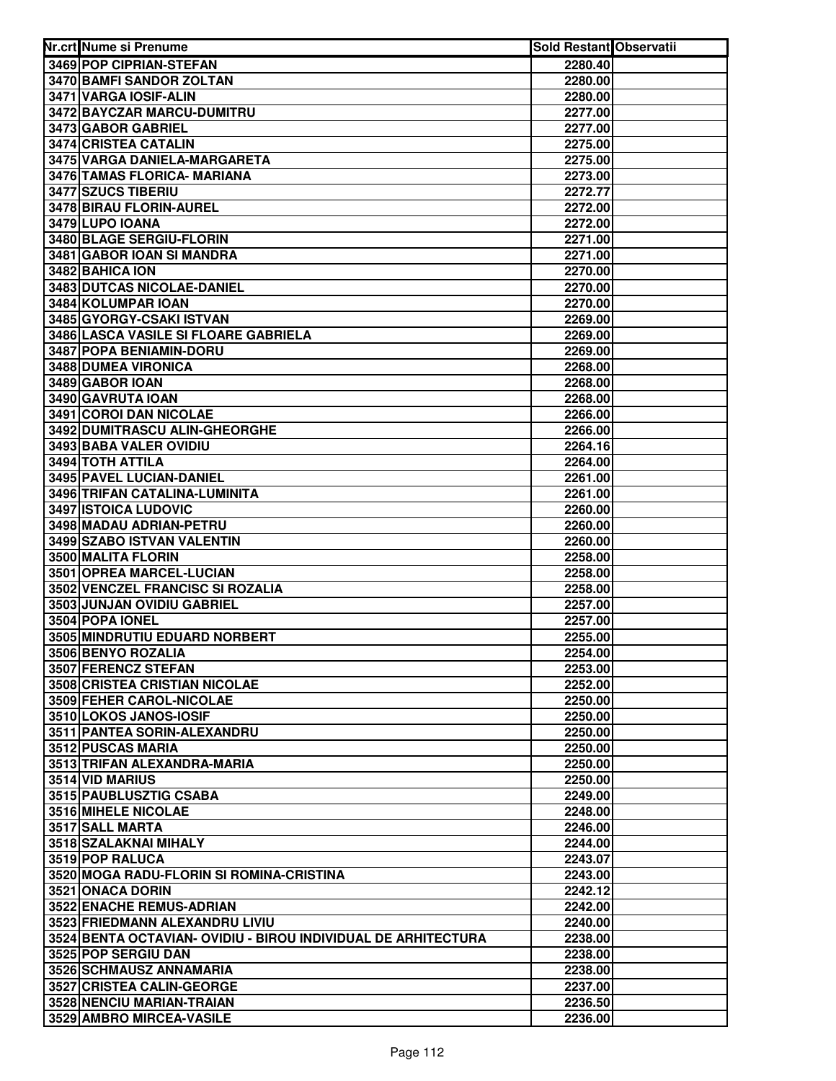| 3469 POP CIPRIAN-STEFAN<br>2280.40<br>3470 BAMFI SANDOR ZOLTAN<br>2280.00<br>3471 VARGA IOSIF-ALIN<br>2280.00<br>3472 BAYCZAR MARCU-DUMITRU<br>2277.00<br>3473 GABOR GABRIEL<br>2277.00<br>3474 CRISTEA CATALIN<br>2275.00<br>3475 VARGA DANIELA-MARGARETA<br>2275.00<br>3476 TAMAS FLORICA- MARIANA<br>2273.00<br>3477 SZUCS TIBERIU<br>2272.77<br>3478 BIRAU FLORIN-AUREL<br>2272.00<br>3479 LUPO IOANA<br>2272.00<br>3480 BLAGE SERGIU-FLORIN<br>2271.00<br>3481 GABOR IOAN SI MANDRA<br>2271.00<br>3482 BAHICA ION<br>2270.00<br>3483 DUTCAS NICOLAE-DANIEL<br>2270.00<br>3484 KOLUMPAR IOAN<br>2270.00<br>3485 GYORGY-CSAKI ISTVAN<br>2269.00<br>3486 LASCA VASILE SI FLOARE GABRIELA<br>2269.00<br>3487 POPA BENIAMIN-DORU<br>2269.00<br>3488 DUMEA VIRONICA<br>2268.00<br>3489 GABOR IOAN<br>2268.00<br>3490 GAVRUTA IOAN<br>2268.00<br>3491 COROI DAN NICOLAE<br>2266.00<br>3492 DUMITRASCU ALIN-GHEORGHE<br>2266.00<br>3493 BABA VALER OVIDIU<br>2264.16<br>3494 TOTH ATTILA<br>2264.00<br>3495 PAVEL LUCIAN-DANIEL<br>2261.00<br>3496 TRIFAN CATALINA-LUMINITA<br>2261.00<br>3497 ISTOICA LUDOVIC<br>2260.00<br>3498 MADAU ADRIAN-PETRU<br>2260.00<br>3499 SZABO ISTVAN VALENTIN<br>2260.00<br>3500 MALITA FLORIN<br>2258.00<br>3501 OPREA MARCEL-LUCIAN<br>2258.00<br>3502 VENCZEL FRANCISC SI ROZALIA<br>2258.00<br>3503 JUNJAN OVIDIU GABRIEL<br>2257.00<br>3504 POPA IONEL<br>2257.00<br>3505 MINDRUTIU EDUARD NORBERT<br>2255.00<br>3506 BENYO ROZALIA<br>2254.00<br>3507 FERENCZ STEFAN<br>2253.00<br><b>3508 CRISTEA CRISTIAN NICOLAE</b><br>2252.00<br>3509 FEHER CAROL-NICOLAE<br>2250.00<br>3510 LOKOS JANOS-IOSIF<br>2250.00<br>3511 PANTEA SORIN-ALEXANDRU<br>2250.00<br>3512 PUSCAS MARIA<br>2250.00<br>3513 TRIFAN ALEXANDRA-MARIA<br>2250.00<br>3514 VID MARIUS<br>2250.00<br>3515 PAUBLUSZTIG CSABA<br>2249.00<br>3516 MIHELE NICOLAE<br>2248.00<br>3517 SALL MARTA<br>2246.00<br>3518 SZALAKNAI MIHALY<br>2244.00<br>3519 POP RALUCA<br>2243.07<br>3520 MOGA RADU-FLORIN SI ROMINA-CRISTINA<br>2243.00<br>3521 ONACA DORIN<br>2242.12<br>3522 ENACHE REMUS-ADRIAN<br>2242.00<br>3523 FRIEDMANN ALEXANDRU LIVIU<br>2240.00<br>3524 BENTA OCTAVIAN- OVIDIU - BIROU INDIVIDUAL DE ARHITECTURA<br>2238.00<br>3525 POP SERGIU DAN<br>2238.00<br>3526 SCHMAUSZ ANNAMARIA<br>2238.00<br>3527 CRISTEA CALIN-GEORGE<br>2237.00<br>3528 NENCIU MARIAN-TRAIAN<br>2236.50<br>3529 AMBRO MIRCEA-VASILE | Nr.crt Nume si Prenume | Sold Restant Observatii |  |
|----------------------------------------------------------------------------------------------------------------------------------------------------------------------------------------------------------------------------------------------------------------------------------------------------------------------------------------------------------------------------------------------------------------------------------------------------------------------------------------------------------------------------------------------------------------------------------------------------------------------------------------------------------------------------------------------------------------------------------------------------------------------------------------------------------------------------------------------------------------------------------------------------------------------------------------------------------------------------------------------------------------------------------------------------------------------------------------------------------------------------------------------------------------------------------------------------------------------------------------------------------------------------------------------------------------------------------------------------------------------------------------------------------------------------------------------------------------------------------------------------------------------------------------------------------------------------------------------------------------------------------------------------------------------------------------------------------------------------------------------------------------------------------------------------------------------------------------------------------------------------------------------------------------------------------------------------------------------------------------------------------------------------------------------------------------------------------------------------------------------------------------------------------------------------------------------------------------------------------------------------------------------------------------------------------------------------------------------------------------------------------------------------------------------|------------------------|-------------------------|--|
|                                                                                                                                                                                                                                                                                                                                                                                                                                                                                                                                                                                                                                                                                                                                                                                                                                                                                                                                                                                                                                                                                                                                                                                                                                                                                                                                                                                                                                                                                                                                                                                                                                                                                                                                                                                                                                                                                                                                                                                                                                                                                                                                                                                                                                                                                                                                                                                                                      |                        |                         |  |
|                                                                                                                                                                                                                                                                                                                                                                                                                                                                                                                                                                                                                                                                                                                                                                                                                                                                                                                                                                                                                                                                                                                                                                                                                                                                                                                                                                                                                                                                                                                                                                                                                                                                                                                                                                                                                                                                                                                                                                                                                                                                                                                                                                                                                                                                                                                                                                                                                      |                        |                         |  |
|                                                                                                                                                                                                                                                                                                                                                                                                                                                                                                                                                                                                                                                                                                                                                                                                                                                                                                                                                                                                                                                                                                                                                                                                                                                                                                                                                                                                                                                                                                                                                                                                                                                                                                                                                                                                                                                                                                                                                                                                                                                                                                                                                                                                                                                                                                                                                                                                                      |                        |                         |  |
|                                                                                                                                                                                                                                                                                                                                                                                                                                                                                                                                                                                                                                                                                                                                                                                                                                                                                                                                                                                                                                                                                                                                                                                                                                                                                                                                                                                                                                                                                                                                                                                                                                                                                                                                                                                                                                                                                                                                                                                                                                                                                                                                                                                                                                                                                                                                                                                                                      |                        |                         |  |
|                                                                                                                                                                                                                                                                                                                                                                                                                                                                                                                                                                                                                                                                                                                                                                                                                                                                                                                                                                                                                                                                                                                                                                                                                                                                                                                                                                                                                                                                                                                                                                                                                                                                                                                                                                                                                                                                                                                                                                                                                                                                                                                                                                                                                                                                                                                                                                                                                      |                        |                         |  |
|                                                                                                                                                                                                                                                                                                                                                                                                                                                                                                                                                                                                                                                                                                                                                                                                                                                                                                                                                                                                                                                                                                                                                                                                                                                                                                                                                                                                                                                                                                                                                                                                                                                                                                                                                                                                                                                                                                                                                                                                                                                                                                                                                                                                                                                                                                                                                                                                                      |                        |                         |  |
|                                                                                                                                                                                                                                                                                                                                                                                                                                                                                                                                                                                                                                                                                                                                                                                                                                                                                                                                                                                                                                                                                                                                                                                                                                                                                                                                                                                                                                                                                                                                                                                                                                                                                                                                                                                                                                                                                                                                                                                                                                                                                                                                                                                                                                                                                                                                                                                                                      |                        |                         |  |
|                                                                                                                                                                                                                                                                                                                                                                                                                                                                                                                                                                                                                                                                                                                                                                                                                                                                                                                                                                                                                                                                                                                                                                                                                                                                                                                                                                                                                                                                                                                                                                                                                                                                                                                                                                                                                                                                                                                                                                                                                                                                                                                                                                                                                                                                                                                                                                                                                      |                        |                         |  |
|                                                                                                                                                                                                                                                                                                                                                                                                                                                                                                                                                                                                                                                                                                                                                                                                                                                                                                                                                                                                                                                                                                                                                                                                                                                                                                                                                                                                                                                                                                                                                                                                                                                                                                                                                                                                                                                                                                                                                                                                                                                                                                                                                                                                                                                                                                                                                                                                                      |                        |                         |  |
|                                                                                                                                                                                                                                                                                                                                                                                                                                                                                                                                                                                                                                                                                                                                                                                                                                                                                                                                                                                                                                                                                                                                                                                                                                                                                                                                                                                                                                                                                                                                                                                                                                                                                                                                                                                                                                                                                                                                                                                                                                                                                                                                                                                                                                                                                                                                                                                                                      |                        |                         |  |
|                                                                                                                                                                                                                                                                                                                                                                                                                                                                                                                                                                                                                                                                                                                                                                                                                                                                                                                                                                                                                                                                                                                                                                                                                                                                                                                                                                                                                                                                                                                                                                                                                                                                                                                                                                                                                                                                                                                                                                                                                                                                                                                                                                                                                                                                                                                                                                                                                      |                        |                         |  |
|                                                                                                                                                                                                                                                                                                                                                                                                                                                                                                                                                                                                                                                                                                                                                                                                                                                                                                                                                                                                                                                                                                                                                                                                                                                                                                                                                                                                                                                                                                                                                                                                                                                                                                                                                                                                                                                                                                                                                                                                                                                                                                                                                                                                                                                                                                                                                                                                                      |                        |                         |  |
|                                                                                                                                                                                                                                                                                                                                                                                                                                                                                                                                                                                                                                                                                                                                                                                                                                                                                                                                                                                                                                                                                                                                                                                                                                                                                                                                                                                                                                                                                                                                                                                                                                                                                                                                                                                                                                                                                                                                                                                                                                                                                                                                                                                                                                                                                                                                                                                                                      |                        |                         |  |
|                                                                                                                                                                                                                                                                                                                                                                                                                                                                                                                                                                                                                                                                                                                                                                                                                                                                                                                                                                                                                                                                                                                                                                                                                                                                                                                                                                                                                                                                                                                                                                                                                                                                                                                                                                                                                                                                                                                                                                                                                                                                                                                                                                                                                                                                                                                                                                                                                      |                        |                         |  |
|                                                                                                                                                                                                                                                                                                                                                                                                                                                                                                                                                                                                                                                                                                                                                                                                                                                                                                                                                                                                                                                                                                                                                                                                                                                                                                                                                                                                                                                                                                                                                                                                                                                                                                                                                                                                                                                                                                                                                                                                                                                                                                                                                                                                                                                                                                                                                                                                                      |                        |                         |  |
|                                                                                                                                                                                                                                                                                                                                                                                                                                                                                                                                                                                                                                                                                                                                                                                                                                                                                                                                                                                                                                                                                                                                                                                                                                                                                                                                                                                                                                                                                                                                                                                                                                                                                                                                                                                                                                                                                                                                                                                                                                                                                                                                                                                                                                                                                                                                                                                                                      |                        |                         |  |
|                                                                                                                                                                                                                                                                                                                                                                                                                                                                                                                                                                                                                                                                                                                                                                                                                                                                                                                                                                                                                                                                                                                                                                                                                                                                                                                                                                                                                                                                                                                                                                                                                                                                                                                                                                                                                                                                                                                                                                                                                                                                                                                                                                                                                                                                                                                                                                                                                      |                        |                         |  |
|                                                                                                                                                                                                                                                                                                                                                                                                                                                                                                                                                                                                                                                                                                                                                                                                                                                                                                                                                                                                                                                                                                                                                                                                                                                                                                                                                                                                                                                                                                                                                                                                                                                                                                                                                                                                                                                                                                                                                                                                                                                                                                                                                                                                                                                                                                                                                                                                                      |                        |                         |  |
|                                                                                                                                                                                                                                                                                                                                                                                                                                                                                                                                                                                                                                                                                                                                                                                                                                                                                                                                                                                                                                                                                                                                                                                                                                                                                                                                                                                                                                                                                                                                                                                                                                                                                                                                                                                                                                                                                                                                                                                                                                                                                                                                                                                                                                                                                                                                                                                                                      |                        |                         |  |
|                                                                                                                                                                                                                                                                                                                                                                                                                                                                                                                                                                                                                                                                                                                                                                                                                                                                                                                                                                                                                                                                                                                                                                                                                                                                                                                                                                                                                                                                                                                                                                                                                                                                                                                                                                                                                                                                                                                                                                                                                                                                                                                                                                                                                                                                                                                                                                                                                      |                        |                         |  |
|                                                                                                                                                                                                                                                                                                                                                                                                                                                                                                                                                                                                                                                                                                                                                                                                                                                                                                                                                                                                                                                                                                                                                                                                                                                                                                                                                                                                                                                                                                                                                                                                                                                                                                                                                                                                                                                                                                                                                                                                                                                                                                                                                                                                                                                                                                                                                                                                                      |                        |                         |  |
|                                                                                                                                                                                                                                                                                                                                                                                                                                                                                                                                                                                                                                                                                                                                                                                                                                                                                                                                                                                                                                                                                                                                                                                                                                                                                                                                                                                                                                                                                                                                                                                                                                                                                                                                                                                                                                                                                                                                                                                                                                                                                                                                                                                                                                                                                                                                                                                                                      |                        |                         |  |
|                                                                                                                                                                                                                                                                                                                                                                                                                                                                                                                                                                                                                                                                                                                                                                                                                                                                                                                                                                                                                                                                                                                                                                                                                                                                                                                                                                                                                                                                                                                                                                                                                                                                                                                                                                                                                                                                                                                                                                                                                                                                                                                                                                                                                                                                                                                                                                                                                      |                        |                         |  |
|                                                                                                                                                                                                                                                                                                                                                                                                                                                                                                                                                                                                                                                                                                                                                                                                                                                                                                                                                                                                                                                                                                                                                                                                                                                                                                                                                                                                                                                                                                                                                                                                                                                                                                                                                                                                                                                                                                                                                                                                                                                                                                                                                                                                                                                                                                                                                                                                                      |                        |                         |  |
|                                                                                                                                                                                                                                                                                                                                                                                                                                                                                                                                                                                                                                                                                                                                                                                                                                                                                                                                                                                                                                                                                                                                                                                                                                                                                                                                                                                                                                                                                                                                                                                                                                                                                                                                                                                                                                                                                                                                                                                                                                                                                                                                                                                                                                                                                                                                                                                                                      |                        |                         |  |
|                                                                                                                                                                                                                                                                                                                                                                                                                                                                                                                                                                                                                                                                                                                                                                                                                                                                                                                                                                                                                                                                                                                                                                                                                                                                                                                                                                                                                                                                                                                                                                                                                                                                                                                                                                                                                                                                                                                                                                                                                                                                                                                                                                                                                                                                                                                                                                                                                      |                        |                         |  |
|                                                                                                                                                                                                                                                                                                                                                                                                                                                                                                                                                                                                                                                                                                                                                                                                                                                                                                                                                                                                                                                                                                                                                                                                                                                                                                                                                                                                                                                                                                                                                                                                                                                                                                                                                                                                                                                                                                                                                                                                                                                                                                                                                                                                                                                                                                                                                                                                                      |                        |                         |  |
|                                                                                                                                                                                                                                                                                                                                                                                                                                                                                                                                                                                                                                                                                                                                                                                                                                                                                                                                                                                                                                                                                                                                                                                                                                                                                                                                                                                                                                                                                                                                                                                                                                                                                                                                                                                                                                                                                                                                                                                                                                                                                                                                                                                                                                                                                                                                                                                                                      |                        |                         |  |
|                                                                                                                                                                                                                                                                                                                                                                                                                                                                                                                                                                                                                                                                                                                                                                                                                                                                                                                                                                                                                                                                                                                                                                                                                                                                                                                                                                                                                                                                                                                                                                                                                                                                                                                                                                                                                                                                                                                                                                                                                                                                                                                                                                                                                                                                                                                                                                                                                      |                        |                         |  |
|                                                                                                                                                                                                                                                                                                                                                                                                                                                                                                                                                                                                                                                                                                                                                                                                                                                                                                                                                                                                                                                                                                                                                                                                                                                                                                                                                                                                                                                                                                                                                                                                                                                                                                                                                                                                                                                                                                                                                                                                                                                                                                                                                                                                                                                                                                                                                                                                                      |                        |                         |  |
|                                                                                                                                                                                                                                                                                                                                                                                                                                                                                                                                                                                                                                                                                                                                                                                                                                                                                                                                                                                                                                                                                                                                                                                                                                                                                                                                                                                                                                                                                                                                                                                                                                                                                                                                                                                                                                                                                                                                                                                                                                                                                                                                                                                                                                                                                                                                                                                                                      |                        |                         |  |
|                                                                                                                                                                                                                                                                                                                                                                                                                                                                                                                                                                                                                                                                                                                                                                                                                                                                                                                                                                                                                                                                                                                                                                                                                                                                                                                                                                                                                                                                                                                                                                                                                                                                                                                                                                                                                                                                                                                                                                                                                                                                                                                                                                                                                                                                                                                                                                                                                      |                        |                         |  |
|                                                                                                                                                                                                                                                                                                                                                                                                                                                                                                                                                                                                                                                                                                                                                                                                                                                                                                                                                                                                                                                                                                                                                                                                                                                                                                                                                                                                                                                                                                                                                                                                                                                                                                                                                                                                                                                                                                                                                                                                                                                                                                                                                                                                                                                                                                                                                                                                                      |                        |                         |  |
|                                                                                                                                                                                                                                                                                                                                                                                                                                                                                                                                                                                                                                                                                                                                                                                                                                                                                                                                                                                                                                                                                                                                                                                                                                                                                                                                                                                                                                                                                                                                                                                                                                                                                                                                                                                                                                                                                                                                                                                                                                                                                                                                                                                                                                                                                                                                                                                                                      |                        |                         |  |
|                                                                                                                                                                                                                                                                                                                                                                                                                                                                                                                                                                                                                                                                                                                                                                                                                                                                                                                                                                                                                                                                                                                                                                                                                                                                                                                                                                                                                                                                                                                                                                                                                                                                                                                                                                                                                                                                                                                                                                                                                                                                                                                                                                                                                                                                                                                                                                                                                      |                        |                         |  |
|                                                                                                                                                                                                                                                                                                                                                                                                                                                                                                                                                                                                                                                                                                                                                                                                                                                                                                                                                                                                                                                                                                                                                                                                                                                                                                                                                                                                                                                                                                                                                                                                                                                                                                                                                                                                                                                                                                                                                                                                                                                                                                                                                                                                                                                                                                                                                                                                                      |                        |                         |  |
|                                                                                                                                                                                                                                                                                                                                                                                                                                                                                                                                                                                                                                                                                                                                                                                                                                                                                                                                                                                                                                                                                                                                                                                                                                                                                                                                                                                                                                                                                                                                                                                                                                                                                                                                                                                                                                                                                                                                                                                                                                                                                                                                                                                                                                                                                                                                                                                                                      |                        |                         |  |
|                                                                                                                                                                                                                                                                                                                                                                                                                                                                                                                                                                                                                                                                                                                                                                                                                                                                                                                                                                                                                                                                                                                                                                                                                                                                                                                                                                                                                                                                                                                                                                                                                                                                                                                                                                                                                                                                                                                                                                                                                                                                                                                                                                                                                                                                                                                                                                                                                      |                        |                         |  |
|                                                                                                                                                                                                                                                                                                                                                                                                                                                                                                                                                                                                                                                                                                                                                                                                                                                                                                                                                                                                                                                                                                                                                                                                                                                                                                                                                                                                                                                                                                                                                                                                                                                                                                                                                                                                                                                                                                                                                                                                                                                                                                                                                                                                                                                                                                                                                                                                                      |                        |                         |  |
|                                                                                                                                                                                                                                                                                                                                                                                                                                                                                                                                                                                                                                                                                                                                                                                                                                                                                                                                                                                                                                                                                                                                                                                                                                                                                                                                                                                                                                                                                                                                                                                                                                                                                                                                                                                                                                                                                                                                                                                                                                                                                                                                                                                                                                                                                                                                                                                                                      |                        |                         |  |
|                                                                                                                                                                                                                                                                                                                                                                                                                                                                                                                                                                                                                                                                                                                                                                                                                                                                                                                                                                                                                                                                                                                                                                                                                                                                                                                                                                                                                                                                                                                                                                                                                                                                                                                                                                                                                                                                                                                                                                                                                                                                                                                                                                                                                                                                                                                                                                                                                      |                        |                         |  |
|                                                                                                                                                                                                                                                                                                                                                                                                                                                                                                                                                                                                                                                                                                                                                                                                                                                                                                                                                                                                                                                                                                                                                                                                                                                                                                                                                                                                                                                                                                                                                                                                                                                                                                                                                                                                                                                                                                                                                                                                                                                                                                                                                                                                                                                                                                                                                                                                                      |                        |                         |  |
|                                                                                                                                                                                                                                                                                                                                                                                                                                                                                                                                                                                                                                                                                                                                                                                                                                                                                                                                                                                                                                                                                                                                                                                                                                                                                                                                                                                                                                                                                                                                                                                                                                                                                                                                                                                                                                                                                                                                                                                                                                                                                                                                                                                                                                                                                                                                                                                                                      |                        |                         |  |
|                                                                                                                                                                                                                                                                                                                                                                                                                                                                                                                                                                                                                                                                                                                                                                                                                                                                                                                                                                                                                                                                                                                                                                                                                                                                                                                                                                                                                                                                                                                                                                                                                                                                                                                                                                                                                                                                                                                                                                                                                                                                                                                                                                                                                                                                                                                                                                                                                      |                        |                         |  |
|                                                                                                                                                                                                                                                                                                                                                                                                                                                                                                                                                                                                                                                                                                                                                                                                                                                                                                                                                                                                                                                                                                                                                                                                                                                                                                                                                                                                                                                                                                                                                                                                                                                                                                                                                                                                                                                                                                                                                                                                                                                                                                                                                                                                                                                                                                                                                                                                                      |                        |                         |  |
|                                                                                                                                                                                                                                                                                                                                                                                                                                                                                                                                                                                                                                                                                                                                                                                                                                                                                                                                                                                                                                                                                                                                                                                                                                                                                                                                                                                                                                                                                                                                                                                                                                                                                                                                                                                                                                                                                                                                                                                                                                                                                                                                                                                                                                                                                                                                                                                                                      |                        |                         |  |
|                                                                                                                                                                                                                                                                                                                                                                                                                                                                                                                                                                                                                                                                                                                                                                                                                                                                                                                                                                                                                                                                                                                                                                                                                                                                                                                                                                                                                                                                                                                                                                                                                                                                                                                                                                                                                                                                                                                                                                                                                                                                                                                                                                                                                                                                                                                                                                                                                      |                        |                         |  |
|                                                                                                                                                                                                                                                                                                                                                                                                                                                                                                                                                                                                                                                                                                                                                                                                                                                                                                                                                                                                                                                                                                                                                                                                                                                                                                                                                                                                                                                                                                                                                                                                                                                                                                                                                                                                                                                                                                                                                                                                                                                                                                                                                                                                                                                                                                                                                                                                                      |                        |                         |  |
|                                                                                                                                                                                                                                                                                                                                                                                                                                                                                                                                                                                                                                                                                                                                                                                                                                                                                                                                                                                                                                                                                                                                                                                                                                                                                                                                                                                                                                                                                                                                                                                                                                                                                                                                                                                                                                                                                                                                                                                                                                                                                                                                                                                                                                                                                                                                                                                                                      |                        |                         |  |
|                                                                                                                                                                                                                                                                                                                                                                                                                                                                                                                                                                                                                                                                                                                                                                                                                                                                                                                                                                                                                                                                                                                                                                                                                                                                                                                                                                                                                                                                                                                                                                                                                                                                                                                                                                                                                                                                                                                                                                                                                                                                                                                                                                                                                                                                                                                                                                                                                      |                        |                         |  |
|                                                                                                                                                                                                                                                                                                                                                                                                                                                                                                                                                                                                                                                                                                                                                                                                                                                                                                                                                                                                                                                                                                                                                                                                                                                                                                                                                                                                                                                                                                                                                                                                                                                                                                                                                                                                                                                                                                                                                                                                                                                                                                                                                                                                                                                                                                                                                                                                                      |                        |                         |  |
|                                                                                                                                                                                                                                                                                                                                                                                                                                                                                                                                                                                                                                                                                                                                                                                                                                                                                                                                                                                                                                                                                                                                                                                                                                                                                                                                                                                                                                                                                                                                                                                                                                                                                                                                                                                                                                                                                                                                                                                                                                                                                                                                                                                                                                                                                                                                                                                                                      |                        |                         |  |
|                                                                                                                                                                                                                                                                                                                                                                                                                                                                                                                                                                                                                                                                                                                                                                                                                                                                                                                                                                                                                                                                                                                                                                                                                                                                                                                                                                                                                                                                                                                                                                                                                                                                                                                                                                                                                                                                                                                                                                                                                                                                                                                                                                                                                                                                                                                                                                                                                      |                        |                         |  |
|                                                                                                                                                                                                                                                                                                                                                                                                                                                                                                                                                                                                                                                                                                                                                                                                                                                                                                                                                                                                                                                                                                                                                                                                                                                                                                                                                                                                                                                                                                                                                                                                                                                                                                                                                                                                                                                                                                                                                                                                                                                                                                                                                                                                                                                                                                                                                                                                                      |                        |                         |  |
|                                                                                                                                                                                                                                                                                                                                                                                                                                                                                                                                                                                                                                                                                                                                                                                                                                                                                                                                                                                                                                                                                                                                                                                                                                                                                                                                                                                                                                                                                                                                                                                                                                                                                                                                                                                                                                                                                                                                                                                                                                                                                                                                                                                                                                                                                                                                                                                                                      |                        |                         |  |
|                                                                                                                                                                                                                                                                                                                                                                                                                                                                                                                                                                                                                                                                                                                                                                                                                                                                                                                                                                                                                                                                                                                                                                                                                                                                                                                                                                                                                                                                                                                                                                                                                                                                                                                                                                                                                                                                                                                                                                                                                                                                                                                                                                                                                                                                                                                                                                                                                      |                        |                         |  |
|                                                                                                                                                                                                                                                                                                                                                                                                                                                                                                                                                                                                                                                                                                                                                                                                                                                                                                                                                                                                                                                                                                                                                                                                                                                                                                                                                                                                                                                                                                                                                                                                                                                                                                                                                                                                                                                                                                                                                                                                                                                                                                                                                                                                                                                                                                                                                                                                                      |                        |                         |  |
|                                                                                                                                                                                                                                                                                                                                                                                                                                                                                                                                                                                                                                                                                                                                                                                                                                                                                                                                                                                                                                                                                                                                                                                                                                                                                                                                                                                                                                                                                                                                                                                                                                                                                                                                                                                                                                                                                                                                                                                                                                                                                                                                                                                                                                                                                                                                                                                                                      |                        |                         |  |
|                                                                                                                                                                                                                                                                                                                                                                                                                                                                                                                                                                                                                                                                                                                                                                                                                                                                                                                                                                                                                                                                                                                                                                                                                                                                                                                                                                                                                                                                                                                                                                                                                                                                                                                                                                                                                                                                                                                                                                                                                                                                                                                                                                                                                                                                                                                                                                                                                      |                        |                         |  |
|                                                                                                                                                                                                                                                                                                                                                                                                                                                                                                                                                                                                                                                                                                                                                                                                                                                                                                                                                                                                                                                                                                                                                                                                                                                                                                                                                                                                                                                                                                                                                                                                                                                                                                                                                                                                                                                                                                                                                                                                                                                                                                                                                                                                                                                                                                                                                                                                                      |                        | 2236.00                 |  |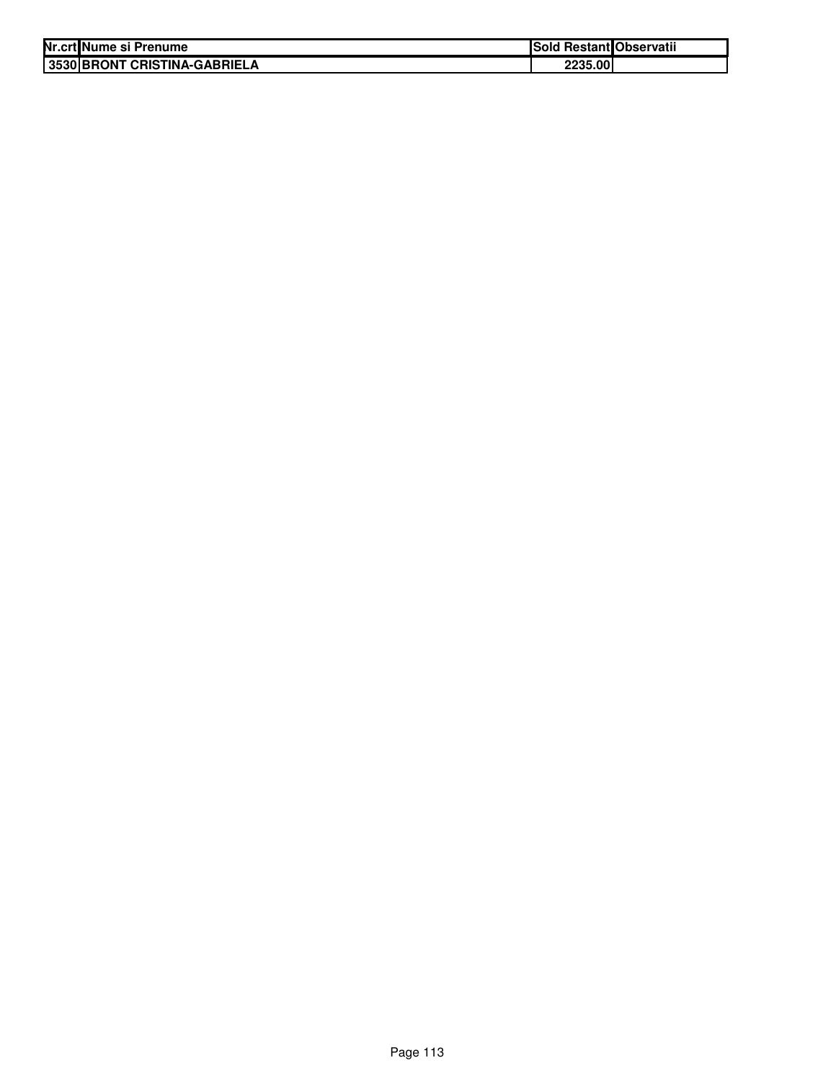| Nr.crt Nume si Prenume       | Sold Restant Observatii |  |
|------------------------------|-------------------------|--|
| 3530 BRONT CRISTINA-GABRIELA | 2235.00                 |  |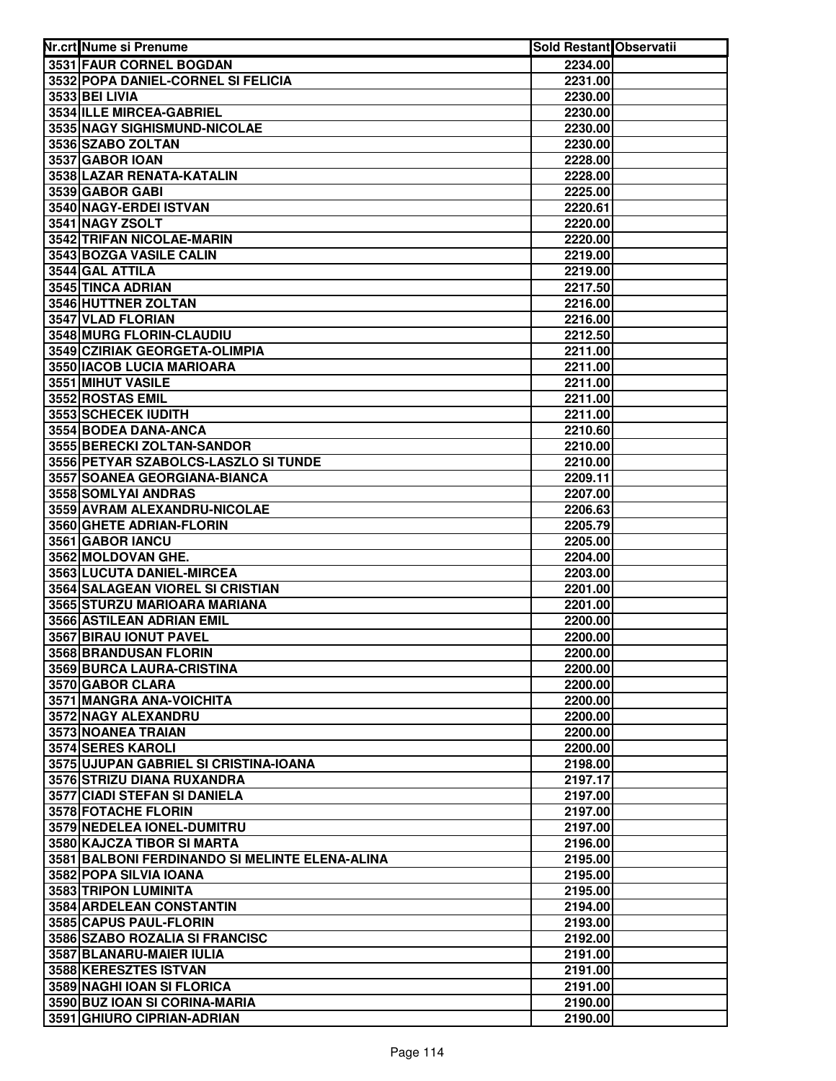| Nr.crt Nume si Prenume                                     | <b>Sold Restant Observatii</b> |  |
|------------------------------------------------------------|--------------------------------|--|
| 3531 FAUR CORNEL BOGDAN                                    | 2234.00                        |  |
| 3532 POPA DANIEL-CORNEL SI FELICIA                         | 2231.00                        |  |
| 3533 BEI LIVIA                                             | 2230.00                        |  |
| 3534 ILLE MIRCEA-GABRIEL                                   | 2230.00                        |  |
| 3535 NAGY SIGHISMUND-NICOLAE                               | 2230.00                        |  |
| 3536 SZABO ZOLTAN                                          | 2230.00                        |  |
| 3537 GABOR IOAN                                            | 2228.00                        |  |
| 3538 LAZAR RENATA-KATALIN                                  | 2228.00                        |  |
| 3539 GABOR GABI                                            | 2225.00                        |  |
| 3540 NAGY-ERDEI ISTVAN                                     | 2220.61                        |  |
| 3541 NAGY ZSOLT                                            | 2220.00                        |  |
| 3542 TRIFAN NICOLAE-MARIN                                  | 2220.00                        |  |
| 3543 BOZGA VASILE CALIN                                    | 2219.00                        |  |
| 3544 GAL ATTILA                                            | 2219.00                        |  |
| 3545 TINCA ADRIAN                                          | 2217.50                        |  |
| 3546 HUTTNER ZOLTAN                                        | 2216.00                        |  |
| 3547 VLAD FLORIAN                                          | 2216.00                        |  |
| 3548 MURG FLORIN-CLAUDIU                                   | 2212.50                        |  |
| 3549 CZIRIAK GEORGETA-OLIMPIA                              | 2211.00                        |  |
| 3550 IACOB LUCIA MARIOARA                                  | 2211.00                        |  |
| 3551 MIHUT VASILE                                          | 2211.00                        |  |
| 3552 ROSTAS EMIL                                           | 2211.00                        |  |
| 3553 SCHECEK IUDITH<br>3554 BODEA DANA-ANCA                | 2211.00                        |  |
| 3555 BERECKI ZOLTAN-SANDOR                                 | 2210.60                        |  |
| 3556 PETYAR SZABOLCS-LASZLO SI TUNDE                       | 2210.00<br>2210.00             |  |
| 3557 SOANEA GEORGIANA-BIANCA                               | 2209.11                        |  |
| 3558 SOMLYAI ANDRAS                                        | 2207.00                        |  |
| 3559 AVRAM ALEXANDRU-NICOLAE                               | 2206.63                        |  |
| 3560 GHETE ADRIAN-FLORIN                                   | 2205.79                        |  |
| 3561 GABOR IANCU                                           | 2205.00                        |  |
| 3562 MOLDOVAN GHE.                                         | 2204.00                        |  |
| 3563 LUCUTA DANIEL-MIRCEA                                  | 2203.00                        |  |
| 3564 SALAGEAN VIOREL SI CRISTIAN                           | 2201.00                        |  |
| 3565 STURZU MARIOARA MARIANA                               | 2201.00                        |  |
| 3566 ASTILEAN ADRIAN EMIL                                  | 2200.00                        |  |
| 3567 BIRAU IONUT PAVEL                                     | 2200.00                        |  |
| <b>3568 BRANDUSAN FLORIN</b>                               | 2200.00                        |  |
| 3569 BURCA LAURA-CRISTINA                                  | 2200.00                        |  |
| 3570 GABOR CLARA                                           | 2200.00                        |  |
| 3571 MANGRA ANA-VOICHITA                                   | 2200.00                        |  |
| 3572 NAGY ALEXANDRU                                        | 2200.00                        |  |
| 3573 NOANEA TRAIAN                                         | 2200.00                        |  |
| 3574 SERES KAROLI                                          | 2200.00                        |  |
| 3575 UJUPAN GABRIEL SI CRISTINA-IOANA                      | 2198.00                        |  |
| 3576 STRIZU DIANA RUXANDRA<br>3577 CIADI STEFAN SI DANIELA | 2197.17                        |  |
| 3578 FOTACHE FLORIN                                        | 2197.00                        |  |
| 3579 NEDELEA IONEL-DUMITRU                                 | 2197.00<br>2197.00             |  |
| 3580 KAJCZA TIBOR SI MARTA                                 | 2196.00                        |  |
| 3581 BALBONI FERDINANDO SI MELINTE ELENA-ALINA             | 2195.00                        |  |
| 3582 POPA SILVIA IOANA                                     | 2195.00                        |  |
| 3583 TRIPON LUMINITA                                       | 2195.00                        |  |
| 3584 ARDELEAN CONSTANTIN                                   | 2194.00                        |  |
| 3585 CAPUS PAUL-FLORIN                                     | 2193.00                        |  |
| 3586 SZABO ROZALIA SI FRANCISC                             | 2192.00                        |  |
| 3587 BLANARU-MAIER IULIA                                   | 2191.00                        |  |
| 3588 KERESZTES ISTVAN                                      | 2191.00                        |  |
| 3589 NAGHI IOAN SI FLORICA                                 | 2191.00                        |  |
| 3590 BUZ IOAN SI CORINA-MARIA                              | 2190.00                        |  |
| 3591 GHIURO CIPRIAN-ADRIAN                                 | 2190.00                        |  |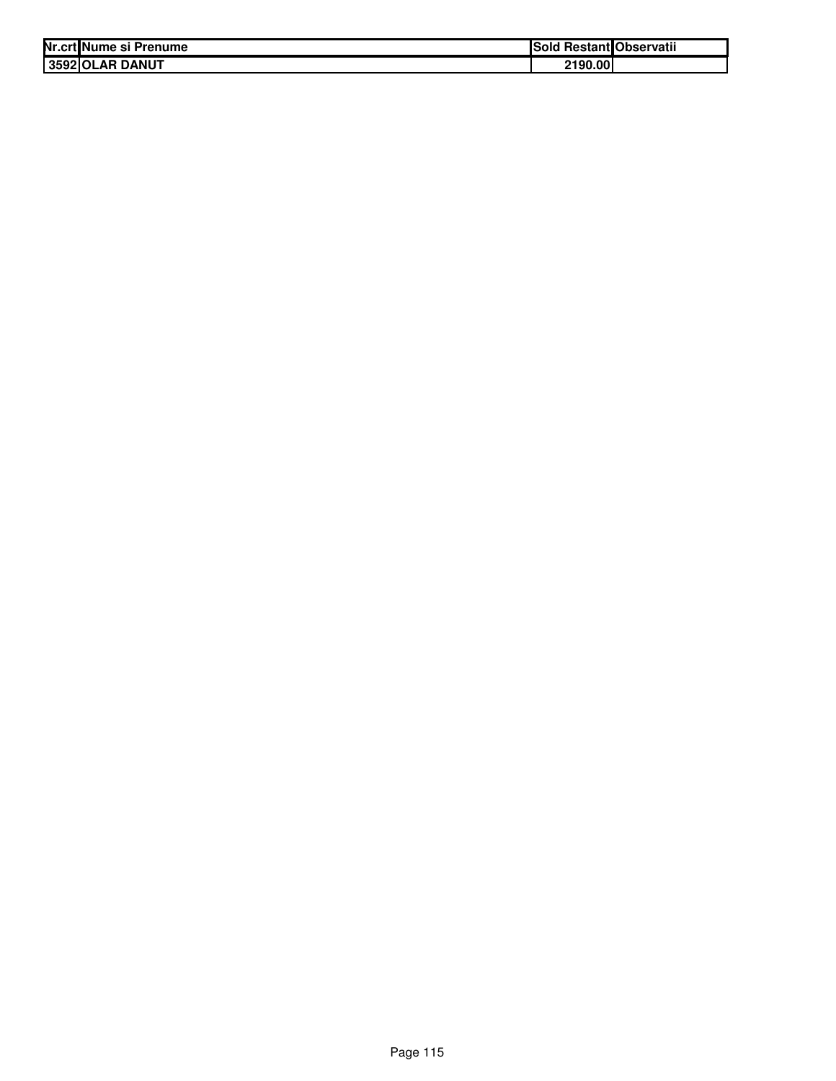| Nr.crt Nume si Prenume | ISold   | l Restant Observatii |
|------------------------|---------|----------------------|
| 3592 OLAR DANUT        | 2190.00 |                      |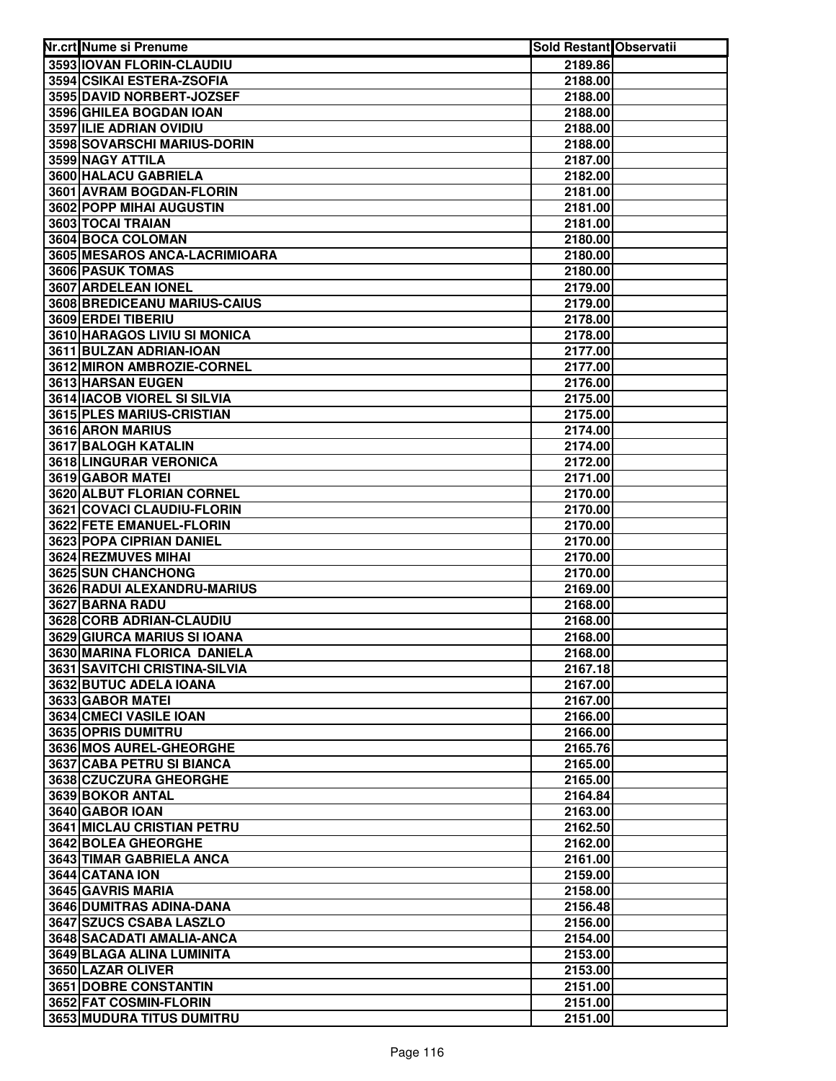| Nr.crt Nume si Prenume                         | Sold Restant Observatii |  |
|------------------------------------------------|-------------------------|--|
| 3593 IOVAN FLORIN-CLAUDIU                      | 2189.86                 |  |
| 3594 CSIKAI ESTERA-ZSOFIA                      | 2188.00                 |  |
| 3595 DAVID NORBERT-JOZSEF                      | 2188.00                 |  |
| 3596 GHILEA BOGDAN IOAN                        | 2188.00                 |  |
| 3597 ILIE ADRIAN OVIDIU                        | 2188.00                 |  |
| 3598 SOVARSCHI MARIUS-DORIN                    | 2188.00                 |  |
| 3599 NAGY ATTILA                               | 2187.00                 |  |
| 3600 HALACU GABRIELA                           | 2182.00                 |  |
| 3601 AVRAM BOGDAN-FLORIN                       | 2181.00                 |  |
| 3602 POPP MIHAI AUGUSTIN                       | 2181.00                 |  |
| 3603 TOCAI TRAIAN                              | 2181.00                 |  |
| 3604 BOCA COLOMAN                              | 2180.00                 |  |
| 3605 MESAROS ANCA-LACRIMIOARA                  | 2180.00                 |  |
| <b>3606 PASUK TOMAS</b>                        | 2180.00                 |  |
| 3607 ARDELEAN IONEL                            | 2179.00                 |  |
| 3608 BREDICEANU MARIUS-CAIUS                   | 2179.00                 |  |
| 3609 ERDEI TIBERIU                             | 2178.00                 |  |
| 3610 HARAGOS LIVIU SI MONICA                   | 2178.00                 |  |
| 3611 BULZAN ADRIAN-IOAN                        | 2177.00                 |  |
| 3612 MIRON AMBROZIE-CORNEL                     | 2177.00                 |  |
| 3613 HARSAN EUGEN                              | 2176.00                 |  |
| 3614 IACOB VIOREL SI SILVIA                    | 2175.00                 |  |
| 3615 PLES MARIUS-CRISTIAN                      | 2175.00                 |  |
| 3616 ARON MARIUS                               | 2174.00                 |  |
| 3617 BALOGH KATALIN                            | 2174.00                 |  |
| 3618 LINGURAR VERONICA                         | 2172.00                 |  |
| 3619 GABOR MATEI                               | 2171.00                 |  |
| 3620 ALBUT FLORIAN CORNEL                      | 2170.00                 |  |
| 3621 COVACI CLAUDIU-FLORIN                     | 2170.00                 |  |
| 3622 FETE EMANUEL-FLORIN                       | 2170.00                 |  |
| 3623 POPA CIPRIAN DANIEL                       | 2170.00                 |  |
| 3624 REZMUVES MIHAI                            | 2170.00                 |  |
| 3625 SUN CHANCHONG                             | 2170.00                 |  |
| 3626 RADUI ALEXANDRU-MARIUS                    | 2169.00                 |  |
| 3627 BARNA RADU                                | 2168.00                 |  |
| 3628 CORB ADRIAN-CLAUDIU                       | 2168.00                 |  |
| 3629 GIURCA MARIUS SI IOANA                    | 2168.00                 |  |
| 3630 MARINA FLORICA DANIELA                    | 2168.00                 |  |
| 3631 SAVITCHI CRISTINA-SILVIA                  | 2167.18                 |  |
| 3632 BUTUC ADELA IOANA                         | 2167.00                 |  |
| 3633 GABOR MATEI                               | 2167.00                 |  |
| 3634 CMECI VASILE IOAN                         | 2166.00                 |  |
| 3635 OPRIS DUMITRU                             | 2166.00                 |  |
| 3636 MOS AUREL-GHEORGHE                        | 2165.76                 |  |
| <b>3637 CABA PETRU SI BIANCA</b>               | 2165.00                 |  |
| 3638 CZUCZURA GHEORGHE                         | 2165.00                 |  |
| 3639 BOKOR ANTAL                               | 2164.84                 |  |
| 3640 GABOR IOAN                                | 2163.00                 |  |
| <b>3641 MICLAU CRISTIAN PETRU</b>              | 2162.50                 |  |
| <b>3642 BOLEA GHEORGHE</b>                     | 2162.00                 |  |
| 3643 TIMAR GABRIELA ANCA                       | 2161.00                 |  |
| 3644 CATANA ION                                | 2159.00                 |  |
| 3645 GAVRIS MARIA                              | 2158.00                 |  |
| 3646 DUMITRAS ADINA-DANA                       | 2156.48                 |  |
| 3647 SZUCS CSABA LASZLO                        | 2156.00                 |  |
| 3648 SACADATI AMALIA-ANCA                      | 2154.00                 |  |
| 3649 BLAGA ALINA LUMINITA<br>3650 LAZAR OLIVER | 2153.00                 |  |
| 3651 DOBRE CONSTANTIN                          | 2153.00<br>2151.00      |  |
| 3652 FAT COSMIN-FLORIN                         | 2151.00                 |  |
| 3653 MUDURA TITUS DUMITRU                      | 2151.00                 |  |
|                                                |                         |  |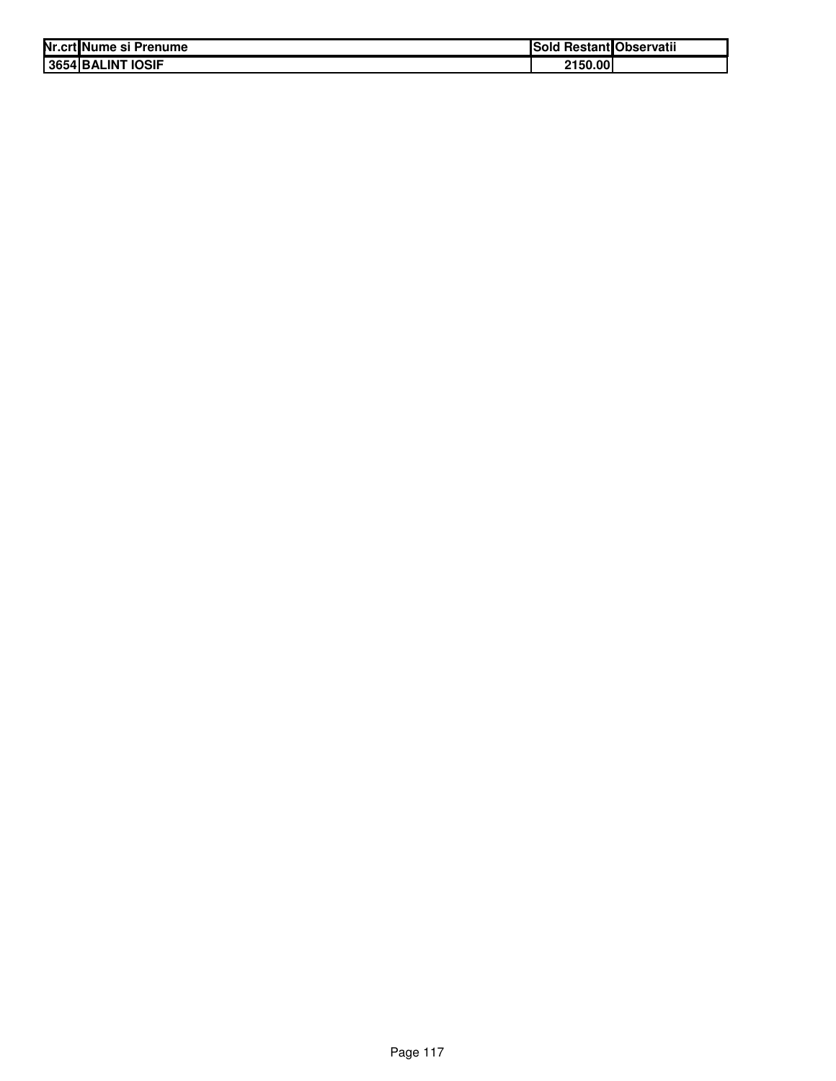|                   | Nr.crt Nume si Prenume | <b>Sold Restant Observatii</b> |  |
|-------------------|------------------------|--------------------------------|--|
| 3654 BALINT IOSIF |                        | 2150.00                        |  |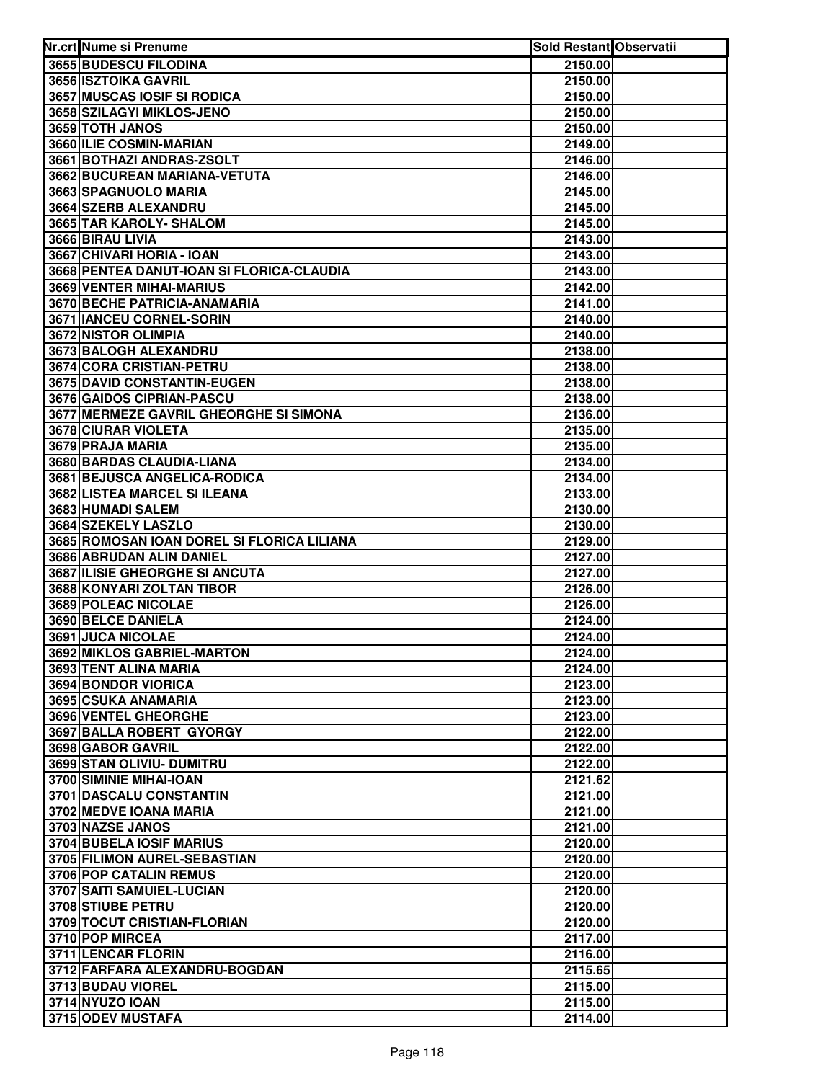| Nr.crt Nume si Prenume                         | Sold Restant Observatii |  |
|------------------------------------------------|-------------------------|--|
| 3655 BUDESCU FILODINA                          | 2150.00                 |  |
| 3656 ISZTOIKA GAVRIL                           | 2150.00                 |  |
| 3657 MUSCAS IOSIF SI RODICA                    | 2150.00                 |  |
| 3658 SZILAGYI MIKLOS-JENO                      | 2150.00                 |  |
| 3659 TOTH JANOS                                | 2150.00                 |  |
| 3660 ILIE COSMIN-MARIAN                        | 2149.00                 |  |
| 3661 BOTHAZI ANDRAS-ZSOLT                      | 2146.00                 |  |
| 3662 BUCUREAN MARIANA-VETUTA                   | 2146.00                 |  |
| 3663 SPAGNUOLO MARIA                           | 2145.00                 |  |
| 3664 SZERB ALEXANDRU                           | 2145.00                 |  |
| 3665 TAR KAROLY- SHALOM                        | 2145.00                 |  |
| 3666 BIRAU LIVIA                               | 2143.00                 |  |
| 3667 CHIVARI HORIA - IOAN                      | 2143.00                 |  |
| 3668 PENTEA DANUT-IOAN SI FLORICA-CLAUDIA      | 2143.00                 |  |
| 3669 VENTER MIHAI-MARIUS                       | 2142.00                 |  |
| 3670 BECHE PATRICIA-ANAMARIA                   | 2141.00                 |  |
| 3671 IANCEU CORNEL-SORIN                       | 2140.00                 |  |
| 3672 NISTOR OLIMPIA                            | 2140.00                 |  |
| 3673 BALOGH ALEXANDRU                          | 2138.00                 |  |
| 3674 CORA CRISTIAN-PETRU                       | 2138.00                 |  |
| 3675 DAVID CONSTANTIN-EUGEN                    | 2138.00                 |  |
| 3676 GAIDOS CIPRIAN-PASCU                      | 2138.00                 |  |
| 3677 MERMEZE GAVRIL GHEORGHE SI SIMONA         | 2136.00                 |  |
| 3678 CIURAR VIOLETA                            | 2135.00                 |  |
| 3679 PRAJA MARIA                               | 2135.00                 |  |
| 3680 BARDAS CLAUDIA-LIANA                      | 2134.00                 |  |
| 3681 BEJUSCA ANGELICA-RODICA                   | 2134.00                 |  |
| 3682 LISTEA MARCEL SI ILEANA                   | 2133.00                 |  |
| 3683 HUMADI SALEM                              | 2130.00                 |  |
| 3684 SZEKELY LASZLO                            | 2130.00                 |  |
| 3685 ROMOSAN IOAN DOREL SI FLORICA LILIANA     | 2129.00                 |  |
| 3686 ABRUDAN ALIN DANIEL                       | 2127.00                 |  |
| 3687 ILISIE GHEORGHE SI ANCUTA                 | 2127.00                 |  |
| 3688 KONYARI ZOLTAN TIBOR                      | 2126.00                 |  |
| 3689 POLEAC NICOLAE                            | 2126.00                 |  |
| 3690 BELCE DANIELA                             | 2124.00                 |  |
| 3691 JUCA NICOLAE                              | 2124.00                 |  |
| 3692 MIKLOS GABRIEL-MARTON                     | 2124.00                 |  |
| 3693 TENT ALINA MARIA                          | 2124.00                 |  |
| 3694 BONDOR VIORICA                            | 2123.00                 |  |
| 3695 CSUKA ANAMARIA                            | 2123.00                 |  |
| 3696 VENTEL GHEORGHE                           | 2123.00                 |  |
| 3697 BALLA ROBERT GYORGY                       | 2122.00                 |  |
| 3698 GABOR GAVRIL                              | 2122.00                 |  |
| 3699 STAN OLIVIU- DUMITRU                      | 2122.00                 |  |
| 3700 SIMINIE MIHAI-IOAN                        | 2121.62                 |  |
| 3701 DASCALU CONSTANTIN                        | 2121.00                 |  |
| 3702 MEDVE IOANA MARIA                         | 2121.00                 |  |
| 3703 NAZSE JANOS                               | 2121.00                 |  |
| 3704 BUBELA IOSIF MARIUS                       | 2120.00                 |  |
| 3705 FILIMON AUREL-SEBASTIAN                   | 2120.00                 |  |
| 3706 POP CATALIN REMUS                         | 2120.00                 |  |
| 3707 SAITI SAMUIEL-LUCIAN<br>3708 STIUBE PETRU | 2120.00                 |  |
| 3709 TOCUT CRISTIAN-FLORIAN                    | 2120.00                 |  |
| 3710 POP MIRCEA                                | 2120.00                 |  |
| 3711 LENCAR FLORIN                             | 2117.00                 |  |
| 3712 FARFARA ALEXANDRU-BOGDAN                  | 2116.00<br>2115.65      |  |
| 3713 BUDAU VIOREL                              | 2115.00                 |  |
| 3714 NYUZO IOAN                                | 2115.00                 |  |
| 3715 ODEV MUSTAFA                              | 2114.00                 |  |
|                                                |                         |  |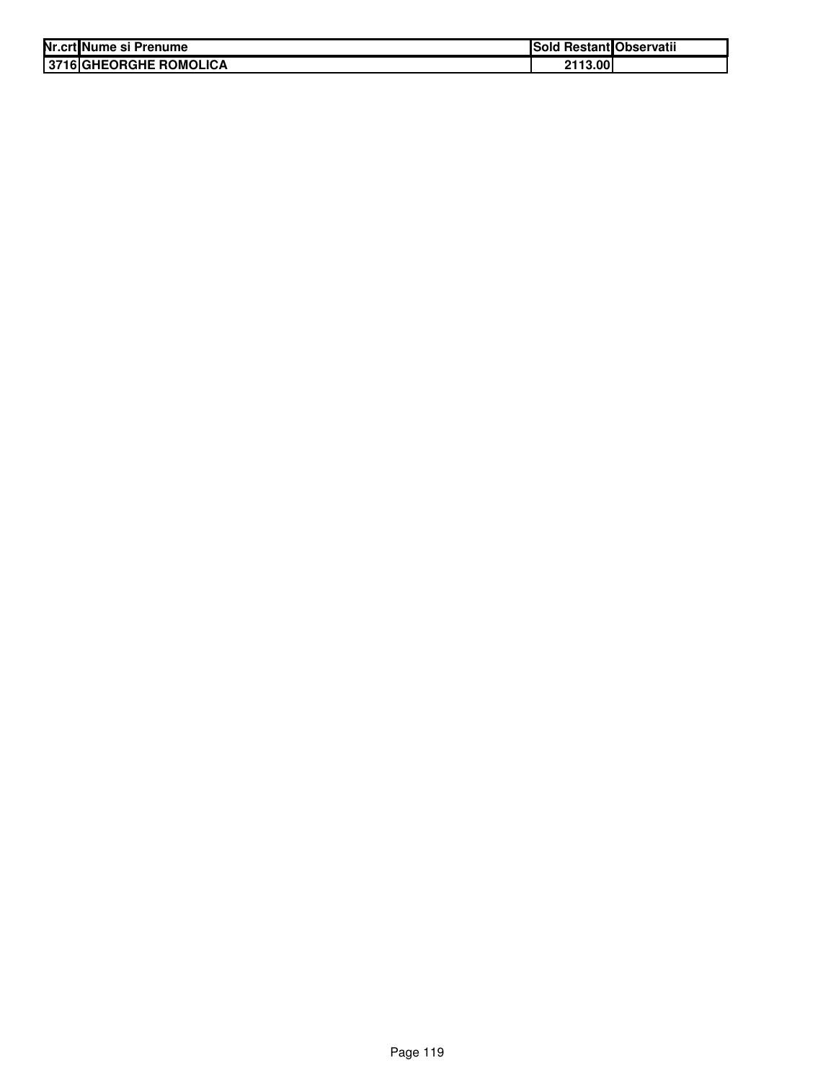| Nr.crt Nume si Prenume | Sold Restant Observatii |  |
|------------------------|-------------------------|--|
| 3716 GHEORGHE ROMOLICA | 2113.00                 |  |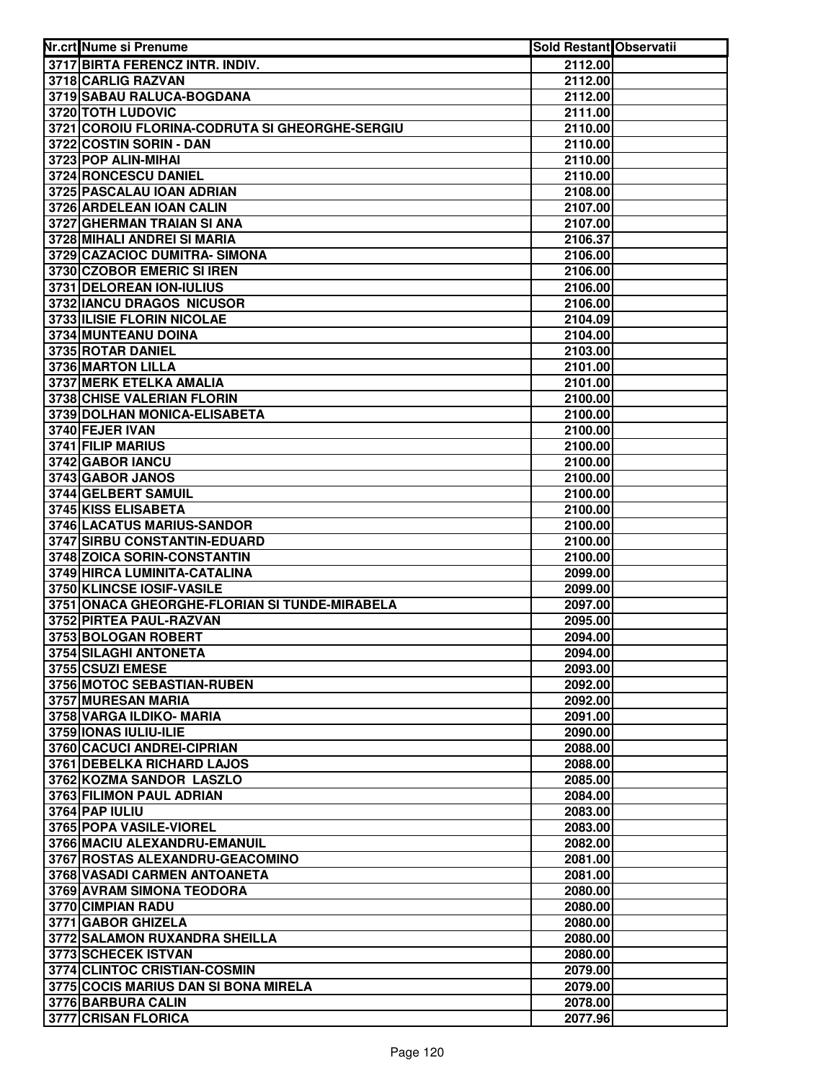| Nr.crt Nume si Prenume                         | <b>Sold Restant Observatii</b> |  |
|------------------------------------------------|--------------------------------|--|
| 3717 BIRTA FERENCZ INTR. INDIV.                | 2112.00                        |  |
| 3718 CARLIG RAZVAN                             | 2112.00                        |  |
| 3719 SABAU RALUCA-BOGDANA                      | 2112.00                        |  |
| 3720 TOTH LUDOVIC                              | 2111.00                        |  |
| 3721 COROIU FLORINA-CODRUTA SI GHEORGHE-SERGIU | 2110.00                        |  |
| 3722 COSTIN SORIN - DAN                        | 2110.00                        |  |
| 3723 POP ALIN-MIHAI                            | 2110.00                        |  |
| 3724 RONCESCU DANIEL                           | 2110.00                        |  |
| 3725 PASCALAU IOAN ADRIAN                      | 2108.00                        |  |
| 3726 ARDELEAN IOAN CALIN                       | 2107.00                        |  |
| 3727 GHERMAN TRAIAN SI ANA                     | 2107.00                        |  |
| 3728 MIHALI ANDREI SI MARIA                    | 2106.37                        |  |
| 3729 CAZACIOC DUMITRA- SIMONA                  | 2106.00                        |  |
| 3730 CZOBOR EMERIC SI IREN                     | 2106.00                        |  |
| 3731 DELOREAN ION-IULIUS                       | 2106.00                        |  |
| 3732 IANCU DRAGOS NICUSOR                      | 2106.00                        |  |
| 3733 ILISIE FLORIN NICOLAE                     | 2104.09                        |  |
| 3734 MUNTEANU DOINA                            | 2104.00                        |  |
| 3735 ROTAR DANIEL                              | 2103.00                        |  |
| 3736 MARTON LILLA                              | 2101.00                        |  |
| 3737 MERK ETELKA AMALIA                        | 2101.00                        |  |
| 3738 CHISE VALERIAN FLORIN                     | 2100.00                        |  |
| 3739 DOLHAN MONICA-ELISABETA                   | 2100.00                        |  |
| 3740 FEJER IVAN                                | 2100.00                        |  |
| 3741 FILIP MARIUS                              | 2100.00                        |  |
| 3742 GABOR IANCU                               | 2100.00                        |  |
| 3743 GABOR JANOS                               | 2100.00                        |  |
| 3744 GELBERT SAMUIL                            | 2100.00                        |  |
| 3745 KISS ELISABETA                            | 2100.00                        |  |
| 3746 LACATUS MARIUS-SANDOR                     | 2100.00                        |  |
| 3747 SIRBU CONSTANTIN-EDUARD                   | 2100.00                        |  |
| 3748 ZOICA SORIN-CONSTANTIN                    | 2100.00                        |  |
| 3749 HIRCA LUMINITA-CATALINA                   | 2099.00                        |  |
| 3750 KLINCSE IOSIF-VASILE                      | 2099.00                        |  |
| 3751 ONACA GHEORGHE-FLORIAN SI TUNDE-MIRABELA  | 2097.00                        |  |
| 3752 PIRTEA PAUL-RAZVAN                        | 2095.00                        |  |
| 3753 BOLOGAN ROBERT                            | 2094.00                        |  |
| 3754 SILAGHI ANTONETA                          | 2094.00                        |  |
| 3755 CSUZI EMESE                               | 2093.00                        |  |
| 3756 MOTOC SEBASTIAN-RUBEN                     | 2092.00                        |  |
| 3757 MURESAN MARIA                             | 2092.00                        |  |
| 3758 VARGA ILDIKO- MARIA                       | 2091.00                        |  |
| 3759 IONAS IULIU-ILIE                          | 2090.00                        |  |
| 3760 CACUCI ANDREI-CIPRIAN                     | 2088.00                        |  |
| 3761 DEBELKA RICHARD LAJOS                     | 2088.00                        |  |
| 3762 KOZMA SANDOR LASZLO                       | 2085.00                        |  |
| 3763 FILIMON PAUL ADRIAN                       | 2084.00                        |  |
| 3764 PAP IULIU                                 | 2083.00                        |  |
| 3765 POPA VASILE-VIOREL                        | 2083.00                        |  |
| 3766 MACIU ALEXANDRU-EMANUIL                   | 2082.00                        |  |
| 3767 ROSTAS ALEXANDRU-GEACOMINO                | 2081.00                        |  |
| 3768 VASADI CARMEN ANTOANETA                   | 2081.00                        |  |
| 3769 AVRAM SIMONA TEODORA                      | 2080.00                        |  |
| 3770 CIMPIAN RADU                              | 2080.00                        |  |
| 3771 GABOR GHIZELA                             | 2080.00                        |  |
| 3772 SALAMON RUXANDRA SHEILLA                  | 2080.00                        |  |
| 3773 SCHECEK ISTVAN                            | 2080.00                        |  |
| 3774 CLINTOC CRISTIAN-COSMIN                   | 2079.00                        |  |
| 3775 COCIS MARIUS DAN SI BONA MIRELA           | 2079.00                        |  |
| 3776 BARBURA CALIN                             | 2078.00                        |  |
| 3777 CRISAN FLORICA                            | 2077.96                        |  |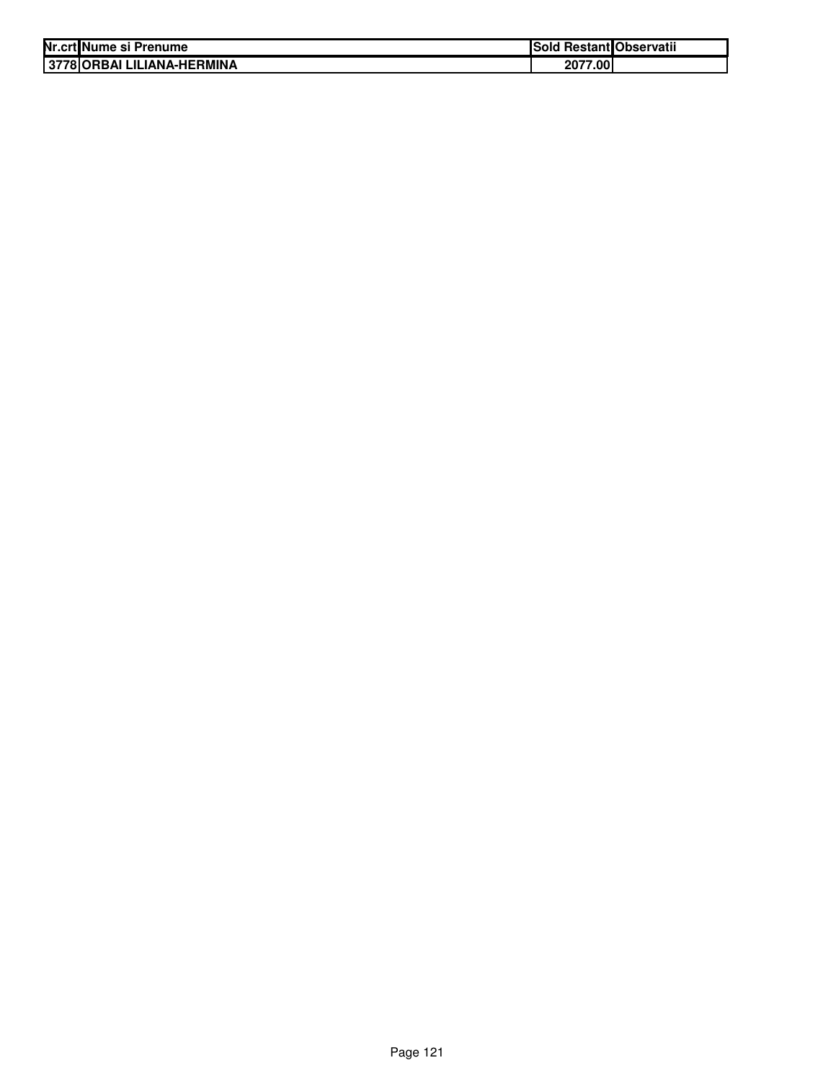| Nr.crt Nume si Prenume     | Sold Restant Observatii |  |
|----------------------------|-------------------------|--|
| 3778 ORBAI LILIANA-HERMINA | 2077.00                 |  |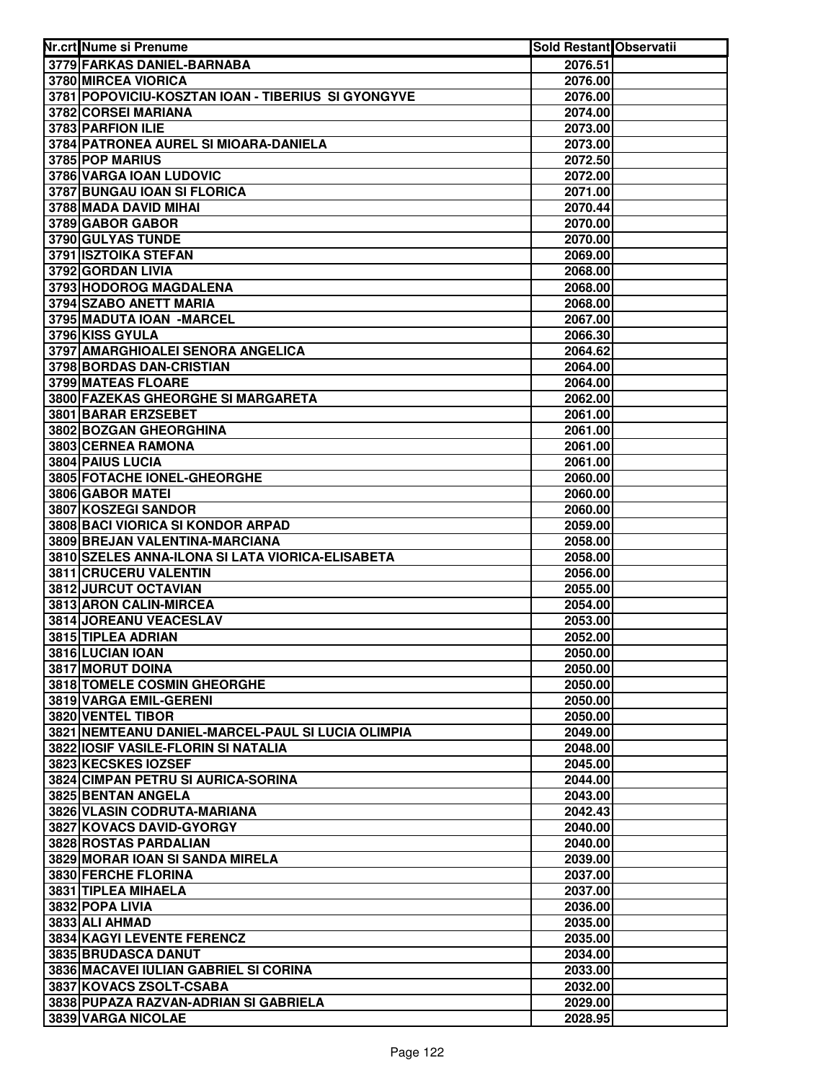| Nr.crt Nume si Prenume                                                             | <b>Sold Restant Observatii</b> |  |
|------------------------------------------------------------------------------------|--------------------------------|--|
| 3779 FARKAS DANIEL-BARNABA                                                         | 2076.51                        |  |
| 3780 MIRCEA VIORICA                                                                | 2076.00                        |  |
| 3781 POPOVICIU-KOSZTAN IOAN - TIBERIUS SI GYONGYVE                                 | 2076.00                        |  |
| 3782 CORSEI MARIANA                                                                | 2074.00                        |  |
| 3783 PARFION ILIE                                                                  | 2073.00                        |  |
| 3784 PATRONEA AUREL SI MIOARA-DANIELA                                              | 2073.00                        |  |
| 3785 POP MARIUS                                                                    | 2072.50                        |  |
| 3786 VARGA IOAN LUDOVIC                                                            | 2072.00                        |  |
| 3787 BUNGAU IOAN SI FLORICA                                                        | 2071.00                        |  |
| 3788 MADA DAVID MIHAI                                                              | 2070.44                        |  |
| 3789 GABOR GABOR                                                                   | 2070.00                        |  |
| 3790 GULYAS TUNDE                                                                  | 2070.00                        |  |
| 3791 ISZTOIKA STEFAN                                                               | 2069.00                        |  |
| 3792 GORDAN LIVIA                                                                  | 2068.00                        |  |
| 3793 HODOROG MAGDALENA                                                             | 2068.00                        |  |
| 3794 SZABO ANETT MARIA                                                             | 2068.00                        |  |
| 3795 MADUTA IOAN - MARCEL                                                          | 2067.00                        |  |
| 3796 KISS GYULA                                                                    | 2066.30                        |  |
| 3797 AMARGHIOALEI SENORA ANGELICA                                                  | 2064.62                        |  |
| 3798 BORDAS DAN-CRISTIAN                                                           | 2064.00                        |  |
| 3799 MATEAS FLOARE                                                                 | 2064.00                        |  |
| 3800 FAZEKAS GHEORGHE SI MARGARETA                                                 | 2062.00                        |  |
| 3801 BARAR ERZSEBET                                                                | 2061.00                        |  |
| 3802 BOZGAN GHEORGHINA                                                             | 2061.00                        |  |
| 3803 CERNEA RAMONA                                                                 | 2061.00                        |  |
| 3804 PAIUS LUCIA                                                                   | 2061.00                        |  |
| 3805 FOTACHE IONEL-GHEORGHE                                                        | 2060.00                        |  |
| 3806 GABOR MATEI                                                                   | 2060.00                        |  |
| 3807 KOSZEGI SANDOR                                                                | 2060.00                        |  |
| 3808 BACI VIORICA SI KONDOR ARPAD                                                  | 2059.00                        |  |
| 3809 BREJAN VALENTINA-MARCIANA<br>3810 SZELES ANNA-ILONA SI LATA VIORICA-ELISABETA | 2058.00<br>2058.00             |  |
| 3811 CRUCERU VALENTIN                                                              | 2056.00                        |  |
| 3812 JURCUT OCTAVIAN                                                               | 2055.00                        |  |
| 3813 ARON CALIN-MIRCEA                                                             | 2054.00                        |  |
| 3814 JOREANU VEACESLAV                                                             | 2053.00                        |  |
| 3815 TIPLEA ADRIAN                                                                 | 2052.00                        |  |
| 3816 LUCIAN IOAN                                                                   | 2050.00                        |  |
| <b>3817 MORUT DOINA</b>                                                            | 2050.00                        |  |
| 3818 TOMELE COSMIN GHEORGHE                                                        | 2050.00                        |  |
| 3819 VARGA EMIL-GERENI                                                             | 2050.00                        |  |
| 3820 VENTEL TIBOR                                                                  | 2050.00                        |  |
| 3821 NEMTEANU DANIEL-MARCEL-PAUL SI LUCIA OLIMPIA                                  | 2049.00                        |  |
| 3822 IOSIF VASILE-FLORIN SI NATALIA                                                | 2048.00                        |  |
| 3823 KECSKES IOZSEF                                                                | 2045.00                        |  |
| 3824 CIMPAN PETRU SI AURICA-SORINA                                                 | 2044.00                        |  |
| 3825 BENTAN ANGELA                                                                 | 2043.00                        |  |
| 3826 VLASIN CODRUTA-MARIANA                                                        | 2042.43                        |  |
| 3827 KOVACS DAVID-GYORGY                                                           | 2040.00                        |  |
| 3828 ROSTAS PARDALIAN                                                              | 2040.00                        |  |
| 3829 MORAR IOAN SI SANDA MIRELA                                                    | 2039.00                        |  |
| 3830 FERCHE FLORINA                                                                | 2037.00                        |  |
| 3831 TIPLEA MIHAELA                                                                | 2037.00                        |  |
| 3832 POPA LIVIA                                                                    | 2036.00                        |  |
| 3833 ALI AHMAD                                                                     | 2035.00                        |  |
| 3834 KAGYI LEVENTE FERENCZ                                                         | 2035.00                        |  |
| 3835 BRUDASCA DANUT                                                                | 2034.00                        |  |
| 3836 MACAVEI IULIAN GABRIEL SI CORINA                                              | 2033.00                        |  |
| 3837 KOVACS ZSOLT-CSABA                                                            | 2032.00                        |  |
| 3838 PUPAZA RAZVAN-ADRIAN SI GABRIELA                                              | 2029.00                        |  |
| 3839 VARGA NICOLAE                                                                 | 2028.95                        |  |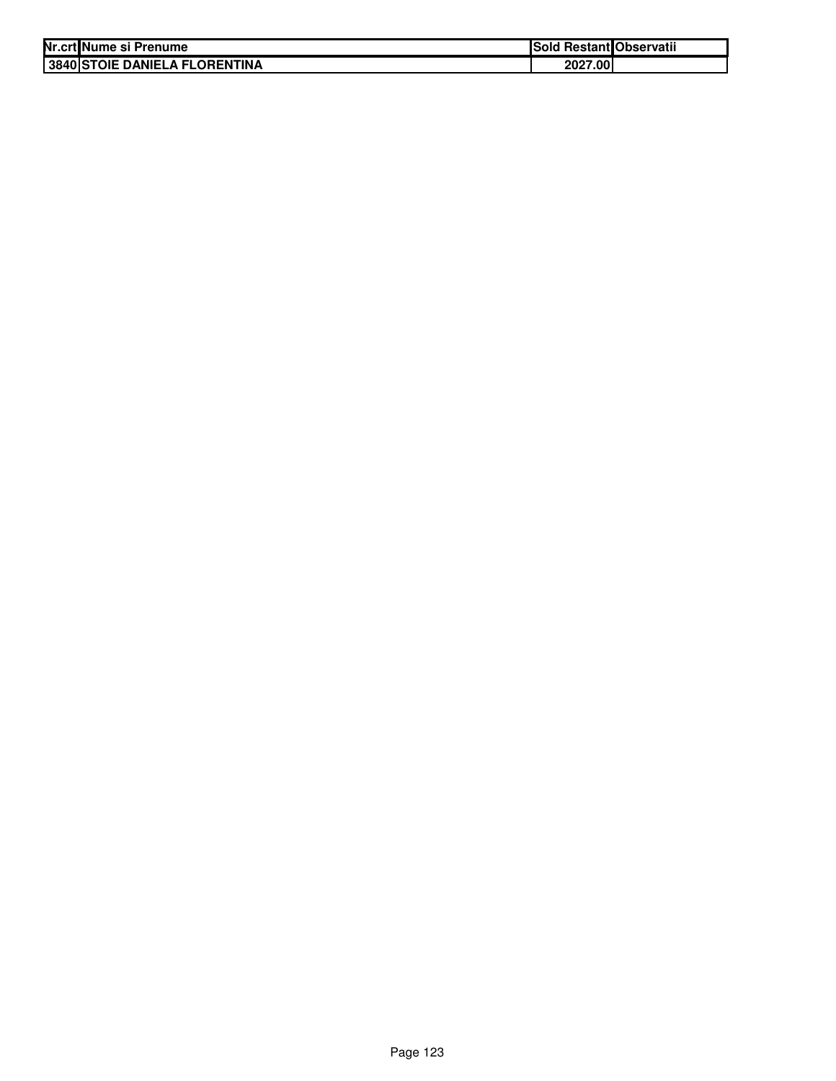| Nr.crt Nume si Prenume               | Sold Restant Observatii |  |
|--------------------------------------|-------------------------|--|
| <b>3840 STOIE DANIELA FLORENTINA</b> | 2027.00                 |  |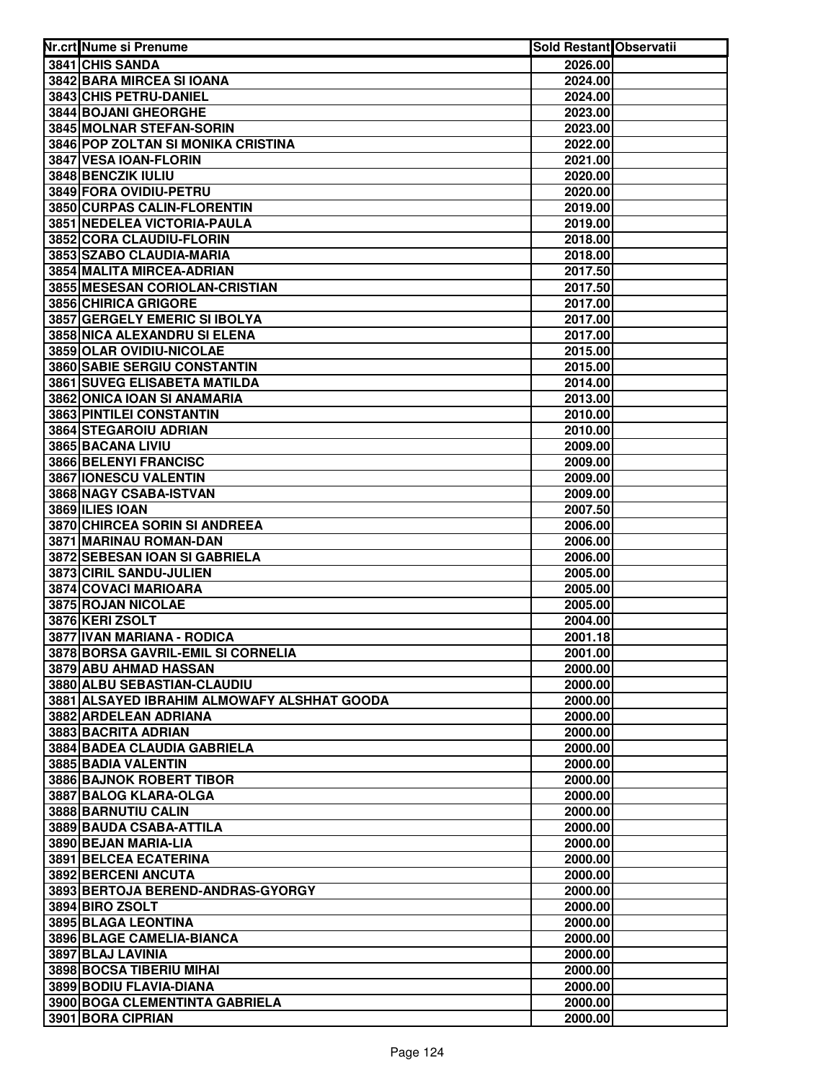| Nr.crt Nume si Prenume                              | Sold Restant Observatii |  |
|-----------------------------------------------------|-------------------------|--|
| 3841 CHIS SANDA                                     | 2026.00                 |  |
| 3842 BARA MIRCEA SI IOANA                           | 2024.00                 |  |
| 3843 CHIS PETRU-DANIEL                              | 2024.00                 |  |
| 3844 BOJANI GHEORGHE                                | 2023.00                 |  |
| 3845 MOLNAR STEFAN-SORIN                            | 2023.00                 |  |
| 3846 POP ZOLTAN SI MONIKA CRISTINA                  | 2022.00                 |  |
| 3847 VESA IOAN-FLORIN                               | 2021.00                 |  |
| 3848 BENCZIK IULIU                                  | 2020.00                 |  |
| 3849 FORA OVIDIU-PETRU                              | 2020.00                 |  |
| 3850 CURPAS CALIN-FLORENTIN                         | 2019.00                 |  |
| 3851 NEDELEA VICTORIA-PAULA                         | 2019.00                 |  |
| 3852 CORA CLAUDIU-FLORIN                            | 2018.00                 |  |
| 3853 SZABO CLAUDIA-MARIA                            | 2018.00                 |  |
| 3854 MALITA MIRCEA-ADRIAN                           | 2017.50                 |  |
| 3855 MESESAN CORIOLAN-CRISTIAN                      | 2017.50                 |  |
| 3856 CHIRICA GRIGORE                                | 2017.00                 |  |
| 3857 GERGELY EMERIC SI IBOLYA                       | 2017.00                 |  |
| 3858 NICA ALEXANDRU SI ELENA                        | 2017.00                 |  |
| 3859 OLAR OVIDIU-NICOLAE                            | 2015.00                 |  |
| <b>3860 SABIE SERGIU CONSTANTIN</b>                 | 2015.00                 |  |
| 3861 SUVEG ELISABETA MATILDA                        | 2014.00                 |  |
| 3862 ONICA IOAN SI ANAMARIA                         | 2013.00                 |  |
| 3863 PINTILEI CONSTANTIN                            | 2010.00                 |  |
| 3864 STEGAROIU ADRIAN                               | 2010.00                 |  |
| 3865 BACANA LIVIU                                   | 2009.00                 |  |
| 3866 BELENYI FRANCISC                               | 2009.00                 |  |
| 3867 IONESCU VALENTIN                               | 2009.00                 |  |
| 3868 NAGY CSABA-ISTVAN<br>3869 ILIES IOAN           | 2009.00                 |  |
| 3870 CHIRCEA SORIN SI ANDREEA                       | 2007.50                 |  |
| 3871 MARINAU ROMAN-DAN                              | 2006.00<br>2006.00      |  |
| 3872 SEBESAN IOAN SI GABRIELA                       | 2006.00                 |  |
| 3873 CIRIL SANDU-JULIEN                             | 2005.00                 |  |
| 3874 COVACI MARIOARA                                | 2005.00                 |  |
| 3875 ROJAN NICOLAE                                  | 2005.00                 |  |
| 3876 KERI ZSOLT                                     | 2004.00                 |  |
| 3877 IVAN MARIANA - RODICA                          | 2001.18                 |  |
| 3878 BORSA GAVRIL-EMIL SI CORNELIA                  | 2001.00                 |  |
| 3879 ABU AHMAD HASSAN                               | 2000.00                 |  |
| 3880 ALBU SEBASTIAN-CLAUDIU                         | 2000.00                 |  |
| 3881 ALSAYED IBRAHIM ALMOWAFY ALSHHAT GOODA         | 2000.00                 |  |
| 3882 ARDELEAN ADRIANA                               | 2000.00                 |  |
| 3883 BACRITA ADRIAN                                 | 2000.00                 |  |
| <b>3884 BADEA CLAUDIA GABRIELA</b>                  | 2000.00                 |  |
| 3885 BADIA VALENTIN                                 | 2000.00                 |  |
| 3886 BAJNOK ROBERT TIBOR                            | 2000.00                 |  |
| 3887 BALOG KLARA-OLGA                               | 2000.00                 |  |
| 3888 BARNUTIU CALIN                                 | 2000.00                 |  |
| 3889 BAUDA CSABA-ATTILA                             | 2000.00                 |  |
| 3890 BEJAN MARIA-LIA                                | 2000.00                 |  |
| 3891 BELCEA ECATERINA                               | 2000.00                 |  |
| 3892 BERCENI ANCUTA                                 | 2000.00                 |  |
| 3893 BERTOJA BEREND-ANDRAS-GYORGY                   | 2000.00                 |  |
| 3894 BIRO ZSOLT                                     | 2000.00                 |  |
| 3895 BLAGA LEONTINA                                 | 2000.00                 |  |
| 3896 BLAGE CAMELIA-BIANCA                           | 2000.00                 |  |
| 3897 BLAJ LAVINIA                                   | 2000.00                 |  |
| 3898 BOCSA TIBERIU MIHAI<br>3899 BODIU FLAVIA-DIANA | 2000.00<br>2000.00      |  |
| 3900 BOGA CLEMENTINTA GABRIELA                      | 2000.00                 |  |
| 3901 BORA CIPRIAN                                   | 2000.00                 |  |
|                                                     |                         |  |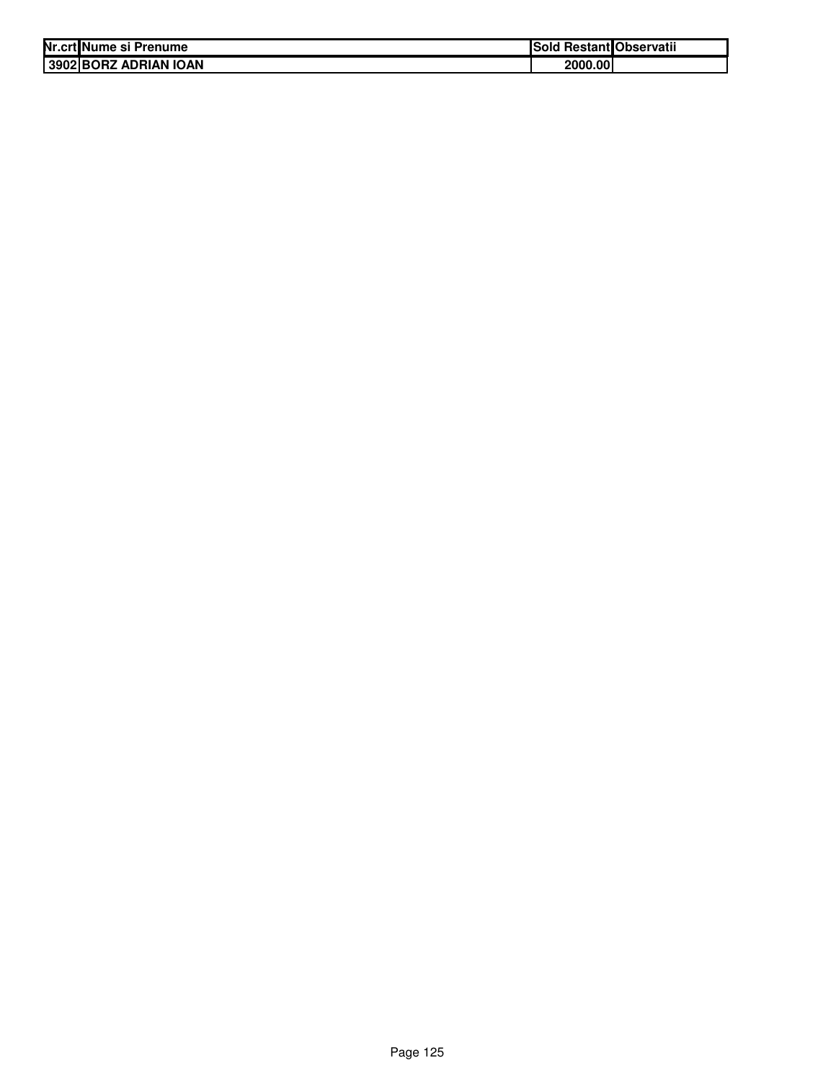| Nr.crt Nume si Prenume | Sold Restant Observatii |  |
|------------------------|-------------------------|--|
| 3902 BORZ ADRIAN IOAN  | 2000.00                 |  |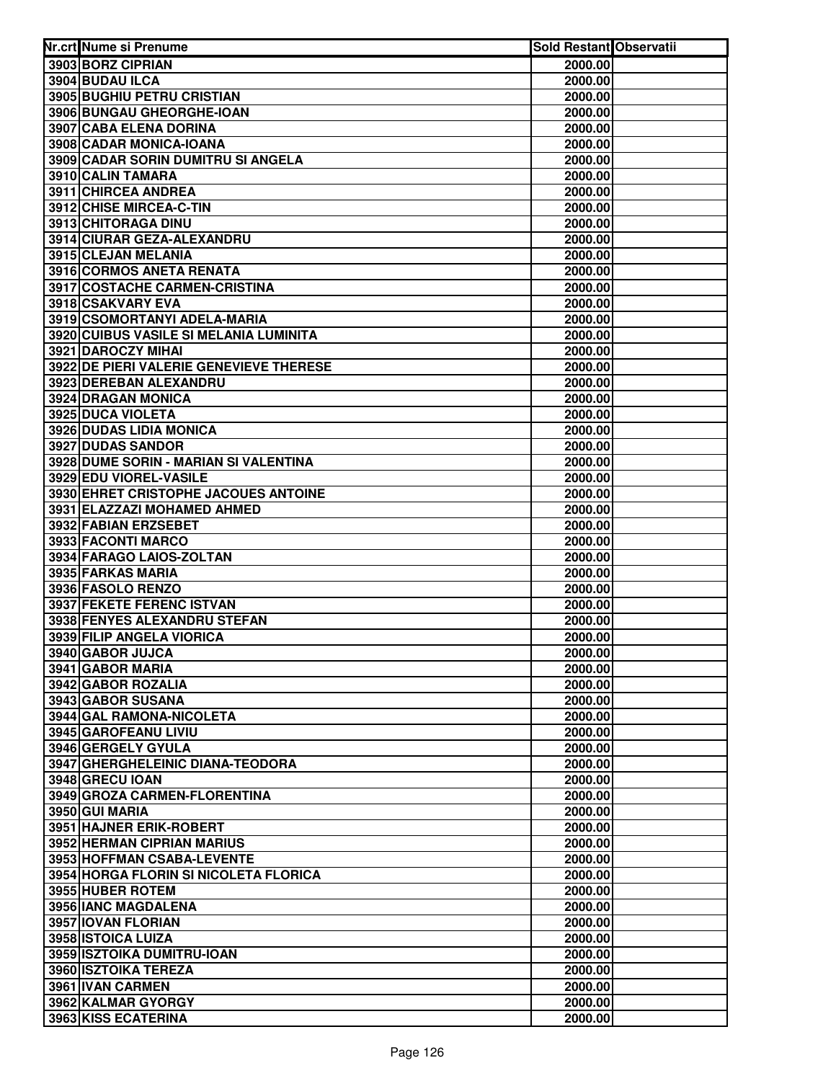| Nr.crt Nume si Prenume                       | Sold Restant Observatii |  |
|----------------------------------------------|-------------------------|--|
| 3903 BORZ CIPRIAN                            | 2000.00                 |  |
| 3904 BUDAU ILCA                              | 2000.00                 |  |
| 3905 BUGHIU PETRU CRISTIAN                   | 2000.00                 |  |
| 3906 BUNGAU GHEORGHE-IOAN                    | 2000.00                 |  |
| 3907 CABA ELENA DORINA                       | 2000.00                 |  |
| 3908 CADAR MONICA-IOANA                      | 2000.00                 |  |
| 3909 CADAR SORIN DUMITRU SI ANGELA           | 2000.00                 |  |
| 3910 CALIN TAMARA                            | 2000.00                 |  |
| 3911 CHIRCEA ANDREA                          | 2000.00                 |  |
| 3912 CHISE MIRCEA-C-TIN                      | 2000.00                 |  |
| 3913 CHITORAGA DINU                          | 2000.00                 |  |
| 3914 CIURAR GEZA-ALEXANDRU                   | 2000.00                 |  |
| 3915 CLEJAN MELANIA                          | 2000.00                 |  |
| 3916 CORMOS ANETA RENATA                     | 2000.00                 |  |
| 3917 COSTACHE CARMEN-CRISTINA                | 2000.00                 |  |
| 3918 CSAKVARY EVA                            | 2000.00                 |  |
| 3919 CSOMORTANYI ADELA-MARIA                 | 2000.00                 |  |
| 3920 CUIBUS VASILE SI MELANIA LUMINITA       | 2000.00                 |  |
| 3921 DAROCZY MIHAI                           | 2000.00                 |  |
| 3922 DE PIERI VALERIE GENEVIEVE THERESE      | 2000.00                 |  |
| 3923 DEREBAN ALEXANDRU                       | 2000.00                 |  |
| 3924 DRAGAN MONICA                           | 2000.00                 |  |
| 3925 DUCA VIOLETA                            | 2000.00                 |  |
| 3926 DUDAS LIDIA MONICA                      | 2000.00                 |  |
| 3927 DUDAS SANDOR                            | 2000.00                 |  |
| 3928 DUME SORIN - MARIAN SI VALENTINA        | 2000.00                 |  |
| 3929 EDU VIOREL-VASILE                       | 2000.00                 |  |
| 3930 EHRET CRISTOPHE JACOUES ANTOINE         | 2000.00                 |  |
| 3931 ELAZZAZI MOHAMED AHMED                  | 2000.00                 |  |
| 3932 FABIAN ERZSEBET                         | 2000.00                 |  |
| 3933 FACONTI MARCO                           | 2000.00                 |  |
| 3934 FARAGO LAIOS-ZOLTAN                     | 2000.00                 |  |
| 3935 FARKAS MARIA                            | 2000.00                 |  |
| 3936 FASOLO RENZO                            | 2000.00                 |  |
| 3937 FEKETE FERENC ISTVAN                    | 2000.00                 |  |
| 3938 FENYES ALEXANDRU STEFAN                 | 2000.00                 |  |
| 3939 FILIP ANGELA VIORICA                    | 2000.00                 |  |
| 3940 GABOR JUJCA                             | 2000.00                 |  |
| <b>3941 GABOR MARIA</b>                      | 2000.00                 |  |
| 3942 GABOR ROZALIA                           | 2000.00                 |  |
| 3943 GABOR SUSANA                            | 2000.00                 |  |
| 3944 GAL RAMONA-NICOLETA                     | 2000.00                 |  |
| 3945 GAROFEANU LIVIU                         | 2000.00                 |  |
| 3946 GERGELY GYULA                           | 2000.00                 |  |
| 3947 GHERGHELEINIC DIANA-TEODORA             | 2000.00                 |  |
| 3948 GRECU IOAN                              | 2000.00                 |  |
| 3949 GROZA CARMEN-FLORENTINA                 | 2000.00                 |  |
| 3950 GUI MARIA                               | 2000.00                 |  |
| 3951 HAJNER ERIK-ROBERT                      | 2000.00                 |  |
| 3952 HERMAN CIPRIAN MARIUS                   | 2000.00                 |  |
| 3953 HOFFMAN CSABA-LEVENTE                   | 2000.00                 |  |
| <b>3954 HORGA FLORIN SI NICOLETA FLORICA</b> | 2000.00                 |  |
| 3955 HUBER ROTEM                             | 2000.00                 |  |
| 3956 IANC MAGDALENA                          | 2000.00                 |  |
| 3957 IOVAN FLORIAN                           | 2000.00                 |  |
| 3958 ISTOICA LUIZA                           | 2000.00                 |  |
| 3959 ISZTOIKA DUMITRU-IOAN                   | 2000.00                 |  |
| 3960 ISZTOIKA TEREZA                         | 2000.00                 |  |
| 3961 IVAN CARMEN                             | 2000.00                 |  |
| 3962 KALMAR GYORGY                           | 2000.00                 |  |
| 3963 KISS ECATERINA                          | 2000.00                 |  |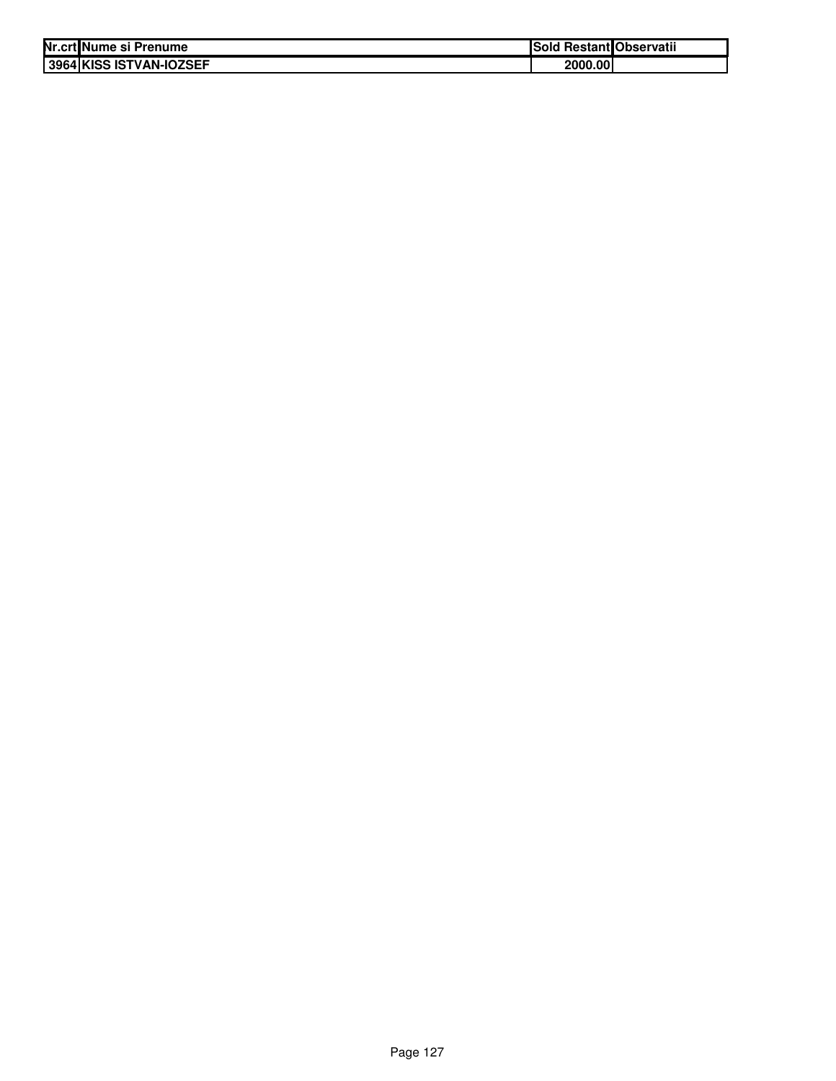| Nr.crt Nume si Prenume  | <b>Sold Restant Observatii</b> |  |
|-------------------------|--------------------------------|--|
| 3964 KISS ISTVAN-IOZSEF | 2000.001                       |  |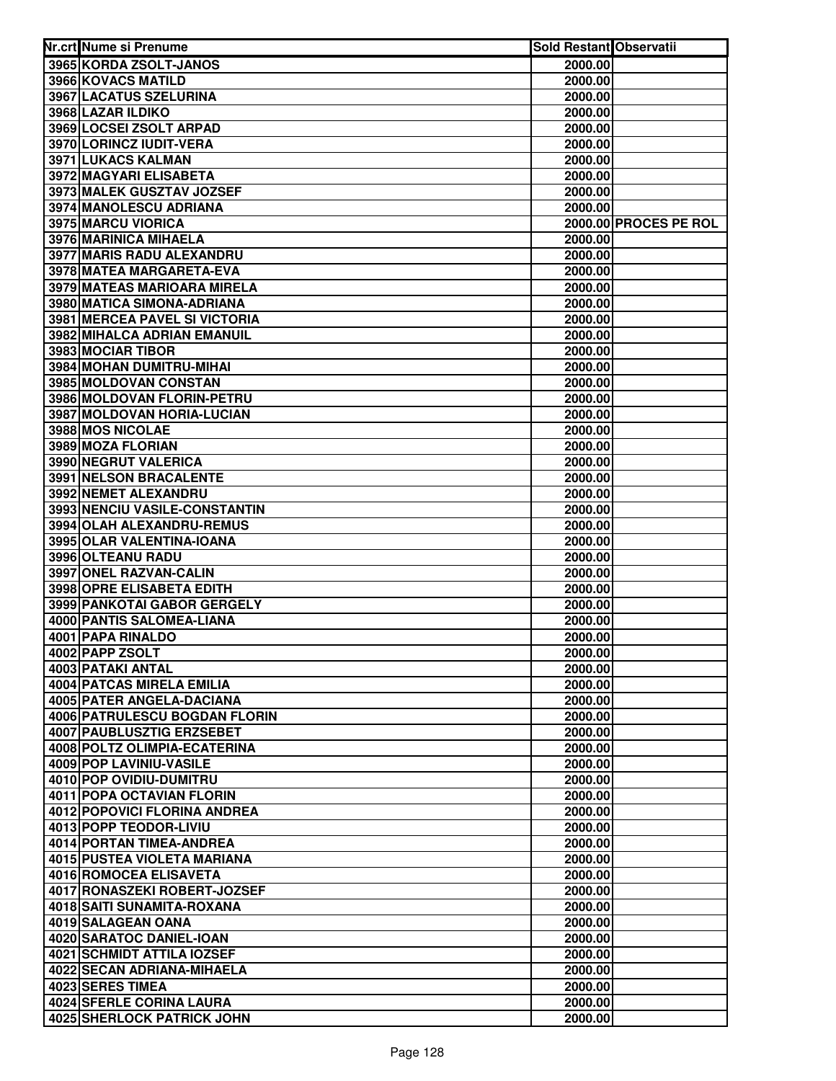| Nr.crt Nume si Prenume               | Sold Restant Observatii |                       |
|--------------------------------------|-------------------------|-----------------------|
| 3965 KORDA ZSOLT-JANOS               | 2000.00                 |                       |
| 3966 KOVACS MATILD                   | 2000.00                 |                       |
| 3967 LACATUS SZELURINA               | 2000.00                 |                       |
| 3968 LAZAR ILDIKO                    | 2000.00                 |                       |
| 3969 LOCSEI ZSOLT ARPAD              | 2000.00                 |                       |
| 3970 LORINCZ IUDIT-VERA              | 2000.00                 |                       |
| 3971 LUKACS KALMAN                   | 2000.00                 |                       |
| 3972 MAGYARI ELISABETA               | 2000.00                 |                       |
| 3973 MALEK GUSZTAV JOZSEF            | 2000.00                 |                       |
| 3974 MANOLESCU ADRIANA               | 2000.00                 |                       |
| 3975 MARCU VIORICA                   |                         | 2000.00 PROCES PE ROL |
| 3976 MARINICA MIHAELA                | 2000.00                 |                       |
| 3977 MARIS RADU ALEXANDRU            | 2000.00                 |                       |
| 3978 MATEA MARGARETA-EVA             | 2000.00                 |                       |
| 3979 MATEAS MARIOARA MIRELA          | 2000.00                 |                       |
| 3980 MATICA SIMONA-ADRIANA           | 2000.00                 |                       |
| <b>3981 MERCEA PAVEL SI VICTORIA</b> | 2000.00                 |                       |
| 3982 MIHALCA ADRIAN EMANUIL          | 2000.00                 |                       |
| 3983 MOCIAR TIBOR                    | 2000.00                 |                       |
| 3984 MOHAN DUMITRU-MIHAI             | 2000.00                 |                       |
| 3985 MOLDOVAN CONSTAN                | 2000.00                 |                       |
| 3986 MOLDOVAN FLORIN-PETRU           | 2000.00                 |                       |
| 3987 MOLDOVAN HORIA-LUCIAN           | 2000.00                 |                       |
| 3988 MOS NICOLAE                     | 2000.00                 |                       |
| 3989 MOZA FLORIAN                    | 2000.00                 |                       |
| 3990 NEGRUT VALERICA                 | 2000.00                 |                       |
| 3991 NELSON BRACALENTE               | 2000.00                 |                       |
| 3992 NEMET ALEXANDRU                 | 2000.00                 |                       |
| 3993 NENCIU VASILE-CONSTANTIN        | 2000.00                 |                       |
| 3994 OLAH ALEXANDRU-REMUS            | 2000.00                 |                       |
| 3995 OLAR VALENTINA-IOANA            | 2000.00                 |                       |
| 3996 OLTEANU RADU                    | 2000.00                 |                       |
| 3997 ONEL RAZVAN-CALIN               | 2000.00                 |                       |
| 3998 OPRE ELISABETA EDITH            | 2000.00                 |                       |
| 3999 PANKOTAI GABOR GERGELY          | 2000.00                 |                       |
| 4000 PANTIS SALOMEA-LIANA            | 2000.00                 |                       |
| 4001 PAPA RINALDO                    | 2000.00                 |                       |
| 4002 PAPP ZSOLT                      | 2000.00                 |                       |
| 4003 PATAKI ANTAL                    | 2000.00                 |                       |
| 4004 PATCAS MIRELA EMILIA            | 2000.00                 |                       |
| 4005 PATER ANGELA-DACIANA            | 2000.00                 |                       |
| 4006 PATRULESCU BOGDAN FLORIN        | 2000.00                 |                       |
| <b>4007 PAUBLUSZTIG ERZSEBET</b>     | 2000.00                 |                       |
| 4008 POLTZ OLIMPIA-ECATERINA         | 2000.00                 |                       |
| <b>4009 POP LAVINIU-VASILE</b>       | 2000.00                 |                       |
| 4010 POP OVIDIU-DUMITRU              | 2000.00                 |                       |
| 4011 POPA OCTAVIAN FLORIN            | 2000.00                 |                       |
| 4012 POPOVICI FLORINA ANDREA         | 2000.00                 |                       |
| 4013 POPP TEODOR-LIVIU               | 2000.00                 |                       |
| 4014 PORTAN TIMEA-ANDREA             | 2000.00                 |                       |
| 4015 PUSTEA VIOLETA MARIANA          | 2000.00                 |                       |
| 4016 ROMOCEA ELISAVETA               | 2000.00                 |                       |
| 4017 RONASZEKI ROBERT-JOZSEF         | 2000.00                 |                       |
| 4018 SAITI SUNAMITA-ROXANA           | 2000.00                 |                       |
| 4019 SALAGEAN OANA                   | 2000.00                 |                       |
| 4020 SARATOC DANIEL-IOAN             | 2000.00                 |                       |
| 4021 SCHMIDT ATTILA IOZSEF           | 2000.00                 |                       |
| 4022 SECAN ADRIANA-MIHAELA           | 2000.00                 |                       |
| 4023 SERES TIMEA                     | 2000.00                 |                       |
| 4024 SFERLE CORINA LAURA             | 2000.00                 |                       |
| <b>4025 SHERLOCK PATRICK JOHN</b>    | 2000.00                 |                       |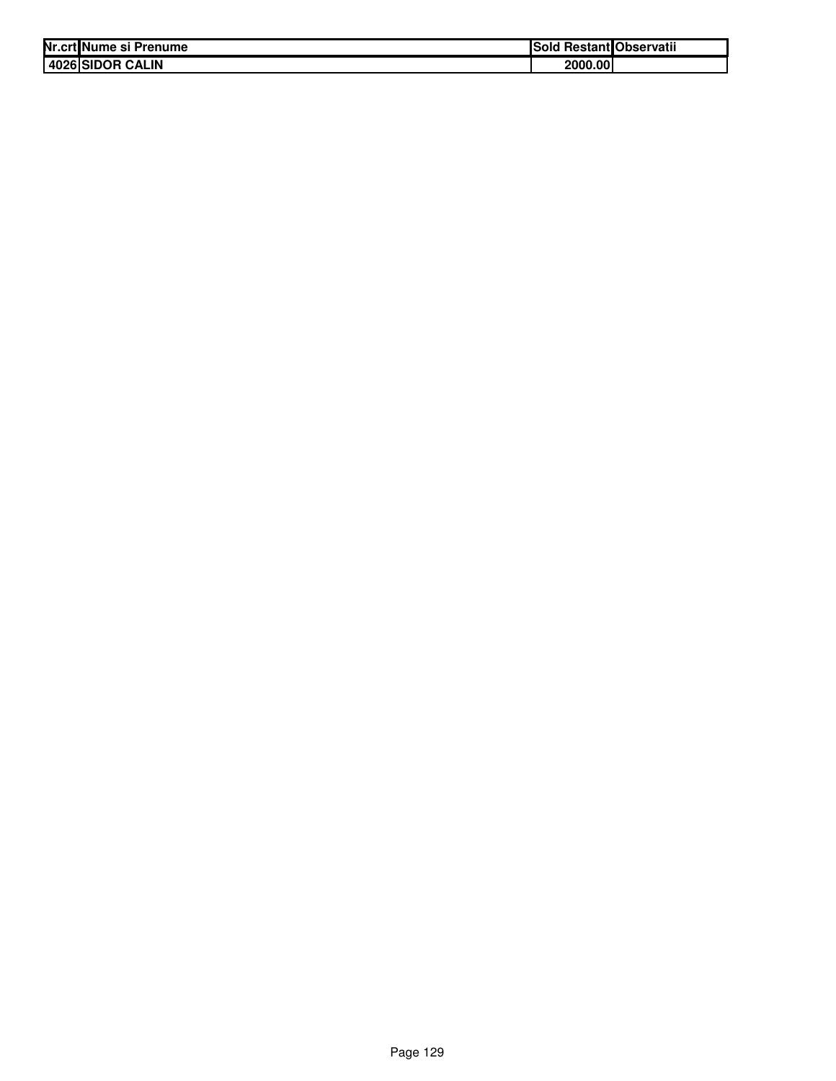| Nr.crt Nume si Prenume | ISold   | l RestantlObservatii |
|------------------------|---------|----------------------|
| 4026 SIDOR CALIN       | 2000.00 |                      |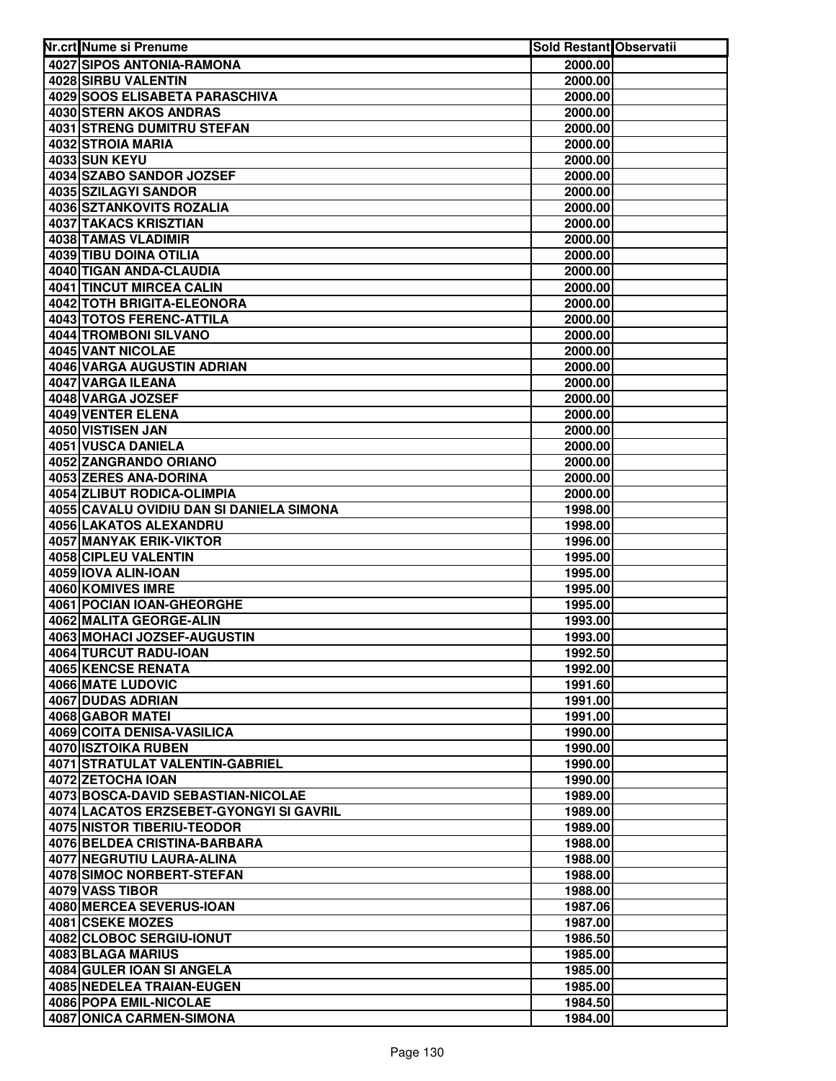| 4027 SIPOS ANTONIA-RAMONA<br>2000.00<br>4028 SIRBU VALENTIN<br>2000.00<br>4029 SOOS ELISABETA PARASCHIVA<br>2000.00<br>4030 STERN AKOS ANDRAS<br>2000.00<br>4031 STRENG DUMITRU STEFAN<br>2000.00<br>4032 STROIA MARIA<br>2000.00<br>4033 SUN KEYU<br>2000.00<br>4034 SZABO SANDOR JOZSEF<br>2000.00<br>4035 SZILAGYI SANDOR<br>2000.00<br>4036 SZTANKOVITS ROZALIA<br>2000.00<br>4037 TAKACS KRISZTIAN<br>2000.00<br>4038 TAMAS VLADIMIR<br>2000.00<br>4039 TIBU DOINA OTILIA<br>2000.00<br>4040 TIGAN ANDA-CLAUDIA<br>2000.00<br>4041 TINCUT MIRCEA CALIN<br>2000.00<br>4042 TOTH BRIGITA-ELEONORA<br>2000.00<br>4043 TOTOS FERENC-ATTILA<br>2000.00<br>4044 TROMBONI SILVANO<br>2000.00<br>4045 VANT NICOLAE<br>2000.00<br>4046 VARGA AUGUSTIN ADRIAN<br>2000.00<br>4047 VARGA ILEANA<br>2000.00<br>4048 VARGA JOZSEF<br>2000.00<br>4049 VENTER ELENA<br>2000.00<br>4050 VISTISEN JAN<br>2000.00<br>4051 VUSCA DANIELA<br>2000.00<br>4052 ZANGRANDO ORIANO<br>2000.00<br>4053 ZERES ANA-DORINA<br>2000.00<br>4054 ZLIBUT RODICA-OLIMPIA<br>2000.00<br>4055 CAVALU OVIDIU DAN SI DANIELA SIMONA<br>1998.00<br>4056 LAKATOS ALEXANDRU<br>1998.00<br>4057 MANYAK ERIK-VIKTOR<br>1996.00<br>4058 CIPLEU VALENTIN<br>1995.00<br>4059 IOVA ALIN-IOAN<br>1995.00<br>4060 KOMIVES IMRE<br>1995.00<br>4061 POCIAN IOAN-GHEORGHE<br>1995.00<br>4062 MALITA GEORGE-ALIN<br>1993.00<br>4063 MOHACI JOZSEF-AUGUSTIN<br>1993.00<br>4064 TURCUT RADU-IOAN<br>1992.50<br>4065 KENCSE RENATA<br>1992.00<br>4066 MATE LUDOVIC<br>1991.60<br><b>4067 DUDAS ADRIAN</b><br>1991.00<br>4068 GABOR MATEI<br>1991.00<br>4069 COITA DENISA-VASILICA<br>1990.00<br>4070 ISZTOIKA RUBEN<br>1990.00<br>4071 STRATULAT VALENTIN-GABRIEL<br>1990.00<br>4072 ZETOCHA IOAN<br>1990.00<br>4073 BOSCA-DAVID SEBASTIAN-NICOLAE<br>1989.00<br>4074 LACATOS ERZSEBET-GYONGYI SI GAVRIL<br>1989.00<br>4075 NISTOR TIBERIU-TEODOR<br>1989.00<br>4076 BELDEA CRISTINA-BARBARA<br>1988.00<br>4077 NEGRUTIU LAURA-ALINA<br>1988.00<br>4078 SIMOC NORBERT-STEFAN<br>1988.00<br>4079 VASS TIBOR<br>1988.00<br>4080 MERCEA SEVERUS-IOAN<br>1987.06<br>4081 CSEKE MOZES<br>1987.00<br>4082 CLOBOC SERGIU-IONUT<br>1986.50<br>4083 BLAGA MARIUS<br>1985.00<br>4084 GULER IOAN SI ANGELA<br>1985.00<br>4085 NEDELEA TRAIAN-EUGEN<br>1985.00<br>4086 POPA EMIL-NICOLAE<br>1984.50<br>4087 ONICA CARMEN-SIMONA<br>1984.00 | Nr.crt Nume si Prenume | Sold Restant Observatii |  |
|----------------------------------------------------------------------------------------------------------------------------------------------------------------------------------------------------------------------------------------------------------------------------------------------------------------------------------------------------------------------------------------------------------------------------------------------------------------------------------------------------------------------------------------------------------------------------------------------------------------------------------------------------------------------------------------------------------------------------------------------------------------------------------------------------------------------------------------------------------------------------------------------------------------------------------------------------------------------------------------------------------------------------------------------------------------------------------------------------------------------------------------------------------------------------------------------------------------------------------------------------------------------------------------------------------------------------------------------------------------------------------------------------------------------------------------------------------------------------------------------------------------------------------------------------------------------------------------------------------------------------------------------------------------------------------------------------------------------------------------------------------------------------------------------------------------------------------------------------------------------------------------------------------------------------------------------------------------------------------------------------------------------------------------------------------------------------------------------------------------------------------------------------------------------------------------------------------------------------------------------------------------------------------------------------------------------------------------------------------------------------|------------------------|-------------------------|--|
|                                                                                                                                                                                                                                                                                                                                                                                                                                                                                                                                                                                                                                                                                                                                                                                                                                                                                                                                                                                                                                                                                                                                                                                                                                                                                                                                                                                                                                                                                                                                                                                                                                                                                                                                                                                                                                                                                                                                                                                                                                                                                                                                                                                                                                                                                                                                                                            |                        |                         |  |
|                                                                                                                                                                                                                                                                                                                                                                                                                                                                                                                                                                                                                                                                                                                                                                                                                                                                                                                                                                                                                                                                                                                                                                                                                                                                                                                                                                                                                                                                                                                                                                                                                                                                                                                                                                                                                                                                                                                                                                                                                                                                                                                                                                                                                                                                                                                                                                            |                        |                         |  |
|                                                                                                                                                                                                                                                                                                                                                                                                                                                                                                                                                                                                                                                                                                                                                                                                                                                                                                                                                                                                                                                                                                                                                                                                                                                                                                                                                                                                                                                                                                                                                                                                                                                                                                                                                                                                                                                                                                                                                                                                                                                                                                                                                                                                                                                                                                                                                                            |                        |                         |  |
|                                                                                                                                                                                                                                                                                                                                                                                                                                                                                                                                                                                                                                                                                                                                                                                                                                                                                                                                                                                                                                                                                                                                                                                                                                                                                                                                                                                                                                                                                                                                                                                                                                                                                                                                                                                                                                                                                                                                                                                                                                                                                                                                                                                                                                                                                                                                                                            |                        |                         |  |
|                                                                                                                                                                                                                                                                                                                                                                                                                                                                                                                                                                                                                                                                                                                                                                                                                                                                                                                                                                                                                                                                                                                                                                                                                                                                                                                                                                                                                                                                                                                                                                                                                                                                                                                                                                                                                                                                                                                                                                                                                                                                                                                                                                                                                                                                                                                                                                            |                        |                         |  |
|                                                                                                                                                                                                                                                                                                                                                                                                                                                                                                                                                                                                                                                                                                                                                                                                                                                                                                                                                                                                                                                                                                                                                                                                                                                                                                                                                                                                                                                                                                                                                                                                                                                                                                                                                                                                                                                                                                                                                                                                                                                                                                                                                                                                                                                                                                                                                                            |                        |                         |  |
|                                                                                                                                                                                                                                                                                                                                                                                                                                                                                                                                                                                                                                                                                                                                                                                                                                                                                                                                                                                                                                                                                                                                                                                                                                                                                                                                                                                                                                                                                                                                                                                                                                                                                                                                                                                                                                                                                                                                                                                                                                                                                                                                                                                                                                                                                                                                                                            |                        |                         |  |
|                                                                                                                                                                                                                                                                                                                                                                                                                                                                                                                                                                                                                                                                                                                                                                                                                                                                                                                                                                                                                                                                                                                                                                                                                                                                                                                                                                                                                                                                                                                                                                                                                                                                                                                                                                                                                                                                                                                                                                                                                                                                                                                                                                                                                                                                                                                                                                            |                        |                         |  |
|                                                                                                                                                                                                                                                                                                                                                                                                                                                                                                                                                                                                                                                                                                                                                                                                                                                                                                                                                                                                                                                                                                                                                                                                                                                                                                                                                                                                                                                                                                                                                                                                                                                                                                                                                                                                                                                                                                                                                                                                                                                                                                                                                                                                                                                                                                                                                                            |                        |                         |  |
|                                                                                                                                                                                                                                                                                                                                                                                                                                                                                                                                                                                                                                                                                                                                                                                                                                                                                                                                                                                                                                                                                                                                                                                                                                                                                                                                                                                                                                                                                                                                                                                                                                                                                                                                                                                                                                                                                                                                                                                                                                                                                                                                                                                                                                                                                                                                                                            |                        |                         |  |
|                                                                                                                                                                                                                                                                                                                                                                                                                                                                                                                                                                                                                                                                                                                                                                                                                                                                                                                                                                                                                                                                                                                                                                                                                                                                                                                                                                                                                                                                                                                                                                                                                                                                                                                                                                                                                                                                                                                                                                                                                                                                                                                                                                                                                                                                                                                                                                            |                        |                         |  |
|                                                                                                                                                                                                                                                                                                                                                                                                                                                                                                                                                                                                                                                                                                                                                                                                                                                                                                                                                                                                                                                                                                                                                                                                                                                                                                                                                                                                                                                                                                                                                                                                                                                                                                                                                                                                                                                                                                                                                                                                                                                                                                                                                                                                                                                                                                                                                                            |                        |                         |  |
|                                                                                                                                                                                                                                                                                                                                                                                                                                                                                                                                                                                                                                                                                                                                                                                                                                                                                                                                                                                                                                                                                                                                                                                                                                                                                                                                                                                                                                                                                                                                                                                                                                                                                                                                                                                                                                                                                                                                                                                                                                                                                                                                                                                                                                                                                                                                                                            |                        |                         |  |
|                                                                                                                                                                                                                                                                                                                                                                                                                                                                                                                                                                                                                                                                                                                                                                                                                                                                                                                                                                                                                                                                                                                                                                                                                                                                                                                                                                                                                                                                                                                                                                                                                                                                                                                                                                                                                                                                                                                                                                                                                                                                                                                                                                                                                                                                                                                                                                            |                        |                         |  |
|                                                                                                                                                                                                                                                                                                                                                                                                                                                                                                                                                                                                                                                                                                                                                                                                                                                                                                                                                                                                                                                                                                                                                                                                                                                                                                                                                                                                                                                                                                                                                                                                                                                                                                                                                                                                                                                                                                                                                                                                                                                                                                                                                                                                                                                                                                                                                                            |                        |                         |  |
|                                                                                                                                                                                                                                                                                                                                                                                                                                                                                                                                                                                                                                                                                                                                                                                                                                                                                                                                                                                                                                                                                                                                                                                                                                                                                                                                                                                                                                                                                                                                                                                                                                                                                                                                                                                                                                                                                                                                                                                                                                                                                                                                                                                                                                                                                                                                                                            |                        |                         |  |
|                                                                                                                                                                                                                                                                                                                                                                                                                                                                                                                                                                                                                                                                                                                                                                                                                                                                                                                                                                                                                                                                                                                                                                                                                                                                                                                                                                                                                                                                                                                                                                                                                                                                                                                                                                                                                                                                                                                                                                                                                                                                                                                                                                                                                                                                                                                                                                            |                        |                         |  |
|                                                                                                                                                                                                                                                                                                                                                                                                                                                                                                                                                                                                                                                                                                                                                                                                                                                                                                                                                                                                                                                                                                                                                                                                                                                                                                                                                                                                                                                                                                                                                                                                                                                                                                                                                                                                                                                                                                                                                                                                                                                                                                                                                                                                                                                                                                                                                                            |                        |                         |  |
|                                                                                                                                                                                                                                                                                                                                                                                                                                                                                                                                                                                                                                                                                                                                                                                                                                                                                                                                                                                                                                                                                                                                                                                                                                                                                                                                                                                                                                                                                                                                                                                                                                                                                                                                                                                                                                                                                                                                                                                                                                                                                                                                                                                                                                                                                                                                                                            |                        |                         |  |
|                                                                                                                                                                                                                                                                                                                                                                                                                                                                                                                                                                                                                                                                                                                                                                                                                                                                                                                                                                                                                                                                                                                                                                                                                                                                                                                                                                                                                                                                                                                                                                                                                                                                                                                                                                                                                                                                                                                                                                                                                                                                                                                                                                                                                                                                                                                                                                            |                        |                         |  |
|                                                                                                                                                                                                                                                                                                                                                                                                                                                                                                                                                                                                                                                                                                                                                                                                                                                                                                                                                                                                                                                                                                                                                                                                                                                                                                                                                                                                                                                                                                                                                                                                                                                                                                                                                                                                                                                                                                                                                                                                                                                                                                                                                                                                                                                                                                                                                                            |                        |                         |  |
|                                                                                                                                                                                                                                                                                                                                                                                                                                                                                                                                                                                                                                                                                                                                                                                                                                                                                                                                                                                                                                                                                                                                                                                                                                                                                                                                                                                                                                                                                                                                                                                                                                                                                                                                                                                                                                                                                                                                                                                                                                                                                                                                                                                                                                                                                                                                                                            |                        |                         |  |
|                                                                                                                                                                                                                                                                                                                                                                                                                                                                                                                                                                                                                                                                                                                                                                                                                                                                                                                                                                                                                                                                                                                                                                                                                                                                                                                                                                                                                                                                                                                                                                                                                                                                                                                                                                                                                                                                                                                                                                                                                                                                                                                                                                                                                                                                                                                                                                            |                        |                         |  |
|                                                                                                                                                                                                                                                                                                                                                                                                                                                                                                                                                                                                                                                                                                                                                                                                                                                                                                                                                                                                                                                                                                                                                                                                                                                                                                                                                                                                                                                                                                                                                                                                                                                                                                                                                                                                                                                                                                                                                                                                                                                                                                                                                                                                                                                                                                                                                                            |                        |                         |  |
|                                                                                                                                                                                                                                                                                                                                                                                                                                                                                                                                                                                                                                                                                                                                                                                                                                                                                                                                                                                                                                                                                                                                                                                                                                                                                                                                                                                                                                                                                                                                                                                                                                                                                                                                                                                                                                                                                                                                                                                                                                                                                                                                                                                                                                                                                                                                                                            |                        |                         |  |
|                                                                                                                                                                                                                                                                                                                                                                                                                                                                                                                                                                                                                                                                                                                                                                                                                                                                                                                                                                                                                                                                                                                                                                                                                                                                                                                                                                                                                                                                                                                                                                                                                                                                                                                                                                                                                                                                                                                                                                                                                                                                                                                                                                                                                                                                                                                                                                            |                        |                         |  |
|                                                                                                                                                                                                                                                                                                                                                                                                                                                                                                                                                                                                                                                                                                                                                                                                                                                                                                                                                                                                                                                                                                                                                                                                                                                                                                                                                                                                                                                                                                                                                                                                                                                                                                                                                                                                                                                                                                                                                                                                                                                                                                                                                                                                                                                                                                                                                                            |                        |                         |  |
|                                                                                                                                                                                                                                                                                                                                                                                                                                                                                                                                                                                                                                                                                                                                                                                                                                                                                                                                                                                                                                                                                                                                                                                                                                                                                                                                                                                                                                                                                                                                                                                                                                                                                                                                                                                                                                                                                                                                                                                                                                                                                                                                                                                                                                                                                                                                                                            |                        |                         |  |
|                                                                                                                                                                                                                                                                                                                                                                                                                                                                                                                                                                                                                                                                                                                                                                                                                                                                                                                                                                                                                                                                                                                                                                                                                                                                                                                                                                                                                                                                                                                                                                                                                                                                                                                                                                                                                                                                                                                                                                                                                                                                                                                                                                                                                                                                                                                                                                            |                        |                         |  |
|                                                                                                                                                                                                                                                                                                                                                                                                                                                                                                                                                                                                                                                                                                                                                                                                                                                                                                                                                                                                                                                                                                                                                                                                                                                                                                                                                                                                                                                                                                                                                                                                                                                                                                                                                                                                                                                                                                                                                                                                                                                                                                                                                                                                                                                                                                                                                                            |                        |                         |  |
|                                                                                                                                                                                                                                                                                                                                                                                                                                                                                                                                                                                                                                                                                                                                                                                                                                                                                                                                                                                                                                                                                                                                                                                                                                                                                                                                                                                                                                                                                                                                                                                                                                                                                                                                                                                                                                                                                                                                                                                                                                                                                                                                                                                                                                                                                                                                                                            |                        |                         |  |
|                                                                                                                                                                                                                                                                                                                                                                                                                                                                                                                                                                                                                                                                                                                                                                                                                                                                                                                                                                                                                                                                                                                                                                                                                                                                                                                                                                                                                                                                                                                                                                                                                                                                                                                                                                                                                                                                                                                                                                                                                                                                                                                                                                                                                                                                                                                                                                            |                        |                         |  |
|                                                                                                                                                                                                                                                                                                                                                                                                                                                                                                                                                                                                                                                                                                                                                                                                                                                                                                                                                                                                                                                                                                                                                                                                                                                                                                                                                                                                                                                                                                                                                                                                                                                                                                                                                                                                                                                                                                                                                                                                                                                                                                                                                                                                                                                                                                                                                                            |                        |                         |  |
|                                                                                                                                                                                                                                                                                                                                                                                                                                                                                                                                                                                                                                                                                                                                                                                                                                                                                                                                                                                                                                                                                                                                                                                                                                                                                                                                                                                                                                                                                                                                                                                                                                                                                                                                                                                                                                                                                                                                                                                                                                                                                                                                                                                                                                                                                                                                                                            |                        |                         |  |
|                                                                                                                                                                                                                                                                                                                                                                                                                                                                                                                                                                                                                                                                                                                                                                                                                                                                                                                                                                                                                                                                                                                                                                                                                                                                                                                                                                                                                                                                                                                                                                                                                                                                                                                                                                                                                                                                                                                                                                                                                                                                                                                                                                                                                                                                                                                                                                            |                        |                         |  |
|                                                                                                                                                                                                                                                                                                                                                                                                                                                                                                                                                                                                                                                                                                                                                                                                                                                                                                                                                                                                                                                                                                                                                                                                                                                                                                                                                                                                                                                                                                                                                                                                                                                                                                                                                                                                                                                                                                                                                                                                                                                                                                                                                                                                                                                                                                                                                                            |                        |                         |  |
|                                                                                                                                                                                                                                                                                                                                                                                                                                                                                                                                                                                                                                                                                                                                                                                                                                                                                                                                                                                                                                                                                                                                                                                                                                                                                                                                                                                                                                                                                                                                                                                                                                                                                                                                                                                                                                                                                                                                                                                                                                                                                                                                                                                                                                                                                                                                                                            |                        |                         |  |
|                                                                                                                                                                                                                                                                                                                                                                                                                                                                                                                                                                                                                                                                                                                                                                                                                                                                                                                                                                                                                                                                                                                                                                                                                                                                                                                                                                                                                                                                                                                                                                                                                                                                                                                                                                                                                                                                                                                                                                                                                                                                                                                                                                                                                                                                                                                                                                            |                        |                         |  |
|                                                                                                                                                                                                                                                                                                                                                                                                                                                                                                                                                                                                                                                                                                                                                                                                                                                                                                                                                                                                                                                                                                                                                                                                                                                                                                                                                                                                                                                                                                                                                                                                                                                                                                                                                                                                                                                                                                                                                                                                                                                                                                                                                                                                                                                                                                                                                                            |                        |                         |  |
|                                                                                                                                                                                                                                                                                                                                                                                                                                                                                                                                                                                                                                                                                                                                                                                                                                                                                                                                                                                                                                                                                                                                                                                                                                                                                                                                                                                                                                                                                                                                                                                                                                                                                                                                                                                                                                                                                                                                                                                                                                                                                                                                                                                                                                                                                                                                                                            |                        |                         |  |
|                                                                                                                                                                                                                                                                                                                                                                                                                                                                                                                                                                                                                                                                                                                                                                                                                                                                                                                                                                                                                                                                                                                                                                                                                                                                                                                                                                                                                                                                                                                                                                                                                                                                                                                                                                                                                                                                                                                                                                                                                                                                                                                                                                                                                                                                                                                                                                            |                        |                         |  |
|                                                                                                                                                                                                                                                                                                                                                                                                                                                                                                                                                                                                                                                                                                                                                                                                                                                                                                                                                                                                                                                                                                                                                                                                                                                                                                                                                                                                                                                                                                                                                                                                                                                                                                                                                                                                                                                                                                                                                                                                                                                                                                                                                                                                                                                                                                                                                                            |                        |                         |  |
|                                                                                                                                                                                                                                                                                                                                                                                                                                                                                                                                                                                                                                                                                                                                                                                                                                                                                                                                                                                                                                                                                                                                                                                                                                                                                                                                                                                                                                                                                                                                                                                                                                                                                                                                                                                                                                                                                                                                                                                                                                                                                                                                                                                                                                                                                                                                                                            |                        |                         |  |
|                                                                                                                                                                                                                                                                                                                                                                                                                                                                                                                                                                                                                                                                                                                                                                                                                                                                                                                                                                                                                                                                                                                                                                                                                                                                                                                                                                                                                                                                                                                                                                                                                                                                                                                                                                                                                                                                                                                                                                                                                                                                                                                                                                                                                                                                                                                                                                            |                        |                         |  |
|                                                                                                                                                                                                                                                                                                                                                                                                                                                                                                                                                                                                                                                                                                                                                                                                                                                                                                                                                                                                                                                                                                                                                                                                                                                                                                                                                                                                                                                                                                                                                                                                                                                                                                                                                                                                                                                                                                                                                                                                                                                                                                                                                                                                                                                                                                                                                                            |                        |                         |  |
|                                                                                                                                                                                                                                                                                                                                                                                                                                                                                                                                                                                                                                                                                                                                                                                                                                                                                                                                                                                                                                                                                                                                                                                                                                                                                                                                                                                                                                                                                                                                                                                                                                                                                                                                                                                                                                                                                                                                                                                                                                                                                                                                                                                                                                                                                                                                                                            |                        |                         |  |
|                                                                                                                                                                                                                                                                                                                                                                                                                                                                                                                                                                                                                                                                                                                                                                                                                                                                                                                                                                                                                                                                                                                                                                                                                                                                                                                                                                                                                                                                                                                                                                                                                                                                                                                                                                                                                                                                                                                                                                                                                                                                                                                                                                                                                                                                                                                                                                            |                        |                         |  |
|                                                                                                                                                                                                                                                                                                                                                                                                                                                                                                                                                                                                                                                                                                                                                                                                                                                                                                                                                                                                                                                                                                                                                                                                                                                                                                                                                                                                                                                                                                                                                                                                                                                                                                                                                                                                                                                                                                                                                                                                                                                                                                                                                                                                                                                                                                                                                                            |                        |                         |  |
|                                                                                                                                                                                                                                                                                                                                                                                                                                                                                                                                                                                                                                                                                                                                                                                                                                                                                                                                                                                                                                                                                                                                                                                                                                                                                                                                                                                                                                                                                                                                                                                                                                                                                                                                                                                                                                                                                                                                                                                                                                                                                                                                                                                                                                                                                                                                                                            |                        |                         |  |
|                                                                                                                                                                                                                                                                                                                                                                                                                                                                                                                                                                                                                                                                                                                                                                                                                                                                                                                                                                                                                                                                                                                                                                                                                                                                                                                                                                                                                                                                                                                                                                                                                                                                                                                                                                                                                                                                                                                                                                                                                                                                                                                                                                                                                                                                                                                                                                            |                        |                         |  |
|                                                                                                                                                                                                                                                                                                                                                                                                                                                                                                                                                                                                                                                                                                                                                                                                                                                                                                                                                                                                                                                                                                                                                                                                                                                                                                                                                                                                                                                                                                                                                                                                                                                                                                                                                                                                                                                                                                                                                                                                                                                                                                                                                                                                                                                                                                                                                                            |                        |                         |  |
|                                                                                                                                                                                                                                                                                                                                                                                                                                                                                                                                                                                                                                                                                                                                                                                                                                                                                                                                                                                                                                                                                                                                                                                                                                                                                                                                                                                                                                                                                                                                                                                                                                                                                                                                                                                                                                                                                                                                                                                                                                                                                                                                                                                                                                                                                                                                                                            |                        |                         |  |
|                                                                                                                                                                                                                                                                                                                                                                                                                                                                                                                                                                                                                                                                                                                                                                                                                                                                                                                                                                                                                                                                                                                                                                                                                                                                                                                                                                                                                                                                                                                                                                                                                                                                                                                                                                                                                                                                                                                                                                                                                                                                                                                                                                                                                                                                                                                                                                            |                        |                         |  |
|                                                                                                                                                                                                                                                                                                                                                                                                                                                                                                                                                                                                                                                                                                                                                                                                                                                                                                                                                                                                                                                                                                                                                                                                                                                                                                                                                                                                                                                                                                                                                                                                                                                                                                                                                                                                                                                                                                                                                                                                                                                                                                                                                                                                                                                                                                                                                                            |                        |                         |  |
|                                                                                                                                                                                                                                                                                                                                                                                                                                                                                                                                                                                                                                                                                                                                                                                                                                                                                                                                                                                                                                                                                                                                                                                                                                                                                                                                                                                                                                                                                                                                                                                                                                                                                                                                                                                                                                                                                                                                                                                                                                                                                                                                                                                                                                                                                                                                                                            |                        |                         |  |
|                                                                                                                                                                                                                                                                                                                                                                                                                                                                                                                                                                                                                                                                                                                                                                                                                                                                                                                                                                                                                                                                                                                                                                                                                                                                                                                                                                                                                                                                                                                                                                                                                                                                                                                                                                                                                                                                                                                                                                                                                                                                                                                                                                                                                                                                                                                                                                            |                        |                         |  |
|                                                                                                                                                                                                                                                                                                                                                                                                                                                                                                                                                                                                                                                                                                                                                                                                                                                                                                                                                                                                                                                                                                                                                                                                                                                                                                                                                                                                                                                                                                                                                                                                                                                                                                                                                                                                                                                                                                                                                                                                                                                                                                                                                                                                                                                                                                                                                                            |                        |                         |  |
|                                                                                                                                                                                                                                                                                                                                                                                                                                                                                                                                                                                                                                                                                                                                                                                                                                                                                                                                                                                                                                                                                                                                                                                                                                                                                                                                                                                                                                                                                                                                                                                                                                                                                                                                                                                                                                                                                                                                                                                                                                                                                                                                                                                                                                                                                                                                                                            |                        |                         |  |
|                                                                                                                                                                                                                                                                                                                                                                                                                                                                                                                                                                                                                                                                                                                                                                                                                                                                                                                                                                                                                                                                                                                                                                                                                                                                                                                                                                                                                                                                                                                                                                                                                                                                                                                                                                                                                                                                                                                                                                                                                                                                                                                                                                                                                                                                                                                                                                            |                        |                         |  |
|                                                                                                                                                                                                                                                                                                                                                                                                                                                                                                                                                                                                                                                                                                                                                                                                                                                                                                                                                                                                                                                                                                                                                                                                                                                                                                                                                                                                                                                                                                                                                                                                                                                                                                                                                                                                                                                                                                                                                                                                                                                                                                                                                                                                                                                                                                                                                                            |                        |                         |  |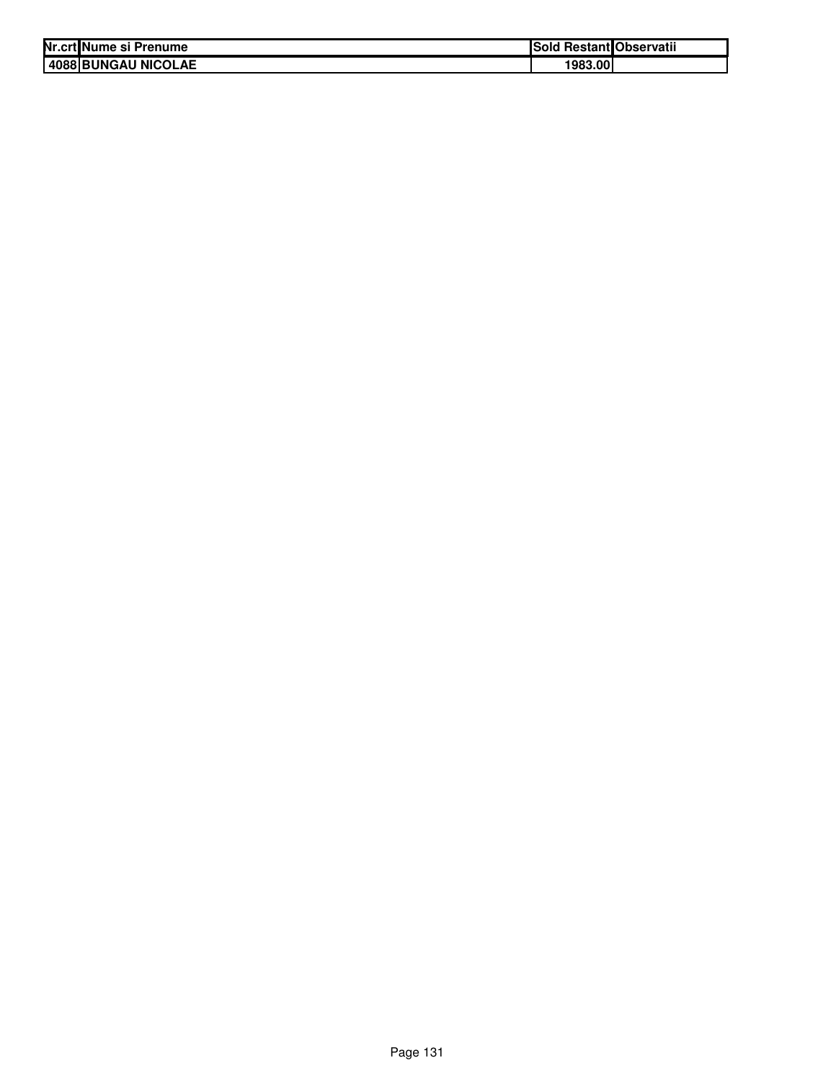| Nr.crt Nume si Prenume | Sold Restant Observatii |  |
|------------------------|-------------------------|--|
| 4088 BUNGAU NICOLAE    | 1983.00                 |  |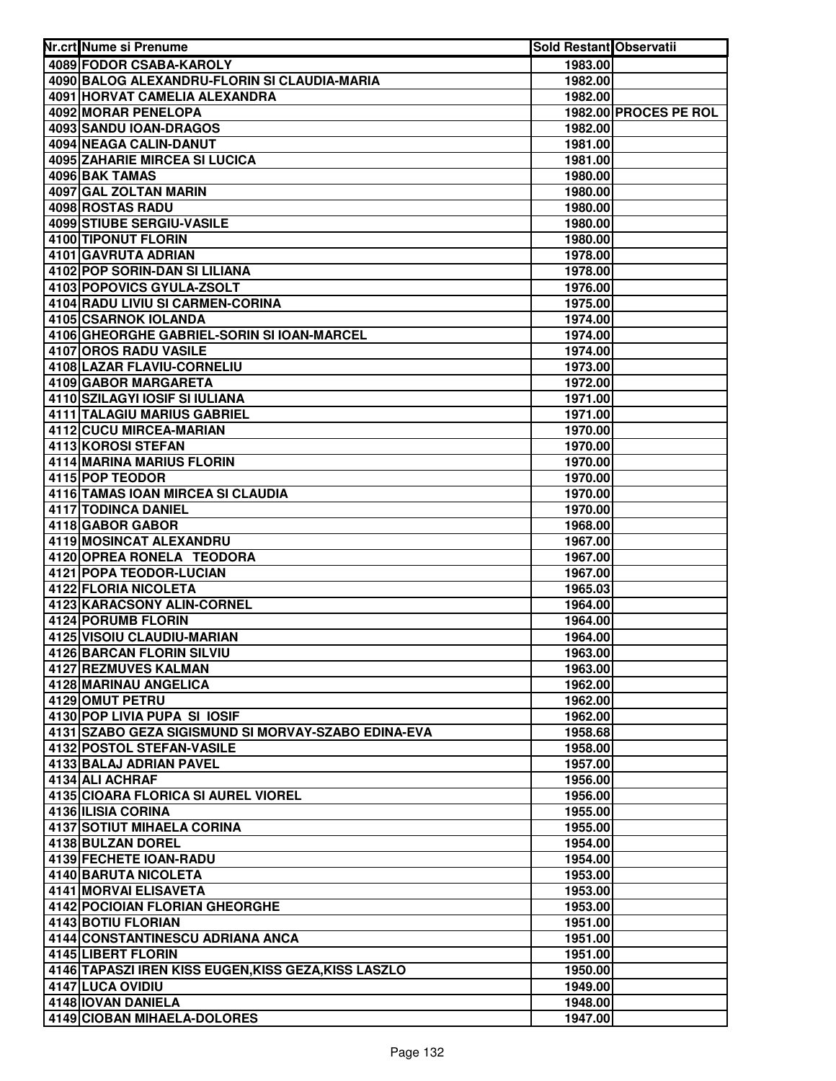| Nr.crt Nume si Prenume                               | Sold Restant Observatii |                       |
|------------------------------------------------------|-------------------------|-----------------------|
| 4089 FODOR CSABA-KAROLY                              | 1983.00                 |                       |
| 4090 BALOG ALEXANDRU-FLORIN SI CLAUDIA-MARIA         | 1982.00                 |                       |
| 4091 HORVAT CAMELIA ALEXANDRA                        | 1982.00                 |                       |
| <b>4092 MORAR PENELOPA</b>                           |                         | 1982.00 PROCES PE ROL |
| 4093 SANDU IOAN-DRAGOS                               | 1982.00                 |                       |
| 4094 NEAGA CALIN-DANUT                               | 1981.00                 |                       |
| 4095 ZAHARIE MIRCEA SI LUCICA                        | 1981.00                 |                       |
| 4096 BAK TAMAS                                       | 1980.00                 |                       |
| 4097 GAL ZOLTAN MARIN                                | 1980.00                 |                       |
| 4098 ROSTAS RADU                                     | 1980.00                 |                       |
| <b>4099 STIUBE SERGIU-VASILE</b>                     | 1980.00                 |                       |
| 4100 TIPONUT FLORIN                                  | 1980.00                 |                       |
| 4101 GAVRUTA ADRIAN                                  | 1978.00                 |                       |
| 4102 POP SORIN-DAN SI LILIANA                        | 1978.00                 |                       |
| 4103 POPOVICS GYULA-ZSOLT                            | 1976.00                 |                       |
| 4104 RADU LIVIU SI CARMEN-CORINA                     | 1975.00                 |                       |
| <b>4105 CSARNOK IOLANDA</b>                          | 1974.00                 |                       |
| 4106 GHEORGHE GABRIEL-SORIN SI IOAN-MARCEL           | 1974.00                 |                       |
| 4107 OROS RADU VASILE                                | 1974.00                 |                       |
| 4108 LAZAR FLAVIU-CORNELIU                           | 1973.00                 |                       |
| 4109 GABOR MARGARETA                                 | 1972.00                 |                       |
| 4110 SZILAGYI IOSIF SI IULIANA                       | 1971.00                 |                       |
| 4111 TALAGIU MARIUS GABRIEL                          | 1971.00                 |                       |
| 4112 CUCU MIRCEA-MARIAN                              | 1970.00                 |                       |
| 4113 KOROSI STEFAN                                   | 1970.00                 |                       |
| 4114 MARINA MARIUS FLORIN                            | 1970.00                 |                       |
| 4115 POP TEODOR                                      | 1970.00                 |                       |
| 4116 TAMAS IOAN MIRCEA SI CLAUDIA                    | 1970.00                 |                       |
| 4117 TODINCA DANIEL                                  | 1970.00                 |                       |
| 4118 GABOR GABOR                                     | 1968.00                 |                       |
| 4119 MOSINCAT ALEXANDRU                              | 1967.00                 |                       |
| 4120 OPREA RONELA TEODORA                            | 1967.00                 |                       |
| 4121 POPA TEODOR-LUCIAN                              | 1967.00                 |                       |
| 4122 FLORIA NICOLETA                                 | 1965.03                 |                       |
| 4123 KARACSONY ALIN-CORNEL                           | 1964.00                 |                       |
| 4124 PORUMB FLORIN                                   | 1964.00                 |                       |
| 4125 VISOIU CLAUDIU-MARIAN                           | 1964.00                 |                       |
| 4126 BARCAN FLORIN SILVIU                            | 1963.00                 |                       |
| 4127 REZMUVES KALMAN                                 | 1963.00                 |                       |
| 4128 MARINAU ANGELICA                                | 1962.00                 |                       |
| 4129 OMUT PETRU                                      | 1962.00                 |                       |
| 4130 POP LIVIA PUPA SI IOSIF                         | 1962.00                 |                       |
| 4131 SZABO GEZA SIGISMUND SI MORVAY-SZABO EDINA-EVA  | 1958.68                 |                       |
| 4132 POSTOL STEFAN-VASILE                            | 1958.00                 |                       |
| 4133 BALAJ ADRIAN PAVEL                              | 1957.00                 |                       |
| 4134 ALI ACHRAF                                      | 1956.00                 |                       |
| 4135 CIOARA FLORICA SI AUREL VIOREL                  | 1956.00                 |                       |
| 4136 ILISIA CORINA                                   | 1955.00                 |                       |
| <b>4137 SOTIUT MIHAELA CORINA</b>                    | 1955.00                 |                       |
| 4138 BULZAN DOREL                                    | 1954.00                 |                       |
| 4139 FECHETE IOAN-RADU                               | 1954.00                 |                       |
| 4140 BARUTA NICOLETA                                 | 1953.00                 |                       |
| 4141 MORVAI ELISAVETA                                | 1953.00                 |                       |
| 4142 POCIOIAN FLORIAN GHEORGHE                       | 1953.00                 |                       |
| 4143 BOTIU FLORIAN                                   | 1951.00                 |                       |
| 4144 CONSTANTINESCU ADRIANA ANCA                     | 1951.00                 |                       |
| 4145 LIBERT FLORIN                                   | 1951.00                 |                       |
| 4146 TAPASZI IREN KISS EUGEN, KISS GEZA, KISS LASZLO | 1950.00                 |                       |
| 4147 LUCA OVIDIU                                     | 1949.00                 |                       |
| 4148 IOVAN DANIELA                                   | 1948.00                 |                       |
| 4149 CIOBAN MIHAELA-DOLORES                          | 1947.00                 |                       |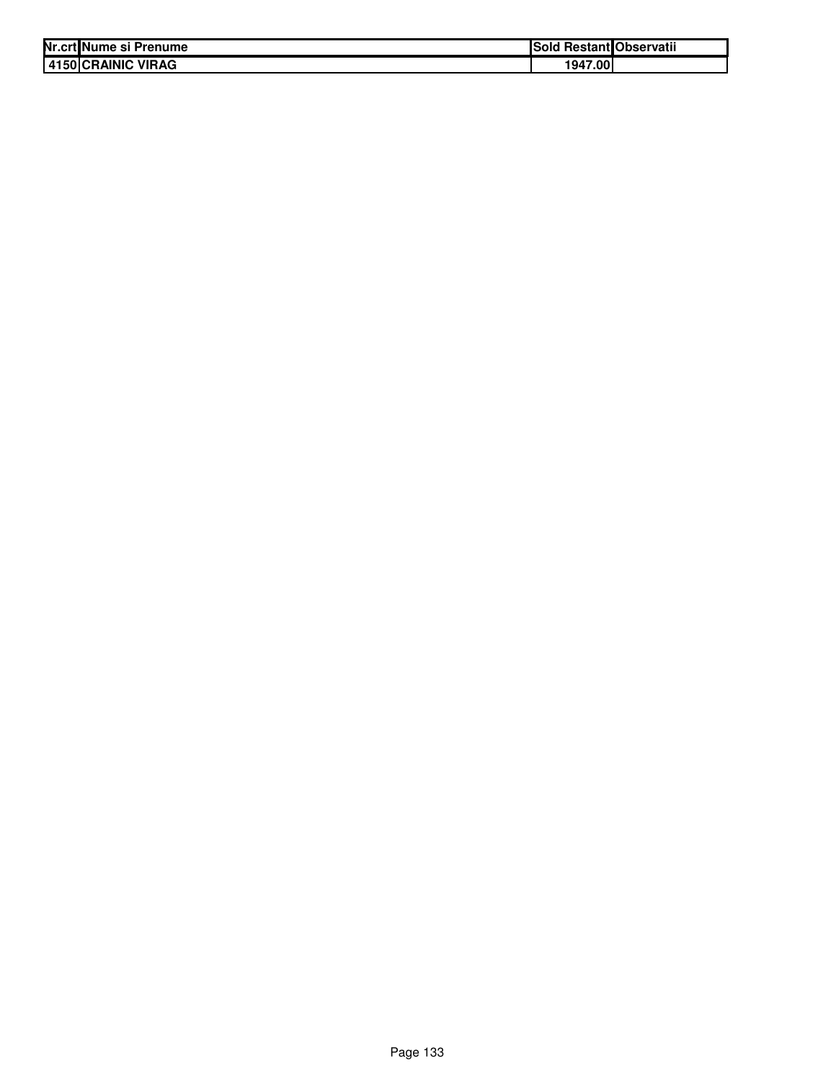| Nr.crt Nume si Prenume | <b>ISold</b> | I Restant Observatii |
|------------------------|--------------|----------------------|
| 4150 CRAINIC VIRAG     | 1947.00      |                      |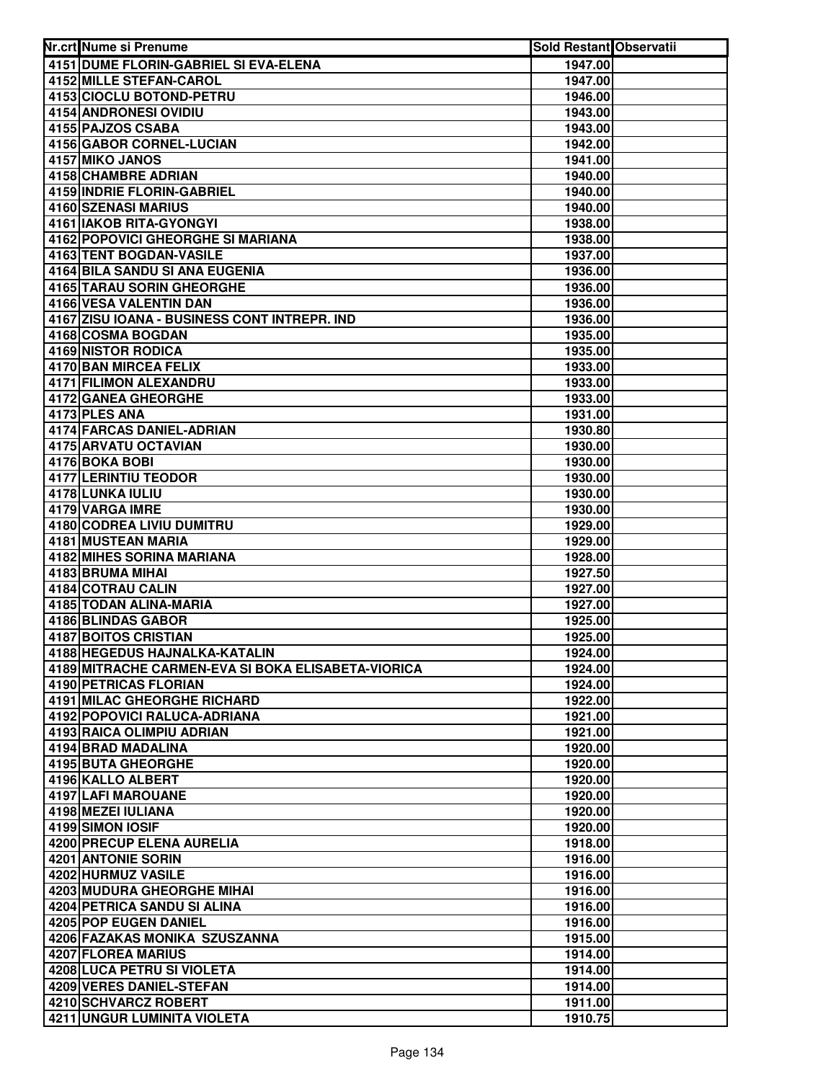| Nr.crt Nume si Prenume                             | <b>Sold Restant Observatii</b> |  |
|----------------------------------------------------|--------------------------------|--|
| 4151 DUME FLORIN-GABRIEL SI EVA-ELENA              | 1947.00                        |  |
| <b>4152 MILLE STEFAN-CAROL</b>                     | 1947.00                        |  |
| 4153 CIOCLU BOTOND-PETRU                           | 1946.00                        |  |
| 4154 ANDRONESI OVIDIU                              | 1943.00                        |  |
| 4155 PAJZOS CSABA                                  | 1943.00                        |  |
| 4156 GABOR CORNEL-LUCIAN                           | 1942.00                        |  |
| 4157 MIKO JANOS                                    | 1941.00                        |  |
| 4158 CHAMBRE ADRIAN                                | 1940.00                        |  |
| 4159 INDRIE FLORIN-GABRIEL                         | 1940.00                        |  |
| 4160 SZENASI MARIUS                                | 1940.00                        |  |
| 4161 IAKOB RITA-GYONGYI                            | 1938.00                        |  |
| 4162 POPOVICI GHEORGHE SI MARIANA                  | 1938.00                        |  |
| 4163 TENT BOGDAN-VASILE                            | 1937.00                        |  |
| 4164 BILA SANDU SI ANA EUGENIA                     | 1936.00                        |  |
| <b>4165 TARAU SORIN GHEORGHE</b>                   | 1936.00                        |  |
| 4166 VESA VALENTIN DAN                             | 1936.00                        |  |
| 4167 ZISU IOANA - BUSINESS CONT INTREPR. IND       | 1936.00                        |  |
| 4168 COSMA BOGDAN                                  | 1935.00                        |  |
| 4169 NISTOR RODICA                                 | 1935.00                        |  |
| <b>4170 BAN MIRCEA FELIX</b>                       | 1933.00                        |  |
| 4171 FILIMON ALEXANDRU                             | 1933.00                        |  |
| 4172 GANEA GHEORGHE                                | 1933.00                        |  |
| 4173 PLES ANA                                      | 1931.00                        |  |
| 4174 FARCAS DANIEL-ADRIAN                          | 1930.80                        |  |
| 4175 ARVATU OCTAVIAN                               | 1930.00                        |  |
| 4176 BOKA BOBI                                     | 1930.00                        |  |
| 4177 LERINTIU TEODOR                               | 1930.00                        |  |
| 4178 LUNKA IULIU                                   | 1930.00                        |  |
| 4179 VARGA IMRE                                    | 1930.00                        |  |
| 4180 CODREA LIVIU DUMITRU<br>4181 MUSTEAN MARIA    | 1929.00                        |  |
| 4182 MIHES SORINA MARIANA                          | 1929.00<br>1928.00             |  |
| 4183 BRUMA MIHAI                                   | 1927.50                        |  |
| 4184 COTRAU CALIN                                  | 1927.00                        |  |
| 4185 TODAN ALINA-MARIA                             | 1927.00                        |  |
| 4186 BLINDAS GABOR                                 | 1925.00                        |  |
| 4187 BOITOS CRISTIAN                               | 1925.00                        |  |
| 4188 HEGEDUS HAJNALKA-KATALIN                      | 1924.00                        |  |
| 4189 MITRACHE CARMEN-EVA SI BOKA ELISABETA-VIORICA | 1924.00                        |  |
| <b>4190 PETRICAS FLORIAN</b>                       | 1924.00                        |  |
| 4191 MILAC GHEORGHE RICHARD                        | 1922.00                        |  |
| 4192 POPOVICI RALUCA-ADRIANA                       | 1921.00                        |  |
| 4193 RAICA OLIMPIU ADRIAN                          | 1921.00                        |  |
| 4194 BRAD MADALINA                                 | 1920.00                        |  |
| 4195 BUTA GHEORGHE                                 | 1920.00                        |  |
| 4196 KALLO ALBERT                                  | 1920.00                        |  |
| 4197 LAFI MAROUANE                                 | 1920.00                        |  |
| 4198 MEZEI IULIANA                                 | 1920.00                        |  |
| 4199 SIMON IOSIF                                   | 1920.00                        |  |
| 4200 PRECUP ELENA AURELIA                          | 1918.00                        |  |
| 4201 ANTONIE SORIN                                 | 1916.00                        |  |
| 4202 HURMUZ VASILE                                 | 1916.00                        |  |
| 4203 MUDURA GHEORGHE MIHAI                         | 1916.00                        |  |
| 4204 PETRICA SANDU SI ALINA                        | 1916.00                        |  |
| 4205 POP EUGEN DANIEL                              | 1916.00                        |  |
| 4206 FAZAKAS MONIKA SZUSZANNA                      | 1915.00                        |  |
| 4207 FLOREA MARIUS                                 | 1914.00                        |  |
| 4208 LUCA PETRU SI VIOLETA                         | 1914.00                        |  |
| 4209 VERES DANIEL-STEFAN                           | 1914.00                        |  |
| 4210 SCHVARCZ ROBERT                               | 1911.00                        |  |
| 4211 UNGUR LUMINITA VIOLETA                        | 1910.75                        |  |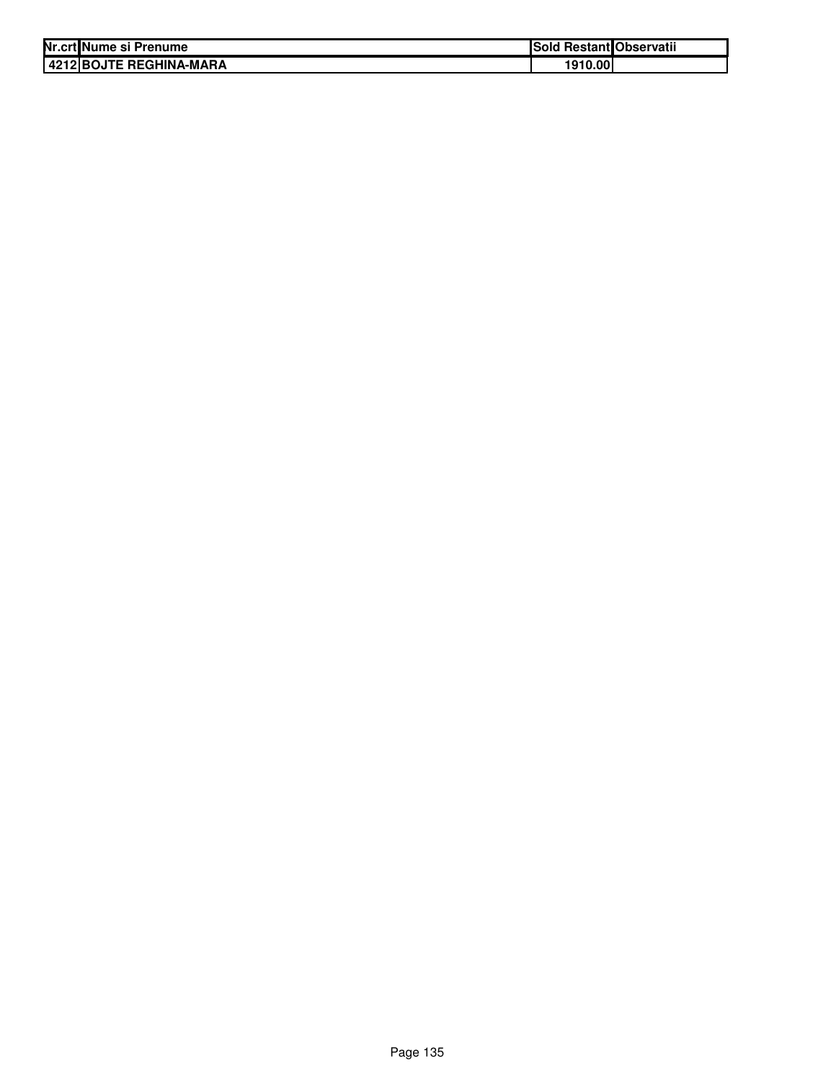| Nr.crt Nume si Prenume    | Sold Restant Observatii |  |
|---------------------------|-------------------------|--|
| l 4212 BOJTE REGHINA-MARA | 1910.00                 |  |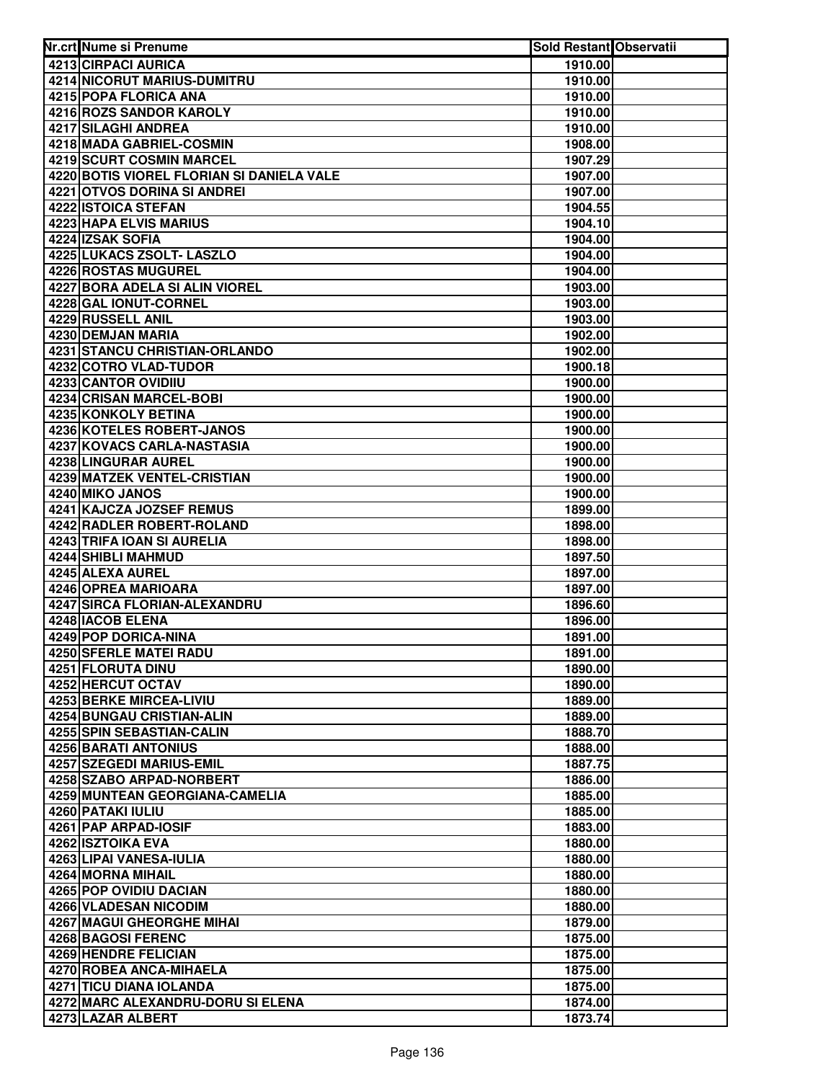| Nr.crt Nume si Prenume                      | <b>Sold Restant Observatii</b> |  |
|---------------------------------------------|--------------------------------|--|
| 4213 CIRPACI AURICA                         | 1910.00                        |  |
| 4214 NICORUT MARIUS-DUMITRU                 | 1910.00                        |  |
| 4215 POPA FLORICA ANA                       | 1910.00                        |  |
| 4216 ROZS SANDOR KAROLY                     | 1910.00                        |  |
| 4217 SILAGHI ANDREA                         | 1910.00                        |  |
| 4218 MADA GABRIEL-COSMIN                    | 1908.00                        |  |
| <b>4219 SCURT COSMIN MARCEL</b>             | 1907.29                        |  |
| 4220 BOTIS VIOREL FLORIAN SI DANIELA VALE   | 1907.00                        |  |
| 4221 OTVOS DORINA SI ANDREI                 | 1907.00                        |  |
| 4222 ISTOICA STEFAN                         | 1904.55                        |  |
| 4223 HAPA ELVIS MARIUS                      | 1904.10                        |  |
| 4224 IZSAK SOFIA                            | 1904.00                        |  |
| 4225 LUKACS ZSOLT- LASZLO                   | 1904.00                        |  |
| 4226 ROSTAS MUGUREL                         | 1904.00                        |  |
| 4227 BORA ADELA SI ALIN VIOREL              | 1903.00                        |  |
| 4228 GAL IONUT-CORNEL                       | 1903.00                        |  |
| 4229 RUSSELL ANIL                           | 1903.00                        |  |
| 4230 DEMJAN MARIA                           | 1902.00                        |  |
| <b>4231 STANCU CHRISTIAN-ORLANDO</b>        | 1902.00                        |  |
| 4232 COTRO VLAD-TUDOR                       | 1900.18                        |  |
| <b>4233 CANTOR OVIDIIU</b>                  | 1900.00                        |  |
| 4234 CRISAN MARCEL-BOBI                     | 1900.00                        |  |
| 4235 KONKOLY BETINA                         | 1900.00                        |  |
| 4236 KOTELES ROBERT-JANOS                   | 1900.00                        |  |
| 4237 KOVACS CARLA-NASTASIA                  | 1900.00                        |  |
| 4238 LINGURAR AUREL                         | 1900.00                        |  |
| 4239 MATZEK VENTEL-CRISTIAN                 | 1900.00                        |  |
| 4240 MIKO JANOS                             | 1900.00                        |  |
| 4241 KAJCZA JOZSEF REMUS                    | 1899.00                        |  |
| 4242 RADLER ROBERT-ROLAND                   | 1898.00                        |  |
| 4243 TRIFA IOAN SI AURELIA                  | 1898.00                        |  |
| 4244 SHIBLI MAHMUD                          | 1897.50                        |  |
| 4245 ALEXA AUREL                            | 1897.00                        |  |
| 4246 OPREA MARIOARA                         | 1897.00                        |  |
| 4247 SIRCA FLORIAN-ALEXANDRU                | 1896.60                        |  |
| 4248 IACOB ELENA                            | 1896.00                        |  |
| 4249 POP DORICA-NINA                        | 1891.00                        |  |
| 4250 SFERLE MATEI RADU                      | 1891.00                        |  |
| <b>4251 FLORUTA DINU</b>                    | 1890.00                        |  |
| 4252 HERCUT OCTAV                           | 1890.00                        |  |
| 4253 BERKE MIRCEA-LIVIU                     | 1889.00                        |  |
| <b>4254 BUNGAU CRISTIAN-ALIN</b>            | 1889.00                        |  |
| 4255 SPIN SEBASTIAN-CALIN                   | 1888.70                        |  |
| 4256 BARATI ANTONIUS                        | 1888.00                        |  |
| 4257 SZEGEDI MARIUS-EMIL                    | 1887.75                        |  |
| 4258 SZABO ARPAD-NORBERT                    | 1886.00                        |  |
| 4259 MUNTEAN GEORGIANA-CAMELIA              | 1885.00                        |  |
| 4260 PATAKI IULIU                           | 1885.00                        |  |
| 4261 PAP ARPAD-IOSIF                        | 1883.00                        |  |
| 4262 ISZTOIKA EVA                           | 1880.00                        |  |
| 4263 LIPAI VANESA-IULIA                     | 1880.00                        |  |
| 4264 MORNA MIHAIL<br>4265 POP OVIDIU DACIAN | 1880.00                        |  |
| 4266 VLADESAN NICODIM                       | 1880.00<br>1880.00             |  |
| <b>4267 MAGUI GHEORGHE MIHAI</b>            | 1879.00                        |  |
| 4268 BAGOSI FERENC                          | 1875.00                        |  |
| 4269 HENDRE FELICIAN                        | 1875.00                        |  |
| 4270 ROBEA ANCA-MIHAELA                     | 1875.00                        |  |
| 4271 TICU DIANA IOLANDA                     | 1875.00                        |  |
| 4272 MARC ALEXANDRU-DORU SI ELENA           | 1874.00                        |  |
| 4273 LAZAR ALBERT                           | 1873.74                        |  |
|                                             |                                |  |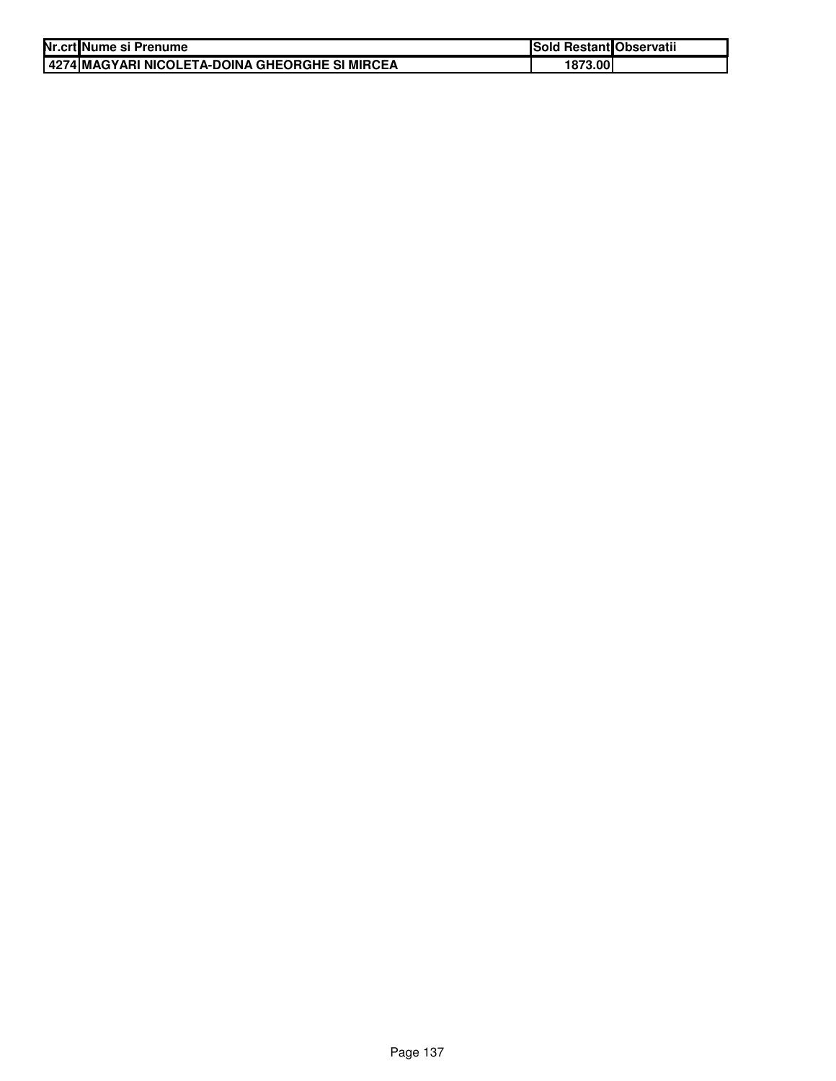| Nr.crt Nume si Prenume                                   | Sold Restant Observatii |  |
|----------------------------------------------------------|-------------------------|--|
| <u>I 4274 IMAGYARI NICOLETA-DOINA GHEORGHE SI MIRCEA</u> | 1873.00                 |  |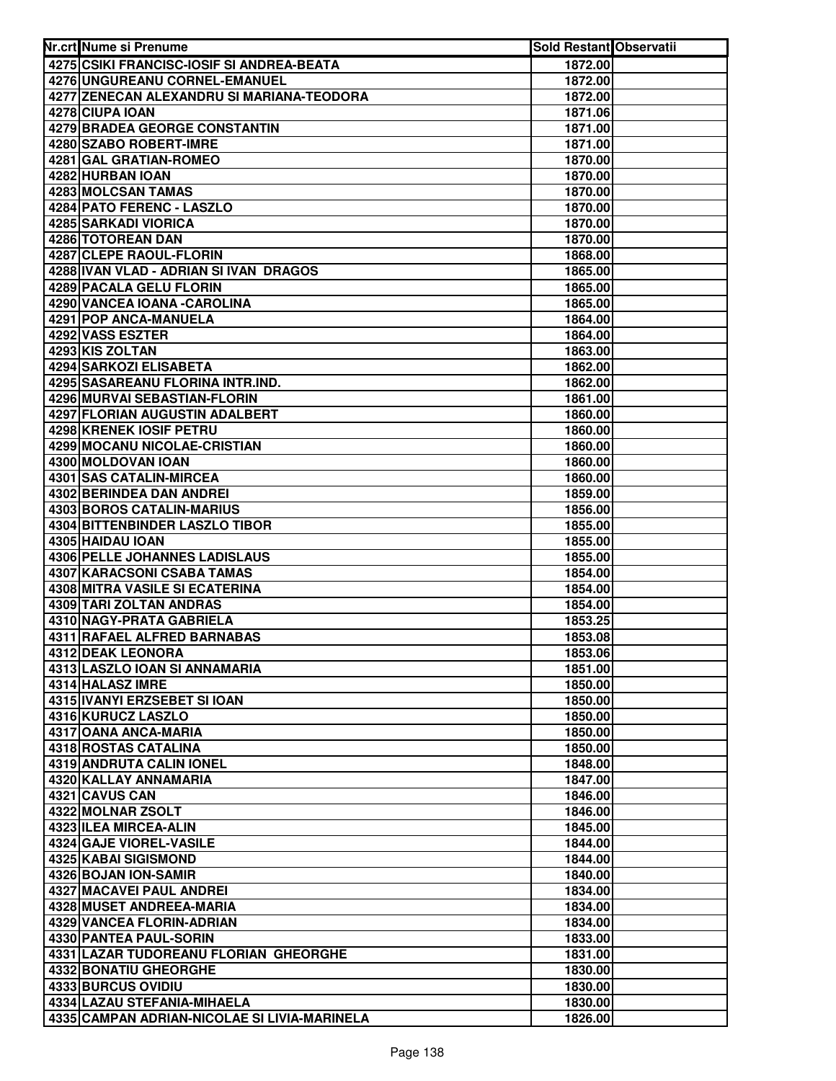| Nr.crt Nume si Prenume                           | Sold Restant Observatii |  |
|--------------------------------------------------|-------------------------|--|
| 4275 CSIKI FRANCISC-IOSIF SI ANDREA-BEATA        | 1872.00                 |  |
| 4276 UNGUREANU CORNEL-EMANUEL                    | 1872.00                 |  |
| 4277 ZENECAN ALEXANDRU SI MARIANA-TEODORA        | 1872.00                 |  |
| 4278 CIUPA IOAN                                  | 1871.06                 |  |
| 4279 BRADEA GEORGE CONSTANTIN                    | 1871.00                 |  |
| 4280 SZABO ROBERT-IMRE                           | 1871.00                 |  |
| 4281 GAL GRATIAN-ROMEO                           | 1870.00                 |  |
| 4282 HURBAN IOAN                                 | 1870.00                 |  |
| 4283 MOLCSAN TAMAS                               | 1870.00                 |  |
| 4284 PATO FERENC - LASZLO                        | 1870.00                 |  |
| 4285 SARKADI VIORICA                             | 1870.00                 |  |
| 4286 TOTOREAN DAN                                | 1870.00                 |  |
| 4287 CLEPE RAOUL-FLORIN                          | 1868.00                 |  |
| 4288 IVAN VLAD - ADRIAN SI IVAN DRAGOS           | 1865.00                 |  |
| 4289 PACALA GELU FLORIN                          | 1865.00                 |  |
| 4290 VANCEA IOANA - CAROLINA                     | 1865.00                 |  |
| 4291 POP ANCA-MANUELA                            | 1864.00                 |  |
| 4292 VASS ESZTER                                 | 1864.00                 |  |
| 4293 KIS ZOLTAN                                  | 1863.00                 |  |
| <b>4294 SARKOZI ELISABETA</b>                    | 1862.00                 |  |
| 4295 SASAREANU FLORINA INTR.IND.                 | 1862.00                 |  |
| 4296 MURVAI SEBASTIAN-FLORIN                     | 1861.00                 |  |
| 4297 FLORIAN AUGUSTIN ADALBERT                   | 1860.00                 |  |
| 4298 KRENEK IOSIF PETRU                          | 1860.00                 |  |
| 4299 MOCANU NICOLAE-CRISTIAN                     | 1860.00                 |  |
| 4300 MOLDOVAN IOAN                               | 1860.00                 |  |
| 4301 SAS CATALIN-MIRCEA                          | 1860.00                 |  |
| 4302 BERINDEA DAN ANDREI                         | 1859.00                 |  |
| 4303 BOROS CATALIN-MARIUS                        | 1856.00                 |  |
| 4304 BITTENBINDER LASZLO TIBOR                   | 1855.00                 |  |
| 4305 HAIDAU IOAN                                 | 1855.00                 |  |
| 4306 PELLE JOHANNES LADISLAUS                    | 1855.00                 |  |
| 4307 KARACSONI CSABA TAMAS                       | 1854.00                 |  |
| 4308 MITRA VASILE SI ECATERINA                   | 1854.00                 |  |
| 4309 TARI ZOLTAN ANDRAS                          | 1854.00                 |  |
| 4310 NAGY-PRATA GABRIELA                         | 1853.25                 |  |
| 4311 RAFAEL ALFRED BARNABAS                      | 1853.08                 |  |
| 4312 DEAK LEONORA                                | 1853.06                 |  |
| 4313 LASZLO IOAN SI ANNAMARIA                    | 1851.00                 |  |
| 4314 HALASZ IMRE                                 | 1850.00                 |  |
| 4315 IVANYI ERZSEBET SI IOAN                     | 1850.00                 |  |
| 4316 KURUCZ LASZLO                               | 1850.00                 |  |
| 4317 OANA ANCA-MARIA                             | 1850.00                 |  |
| 4318 ROSTAS CATALINA                             | 1850.00                 |  |
| 4319 ANDRUTA CALIN IONEL                         | 1848.00                 |  |
| 4320 KALLAY ANNAMARIA                            | 1847.00                 |  |
| 4321 CAVUS CAN                                   | 1846.00                 |  |
| 4322 MOLNAR ZSOLT                                | 1846.00                 |  |
| 4323 ILEA MIRCEA-ALIN                            | 1845.00                 |  |
| 4324 GAJE VIOREL-VASILE<br>4325 KABAI SIGISMOND  | 1844.00                 |  |
|                                                  | 1844.00                 |  |
| 4326 BOJAN ION-SAMIR<br>4327 MACAVEI PAUL ANDREI | 1840.00<br>1834.00      |  |
| 4328 MUSET ANDREEA-MARIA                         | 1834.00                 |  |
| 4329 VANCEA FLORIN-ADRIAN                        | 1834.00                 |  |
| 4330 PANTEA PAUL-SORIN                           | 1833.00                 |  |
| 4331 LAZAR TUDOREANU FLORIAN GHEORGHE            | 1831.00                 |  |
| 4332 BONATIU GHEORGHE                            | 1830.00                 |  |
| 4333 BURCUS OVIDIU                               | 1830.00                 |  |
| 4334 LAZAU STEFANIA-MIHAELA                      | 1830.00                 |  |
| 4335 CAMPAN ADRIAN-NICOLAE SI LIVIA-MARINELA     | 1826.00                 |  |
|                                                  |                         |  |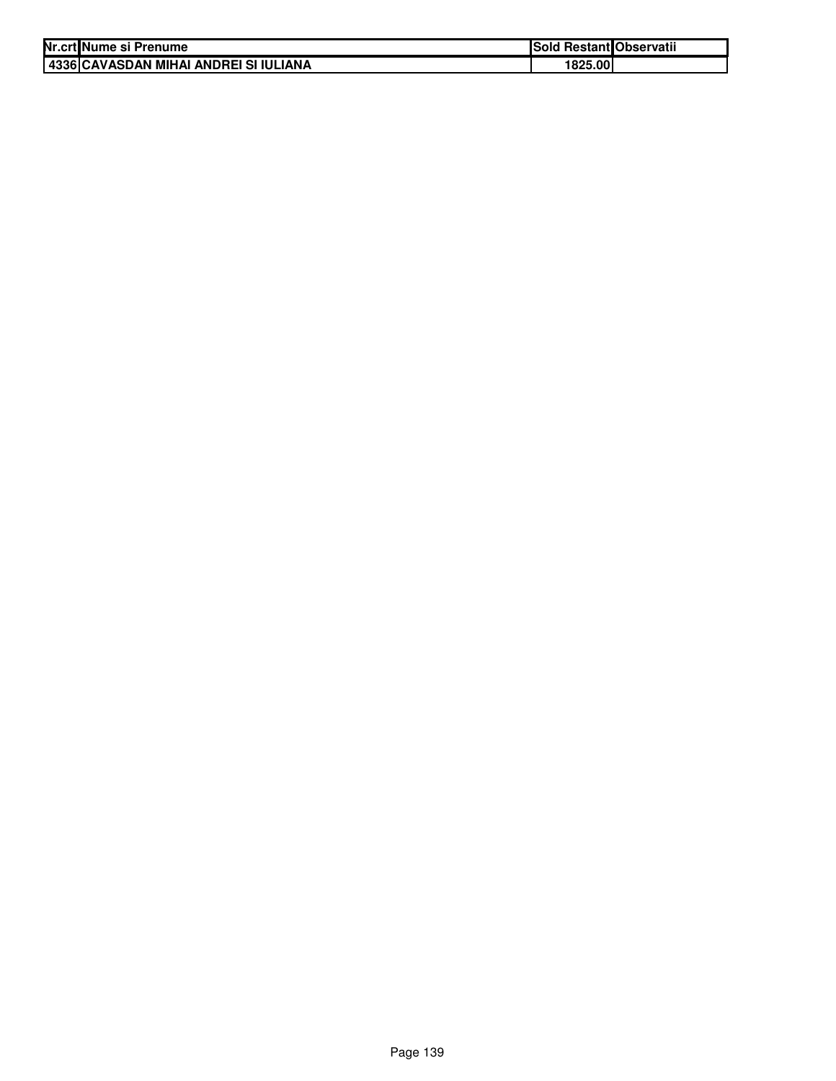| Nr.crt Nume si Prenume                | <b>Sold Restant Observatii</b> |  |
|---------------------------------------|--------------------------------|--|
| 4336 CAVASDAN MIHAI ANDREI SI IULIANA | 1825.00                        |  |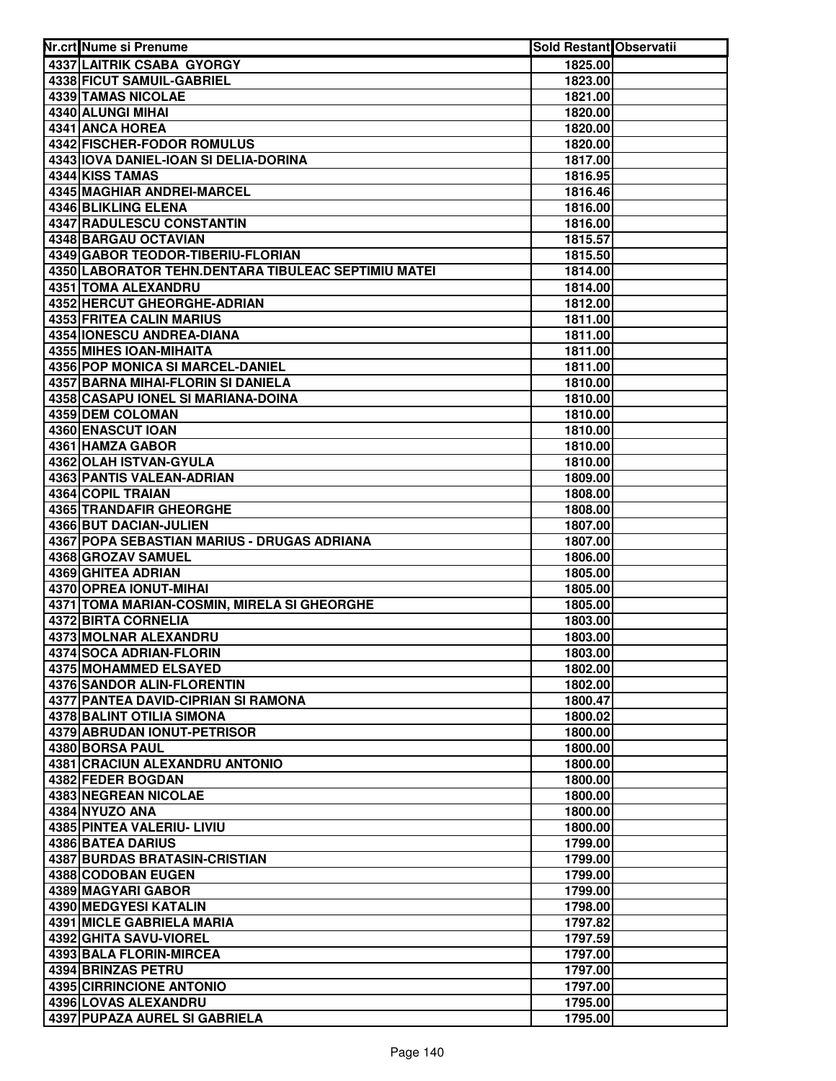| 4337 LAITRIK CSABA GYORGY<br>1825.00<br>4338 FICUT SAMUIL-GABRIEL<br>1823.00<br>4339 TAMAS NICOLAE<br>1821.00<br>4340 ALUNGI MIHAI<br>1820.00<br>4341 ANCA HOREA<br>1820.00<br>4342 FISCHER-FODOR ROMULUS<br>1820.00<br>4343 IOVA DANIEL-IOAN SI DELIA-DORINA<br>1817.00<br>4344 KISS TAMAS<br>1816.95<br>4345 MAGHIAR ANDREI-MARCEL<br>1816.46<br>4346 BLIKLING ELENA<br>1816.00<br>4347 RADULESCU CONSTANTIN<br>1816.00<br>4348 BARGAU OCTAVIAN<br>1815.57<br>4349 GABOR TEODOR-TIBERIU-FLORIAN<br>1815.50<br>4350 LABORATOR TEHN.DENTARA TIBULEAC SEPTIMIU MATEI<br>1814.00<br>4351 TOMA ALEXANDRU<br>1814.00<br>4352 HERCUT GHEORGHE-ADRIAN<br>1812.00<br><b>4353 FRITEA CALIN MARIUS</b><br>1811.00<br><b>4354 IONESCU ANDREA-DIANA</b><br>1811.00<br>4355 MIHES IOAN-MIHAITA<br>1811.00<br>4356 POP MONICA SI MARCEL-DANIEL<br>1811.00<br><b>4357 BARNA MIHAI-FLORIN SI DANIELA</b><br>1810.00<br>4358 CASAPU IONEL SI MARIANA-DOINA<br>1810.00<br>4359 DEM COLOMAN<br>1810.00<br>4360 ENASCUT IOAN<br>1810.00<br>4361 HAMZA GABOR<br>1810.00<br>4362 OLAH ISTVAN-GYULA<br>1810.00<br>4363 PANTIS VALEAN-ADRIAN<br>1809.00<br>4364 COPIL TRAIAN<br>1808.00<br>4365 TRANDAFIR GHEORGHE<br>1808.00<br>4366 BUT DACIAN-JULIEN<br>1807.00<br>4367 POPA SEBASTIAN MARIUS - DRUGAS ADRIANA<br>1807.00<br>4368 GROZAV SAMUEL<br>1806.00<br>4369 GHITEA ADRIAN<br>1805.00<br>4370 OPREA IONUT-MIHAI<br>1805.00<br>4371 TOMA MARIAN-COSMIN, MIRELA SI GHEORGHE<br>1805.00<br>4372 BIRTA CORNELIA<br>1803.00<br>4373 MOLNAR ALEXANDRU<br>1803.00<br>4374 SOCA ADRIAN-FLORIN<br>1803.00<br>4375 MOHAMMED ELSAYED<br>1802.00<br><b>4376 SANDOR ALIN-FLORENTIN</b><br>1802.00<br>4377 PANTEA DAVID-CIPRIAN SI RAMONA<br>1800.47<br>4378 BALINT OTILIA SIMONA<br>1800.02<br>4379 ABRUDAN IONUT-PETRISOR<br>1800.00<br>4380 BORSA PAUL<br>1800.00<br><b>4381 CRACIUN ALEXANDRU ANTONIO</b><br>1800.00<br>4382 FEDER BOGDAN<br>1800.00<br>4383 NEGREAN NICOLAE<br>1800.00<br>4384 NYUZO ANA<br>1800.00<br>4385 PINTEA VALERIU- LIVIU<br>1800.00<br>4386 BATEA DARIUS<br>1799.00<br>4387 BURDAS BRATASIN-CRISTIAN<br>1799.00<br>4388 CODOBAN EUGEN<br>1799.00<br>4389 MAGYARI GABOR<br>1799.00<br>4390 MEDGYESI KATALIN<br>1798.00<br>4391 MICLE GABRIELA MARIA<br>1797.82<br>4392 GHITA SAVU-VIOREL<br>1797.59<br>4393 BALA FLORIN-MIRCEA<br>1797.00<br>4394 BRINZAS PETRU<br>1797.00<br>4395 CIRRINCIONE ANTONIO<br>1797.00<br>4396 LOVAS ALEXANDRU<br>1795.00<br>4397 PUPAZA AUREL SI GABRIELA<br>1795.00 | Nr.crt Nume si Prenume | Sold Restant Observatii |  |
|---------------------------------------------------------------------------------------------------------------------------------------------------------------------------------------------------------------------------------------------------------------------------------------------------------------------------------------------------------------------------------------------------------------------------------------------------------------------------------------------------------------------------------------------------------------------------------------------------------------------------------------------------------------------------------------------------------------------------------------------------------------------------------------------------------------------------------------------------------------------------------------------------------------------------------------------------------------------------------------------------------------------------------------------------------------------------------------------------------------------------------------------------------------------------------------------------------------------------------------------------------------------------------------------------------------------------------------------------------------------------------------------------------------------------------------------------------------------------------------------------------------------------------------------------------------------------------------------------------------------------------------------------------------------------------------------------------------------------------------------------------------------------------------------------------------------------------------------------------------------------------------------------------------------------------------------------------------------------------------------------------------------------------------------------------------------------------------------------------------------------------------------------------------------------------------------------------------------------------------------------------------------------------------------------------------------------------------------------------------------------------------------------------------------------------------------------------------------------------------------------|------------------------|-------------------------|--|
|                                                                                                                                                                                                                                                                                                                                                                                                                                                                                                                                                                                                                                                                                                                                                                                                                                                                                                                                                                                                                                                                                                                                                                                                                                                                                                                                                                                                                                                                                                                                                                                                                                                                                                                                                                                                                                                                                                                                                                                                                                                                                                                                                                                                                                                                                                                                                                                                                                                                                                   |                        |                         |  |
|                                                                                                                                                                                                                                                                                                                                                                                                                                                                                                                                                                                                                                                                                                                                                                                                                                                                                                                                                                                                                                                                                                                                                                                                                                                                                                                                                                                                                                                                                                                                                                                                                                                                                                                                                                                                                                                                                                                                                                                                                                                                                                                                                                                                                                                                                                                                                                                                                                                                                                   |                        |                         |  |
|                                                                                                                                                                                                                                                                                                                                                                                                                                                                                                                                                                                                                                                                                                                                                                                                                                                                                                                                                                                                                                                                                                                                                                                                                                                                                                                                                                                                                                                                                                                                                                                                                                                                                                                                                                                                                                                                                                                                                                                                                                                                                                                                                                                                                                                                                                                                                                                                                                                                                                   |                        |                         |  |
|                                                                                                                                                                                                                                                                                                                                                                                                                                                                                                                                                                                                                                                                                                                                                                                                                                                                                                                                                                                                                                                                                                                                                                                                                                                                                                                                                                                                                                                                                                                                                                                                                                                                                                                                                                                                                                                                                                                                                                                                                                                                                                                                                                                                                                                                                                                                                                                                                                                                                                   |                        |                         |  |
|                                                                                                                                                                                                                                                                                                                                                                                                                                                                                                                                                                                                                                                                                                                                                                                                                                                                                                                                                                                                                                                                                                                                                                                                                                                                                                                                                                                                                                                                                                                                                                                                                                                                                                                                                                                                                                                                                                                                                                                                                                                                                                                                                                                                                                                                                                                                                                                                                                                                                                   |                        |                         |  |
|                                                                                                                                                                                                                                                                                                                                                                                                                                                                                                                                                                                                                                                                                                                                                                                                                                                                                                                                                                                                                                                                                                                                                                                                                                                                                                                                                                                                                                                                                                                                                                                                                                                                                                                                                                                                                                                                                                                                                                                                                                                                                                                                                                                                                                                                                                                                                                                                                                                                                                   |                        |                         |  |
|                                                                                                                                                                                                                                                                                                                                                                                                                                                                                                                                                                                                                                                                                                                                                                                                                                                                                                                                                                                                                                                                                                                                                                                                                                                                                                                                                                                                                                                                                                                                                                                                                                                                                                                                                                                                                                                                                                                                                                                                                                                                                                                                                                                                                                                                                                                                                                                                                                                                                                   |                        |                         |  |
|                                                                                                                                                                                                                                                                                                                                                                                                                                                                                                                                                                                                                                                                                                                                                                                                                                                                                                                                                                                                                                                                                                                                                                                                                                                                                                                                                                                                                                                                                                                                                                                                                                                                                                                                                                                                                                                                                                                                                                                                                                                                                                                                                                                                                                                                                                                                                                                                                                                                                                   |                        |                         |  |
|                                                                                                                                                                                                                                                                                                                                                                                                                                                                                                                                                                                                                                                                                                                                                                                                                                                                                                                                                                                                                                                                                                                                                                                                                                                                                                                                                                                                                                                                                                                                                                                                                                                                                                                                                                                                                                                                                                                                                                                                                                                                                                                                                                                                                                                                                                                                                                                                                                                                                                   |                        |                         |  |
|                                                                                                                                                                                                                                                                                                                                                                                                                                                                                                                                                                                                                                                                                                                                                                                                                                                                                                                                                                                                                                                                                                                                                                                                                                                                                                                                                                                                                                                                                                                                                                                                                                                                                                                                                                                                                                                                                                                                                                                                                                                                                                                                                                                                                                                                                                                                                                                                                                                                                                   |                        |                         |  |
|                                                                                                                                                                                                                                                                                                                                                                                                                                                                                                                                                                                                                                                                                                                                                                                                                                                                                                                                                                                                                                                                                                                                                                                                                                                                                                                                                                                                                                                                                                                                                                                                                                                                                                                                                                                                                                                                                                                                                                                                                                                                                                                                                                                                                                                                                                                                                                                                                                                                                                   |                        |                         |  |
|                                                                                                                                                                                                                                                                                                                                                                                                                                                                                                                                                                                                                                                                                                                                                                                                                                                                                                                                                                                                                                                                                                                                                                                                                                                                                                                                                                                                                                                                                                                                                                                                                                                                                                                                                                                                                                                                                                                                                                                                                                                                                                                                                                                                                                                                                                                                                                                                                                                                                                   |                        |                         |  |
|                                                                                                                                                                                                                                                                                                                                                                                                                                                                                                                                                                                                                                                                                                                                                                                                                                                                                                                                                                                                                                                                                                                                                                                                                                                                                                                                                                                                                                                                                                                                                                                                                                                                                                                                                                                                                                                                                                                                                                                                                                                                                                                                                                                                                                                                                                                                                                                                                                                                                                   |                        |                         |  |
|                                                                                                                                                                                                                                                                                                                                                                                                                                                                                                                                                                                                                                                                                                                                                                                                                                                                                                                                                                                                                                                                                                                                                                                                                                                                                                                                                                                                                                                                                                                                                                                                                                                                                                                                                                                                                                                                                                                                                                                                                                                                                                                                                                                                                                                                                                                                                                                                                                                                                                   |                        |                         |  |
|                                                                                                                                                                                                                                                                                                                                                                                                                                                                                                                                                                                                                                                                                                                                                                                                                                                                                                                                                                                                                                                                                                                                                                                                                                                                                                                                                                                                                                                                                                                                                                                                                                                                                                                                                                                                                                                                                                                                                                                                                                                                                                                                                                                                                                                                                                                                                                                                                                                                                                   |                        |                         |  |
|                                                                                                                                                                                                                                                                                                                                                                                                                                                                                                                                                                                                                                                                                                                                                                                                                                                                                                                                                                                                                                                                                                                                                                                                                                                                                                                                                                                                                                                                                                                                                                                                                                                                                                                                                                                                                                                                                                                                                                                                                                                                                                                                                                                                                                                                                                                                                                                                                                                                                                   |                        |                         |  |
|                                                                                                                                                                                                                                                                                                                                                                                                                                                                                                                                                                                                                                                                                                                                                                                                                                                                                                                                                                                                                                                                                                                                                                                                                                                                                                                                                                                                                                                                                                                                                                                                                                                                                                                                                                                                                                                                                                                                                                                                                                                                                                                                                                                                                                                                                                                                                                                                                                                                                                   |                        |                         |  |
|                                                                                                                                                                                                                                                                                                                                                                                                                                                                                                                                                                                                                                                                                                                                                                                                                                                                                                                                                                                                                                                                                                                                                                                                                                                                                                                                                                                                                                                                                                                                                                                                                                                                                                                                                                                                                                                                                                                                                                                                                                                                                                                                                                                                                                                                                                                                                                                                                                                                                                   |                        |                         |  |
|                                                                                                                                                                                                                                                                                                                                                                                                                                                                                                                                                                                                                                                                                                                                                                                                                                                                                                                                                                                                                                                                                                                                                                                                                                                                                                                                                                                                                                                                                                                                                                                                                                                                                                                                                                                                                                                                                                                                                                                                                                                                                                                                                                                                                                                                                                                                                                                                                                                                                                   |                        |                         |  |
|                                                                                                                                                                                                                                                                                                                                                                                                                                                                                                                                                                                                                                                                                                                                                                                                                                                                                                                                                                                                                                                                                                                                                                                                                                                                                                                                                                                                                                                                                                                                                                                                                                                                                                                                                                                                                                                                                                                                                                                                                                                                                                                                                                                                                                                                                                                                                                                                                                                                                                   |                        |                         |  |
|                                                                                                                                                                                                                                                                                                                                                                                                                                                                                                                                                                                                                                                                                                                                                                                                                                                                                                                                                                                                                                                                                                                                                                                                                                                                                                                                                                                                                                                                                                                                                                                                                                                                                                                                                                                                                                                                                                                                                                                                                                                                                                                                                                                                                                                                                                                                                                                                                                                                                                   |                        |                         |  |
|                                                                                                                                                                                                                                                                                                                                                                                                                                                                                                                                                                                                                                                                                                                                                                                                                                                                                                                                                                                                                                                                                                                                                                                                                                                                                                                                                                                                                                                                                                                                                                                                                                                                                                                                                                                                                                                                                                                                                                                                                                                                                                                                                                                                                                                                                                                                                                                                                                                                                                   |                        |                         |  |
|                                                                                                                                                                                                                                                                                                                                                                                                                                                                                                                                                                                                                                                                                                                                                                                                                                                                                                                                                                                                                                                                                                                                                                                                                                                                                                                                                                                                                                                                                                                                                                                                                                                                                                                                                                                                                                                                                                                                                                                                                                                                                                                                                                                                                                                                                                                                                                                                                                                                                                   |                        |                         |  |
|                                                                                                                                                                                                                                                                                                                                                                                                                                                                                                                                                                                                                                                                                                                                                                                                                                                                                                                                                                                                                                                                                                                                                                                                                                                                                                                                                                                                                                                                                                                                                                                                                                                                                                                                                                                                                                                                                                                                                                                                                                                                                                                                                                                                                                                                                                                                                                                                                                                                                                   |                        |                         |  |
|                                                                                                                                                                                                                                                                                                                                                                                                                                                                                                                                                                                                                                                                                                                                                                                                                                                                                                                                                                                                                                                                                                                                                                                                                                                                                                                                                                                                                                                                                                                                                                                                                                                                                                                                                                                                                                                                                                                                                                                                                                                                                                                                                                                                                                                                                                                                                                                                                                                                                                   |                        |                         |  |
|                                                                                                                                                                                                                                                                                                                                                                                                                                                                                                                                                                                                                                                                                                                                                                                                                                                                                                                                                                                                                                                                                                                                                                                                                                                                                                                                                                                                                                                                                                                                                                                                                                                                                                                                                                                                                                                                                                                                                                                                                                                                                                                                                                                                                                                                                                                                                                                                                                                                                                   |                        |                         |  |
|                                                                                                                                                                                                                                                                                                                                                                                                                                                                                                                                                                                                                                                                                                                                                                                                                                                                                                                                                                                                                                                                                                                                                                                                                                                                                                                                                                                                                                                                                                                                                                                                                                                                                                                                                                                                                                                                                                                                                                                                                                                                                                                                                                                                                                                                                                                                                                                                                                                                                                   |                        |                         |  |
|                                                                                                                                                                                                                                                                                                                                                                                                                                                                                                                                                                                                                                                                                                                                                                                                                                                                                                                                                                                                                                                                                                                                                                                                                                                                                                                                                                                                                                                                                                                                                                                                                                                                                                                                                                                                                                                                                                                                                                                                                                                                                                                                                                                                                                                                                                                                                                                                                                                                                                   |                        |                         |  |
|                                                                                                                                                                                                                                                                                                                                                                                                                                                                                                                                                                                                                                                                                                                                                                                                                                                                                                                                                                                                                                                                                                                                                                                                                                                                                                                                                                                                                                                                                                                                                                                                                                                                                                                                                                                                                                                                                                                                                                                                                                                                                                                                                                                                                                                                                                                                                                                                                                                                                                   |                        |                         |  |
|                                                                                                                                                                                                                                                                                                                                                                                                                                                                                                                                                                                                                                                                                                                                                                                                                                                                                                                                                                                                                                                                                                                                                                                                                                                                                                                                                                                                                                                                                                                                                                                                                                                                                                                                                                                                                                                                                                                                                                                                                                                                                                                                                                                                                                                                                                                                                                                                                                                                                                   |                        |                         |  |
|                                                                                                                                                                                                                                                                                                                                                                                                                                                                                                                                                                                                                                                                                                                                                                                                                                                                                                                                                                                                                                                                                                                                                                                                                                                                                                                                                                                                                                                                                                                                                                                                                                                                                                                                                                                                                                                                                                                                                                                                                                                                                                                                                                                                                                                                                                                                                                                                                                                                                                   |                        |                         |  |
|                                                                                                                                                                                                                                                                                                                                                                                                                                                                                                                                                                                                                                                                                                                                                                                                                                                                                                                                                                                                                                                                                                                                                                                                                                                                                                                                                                                                                                                                                                                                                                                                                                                                                                                                                                                                                                                                                                                                                                                                                                                                                                                                                                                                                                                                                                                                                                                                                                                                                                   |                        |                         |  |
|                                                                                                                                                                                                                                                                                                                                                                                                                                                                                                                                                                                                                                                                                                                                                                                                                                                                                                                                                                                                                                                                                                                                                                                                                                                                                                                                                                                                                                                                                                                                                                                                                                                                                                                                                                                                                                                                                                                                                                                                                                                                                                                                                                                                                                                                                                                                                                                                                                                                                                   |                        |                         |  |
|                                                                                                                                                                                                                                                                                                                                                                                                                                                                                                                                                                                                                                                                                                                                                                                                                                                                                                                                                                                                                                                                                                                                                                                                                                                                                                                                                                                                                                                                                                                                                                                                                                                                                                                                                                                                                                                                                                                                                                                                                                                                                                                                                                                                                                                                                                                                                                                                                                                                                                   |                        |                         |  |
|                                                                                                                                                                                                                                                                                                                                                                                                                                                                                                                                                                                                                                                                                                                                                                                                                                                                                                                                                                                                                                                                                                                                                                                                                                                                                                                                                                                                                                                                                                                                                                                                                                                                                                                                                                                                                                                                                                                                                                                                                                                                                                                                                                                                                                                                                                                                                                                                                                                                                                   |                        |                         |  |
|                                                                                                                                                                                                                                                                                                                                                                                                                                                                                                                                                                                                                                                                                                                                                                                                                                                                                                                                                                                                                                                                                                                                                                                                                                                                                                                                                                                                                                                                                                                                                                                                                                                                                                                                                                                                                                                                                                                                                                                                                                                                                                                                                                                                                                                                                                                                                                                                                                                                                                   |                        |                         |  |
|                                                                                                                                                                                                                                                                                                                                                                                                                                                                                                                                                                                                                                                                                                                                                                                                                                                                                                                                                                                                                                                                                                                                                                                                                                                                                                                                                                                                                                                                                                                                                                                                                                                                                                                                                                                                                                                                                                                                                                                                                                                                                                                                                                                                                                                                                                                                                                                                                                                                                                   |                        |                         |  |
|                                                                                                                                                                                                                                                                                                                                                                                                                                                                                                                                                                                                                                                                                                                                                                                                                                                                                                                                                                                                                                                                                                                                                                                                                                                                                                                                                                                                                                                                                                                                                                                                                                                                                                                                                                                                                                                                                                                                                                                                                                                                                                                                                                                                                                                                                                                                                                                                                                                                                                   |                        |                         |  |
|                                                                                                                                                                                                                                                                                                                                                                                                                                                                                                                                                                                                                                                                                                                                                                                                                                                                                                                                                                                                                                                                                                                                                                                                                                                                                                                                                                                                                                                                                                                                                                                                                                                                                                                                                                                                                                                                                                                                                                                                                                                                                                                                                                                                                                                                                                                                                                                                                                                                                                   |                        |                         |  |
|                                                                                                                                                                                                                                                                                                                                                                                                                                                                                                                                                                                                                                                                                                                                                                                                                                                                                                                                                                                                                                                                                                                                                                                                                                                                                                                                                                                                                                                                                                                                                                                                                                                                                                                                                                                                                                                                                                                                                                                                                                                                                                                                                                                                                                                                                                                                                                                                                                                                                                   |                        |                         |  |
|                                                                                                                                                                                                                                                                                                                                                                                                                                                                                                                                                                                                                                                                                                                                                                                                                                                                                                                                                                                                                                                                                                                                                                                                                                                                                                                                                                                                                                                                                                                                                                                                                                                                                                                                                                                                                                                                                                                                                                                                                                                                                                                                                                                                                                                                                                                                                                                                                                                                                                   |                        |                         |  |
|                                                                                                                                                                                                                                                                                                                                                                                                                                                                                                                                                                                                                                                                                                                                                                                                                                                                                                                                                                                                                                                                                                                                                                                                                                                                                                                                                                                                                                                                                                                                                                                                                                                                                                                                                                                                                                                                                                                                                                                                                                                                                                                                                                                                                                                                                                                                                                                                                                                                                                   |                        |                         |  |
|                                                                                                                                                                                                                                                                                                                                                                                                                                                                                                                                                                                                                                                                                                                                                                                                                                                                                                                                                                                                                                                                                                                                                                                                                                                                                                                                                                                                                                                                                                                                                                                                                                                                                                                                                                                                                                                                                                                                                                                                                                                                                                                                                                                                                                                                                                                                                                                                                                                                                                   |                        |                         |  |
|                                                                                                                                                                                                                                                                                                                                                                                                                                                                                                                                                                                                                                                                                                                                                                                                                                                                                                                                                                                                                                                                                                                                                                                                                                                                                                                                                                                                                                                                                                                                                                                                                                                                                                                                                                                                                                                                                                                                                                                                                                                                                                                                                                                                                                                                                                                                                                                                                                                                                                   |                        |                         |  |
|                                                                                                                                                                                                                                                                                                                                                                                                                                                                                                                                                                                                                                                                                                                                                                                                                                                                                                                                                                                                                                                                                                                                                                                                                                                                                                                                                                                                                                                                                                                                                                                                                                                                                                                                                                                                                                                                                                                                                                                                                                                                                                                                                                                                                                                                                                                                                                                                                                                                                                   |                        |                         |  |
|                                                                                                                                                                                                                                                                                                                                                                                                                                                                                                                                                                                                                                                                                                                                                                                                                                                                                                                                                                                                                                                                                                                                                                                                                                                                                                                                                                                                                                                                                                                                                                                                                                                                                                                                                                                                                                                                                                                                                                                                                                                                                                                                                                                                                                                                                                                                                                                                                                                                                                   |                        |                         |  |
|                                                                                                                                                                                                                                                                                                                                                                                                                                                                                                                                                                                                                                                                                                                                                                                                                                                                                                                                                                                                                                                                                                                                                                                                                                                                                                                                                                                                                                                                                                                                                                                                                                                                                                                                                                                                                                                                                                                                                                                                                                                                                                                                                                                                                                                                                                                                                                                                                                                                                                   |                        |                         |  |
|                                                                                                                                                                                                                                                                                                                                                                                                                                                                                                                                                                                                                                                                                                                                                                                                                                                                                                                                                                                                                                                                                                                                                                                                                                                                                                                                                                                                                                                                                                                                                                                                                                                                                                                                                                                                                                                                                                                                                                                                                                                                                                                                                                                                                                                                                                                                                                                                                                                                                                   |                        |                         |  |
|                                                                                                                                                                                                                                                                                                                                                                                                                                                                                                                                                                                                                                                                                                                                                                                                                                                                                                                                                                                                                                                                                                                                                                                                                                                                                                                                                                                                                                                                                                                                                                                                                                                                                                                                                                                                                                                                                                                                                                                                                                                                                                                                                                                                                                                                                                                                                                                                                                                                                                   |                        |                         |  |
|                                                                                                                                                                                                                                                                                                                                                                                                                                                                                                                                                                                                                                                                                                                                                                                                                                                                                                                                                                                                                                                                                                                                                                                                                                                                                                                                                                                                                                                                                                                                                                                                                                                                                                                                                                                                                                                                                                                                                                                                                                                                                                                                                                                                                                                                                                                                                                                                                                                                                                   |                        |                         |  |
|                                                                                                                                                                                                                                                                                                                                                                                                                                                                                                                                                                                                                                                                                                                                                                                                                                                                                                                                                                                                                                                                                                                                                                                                                                                                                                                                                                                                                                                                                                                                                                                                                                                                                                                                                                                                                                                                                                                                                                                                                                                                                                                                                                                                                                                                                                                                                                                                                                                                                                   |                        |                         |  |
|                                                                                                                                                                                                                                                                                                                                                                                                                                                                                                                                                                                                                                                                                                                                                                                                                                                                                                                                                                                                                                                                                                                                                                                                                                                                                                                                                                                                                                                                                                                                                                                                                                                                                                                                                                                                                                                                                                                                                                                                                                                                                                                                                                                                                                                                                                                                                                                                                                                                                                   |                        |                         |  |
|                                                                                                                                                                                                                                                                                                                                                                                                                                                                                                                                                                                                                                                                                                                                                                                                                                                                                                                                                                                                                                                                                                                                                                                                                                                                                                                                                                                                                                                                                                                                                                                                                                                                                                                                                                                                                                                                                                                                                                                                                                                                                                                                                                                                                                                                                                                                                                                                                                                                                                   |                        |                         |  |
|                                                                                                                                                                                                                                                                                                                                                                                                                                                                                                                                                                                                                                                                                                                                                                                                                                                                                                                                                                                                                                                                                                                                                                                                                                                                                                                                                                                                                                                                                                                                                                                                                                                                                                                                                                                                                                                                                                                                                                                                                                                                                                                                                                                                                                                                                                                                                                                                                                                                                                   |                        |                         |  |
|                                                                                                                                                                                                                                                                                                                                                                                                                                                                                                                                                                                                                                                                                                                                                                                                                                                                                                                                                                                                                                                                                                                                                                                                                                                                                                                                                                                                                                                                                                                                                                                                                                                                                                                                                                                                                                                                                                                                                                                                                                                                                                                                                                                                                                                                                                                                                                                                                                                                                                   |                        |                         |  |
|                                                                                                                                                                                                                                                                                                                                                                                                                                                                                                                                                                                                                                                                                                                                                                                                                                                                                                                                                                                                                                                                                                                                                                                                                                                                                                                                                                                                                                                                                                                                                                                                                                                                                                                                                                                                                                                                                                                                                                                                                                                                                                                                                                                                                                                                                                                                                                                                                                                                                                   |                        |                         |  |
|                                                                                                                                                                                                                                                                                                                                                                                                                                                                                                                                                                                                                                                                                                                                                                                                                                                                                                                                                                                                                                                                                                                                                                                                                                                                                                                                                                                                                                                                                                                                                                                                                                                                                                                                                                                                                                                                                                                                                                                                                                                                                                                                                                                                                                                                                                                                                                                                                                                                                                   |                        |                         |  |
|                                                                                                                                                                                                                                                                                                                                                                                                                                                                                                                                                                                                                                                                                                                                                                                                                                                                                                                                                                                                                                                                                                                                                                                                                                                                                                                                                                                                                                                                                                                                                                                                                                                                                                                                                                                                                                                                                                                                                                                                                                                                                                                                                                                                                                                                                                                                                                                                                                                                                                   |                        |                         |  |
|                                                                                                                                                                                                                                                                                                                                                                                                                                                                                                                                                                                                                                                                                                                                                                                                                                                                                                                                                                                                                                                                                                                                                                                                                                                                                                                                                                                                                                                                                                                                                                                                                                                                                                                                                                                                                                                                                                                                                                                                                                                                                                                                                                                                                                                                                                                                                                                                                                                                                                   |                        |                         |  |
|                                                                                                                                                                                                                                                                                                                                                                                                                                                                                                                                                                                                                                                                                                                                                                                                                                                                                                                                                                                                                                                                                                                                                                                                                                                                                                                                                                                                                                                                                                                                                                                                                                                                                                                                                                                                                                                                                                                                                                                                                                                                                                                                                                                                                                                                                                                                                                                                                                                                                                   |                        |                         |  |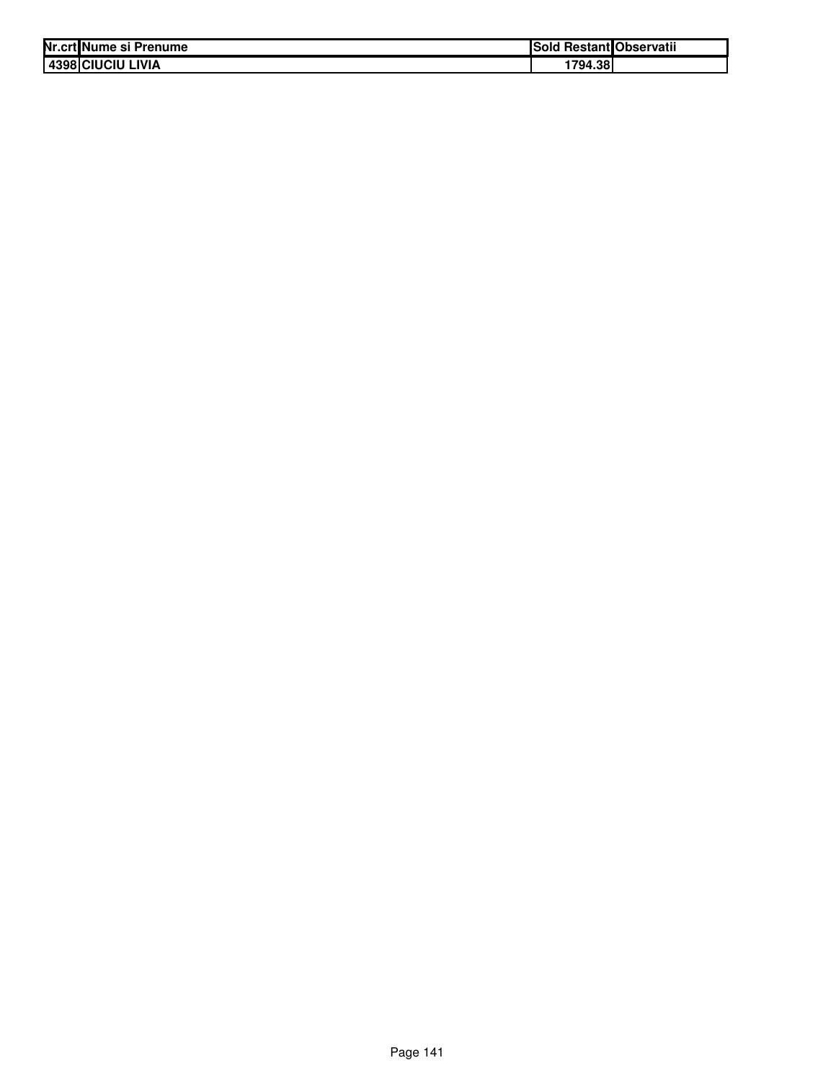| Nr.crt Nume si Prenume | ISold   | l Restant Observatii |
|------------------------|---------|----------------------|
| 4398 CIUCIU LIVIA      | 1794.38 |                      |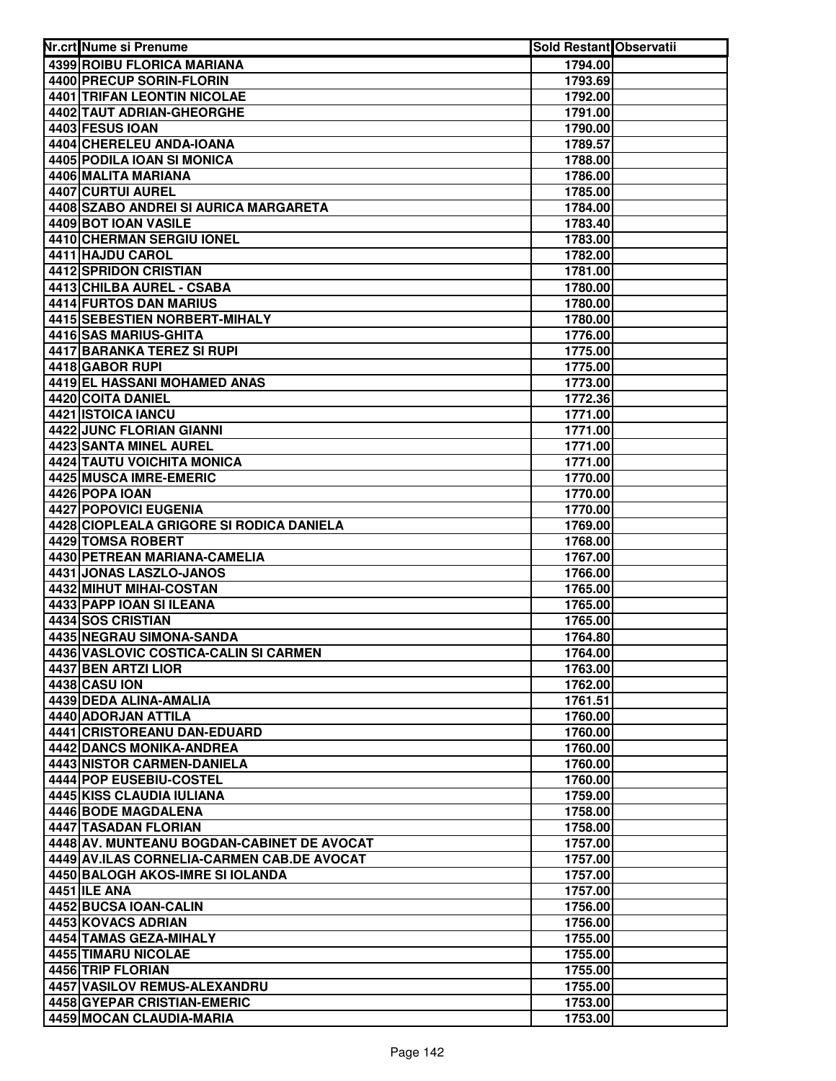| Nr.crt Nume si Prenume                      | <b>Sold Restant Observatii</b> |  |
|---------------------------------------------|--------------------------------|--|
| 4399 ROIBU FLORICA MARIANA                  | 1794.00                        |  |
| 4400 PRECUP SORIN-FLORIN                    | 1793.69                        |  |
| 4401 TRIFAN LEONTIN NICOLAE                 | 1792.00                        |  |
| 4402 TAUT ADRIAN-GHEORGHE                   | 1791.00                        |  |
| 4403 FESUS IOAN                             | 1790.00                        |  |
| 4404 CHERELEU ANDA-IOANA                    | 1789.57                        |  |
| 4405 PODILA IOAN SI MONICA                  | 1788.00                        |  |
| 4406 MALITA MARIANA                         | 1786.00                        |  |
| 4407 CURTUI AUREL                           | 1785.00                        |  |
| 4408 SZABO ANDREI SI AURICA MARGARETA       | 1784.00                        |  |
| 4409 BOT IOAN VASILE                        | 1783.40                        |  |
| 4410 CHERMAN SERGIU IONEL                   | 1783.00                        |  |
| 4411 HAJDU CAROL                            | 1782.00                        |  |
| <b>4412 SPRIDON CRISTIAN</b>                | 1781.00                        |  |
| 4413 CHILBA AUREL - CSABA                   | 1780.00                        |  |
| 4414 FURTOS DAN MARIUS                      | 1780.00                        |  |
| 4415 SEBESTIEN NORBERT-MIHALY               | 1780.00                        |  |
| 4416 SAS MARIUS-GHITA                       | 1776.00                        |  |
| <b>4417 BARANKA TEREZ SI RUPI</b>           | 1775.00                        |  |
| 4418 GABOR RUPI                             | 1775.00                        |  |
| 4419 EL HASSANI MOHAMED ANAS                | 1773.00                        |  |
| 4420 COITA DANIEL                           | 1772.36                        |  |
| 4421 ISTOICA IANCU                          | 1771.00                        |  |
| 4422 JUNC FLORIAN GIANNI                    | 1771.00                        |  |
| 4423 SANTA MINEL AUREL                      | 1771.00                        |  |
| 4424 TAUTU VOICHITA MONICA                  | 1771.00                        |  |
| 4425 MUSCA IMRE-EMERIC                      | 1770.00                        |  |
| 4426 POPA IOAN                              | 1770.00                        |  |
| 4427 POPOVICI EUGENIA                       | 1770.00                        |  |
| 4428 CIOPLEALA GRIGORE SI RODICA DANIELA    | 1769.00                        |  |
| 4429 TOMSA ROBERT                           | 1768.00                        |  |
| 4430 PETREAN MARIANA-CAMELIA                | 1767.00                        |  |
| 4431 JONAS LASZLO-JANOS                     | 1766.00                        |  |
| 4432 MIHUT MIHAI-COSTAN                     | 1765.00                        |  |
| 4433 PAPP IOAN SI ILEANA                    | 1765.00                        |  |
| 4434 SOS CRISTIAN                           | 1765.00                        |  |
| 4435 NEGRAU SIMONA-SANDA                    | 1764.80                        |  |
| 4436 VASLOVIC COSTICA-CALIN SI CARMEN       | 1764.00                        |  |
| 4437 BEN ARTZI LIOR                         | 1763.00                        |  |
| 4438 CASU ION                               | 1762.00                        |  |
| 4439 DEDA ALINA-AMALIA                      | 1761.51                        |  |
| 4440 ADORJAN ATTILA                         | 1760.00                        |  |
| 4441 CRISTOREANU DAN-EDUARD                 | 1760.00                        |  |
| 4442 DANCS MONIKA-ANDREA                    | 1760.00                        |  |
| 4443 NISTOR CARMEN-DANIELA                  | 1760.00                        |  |
| 4444 POP EUSEBIU-COSTEL                     | 1760.00                        |  |
| 4445 KISS CLAUDIA IULIANA                   | 1759.00                        |  |
| 4446 BODE MAGDALENA                         | 1758.00                        |  |
| 4447 TASADAN FLORIAN                        | 1758.00                        |  |
| 4448 AV. MUNTEANU BOGDAN-CABINET DE AVOCAT  | 1757.00                        |  |
| 4449 AV.ILAS CORNELIA-CARMEN CAB.DE AVOCAT  | 1757.00                        |  |
| 4450 BALOGH AKOS-IMRE SI IOLANDA            | 1757.00                        |  |
| <b>4451 ILE ANA</b>                         | 1757.00                        |  |
| 4452 BUCSA IOAN-CALIN<br>4453 KOVACS ADRIAN | 1756.00                        |  |
| 4454 TAMAS GEZA-MIHALY                      | 1756.00                        |  |
| 4455 TIMARU NICOLAE                         | 1755.00<br>1755.00             |  |
| 4456 TRIP FLORIAN                           | 1755.00                        |  |
| 4457 VASILOV REMUS-ALEXANDRU                | 1755.00                        |  |
| 4458 GYEPAR CRISTIAN-EMERIC                 | 1753.00                        |  |
| 4459 MOCAN CLAUDIA-MARIA                    | 1753.00                        |  |
|                                             |                                |  |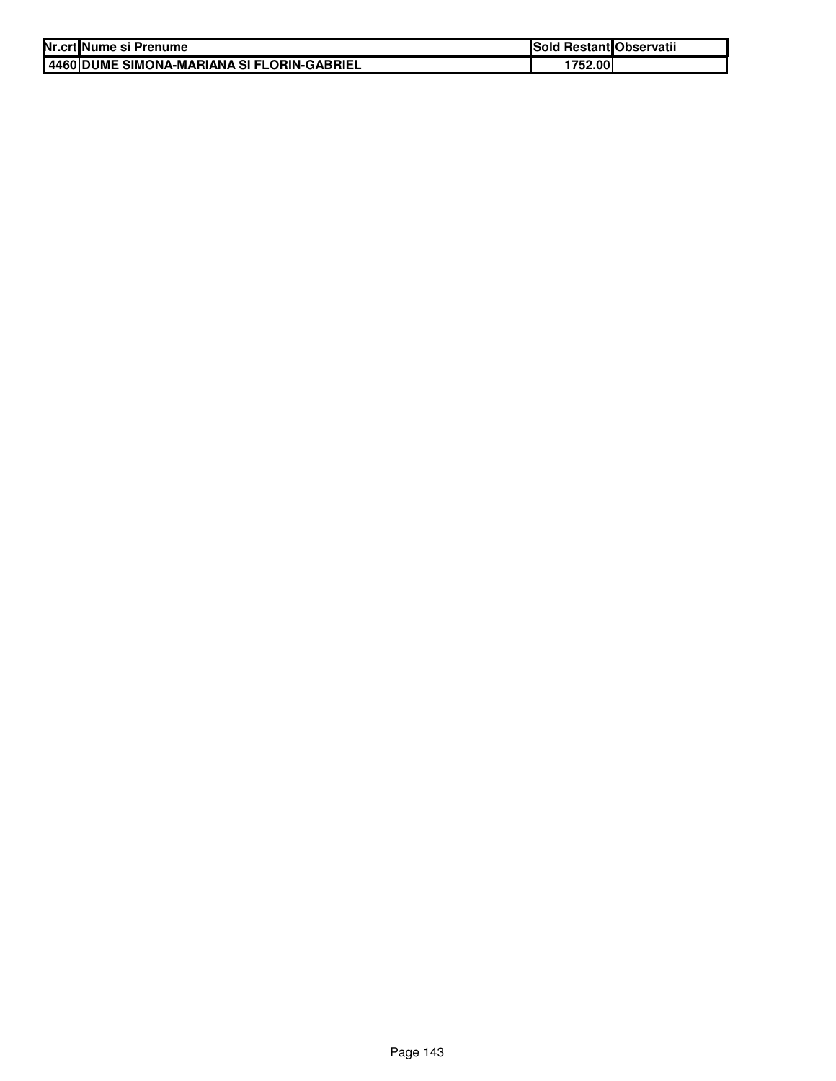| Nr.crt Nume si Prenume                       | <b>Sold Restant Observatii</b> |  |
|----------------------------------------------|--------------------------------|--|
| I 4460 DUME SIMONA-MARIANA SI FLORIN-GABRIEL | 1752.00                        |  |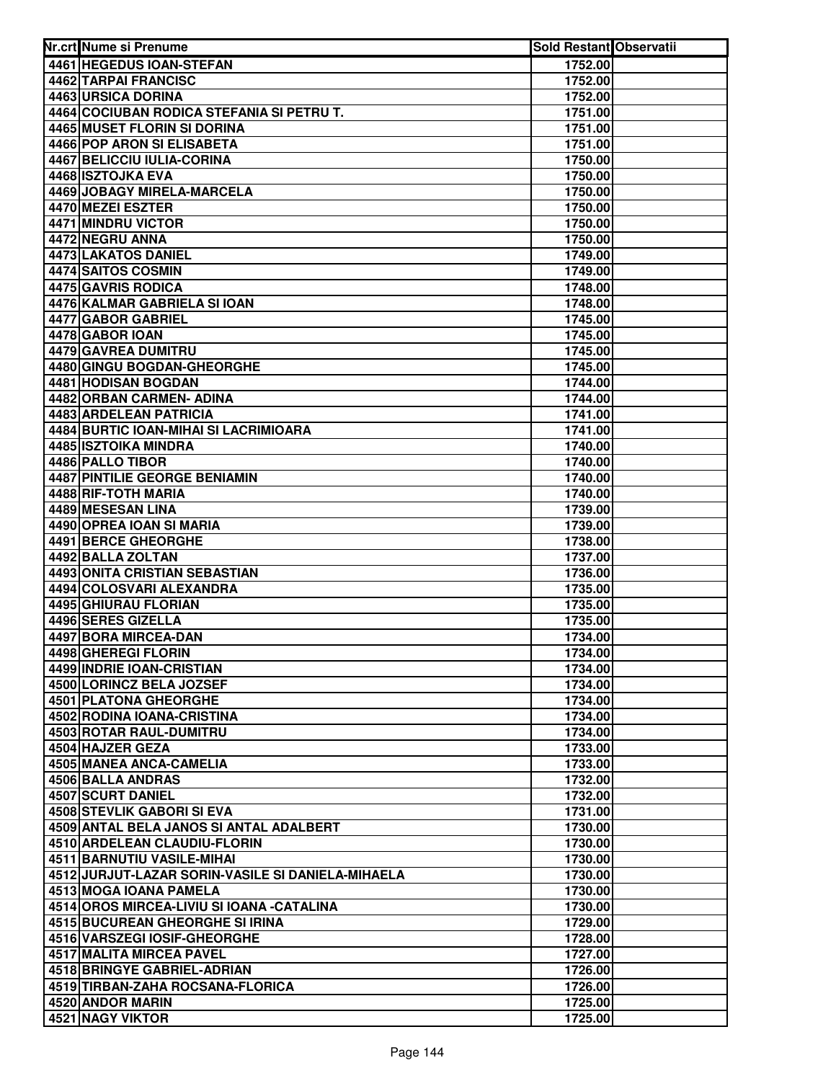| Nr.crt Nume si Prenume                            | Sold Restant Observatii |  |
|---------------------------------------------------|-------------------------|--|
| 4461 HEGEDUS IOAN-STEFAN                          | 1752.00                 |  |
| 4462 TARPAI FRANCISC                              | 1752.00                 |  |
| 4463 URSICA DORINA                                | 1752.00                 |  |
| 4464 COCIUBAN RODICA STEFANIA SI PETRU T.         | 1751.00                 |  |
| 4465 MUSET FLORIN SI DORINA                       | 1751.00                 |  |
| 4466 POP ARON SI ELISABETA                        | 1751.00                 |  |
| 4467 BELICCIU IULIA-CORINA                        | 1750.00                 |  |
| 4468 ISZTOJKA EVA                                 | 1750.00                 |  |
| <b>4469 JOBAGY MIRELA-MARCELA</b>                 | 1750.00                 |  |
| 4470 MEZEI ESZTER                                 | 1750.00                 |  |
| 4471 MINDRU VICTOR                                | 1750.00                 |  |
| 4472 NEGRU ANNA                                   | 1750.00                 |  |
| 4473 LAKATOS DANIEL                               | 1749.00                 |  |
| 4474 SAITOS COSMIN                                | 1749.00                 |  |
| 4475 GAVRIS RODICA                                | 1748.00                 |  |
| 4476 KALMAR GABRIELA SI IOAN                      | 1748.00                 |  |
| 4477 GABOR GABRIEL                                | 1745.00                 |  |
| 4478 GABOR IOAN                                   | 1745.00                 |  |
| <b>4479 GAVREA DUMITRU</b>                        | 1745.00                 |  |
| 4480 GINGU BOGDAN-GHEORGHE                        | 1745.00                 |  |
| 4481 HODISAN BOGDAN                               | 1744.00                 |  |
| 4482 ORBAN CARMEN- ADINA                          | 1744.00                 |  |
| 4483 ARDELEAN PATRICIA                            | 1741.00                 |  |
| 4484 BURTIC IOAN-MIHAI SI LACRIMIOARA             | 1741.00                 |  |
| 4485 ISZTOIKA MINDRA                              | 1740.00                 |  |
| 4486 PALLO TIBOR                                  | 1740.00                 |  |
| 4487 PINTILIE GEORGE BENIAMIN                     | 1740.00                 |  |
| 4488 RIF-TOTH MARIA                               | 1740.00                 |  |
| 4489 MESESAN LINA                                 | 1739.00                 |  |
| 4490 OPREA IOAN SI MARIA                          | 1739.00                 |  |
| 4491 BERCE GHEORGHE                               | 1738.00                 |  |
| 4492 BALLA ZOLTAN                                 | 1737.00                 |  |
| 4493 ONITA CRISTIAN SEBASTIAN                     | 1736.00                 |  |
| 4494 COLOSVARI ALEXANDRA                          | 1735.00                 |  |
| 4495 GHIURAU FLORIAN                              | 1735.00                 |  |
| 4496 SERES GIZELLA                                | 1735.00                 |  |
| 4497 BORA MIRCEA-DAN                              | 1734.00                 |  |
| 4498 GHEREGI FLORIN                               | 1734.00                 |  |
| 4499 INDRIE IOAN-CRISTIAN                         | 1734.00                 |  |
| 4500 LORINCZ BELA JOZSEF                          | 1734.00                 |  |
| <b>4501 PLATONA GHEORGHE</b>                      | 1734.00                 |  |
| 4502 RODINA IOANA-CRISTINA                        | 1734.00                 |  |
| 4503 ROTAR RAUL-DUMITRU                           | 1734.00                 |  |
| 4504 HAJZER GEZA                                  | 1733.00                 |  |
| 4505 MANEA ANCA-CAMELIA                           | 1733.00                 |  |
| 4506 BALLA ANDRAS                                 | 1732.00                 |  |
| 4507 SCURT DANIEL                                 | 1732.00                 |  |
| <b>4508 STEVLIK GABORI SI EVA</b>                 | 1731.00                 |  |
| 4509 ANTAL BELA JANOS SI ANTAL ADALBERT           | 1730.00                 |  |
| 4510 ARDELEAN CLAUDIU-FLORIN                      | 1730.00                 |  |
| 4511 BARNUTIU VASILE-MIHAI                        | 1730.00                 |  |
| 4512 JURJUT-LAZAR SORIN-VASILE SI DANIELA-MIHAELA | 1730.00                 |  |
| 4513 MOGA IOANA PAMELA                            | 1730.00                 |  |
| 4514 OROS MIRCEA-LIVIU SI IOANA - CATALINA        | 1730.00                 |  |
| 4515 BUCUREAN GHEORGHE SI IRINA                   | 1729.00                 |  |
| 4516 VARSZEGI IOSIF-GHEORGHE                      | 1728.00                 |  |
| 4517 MALITA MIRCEA PAVEL                          | 1727.00                 |  |
| 4518 BRINGYE GABRIEL-ADRIAN                       | 1726.00                 |  |
| 4519 TIRBAN-ZAHA ROCSANA-FLORICA                  | 1726.00                 |  |
| 4520 ANDOR MARIN                                  | 1725.00                 |  |
| 4521 NAGY VIKTOR                                  | 1725.00                 |  |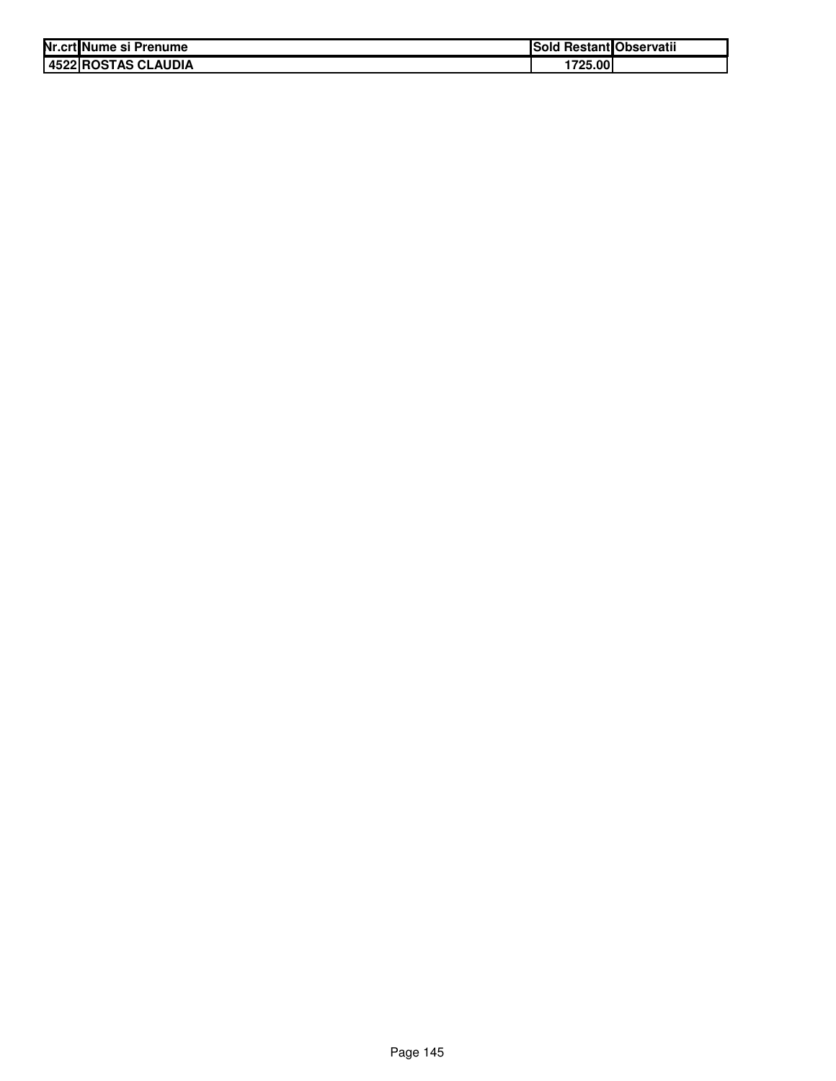| Nr.crt Nume si Prenume | <b>Sold Restant Observatii</b> |
|------------------------|--------------------------------|
| 4522 ROSTAS CLAUDIA    | 1725.00                        |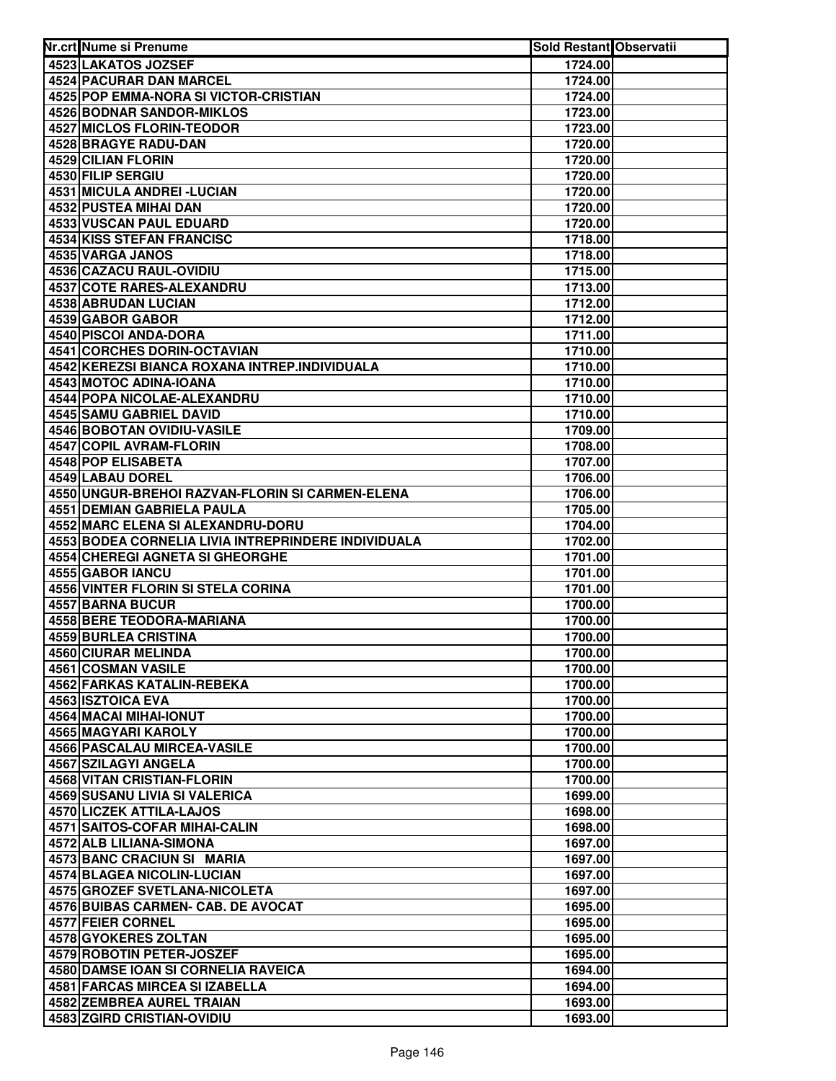| Nr.crt Nume si Prenume                               | Sold Restant Observatii |  |
|------------------------------------------------------|-------------------------|--|
| 4523 LAKATOS JOZSEF                                  | 1724.00                 |  |
| 4524 PACURAR DAN MARCEL                              | 1724.00                 |  |
| 4525 POP EMMA-NORA SI VICTOR-CRISTIAN                | 1724.00                 |  |
| <b>4526 BODNAR SANDOR-MIKLOS</b>                     | 1723.00                 |  |
| <b>4527 MICLOS FLORIN-TEODOR</b>                     | 1723.00                 |  |
| 4528 BRAGYE RADU-DAN                                 | 1720.00                 |  |
| 4529 CILIAN FLORIN                                   | 1720.00                 |  |
| 4530 FILIP SERGIU                                    | 1720.00                 |  |
| 4531 MICULA ANDREI - LUCIAN                          | 1720.00                 |  |
| 4532 PUSTEA MIHAI DAN                                | 1720.00                 |  |
| <b>4533 VUSCAN PAUL EDUARD</b>                       | 1720.00                 |  |
| <b>4534 KISS STEFAN FRANCISC</b>                     | 1718.00                 |  |
| 4535 VARGA JANOS                                     | 1718.00                 |  |
| 4536 CAZACU RAUL-OVIDIU                              | 1715.00                 |  |
| 4537 COTE RARES-ALEXANDRU                            | 1713.00                 |  |
| 4538 ABRUDAN LUCIAN                                  | 1712.00                 |  |
| 4539 GABOR GABOR                                     | 1712.00                 |  |
| 4540 PISCOI ANDA-DORA                                | 1711.00                 |  |
| <b>4541 CORCHES DORIN-OCTAVIAN</b>                   | 1710.00                 |  |
| 4542 KEREZSI BIANCA ROXANA INTREP.INDIVIDUALA        | 1710.00                 |  |
| 4543 MOTOC ADINA-IOANA                               | 1710.00                 |  |
| 4544 POPA NICOLAE-ALEXANDRU                          | 1710.00                 |  |
| 4545 SAMU GABRIEL DAVID                              | 1710.00                 |  |
| 4546 BOBOTAN OVIDIU-VASILE                           | 1709.00                 |  |
| 4547 COPIL AVRAM-FLORIN                              | 1708.00                 |  |
| 4548 POP ELISABETA                                   | 1707.00                 |  |
| 4549 LABAU DOREL                                     | 1706.00                 |  |
| 4550 UNGUR-BREHOI RAZVAN-FLORIN SI CARMEN-ELENA      | 1706.00                 |  |
| 4551 DEMIAN GABRIELA PAULA                           | 1705.00                 |  |
| 4552 MARC ELENA SI ALEXANDRU-DORU                    | 1704.00                 |  |
| 4553 BODEA CORNELIA LIVIA INTREPRINDERE INDIVIDUALA  | 1702.00                 |  |
| 4554 CHEREGI AGNETA SI GHEORGHE                      | 1701.00                 |  |
| 4555 GABOR IANCU                                     | 1701.00                 |  |
| 4556 VINTER FLORIN SI STELA CORINA                   | 1701.00                 |  |
| 4557 BARNA BUCUR                                     | 1700.00                 |  |
| 4558 BERE TEODORA-MARIANA                            | 1700.00                 |  |
| 4559 BURLEA CRISTINA                                 | 1700.00                 |  |
| 4560 CIURAR MELINDA                                  | 1700.00                 |  |
| 4561 COSMAN VASILE                                   | 1700.00                 |  |
| 4562 FARKAS KATALIN-REBEKA                           | 1700.00<br>1700.00      |  |
| 4563 ISZTOICA EVA                                    |                         |  |
| 4564 MACAI MIHAI-IONUT<br><b>4565 MAGYARI KAROLY</b> | 1700.00<br>1700.00      |  |
| <b>4566 PASCALAU MIRCEA-VASILE</b>                   | 1700.00                 |  |
| 4567 SZILAGYI ANGELA                                 | 1700.00                 |  |
| 4568 VITAN CRISTIAN-FLORIN                           | 1700.00                 |  |
| 4569 SUSANU LIVIA SI VALERICA                        | 1699.00                 |  |
| 4570 LICZEK ATTILA-LAJOS                             | 1698.00                 |  |
| 4571 SAITOS-COFAR MIHAI-CALIN                        | 1698.00                 |  |
| 4572 ALB LILIANA-SIMONA                              | 1697.00                 |  |
| 4573 BANC CRACIUN SI MARIA                           | 1697.00                 |  |
| 4574 BLAGEA NICOLIN-LUCIAN                           | 1697.00                 |  |
| 4575 GROZEF SVETLANA-NICOLETA                        | 1697.00                 |  |
| 4576 BUIBAS CARMEN- CAB. DE AVOCAT                   | 1695.00                 |  |
| 4577 FEIER CORNEL                                    | 1695.00                 |  |
| 4578 GYOKERES ZOLTAN                                 | 1695.00                 |  |
| 4579 ROBOTIN PETER-JOSZEF                            | 1695.00                 |  |
| 4580 DAMSE IOAN SI CORNELIA RAVEICA                  | 1694.00                 |  |
| 4581 FARCAS MIRCEA SI IZABELLA                       | 1694.00                 |  |
| <b>4582 ZEMBREA AUREL TRAIAN</b>                     | 1693.00                 |  |
| 4583 ZGIRD CRISTIAN-OVIDIU                           | 1693.00                 |  |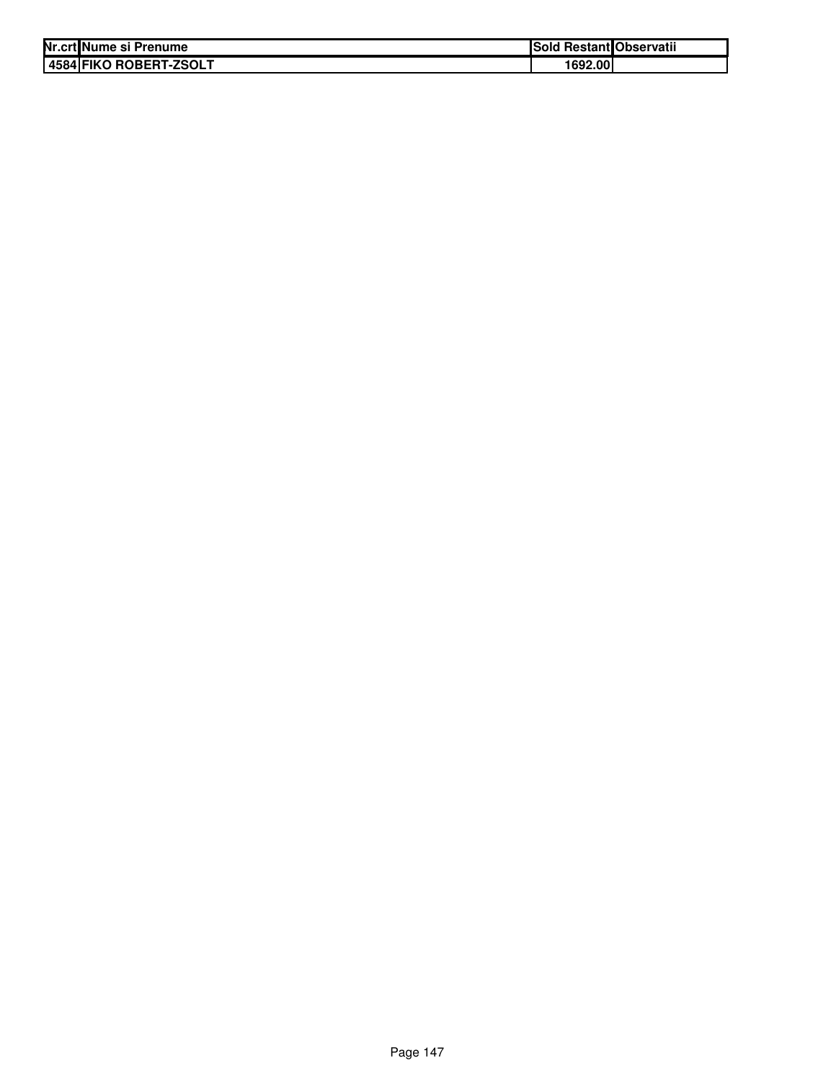| Nr.crt Nume si Prenume | Sold Restant Observatii |  |
|------------------------|-------------------------|--|
| 4584 FIKO ROBERT-ZSOLT | 1692.00                 |  |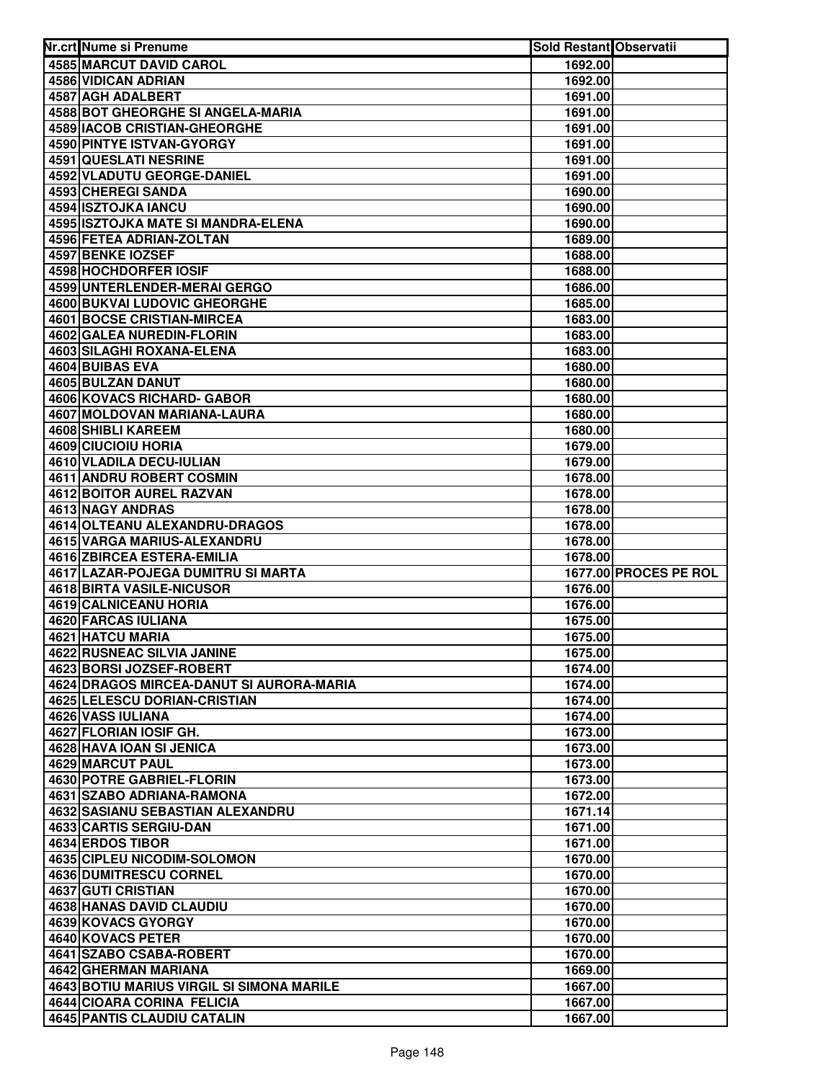| 4585 MARCUT DAVID CAROL<br>1692.00<br>4586 VIDICAN ADRIAN<br>1692.00<br>4587 AGH ADALBERT<br>1691.00<br>4588 BOT GHEORGHE SI ANGELA-MARIA<br>1691.00<br><b>4589 IACOB CRISTIAN-GHEORGHE</b><br>1691.00<br>4590 PINTYE ISTVAN-GYORGY<br>1691.00<br>4591 QUESLATI NESRINE<br>1691.00<br>4592 VLADUTU GEORGE-DANIEL<br>1691.00<br>4593 CHEREGI SANDA<br>1690.00<br>4594 ISZTOJKA IANCU<br>1690.00<br>4595 ISZTOJKA MATE SI MANDRA-ELENA<br>1690.00<br>4596 FETEA ADRIAN-ZOLTAN<br>1689.00<br><b>4597 BENKE IOZSEF</b><br>1688.00<br><b>4598 HOCHDORFER IOSIF</b><br>1688.00<br>4599 UNTERLENDER-MERAI GERGO<br>1686.00<br><b>4600 BUKVAI LUDOVIC GHEORGHE</b><br>1685.00<br>4601 BOCSE CRISTIAN-MIRCEA<br>1683.00<br>4602 GALEA NUREDIN-FLORIN<br>1683.00<br>4603 SILAGHI ROXANA-ELENA<br>1683.00<br>4604 BUIBAS EVA<br>1680.00<br>4605 BULZAN DANUT<br>1680.00<br>4606 KOVACS RICHARD- GABOR<br>1680.00<br>4607 MOLDOVAN MARIANA-LAURA<br>1680.00<br>4608 SHIBLI KAREEM<br>1680.00<br>4609 CIUCIOIU HORIA<br>1679.00<br>4610 VLADILA DECU-IULIAN<br>1679.00<br>4611 ANDRU ROBERT COSMIN<br>1678.00<br><b>4612 BOITOR AUREL RAZVAN</b><br>1678.00<br>4613 NAGY ANDRAS<br>1678.00<br>4614 OLTEANU ALEXANDRU-DRAGOS<br>1678.00<br>4615 VARGA MARIUS-ALEXANDRU<br>1678.00<br>4616 ZBIRCEA ESTERA-EMILIA<br>1678.00<br>1677.00 PROCES PE ROL<br>4617 LAZAR-POJEGA DUMITRU SI MARTA<br>4618 BIRTA VASILE-NICUSOR<br>1676.00<br>4619 CALNICEANU HORIA<br>1676.00<br>4620 FARCAS IULIANA<br>1675.00<br>4621 HATCU MARIA<br>1675.00<br>4622 RUSNEAC SILVIA JANINE<br>1675.00<br>4623 BORSI JOZSEF-ROBERT<br>1674.00<br>4624 DRAGOS MIRCEA-DANUT SI AURORA-MARIA<br>1674.00<br>4625 LELESCU DORIAN-CRISTIAN<br>1674.00<br>4626 VASS IULIANA<br>1674.00<br>4627 FLORIAN IOSIF GH.<br>1673.00<br>4628 HAVA IOAN SI JENICA<br>1673.00<br>4629 MARCUT PAUL<br>1673.00<br><b>4630 POTRE GABRIEL-FLORIN</b><br>1673.00<br>4631 SZABO ADRIANA-RAMONA<br>1672.00<br>4632 SASIANU SEBASTIAN ALEXANDRU<br>1671.14<br>4633 CARTIS SERGIU-DAN<br>1671.00<br>4634 ERDOS TIBOR<br>1671.00<br>4635 CIPLEU NICODIM-SOLOMON<br>1670.00<br>4636 DUMITRESCU CORNEL<br>1670.00<br>4637 GUTI CRISTIAN<br>1670.00<br>4638 HANAS DAVID CLAUDIU<br>1670.00<br>4639 KOVACS GYORGY<br>1670.00<br>4640 KOVACS PETER<br>1670.00<br>4641 SZABO CSABA-ROBERT<br>1670.00<br>4642 GHERMAN MARIANA<br>1669.00<br>4643 BOTIU MARIUS VIRGIL SI SIMONA MARILE<br>1667.00<br>4644 CIOARA CORINA FELICIA<br>1667.00<br>4645 PANTIS CLAUDIU CATALIN<br>1667.00 | Nr.crt Nume si Prenume | Sold Restant Observatii |  |
|-------------------------------------------------------------------------------------------------------------------------------------------------------------------------------------------------------------------------------------------------------------------------------------------------------------------------------------------------------------------------------------------------------------------------------------------------------------------------------------------------------------------------------------------------------------------------------------------------------------------------------------------------------------------------------------------------------------------------------------------------------------------------------------------------------------------------------------------------------------------------------------------------------------------------------------------------------------------------------------------------------------------------------------------------------------------------------------------------------------------------------------------------------------------------------------------------------------------------------------------------------------------------------------------------------------------------------------------------------------------------------------------------------------------------------------------------------------------------------------------------------------------------------------------------------------------------------------------------------------------------------------------------------------------------------------------------------------------------------------------------------------------------------------------------------------------------------------------------------------------------------------------------------------------------------------------------------------------------------------------------------------------------------------------------------------------------------------------------------------------------------------------------------------------------------------------------------------------------------------------------------------------------------------------------------------------------------------------------------------------------------------------------------------------------------------------------------------------------------------------------------------|------------------------|-------------------------|--|
|                                                                                                                                                                                                                                                                                                                                                                                                                                                                                                                                                                                                                                                                                                                                                                                                                                                                                                                                                                                                                                                                                                                                                                                                                                                                                                                                                                                                                                                                                                                                                                                                                                                                                                                                                                                                                                                                                                                                                                                                                                                                                                                                                                                                                                                                                                                                                                                                                                                                                                             |                        |                         |  |
|                                                                                                                                                                                                                                                                                                                                                                                                                                                                                                                                                                                                                                                                                                                                                                                                                                                                                                                                                                                                                                                                                                                                                                                                                                                                                                                                                                                                                                                                                                                                                                                                                                                                                                                                                                                                                                                                                                                                                                                                                                                                                                                                                                                                                                                                                                                                                                                                                                                                                                             |                        |                         |  |
|                                                                                                                                                                                                                                                                                                                                                                                                                                                                                                                                                                                                                                                                                                                                                                                                                                                                                                                                                                                                                                                                                                                                                                                                                                                                                                                                                                                                                                                                                                                                                                                                                                                                                                                                                                                                                                                                                                                                                                                                                                                                                                                                                                                                                                                                                                                                                                                                                                                                                                             |                        |                         |  |
|                                                                                                                                                                                                                                                                                                                                                                                                                                                                                                                                                                                                                                                                                                                                                                                                                                                                                                                                                                                                                                                                                                                                                                                                                                                                                                                                                                                                                                                                                                                                                                                                                                                                                                                                                                                                                                                                                                                                                                                                                                                                                                                                                                                                                                                                                                                                                                                                                                                                                                             |                        |                         |  |
|                                                                                                                                                                                                                                                                                                                                                                                                                                                                                                                                                                                                                                                                                                                                                                                                                                                                                                                                                                                                                                                                                                                                                                                                                                                                                                                                                                                                                                                                                                                                                                                                                                                                                                                                                                                                                                                                                                                                                                                                                                                                                                                                                                                                                                                                                                                                                                                                                                                                                                             |                        |                         |  |
|                                                                                                                                                                                                                                                                                                                                                                                                                                                                                                                                                                                                                                                                                                                                                                                                                                                                                                                                                                                                                                                                                                                                                                                                                                                                                                                                                                                                                                                                                                                                                                                                                                                                                                                                                                                                                                                                                                                                                                                                                                                                                                                                                                                                                                                                                                                                                                                                                                                                                                             |                        |                         |  |
|                                                                                                                                                                                                                                                                                                                                                                                                                                                                                                                                                                                                                                                                                                                                                                                                                                                                                                                                                                                                                                                                                                                                                                                                                                                                                                                                                                                                                                                                                                                                                                                                                                                                                                                                                                                                                                                                                                                                                                                                                                                                                                                                                                                                                                                                                                                                                                                                                                                                                                             |                        |                         |  |
|                                                                                                                                                                                                                                                                                                                                                                                                                                                                                                                                                                                                                                                                                                                                                                                                                                                                                                                                                                                                                                                                                                                                                                                                                                                                                                                                                                                                                                                                                                                                                                                                                                                                                                                                                                                                                                                                                                                                                                                                                                                                                                                                                                                                                                                                                                                                                                                                                                                                                                             |                        |                         |  |
|                                                                                                                                                                                                                                                                                                                                                                                                                                                                                                                                                                                                                                                                                                                                                                                                                                                                                                                                                                                                                                                                                                                                                                                                                                                                                                                                                                                                                                                                                                                                                                                                                                                                                                                                                                                                                                                                                                                                                                                                                                                                                                                                                                                                                                                                                                                                                                                                                                                                                                             |                        |                         |  |
|                                                                                                                                                                                                                                                                                                                                                                                                                                                                                                                                                                                                                                                                                                                                                                                                                                                                                                                                                                                                                                                                                                                                                                                                                                                                                                                                                                                                                                                                                                                                                                                                                                                                                                                                                                                                                                                                                                                                                                                                                                                                                                                                                                                                                                                                                                                                                                                                                                                                                                             |                        |                         |  |
|                                                                                                                                                                                                                                                                                                                                                                                                                                                                                                                                                                                                                                                                                                                                                                                                                                                                                                                                                                                                                                                                                                                                                                                                                                                                                                                                                                                                                                                                                                                                                                                                                                                                                                                                                                                                                                                                                                                                                                                                                                                                                                                                                                                                                                                                                                                                                                                                                                                                                                             |                        |                         |  |
|                                                                                                                                                                                                                                                                                                                                                                                                                                                                                                                                                                                                                                                                                                                                                                                                                                                                                                                                                                                                                                                                                                                                                                                                                                                                                                                                                                                                                                                                                                                                                                                                                                                                                                                                                                                                                                                                                                                                                                                                                                                                                                                                                                                                                                                                                                                                                                                                                                                                                                             |                        |                         |  |
|                                                                                                                                                                                                                                                                                                                                                                                                                                                                                                                                                                                                                                                                                                                                                                                                                                                                                                                                                                                                                                                                                                                                                                                                                                                                                                                                                                                                                                                                                                                                                                                                                                                                                                                                                                                                                                                                                                                                                                                                                                                                                                                                                                                                                                                                                                                                                                                                                                                                                                             |                        |                         |  |
|                                                                                                                                                                                                                                                                                                                                                                                                                                                                                                                                                                                                                                                                                                                                                                                                                                                                                                                                                                                                                                                                                                                                                                                                                                                                                                                                                                                                                                                                                                                                                                                                                                                                                                                                                                                                                                                                                                                                                                                                                                                                                                                                                                                                                                                                                                                                                                                                                                                                                                             |                        |                         |  |
|                                                                                                                                                                                                                                                                                                                                                                                                                                                                                                                                                                                                                                                                                                                                                                                                                                                                                                                                                                                                                                                                                                                                                                                                                                                                                                                                                                                                                                                                                                                                                                                                                                                                                                                                                                                                                                                                                                                                                                                                                                                                                                                                                                                                                                                                                                                                                                                                                                                                                                             |                        |                         |  |
|                                                                                                                                                                                                                                                                                                                                                                                                                                                                                                                                                                                                                                                                                                                                                                                                                                                                                                                                                                                                                                                                                                                                                                                                                                                                                                                                                                                                                                                                                                                                                                                                                                                                                                                                                                                                                                                                                                                                                                                                                                                                                                                                                                                                                                                                                                                                                                                                                                                                                                             |                        |                         |  |
|                                                                                                                                                                                                                                                                                                                                                                                                                                                                                                                                                                                                                                                                                                                                                                                                                                                                                                                                                                                                                                                                                                                                                                                                                                                                                                                                                                                                                                                                                                                                                                                                                                                                                                                                                                                                                                                                                                                                                                                                                                                                                                                                                                                                                                                                                                                                                                                                                                                                                                             |                        |                         |  |
|                                                                                                                                                                                                                                                                                                                                                                                                                                                                                                                                                                                                                                                                                                                                                                                                                                                                                                                                                                                                                                                                                                                                                                                                                                                                                                                                                                                                                                                                                                                                                                                                                                                                                                                                                                                                                                                                                                                                                                                                                                                                                                                                                                                                                                                                                                                                                                                                                                                                                                             |                        |                         |  |
|                                                                                                                                                                                                                                                                                                                                                                                                                                                                                                                                                                                                                                                                                                                                                                                                                                                                                                                                                                                                                                                                                                                                                                                                                                                                                                                                                                                                                                                                                                                                                                                                                                                                                                                                                                                                                                                                                                                                                                                                                                                                                                                                                                                                                                                                                                                                                                                                                                                                                                             |                        |                         |  |
|                                                                                                                                                                                                                                                                                                                                                                                                                                                                                                                                                                                                                                                                                                                                                                                                                                                                                                                                                                                                                                                                                                                                                                                                                                                                                                                                                                                                                                                                                                                                                                                                                                                                                                                                                                                                                                                                                                                                                                                                                                                                                                                                                                                                                                                                                                                                                                                                                                                                                                             |                        |                         |  |
|                                                                                                                                                                                                                                                                                                                                                                                                                                                                                                                                                                                                                                                                                                                                                                                                                                                                                                                                                                                                                                                                                                                                                                                                                                                                                                                                                                                                                                                                                                                                                                                                                                                                                                                                                                                                                                                                                                                                                                                                                                                                                                                                                                                                                                                                                                                                                                                                                                                                                                             |                        |                         |  |
|                                                                                                                                                                                                                                                                                                                                                                                                                                                                                                                                                                                                                                                                                                                                                                                                                                                                                                                                                                                                                                                                                                                                                                                                                                                                                                                                                                                                                                                                                                                                                                                                                                                                                                                                                                                                                                                                                                                                                                                                                                                                                                                                                                                                                                                                                                                                                                                                                                                                                                             |                        |                         |  |
|                                                                                                                                                                                                                                                                                                                                                                                                                                                                                                                                                                                                                                                                                                                                                                                                                                                                                                                                                                                                                                                                                                                                                                                                                                                                                                                                                                                                                                                                                                                                                                                                                                                                                                                                                                                                                                                                                                                                                                                                                                                                                                                                                                                                                                                                                                                                                                                                                                                                                                             |                        |                         |  |
|                                                                                                                                                                                                                                                                                                                                                                                                                                                                                                                                                                                                                                                                                                                                                                                                                                                                                                                                                                                                                                                                                                                                                                                                                                                                                                                                                                                                                                                                                                                                                                                                                                                                                                                                                                                                                                                                                                                                                                                                                                                                                                                                                                                                                                                                                                                                                                                                                                                                                                             |                        |                         |  |
|                                                                                                                                                                                                                                                                                                                                                                                                                                                                                                                                                                                                                                                                                                                                                                                                                                                                                                                                                                                                                                                                                                                                                                                                                                                                                                                                                                                                                                                                                                                                                                                                                                                                                                                                                                                                                                                                                                                                                                                                                                                                                                                                                                                                                                                                                                                                                                                                                                                                                                             |                        |                         |  |
|                                                                                                                                                                                                                                                                                                                                                                                                                                                                                                                                                                                                                                                                                                                                                                                                                                                                                                                                                                                                                                                                                                                                                                                                                                                                                                                                                                                                                                                                                                                                                                                                                                                                                                                                                                                                                                                                                                                                                                                                                                                                                                                                                                                                                                                                                                                                                                                                                                                                                                             |                        |                         |  |
|                                                                                                                                                                                                                                                                                                                                                                                                                                                                                                                                                                                                                                                                                                                                                                                                                                                                                                                                                                                                                                                                                                                                                                                                                                                                                                                                                                                                                                                                                                                                                                                                                                                                                                                                                                                                                                                                                                                                                                                                                                                                                                                                                                                                                                                                                                                                                                                                                                                                                                             |                        |                         |  |
|                                                                                                                                                                                                                                                                                                                                                                                                                                                                                                                                                                                                                                                                                                                                                                                                                                                                                                                                                                                                                                                                                                                                                                                                                                                                                                                                                                                                                                                                                                                                                                                                                                                                                                                                                                                                                                                                                                                                                                                                                                                                                                                                                                                                                                                                                                                                                                                                                                                                                                             |                        |                         |  |
|                                                                                                                                                                                                                                                                                                                                                                                                                                                                                                                                                                                                                                                                                                                                                                                                                                                                                                                                                                                                                                                                                                                                                                                                                                                                                                                                                                                                                                                                                                                                                                                                                                                                                                                                                                                                                                                                                                                                                                                                                                                                                                                                                                                                                                                                                                                                                                                                                                                                                                             |                        |                         |  |
|                                                                                                                                                                                                                                                                                                                                                                                                                                                                                                                                                                                                                                                                                                                                                                                                                                                                                                                                                                                                                                                                                                                                                                                                                                                                                                                                                                                                                                                                                                                                                                                                                                                                                                                                                                                                                                                                                                                                                                                                                                                                                                                                                                                                                                                                                                                                                                                                                                                                                                             |                        |                         |  |
|                                                                                                                                                                                                                                                                                                                                                                                                                                                                                                                                                                                                                                                                                                                                                                                                                                                                                                                                                                                                                                                                                                                                                                                                                                                                                                                                                                                                                                                                                                                                                                                                                                                                                                                                                                                                                                                                                                                                                                                                                                                                                                                                                                                                                                                                                                                                                                                                                                                                                                             |                        |                         |  |
|                                                                                                                                                                                                                                                                                                                                                                                                                                                                                                                                                                                                                                                                                                                                                                                                                                                                                                                                                                                                                                                                                                                                                                                                                                                                                                                                                                                                                                                                                                                                                                                                                                                                                                                                                                                                                                                                                                                                                                                                                                                                                                                                                                                                                                                                                                                                                                                                                                                                                                             |                        |                         |  |
|                                                                                                                                                                                                                                                                                                                                                                                                                                                                                                                                                                                                                                                                                                                                                                                                                                                                                                                                                                                                                                                                                                                                                                                                                                                                                                                                                                                                                                                                                                                                                                                                                                                                                                                                                                                                                                                                                                                                                                                                                                                                                                                                                                                                                                                                                                                                                                                                                                                                                                             |                        |                         |  |
|                                                                                                                                                                                                                                                                                                                                                                                                                                                                                                                                                                                                                                                                                                                                                                                                                                                                                                                                                                                                                                                                                                                                                                                                                                                                                                                                                                                                                                                                                                                                                                                                                                                                                                                                                                                                                                                                                                                                                                                                                                                                                                                                                                                                                                                                                                                                                                                                                                                                                                             |                        |                         |  |
|                                                                                                                                                                                                                                                                                                                                                                                                                                                                                                                                                                                                                                                                                                                                                                                                                                                                                                                                                                                                                                                                                                                                                                                                                                                                                                                                                                                                                                                                                                                                                                                                                                                                                                                                                                                                                                                                                                                                                                                                                                                                                                                                                                                                                                                                                                                                                                                                                                                                                                             |                        |                         |  |
|                                                                                                                                                                                                                                                                                                                                                                                                                                                                                                                                                                                                                                                                                                                                                                                                                                                                                                                                                                                                                                                                                                                                                                                                                                                                                                                                                                                                                                                                                                                                                                                                                                                                                                                                                                                                                                                                                                                                                                                                                                                                                                                                                                                                                                                                                                                                                                                                                                                                                                             |                        |                         |  |
|                                                                                                                                                                                                                                                                                                                                                                                                                                                                                                                                                                                                                                                                                                                                                                                                                                                                                                                                                                                                                                                                                                                                                                                                                                                                                                                                                                                                                                                                                                                                                                                                                                                                                                                                                                                                                                                                                                                                                                                                                                                                                                                                                                                                                                                                                                                                                                                                                                                                                                             |                        |                         |  |
|                                                                                                                                                                                                                                                                                                                                                                                                                                                                                                                                                                                                                                                                                                                                                                                                                                                                                                                                                                                                                                                                                                                                                                                                                                                                                                                                                                                                                                                                                                                                                                                                                                                                                                                                                                                                                                                                                                                                                                                                                                                                                                                                                                                                                                                                                                                                                                                                                                                                                                             |                        |                         |  |
|                                                                                                                                                                                                                                                                                                                                                                                                                                                                                                                                                                                                                                                                                                                                                                                                                                                                                                                                                                                                                                                                                                                                                                                                                                                                                                                                                                                                                                                                                                                                                                                                                                                                                                                                                                                                                                                                                                                                                                                                                                                                                                                                                                                                                                                                                                                                                                                                                                                                                                             |                        |                         |  |
|                                                                                                                                                                                                                                                                                                                                                                                                                                                                                                                                                                                                                                                                                                                                                                                                                                                                                                                                                                                                                                                                                                                                                                                                                                                                                                                                                                                                                                                                                                                                                                                                                                                                                                                                                                                                                                                                                                                                                                                                                                                                                                                                                                                                                                                                                                                                                                                                                                                                                                             |                        |                         |  |
|                                                                                                                                                                                                                                                                                                                                                                                                                                                                                                                                                                                                                                                                                                                                                                                                                                                                                                                                                                                                                                                                                                                                                                                                                                                                                                                                                                                                                                                                                                                                                                                                                                                                                                                                                                                                                                                                                                                                                                                                                                                                                                                                                                                                                                                                                                                                                                                                                                                                                                             |                        |                         |  |
|                                                                                                                                                                                                                                                                                                                                                                                                                                                                                                                                                                                                                                                                                                                                                                                                                                                                                                                                                                                                                                                                                                                                                                                                                                                                                                                                                                                                                                                                                                                                                                                                                                                                                                                                                                                                                                                                                                                                                                                                                                                                                                                                                                                                                                                                                                                                                                                                                                                                                                             |                        |                         |  |
|                                                                                                                                                                                                                                                                                                                                                                                                                                                                                                                                                                                                                                                                                                                                                                                                                                                                                                                                                                                                                                                                                                                                                                                                                                                                                                                                                                                                                                                                                                                                                                                                                                                                                                                                                                                                                                                                                                                                                                                                                                                                                                                                                                                                                                                                                                                                                                                                                                                                                                             |                        |                         |  |
|                                                                                                                                                                                                                                                                                                                                                                                                                                                                                                                                                                                                                                                                                                                                                                                                                                                                                                                                                                                                                                                                                                                                                                                                                                                                                                                                                                                                                                                                                                                                                                                                                                                                                                                                                                                                                                                                                                                                                                                                                                                                                                                                                                                                                                                                                                                                                                                                                                                                                                             |                        |                         |  |
|                                                                                                                                                                                                                                                                                                                                                                                                                                                                                                                                                                                                                                                                                                                                                                                                                                                                                                                                                                                                                                                                                                                                                                                                                                                                                                                                                                                                                                                                                                                                                                                                                                                                                                                                                                                                                                                                                                                                                                                                                                                                                                                                                                                                                                                                                                                                                                                                                                                                                                             |                        |                         |  |
|                                                                                                                                                                                                                                                                                                                                                                                                                                                                                                                                                                                                                                                                                                                                                                                                                                                                                                                                                                                                                                                                                                                                                                                                                                                                                                                                                                                                                                                                                                                                                                                                                                                                                                                                                                                                                                                                                                                                                                                                                                                                                                                                                                                                                                                                                                                                                                                                                                                                                                             |                        |                         |  |
|                                                                                                                                                                                                                                                                                                                                                                                                                                                                                                                                                                                                                                                                                                                                                                                                                                                                                                                                                                                                                                                                                                                                                                                                                                                                                                                                                                                                                                                                                                                                                                                                                                                                                                                                                                                                                                                                                                                                                                                                                                                                                                                                                                                                                                                                                                                                                                                                                                                                                                             |                        |                         |  |
|                                                                                                                                                                                                                                                                                                                                                                                                                                                                                                                                                                                                                                                                                                                                                                                                                                                                                                                                                                                                                                                                                                                                                                                                                                                                                                                                                                                                                                                                                                                                                                                                                                                                                                                                                                                                                                                                                                                                                                                                                                                                                                                                                                                                                                                                                                                                                                                                                                                                                                             |                        |                         |  |
|                                                                                                                                                                                                                                                                                                                                                                                                                                                                                                                                                                                                                                                                                                                                                                                                                                                                                                                                                                                                                                                                                                                                                                                                                                                                                                                                                                                                                                                                                                                                                                                                                                                                                                                                                                                                                                                                                                                                                                                                                                                                                                                                                                                                                                                                                                                                                                                                                                                                                                             |                        |                         |  |
|                                                                                                                                                                                                                                                                                                                                                                                                                                                                                                                                                                                                                                                                                                                                                                                                                                                                                                                                                                                                                                                                                                                                                                                                                                                                                                                                                                                                                                                                                                                                                                                                                                                                                                                                                                                                                                                                                                                                                                                                                                                                                                                                                                                                                                                                                                                                                                                                                                                                                                             |                        |                         |  |
|                                                                                                                                                                                                                                                                                                                                                                                                                                                                                                                                                                                                                                                                                                                                                                                                                                                                                                                                                                                                                                                                                                                                                                                                                                                                                                                                                                                                                                                                                                                                                                                                                                                                                                                                                                                                                                                                                                                                                                                                                                                                                                                                                                                                                                                                                                                                                                                                                                                                                                             |                        |                         |  |
|                                                                                                                                                                                                                                                                                                                                                                                                                                                                                                                                                                                                                                                                                                                                                                                                                                                                                                                                                                                                                                                                                                                                                                                                                                                                                                                                                                                                                                                                                                                                                                                                                                                                                                                                                                                                                                                                                                                                                                                                                                                                                                                                                                                                                                                                                                                                                                                                                                                                                                             |                        |                         |  |
|                                                                                                                                                                                                                                                                                                                                                                                                                                                                                                                                                                                                                                                                                                                                                                                                                                                                                                                                                                                                                                                                                                                                                                                                                                                                                                                                                                                                                                                                                                                                                                                                                                                                                                                                                                                                                                                                                                                                                                                                                                                                                                                                                                                                                                                                                                                                                                                                                                                                                                             |                        |                         |  |
|                                                                                                                                                                                                                                                                                                                                                                                                                                                                                                                                                                                                                                                                                                                                                                                                                                                                                                                                                                                                                                                                                                                                                                                                                                                                                                                                                                                                                                                                                                                                                                                                                                                                                                                                                                                                                                                                                                                                                                                                                                                                                                                                                                                                                                                                                                                                                                                                                                                                                                             |                        |                         |  |
|                                                                                                                                                                                                                                                                                                                                                                                                                                                                                                                                                                                                                                                                                                                                                                                                                                                                                                                                                                                                                                                                                                                                                                                                                                                                                                                                                                                                                                                                                                                                                                                                                                                                                                                                                                                                                                                                                                                                                                                                                                                                                                                                                                                                                                                                                                                                                                                                                                                                                                             |                        |                         |  |
|                                                                                                                                                                                                                                                                                                                                                                                                                                                                                                                                                                                                                                                                                                                                                                                                                                                                                                                                                                                                                                                                                                                                                                                                                                                                                                                                                                                                                                                                                                                                                                                                                                                                                                                                                                                                                                                                                                                                                                                                                                                                                                                                                                                                                                                                                                                                                                                                                                                                                                             |                        |                         |  |
|                                                                                                                                                                                                                                                                                                                                                                                                                                                                                                                                                                                                                                                                                                                                                                                                                                                                                                                                                                                                                                                                                                                                                                                                                                                                                                                                                                                                                                                                                                                                                                                                                                                                                                                                                                                                                                                                                                                                                                                                                                                                                                                                                                                                                                                                                                                                                                                                                                                                                                             |                        |                         |  |
|                                                                                                                                                                                                                                                                                                                                                                                                                                                                                                                                                                                                                                                                                                                                                                                                                                                                                                                                                                                                                                                                                                                                                                                                                                                                                                                                                                                                                                                                                                                                                                                                                                                                                                                                                                                                                                                                                                                                                                                                                                                                                                                                                                                                                                                                                                                                                                                                                                                                                                             |                        |                         |  |
|                                                                                                                                                                                                                                                                                                                                                                                                                                                                                                                                                                                                                                                                                                                                                                                                                                                                                                                                                                                                                                                                                                                                                                                                                                                                                                                                                                                                                                                                                                                                                                                                                                                                                                                                                                                                                                                                                                                                                                                                                                                                                                                                                                                                                                                                                                                                                                                                                                                                                                             |                        |                         |  |
|                                                                                                                                                                                                                                                                                                                                                                                                                                                                                                                                                                                                                                                                                                                                                                                                                                                                                                                                                                                                                                                                                                                                                                                                                                                                                                                                                                                                                                                                                                                                                                                                                                                                                                                                                                                                                                                                                                                                                                                                                                                                                                                                                                                                                                                                                                                                                                                                                                                                                                             |                        |                         |  |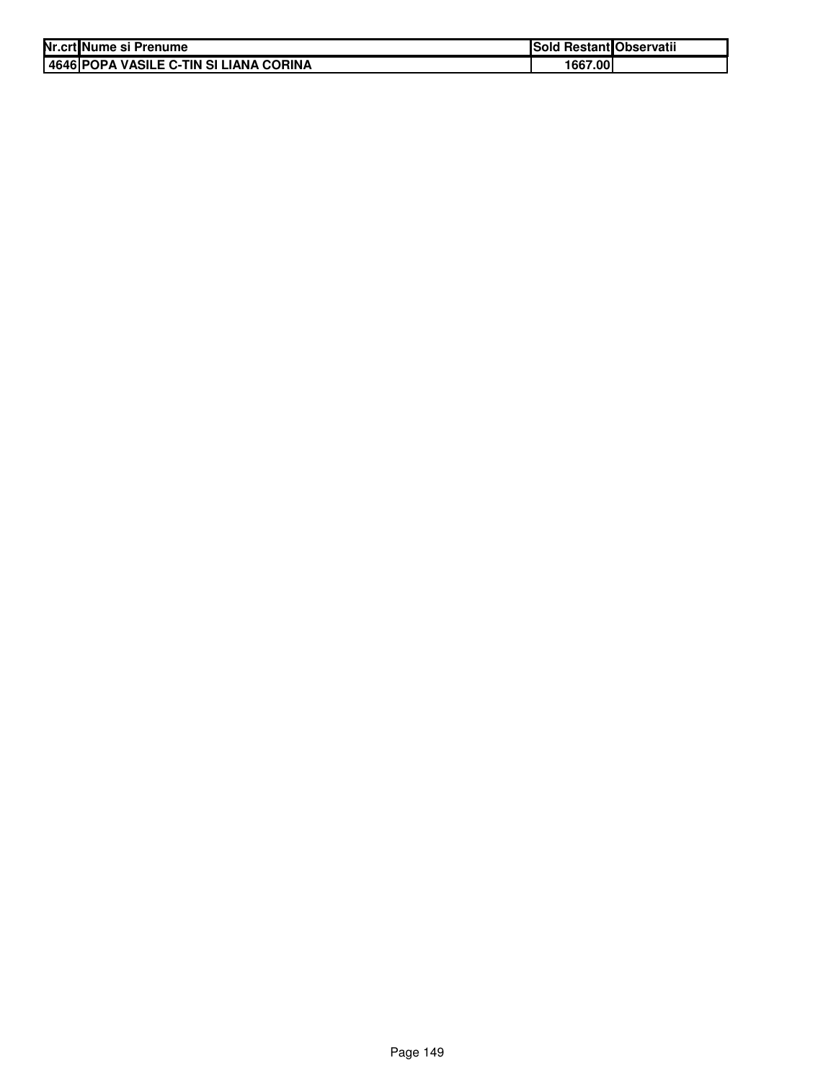| Nr.crt Nume si Prenume                    | <b>Sold Restant Observatii</b> |  |
|-------------------------------------------|--------------------------------|--|
| I 4646 IPOPA VASILE C-TIN SI LIANA CORINA | 1667.001                       |  |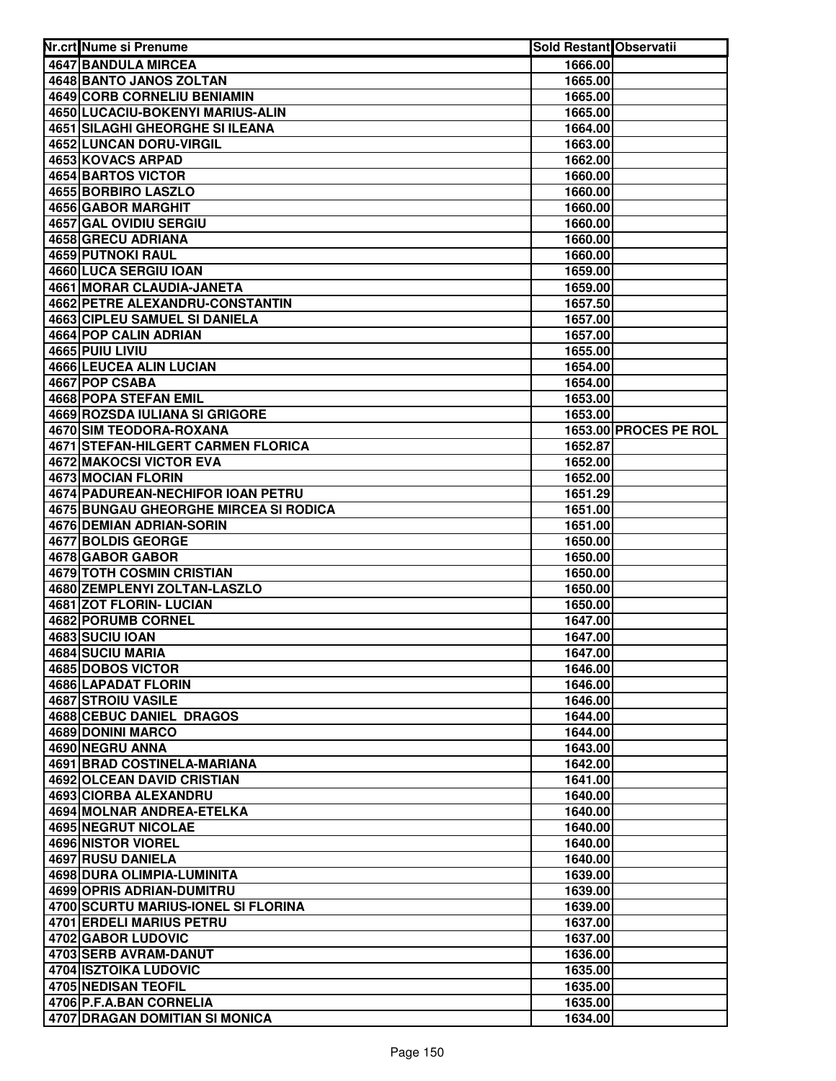| 4647 BANDULA MIRCEA<br>1666.00<br>4648 BANTO JANOS ZOLTAN<br>1665.00<br>4649 CORB CORNELIU BENIAMIN<br>1665.00<br>4650 LUCACIU-BOKENYI MARIUS-ALIN<br>1665.00<br><b>4651 SILAGHI GHEORGHE SI ILEANA</b><br>1664.00<br>4652 LUNCAN DORU-VIRGIL<br>1663.00<br>4653 KOVACS ARPAD<br>1662.00<br>4654 BARTOS VICTOR<br>1660.00<br>4655 BORBIRO LASZLO<br>1660.00<br>4656 GABOR MARGHIT<br>1660.00<br>4657 GAL OVIDIU SERGIU<br>1660.00<br>4658 GRECU ADRIANA<br>1660.00<br><b>4659 PUTNOKI RAUL</b><br>1660.00<br>4660 LUCA SERGIU IOAN<br>1659.00<br><b>4661 MORAR CLAUDIA-JANETA</b><br>1659.00<br><b>4662 PETRE ALEXANDRU-CONSTANTIN</b><br>1657.50<br><b>4663 CIPLEU SAMUEL SI DANIELA</b><br>1657.00<br>4664 POP CALIN ADRIAN<br>1657.00<br>4665 PUIU LIVIU<br>1655.00<br>4666 LEUCEA ALIN LUCIAN<br>1654.00<br>4667 POP CSABA<br>1654.00<br>4668 POPA STEFAN EMIL<br>1653.00<br>4669 ROZSDA IULIANA SI GRIGORE<br>1653.00<br>4670 SIM TEODORA-ROXANA<br>1653.00 PROCES PE ROL<br>4671 STEFAN-HILGERT CARMEN FLORICA<br>1652.87<br>4672 MAKOCSI VICTOR EVA<br>1652.00<br>4673 MOCIAN FLORIN<br>1652.00<br>4674 PADUREAN-NECHIFOR IOAN PETRU<br>1651.29<br>4675 BUNGAU GHEORGHE MIRCEA SI RODICA<br>1651.00<br>4676 DEMIAN ADRIAN-SORIN<br>1651.00<br>4677 BOLDIS GEORGE<br>1650.00<br>4678 GABOR GABOR<br>1650.00<br>4679 TOTH COSMIN CRISTIAN<br>1650.00<br>4680 ZEMPLENYI ZOLTAN-LASZLO<br>1650.00<br>4681 ZOT FLORIN- LUCIAN<br>1650.00<br>4682 PORUMB CORNEL<br>1647.00<br>4683 SUCIU IOAN<br>1647.00<br>4684 SUCIU MARIA<br>1647.00<br>4685 DOBOS VICTOR<br>1646.00<br><b>4686 LAPADAT FLORIN</b><br>1646.00<br>4687 STROIU VASILE<br>1646.00<br>4688 CEBUC DANIEL DRAGOS<br>1644.00<br>4689 DONINI MARCO<br>1644.00<br>4690 NEGRU ANNA<br>1643.00<br><b>4691 BRAD COSTINELA-MARIANA</b><br>1642.00<br><b>4692 OLCEAN DAVID CRISTIAN</b><br>1641.00<br>4693 CIORBA ALEXANDRU<br>1640.00<br>4694 MOLNAR ANDREA-ETELKA<br>1640.00<br>4695 NEGRUT NICOLAE<br>1640.00<br>4696 NISTOR VIOREL<br>1640.00<br>4697 RUSU DANIELA<br>1640.00<br>4698 DURA OLIMPIA-LUMINITA<br>1639.00<br>4699 OPRIS ADRIAN-DUMITRU<br>1639.00<br>4700 SCURTU MARIUS-IONEL SI FLORINA<br>1639.00<br>4701 ERDELI MARIUS PETRU<br>1637.00<br>4702 GABOR LUDOVIC<br>1637.00<br>4703 SERB AVRAM-DANUT<br>1636.00<br>4704 ISZTOIKA LUDOVIC<br>1635.00<br>4705 NEDISAN TEOFIL<br>1635.00<br>4706 P.F.A.BAN CORNELIA<br>1635.00 | Nr.crt Nume si Prenume | <b>Sold Restant Observatii</b> |  |
|----------------------------------------------------------------------------------------------------------------------------------------------------------------------------------------------------------------------------------------------------------------------------------------------------------------------------------------------------------------------------------------------------------------------------------------------------------------------------------------------------------------------------------------------------------------------------------------------------------------------------------------------------------------------------------------------------------------------------------------------------------------------------------------------------------------------------------------------------------------------------------------------------------------------------------------------------------------------------------------------------------------------------------------------------------------------------------------------------------------------------------------------------------------------------------------------------------------------------------------------------------------------------------------------------------------------------------------------------------------------------------------------------------------------------------------------------------------------------------------------------------------------------------------------------------------------------------------------------------------------------------------------------------------------------------------------------------------------------------------------------------------------------------------------------------------------------------------------------------------------------------------------------------------------------------------------------------------------------------------------------------------------------------------------------------------------------------------------------------------------------------------------------------------------------------------------------------------------------------------------------------------------------------------------------------------------------------------------------------------------------------------------------|------------------------|--------------------------------|--|
|                                                                                                                                                                                                                                                                                                                                                                                                                                                                                                                                                                                                                                                                                                                                                                                                                                                                                                                                                                                                                                                                                                                                                                                                                                                                                                                                                                                                                                                                                                                                                                                                                                                                                                                                                                                                                                                                                                                                                                                                                                                                                                                                                                                                                                                                                                                                                                                                    |                        |                                |  |
|                                                                                                                                                                                                                                                                                                                                                                                                                                                                                                                                                                                                                                                                                                                                                                                                                                                                                                                                                                                                                                                                                                                                                                                                                                                                                                                                                                                                                                                                                                                                                                                                                                                                                                                                                                                                                                                                                                                                                                                                                                                                                                                                                                                                                                                                                                                                                                                                    |                        |                                |  |
|                                                                                                                                                                                                                                                                                                                                                                                                                                                                                                                                                                                                                                                                                                                                                                                                                                                                                                                                                                                                                                                                                                                                                                                                                                                                                                                                                                                                                                                                                                                                                                                                                                                                                                                                                                                                                                                                                                                                                                                                                                                                                                                                                                                                                                                                                                                                                                                                    |                        |                                |  |
|                                                                                                                                                                                                                                                                                                                                                                                                                                                                                                                                                                                                                                                                                                                                                                                                                                                                                                                                                                                                                                                                                                                                                                                                                                                                                                                                                                                                                                                                                                                                                                                                                                                                                                                                                                                                                                                                                                                                                                                                                                                                                                                                                                                                                                                                                                                                                                                                    |                        |                                |  |
|                                                                                                                                                                                                                                                                                                                                                                                                                                                                                                                                                                                                                                                                                                                                                                                                                                                                                                                                                                                                                                                                                                                                                                                                                                                                                                                                                                                                                                                                                                                                                                                                                                                                                                                                                                                                                                                                                                                                                                                                                                                                                                                                                                                                                                                                                                                                                                                                    |                        |                                |  |
|                                                                                                                                                                                                                                                                                                                                                                                                                                                                                                                                                                                                                                                                                                                                                                                                                                                                                                                                                                                                                                                                                                                                                                                                                                                                                                                                                                                                                                                                                                                                                                                                                                                                                                                                                                                                                                                                                                                                                                                                                                                                                                                                                                                                                                                                                                                                                                                                    |                        |                                |  |
|                                                                                                                                                                                                                                                                                                                                                                                                                                                                                                                                                                                                                                                                                                                                                                                                                                                                                                                                                                                                                                                                                                                                                                                                                                                                                                                                                                                                                                                                                                                                                                                                                                                                                                                                                                                                                                                                                                                                                                                                                                                                                                                                                                                                                                                                                                                                                                                                    |                        |                                |  |
|                                                                                                                                                                                                                                                                                                                                                                                                                                                                                                                                                                                                                                                                                                                                                                                                                                                                                                                                                                                                                                                                                                                                                                                                                                                                                                                                                                                                                                                                                                                                                                                                                                                                                                                                                                                                                                                                                                                                                                                                                                                                                                                                                                                                                                                                                                                                                                                                    |                        |                                |  |
|                                                                                                                                                                                                                                                                                                                                                                                                                                                                                                                                                                                                                                                                                                                                                                                                                                                                                                                                                                                                                                                                                                                                                                                                                                                                                                                                                                                                                                                                                                                                                                                                                                                                                                                                                                                                                                                                                                                                                                                                                                                                                                                                                                                                                                                                                                                                                                                                    |                        |                                |  |
|                                                                                                                                                                                                                                                                                                                                                                                                                                                                                                                                                                                                                                                                                                                                                                                                                                                                                                                                                                                                                                                                                                                                                                                                                                                                                                                                                                                                                                                                                                                                                                                                                                                                                                                                                                                                                                                                                                                                                                                                                                                                                                                                                                                                                                                                                                                                                                                                    |                        |                                |  |
|                                                                                                                                                                                                                                                                                                                                                                                                                                                                                                                                                                                                                                                                                                                                                                                                                                                                                                                                                                                                                                                                                                                                                                                                                                                                                                                                                                                                                                                                                                                                                                                                                                                                                                                                                                                                                                                                                                                                                                                                                                                                                                                                                                                                                                                                                                                                                                                                    |                        |                                |  |
|                                                                                                                                                                                                                                                                                                                                                                                                                                                                                                                                                                                                                                                                                                                                                                                                                                                                                                                                                                                                                                                                                                                                                                                                                                                                                                                                                                                                                                                                                                                                                                                                                                                                                                                                                                                                                                                                                                                                                                                                                                                                                                                                                                                                                                                                                                                                                                                                    |                        |                                |  |
|                                                                                                                                                                                                                                                                                                                                                                                                                                                                                                                                                                                                                                                                                                                                                                                                                                                                                                                                                                                                                                                                                                                                                                                                                                                                                                                                                                                                                                                                                                                                                                                                                                                                                                                                                                                                                                                                                                                                                                                                                                                                                                                                                                                                                                                                                                                                                                                                    |                        |                                |  |
|                                                                                                                                                                                                                                                                                                                                                                                                                                                                                                                                                                                                                                                                                                                                                                                                                                                                                                                                                                                                                                                                                                                                                                                                                                                                                                                                                                                                                                                                                                                                                                                                                                                                                                                                                                                                                                                                                                                                                                                                                                                                                                                                                                                                                                                                                                                                                                                                    |                        |                                |  |
|                                                                                                                                                                                                                                                                                                                                                                                                                                                                                                                                                                                                                                                                                                                                                                                                                                                                                                                                                                                                                                                                                                                                                                                                                                                                                                                                                                                                                                                                                                                                                                                                                                                                                                                                                                                                                                                                                                                                                                                                                                                                                                                                                                                                                                                                                                                                                                                                    |                        |                                |  |
|                                                                                                                                                                                                                                                                                                                                                                                                                                                                                                                                                                                                                                                                                                                                                                                                                                                                                                                                                                                                                                                                                                                                                                                                                                                                                                                                                                                                                                                                                                                                                                                                                                                                                                                                                                                                                                                                                                                                                                                                                                                                                                                                                                                                                                                                                                                                                                                                    |                        |                                |  |
|                                                                                                                                                                                                                                                                                                                                                                                                                                                                                                                                                                                                                                                                                                                                                                                                                                                                                                                                                                                                                                                                                                                                                                                                                                                                                                                                                                                                                                                                                                                                                                                                                                                                                                                                                                                                                                                                                                                                                                                                                                                                                                                                                                                                                                                                                                                                                                                                    |                        |                                |  |
|                                                                                                                                                                                                                                                                                                                                                                                                                                                                                                                                                                                                                                                                                                                                                                                                                                                                                                                                                                                                                                                                                                                                                                                                                                                                                                                                                                                                                                                                                                                                                                                                                                                                                                                                                                                                                                                                                                                                                                                                                                                                                                                                                                                                                                                                                                                                                                                                    |                        |                                |  |
|                                                                                                                                                                                                                                                                                                                                                                                                                                                                                                                                                                                                                                                                                                                                                                                                                                                                                                                                                                                                                                                                                                                                                                                                                                                                                                                                                                                                                                                                                                                                                                                                                                                                                                                                                                                                                                                                                                                                                                                                                                                                                                                                                                                                                                                                                                                                                                                                    |                        |                                |  |
|                                                                                                                                                                                                                                                                                                                                                                                                                                                                                                                                                                                                                                                                                                                                                                                                                                                                                                                                                                                                                                                                                                                                                                                                                                                                                                                                                                                                                                                                                                                                                                                                                                                                                                                                                                                                                                                                                                                                                                                                                                                                                                                                                                                                                                                                                                                                                                                                    |                        |                                |  |
|                                                                                                                                                                                                                                                                                                                                                                                                                                                                                                                                                                                                                                                                                                                                                                                                                                                                                                                                                                                                                                                                                                                                                                                                                                                                                                                                                                                                                                                                                                                                                                                                                                                                                                                                                                                                                                                                                                                                                                                                                                                                                                                                                                                                                                                                                                                                                                                                    |                        |                                |  |
|                                                                                                                                                                                                                                                                                                                                                                                                                                                                                                                                                                                                                                                                                                                                                                                                                                                                                                                                                                                                                                                                                                                                                                                                                                                                                                                                                                                                                                                                                                                                                                                                                                                                                                                                                                                                                                                                                                                                                                                                                                                                                                                                                                                                                                                                                                                                                                                                    |                        |                                |  |
|                                                                                                                                                                                                                                                                                                                                                                                                                                                                                                                                                                                                                                                                                                                                                                                                                                                                                                                                                                                                                                                                                                                                                                                                                                                                                                                                                                                                                                                                                                                                                                                                                                                                                                                                                                                                                                                                                                                                                                                                                                                                                                                                                                                                                                                                                                                                                                                                    |                        |                                |  |
|                                                                                                                                                                                                                                                                                                                                                                                                                                                                                                                                                                                                                                                                                                                                                                                                                                                                                                                                                                                                                                                                                                                                                                                                                                                                                                                                                                                                                                                                                                                                                                                                                                                                                                                                                                                                                                                                                                                                                                                                                                                                                                                                                                                                                                                                                                                                                                                                    |                        |                                |  |
|                                                                                                                                                                                                                                                                                                                                                                                                                                                                                                                                                                                                                                                                                                                                                                                                                                                                                                                                                                                                                                                                                                                                                                                                                                                                                                                                                                                                                                                                                                                                                                                                                                                                                                                                                                                                                                                                                                                                                                                                                                                                                                                                                                                                                                                                                                                                                                                                    |                        |                                |  |
|                                                                                                                                                                                                                                                                                                                                                                                                                                                                                                                                                                                                                                                                                                                                                                                                                                                                                                                                                                                                                                                                                                                                                                                                                                                                                                                                                                                                                                                                                                                                                                                                                                                                                                                                                                                                                                                                                                                                                                                                                                                                                                                                                                                                                                                                                                                                                                                                    |                        |                                |  |
|                                                                                                                                                                                                                                                                                                                                                                                                                                                                                                                                                                                                                                                                                                                                                                                                                                                                                                                                                                                                                                                                                                                                                                                                                                                                                                                                                                                                                                                                                                                                                                                                                                                                                                                                                                                                                                                                                                                                                                                                                                                                                                                                                                                                                                                                                                                                                                                                    |                        |                                |  |
|                                                                                                                                                                                                                                                                                                                                                                                                                                                                                                                                                                                                                                                                                                                                                                                                                                                                                                                                                                                                                                                                                                                                                                                                                                                                                                                                                                                                                                                                                                                                                                                                                                                                                                                                                                                                                                                                                                                                                                                                                                                                                                                                                                                                                                                                                                                                                                                                    |                        |                                |  |
|                                                                                                                                                                                                                                                                                                                                                                                                                                                                                                                                                                                                                                                                                                                                                                                                                                                                                                                                                                                                                                                                                                                                                                                                                                                                                                                                                                                                                                                                                                                                                                                                                                                                                                                                                                                                                                                                                                                                                                                                                                                                                                                                                                                                                                                                                                                                                                                                    |                        |                                |  |
|                                                                                                                                                                                                                                                                                                                                                                                                                                                                                                                                                                                                                                                                                                                                                                                                                                                                                                                                                                                                                                                                                                                                                                                                                                                                                                                                                                                                                                                                                                                                                                                                                                                                                                                                                                                                                                                                                                                                                                                                                                                                                                                                                                                                                                                                                                                                                                                                    |                        |                                |  |
|                                                                                                                                                                                                                                                                                                                                                                                                                                                                                                                                                                                                                                                                                                                                                                                                                                                                                                                                                                                                                                                                                                                                                                                                                                                                                                                                                                                                                                                                                                                                                                                                                                                                                                                                                                                                                                                                                                                                                                                                                                                                                                                                                                                                                                                                                                                                                                                                    |                        |                                |  |
|                                                                                                                                                                                                                                                                                                                                                                                                                                                                                                                                                                                                                                                                                                                                                                                                                                                                                                                                                                                                                                                                                                                                                                                                                                                                                                                                                                                                                                                                                                                                                                                                                                                                                                                                                                                                                                                                                                                                                                                                                                                                                                                                                                                                                                                                                                                                                                                                    |                        |                                |  |
|                                                                                                                                                                                                                                                                                                                                                                                                                                                                                                                                                                                                                                                                                                                                                                                                                                                                                                                                                                                                                                                                                                                                                                                                                                                                                                                                                                                                                                                                                                                                                                                                                                                                                                                                                                                                                                                                                                                                                                                                                                                                                                                                                                                                                                                                                                                                                                                                    |                        |                                |  |
|                                                                                                                                                                                                                                                                                                                                                                                                                                                                                                                                                                                                                                                                                                                                                                                                                                                                                                                                                                                                                                                                                                                                                                                                                                                                                                                                                                                                                                                                                                                                                                                                                                                                                                                                                                                                                                                                                                                                                                                                                                                                                                                                                                                                                                                                                                                                                                                                    |                        |                                |  |
|                                                                                                                                                                                                                                                                                                                                                                                                                                                                                                                                                                                                                                                                                                                                                                                                                                                                                                                                                                                                                                                                                                                                                                                                                                                                                                                                                                                                                                                                                                                                                                                                                                                                                                                                                                                                                                                                                                                                                                                                                                                                                                                                                                                                                                                                                                                                                                                                    |                        |                                |  |
|                                                                                                                                                                                                                                                                                                                                                                                                                                                                                                                                                                                                                                                                                                                                                                                                                                                                                                                                                                                                                                                                                                                                                                                                                                                                                                                                                                                                                                                                                                                                                                                                                                                                                                                                                                                                                                                                                                                                                                                                                                                                                                                                                                                                                                                                                                                                                                                                    |                        |                                |  |
|                                                                                                                                                                                                                                                                                                                                                                                                                                                                                                                                                                                                                                                                                                                                                                                                                                                                                                                                                                                                                                                                                                                                                                                                                                                                                                                                                                                                                                                                                                                                                                                                                                                                                                                                                                                                                                                                                                                                                                                                                                                                                                                                                                                                                                                                                                                                                                                                    |                        |                                |  |
|                                                                                                                                                                                                                                                                                                                                                                                                                                                                                                                                                                                                                                                                                                                                                                                                                                                                                                                                                                                                                                                                                                                                                                                                                                                                                                                                                                                                                                                                                                                                                                                                                                                                                                                                                                                                                                                                                                                                                                                                                                                                                                                                                                                                                                                                                                                                                                                                    |                        |                                |  |
|                                                                                                                                                                                                                                                                                                                                                                                                                                                                                                                                                                                                                                                                                                                                                                                                                                                                                                                                                                                                                                                                                                                                                                                                                                                                                                                                                                                                                                                                                                                                                                                                                                                                                                                                                                                                                                                                                                                                                                                                                                                                                                                                                                                                                                                                                                                                                                                                    |                        |                                |  |
|                                                                                                                                                                                                                                                                                                                                                                                                                                                                                                                                                                                                                                                                                                                                                                                                                                                                                                                                                                                                                                                                                                                                                                                                                                                                                                                                                                                                                                                                                                                                                                                                                                                                                                                                                                                                                                                                                                                                                                                                                                                                                                                                                                                                                                                                                                                                                                                                    |                        |                                |  |
|                                                                                                                                                                                                                                                                                                                                                                                                                                                                                                                                                                                                                                                                                                                                                                                                                                                                                                                                                                                                                                                                                                                                                                                                                                                                                                                                                                                                                                                                                                                                                                                                                                                                                                                                                                                                                                                                                                                                                                                                                                                                                                                                                                                                                                                                                                                                                                                                    |                        |                                |  |
|                                                                                                                                                                                                                                                                                                                                                                                                                                                                                                                                                                                                                                                                                                                                                                                                                                                                                                                                                                                                                                                                                                                                                                                                                                                                                                                                                                                                                                                                                                                                                                                                                                                                                                                                                                                                                                                                                                                                                                                                                                                                                                                                                                                                                                                                                                                                                                                                    |                        |                                |  |
|                                                                                                                                                                                                                                                                                                                                                                                                                                                                                                                                                                                                                                                                                                                                                                                                                                                                                                                                                                                                                                                                                                                                                                                                                                                                                                                                                                                                                                                                                                                                                                                                                                                                                                                                                                                                                                                                                                                                                                                                                                                                                                                                                                                                                                                                                                                                                                                                    |                        |                                |  |
|                                                                                                                                                                                                                                                                                                                                                                                                                                                                                                                                                                                                                                                                                                                                                                                                                                                                                                                                                                                                                                                                                                                                                                                                                                                                                                                                                                                                                                                                                                                                                                                                                                                                                                                                                                                                                                                                                                                                                                                                                                                                                                                                                                                                                                                                                                                                                                                                    |                        |                                |  |
|                                                                                                                                                                                                                                                                                                                                                                                                                                                                                                                                                                                                                                                                                                                                                                                                                                                                                                                                                                                                                                                                                                                                                                                                                                                                                                                                                                                                                                                                                                                                                                                                                                                                                                                                                                                                                                                                                                                                                                                                                                                                                                                                                                                                                                                                                                                                                                                                    |                        |                                |  |
|                                                                                                                                                                                                                                                                                                                                                                                                                                                                                                                                                                                                                                                                                                                                                                                                                                                                                                                                                                                                                                                                                                                                                                                                                                                                                                                                                                                                                                                                                                                                                                                                                                                                                                                                                                                                                                                                                                                                                                                                                                                                                                                                                                                                                                                                                                                                                                                                    |                        |                                |  |
|                                                                                                                                                                                                                                                                                                                                                                                                                                                                                                                                                                                                                                                                                                                                                                                                                                                                                                                                                                                                                                                                                                                                                                                                                                                                                                                                                                                                                                                                                                                                                                                                                                                                                                                                                                                                                                                                                                                                                                                                                                                                                                                                                                                                                                                                                                                                                                                                    |                        |                                |  |
|                                                                                                                                                                                                                                                                                                                                                                                                                                                                                                                                                                                                                                                                                                                                                                                                                                                                                                                                                                                                                                                                                                                                                                                                                                                                                                                                                                                                                                                                                                                                                                                                                                                                                                                                                                                                                                                                                                                                                                                                                                                                                                                                                                                                                                                                                                                                                                                                    |                        |                                |  |
|                                                                                                                                                                                                                                                                                                                                                                                                                                                                                                                                                                                                                                                                                                                                                                                                                                                                                                                                                                                                                                                                                                                                                                                                                                                                                                                                                                                                                                                                                                                                                                                                                                                                                                                                                                                                                                                                                                                                                                                                                                                                                                                                                                                                                                                                                                                                                                                                    |                        |                                |  |
|                                                                                                                                                                                                                                                                                                                                                                                                                                                                                                                                                                                                                                                                                                                                                                                                                                                                                                                                                                                                                                                                                                                                                                                                                                                                                                                                                                                                                                                                                                                                                                                                                                                                                                                                                                                                                                                                                                                                                                                                                                                                                                                                                                                                                                                                                                                                                                                                    |                        |                                |  |
|                                                                                                                                                                                                                                                                                                                                                                                                                                                                                                                                                                                                                                                                                                                                                                                                                                                                                                                                                                                                                                                                                                                                                                                                                                                                                                                                                                                                                                                                                                                                                                                                                                                                                                                                                                                                                                                                                                                                                                                                                                                                                                                                                                                                                                                                                                                                                                                                    |                        |                                |  |
|                                                                                                                                                                                                                                                                                                                                                                                                                                                                                                                                                                                                                                                                                                                                                                                                                                                                                                                                                                                                                                                                                                                                                                                                                                                                                                                                                                                                                                                                                                                                                                                                                                                                                                                                                                                                                                                                                                                                                                                                                                                                                                                                                                                                                                                                                                                                                                                                    |                        |                                |  |
|                                                                                                                                                                                                                                                                                                                                                                                                                                                                                                                                                                                                                                                                                                                                                                                                                                                                                                                                                                                                                                                                                                                                                                                                                                                                                                                                                                                                                                                                                                                                                                                                                                                                                                                                                                                                                                                                                                                                                                                                                                                                                                                                                                                                                                                                                                                                                                                                    |                        |                                |  |
|                                                                                                                                                                                                                                                                                                                                                                                                                                                                                                                                                                                                                                                                                                                                                                                                                                                                                                                                                                                                                                                                                                                                                                                                                                                                                                                                                                                                                                                                                                                                                                                                                                                                                                                                                                                                                                                                                                                                                                                                                                                                                                                                                                                                                                                                                                                                                                                                    |                        |                                |  |
|                                                                                                                                                                                                                                                                                                                                                                                                                                                                                                                                                                                                                                                                                                                                                                                                                                                                                                                                                                                                                                                                                                                                                                                                                                                                                                                                                                                                                                                                                                                                                                                                                                                                                                                                                                                                                                                                                                                                                                                                                                                                                                                                                                                                                                                                                                                                                                                                    |                        |                                |  |
|                                                                                                                                                                                                                                                                                                                                                                                                                                                                                                                                                                                                                                                                                                                                                                                                                                                                                                                                                                                                                                                                                                                                                                                                                                                                                                                                                                                                                                                                                                                                                                                                                                                                                                                                                                                                                                                                                                                                                                                                                                                                                                                                                                                                                                                                                                                                                                                                    |                        |                                |  |
|                                                                                                                                                                                                                                                                                                                                                                                                                                                                                                                                                                                                                                                                                                                                                                                                                                                                                                                                                                                                                                                                                                                                                                                                                                                                                                                                                                                                                                                                                                                                                                                                                                                                                                                                                                                                                                                                                                                                                                                                                                                                                                                                                                                                                                                                                                                                                                                                    |                        |                                |  |
|                                                                                                                                                                                                                                                                                                                                                                                                                                                                                                                                                                                                                                                                                                                                                                                                                                                                                                                                                                                                                                                                                                                                                                                                                                                                                                                                                                                                                                                                                                                                                                                                                                                                                                                                                                                                                                                                                                                                                                                                                                                                                                                                                                                                                                                                                                                                                                                                    |                        |                                |  |
|                                                                                                                                                                                                                                                                                                                                                                                                                                                                                                                                                                                                                                                                                                                                                                                                                                                                                                                                                                                                                                                                                                                                                                                                                                                                                                                                                                                                                                                                                                                                                                                                                                                                                                                                                                                                                                                                                                                                                                                                                                                                                                                                                                                                                                                                                                                                                                                                    |                        |                                |  |
| 4707 DRAGAN DOMITIAN SI MONICA<br>1634.00                                                                                                                                                                                                                                                                                                                                                                                                                                                                                                                                                                                                                                                                                                                                                                                                                                                                                                                                                                                                                                                                                                                                                                                                                                                                                                                                                                                                                                                                                                                                                                                                                                                                                                                                                                                                                                                                                                                                                                                                                                                                                                                                                                                                                                                                                                                                                          |                        |                                |  |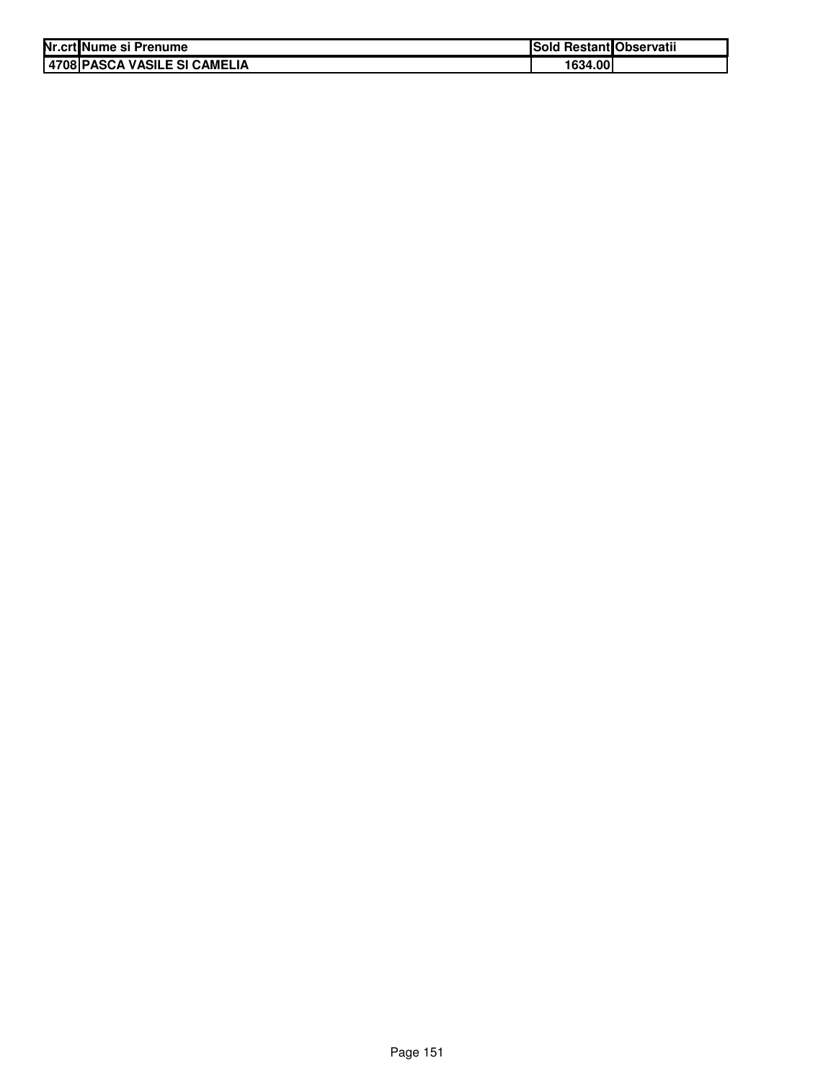| Nr.crt Nume si Prenume       | Sold Restant Observatii |  |
|------------------------------|-------------------------|--|
| 4708 PASCA VASILE SI CAMELIA | 1634.00                 |  |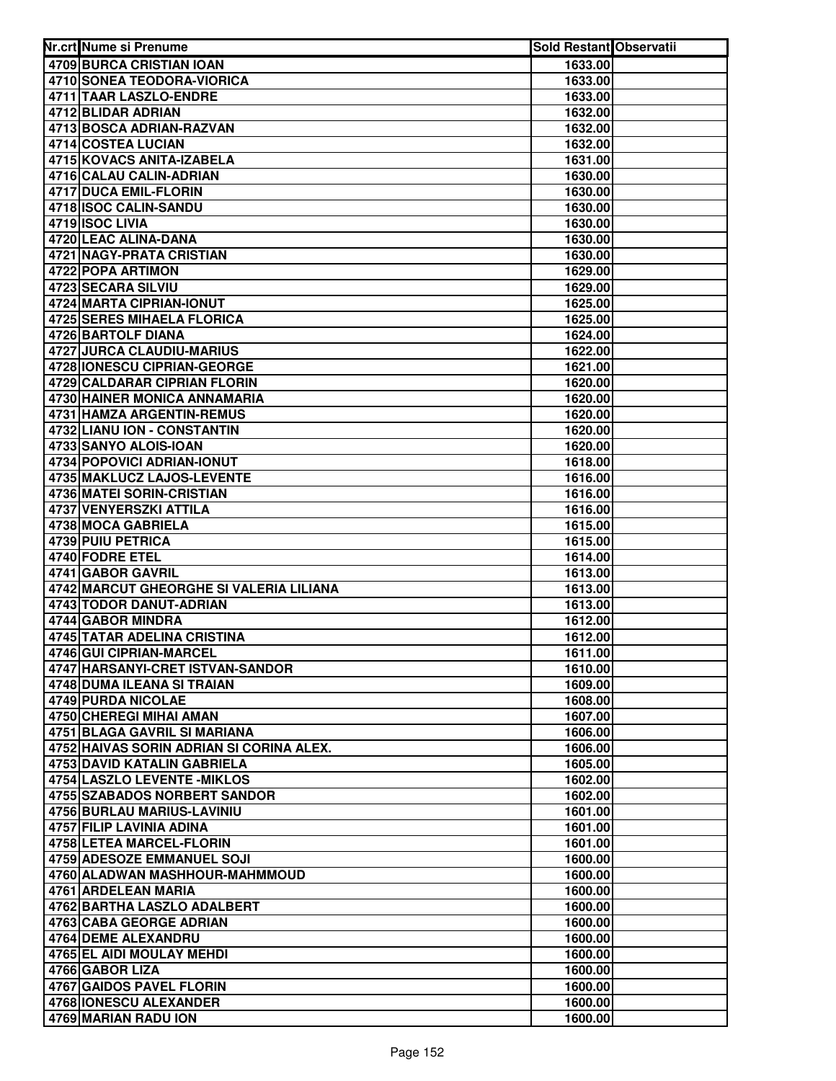| Nr.crt Nume si Prenume                                | <b>Sold Restant Observatii</b> |  |
|-------------------------------------------------------|--------------------------------|--|
| 4709 BURCA CRISTIAN IOAN                              | 1633.00                        |  |
| 4710 SONEA TEODORA-VIORICA                            | 1633.00                        |  |
| 4711 TAAR LASZLO-ENDRE                                | 1633.00                        |  |
| 4712 BLIDAR ADRIAN                                    | 1632.00                        |  |
| 4713 BOSCA ADRIAN-RAZVAN                              | 1632.00                        |  |
| 4714 COSTEA LUCIAN                                    | 1632.00                        |  |
| 4715 KOVACS ANITA-IZABELA                             | 1631.00                        |  |
| 4716 CALAU CALIN-ADRIAN                               | 1630.00                        |  |
| 4717 DUCA EMIL-FLORIN                                 | 1630.00                        |  |
| 4718 ISOC CALIN-SANDU                                 | 1630.00                        |  |
| 4719 ISOC LIVIA                                       | 1630.00                        |  |
| 4720 LEAC ALINA-DANA                                  | 1630.00                        |  |
| <b>4721 NAGY-PRATA CRISTIAN</b>                       | 1630.00                        |  |
| 4722 POPA ARTIMON                                     | 1629.00                        |  |
| 4723 SECARA SILVIU                                    | 1629.00                        |  |
| 4724 MARTA CIPRIAN-IONUT                              | 1625.00                        |  |
| <b>4725 SERES MIHAELA FLORICA</b>                     | 1625.00                        |  |
| 4726 BARTOLF DIANA                                    | 1624.00                        |  |
| <b>4727 JURCA CLAUDIU-MARIUS</b>                      | 1622.00                        |  |
| 4728 IONESCU CIPRIAN-GEORGE                           | 1621.00                        |  |
| 4729 CALDARAR CIPRIAN FLORIN                          | 1620.00                        |  |
| 4730 HAINER MONICA ANNAMARIA                          | 1620.00                        |  |
| 4731 HAMZA ARGENTIN-REMUS                             | 1620.00                        |  |
| <b>4732 LIANU ION - CONSTANTIN</b>                    | 1620.00                        |  |
| 4733 SANYO ALOIS-IOAN                                 | 1620.00                        |  |
| 4734 POPOVICI ADRIAN-IONUT                            | 1618.00                        |  |
| 4735 MAKLUCZ LAJOS-LEVENTE                            | 1616.00                        |  |
| 4736 MATEI SORIN-CRISTIAN                             | 1616.00                        |  |
| 4737 VENYERSZKI ATTILA                                | 1616.00                        |  |
| 4738 MOCA GABRIELA                                    | 1615.00                        |  |
| 4739 PUIU PETRICA                                     | 1615.00                        |  |
| 4740 FODRE ETEL                                       | 1614.00                        |  |
| 4741 GABOR GAVRIL                                     | 1613.00                        |  |
| 4742 MARCUT GHEORGHE SI VALERIA LILIANA               | 1613.00                        |  |
| 4743 TODOR DANUT-ADRIAN                               | 1613.00                        |  |
| 4744 GABOR MINDRA                                     | 1612.00                        |  |
| <b>4745 TATAR ADELINA CRISTINA</b>                    | 1612.00                        |  |
| 4746 GUI CIPRIAN-MARCEL                               | 1611.00                        |  |
| 4747 HARSANYI-CRET ISTVAN-SANDOR                      | 1610.00                        |  |
| 4748 DUMA ILEANA SI TRAIAN                            | 1609.00                        |  |
| 4749 PURDA NICOLAE                                    | 1608.00                        |  |
| 4750 CHEREGI MIHAI AMAN                               | 1607.00                        |  |
| <b>4751 BLAGA GAVRIL SI MARIANA</b>                   | 1606.00                        |  |
| 4752 HAIVAS SORIN ADRIAN SI CORINA ALEX.              | 1606.00                        |  |
| 4753 DAVID KATALIN GABRIELA                           | 1605.00                        |  |
| <b>4754 LASZLO LEVENTE - MIKLOS</b>                   | 1602.00                        |  |
| 4755 SZABADOS NORBERT SANDOR                          | 1602.00                        |  |
| 4756 BURLAU MARIUS-LAVINIU                            | 1601.00                        |  |
| 4757 FILIP LAVINIA ADINA                              | 1601.00                        |  |
| 4758 LETEA MARCEL-FLORIN                              | 1601.00                        |  |
| 4759 ADESOZE EMMANUEL SOJI                            | 1600.00                        |  |
| 4760 ALADWAN MASHHOUR-MAHMMOUD<br>4761 ARDELEAN MARIA | 1600.00                        |  |
| 4762 BARTHA LASZLO ADALBERT                           | 1600.00<br>1600.00             |  |
| 4763 CABA GEORGE ADRIAN                               | 1600.00                        |  |
| 4764 DEME ALEXANDRU                                   |                                |  |
| 4765 EL AIDI MOULAY MEHDI                             | 1600.00<br>1600.00             |  |
| 4766 GABOR LIZA                                       | 1600.00                        |  |
| 4767 GAIDOS PAVEL FLORIN                              | 1600.00                        |  |
| 4768 IONESCU ALEXANDER                                | 1600.00                        |  |
| 4769 MARIAN RADU ION                                  | 1600.00                        |  |
|                                                       |                                |  |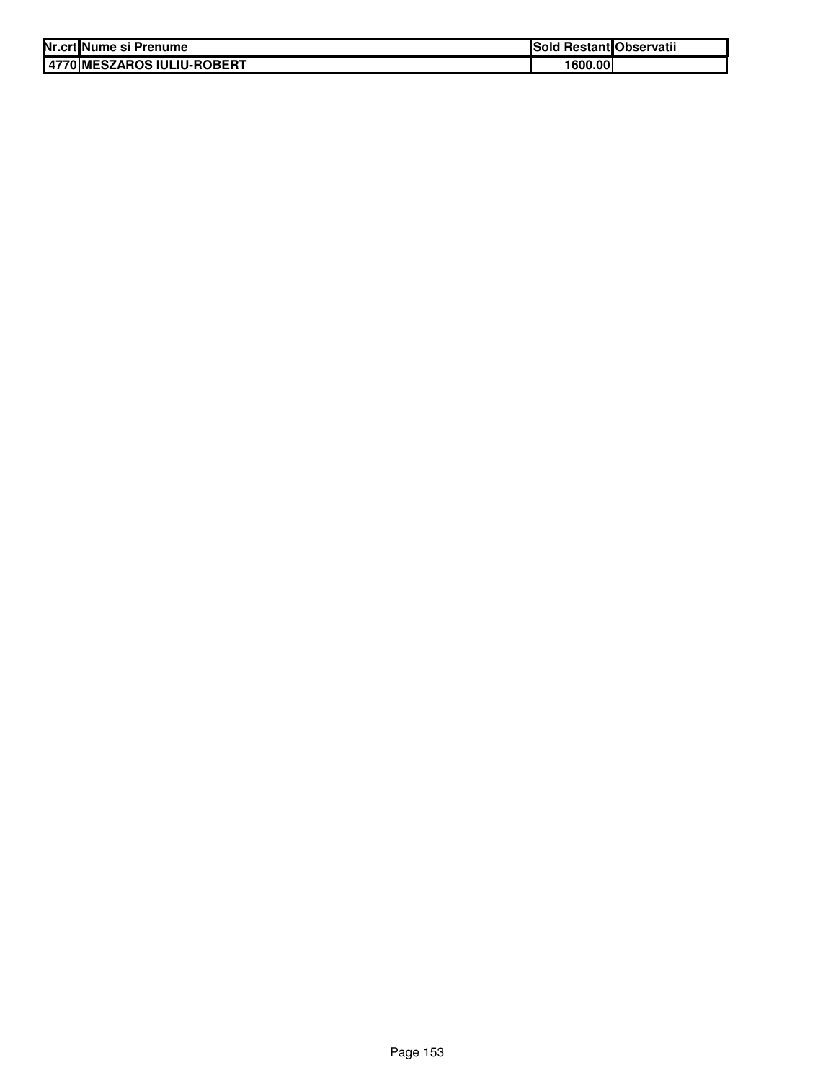| Nr.crt Nume si Prenume       | Sold Restant Observatii |  |
|------------------------------|-------------------------|--|
| 4770   MESZAROS IULIU-ROBERT | 1600.00                 |  |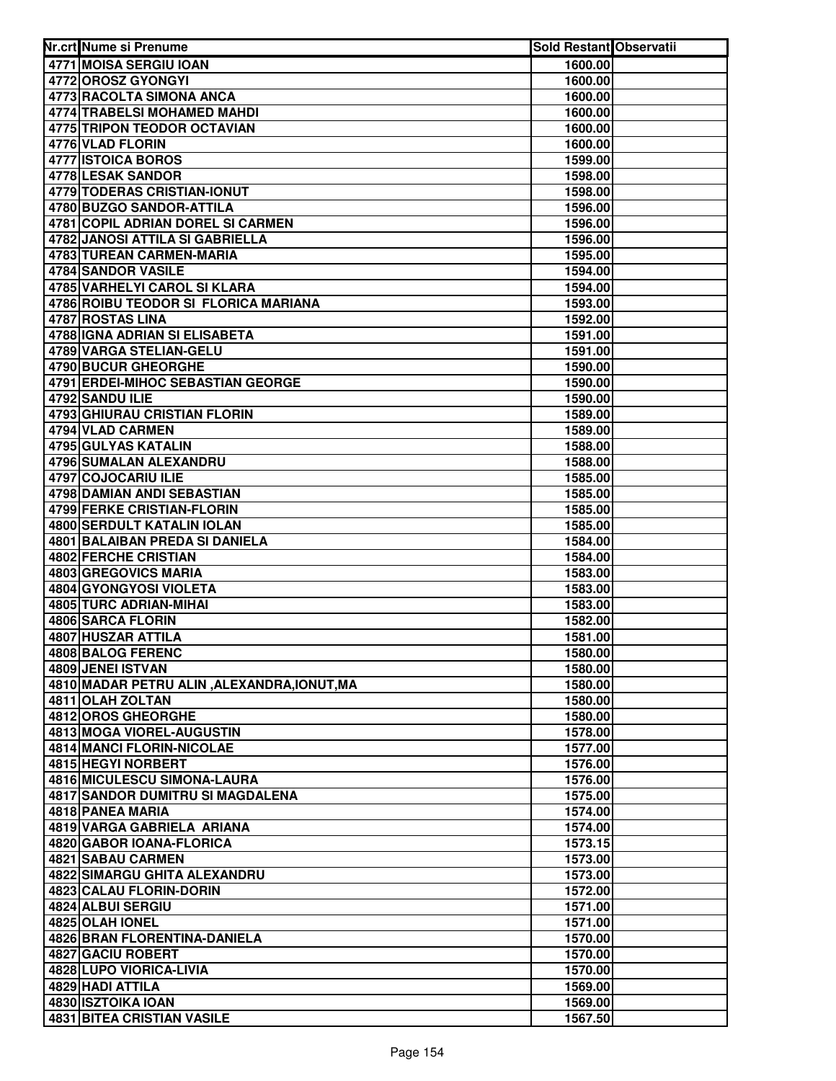| Nr.crt Nume si Prenume                      | Sold Restant Observatii |  |
|---------------------------------------------|-------------------------|--|
| 4771 MOISA SERGIU IOAN                      | 1600.00                 |  |
| 4772 OROSZ GYONGYI                          | 1600.00                 |  |
| 4773 RACOLTA SIMONA ANCA                    | 1600.00                 |  |
| 4774 TRABELSI MOHAMED MAHDI                 | 1600.00                 |  |
| 4775 TRIPON TEODOR OCTAVIAN                 | 1600.00                 |  |
| 4776 VLAD FLORIN                            | 1600.00                 |  |
| 4777 ISTOICA BOROS                          | 1599.00                 |  |
| 4778 LESAK SANDOR                           | 1598.00                 |  |
| 4779 TODERAS CRISTIAN-IONUT                 | 1598.00                 |  |
| 4780 BUZGO SANDOR-ATTILA                    | 1596.00                 |  |
| 4781 COPIL ADRIAN DOREL SI CARMEN           | 1596.00                 |  |
| 4782 JANOSI ATTILA SI GABRIELLA             | 1596.00                 |  |
| <b>4783 TUREAN CARMEN-MARIA</b>             | 1595.00                 |  |
| 4784 SANDOR VASILE                          | 1594.00                 |  |
| 4785 VARHELYI CAROL SI KLARA                | 1594.00                 |  |
| 4786 ROIBU TEODOR SI FLORICA MARIANA        | 1593.00                 |  |
| 4787 ROSTAS LINA                            | 1592.00                 |  |
| 4788 IGNA ADRIAN SI ELISABETA               | 1591.00                 |  |
| 4789 VARGA STELIAN-GELU                     | 1591.00                 |  |
| 4790 BUCUR GHEORGHE                         | 1590.00                 |  |
| 4791 ERDEI-MIHOC SEBASTIAN GEORGE           | 1590.00                 |  |
| 4792 SANDU ILIE                             | 1590.00                 |  |
| 4793 GHIURAU CRISTIAN FLORIN                | 1589.00                 |  |
| 4794 VLAD CARMEN                            | 1589.00                 |  |
| 4795 GULYAS KATALIN                         | 1588.00                 |  |
| 4796 SUMALAN ALEXANDRU                      | 1588.00                 |  |
| 4797 COJOCARIU ILIE                         | 1585.00                 |  |
| 4798 DAMIAN ANDI SEBASTIAN                  | 1585.00                 |  |
| 4799 FERKE CRISTIAN-FLORIN                  | 1585.00                 |  |
| 4800 SERDULT KATALIN IOLAN                  | 1585.00                 |  |
| 4801 BALAIBAN PREDA SI DANIELA              | 1584.00                 |  |
| 4802 FERCHE CRISTIAN                        | 1584.00                 |  |
| 4803 GREGOVICS MARIA                        | 1583.00                 |  |
| 4804 GYONGYOSI VIOLETA                      | 1583.00                 |  |
| 4805 TURC ADRIAN-MIHAI                      | 1583.00                 |  |
| 4806 SARCA FLORIN                           | 1582.00                 |  |
| 4807 HUSZAR ATTILA                          | 1581.00                 |  |
| 4808 BALOG FERENC                           | 1580.00                 |  |
| 4809 JENEI ISTVAN                           | 1580.00                 |  |
| 4810 MADAR PETRU ALIN, ALEXANDRA, IONUT, MA | 1580.00                 |  |
| 4811 OLAH ZOLTAN                            | 1580.00                 |  |
| 4812 OROS GHEORGHE                          | 1580.00                 |  |
| <b>4813 MOGA VIOREL-AUGUSTIN</b>            | 1578.00                 |  |
| 4814 MANCI FLORIN-NICOLAE                   | 1577.00                 |  |
| <b>4815 HEGYI NORBERT</b>                   | 1576.00                 |  |
| 4816 MICULESCU SIMONA-LAURA                 | 1576.00                 |  |
| 4817 SANDOR DUMITRU SI MAGDALENA            | 1575.00                 |  |
| 4818 PANEA MARIA                            | 1574.00                 |  |
| 4819 VARGA GABRIELA ARIANA                  | 1574.00                 |  |
| 4820 GABOR IOANA-FLORICA                    | 1573.15                 |  |
| 4821 SABAU CARMEN                           | 1573.00                 |  |
| 4822 SIMARGU GHITA ALEXANDRU                | 1573.00                 |  |
| 4823 CALAU FLORIN-DORIN                     | 1572.00                 |  |
| 4824 ALBUI SERGIU<br>4825 OLAH IONEL        | 1571.00                 |  |
| 4826 BRAN FLORENTINA-DANIELA                | 1571.00                 |  |
| 4827 GACIU ROBERT                           | 1570.00                 |  |
| 4828 LUPO VIORICA-LIVIA                     | 1570.00<br>1570.00      |  |
| 4829 HADI ATTILA                            | 1569.00                 |  |
| 4830 ISZTOIKA IOAN                          | 1569.00                 |  |
| <b>4831 BITEA CRISTIAN VASILE</b>           | 1567.50                 |  |
|                                             |                         |  |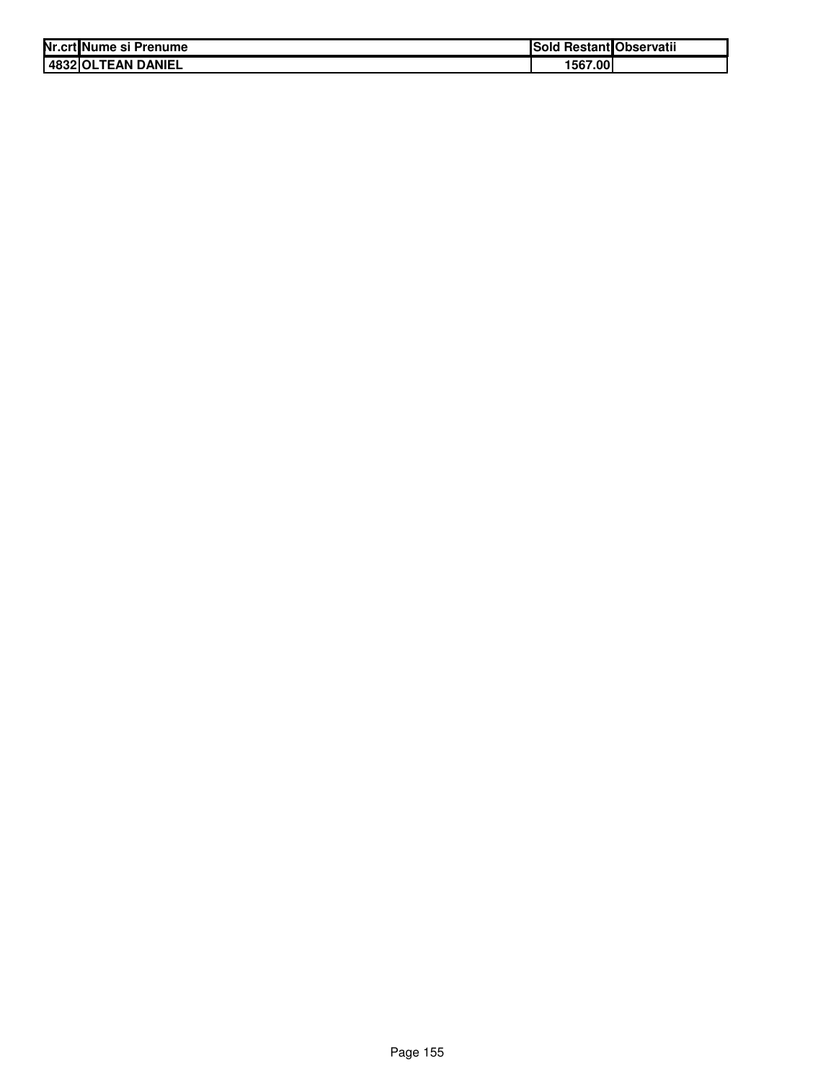| Nr.crt Nume si Prenume | ISold   | l Restant Observatii |
|------------------------|---------|----------------------|
| 4832 OLTEAN DANIEL     | 1567.00 |                      |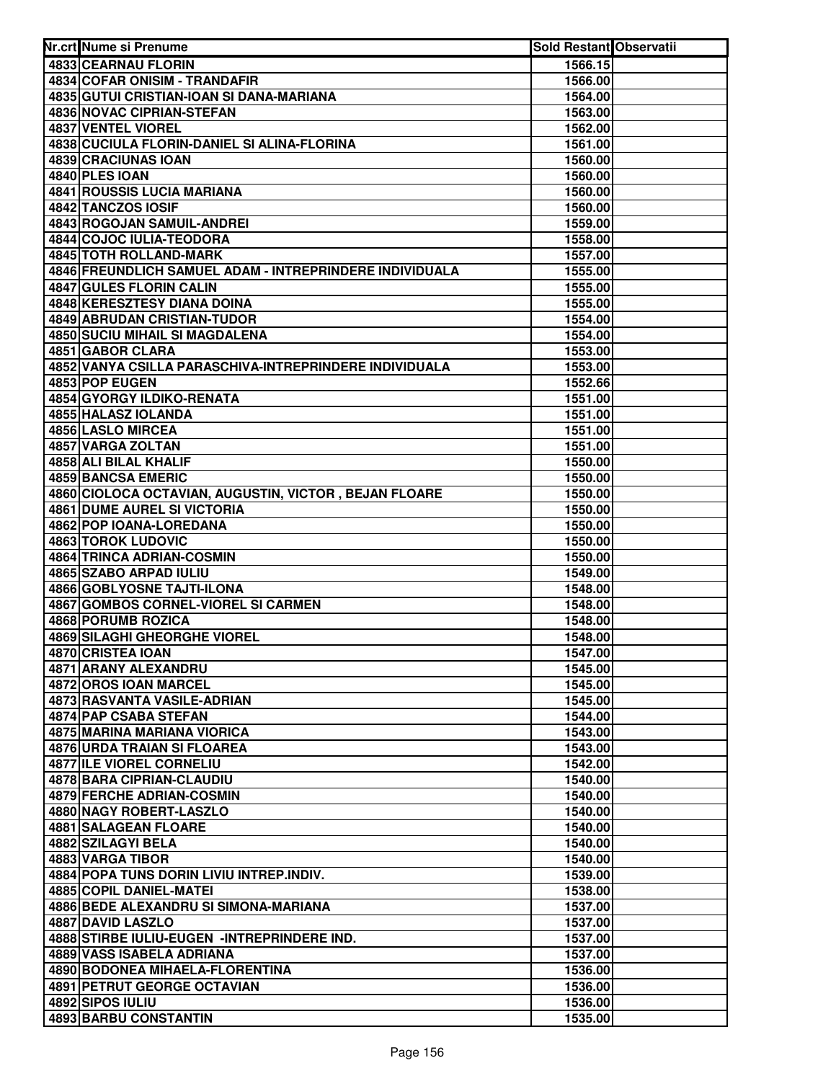| Nr.crt Nume si Prenume                                  | Sold Restant Observatii |  |
|---------------------------------------------------------|-------------------------|--|
| 4833 CEARNAU FLORIN                                     | 1566.15                 |  |
| 4834 COFAR ONISIM - TRANDAFIR                           | 1566.00                 |  |
| 4835 GUTUI CRISTIAN-IOAN SI DANA-MARIANA                | 1564.00                 |  |
| <b>4836 NOVAC CIPRIAN-STEFAN</b>                        | 1563.00                 |  |
| 4837 VENTEL VIOREL                                      | 1562.00                 |  |
| 4838 CUCIULA FLORIN-DANIEL SI ALINA-FLORINA             | 1561.00                 |  |
| 4839 CRACIUNAS IOAN                                     | 1560.00                 |  |
| 4840 PLES IOAN                                          | 1560.00                 |  |
| <b>4841 ROUSSIS LUCIA MARIANA</b>                       | 1560.00                 |  |
| 4842 TANCZOS IOSIF                                      | 1560.00                 |  |
| 4843 ROGOJAN SAMUIL-ANDREI                              | 1559.00                 |  |
| 4844 COJOC IULIA-TEODORA                                | 1558.00                 |  |
| <b>4845 TOTH ROLLAND-MARK</b>                           | 1557.00                 |  |
| 4846 FREUNDLICH SAMUEL ADAM - INTREPRINDERE INDIVIDUALA | 1555.00                 |  |
| 4847 GULES FLORIN CALIN                                 | 1555.00                 |  |
| <b>4848 KERESZTESY DIANA DOINA</b>                      | 1555.00                 |  |
| <b>4849 ABRUDAN CRISTIAN-TUDOR</b>                      | 1554.00                 |  |
| 4850 SUCIU MIHAIL SI MAGDALENA                          | 1554.00                 |  |
| 4851 GABOR CLARA                                        | 1553.00                 |  |
| 4852 VANYA CSILLA PARASCHIVA-INTREPRINDERE INDIVIDUALA  | 1553.00                 |  |
| 4853 POP EUGEN                                          | 1552.66                 |  |
| 4854 GYORGY ILDIKO-RENATA                               | 1551.00                 |  |
| 4855 HALASZ IOLANDA                                     | 1551.00                 |  |
| 4856 LASLO MIRCEA                                       | 1551.00                 |  |
| 4857 VARGA ZOLTAN                                       | 1551.00                 |  |
| 4858 ALI BILAL KHALIF                                   | 1550.00                 |  |
| 4859 BANCSA EMERIC                                      | 1550.00                 |  |
| 4860 CIOLOCA OCTAVIAN, AUGUSTIN, VICTOR, BEJAN FLOARE   | 1550.00                 |  |
| <b>4861 DUME AUREL SI VICTORIA</b>                      | 1550.00                 |  |
| 4862 POP IOANA-LOREDANA                                 | 1550.00                 |  |
| 4863 TOROK LUDOVIC                                      | 1550.00                 |  |
| 4864 TRINCA ADRIAN-COSMIN                               | 1550.00                 |  |
| 4865 SZABO ARPAD IULIU                                  | 1549.00                 |  |
| 4866 GOBLYOSNE TAJTI-ILONA                              | 1548.00                 |  |
| 4867 GOMBOS CORNEL-VIOREL SI CARMEN                     | 1548.00                 |  |
| 4868 PORUMB ROZICA                                      | 1548.00                 |  |
| 4869 SILAGHI GHEORGHE VIOREL                            | 1548.00                 |  |
| 4870 CRISTEA IOAN                                       | 1547.00                 |  |
| 4871 ARANY ALEXANDRU                                    | 1545.00                 |  |
| 4872 OROS IOAN MARCEL                                   | 1545.00                 |  |
| 4873 RASVANTA VASILE-ADRIAN                             | 1545.00                 |  |
| 4874 PAP CSABA STEFAN                                   | 1544.00                 |  |
| <b>4875 MARINA MARIANA VIORICA</b>                      | 1543.00                 |  |
| 4876 URDA TRAIAN SI FLOAREA                             | 1543.00                 |  |
| <b>4877 ILE VIOREL CORNELIU</b>                         | 1542.00                 |  |
| 4878 BARA CIPRIAN-CLAUDIU                               | 1540.00                 |  |
| 4879 FERCHE ADRIAN-COSMIN                               | 1540.00                 |  |
| 4880 NAGY ROBERT-LASZLO                                 | 1540.00                 |  |
| <b>4881 SALAGEAN FLOARE</b>                             | 1540.00                 |  |
| 4882 SZILAGYI BELA                                      | 1540.00                 |  |
| 4883 VARGA TIBOR                                        | 1540.00                 |  |
| 4884 POPA TUNS DORIN LIVIU INTREP.INDIV.                | 1539.00                 |  |
| 4885 COPIL DANIEL-MATEI                                 | 1538.00                 |  |
| 4886 BEDE ALEXANDRU SI SIMONA-MARIANA                   | 1537.00                 |  |
| 4887 DAVID LASZLO                                       | 1537.00                 |  |
| 4888 STIRBE IULIU-EUGEN - INTREPRINDERE IND.            | 1537.00                 |  |
| 4889 VASS ISABELA ADRIANA                               | 1537.00                 |  |
| 4890 BODONEA MIHAELA-FLORENTINA                         | 1536.00                 |  |
| <b>4891 PETRUT GEORGE OCTAVIAN</b>                      | 1536.00                 |  |
| 4892 SIPOS IULIU                                        | 1536.00                 |  |
| 4893 BARBU CONSTANTIN                                   | 1535.00                 |  |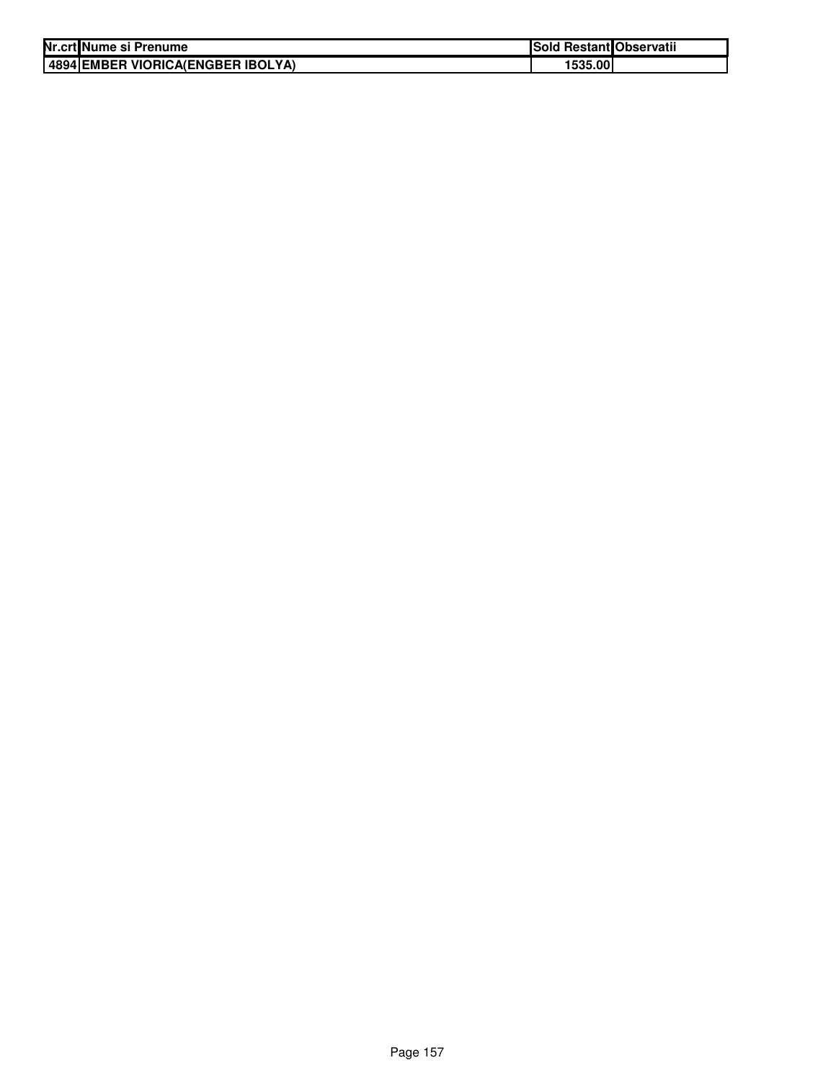| Nr.crt Nume si Prenume             | <b>Sold Restant Observatii</b> |  |
|------------------------------------|--------------------------------|--|
| 148941EMBER VIORICA(ENGBER IBOLYA) | 1535.00                        |  |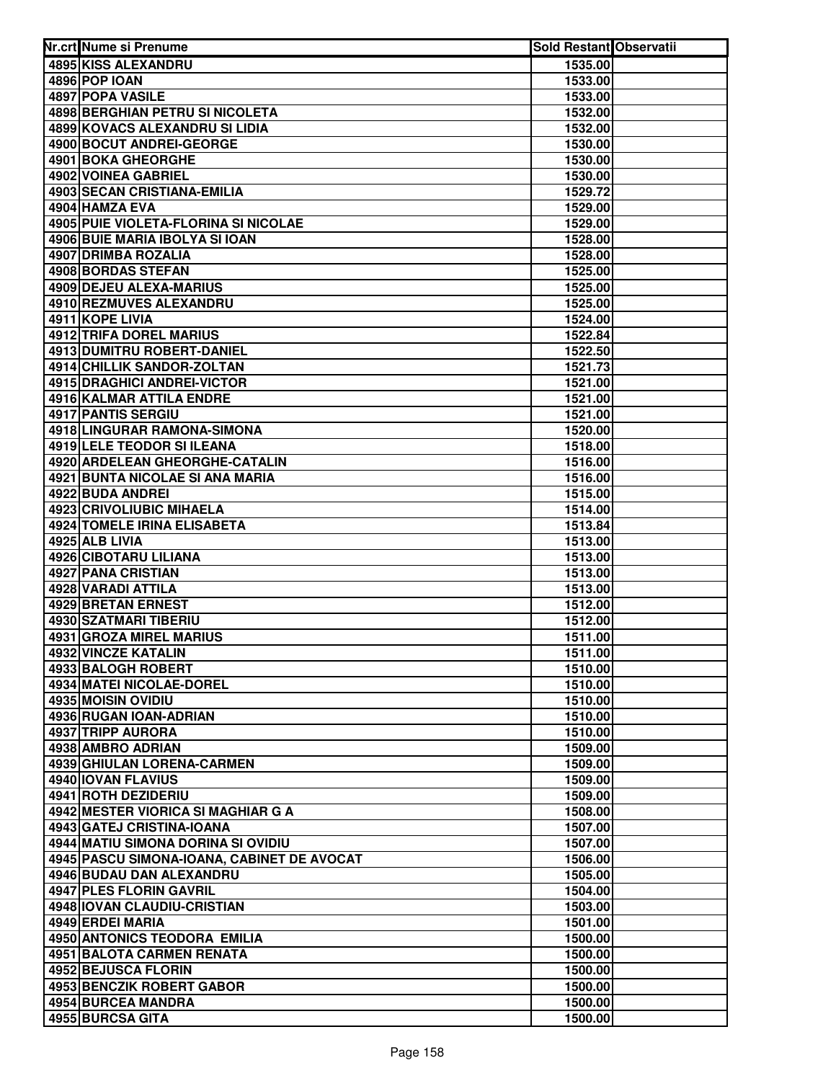| Nr.crt Nume si Prenume                          | <b>Sold Restant Observatii</b> |  |
|-------------------------------------------------|--------------------------------|--|
| 4895 KISS ALEXANDRU                             | 1535.00                        |  |
| 4896 POP IOAN                                   | 1533.00                        |  |
| 4897 POPA VASILE                                | 1533.00                        |  |
| 4898 BERGHIAN PETRU SI NICOLETA                 | 1532.00                        |  |
| 4899 KOVACS ALEXANDRU SI LIDIA                  | 1532.00                        |  |
| 4900 BOCUT ANDREI-GEORGE                        | 1530.00                        |  |
| 4901 BOKA GHEORGHE                              | 1530.00                        |  |
| 4902 VOINEA GABRIEL                             | 1530.00                        |  |
| 4903 SECAN CRISTIANA-EMILIA                     | 1529.72                        |  |
| 4904 HAMZA EVA                                  | 1529.00                        |  |
| 4905 PUIE VIOLETA-FLORINA SI NICOLAE            | 1529.00                        |  |
| 4906 BUIE MARIA IBOLYA SI IOAN                  | 1528.00                        |  |
| 4907 DRIMBA ROZALIA                             | 1528.00                        |  |
| <b>4908 BORDAS STEFAN</b>                       | 1525.00                        |  |
| 4909 DEJEU ALEXA-MARIUS                         | 1525.00                        |  |
| 4910 REZMUVES ALEXANDRU                         | 1525.00                        |  |
| 4911 KOPE LIVIA                                 | 1524.00                        |  |
| 4912 TRIFA DOREL MARIUS                         | 1522.84                        |  |
| 4913 DUMITRU ROBERT-DANIEL                      | 1522.50                        |  |
| 4914 CHILLIK SANDOR-ZOLTAN                      | 1521.73                        |  |
| <b>4915 DRAGHICI ANDREI-VICTOR</b>              | 1521.00                        |  |
| 4916 KALMAR ATTILA ENDRE                        | 1521.00                        |  |
| 4917 PANTIS SERGIU                              | 1521.00                        |  |
| 4918 LINGURAR RAMONA-SIMONA                     | 1520.00                        |  |
| 4919 LELE TEODOR SI ILEANA                      | 1518.00                        |  |
| 4920 ARDELEAN GHEORGHE-CATALIN                  | 1516.00                        |  |
| 4921 BUNTA NICOLAE SI ANA MARIA                 | 1516.00                        |  |
| 4922 BUDA ANDREI                                | 1515.00                        |  |
| 4923 CRIVOLIUBIC MIHAELA                        | 1514.00                        |  |
| 4924 TOMELE IRINA ELISABETA                     | 1513.84                        |  |
| 4925 ALB LIVIA                                  | 1513.00                        |  |
| 4926 CIBOTARU LILIANA                           | 1513.00                        |  |
| 4927 PANA CRISTIAN                              | 1513.00                        |  |
| 4928 VARADI ATTILA                              | 1513.00                        |  |
| 4929 BRETAN ERNEST                              | 1512.00                        |  |
| 4930 SZATMARI TIBERIU                           | 1512.00                        |  |
| 4931 GROZA MIREL MARIUS                         | 1511.00                        |  |
| 4932 VINCZE KATALIN                             | 1511.00                        |  |
| 4933 BALOGH ROBERT                              | 1510.00                        |  |
| 4934 MATEI NICOLAE-DOREL                        | 1510.00                        |  |
| 4935 MOISIN OVIDIU                              | 1510.00                        |  |
| 4936 RUGAN IOAN-ADRIAN<br>4937 TRIPP AURORA     | 1510.00                        |  |
|                                                 | 1510.00                        |  |
| 4938 AMBRO ADRIAN<br>4939 GHIULAN LORENA-CARMEN | 1509.00<br>1509.00             |  |
| 4940 IOVAN FLAVIUS                              |                                |  |
| 4941 ROTH DEZIDERIU                             | 1509.00<br>1509.00             |  |
| 4942 MESTER VIORICA SI MAGHIAR G A              |                                |  |
| 4943 GATEJ CRISTINA-IOANA                       | 1508.00                        |  |
| 4944 MATIU SIMONA DORINA SI OVIDIU              | 1507.00<br>1507.00             |  |
| 4945 PASCU SIMONA-IOANA, CABINET DE AVOCAT      | 1506.00                        |  |
| 4946 BUDAU DAN ALEXANDRU                        | 1505.00                        |  |
| 4947 PLES FLORIN GAVRIL                         | 1504.00                        |  |
| 4948 IOVAN CLAUDIU-CRISTIAN                     | 1503.00                        |  |
| 4949 ERDEI MARIA                                | 1501.00                        |  |
| 4950 ANTONICS TEODORA EMILIA                    | 1500.00                        |  |
| 4951 BALOTA CARMEN RENATA                       | 1500.00                        |  |
| 4952 BEJUSCA FLORIN                             | 1500.00                        |  |
| 4953 BENCZIK ROBERT GABOR                       | 1500.00                        |  |
| 4954 BURCEA MANDRA                              | 1500.00                        |  |
| 4955 BURCSA GITA                                | 1500.00                        |  |
|                                                 |                                |  |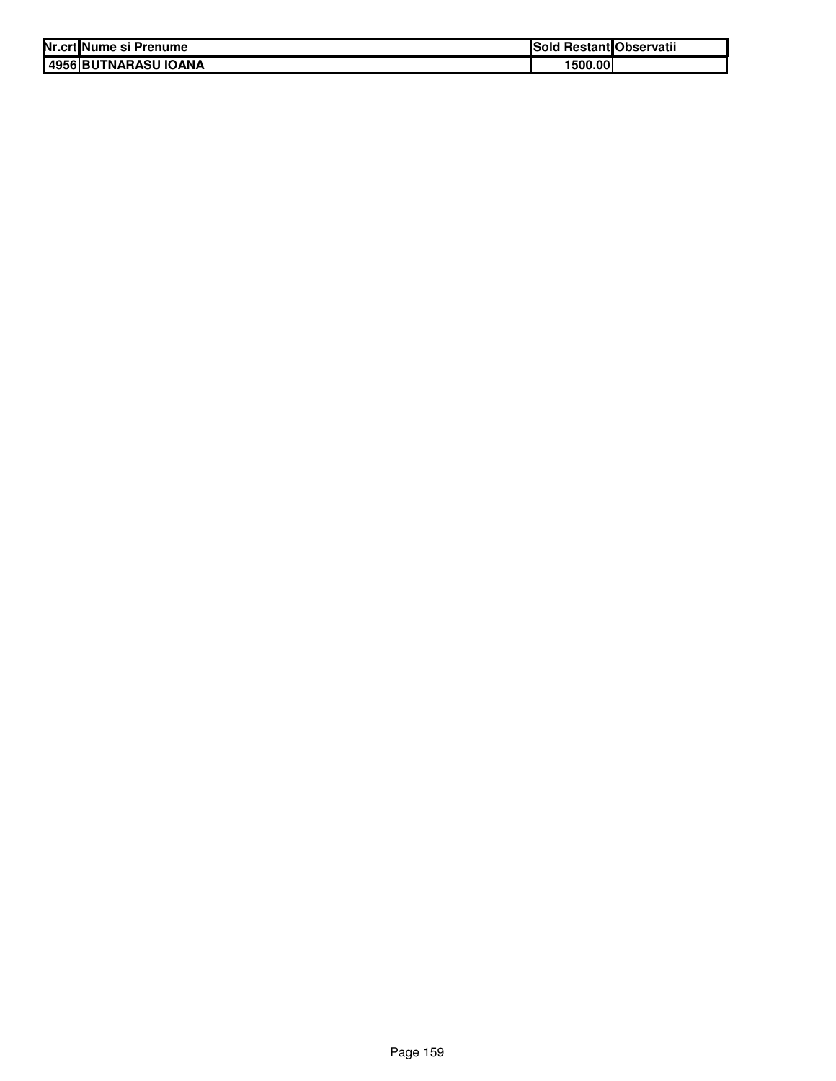| Nr.crt Nume si Prenume | Sold Restant Observatii |  |
|------------------------|-------------------------|--|
| 4956 BUTNARASU IOANA   | 1500.00                 |  |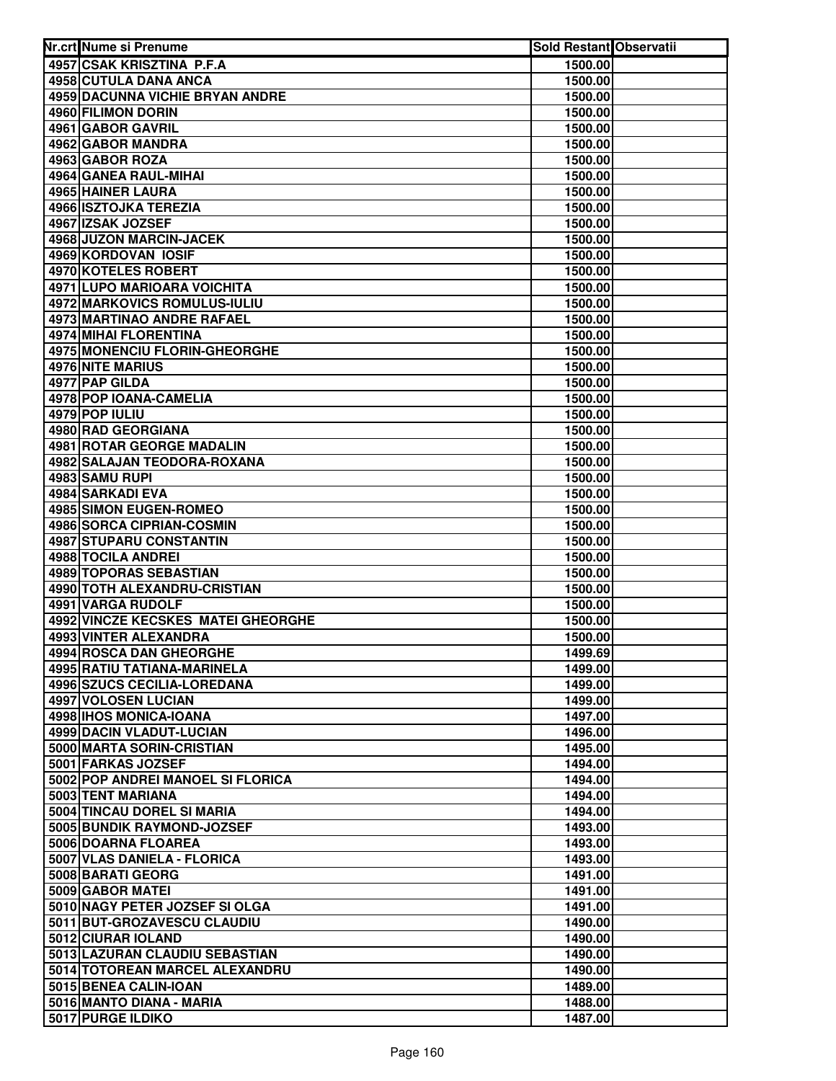| Nr.crt Nume si Prenume                                      | Sold Restant Observatii |  |
|-------------------------------------------------------------|-------------------------|--|
| 4957 CSAK KRISZTINA P.F.A                                   | 1500.00                 |  |
| 4958 CUTULA DANA ANCA                                       | 1500.00                 |  |
| 4959 DACUNNA VICHIE BRYAN ANDRE                             | 1500.00                 |  |
| 4960 FILIMON DORIN                                          | 1500.00                 |  |
| 4961 GABOR GAVRIL                                           | 1500.00                 |  |
| 4962 GABOR MANDRA                                           | 1500.00                 |  |
| 4963 GABOR ROZA                                             | 1500.00                 |  |
| 4964 GANEA RAUL-MIHAI                                       | 1500.00                 |  |
| <b>4965 HAINER LAURA</b>                                    | 1500.00                 |  |
| 4966 ISZTOJKA TEREZIA                                       | 1500.00                 |  |
| 4967 IZSAK JOZSEF                                           | 1500.00                 |  |
| 4968 JUZON MARCIN-JACEK                                     | 1500.00                 |  |
| 4969 KORDOVAN IOSIF                                         | 1500.00                 |  |
| 4970 KOTELES ROBERT                                         | 1500.00                 |  |
| 4971 LUPO MARIOARA VOICHITA                                 | 1500.00                 |  |
| 4972 MARKOVICS ROMULUS-IULIU                                | 1500.00                 |  |
| 4973 MARTINAO ANDRE RAFAEL                                  | 1500.00                 |  |
| 4974 MIHAI FLORENTINA                                       | 1500.00                 |  |
| 4975 MONENCIU FLORIN-GHEORGHE                               | 1500.00                 |  |
| 4976 NITE MARIUS                                            | 1500.00                 |  |
| 4977 PAP GILDA                                              | 1500.00                 |  |
| 4978 POP IOANA-CAMELIA                                      | 1500.00                 |  |
| 4979 POP IULIU                                              | 1500.00                 |  |
| 4980 RAD GEORGIANA                                          | 1500.00                 |  |
| 4981 ROTAR GEORGE MADALIN                                   | 1500.00                 |  |
| 4982 SALAJAN TEODORA-ROXANA                                 | 1500.00                 |  |
| 4983 SAMU RUPI                                              | 1500.00                 |  |
| 4984 SARKADI EVA                                            | 1500.00                 |  |
| 4985 SIMON EUGEN-ROMEO                                      | 1500.00                 |  |
| 4986 SORCA CIPRIAN-COSMIN                                   | 1500.00                 |  |
| 4987 STUPARU CONSTANTIN                                     | 1500.00                 |  |
| 4988 TOCILA ANDREI                                          | 1500.00                 |  |
| 4989 TOPORAS SEBASTIAN                                      | 1500.00                 |  |
| 4990 TOTH ALEXANDRU-CRISTIAN                                | 1500.00                 |  |
| 4991 VARGA RUDOLF                                           | 1500.00                 |  |
| 4992 VINCZE KECSKES MATEI GHEORGHE<br>4993 VINTER ALEXANDRA | 1500.00                 |  |
| 4994 ROSCA DAN GHEORGHE                                     | 1500.00<br>1499.69      |  |
| 4995 RATIU TATIANA-MARINELA                                 | 1499.00                 |  |
| 4996 SZUCS CECILIA-LOREDANA                                 | 1499.00                 |  |
| 4997 VOLOSEN LUCIAN                                         | 1499.00                 |  |
| 4998 IHOS MONICA-IOANA                                      | 1497.00                 |  |
| <b>4999 DACIN VLADUT-LUCIAN</b>                             | 1496.00                 |  |
| 5000 MARTA SORIN-CRISTIAN                                   | 1495.00                 |  |
| 5001 FARKAS JOZSEF                                          | 1494.00                 |  |
| 5002 POP ANDREI MANOEL SI FLORICA                           | 1494.00                 |  |
| 5003 TENT MARIANA                                           | 1494.00                 |  |
| 5004 TINCAU DOREL SI MARIA                                  | 1494.00                 |  |
| 5005 BUNDIK RAYMOND-JOZSEF                                  | 1493.00                 |  |
| 5006 DOARNA FLOAREA                                         | 1493.00                 |  |
| 5007 VLAS DANIELA - FLORICA                                 | 1493.00                 |  |
| 5008 BARATI GEORG                                           | 1491.00                 |  |
| 5009 GABOR MATEI                                            | 1491.00                 |  |
| 5010 NAGY PETER JOZSEF SI OLGA                              | 1491.00                 |  |
| 5011 BUT-GROZAVESCU CLAUDIU                                 | 1490.00                 |  |
| 5012 CIURAR IOLAND                                          | 1490.00                 |  |
| 5013 LAZURAN CLAUDIU SEBASTIAN                              | 1490.00                 |  |
| 5014 TOTOREAN MARCEL ALEXANDRU                              | 1490.00                 |  |
| 5015 BENEA CALIN-IOAN                                       | 1489.00                 |  |
| 5016 MANTO DIANA - MARIA                                    | 1488.00                 |  |
| 5017 PURGE ILDIKO                                           | 1487.00                 |  |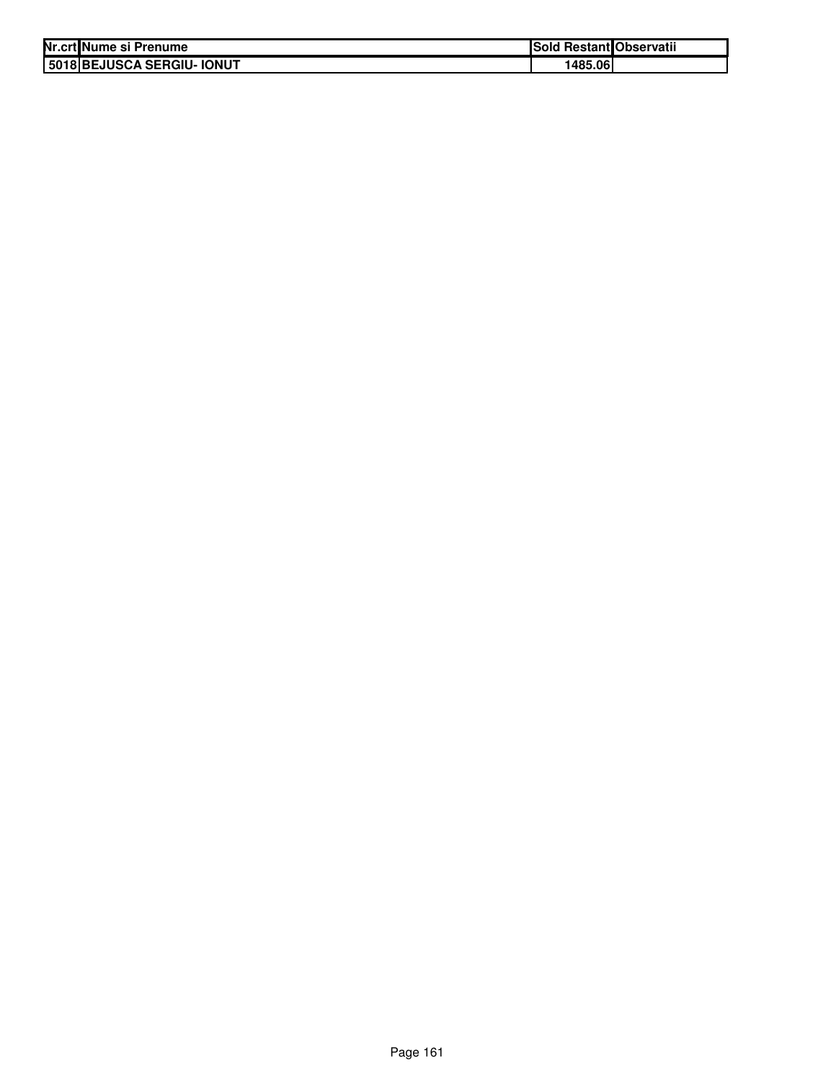| Nr.crt Nume si Prenume     | Sold Restant Observatii |  |
|----------------------------|-------------------------|--|
| 5018 BEJUSCA SERGIU- IONUT | 1485.06                 |  |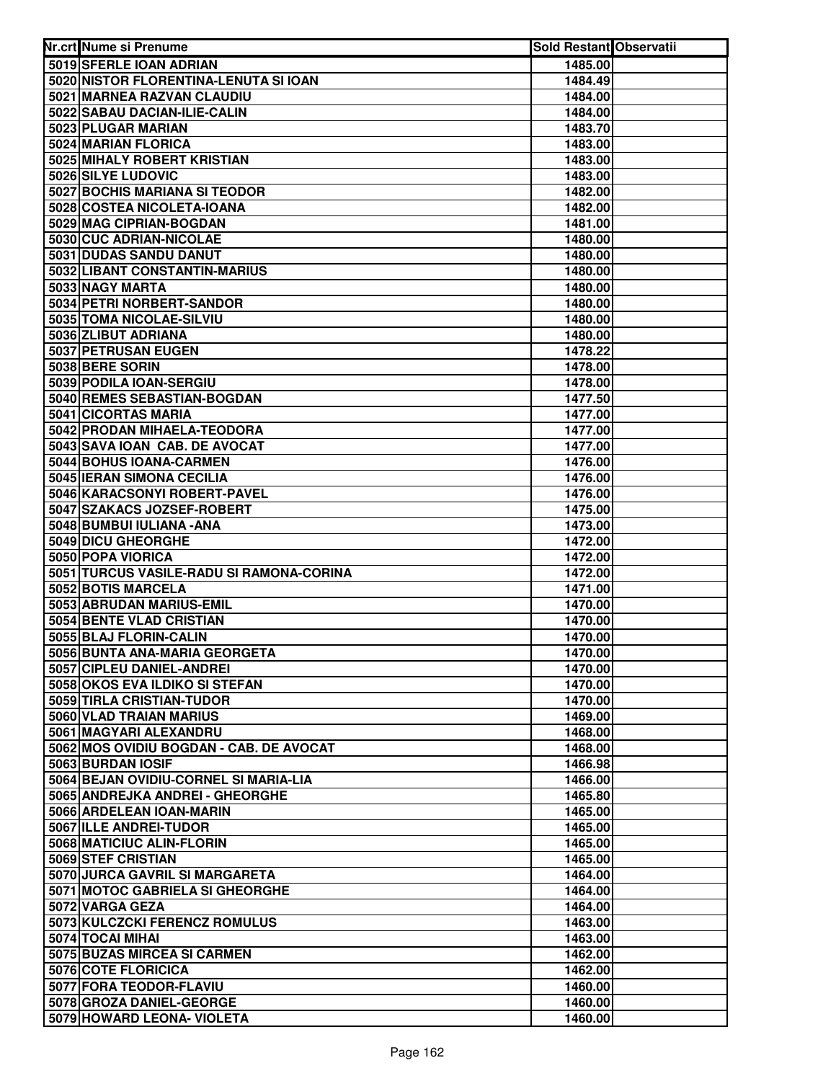| Nr.crt Nume si Prenume                           | Sold Restant Observatii |  |
|--------------------------------------------------|-------------------------|--|
| 5019 SFERLE IOAN ADRIAN                          | 1485.00                 |  |
| 5020 NISTOR FLORENTINA-LENUTA SI IOAN            | 1484.49                 |  |
| 5021 MARNEA RAZVAN CLAUDIU                       | 1484.00                 |  |
| 5022 SABAU DACIAN-ILIE-CALIN                     | 1484.00                 |  |
| 5023 PLUGAR MARIAN                               | 1483.70                 |  |
| 5024 MARIAN FLORICA                              | 1483.00                 |  |
| 5025 MIHALY ROBERT KRISTIAN                      | 1483.00                 |  |
| 5026 SILYE LUDOVIC                               | 1483.00                 |  |
| 5027 BOCHIS MARIANA SI TEODOR                    | 1482.00                 |  |
| 5028 COSTEA NICOLETA-IOANA                       | 1482.00                 |  |
| 5029 MAG CIPRIAN-BOGDAN                          | 1481.00                 |  |
| 5030 CUC ADRIAN-NICOLAE                          | 1480.00                 |  |
| 5031 DUDAS SANDU DANUT                           | 1480.00                 |  |
| 5032 LIBANT CONSTANTIN-MARIUS                    | 1480.00                 |  |
| 5033 NAGY MARTA                                  | 1480.00                 |  |
| 5034 PETRI NORBERT-SANDOR                        | 1480.00                 |  |
| 5035 TOMA NICOLAE-SILVIU                         | 1480.00                 |  |
| 5036 ZLIBUT ADRIANA                              | 1480.00                 |  |
| 5037 PETRUSAN EUGEN                              | 1478.22                 |  |
| 5038 BERE SORIN                                  | 1478.00                 |  |
| 5039 PODILA IOAN-SERGIU                          | 1478.00                 |  |
| 5040 REMES SEBASTIAN-BOGDAN                      | 1477.50                 |  |
| 5041 CICORTAS MARIA                              | 1477.00                 |  |
| 5042 PRODAN MIHAELA-TEODORA                      | 1477.00                 |  |
| 5043 SAVA IOAN CAB. DE AVOCAT                    | 1477.00                 |  |
| 5044 BOHUS IOANA-CARMEN                          | 1476.00                 |  |
| 5045 IERAN SIMONA CECILIA                        | 1476.00                 |  |
| 5046 KARACSONYI ROBERT-PAVEL                     | 1476.00                 |  |
| 5047 SZAKACS JOZSEF-ROBERT                       | 1475.00                 |  |
| 5048 BUMBUI IULIANA - ANA                        | 1473.00                 |  |
| 5049 DICU GHEORGHE                               | 1472.00                 |  |
| 5050 POPA VIORICA                                | 1472.00                 |  |
| 5051 TURCUS VASILE-RADU SI RAMONA-CORINA         | 1472.00                 |  |
| 5052 BOTIS MARCELA                               | 1471.00                 |  |
| 5053 ABRUDAN MARIUS-EMIL                         | 1470.00                 |  |
| 5054 BENTE VLAD CRISTIAN                         | 1470.00                 |  |
| 5055 BLAJ FLORIN-CALIN                           | 1470.00                 |  |
| 5056 BUNTA ANA-MARIA GEORGETA                    | 1470.00                 |  |
| 5057 CIPLEU DANIEL-ANDREI                        | 1470.00                 |  |
| 5058 OKOS EVA ILDIKO SI STEFAN                   | 1470.00                 |  |
| 5059 TIRLA CRISTIAN-TUDOR                        | 1470.00                 |  |
| 5060 VLAD TRAIAN MARIUS                          | 1469.00                 |  |
| 5061 MAGYARI ALEXANDRU                           | 1468.00                 |  |
| 5062 MOS OVIDIU BOGDAN - CAB. DE AVOCAT          | 1468.00                 |  |
| 5063 BURDAN IOSIF                                | 1466.98                 |  |
| 5064 BEJAN OVIDIU-CORNEL SI MARIA-LIA            | 1466.00                 |  |
| 5065 ANDREJKA ANDREI - GHEORGHE                  | 1465.80                 |  |
| 5066 ARDELEAN IOAN-MARIN                         | 1465.00                 |  |
| 5067 ILLE ANDREI-TUDOR                           | 1465.00                 |  |
| 5068 MATICIUC ALIN-FLORIN                        | 1465.00                 |  |
| 5069 STEF CRISTIAN                               | 1465.00                 |  |
| 5070 JURCA GAVRIL SI MARGARETA                   | 1464.00                 |  |
| 5071 MOTOC GABRIELA SI GHEORGHE                  | 1464.00                 |  |
| 5072 VARGA GEZA<br>5073 KULCZCKI FERENCZ ROMULUS | 1464.00<br>1463.00      |  |
| 5074 TOCAI MIHAI                                 |                         |  |
| 5075 BUZAS MIRCEA SI CARMEN                      | 1463.00                 |  |
| 5076 COTE FLORICICA                              | 1462.00<br>1462.00      |  |
| 5077 FORA TEODOR-FLAVIU                          | 1460.00                 |  |
| 5078 GROZA DANIEL-GEORGE                         | 1460.00                 |  |
| 5079 HOWARD LEONA- VIOLETA                       | 1460.00                 |  |
|                                                  |                         |  |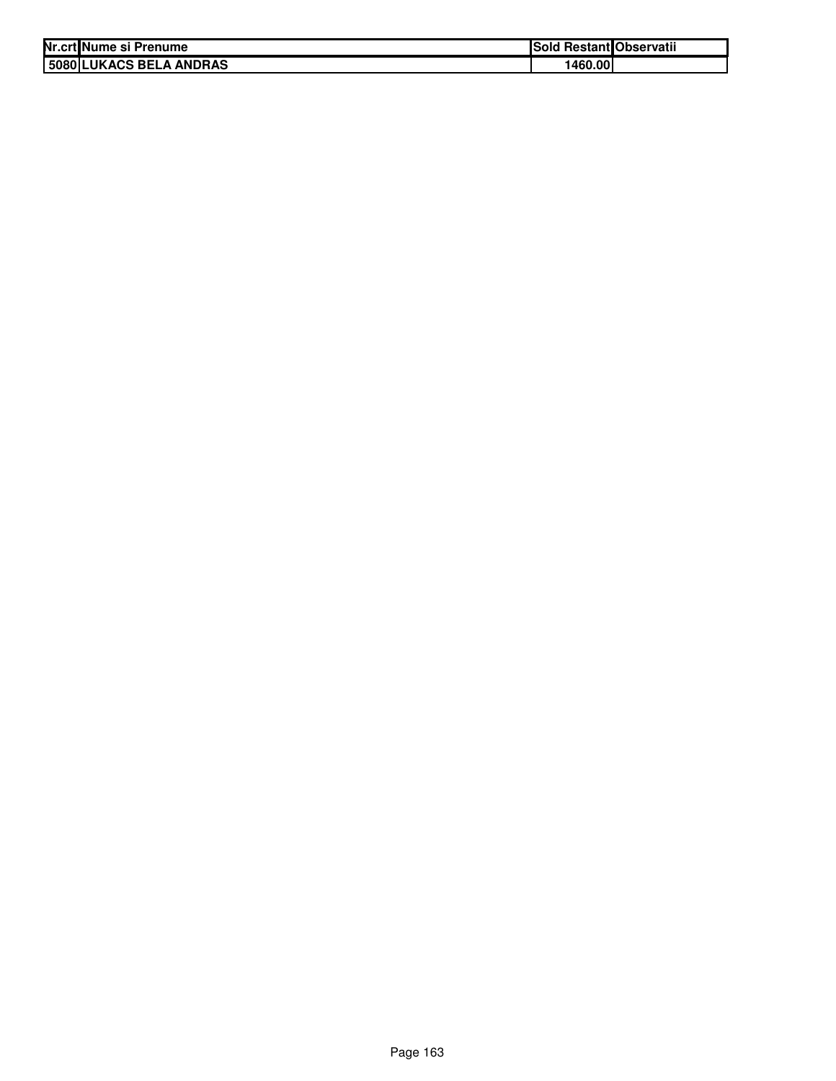| Nr.crt Nume si Prenume  | Sold Restant Observatii |  |
|-------------------------|-------------------------|--|
| 5080 LUKACS BELA ANDRAS | 1460.00                 |  |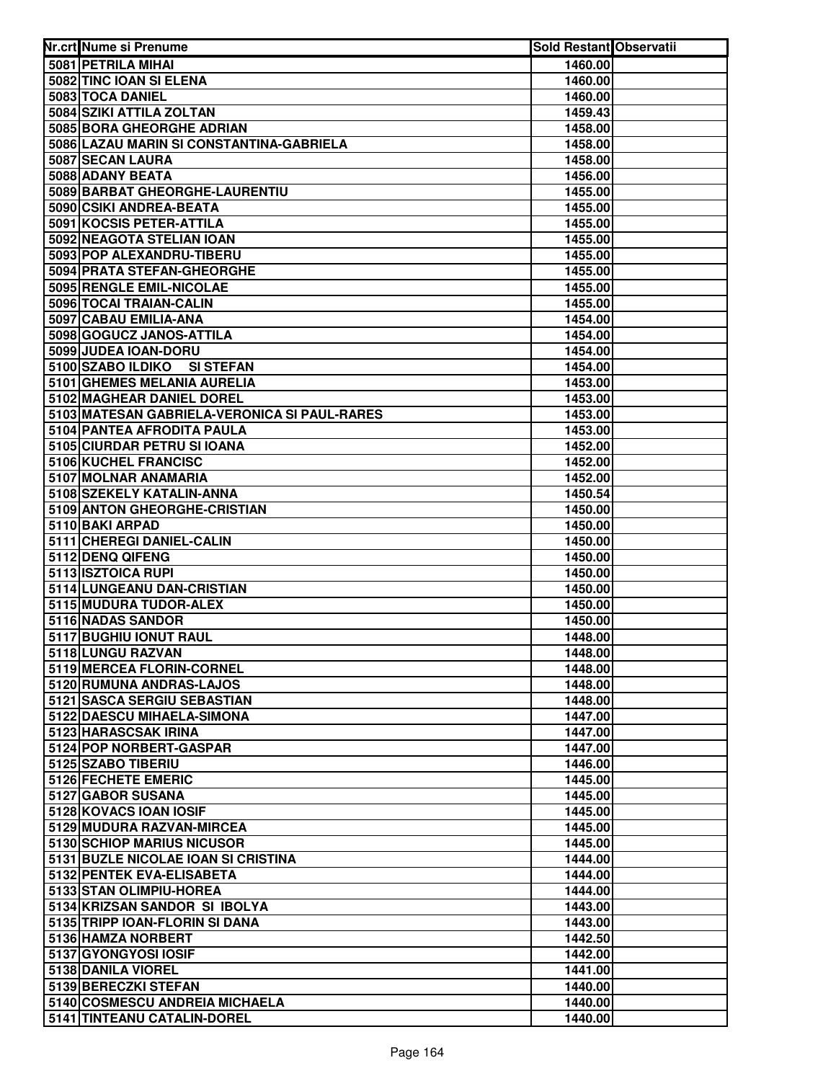| Nr.crt Nume si Prenume                               | Sold Restant Observatii |  |
|------------------------------------------------------|-------------------------|--|
| 5081 PETRILA MIHAI                                   | 1460.00                 |  |
| 5082 TINC IOAN SI ELENA                              | 1460.00                 |  |
| 5083 TOCA DANIEL                                     | 1460.00                 |  |
| 5084 SZIKI ATTILA ZOLTAN                             | 1459.43                 |  |
| 5085 BORA GHEORGHE ADRIAN                            | 1458.00                 |  |
| 5086 LAZAU MARIN SI CONSTANTINA-GABRIELA             | 1458.00                 |  |
| 5087 SECAN LAURA                                     | 1458.00                 |  |
| 5088 ADANY BEATA                                     | 1456.00                 |  |
| 5089 BARBAT GHEORGHE-LAURENTIU                       | 1455.00                 |  |
| 5090 CSIKI ANDREA-BEATA                              | 1455.00                 |  |
| 5091 KOCSIS PETER-ATTILA                             | 1455.00                 |  |
| 5092 NEAGOTA STELIAN IOAN                            | 1455.00                 |  |
| 5093 POP ALEXANDRU-TIBERU                            | 1455.00                 |  |
| 5094 PRATA STEFAN-GHEORGHE                           | 1455.00                 |  |
| 5095 RENGLE EMIL-NICOLAE                             | 1455.00                 |  |
| 5096 TOCAI TRAIAN-CALIN                              | 1455.00                 |  |
| 5097 CABAU EMILIA-ANA                                | 1454.00                 |  |
| 5098 GOGUCZ JANOS-ATTILA                             | 1454.00                 |  |
| 5099 JUDEA IOAN-DORU                                 | 1454.00                 |  |
| 5100 SZABO ILDIKO SI STEFAN                          | 1454.00                 |  |
| 5101 GHEMES MELANIA AURELIA                          | 1453.00                 |  |
| 5102 MAGHEAR DANIEL DOREL                            | 1453.00                 |  |
| 5103 MATESAN GABRIELA-VERONICA SI PAUL-RARES         | 1453.00                 |  |
| 5104 PANTEA AFRODITA PAULA                           | 1453.00                 |  |
| 5105 CIURDAR PETRU SI IOANA<br>5106 KUCHEL FRANCISC  | 1452.00                 |  |
| 5107 MOLNAR ANAMARIA                                 | 1452.00<br>1452.00      |  |
| 5108 SZEKELY KATALIN-ANNA                            | 1450.54                 |  |
| 5109 ANTON GHEORGHE-CRISTIAN                         | 1450.00                 |  |
| 5110 BAKI ARPAD                                      | 1450.00                 |  |
| 5111 CHEREGI DANIEL-CALIN                            | 1450.00                 |  |
| 5112 DENQ QIFENG                                     | 1450.00                 |  |
| 5113 ISZTOICA RUPI                                   | 1450.00                 |  |
| 5114 LUNGEANU DAN-CRISTIAN                           | 1450.00                 |  |
| 5115 MUDURA TUDOR-ALEX                               | 1450.00                 |  |
| 5116 NADAS SANDOR                                    | 1450.00                 |  |
| 5117 BUGHIU IONUT RAUL                               | 1448.00                 |  |
| 5118 LUNGU RAZVAN                                    | 1448.00                 |  |
| 5119 MERCEA FLORIN-CORNEL                            | 1448.00                 |  |
| 5120 RUMUNA ANDRAS-LAJOS                             | 1448.00                 |  |
| 5121 SASCA SERGIU SEBASTIAN                          | 1448.00                 |  |
| 5122 DAESCU MIHAELA-SIMONA                           | 1447.00                 |  |
| 5123 HARASCSAK IRINA                                 | 1447.00                 |  |
| 5124 POP NORBERT-GASPAR                              | 1447.00                 |  |
| 5125 SZABO TIBERIU                                   | 1446.00                 |  |
| 5126 FECHETE EMERIC                                  | 1445.00                 |  |
| 5127 GABOR SUSANA                                    | 1445.00                 |  |
| 5128 KOVACS IOAN IOSIF                               | 1445.00                 |  |
| 5129 MUDURA RAZVAN-MIRCEA                            | 1445.00                 |  |
| 5130 SCHIOP MARIUS NICUSOR                           | 1445.00                 |  |
| 5131 BUZLE NICOLAE IOAN SI CRISTINA                  | 1444.00                 |  |
| 5132 PENTEK EVA-ELISABETA<br>5133 STAN OLIMPIU-HOREA | 1444.00<br>1444.00      |  |
| 5134 KRIZSAN SANDOR SI IBOLYA                        | 1443.00                 |  |
| 5135 TRIPP IOAN-FLORIN SI DANA                       | 1443.00                 |  |
| 5136 HAMZA NORBERT                                   | 1442.50                 |  |
| 5137 GYONGYOSI IOSIF                                 | 1442.00                 |  |
| 5138 DANILA VIOREL                                   | 1441.00                 |  |
| 5139 BERECZKI STEFAN                                 | 1440.00                 |  |
| 5140 COSMESCU ANDREIA MICHAELA                       | 1440.00                 |  |
| 5141 TINTEANU CATALIN-DOREL                          | 1440.00                 |  |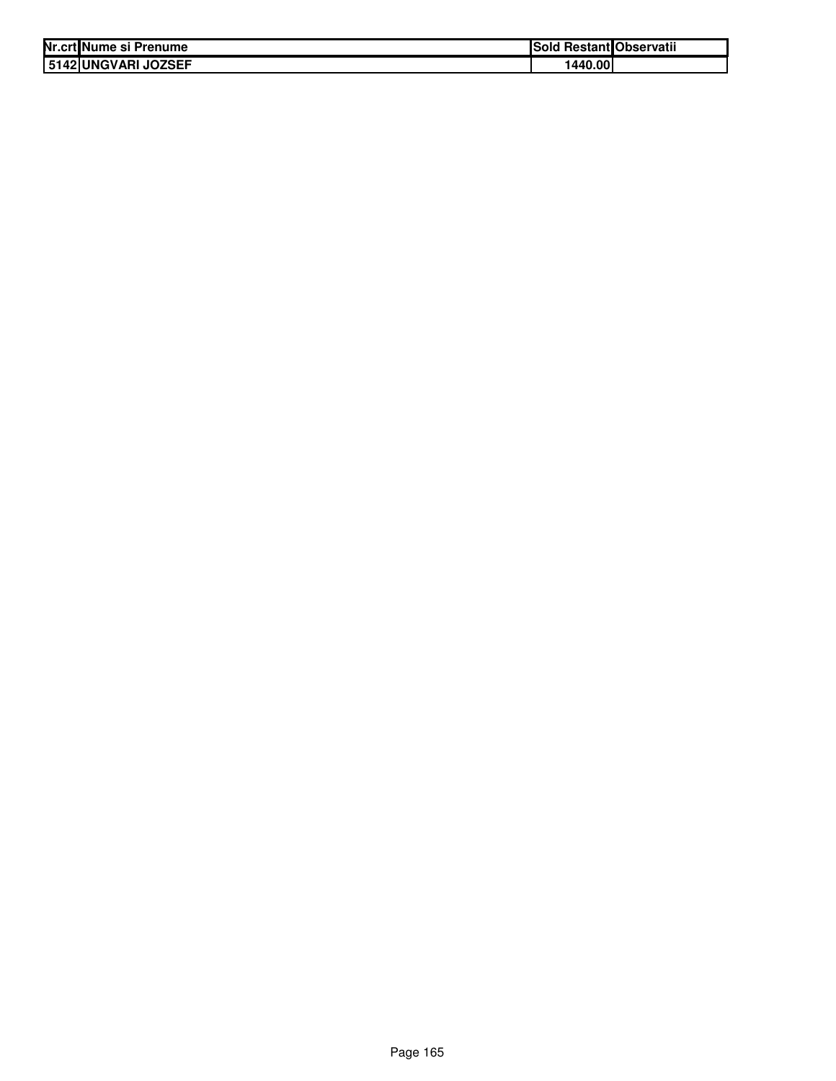| Nr.crt Nume si Prenume  | Sold Restant Observatii |  |
|-------------------------|-------------------------|--|
| l 5142   UNGVARI JOZSEF | 1440.00                 |  |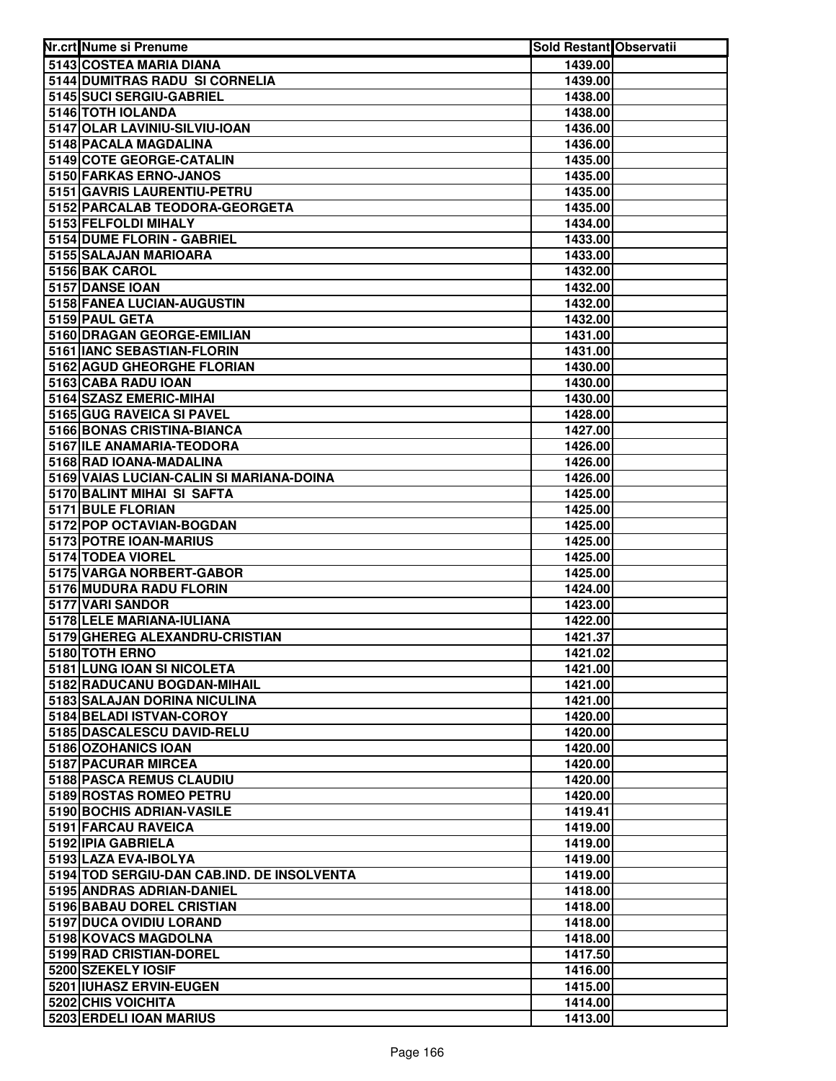| Nr.crt Nume si Prenume                     | <b>Sold Restant Observatii</b> |  |
|--------------------------------------------|--------------------------------|--|
| 5143 COSTEA MARIA DIANA                    | 1439.00                        |  |
| 5144 DUMITRAS RADU SI CORNELIA             | 1439.00                        |  |
| 5145 SUCI SERGIU-GABRIEL                   | 1438.00                        |  |
| 5146 TOTH IOLANDA                          | 1438.00                        |  |
| 5147 OLAR LAVINIU-SILVIU-IOAN              | 1436.00                        |  |
| 5148 PACALA MAGDALINA                      | 1436.00                        |  |
| 5149 COTE GEORGE-CATALIN                   | 1435.00                        |  |
| 5150 FARKAS ERNO-JANOS                     | 1435.00                        |  |
| 5151 GAVRIS LAURENTIU-PETRU                | 1435.00                        |  |
| 5152 PARCALAB TEODORA-GEORGETA             | 1435.00                        |  |
| 5153 FELFOLDI MIHALY                       | 1434.00                        |  |
| 5154 DUME FLORIN - GABRIEL                 | 1433.00                        |  |
| 5155 SALAJAN MARIOARA                      | 1433.00                        |  |
| 5156 BAK CAROL                             | 1432.00                        |  |
| 5157 DANSE IOAN                            | 1432.00                        |  |
| 5158 FANEA LUCIAN-AUGUSTIN                 | 1432.00                        |  |
| 5159 PAUL GETA                             | 1432.00                        |  |
| 5160 DRAGAN GEORGE-EMILIAN                 | 1431.00                        |  |
| 5161 IANC SEBASTIAN-FLORIN                 | 1431.00                        |  |
| 5162 AGUD GHEORGHE FLORIAN                 | 1430.00                        |  |
| 5163 CABA RADU IOAN                        | 1430.00                        |  |
| 5164 SZASZ EMERIC-MIHAI                    | 1430.00                        |  |
| 5165 GUG RAVEICA SI PAVEL                  | 1428.00                        |  |
| 5166 BONAS CRISTINA-BIANCA                 | 1427.00                        |  |
| 5167 ILE ANAMARIA-TEODORA                  | 1426.00                        |  |
| 5168 RAD IOANA-MADALINA                    | 1426.00                        |  |
| 5169 VAIAS LUCIAN-CALIN SI MARIANA-DOINA   | 1426.00                        |  |
| 5170 BALINT MIHAI SI SAFTA                 | 1425.00                        |  |
| 5171 BULE FLORIAN                          | 1425.00                        |  |
| 5172 POP OCTAVIAN-BOGDAN                   | 1425.00                        |  |
| 5173 POTRE IOAN-MARIUS                     | 1425.00                        |  |
| 5174 TODEA VIOREL                          | 1425.00                        |  |
| 5175 VARGA NORBERT-GABOR                   | 1425.00                        |  |
| 5176 MUDURA RADU FLORIN                    | 1424.00                        |  |
| 5177 VARI SANDOR                           | 1423.00                        |  |
| 5178 LELE MARIANA-IULIANA                  | 1422.00                        |  |
| 5179 GHEREG ALEXANDRU-CRISTIAN             | 1421.37                        |  |
| 5180 TOTH ERNO                             | 1421.02                        |  |
| 5181 LUNG IOAN SI NICOLETA                 | 1421.00                        |  |
| 5182 RADUCANU BOGDAN-MIHAIL                | 1421.00                        |  |
| 5183 SALAJAN DORINA NICULINA               | 1421.00                        |  |
| 5184 BELADI ISTVAN-COROY                   | 1420.00                        |  |
| 5185 DASCALESCU DAVID-RELU                 | 1420.00                        |  |
| 5186 OZOHANICS IOAN                        | 1420.00                        |  |
| 5187 PACURAR MIRCEA                        | 1420.00                        |  |
| 5188 PASCA REMUS CLAUDIU                   | 1420.00                        |  |
| 5189 ROSTAS ROMEO PETRU                    | 1420.00                        |  |
| 5190 BOCHIS ADRIAN-VASILE                  | 1419.41                        |  |
| 5191 FARCAU RAVEICA                        | 1419.00                        |  |
| 5192 IPIA GABRIELA                         | 1419.00                        |  |
| 5193 LAZA EVA-IBOLYA                       | 1419.00                        |  |
| 5194 TOD SERGIU-DAN CAB.IND. DE INSOLVENTA | 1419.00                        |  |
| 5195 ANDRAS ADRIAN-DANIEL                  | 1418.00                        |  |
| 5196 BABAU DOREL CRISTIAN                  | 1418.00                        |  |
| 5197 DUCA OVIDIU LORAND                    | 1418.00                        |  |
| 5198 KOVACS MAGDOLNA                       | 1418.00                        |  |
| 5199 RAD CRISTIAN-DOREL                    | 1417.50                        |  |
| 5200 SZEKELY IOSIF                         | 1416.00                        |  |
| 5201 IUHASZ ERVIN-EUGEN                    | 1415.00                        |  |
| 5202 CHIS VOICHITA                         | 1414.00                        |  |
| 5203 ERDELI IOAN MARIUS                    | 1413.00                        |  |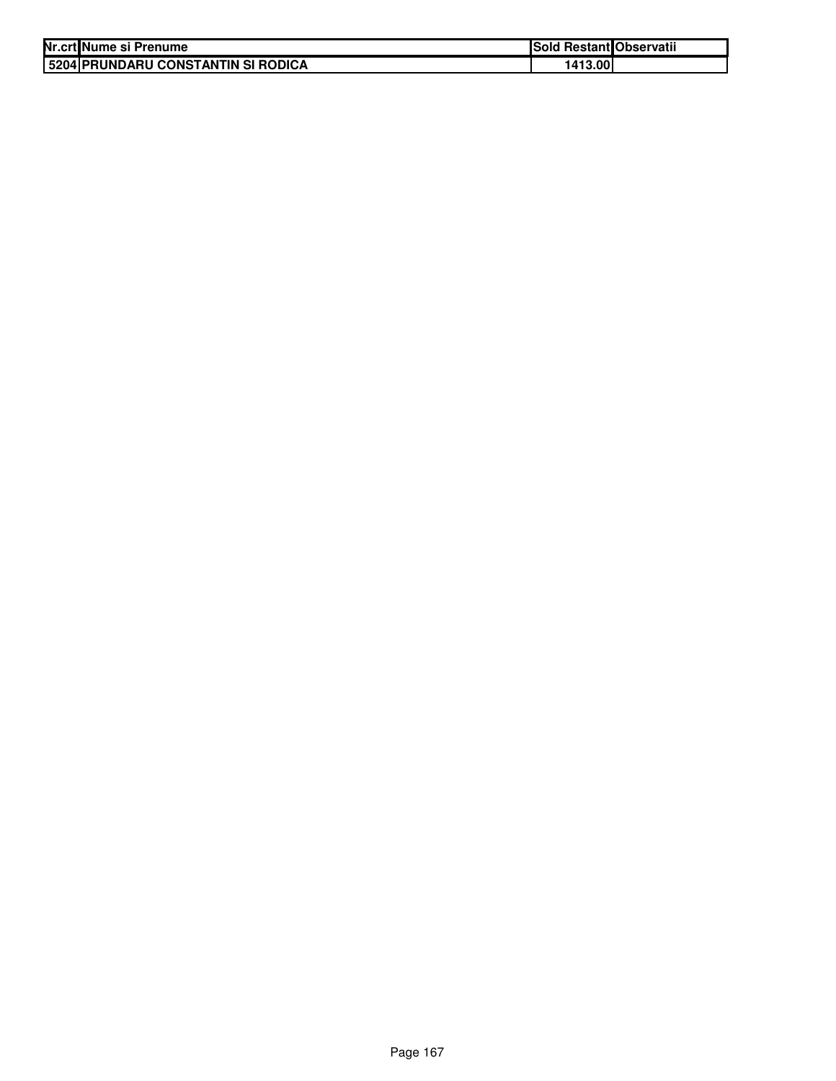| Nr.crt Nume si Prenume                    | Sold Restant Observatii |  |
|-------------------------------------------|-------------------------|--|
| <b>5204 PRUNDARU CONSTANTIN SI RODICA</b> | 1413.00                 |  |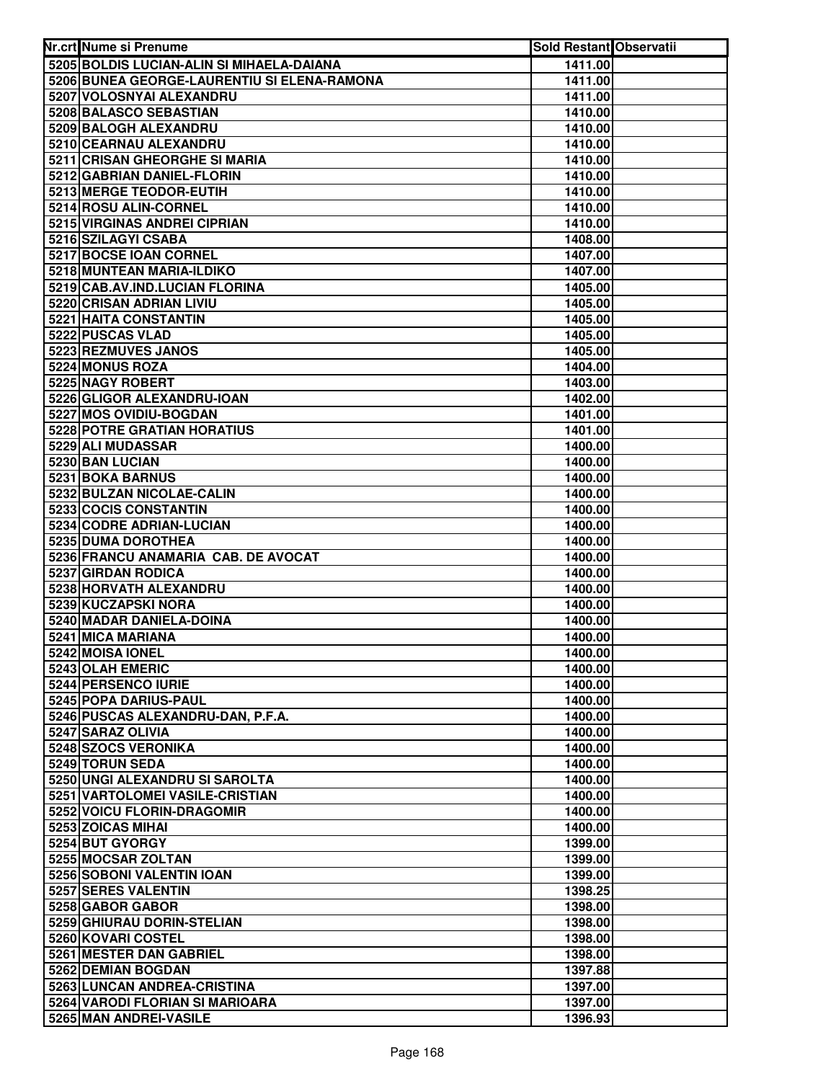| Nr.crt Nume si Prenume                        | <b>Sold Restant Observatii</b> |  |
|-----------------------------------------------|--------------------------------|--|
| 5205 BOLDIS LUCIAN-ALIN SI MIHAELA-DAIANA     | 1411.00                        |  |
| 5206 BUNEA GEORGE-LAURENTIU SI ELENA-RAMONA   | 1411.00                        |  |
| 5207 VOLOSNYAI ALEXANDRU                      | 1411.00                        |  |
| 5208 BALASCO SEBASTIAN                        | 1410.00                        |  |
| 5209 BALOGH ALEXANDRU                         | 1410.00                        |  |
| 5210 CEARNAU ALEXANDRU                        | 1410.00                        |  |
| 5211 CRISAN GHEORGHE SI MARIA                 | 1410.00                        |  |
| 5212 GABRIAN DANIEL-FLORIN                    | 1410.00                        |  |
| 5213 MERGE TEODOR-EUTIH                       | 1410.00                        |  |
| 5214 ROSU ALIN-CORNEL                         | 1410.00                        |  |
| 5215 VIRGINAS ANDREI CIPRIAN                  | 1410.00                        |  |
| 5216 SZILAGYI CSABA                           | 1408.00                        |  |
| 5217 BOCSE IOAN CORNEL                        | 1407.00                        |  |
| 5218 MUNTEAN MARIA-ILDIKO                     | 1407.00                        |  |
| 5219 CAB.AV.IND.LUCIAN FLORINA                | 1405.00                        |  |
| 5220 CRISAN ADRIAN LIVIU                      | 1405.00                        |  |
| 5221 HAITA CONSTANTIN                         | 1405.00                        |  |
| 5222 PUSCAS VLAD                              | 1405.00                        |  |
| 5223 REZMUVES JANOS                           | 1405.00                        |  |
| 5224 MONUS ROZA<br>5225 NAGY ROBERT           | 1404.00                        |  |
| 5226 GLIGOR ALEXANDRU-IOAN                    | 1403.00<br>1402.00             |  |
| 5227 MOS OVIDIU-BOGDAN                        | 1401.00                        |  |
| 5228 POTRE GRATIAN HORATIUS                   | 1401.00                        |  |
| 5229 ALI MUDASSAR                             | 1400.00                        |  |
| 5230 BAN LUCIAN                               | 1400.00                        |  |
| 5231 BOKA BARNUS                              | 1400.00                        |  |
| 5232 BULZAN NICOLAE-CALIN                     | 1400.00                        |  |
| 5233 COCIS CONSTANTIN                         | 1400.00                        |  |
| 5234 CODRE ADRIAN-LUCIAN                      | 1400.00                        |  |
| 5235 DUMA DOROTHEA                            | 1400.00                        |  |
| 5236 FRANCU ANAMARIA CAB. DE AVOCAT           | 1400.00                        |  |
| 5237 GIRDAN RODICA                            | 1400.00                        |  |
| 5238 HORVATH ALEXANDRU                        | 1400.00                        |  |
| 5239 KUCZAPSKI NORA                           | 1400.00                        |  |
| 5240 MADAR DANIELA-DOINA                      | 1400.00                        |  |
| 5241 MICA MARIANA                             | 1400.00                        |  |
| 5242 MOISA IONEL                              | 1400.00                        |  |
| 5243 OLAH EMERIC<br>5244 PERSENCO IURIE       | 1400.00<br>1400.00             |  |
| 5245 POPA DARIUS-PAUL                         | 1400.00                        |  |
| 5246 PUSCAS ALEXANDRU-DAN, P.F.A.             | 1400.00                        |  |
| 5247 SARAZ OLIVIA                             | 1400.00                        |  |
| 5248 SZOCS VERONIKA                           | 1400.00                        |  |
| 5249 TORUN SEDA                               | 1400.00                        |  |
| 5250 UNGI ALEXANDRU SI SAROLTA                | 1400.00                        |  |
| 5251 VARTOLOMEI VASILE-CRISTIAN               | 1400.00                        |  |
| 5252 VOICU FLORIN-DRAGOMIR                    | 1400.00                        |  |
| 5253 ZOICAS MIHAI                             | 1400.00                        |  |
| 5254 BUT GYORGY                               | 1399.00                        |  |
| 5255 MOCSAR ZOLTAN                            | 1399.00                        |  |
| 5256 SOBONI VALENTIN IOAN                     | 1399.00                        |  |
| 5257 SERES VALENTIN                           | 1398.25                        |  |
| 5258 GABOR GABOR                              | 1398.00                        |  |
| 5259 GHIURAU DORIN-STELIAN                    | 1398.00                        |  |
| 5260 KOVARI COSTEL                            | 1398.00                        |  |
| 5261 MESTER DAN GABRIEL<br>5262 DEMIAN BOGDAN | 1398.00<br>1397.88             |  |
| 5263 LUNCAN ANDREA-CRISTINA                   | 1397.00                        |  |
| 5264 VARODI FLORIAN SI MARIOARA               | 1397.00                        |  |
| 5265 MAN ANDREI-VASILE                        | 1396.93                        |  |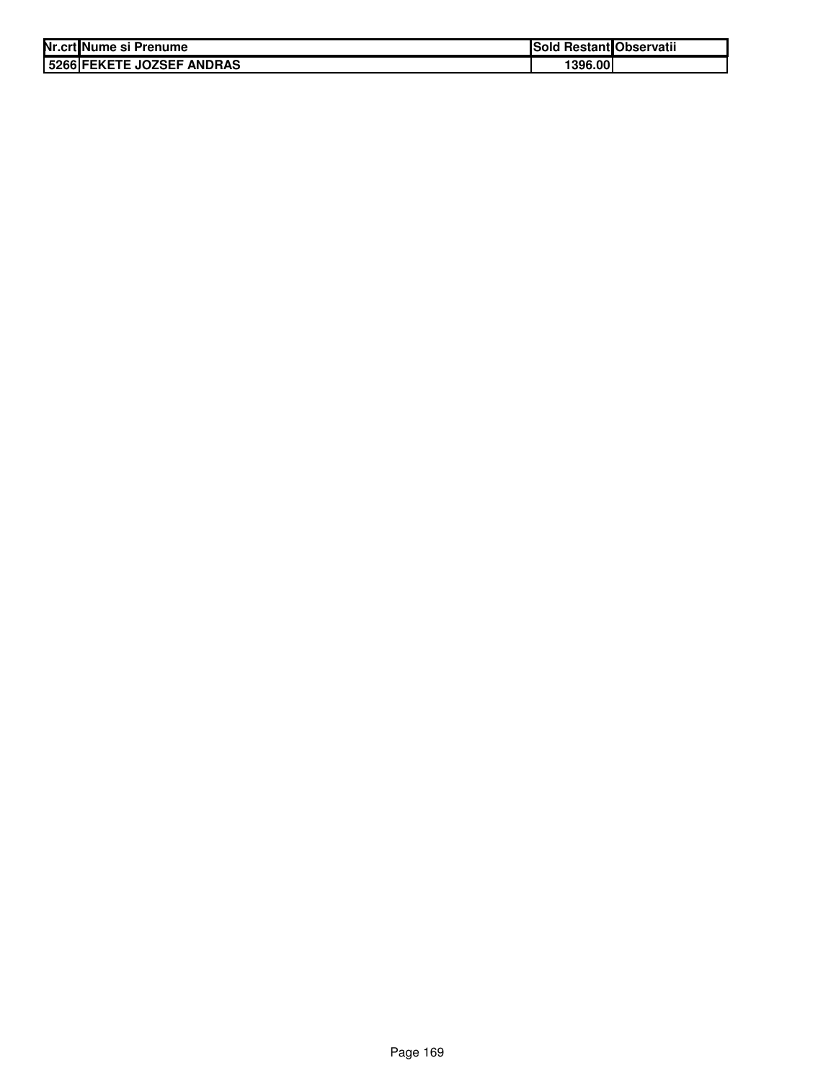| Nr.crt Nume si Prenume    | <b>Sold Restant Observatii</b> |  |
|---------------------------|--------------------------------|--|
| 5266 FEKETE JOZSEF ANDRAS | 1396.00                        |  |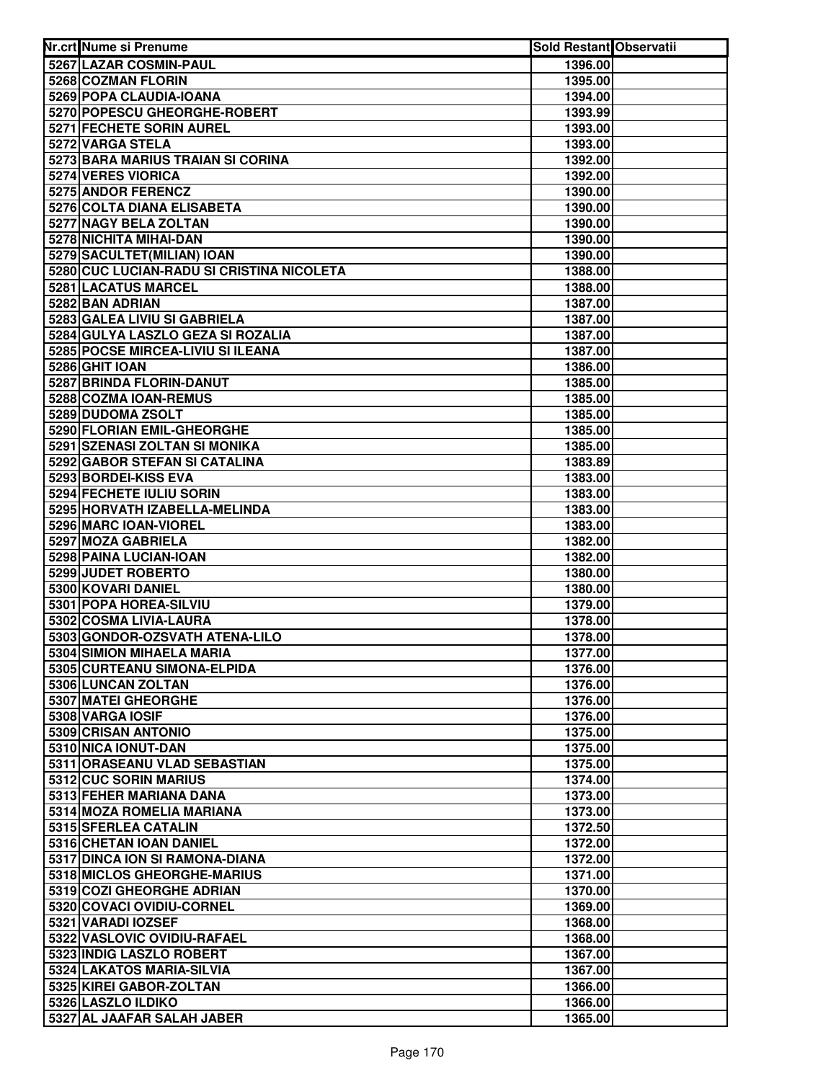| Nr.crt Nume si Prenume                                  | Sold Restant Observatii |  |
|---------------------------------------------------------|-------------------------|--|
| 5267 LAZAR COSMIN-PAUL                                  | 1396.00                 |  |
| 5268 COZMAN FLORIN                                      | 1395.00                 |  |
| 5269 POPA CLAUDIA-IOANA                                 | 1394.00                 |  |
| 5270 POPESCU GHEORGHE-ROBERT                            | 1393.99                 |  |
| <b>5271 FECHETE SORIN AUREL</b>                         | 1393.00                 |  |
| 5272 VARGA STELA                                        | 1393.00                 |  |
| 5273 BARA MARIUS TRAIAN SI CORINA                       | 1392.00                 |  |
| 5274 VERES VIORICA                                      | 1392.00                 |  |
| 5275 ANDOR FERENCZ                                      | 1390.00                 |  |
| 5276 COLTA DIANA ELISABETA                              | 1390.00                 |  |
| 5277 NAGY BELA ZOLTAN                                   | 1390.00                 |  |
| 5278 NICHITA MIHAI-DAN                                  | 1390.00                 |  |
| 5279 SACULTET(MILIAN) IOAN                              | 1390.00                 |  |
| 5280 CUC LUCIAN-RADU SI CRISTINA NICOLETA               | 1388.00                 |  |
| 5281 LACATUS MARCEL                                     | 1388.00                 |  |
| 5282 BAN ADRIAN                                         | 1387.00                 |  |
| 5283 GALEA LIVIU SI GABRIELA                            | 1387.00                 |  |
| 5284 GULYA LASZLO GEZA SI ROZALIA                       | 1387.00                 |  |
| 5285 POCSE MIRCEA-LIVIU SI ILEANA                       | 1387.00                 |  |
| 5286 GHIT IOAN                                          | 1386.00                 |  |
| 5287 BRINDA FLORIN-DANUT                                | 1385.00                 |  |
| 5288 COZMA IOAN-REMUS                                   | 1385.00                 |  |
| 5289 DUDOMA ZSOLT                                       | 1385.00                 |  |
| 5290 FLORIAN EMIL-GHEORGHE                              | 1385.00                 |  |
| 5291 SZENASI ZOLTAN SI MONIKA                           | 1385.00                 |  |
| 5292 GABOR STEFAN SI CATALINA                           | 1383.89                 |  |
| 5293 BORDEI-KISS EVA                                    | 1383.00                 |  |
| 5294 FECHETE IULIU SORIN                                | 1383.00                 |  |
| 5295 HORVATH IZABELLA-MELINDA                           | 1383.00                 |  |
| 5296 MARC IOAN-VIOREL                                   | 1383.00                 |  |
| 5297 MOZA GABRIELA                                      | 1382.00                 |  |
| 5298 PAINA LUCIAN-IOAN                                  | 1382.00                 |  |
| 5299 JUDET ROBERTO                                      | 1380.00                 |  |
| 5300 KOVARI DANIEL                                      | 1380.00                 |  |
| 5301 POPA HOREA-SILVIU                                  | 1379.00                 |  |
| 5302 COSMA LIVIA-LAURA                                  | 1378.00                 |  |
| 5303 GONDOR-OZSVATH ATENA-LILO                          | 1378.00                 |  |
| 5304 SIMION MIHAELA MARIA                               | 1377.00                 |  |
| 5305 CURTEANU SIMONA-ELPIDA                             | 1376.00                 |  |
| 5306 LUNCAN ZOLTAN                                      | 1376.00                 |  |
| 5307 MATEI GHEORGHE                                     | 1376.00                 |  |
| 5308 VARGA IOSIF                                        | 1376.00                 |  |
| 5309 CRISAN ANTONIO                                     | 1375.00                 |  |
| 5310 NICA IONUT-DAN                                     | 1375.00                 |  |
| 5311 ORASEANU VLAD SEBASTIAN                            | 1375.00                 |  |
| 5312 CUC SORIN MARIUS                                   | 1374.00                 |  |
| 5313 FEHER MARIANA DANA                                 | 1373.00                 |  |
| 5314 MOZA ROMELIA MARIANA                               | 1373.00                 |  |
| 5315 SFERLEA CATALIN                                    | 1372.50                 |  |
| 5316 CHETAN IOAN DANIEL                                 | 1372.00                 |  |
| 5317 DINCA ION SI RAMONA-DIANA                          | 1372.00                 |  |
| 5318 MICLOS GHEORGHE-MARIUS                             | 1371.00                 |  |
| 5319 COZI GHEORGHE ADRIAN                               | 1370.00                 |  |
| 5320 COVACI OVIDIU-CORNEL                               | 1369.00                 |  |
| 5321 VARADI IOZSEF                                      | 1368.00                 |  |
| 5322 VASLOVIC OVIDIU-RAFAEL<br>5323 INDIG LASZLO ROBERT | 1368.00                 |  |
| 5324 LAKATOS MARIA-SILVIA                               | 1367.00<br>1367.00      |  |
| 5325 KIREI GABOR-ZOLTAN                                 |                         |  |
| 5326 LASZLO ILDIKO                                      | 1366.00<br>1366.00      |  |
| 5327 AL JAAFAR SALAH JABER                              | 1365.00                 |  |
|                                                         |                         |  |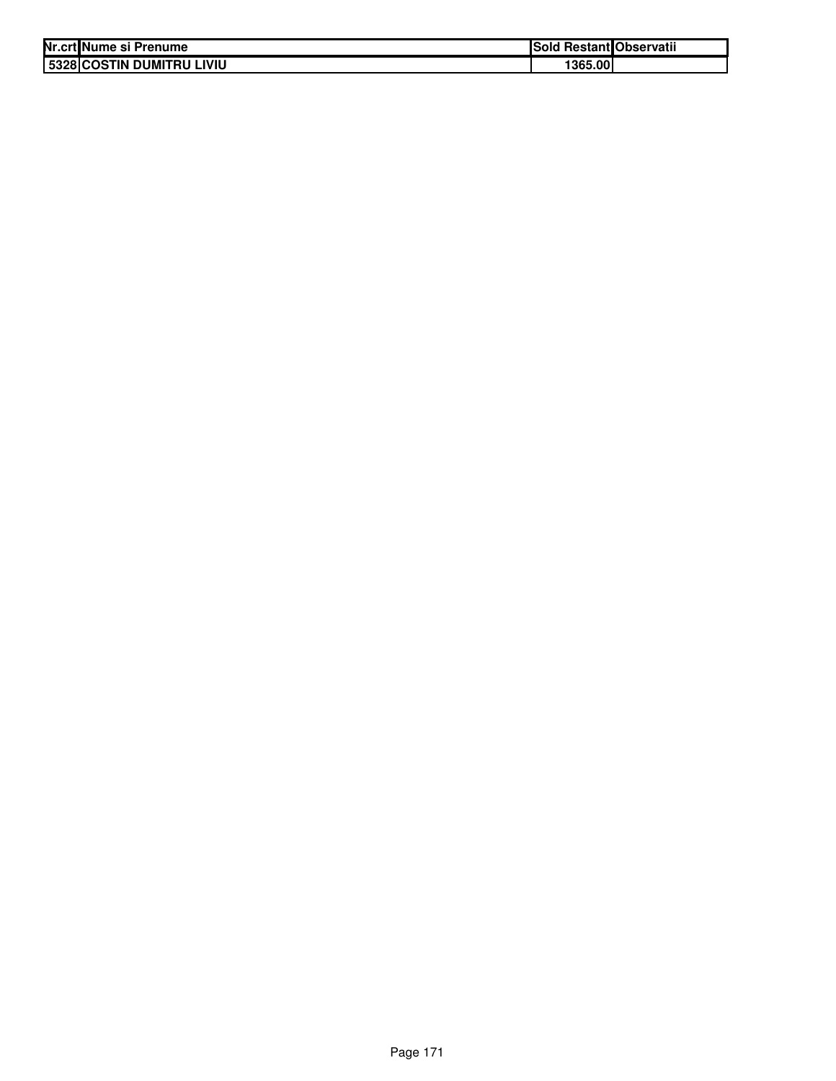| Nr.crt Nume si Prenume    | Sold Restant Observatii |  |
|---------------------------|-------------------------|--|
| 5328 COSTIN DUMITRU LIVIU | 1365.00                 |  |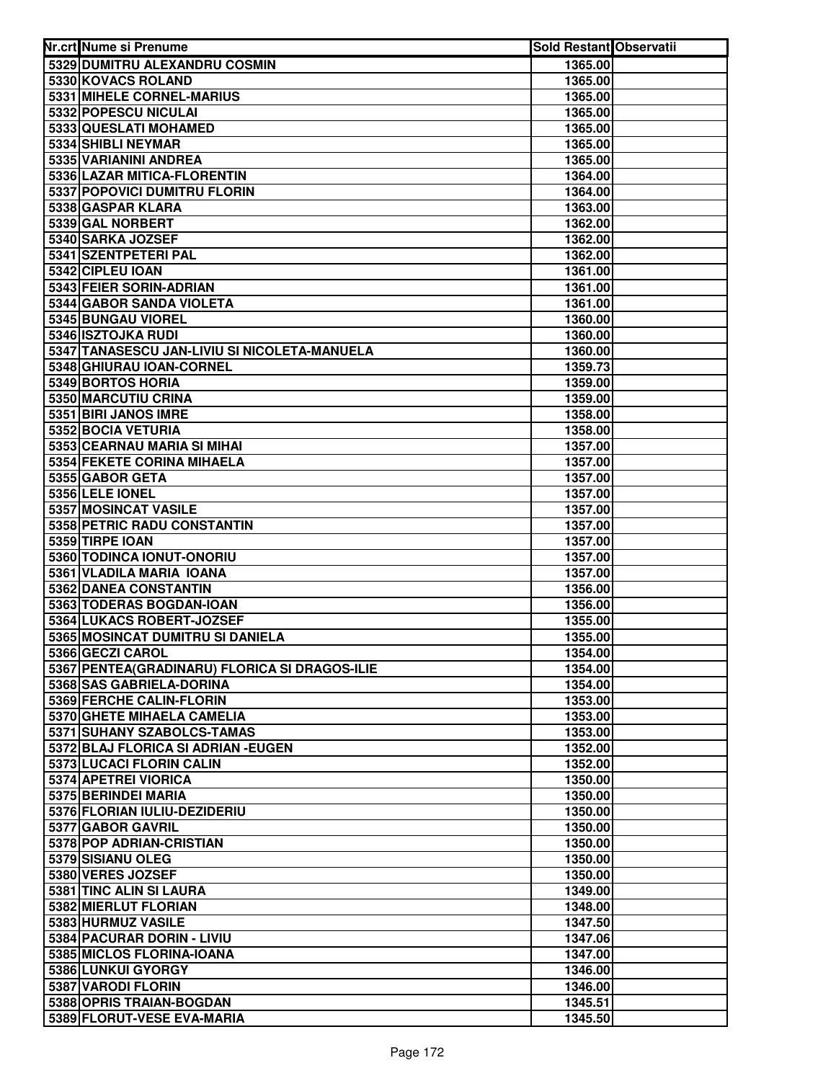| Nr.crt Nume si Prenume                        | <b>Sold Restant Observatii</b> |  |
|-----------------------------------------------|--------------------------------|--|
| 5329 DUMITRU ALEXANDRU COSMIN                 | 1365.00                        |  |
| 5330 KOVACS ROLAND                            | 1365.00                        |  |
| 5331 MIHELE CORNEL-MARIUS                     | 1365.00                        |  |
| 5332 POPESCU NICULAI                          | 1365.00                        |  |
| 5333 QUESLATI MOHAMED                         | 1365.00                        |  |
| 5334 SHIBLI NEYMAR                            | 1365.00                        |  |
| 5335 VARIANINI ANDREA                         | 1365.00                        |  |
| 5336 LAZAR MITICA-FLORENTIN                   | 1364.00                        |  |
| 5337 POPOVICI DUMITRU FLORIN                  | 1364.00                        |  |
| 5338 GASPAR KLARA                             | 1363.00                        |  |
| 5339 GAL NORBERT                              | 1362.00                        |  |
| 5340 SARKA JOZSEF                             | 1362.00                        |  |
| 5341 SZENTPETERI PAL                          | 1362.00                        |  |
| 5342 CIPLEU IOAN                              | 1361.00                        |  |
| 5343 FEIER SORIN-ADRIAN                       | 1361.00                        |  |
| 5344 GABOR SANDA VIOLETA                      | 1361.00                        |  |
| 5345 BUNGAU VIOREL                            | 1360.00                        |  |
| 5346 ISZTOJKA RUDI                            | 1360.00                        |  |
| 5347 TANASESCU JAN-LIVIU SI NICOLETA-MANUELA  | 1360.00                        |  |
| 5348 GHIURAU IOAN-CORNEL                      | 1359.73                        |  |
| 5349 BORTOS HORIA                             | 1359.00                        |  |
| 5350 MARCUTIU CRINA                           | 1359.00                        |  |
| 5351 BIRI JANOS IMRE                          | 1358.00                        |  |
| 5352 BOCIA VETURIA                            | 1358.00                        |  |
| 5353 CEARNAU MARIA SI MIHAI                   | 1357.00                        |  |
| 5354 FEKETE CORINA MIHAELA                    | 1357.00                        |  |
| 5355 GABOR GETA                               | 1357.00                        |  |
| 5356 LELE IONEL                               | 1357.00                        |  |
| 5357 MOSINCAT VASILE                          | 1357.00                        |  |
| 5358 PETRIC RADU CONSTANTIN                   | 1357.00                        |  |
| 5359 TIRPE IOAN                               | 1357.00                        |  |
| 5360 TODINCA IONUT-ONORIU                     | 1357.00                        |  |
| 5361 VLADILA MARIA IOANA                      | 1357.00                        |  |
| 5362 DANEA CONSTANTIN                         | 1356.00                        |  |
| 5363 TODERAS BOGDAN-IOAN                      | 1356.00                        |  |
| 5364 LUKACS ROBERT-JOZSEF                     | 1355.00                        |  |
| 5365 MOSINCAT DUMITRU SI DANIELA              | 1355.00                        |  |
| 5366 GECZI CAROL                              | 1354.00                        |  |
| 5367 PENTEA(GRADINARU) FLORICA SI DRAGOS-ILIE | 1354.00                        |  |
| 5368 SAS GABRIELA-DORINA                      | 1354.00                        |  |
| 5369 FERCHE CALIN-FLORIN                      | 1353.00                        |  |
| 5370 GHETE MIHAELA CAMELIA                    | 1353.00                        |  |
| 5371 SUHANY SZABOLCS-TAMAS                    | 1353.00                        |  |
| 5372 BLAJ FLORICA SI ADRIAN - EUGEN           | 1352.00                        |  |
| 5373 LUCACI FLORIN CALIN                      | 1352.00                        |  |
| 5374 APETREI VIORICA                          | 1350.00                        |  |
| 5375 BERINDEI MARIA                           | 1350.00                        |  |
| 5376 FLORIAN IULIU-DEZIDERIU                  | 1350.00                        |  |
| 5377 GABOR GAVRIL                             | 1350.00                        |  |
| 5378 POP ADRIAN-CRISTIAN                      | 1350.00                        |  |
| 5379 SISIANU OLEG                             | 1350.00                        |  |
| 5380 VERES JOZSEF                             | 1350.00                        |  |
| 5381 TINC ALIN SI LAURA                       | 1349.00                        |  |
| 5382 MIERLUT FLORIAN                          | 1348.00                        |  |
| 5383 HURMUZ VASILE                            | 1347.50                        |  |
| 5384 PACURAR DORIN - LIVIU                    | 1347.06                        |  |
| 5385 MICLOS FLORINA-IOANA                     | 1347.00                        |  |
| 5386 LUNKUI GYORGY                            | 1346.00                        |  |
| 5387 VARODI FLORIN                            | 1346.00                        |  |
| 5388 OPRIS TRAIAN-BOGDAN                      | 1345.51                        |  |
| 5389 FLORUT-VESE EVA-MARIA                    | 1345.50                        |  |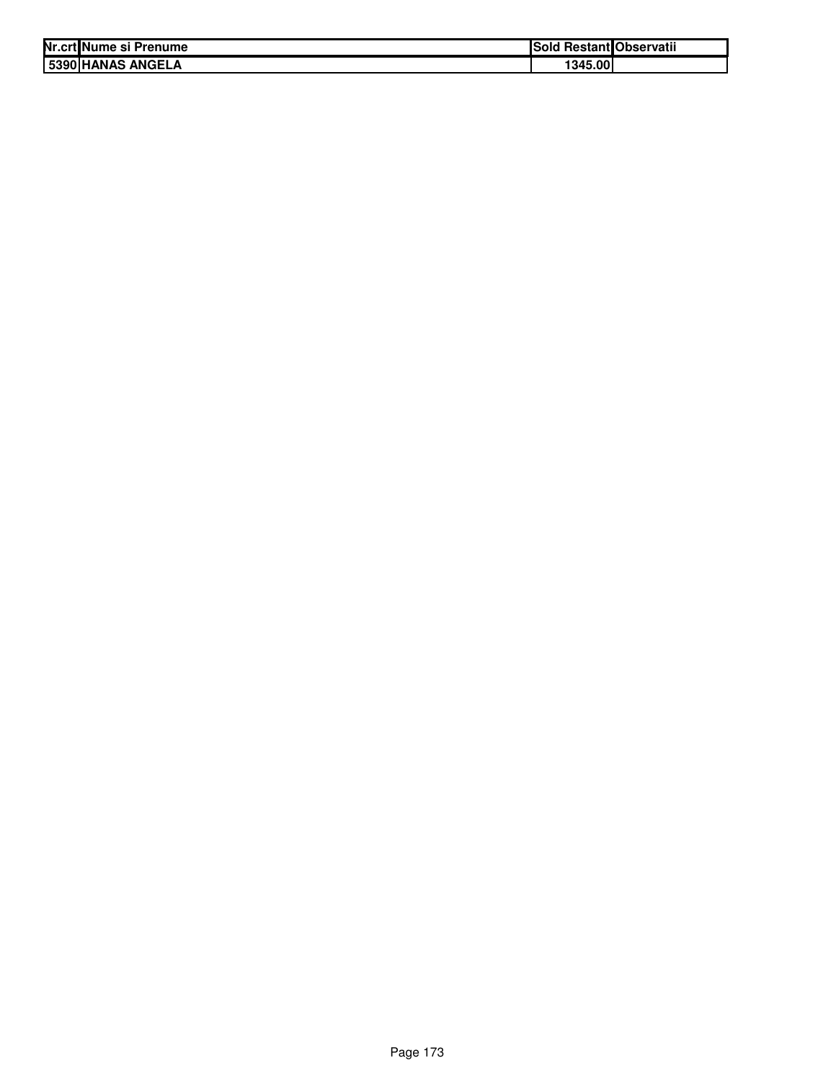| Nr.crt Nume si Prenume   | <b>ISold</b> | l Restant Observatii |
|--------------------------|--------------|----------------------|
| <b>5390 HANAS ANGELA</b> | 1345.00      |                      |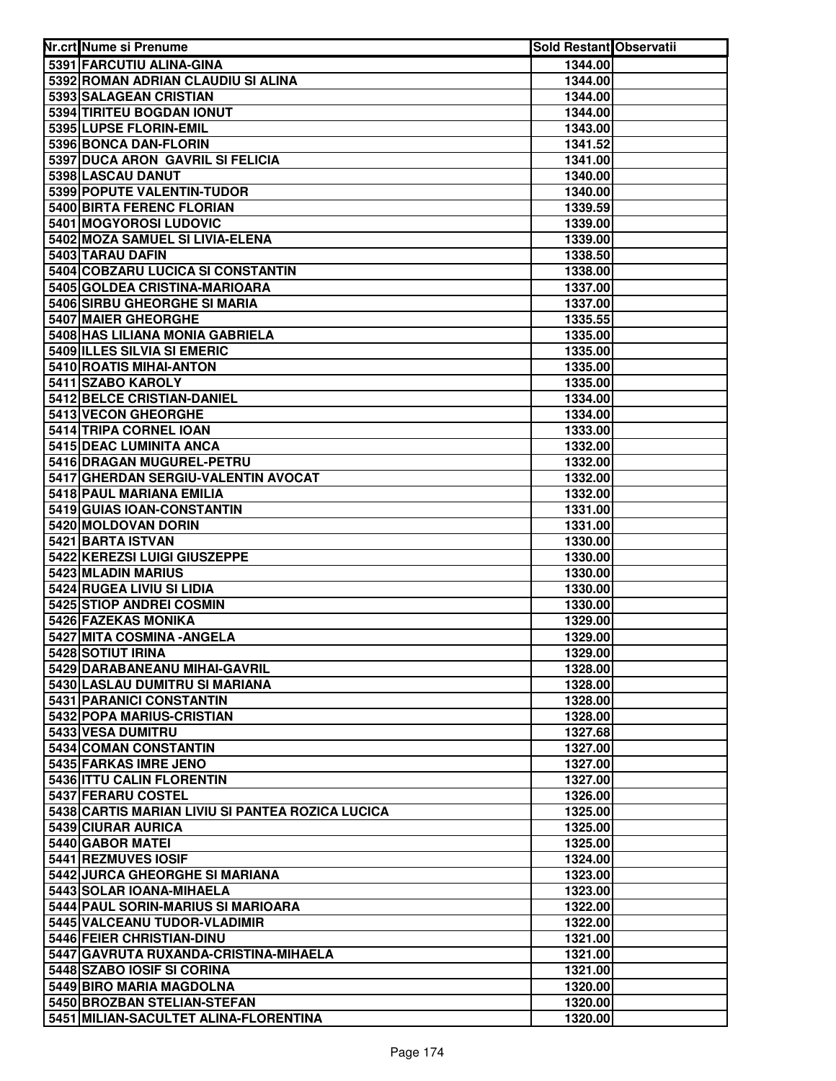| Nr.crt Nume si Prenume                                              | <b>Sold Restant Observatii</b> |  |
|---------------------------------------------------------------------|--------------------------------|--|
| 5391 FARCUTIU ALINA-GINA                                            | 1344.00                        |  |
| 5392 ROMAN ADRIAN CLAUDIU SI ALINA                                  | 1344.00                        |  |
| 5393 SALAGEAN CRISTIAN                                              | 1344.00                        |  |
| 5394 TIRITEU BOGDAN IONUT                                           | 1344.00                        |  |
| 5395 LUPSE FLORIN-EMIL                                              | 1343.00                        |  |
| 5396 BONCA DAN-FLORIN                                               | 1341.52                        |  |
| 5397 DUCA ARON GAVRIL SI FELICIA                                    | 1341.00                        |  |
| 5398 LASCAU DANUT                                                   | 1340.00                        |  |
| 5399 POPUTE VALENTIN-TUDOR                                          | 1340.00                        |  |
| 5400 BIRTA FERENC FLORIAN                                           | 1339.59                        |  |
| 5401 MOGYOROSI LUDOVIC                                              | 1339.00                        |  |
| 5402 MOZA SAMUEL SI LIVIA-ELENA                                     | 1339.00                        |  |
| 5403 TARAU DAFIN                                                    | 1338.50                        |  |
| 5404 COBZARU LUCICA SI CONSTANTIN                                   | 1338.00                        |  |
| 5405 GOLDEA CRISTINA-MARIOARA                                       | 1337.00                        |  |
| 5406 SIRBU GHEORGHE SI MARIA                                        | 1337.00                        |  |
| <b>5407 MAIER GHEORGHE</b>                                          | 1335.55                        |  |
| 5408 HAS LILIANA MONIA GABRIELA                                     | 1335.00                        |  |
| 5409 ILLES SILVIA SI EMERIC                                         | 1335.00                        |  |
| 5410 ROATIS MIHAI-ANTON<br>5411 SZABO KAROLY                        | 1335.00                        |  |
| 5412 BELCE CRISTIAN-DANIEL                                          | 1335.00                        |  |
| 5413 VECON GHEORGHE                                                 | 1334.00<br>1334.00             |  |
| 5414 TRIPA CORNEL IOAN                                              | 1333.00                        |  |
| 5415 DEAC LUMINITA ANCA                                             | 1332.00                        |  |
| 5416 DRAGAN MUGUREL-PETRU                                           | 1332.00                        |  |
| 5417 GHERDAN SERGIU-VALENTIN AVOCAT                                 | 1332.00                        |  |
| 5418 PAUL MARIANA EMILIA                                            | 1332.00                        |  |
| 5419 GUIAS IOAN-CONSTANTIN                                          | 1331.00                        |  |
| 5420 MOLDOVAN DORIN                                                 | 1331.00                        |  |
| 5421 BARTA ISTVAN                                                   | 1330.00                        |  |
| 5422 KEREZSI LUIGI GIUSZEPPE                                        | 1330.00                        |  |
| 5423 MLADIN MARIUS                                                  | 1330.00                        |  |
| 5424 RUGEA LIVIU SI LIDIA                                           | 1330.00                        |  |
| 5425 STIOP ANDREI COSMIN                                            | 1330.00                        |  |
| 5426 FAZEKAS MONIKA                                                 | 1329.00                        |  |
| 5427 MITA COSMINA - ANGELA                                          | 1329.00                        |  |
| 5428 SOTIUT IRINA                                                   | 1329.00                        |  |
| 5429 DARABANEANU MIHAI-GAVRIL<br>5430 LASLAU DUMITRU SI MARIANA     | 1328.00<br>1328.00             |  |
| 5431 PARANICI CONSTANTIN                                            | 1328.00                        |  |
| 5432 POPA MARIUS-CRISTIAN                                           | 1328.00                        |  |
| 5433 VESA DUMITRU                                                   | 1327.68                        |  |
| 5434 COMAN CONSTANTIN                                               | 1327.00                        |  |
| 5435 FARKAS IMRE JENO                                               | 1327.00                        |  |
| 5436 ITTU CALIN FLORENTIN                                           | 1327.00                        |  |
| 5437 FERARU COSTEL                                                  | 1326.00                        |  |
| 5438 CARTIS MARIAN LIVIU SI PANTEA ROZICA LUCICA                    | 1325.00                        |  |
| 5439 CIURAR AURICA                                                  | 1325.00                        |  |
| 5440 GABOR MATEI                                                    | 1325.00                        |  |
| 5441 REZMUVES IOSIF                                                 | 1324.00                        |  |
| 5442 JURCA GHEORGHE SI MARIANA                                      | 1323.00                        |  |
| 5443 SOLAR IOANA-MIHAELA                                            | 1323.00                        |  |
| 5444 PAUL SORIN-MARIUS SI MARIOARA                                  | 1322.00                        |  |
| 5445 VALCEANU TUDOR-VLADIMIR                                        | 1322.00                        |  |
| 5446 FEIER CHRISTIAN-DINU                                           | 1321.00                        |  |
| 5447 GAVRUTA RUXANDA-CRISTINA-MIHAELA<br>5448 SZABO IOSIF SI CORINA | 1321.00<br>1321.00             |  |
| 5449 BIRO MARIA MAGDOLNA                                            | 1320.00                        |  |
| 5450 BROZBAN STELIAN-STEFAN                                         | 1320.00                        |  |
| 5451 MILIAN-SACULTET ALINA-FLORENTINA                               | 1320.00                        |  |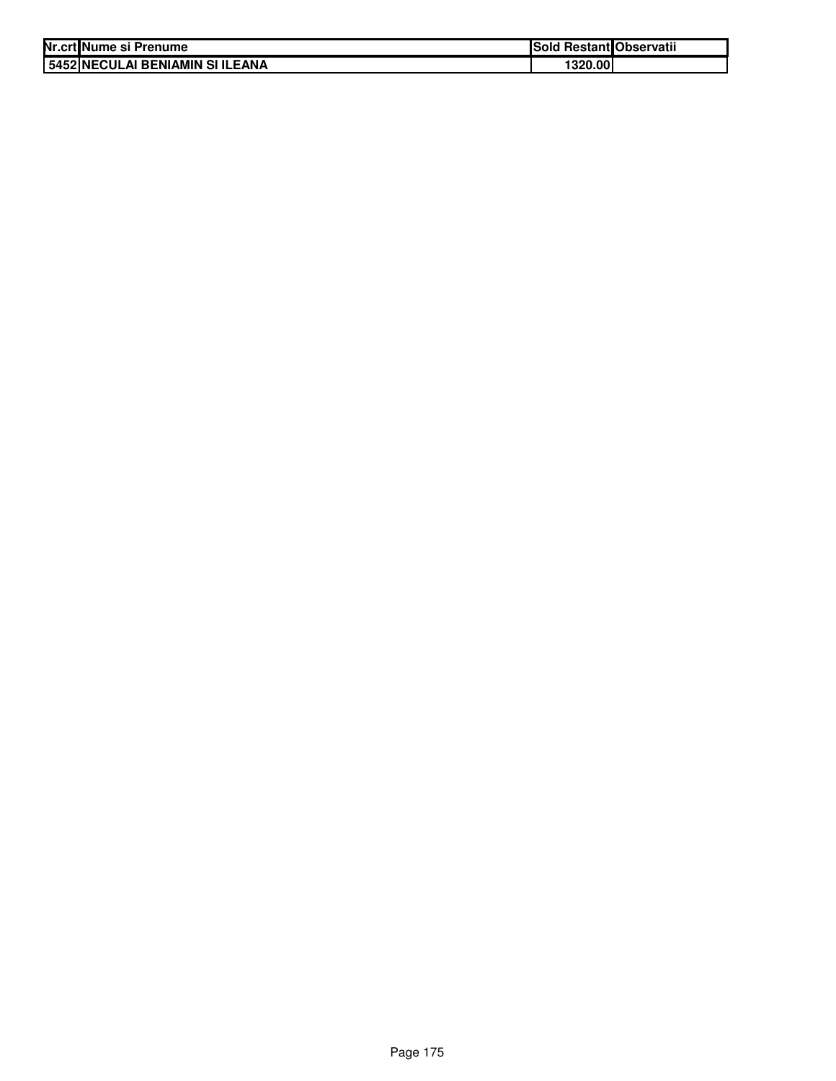| Nr.crt Nume si Prenume          | Sold Restant Observatii |  |
|---------------------------------|-------------------------|--|
| 5452 NECULAI BENIAMIN SI ILEANA | 1320.001                |  |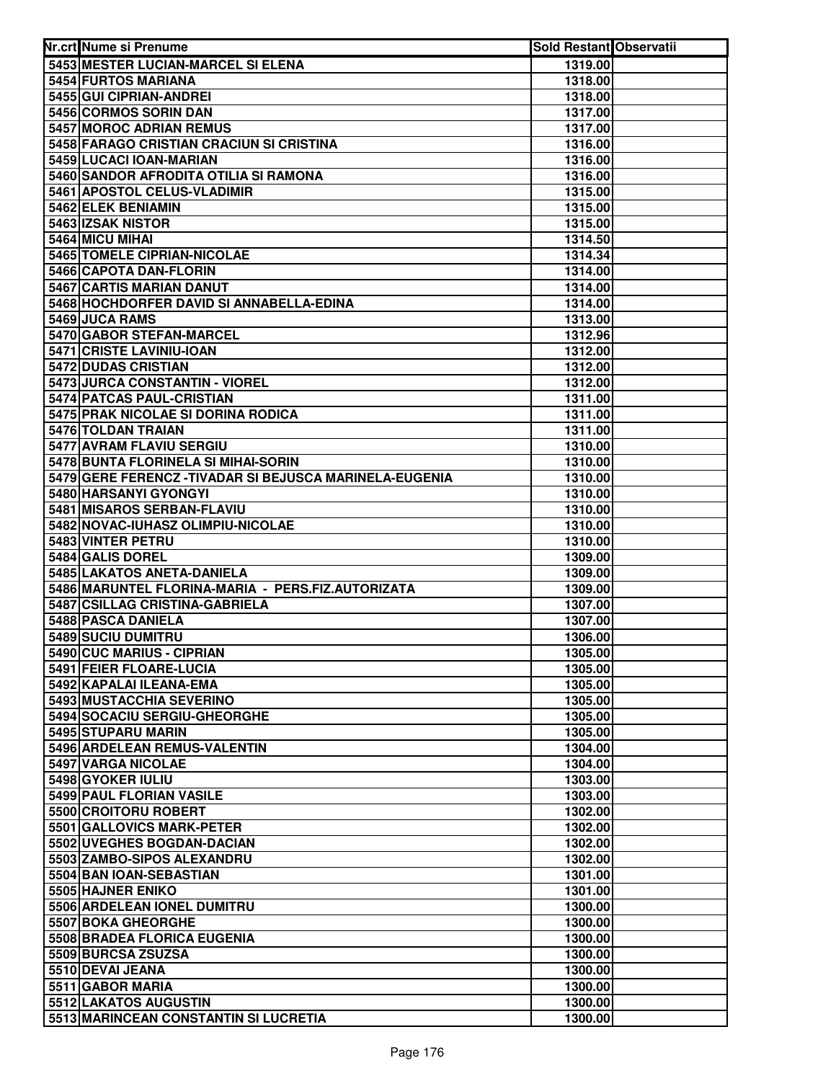| Nr.crt Nume si Prenume                                  | <b>Sold Restant Observatii</b> |  |
|---------------------------------------------------------|--------------------------------|--|
| 5453 MESTER LUCIAN-MARCEL SI ELENA                      | 1319.00                        |  |
| 5454 FURTOS MARIANA                                     | 1318.00                        |  |
| 5455 GUI CIPRIAN-ANDREI                                 | 1318.00                        |  |
| 5456 CORMOS SORIN DAN                                   | 1317.00                        |  |
| 5457 MOROC ADRIAN REMUS                                 | 1317.00                        |  |
| 5458 FARAGO CRISTIAN CRACIUN SI CRISTINA                | 1316.00                        |  |
| 5459 LUCACI IOAN-MARIAN                                 | 1316.00                        |  |
| 5460 SANDOR AFRODITA OTILIA SI RAMONA                   | 1316.00                        |  |
| 5461 APOSTOL CELUS-VLADIMIR                             | 1315.00                        |  |
| 5462 ELEK BENIAMIN                                      | 1315.00                        |  |
| 5463 IZSAK NISTOR                                       | 1315.00                        |  |
| 5464 MICU MIHAI                                         | 1314.50                        |  |
| 5465 TOMELE CIPRIAN-NICOLAE                             | 1314.34                        |  |
| 5466 CAPOTA DAN-FLORIN                                  | 1314.00                        |  |
| 5467 CARTIS MARIAN DANUT                                | 1314.00                        |  |
| 5468 HOCHDORFER DAVID SI ANNABELLA-EDINA                | 1314.00                        |  |
| 5469 JUCA RAMS                                          | 1313.00                        |  |
| 5470 GABOR STEFAN-MARCEL                                | 1312.96                        |  |
| 5471 CRISTE LAVINIU-IOAN                                | 1312.00                        |  |
| 5472 DUDAS CRISTIAN                                     | 1312.00                        |  |
| 5473 JURCA CONSTANTIN - VIOREL                          | 1312.00                        |  |
| 5474 PATCAS PAUL-CRISTIAN                               | 1311.00                        |  |
| 5475 PRAK NICOLAE SI DORINA RODICA                      | 1311.00                        |  |
| 5476 TOLDAN TRAIAN                                      | 1311.00                        |  |
| 5477 AVRAM FLAVIU SERGIU                                | 1310.00                        |  |
| 5478 BUNTA FLORINELA SI MIHAI-SORIN                     | 1310.00                        |  |
| 5479 GERE FERENCZ - TIVADAR SI BEJUSCA MARINELA-EUGENIA | 1310.00                        |  |
| 5480 HARSANYI GYONGYI                                   | 1310.00                        |  |
| 5481 MISAROS SERBAN-FLAVIU                              | 1310.00                        |  |
| 5482 NOVAC-IUHASZ OLIMPIU-NICOLAE                       | 1310.00                        |  |
| 5483 VINTER PETRU                                       | 1310.00                        |  |
| 5484 GALIS DOREL                                        | 1309.00                        |  |
| 5485 LAKATOS ANETA-DANIELA                              | 1309.00                        |  |
| 5486 MARUNTEL FLORINA-MARIA - PERS.FIZ.AUTORIZATA       | 1309.00                        |  |
| 5487 CSILLAG CRISTINA-GABRIELA                          | 1307.00                        |  |
| 5488 PASCA DANIELA                                      | 1307.00                        |  |
| 5489 SUCIU DUMITRU<br>5490 CUC MARIUS - CIPRIAN         | 1306.00                        |  |
|                                                         | 1305.00                        |  |
| 5491 FEIER FLOARE-LUCIA<br>5492 KAPALAI ILEANA-EMA      | 1305.00                        |  |
| 5493 MUSTACCHIA SEVERINO                                | 1305.00                        |  |
| 5494 SOCACIU SERGIU-GHEORGHE                            | 1305.00                        |  |
| 5495 STUPARU MARIN                                      | 1305.00<br>1305.00             |  |
| 5496 ARDELEAN REMUS-VALENTIN                            | 1304.00                        |  |
| 5497 VARGA NICOLAE                                      | 1304.00                        |  |
| 5498 GYOKER IULIU                                       | 1303.00                        |  |
| 5499 PAUL FLORIAN VASILE                                | 1303.00                        |  |
| 5500 CROITORU ROBERT                                    | 1302.00                        |  |
| 5501 GALLOVICS MARK-PETER                               | 1302.00                        |  |
| 5502 UVEGHES BOGDAN-DACIAN                              | 1302.00                        |  |
| 5503 ZAMBO-SIPOS ALEXANDRU                              | 1302.00                        |  |
| 5504 BAN IOAN-SEBASTIAN                                 | 1301.00                        |  |
| 5505 HAJNER ENIKO                                       | 1301.00                        |  |
| 5506 ARDELEAN IONEL DUMITRU                             | 1300.00                        |  |
| 5507 BOKA GHEORGHE                                      | 1300.00                        |  |
| 5508 BRADEA FLORICA EUGENIA                             | 1300.00                        |  |
| 5509 BURCSA ZSUZSA                                      | 1300.00                        |  |
| 5510 DEVAI JEANA                                        | 1300.00                        |  |
| 5511 GABOR MARIA                                        | 1300.00                        |  |
| 5512 LAKATOS AUGUSTIN                                   | 1300.00                        |  |
| 5513 MARINCEAN CONSTANTIN SI LUCRETIA                   | 1300.00                        |  |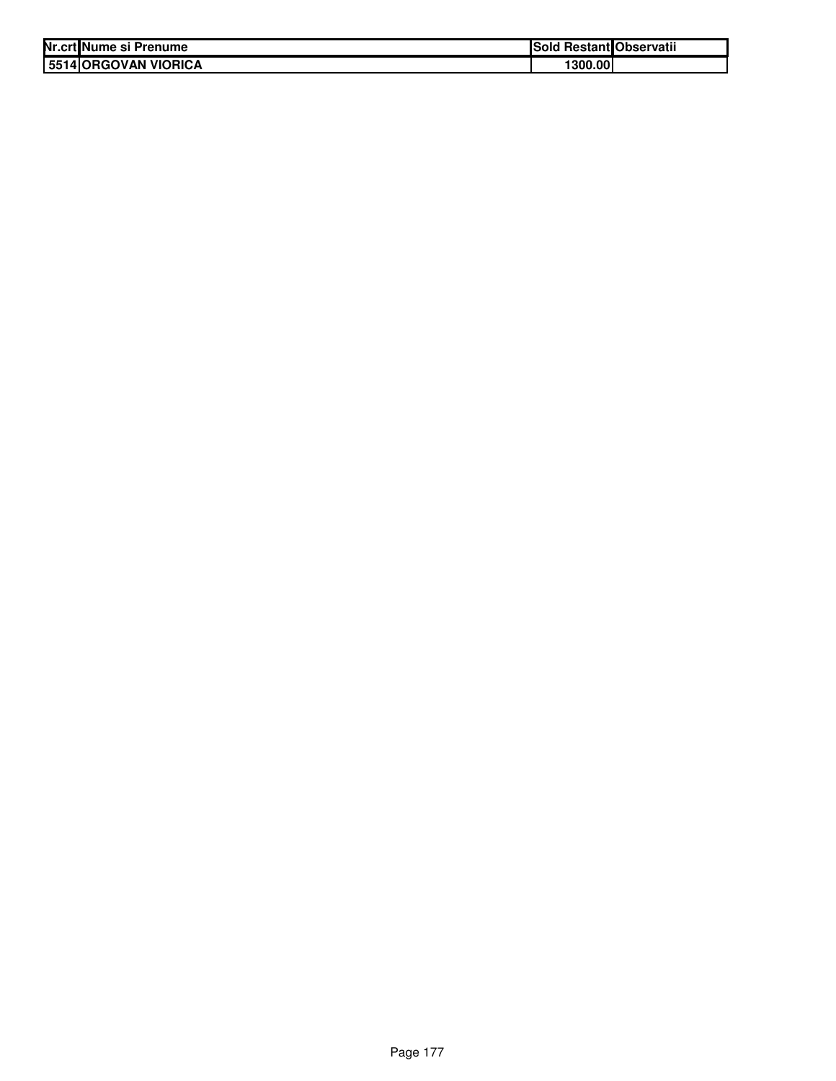| Nr.crt Nume si Prenume | ISold   | I Restant Observatii |
|------------------------|---------|----------------------|
| 5514 ORGOVAN VIORICA   | 1300.00 |                      |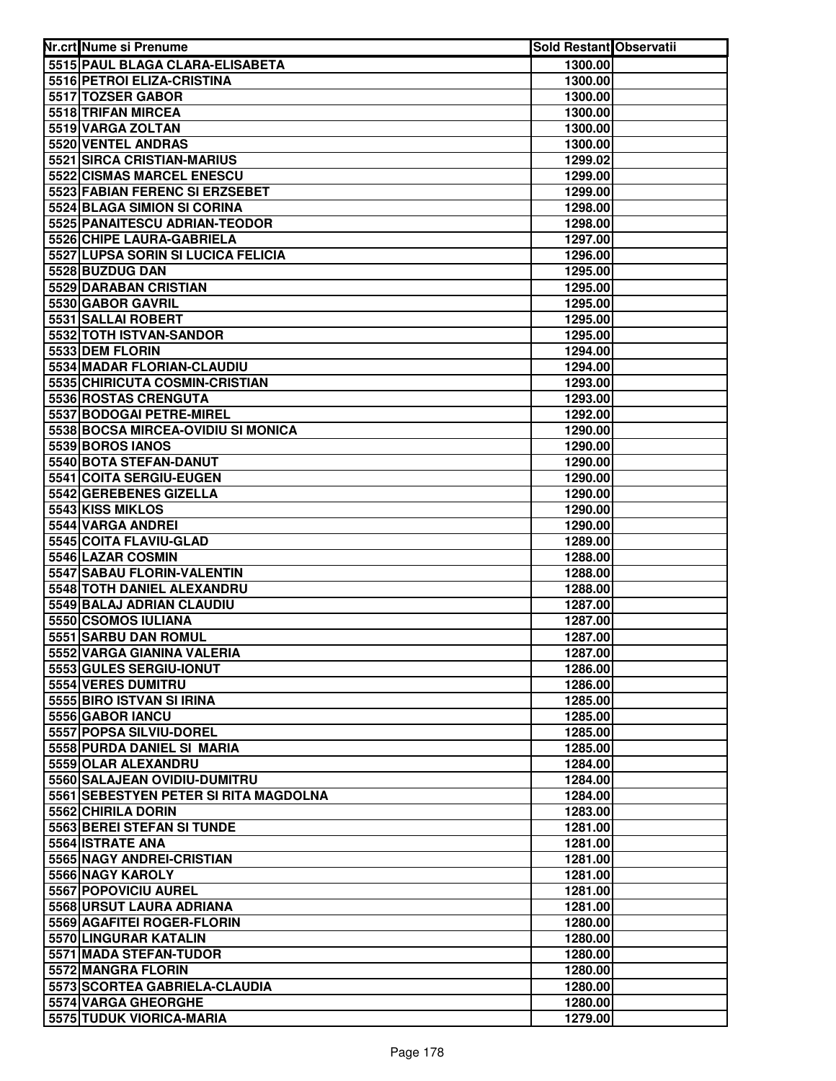| Nr.crt Nume si Prenume                           | Sold Restant Observatii |  |
|--------------------------------------------------|-------------------------|--|
| 5515 PAUL BLAGA CLARA-ELISABETA                  | 1300.00                 |  |
| 5516 PETROI ELIZA-CRISTINA                       | 1300.00                 |  |
| 5517 TOZSER GABOR                                | 1300.00                 |  |
| 5518 TRIFAN MIRCEA                               | 1300.00                 |  |
| 5519 VARGA ZOLTAN                                | 1300.00                 |  |
| 5520 VENTEL ANDRAS                               | 1300.00                 |  |
| 5521 SIRCA CRISTIAN-MARIUS                       | 1299.02                 |  |
| 5522 CISMAS MARCEL ENESCU                        | 1299.00                 |  |
| 5523 FABIAN FERENC SI ERZSEBET                   | 1299.00                 |  |
| 5524 BLAGA SIMION SI CORINA                      | 1298.00                 |  |
| 5525 PANAITESCU ADRIAN-TEODOR                    | 1298.00                 |  |
| 5526 CHIPE LAURA-GABRIELA                        | 1297.00                 |  |
| 5527 LUPSA SORIN SI LUCICA FELICIA               | 1296.00                 |  |
| 5528 BUZDUG DAN                                  | 1295.00                 |  |
| 5529 DARABAN CRISTIAN                            | 1295.00                 |  |
| 5530 GABOR GAVRIL                                | 1295.00                 |  |
| 5531 SALLAI ROBERT                               | 1295.00                 |  |
| 5532 TOTH ISTVAN-SANDOR                          | 1295.00                 |  |
| 5533 DEM FLORIN                                  | 1294.00                 |  |
| 5534 MADAR FLORIAN-CLAUDIU                       | 1294.00                 |  |
| 5535 CHIRICUTA COSMIN-CRISTIAN                   | 1293.00                 |  |
| 5536 ROSTAS CRENGUTA                             | 1293.00                 |  |
| 5537 BODOGAI PETRE-MIREL                         | 1292.00                 |  |
| 5538 BOCSA MIRCEA-OVIDIU SI MONICA               | 1290.00                 |  |
| 5539 BOROS IANOS                                 | 1290.00                 |  |
| 5540 BOTA STEFAN-DANUT                           | 1290.00                 |  |
| 5541 COITA SERGIU-EUGEN                          | 1290.00                 |  |
| 5542 GEREBENES GIZELLA                           | 1290.00                 |  |
| 5543 KISS MIKLOS                                 | 1290.00                 |  |
| 5544 VARGA ANDREI                                | 1290.00                 |  |
| 5545 COITA FLAVIU-GLAD                           | 1289.00                 |  |
| 5546 LAZAR COSMIN                                | 1288.00                 |  |
| 5547 SABAU FLORIN-VALENTIN                       | 1288.00                 |  |
| 5548 TOTH DANIEL ALEXANDRU                       | 1288.00                 |  |
| 5549 BALAJ ADRIAN CLAUDIU<br>5550 CSOMOS IULIANA | 1287.00<br>1287.00      |  |
| 5551 SARBU DAN ROMUL                             | 1287.00                 |  |
| 5552 VARGA GIANINA VALERIA                       | 1287.00                 |  |
| 5553 GULES SERGIU-IONUT                          | 1286.00                 |  |
| 5554 VERES DUMITRU                               | 1286.00                 |  |
| 5555 BIRO ISTVAN SI IRINA                        | 1285.00                 |  |
| 5556 GABOR IANCU                                 | 1285.00                 |  |
| 5557 POPSA SILVIU-DOREL                          | 1285.00                 |  |
| 5558 PURDA DANIEL SI MARIA                       | 1285.00                 |  |
| 5559 OLAR ALEXANDRU                              | 1284.00                 |  |
| 5560 SALAJEAN OVIDIU-DUMITRU                     | 1284.00                 |  |
| 5561 SEBESTYEN PETER SI RITA MAGDOLNA            | 1284.00                 |  |
| 5562 CHIRILA DORIN                               | 1283.00                 |  |
| 5563 BEREI STEFAN SI TUNDE                       | 1281.00                 |  |
| 5564 ISTRATE ANA                                 | 1281.00                 |  |
| 5565 NAGY ANDREI-CRISTIAN                        | 1281.00                 |  |
| 5566 NAGY KAROLY                                 | 1281.00                 |  |
| 5567 POPOVICIU AUREL                             | 1281.00                 |  |
| 5568 URSUT LAURA ADRIANA                         | 1281.00                 |  |
| 5569 AGAFITEI ROGER-FLORIN                       | 1280.00                 |  |
| 5570 LINGURAR KATALIN                            | 1280.00                 |  |
| 5571 MADA STEFAN-TUDOR                           | 1280.00                 |  |
| 5572 MANGRA FLORIN                               | 1280.00                 |  |
| 5573 SCORTEA GABRIELA-CLAUDIA                    | 1280.00                 |  |
| 5574 VARGA GHEORGHE                              | 1280.00                 |  |
| 5575 TUDUK VIORICA-MARIA                         | 1279.00                 |  |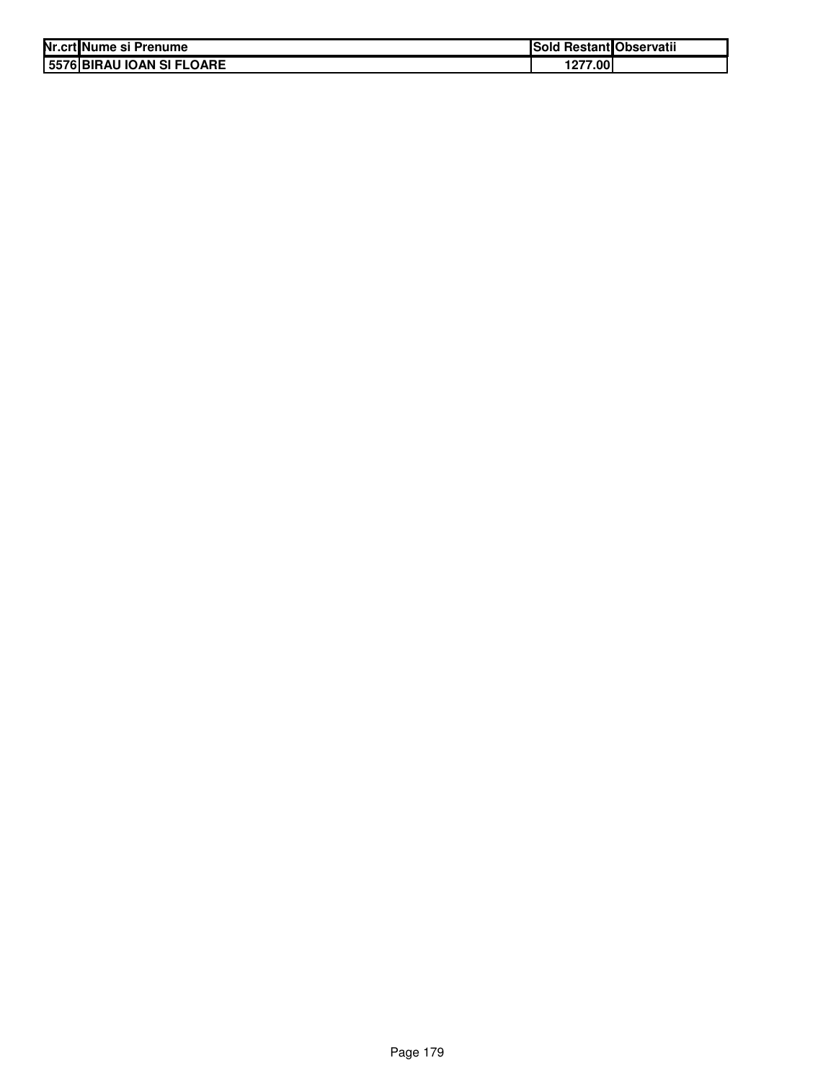| Nr.crt Nume si Prenume    | Sold Restant Observatii |  |
|---------------------------|-------------------------|--|
| 5576 BIRAU IOAN SI FLOARE | 1277.00                 |  |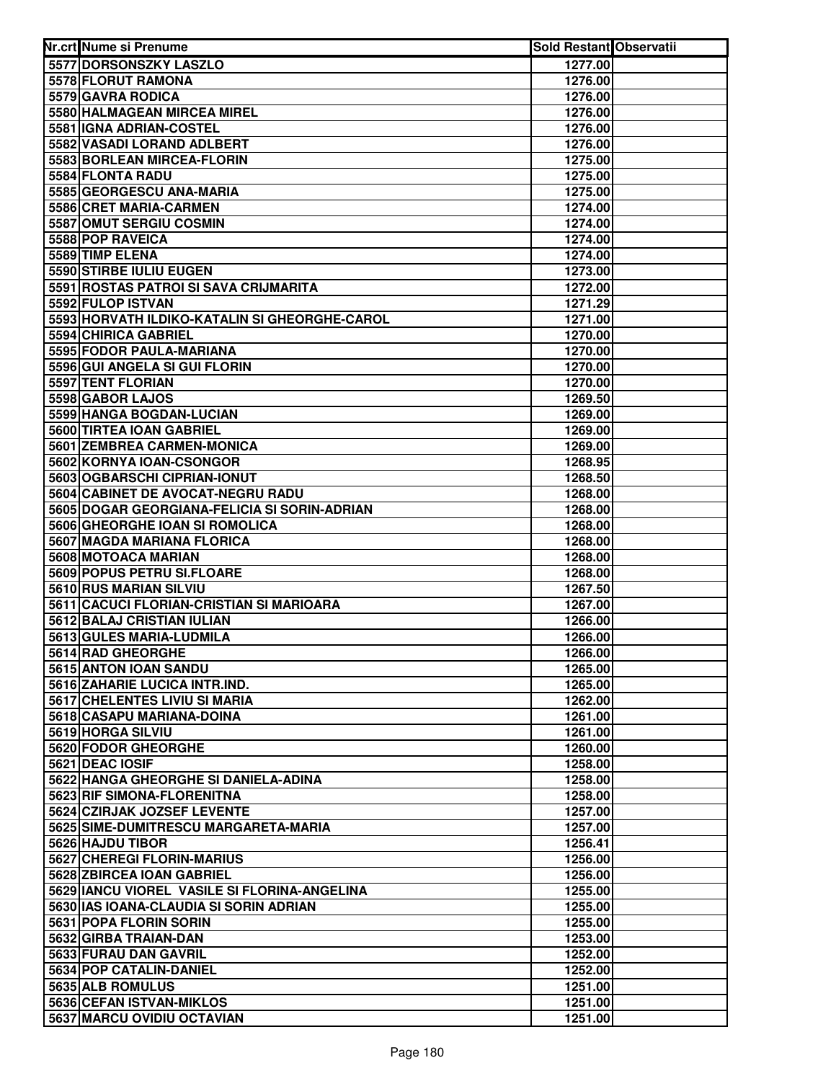| 5577 DORSONSZKY LASZLO<br>1277.00<br>5578 FLORUT RAMONA<br>1276.00<br>5579 GAVRA RODICA<br>1276.00<br>5580 HALMAGEAN MIRCEA MIREL<br>1276.00<br>5581 IGNA ADRIAN-COSTEL<br>1276.00<br>5582 VASADI LORAND ADLBERT<br>1276.00<br>5583 BORLEAN MIRCEA-FLORIN<br>1275.00<br>5584 FLONTA RADU<br>1275.00<br>5585 GEORGESCU ANA-MARIA<br>1275.00<br>5586 CRET MARIA-CARMEN<br>1274.00<br>5587 OMUT SERGIU COSMIN<br>1274.00<br>5588 POP RAVEICA<br>1274.00<br>5589 TIMP ELENA<br>1274.00<br>5590 STIRBE IULIU EUGEN<br>1273.00<br>5591 ROSTAS PATROI SI SAVA CRIJMARITA<br>1272.00<br>5592 FULOP ISTVAN<br>1271.29<br>5593 HORVATH ILDIKO-KATALIN SI GHEORGHE-CAROL<br>1271.00<br>5594 CHIRICA GABRIEL<br>1270.00<br>5595 FODOR PAULA-MARIANA<br>1270.00<br>5596 GUI ANGELA SI GUI FLORIN<br>1270.00<br>5597 TENT FLORIAN<br>1270.00<br>5598 GABOR LAJOS<br>1269.50<br>5599 HANGA BOGDAN-LUCIAN<br>1269.00<br>5600 TIRTEA IOAN GABRIEL<br>1269.00<br>5601 ZEMBREA CARMEN-MONICA<br>1269.00<br>5602 KORNYA IOAN-CSONGOR<br>1268.95<br>5603 OGBARSCHI CIPRIAN-IONUT<br>1268.50<br>5604 CABINET DE AVOCAT-NEGRU RADU<br>1268.00<br>5605 DOGAR GEORGIANA-FELICIA SI SORIN-ADRIAN<br>1268.00<br>5606 GHEORGHE IOAN SI ROMOLICA<br>1268.00<br>5607 MAGDA MARIANA FLORICA<br>1268.00<br>5608 MOTOACA MARIAN<br>1268.00<br>5609 POPUS PETRU SI.FLOARE<br>1268.00<br>5610 RUS MARIAN SILVIU<br>1267.50<br>5611 CACUCI FLORIAN-CRISTIAN SI MARIOARA<br>1267.00<br>5612 BALAJ CRISTIAN IULIAN<br>1266.00<br>5613 GULES MARIA-LUDMILA<br>1266.00<br>5614 RAD GHEORGHE<br>1266.00<br>5615 ANTON IOAN SANDU<br>1265.00<br>5616 ZAHARIE LUCICA INTR.IND.<br>1265.00<br>5617 CHELENTES LIVIU SI MARIA<br>1262.00<br>5618 CASAPU MARIANA-DOINA<br>1261.00<br>5619 HORGA SILVIU<br>1261.00<br>5620 FODOR GHEORGHE<br>1260.00<br>5621 DEAC IOSIF<br>1258.00<br>5622 HANGA GHEORGHE SI DANIELA-ADINA<br>1258.00<br>5623 RIF SIMONA-FLORENITNA<br>1258.00<br>5624 CZIRJAK JOZSEF LEVENTE<br>1257.00<br>5625 SIME-DUMITRESCU MARGARETA-MARIA<br>1257.00<br>5626 HAJDU TIBOR<br>1256.41<br>5627 CHEREGI FLORIN-MARIUS<br>1256.00<br>5628 ZBIRCEA IOAN GABRIEL<br>1256.00<br>5629 IANCU VIOREL VASILE SI FLORINA-ANGELINA<br>1255.00<br>5630   IAS IOANA-CLAUDIA SI SORIN ADRIAN<br>1255.00<br>5631 POPA FLORIN SORIN<br>1255.00<br>5632 GIRBA TRAIAN-DAN<br>1253.00<br>5633 FURAU DAN GAVRIL<br>1252.00<br>5634 POP CATALIN-DANIEL<br>1252.00<br>5635 ALB ROMULUS<br>1251.00<br>5636 CEFAN ISTVAN-MIKLOS<br>1251.00 | Nr.crt Nume si Prenume     | Sold Restant Observatii |  |
|----------------------------------------------------------------------------------------------------------------------------------------------------------------------------------------------------------------------------------------------------------------------------------------------------------------------------------------------------------------------------------------------------------------------------------------------------------------------------------------------------------------------------------------------------------------------------------------------------------------------------------------------------------------------------------------------------------------------------------------------------------------------------------------------------------------------------------------------------------------------------------------------------------------------------------------------------------------------------------------------------------------------------------------------------------------------------------------------------------------------------------------------------------------------------------------------------------------------------------------------------------------------------------------------------------------------------------------------------------------------------------------------------------------------------------------------------------------------------------------------------------------------------------------------------------------------------------------------------------------------------------------------------------------------------------------------------------------------------------------------------------------------------------------------------------------------------------------------------------------------------------------------------------------------------------------------------------------------------------------------------------------------------------------------------------------------------------------------------------------------------------------------------------------------------------------------------------------------------------------------------------------------------------------------------------------------------------------------------------------------------------------------------------------------------------------------------------------------------------------|----------------------------|-------------------------|--|
|                                                                                                                                                                                                                                                                                                                                                                                                                                                                                                                                                                                                                                                                                                                                                                                                                                                                                                                                                                                                                                                                                                                                                                                                                                                                                                                                                                                                                                                                                                                                                                                                                                                                                                                                                                                                                                                                                                                                                                                                                                                                                                                                                                                                                                                                                                                                                                                                                                                                                        |                            |                         |  |
|                                                                                                                                                                                                                                                                                                                                                                                                                                                                                                                                                                                                                                                                                                                                                                                                                                                                                                                                                                                                                                                                                                                                                                                                                                                                                                                                                                                                                                                                                                                                                                                                                                                                                                                                                                                                                                                                                                                                                                                                                                                                                                                                                                                                                                                                                                                                                                                                                                                                                        |                            |                         |  |
|                                                                                                                                                                                                                                                                                                                                                                                                                                                                                                                                                                                                                                                                                                                                                                                                                                                                                                                                                                                                                                                                                                                                                                                                                                                                                                                                                                                                                                                                                                                                                                                                                                                                                                                                                                                                                                                                                                                                                                                                                                                                                                                                                                                                                                                                                                                                                                                                                                                                                        |                            |                         |  |
|                                                                                                                                                                                                                                                                                                                                                                                                                                                                                                                                                                                                                                                                                                                                                                                                                                                                                                                                                                                                                                                                                                                                                                                                                                                                                                                                                                                                                                                                                                                                                                                                                                                                                                                                                                                                                                                                                                                                                                                                                                                                                                                                                                                                                                                                                                                                                                                                                                                                                        |                            |                         |  |
|                                                                                                                                                                                                                                                                                                                                                                                                                                                                                                                                                                                                                                                                                                                                                                                                                                                                                                                                                                                                                                                                                                                                                                                                                                                                                                                                                                                                                                                                                                                                                                                                                                                                                                                                                                                                                                                                                                                                                                                                                                                                                                                                                                                                                                                                                                                                                                                                                                                                                        |                            |                         |  |
|                                                                                                                                                                                                                                                                                                                                                                                                                                                                                                                                                                                                                                                                                                                                                                                                                                                                                                                                                                                                                                                                                                                                                                                                                                                                                                                                                                                                                                                                                                                                                                                                                                                                                                                                                                                                                                                                                                                                                                                                                                                                                                                                                                                                                                                                                                                                                                                                                                                                                        |                            |                         |  |
|                                                                                                                                                                                                                                                                                                                                                                                                                                                                                                                                                                                                                                                                                                                                                                                                                                                                                                                                                                                                                                                                                                                                                                                                                                                                                                                                                                                                                                                                                                                                                                                                                                                                                                                                                                                                                                                                                                                                                                                                                                                                                                                                                                                                                                                                                                                                                                                                                                                                                        |                            |                         |  |
|                                                                                                                                                                                                                                                                                                                                                                                                                                                                                                                                                                                                                                                                                                                                                                                                                                                                                                                                                                                                                                                                                                                                                                                                                                                                                                                                                                                                                                                                                                                                                                                                                                                                                                                                                                                                                                                                                                                                                                                                                                                                                                                                                                                                                                                                                                                                                                                                                                                                                        |                            |                         |  |
|                                                                                                                                                                                                                                                                                                                                                                                                                                                                                                                                                                                                                                                                                                                                                                                                                                                                                                                                                                                                                                                                                                                                                                                                                                                                                                                                                                                                                                                                                                                                                                                                                                                                                                                                                                                                                                                                                                                                                                                                                                                                                                                                                                                                                                                                                                                                                                                                                                                                                        |                            |                         |  |
|                                                                                                                                                                                                                                                                                                                                                                                                                                                                                                                                                                                                                                                                                                                                                                                                                                                                                                                                                                                                                                                                                                                                                                                                                                                                                                                                                                                                                                                                                                                                                                                                                                                                                                                                                                                                                                                                                                                                                                                                                                                                                                                                                                                                                                                                                                                                                                                                                                                                                        |                            |                         |  |
|                                                                                                                                                                                                                                                                                                                                                                                                                                                                                                                                                                                                                                                                                                                                                                                                                                                                                                                                                                                                                                                                                                                                                                                                                                                                                                                                                                                                                                                                                                                                                                                                                                                                                                                                                                                                                                                                                                                                                                                                                                                                                                                                                                                                                                                                                                                                                                                                                                                                                        |                            |                         |  |
|                                                                                                                                                                                                                                                                                                                                                                                                                                                                                                                                                                                                                                                                                                                                                                                                                                                                                                                                                                                                                                                                                                                                                                                                                                                                                                                                                                                                                                                                                                                                                                                                                                                                                                                                                                                                                                                                                                                                                                                                                                                                                                                                                                                                                                                                                                                                                                                                                                                                                        |                            |                         |  |
|                                                                                                                                                                                                                                                                                                                                                                                                                                                                                                                                                                                                                                                                                                                                                                                                                                                                                                                                                                                                                                                                                                                                                                                                                                                                                                                                                                                                                                                                                                                                                                                                                                                                                                                                                                                                                                                                                                                                                                                                                                                                                                                                                                                                                                                                                                                                                                                                                                                                                        |                            |                         |  |
|                                                                                                                                                                                                                                                                                                                                                                                                                                                                                                                                                                                                                                                                                                                                                                                                                                                                                                                                                                                                                                                                                                                                                                                                                                                                                                                                                                                                                                                                                                                                                                                                                                                                                                                                                                                                                                                                                                                                                                                                                                                                                                                                                                                                                                                                                                                                                                                                                                                                                        |                            |                         |  |
|                                                                                                                                                                                                                                                                                                                                                                                                                                                                                                                                                                                                                                                                                                                                                                                                                                                                                                                                                                                                                                                                                                                                                                                                                                                                                                                                                                                                                                                                                                                                                                                                                                                                                                                                                                                                                                                                                                                                                                                                                                                                                                                                                                                                                                                                                                                                                                                                                                                                                        |                            |                         |  |
|                                                                                                                                                                                                                                                                                                                                                                                                                                                                                                                                                                                                                                                                                                                                                                                                                                                                                                                                                                                                                                                                                                                                                                                                                                                                                                                                                                                                                                                                                                                                                                                                                                                                                                                                                                                                                                                                                                                                                                                                                                                                                                                                                                                                                                                                                                                                                                                                                                                                                        |                            |                         |  |
|                                                                                                                                                                                                                                                                                                                                                                                                                                                                                                                                                                                                                                                                                                                                                                                                                                                                                                                                                                                                                                                                                                                                                                                                                                                                                                                                                                                                                                                                                                                                                                                                                                                                                                                                                                                                                                                                                                                                                                                                                                                                                                                                                                                                                                                                                                                                                                                                                                                                                        |                            |                         |  |
|                                                                                                                                                                                                                                                                                                                                                                                                                                                                                                                                                                                                                                                                                                                                                                                                                                                                                                                                                                                                                                                                                                                                                                                                                                                                                                                                                                                                                                                                                                                                                                                                                                                                                                                                                                                                                                                                                                                                                                                                                                                                                                                                                                                                                                                                                                                                                                                                                                                                                        |                            |                         |  |
|                                                                                                                                                                                                                                                                                                                                                                                                                                                                                                                                                                                                                                                                                                                                                                                                                                                                                                                                                                                                                                                                                                                                                                                                                                                                                                                                                                                                                                                                                                                                                                                                                                                                                                                                                                                                                                                                                                                                                                                                                                                                                                                                                                                                                                                                                                                                                                                                                                                                                        |                            |                         |  |
|                                                                                                                                                                                                                                                                                                                                                                                                                                                                                                                                                                                                                                                                                                                                                                                                                                                                                                                                                                                                                                                                                                                                                                                                                                                                                                                                                                                                                                                                                                                                                                                                                                                                                                                                                                                                                                                                                                                                                                                                                                                                                                                                                                                                                                                                                                                                                                                                                                                                                        |                            |                         |  |
|                                                                                                                                                                                                                                                                                                                                                                                                                                                                                                                                                                                                                                                                                                                                                                                                                                                                                                                                                                                                                                                                                                                                                                                                                                                                                                                                                                                                                                                                                                                                                                                                                                                                                                                                                                                                                                                                                                                                                                                                                                                                                                                                                                                                                                                                                                                                                                                                                                                                                        |                            |                         |  |
|                                                                                                                                                                                                                                                                                                                                                                                                                                                                                                                                                                                                                                                                                                                                                                                                                                                                                                                                                                                                                                                                                                                                                                                                                                                                                                                                                                                                                                                                                                                                                                                                                                                                                                                                                                                                                                                                                                                                                                                                                                                                                                                                                                                                                                                                                                                                                                                                                                                                                        |                            |                         |  |
|                                                                                                                                                                                                                                                                                                                                                                                                                                                                                                                                                                                                                                                                                                                                                                                                                                                                                                                                                                                                                                                                                                                                                                                                                                                                                                                                                                                                                                                                                                                                                                                                                                                                                                                                                                                                                                                                                                                                                                                                                                                                                                                                                                                                                                                                                                                                                                                                                                                                                        |                            |                         |  |
|                                                                                                                                                                                                                                                                                                                                                                                                                                                                                                                                                                                                                                                                                                                                                                                                                                                                                                                                                                                                                                                                                                                                                                                                                                                                                                                                                                                                                                                                                                                                                                                                                                                                                                                                                                                                                                                                                                                                                                                                                                                                                                                                                                                                                                                                                                                                                                                                                                                                                        |                            |                         |  |
|                                                                                                                                                                                                                                                                                                                                                                                                                                                                                                                                                                                                                                                                                                                                                                                                                                                                                                                                                                                                                                                                                                                                                                                                                                                                                                                                                                                                                                                                                                                                                                                                                                                                                                                                                                                                                                                                                                                                                                                                                                                                                                                                                                                                                                                                                                                                                                                                                                                                                        |                            |                         |  |
|                                                                                                                                                                                                                                                                                                                                                                                                                                                                                                                                                                                                                                                                                                                                                                                                                                                                                                                                                                                                                                                                                                                                                                                                                                                                                                                                                                                                                                                                                                                                                                                                                                                                                                                                                                                                                                                                                                                                                                                                                                                                                                                                                                                                                                                                                                                                                                                                                                                                                        |                            |                         |  |
|                                                                                                                                                                                                                                                                                                                                                                                                                                                                                                                                                                                                                                                                                                                                                                                                                                                                                                                                                                                                                                                                                                                                                                                                                                                                                                                                                                                                                                                                                                                                                                                                                                                                                                                                                                                                                                                                                                                                                                                                                                                                                                                                                                                                                                                                                                                                                                                                                                                                                        |                            |                         |  |
|                                                                                                                                                                                                                                                                                                                                                                                                                                                                                                                                                                                                                                                                                                                                                                                                                                                                                                                                                                                                                                                                                                                                                                                                                                                                                                                                                                                                                                                                                                                                                                                                                                                                                                                                                                                                                                                                                                                                                                                                                                                                                                                                                                                                                                                                                                                                                                                                                                                                                        |                            |                         |  |
|                                                                                                                                                                                                                                                                                                                                                                                                                                                                                                                                                                                                                                                                                                                                                                                                                                                                                                                                                                                                                                                                                                                                                                                                                                                                                                                                                                                                                                                                                                                                                                                                                                                                                                                                                                                                                                                                                                                                                                                                                                                                                                                                                                                                                                                                                                                                                                                                                                                                                        |                            |                         |  |
|                                                                                                                                                                                                                                                                                                                                                                                                                                                                                                                                                                                                                                                                                                                                                                                                                                                                                                                                                                                                                                                                                                                                                                                                                                                                                                                                                                                                                                                                                                                                                                                                                                                                                                                                                                                                                                                                                                                                                                                                                                                                                                                                                                                                                                                                                                                                                                                                                                                                                        |                            |                         |  |
|                                                                                                                                                                                                                                                                                                                                                                                                                                                                                                                                                                                                                                                                                                                                                                                                                                                                                                                                                                                                                                                                                                                                                                                                                                                                                                                                                                                                                                                                                                                                                                                                                                                                                                                                                                                                                                                                                                                                                                                                                                                                                                                                                                                                                                                                                                                                                                                                                                                                                        |                            |                         |  |
|                                                                                                                                                                                                                                                                                                                                                                                                                                                                                                                                                                                                                                                                                                                                                                                                                                                                                                                                                                                                                                                                                                                                                                                                                                                                                                                                                                                                                                                                                                                                                                                                                                                                                                                                                                                                                                                                                                                                                                                                                                                                                                                                                                                                                                                                                                                                                                                                                                                                                        |                            |                         |  |
|                                                                                                                                                                                                                                                                                                                                                                                                                                                                                                                                                                                                                                                                                                                                                                                                                                                                                                                                                                                                                                                                                                                                                                                                                                                                                                                                                                                                                                                                                                                                                                                                                                                                                                                                                                                                                                                                                                                                                                                                                                                                                                                                                                                                                                                                                                                                                                                                                                                                                        |                            |                         |  |
|                                                                                                                                                                                                                                                                                                                                                                                                                                                                                                                                                                                                                                                                                                                                                                                                                                                                                                                                                                                                                                                                                                                                                                                                                                                                                                                                                                                                                                                                                                                                                                                                                                                                                                                                                                                                                                                                                                                                                                                                                                                                                                                                                                                                                                                                                                                                                                                                                                                                                        |                            |                         |  |
|                                                                                                                                                                                                                                                                                                                                                                                                                                                                                                                                                                                                                                                                                                                                                                                                                                                                                                                                                                                                                                                                                                                                                                                                                                                                                                                                                                                                                                                                                                                                                                                                                                                                                                                                                                                                                                                                                                                                                                                                                                                                                                                                                                                                                                                                                                                                                                                                                                                                                        |                            |                         |  |
|                                                                                                                                                                                                                                                                                                                                                                                                                                                                                                                                                                                                                                                                                                                                                                                                                                                                                                                                                                                                                                                                                                                                                                                                                                                                                                                                                                                                                                                                                                                                                                                                                                                                                                                                                                                                                                                                                                                                                                                                                                                                                                                                                                                                                                                                                                                                                                                                                                                                                        |                            |                         |  |
|                                                                                                                                                                                                                                                                                                                                                                                                                                                                                                                                                                                                                                                                                                                                                                                                                                                                                                                                                                                                                                                                                                                                                                                                                                                                                                                                                                                                                                                                                                                                                                                                                                                                                                                                                                                                                                                                                                                                                                                                                                                                                                                                                                                                                                                                                                                                                                                                                                                                                        |                            |                         |  |
|                                                                                                                                                                                                                                                                                                                                                                                                                                                                                                                                                                                                                                                                                                                                                                                                                                                                                                                                                                                                                                                                                                                                                                                                                                                                                                                                                                                                                                                                                                                                                                                                                                                                                                                                                                                                                                                                                                                                                                                                                                                                                                                                                                                                                                                                                                                                                                                                                                                                                        |                            |                         |  |
|                                                                                                                                                                                                                                                                                                                                                                                                                                                                                                                                                                                                                                                                                                                                                                                                                                                                                                                                                                                                                                                                                                                                                                                                                                                                                                                                                                                                                                                                                                                                                                                                                                                                                                                                                                                                                                                                                                                                                                                                                                                                                                                                                                                                                                                                                                                                                                                                                                                                                        |                            |                         |  |
|                                                                                                                                                                                                                                                                                                                                                                                                                                                                                                                                                                                                                                                                                                                                                                                                                                                                                                                                                                                                                                                                                                                                                                                                                                                                                                                                                                                                                                                                                                                                                                                                                                                                                                                                                                                                                                                                                                                                                                                                                                                                                                                                                                                                                                                                                                                                                                                                                                                                                        |                            |                         |  |
|                                                                                                                                                                                                                                                                                                                                                                                                                                                                                                                                                                                                                                                                                                                                                                                                                                                                                                                                                                                                                                                                                                                                                                                                                                                                                                                                                                                                                                                                                                                                                                                                                                                                                                                                                                                                                                                                                                                                                                                                                                                                                                                                                                                                                                                                                                                                                                                                                                                                                        |                            |                         |  |
|                                                                                                                                                                                                                                                                                                                                                                                                                                                                                                                                                                                                                                                                                                                                                                                                                                                                                                                                                                                                                                                                                                                                                                                                                                                                                                                                                                                                                                                                                                                                                                                                                                                                                                                                                                                                                                                                                                                                                                                                                                                                                                                                                                                                                                                                                                                                                                                                                                                                                        |                            |                         |  |
|                                                                                                                                                                                                                                                                                                                                                                                                                                                                                                                                                                                                                                                                                                                                                                                                                                                                                                                                                                                                                                                                                                                                                                                                                                                                                                                                                                                                                                                                                                                                                                                                                                                                                                                                                                                                                                                                                                                                                                                                                                                                                                                                                                                                                                                                                                                                                                                                                                                                                        |                            |                         |  |
|                                                                                                                                                                                                                                                                                                                                                                                                                                                                                                                                                                                                                                                                                                                                                                                                                                                                                                                                                                                                                                                                                                                                                                                                                                                                                                                                                                                                                                                                                                                                                                                                                                                                                                                                                                                                                                                                                                                                                                                                                                                                                                                                                                                                                                                                                                                                                                                                                                                                                        |                            |                         |  |
|                                                                                                                                                                                                                                                                                                                                                                                                                                                                                                                                                                                                                                                                                                                                                                                                                                                                                                                                                                                                                                                                                                                                                                                                                                                                                                                                                                                                                                                                                                                                                                                                                                                                                                                                                                                                                                                                                                                                                                                                                                                                                                                                                                                                                                                                                                                                                                                                                                                                                        |                            |                         |  |
|                                                                                                                                                                                                                                                                                                                                                                                                                                                                                                                                                                                                                                                                                                                                                                                                                                                                                                                                                                                                                                                                                                                                                                                                                                                                                                                                                                                                                                                                                                                                                                                                                                                                                                                                                                                                                                                                                                                                                                                                                                                                                                                                                                                                                                                                                                                                                                                                                                                                                        |                            |                         |  |
|                                                                                                                                                                                                                                                                                                                                                                                                                                                                                                                                                                                                                                                                                                                                                                                                                                                                                                                                                                                                                                                                                                                                                                                                                                                                                                                                                                                                                                                                                                                                                                                                                                                                                                                                                                                                                                                                                                                                                                                                                                                                                                                                                                                                                                                                                                                                                                                                                                                                                        |                            |                         |  |
|                                                                                                                                                                                                                                                                                                                                                                                                                                                                                                                                                                                                                                                                                                                                                                                                                                                                                                                                                                                                                                                                                                                                                                                                                                                                                                                                                                                                                                                                                                                                                                                                                                                                                                                                                                                                                                                                                                                                                                                                                                                                                                                                                                                                                                                                                                                                                                                                                                                                                        |                            |                         |  |
|                                                                                                                                                                                                                                                                                                                                                                                                                                                                                                                                                                                                                                                                                                                                                                                                                                                                                                                                                                                                                                                                                                                                                                                                                                                                                                                                                                                                                                                                                                                                                                                                                                                                                                                                                                                                                                                                                                                                                                                                                                                                                                                                                                                                                                                                                                                                                                                                                                                                                        |                            |                         |  |
|                                                                                                                                                                                                                                                                                                                                                                                                                                                                                                                                                                                                                                                                                                                                                                                                                                                                                                                                                                                                                                                                                                                                                                                                                                                                                                                                                                                                                                                                                                                                                                                                                                                                                                                                                                                                                                                                                                                                                                                                                                                                                                                                                                                                                                                                                                                                                                                                                                                                                        |                            |                         |  |
|                                                                                                                                                                                                                                                                                                                                                                                                                                                                                                                                                                                                                                                                                                                                                                                                                                                                                                                                                                                                                                                                                                                                                                                                                                                                                                                                                                                                                                                                                                                                                                                                                                                                                                                                                                                                                                                                                                                                                                                                                                                                                                                                                                                                                                                                                                                                                                                                                                                                                        |                            |                         |  |
|                                                                                                                                                                                                                                                                                                                                                                                                                                                                                                                                                                                                                                                                                                                                                                                                                                                                                                                                                                                                                                                                                                                                                                                                                                                                                                                                                                                                                                                                                                                                                                                                                                                                                                                                                                                                                                                                                                                                                                                                                                                                                                                                                                                                                                                                                                                                                                                                                                                                                        |                            |                         |  |
|                                                                                                                                                                                                                                                                                                                                                                                                                                                                                                                                                                                                                                                                                                                                                                                                                                                                                                                                                                                                                                                                                                                                                                                                                                                                                                                                                                                                                                                                                                                                                                                                                                                                                                                                                                                                                                                                                                                                                                                                                                                                                                                                                                                                                                                                                                                                                                                                                                                                                        |                            |                         |  |
|                                                                                                                                                                                                                                                                                                                                                                                                                                                                                                                                                                                                                                                                                                                                                                                                                                                                                                                                                                                                                                                                                                                                                                                                                                                                                                                                                                                                                                                                                                                                                                                                                                                                                                                                                                                                                                                                                                                                                                                                                                                                                                                                                                                                                                                                                                                                                                                                                                                                                        |                            |                         |  |
|                                                                                                                                                                                                                                                                                                                                                                                                                                                                                                                                                                                                                                                                                                                                                                                                                                                                                                                                                                                                                                                                                                                                                                                                                                                                                                                                                                                                                                                                                                                                                                                                                                                                                                                                                                                                                                                                                                                                                                                                                                                                                                                                                                                                                                                                                                                                                                                                                                                                                        |                            |                         |  |
|                                                                                                                                                                                                                                                                                                                                                                                                                                                                                                                                                                                                                                                                                                                                                                                                                                                                                                                                                                                                                                                                                                                                                                                                                                                                                                                                                                                                                                                                                                                                                                                                                                                                                                                                                                                                                                                                                                                                                                                                                                                                                                                                                                                                                                                                                                                                                                                                                                                                                        |                            |                         |  |
|                                                                                                                                                                                                                                                                                                                                                                                                                                                                                                                                                                                                                                                                                                                                                                                                                                                                                                                                                                                                                                                                                                                                                                                                                                                                                                                                                                                                                                                                                                                                                                                                                                                                                                                                                                                                                                                                                                                                                                                                                                                                                                                                                                                                                                                                                                                                                                                                                                                                                        |                            |                         |  |
|                                                                                                                                                                                                                                                                                                                                                                                                                                                                                                                                                                                                                                                                                                                                                                                                                                                                                                                                                                                                                                                                                                                                                                                                                                                                                                                                                                                                                                                                                                                                                                                                                                                                                                                                                                                                                                                                                                                                                                                                                                                                                                                                                                                                                                                                                                                                                                                                                                                                                        |                            |                         |  |
|                                                                                                                                                                                                                                                                                                                                                                                                                                                                                                                                                                                                                                                                                                                                                                                                                                                                                                                                                                                                                                                                                                                                                                                                                                                                                                                                                                                                                                                                                                                                                                                                                                                                                                                                                                                                                                                                                                                                                                                                                                                                                                                                                                                                                                                                                                                                                                                                                                                                                        |                            |                         |  |
|                                                                                                                                                                                                                                                                                                                                                                                                                                                                                                                                                                                                                                                                                                                                                                                                                                                                                                                                                                                                                                                                                                                                                                                                                                                                                                                                                                                                                                                                                                                                                                                                                                                                                                                                                                                                                                                                                                                                                                                                                                                                                                                                                                                                                                                                                                                                                                                                                                                                                        | 5637 MARCU OVIDIU OCTAVIAN | 1251.00                 |  |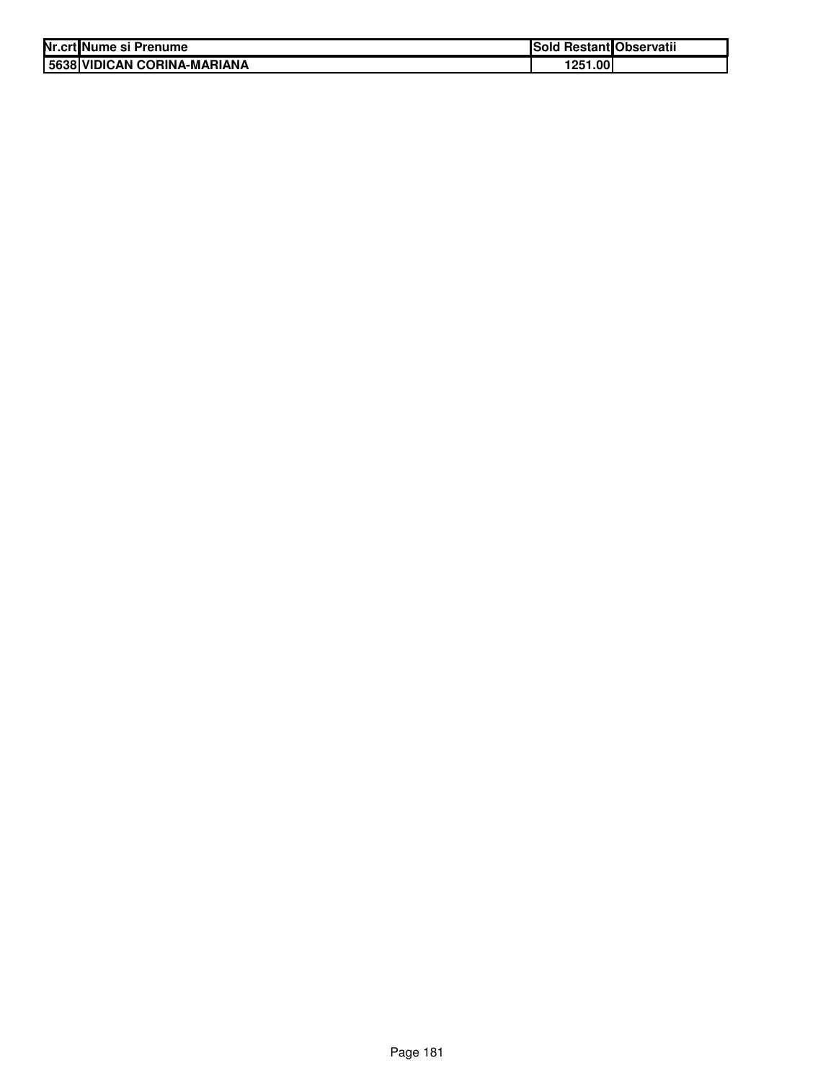| Nr.crt Nume si Prenume      | Sold Restant Observatii |  |
|-----------------------------|-------------------------|--|
| 5638 VIDICAN CORINA-MARIANA | 1251.00                 |  |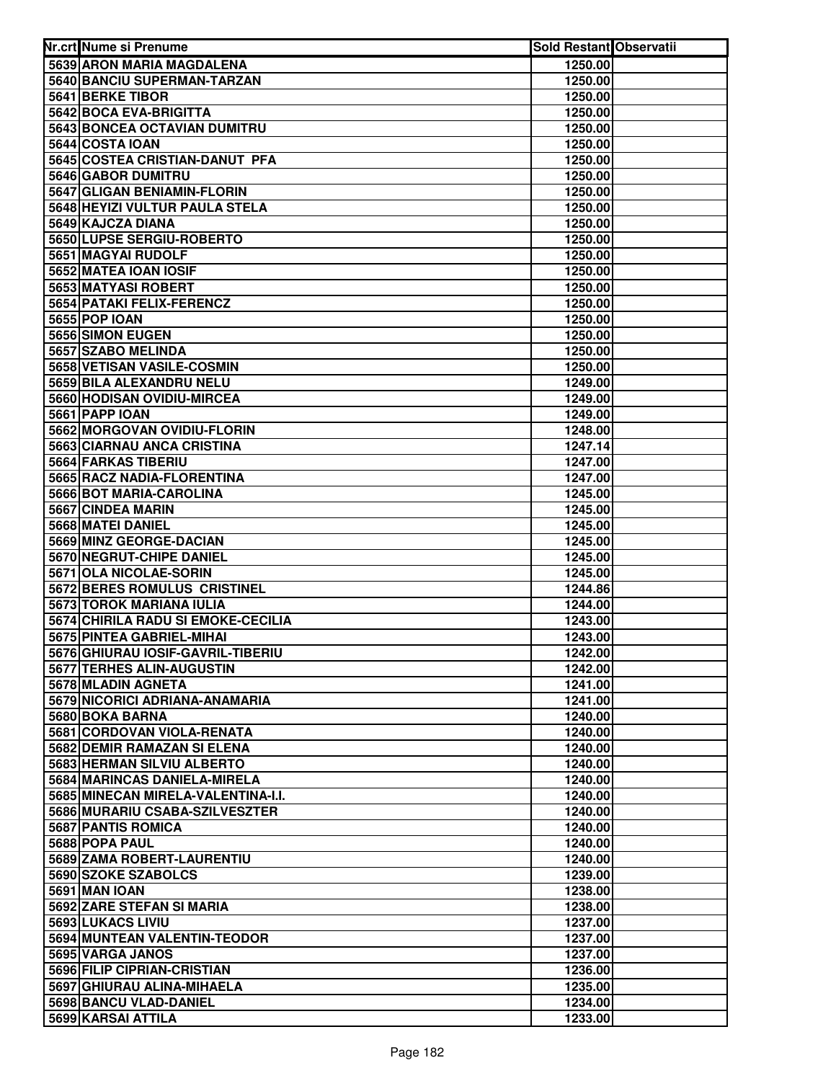| Nr.crt Nume si Prenume                                 | <b>Sold Restant Observatii</b> |  |
|--------------------------------------------------------|--------------------------------|--|
| 5639 ARON MARIA MAGDALENA                              | 1250.00                        |  |
| 5640 BANCIU SUPERMAN-TARZAN                            | 1250.00                        |  |
| 5641 BERKE TIBOR                                       | 1250.00                        |  |
| 5642 BOCA EVA-BRIGITTA                                 | 1250.00                        |  |
| 5643 BONCEA OCTAVIAN DUMITRU                           | 1250.00                        |  |
| 5644 COSTA IOAN                                        | 1250.00                        |  |
| 5645 COSTEA CRISTIAN-DANUT PFA                         | 1250.00                        |  |
| 5646 GABOR DUMITRU                                     | 1250.00                        |  |
| 5647 GLIGAN BENIAMIN-FLORIN                            | 1250.00                        |  |
| 5648 HEYIZI VULTUR PAULA STELA                         | 1250.00                        |  |
| 5649 KAJCZA DIANA                                      | 1250.00                        |  |
| 5650 LUPSE SERGIU-ROBERTO                              | 1250.00                        |  |
| <b>5651 MAGYAI RUDOLF</b>                              | 1250.00                        |  |
| 5652 MATEA IOAN IOSIF                                  | 1250.00                        |  |
| 5653 MATYASI ROBERT                                    | 1250.00                        |  |
| 5654 PATAKI FELIX-FERENCZ                              | 1250.00                        |  |
| 5655 POP IOAN                                          | 1250.00                        |  |
| 5656 SIMON EUGEN                                       | 1250.00                        |  |
| 5657 SZABO MELINDA                                     | 1250.00                        |  |
| 5658 VETISAN VASILE-COSMIN                             | 1250.00                        |  |
| 5659 BILA ALEXANDRU NELU                               | 1249.00                        |  |
| 5660 HODISAN OVIDIU-MIRCEA                             | 1249.00                        |  |
| 5661 PAPP IOAN                                         | 1249.00                        |  |
| 5662 MORGOVAN OVIDIU-FLORIN                            | 1248.00                        |  |
| 5663 CIARNAU ANCA CRISTINA                             | 1247.14                        |  |
| 5664 FARKAS TIBERIU                                    | 1247.00                        |  |
| 5665 RACZ NADIA-FLORENTINA                             | 1247.00                        |  |
| 5666 BOT MARIA-CAROLINA                                | 1245.00                        |  |
| 5667 CINDEA MARIN                                      | 1245.00                        |  |
| 5668 MATEI DANIEL                                      | 1245.00                        |  |
| 5669 MINZ GEORGE-DACIAN                                | 1245.00                        |  |
| 5670 NEGRUT-CHIPE DANIEL                               | 1245.00                        |  |
| 5671 OLA NICOLAE-SORIN<br>5672 BERES ROMULUS CRISTINEL | 1245.00<br>1244.86             |  |
| 5673 TOROK MARIANA IULIA                               |                                |  |
| 5674 CHIRILA RADU SI EMOKE-CECILIA                     | 1244.00<br>1243.00             |  |
| 5675 PINTEA GABRIEL-MIHAI                              | 1243.00                        |  |
| 5676 GHIURAU IOSIF-GAVRIL-TIBERIU                      | 1242.00                        |  |
| 5677 TERHES ALIN-AUGUSTIN                              | 1242.00                        |  |
| 5678 MLADIN AGNETA                                     | 1241.00                        |  |
| 5679 NICORICI ADRIANA-ANAMARIA                         | 1241.00                        |  |
| 5680 BOKA BARNA                                        | 1240.00                        |  |
| 5681 CORDOVAN VIOLA-RENATA                             | 1240.00                        |  |
| 5682 DEMIR RAMAZAN SI ELENA                            | 1240.00                        |  |
| 5683 HERMAN SILVIU ALBERTO                             | 1240.00                        |  |
| 5684 MARINCAS DANIELA-MIRELA                           | 1240.00                        |  |
| 5685 MINECAN MIRELA-VALENTINA-I.I.                     | 1240.00                        |  |
| 5686 MURARIU CSABA-SZILVESZTER                         | 1240.00                        |  |
| 5687 PANTIS ROMICA                                     | 1240.00                        |  |
| 5688 POPA PAUL                                         | 1240.00                        |  |
| 5689 ZAMA ROBERT-LAURENTIU                             | 1240.00                        |  |
| 5690 SZOKE SZABOLCS                                    | 1239.00                        |  |
| <b>5691 MAN IOAN</b>                                   | 1238.00                        |  |
| 5692 ZARE STEFAN SI MARIA                              | 1238.00                        |  |
| 5693 LUKACS LIVIU                                      | 1237.00                        |  |
| 5694 MUNTEAN VALENTIN-TEODOR                           | 1237.00                        |  |
| 5695 VARGA JANOS                                       | 1237.00                        |  |
| 5696 FILIP CIPRIAN-CRISTIAN                            | 1236.00                        |  |
| 5697 GHIURAU ALINA-MIHAELA                             | 1235.00                        |  |
| 5698 BANCU VLAD-DANIEL                                 | 1234.00                        |  |
| 5699 KARSAI ATTILA                                     | 1233.00                        |  |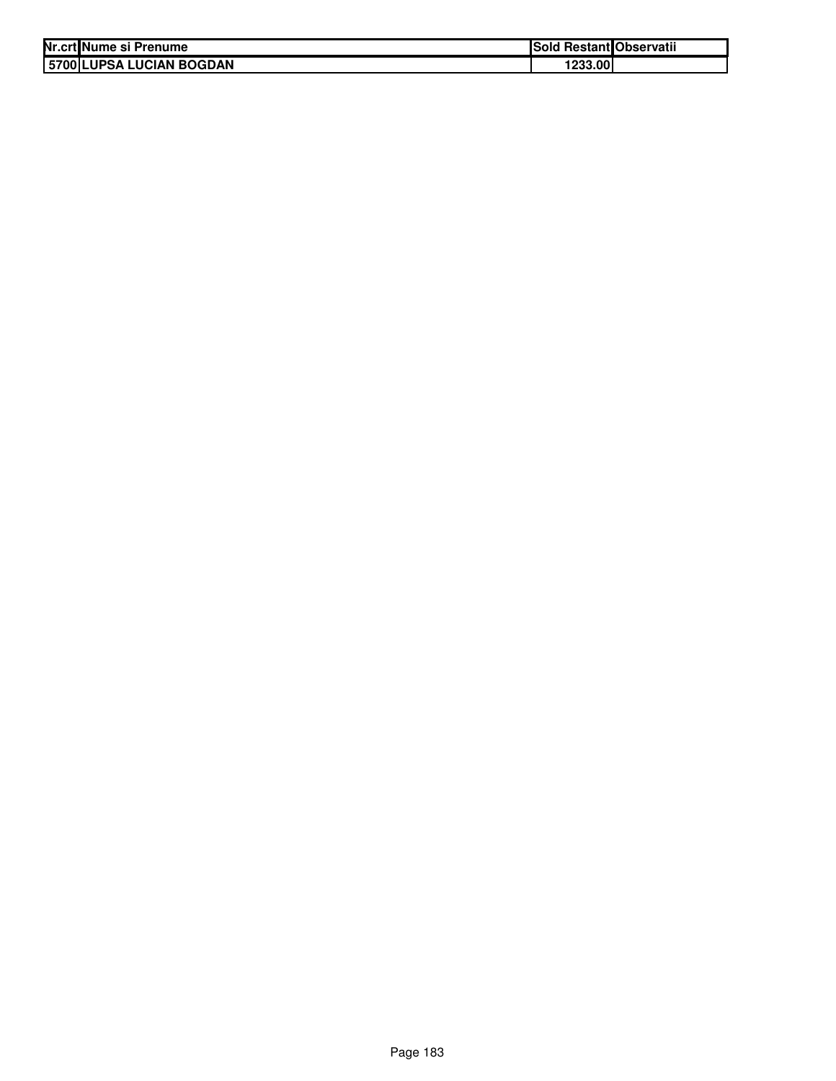| Nr.crt Nume si Prenume   | Sold Restant Observatii |  |
|--------------------------|-------------------------|--|
| 5700 LUPSA LUCIAN BOGDAN | 1233.00                 |  |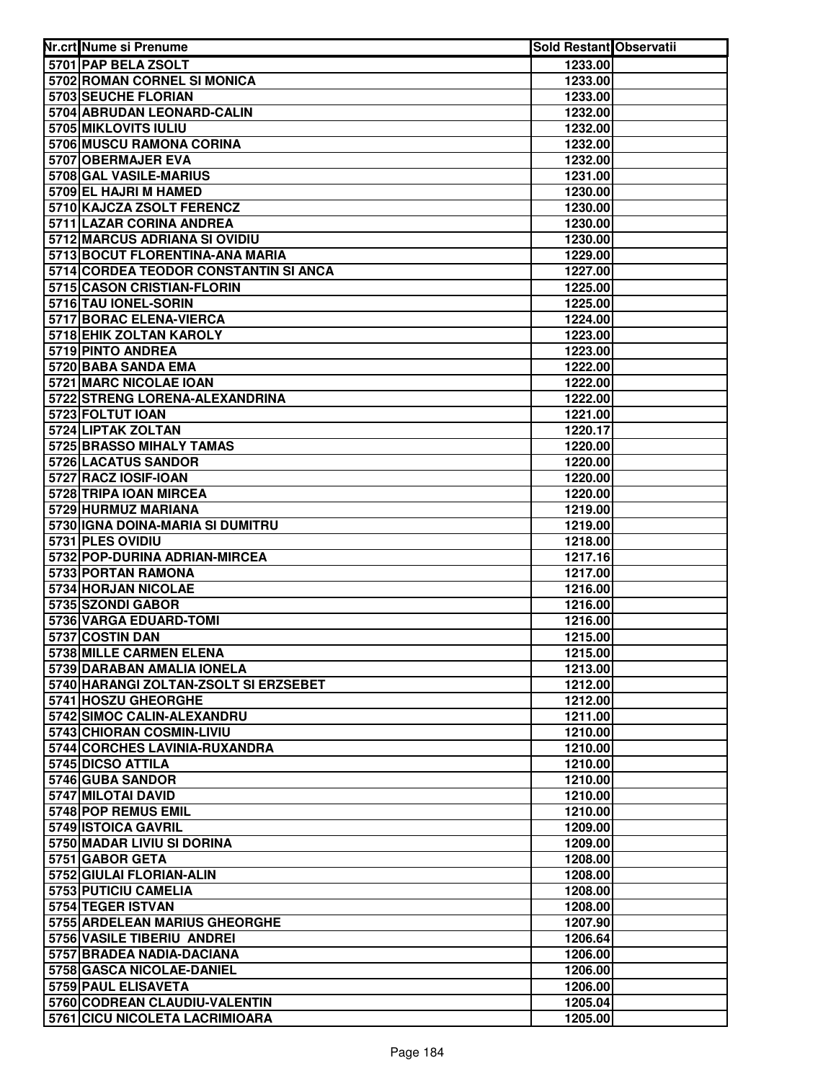| Nr.crt Nume si Prenume                                 | <b>Sold Restant Observatii</b> |  |
|--------------------------------------------------------|--------------------------------|--|
| 5701 PAP BELA ZSOLT                                    | 1233.00                        |  |
| 5702 ROMAN CORNEL SI MONICA                            | 1233.00                        |  |
| 5703 SEUCHE FLORIAN                                    | 1233.00                        |  |
| 5704 ABRUDAN LEONARD-CALIN                             | 1232.00                        |  |
| 5705 MIKLOVITS IULIU                                   | 1232.00                        |  |
| 5706 MUSCU RAMONA CORINA                               | 1232.00                        |  |
| 5707 OBERMAJER EVA                                     | 1232.00                        |  |
| 5708 GAL VASILE-MARIUS                                 | 1231.00                        |  |
| 5709 EL HAJRI M HAMED                                  | 1230.00                        |  |
| 5710 KAJCZA ZSOLT FERENCZ                              | 1230.00                        |  |
| 5711 LAZAR CORINA ANDREA                               | 1230.00                        |  |
| 5712 MARCUS ADRIANA SI OVIDIU                          | 1230.00                        |  |
| 5713 BOCUT FLORENTINA-ANA MARIA                        | 1229.00                        |  |
| 5714 CORDEA TEODOR CONSTANTIN SI ANCA                  | 1227.00                        |  |
| 5715 CASON CRISTIAN-FLORIN                             | 1225.00                        |  |
| 5716 TAU IONEL-SORIN                                   | 1225.00                        |  |
| 5717 BORAC ELENA-VIERCA                                | 1224.00                        |  |
| 5718 EHIK ZOLTAN KAROLY                                | 1223.00                        |  |
| 5719 PINTO ANDREA                                      | 1223.00                        |  |
| 5720 BABA SANDA EMA                                    | 1222.00                        |  |
| 5721 MARC NICOLAE IOAN                                 | 1222.00                        |  |
| 5722 STRENG LORENA-ALEXANDRINA                         | 1222.00                        |  |
| 5723 FOLTUT IOAN                                       | 1221.00                        |  |
| 5724 LIPTAK ZOLTAN                                     | 1220.17                        |  |
| 5725 BRASSO MIHALY TAMAS                               | 1220.00                        |  |
| 5726 LACATUS SANDOR                                    | 1220.00                        |  |
| 5727 RACZ IOSIF-IOAN                                   | 1220.00                        |  |
| 5728 TRIPA IOAN MIRCEA                                 | 1220.00                        |  |
| 5729 HURMUZ MARIANA                                    | 1219.00                        |  |
| 5730 IGNA DOINA-MARIA SI DUMITRU                       | 1219.00                        |  |
| 5731 PLES OVIDIU                                       | 1218.00                        |  |
| 5732 POP-DURINA ADRIAN-MIRCEA                          | 1217.16                        |  |
| 5733 PORTAN RAMONA                                     | 1217.00                        |  |
| 5734 HORJAN NICOLAE                                    | 1216.00                        |  |
| 5735 SZONDI GABOR                                      | 1216.00                        |  |
| 5736 VARGA EDUARD-TOMI                                 | 1216.00                        |  |
| 5737 COSTIN DAN                                        | 1215.00                        |  |
| 5738 MILLE CARMEN ELENA                                | 1215.00                        |  |
| 5739 DARABAN AMALIA IONELA                             | 1213.00                        |  |
| 5740 HARANGI ZOLTAN-ZSOLT SI ERZSEBET                  | 1212.00                        |  |
| 5741 HOSZU GHEORGHE                                    | 1212.00                        |  |
| 5742 SIMOC CALIN-ALEXANDRU                             | 1211.00                        |  |
| 5743 CHIORAN COSMIN-LIVIU                              | 1210.00                        |  |
| 5744 CORCHES LAVINIA-RUXANDRA                          | 1210.00                        |  |
| 5745 DICSO ATTILA                                      | 1210.00                        |  |
| 5746 GUBA SANDOR                                       | 1210.00                        |  |
| 5747 MILOTAI DAVID                                     | 1210.00                        |  |
| 5748 POP REMUS EMIL                                    | 1210.00                        |  |
| 5749 ISTOICA GAVRIL                                    | 1209.00                        |  |
| 5750 MADAR LIVIU SI DORINA                             | 1209.00                        |  |
| 5751 GABOR GETA                                        | 1208.00                        |  |
| 5752 GIULAI FLORIAN-ALIN                               | 1208.00                        |  |
| 5753 PUTICIU CAMELIA                                   | 1208.00                        |  |
| 5754 TEGER ISTVAN                                      | 1208.00                        |  |
| 5755 ARDELEAN MARIUS GHEORGHE                          | 1207.90                        |  |
| 5756 VASILE TIBERIU ANDREI                             | 1206.64                        |  |
| 5757 BRADEA NADIA-DACIANA<br>5758 GASCA NICOLAE-DANIEL | 1206.00                        |  |
| 5759 PAUL ELISAVETA                                    | 1206.00<br>1206.00             |  |
| 5760 CODREAN CLAUDIU-VALENTIN                          | 1205.04                        |  |
| 5761 CICU NICOLETA LACRIMIOARA                         | 1205.00                        |  |
|                                                        |                                |  |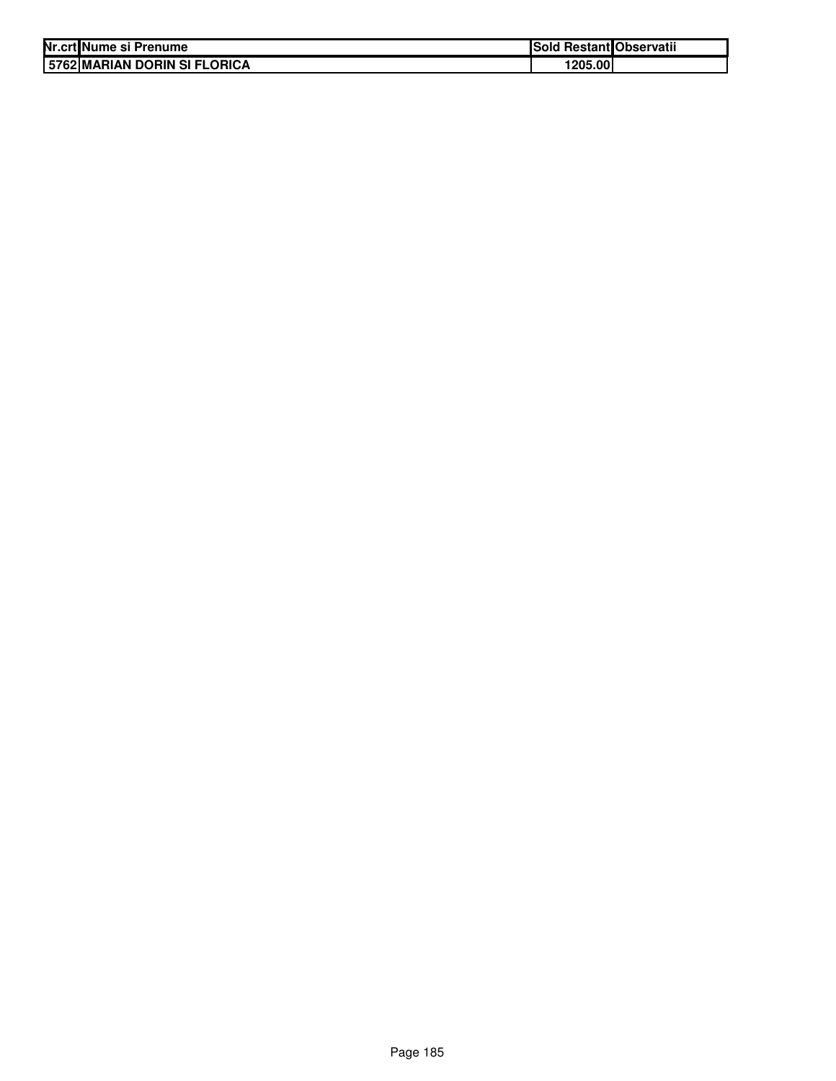| Nr.crt Nume si Prenume       | Sold Restant Observatii |  |
|------------------------------|-------------------------|--|
| 5762 MARIAN DORIN SI FLORICA | 1205.00                 |  |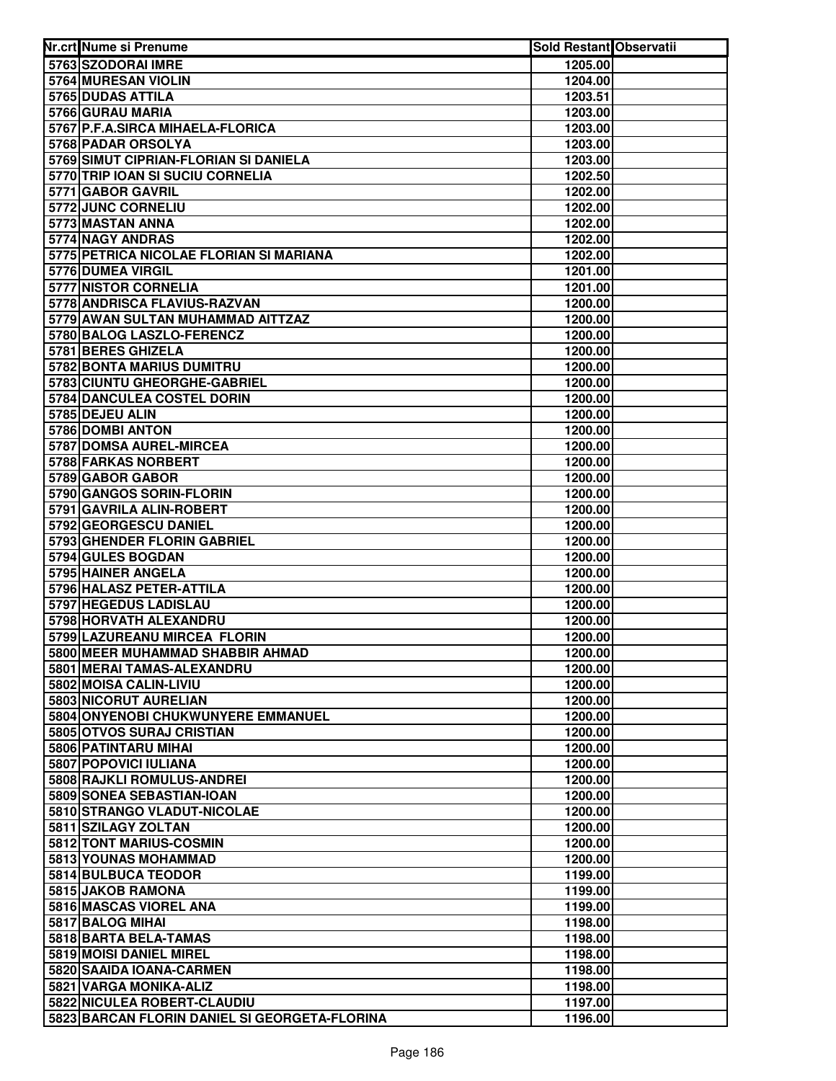| Nr.crt Nume si Prenume                            | <b>Sold Restant Observatii</b> |  |
|---------------------------------------------------|--------------------------------|--|
| 5763 SZODORAI IMRE                                | 1205.00                        |  |
| 5764 MURESAN VIOLIN                               | 1204.00                        |  |
| 5765 DUDAS ATTILA                                 | 1203.51                        |  |
| 5766 GURAU MARIA                                  | 1203.00                        |  |
| 5767 P.F.A.SIRCA MIHAELA-FLORICA                  | 1203.00                        |  |
| 5768 PADAR ORSOLYA                                | 1203.00                        |  |
| 5769 SIMUT CIPRIAN-FLORIAN SI DANIELA             | 1203.00                        |  |
| 5770 TRIP IOAN SI SUCIU CORNELIA                  | 1202.50                        |  |
| 5771 GABOR GAVRIL                                 | 1202.00                        |  |
| 5772 JUNC CORNELIU                                | 1202.00                        |  |
| 5773 MASTAN ANNA                                  | 1202.00                        |  |
| 5774 NAGY ANDRAS                                  | 1202.00                        |  |
| 5775 PETRICA NICOLAE FLORIAN SI MARIANA           | 1202.00                        |  |
| 5776 DUMEA VIRGIL                                 | 1201.00                        |  |
| 5777 NISTOR CORNELIA                              | 1201.00                        |  |
| 5778 ANDRISCA FLAVIUS-RAZVAN                      | 1200.00                        |  |
| 5779 AWAN SULTAN MUHAMMAD AITTZAZ                 | 1200.00                        |  |
| 5780 BALOG LASZLO-FERENCZ                         | 1200.00                        |  |
| 5781 BERES GHIZELA                                | 1200.00                        |  |
| 5782 BONTA MARIUS DUMITRU                         | 1200.00                        |  |
| 5783 CIUNTU GHEORGHE-GABRIEL                      | 1200.00                        |  |
| 5784 DANCULEA COSTEL DORIN                        | 1200.00                        |  |
| 5785 DEJEU ALIN                                   | 1200.00                        |  |
| 5786 DOMBI ANTON                                  | 1200.00                        |  |
| 5787 DOMSA AUREL-MIRCEA                           | 1200.00                        |  |
| 5788 FARKAS NORBERT                               | 1200.00                        |  |
| 5789 GABOR GABOR                                  | 1200.00                        |  |
| 5790 GANGOS SORIN-FLORIN                          | 1200.00                        |  |
| 5791 GAVRILA ALIN-ROBERT                          | 1200.00                        |  |
| 5792 GEORGESCU DANIEL                             | 1200.00                        |  |
| 5793 GHENDER FLORIN GABRIEL                       | 1200.00                        |  |
| 5794 GULES BOGDAN                                 | 1200.00                        |  |
| 5795 HAINER ANGELA                                | 1200.00                        |  |
| 5796 HALASZ PETER-ATTILA<br>5797 HEGEDUS LADISLAU | 1200.00                        |  |
| 5798 HORVATH ALEXANDRU                            | 1200.00<br>1200.00             |  |
| 5799 LAZUREANU MIRCEA FLORIN                      | 1200.00                        |  |
| 5800 MEER MUHAMMAD SHABBIR AHMAD                  | 1200.00                        |  |
| 5801 MERAI TAMAS-ALEXANDRU                        | 1200.00                        |  |
| 5802 MOISA CALIN-LIVIU                            | 1200.00                        |  |
| 5803 NICORUT AURELIAN                             | 1200.00                        |  |
| 5804 ONYENOBI CHUKWUNYERE EMMANUEL                | 1200.00                        |  |
| 5805 OTVOS SURAJ CRISTIAN                         | 1200.00                        |  |
| 5806 PATINTARU MIHAI                              | 1200.00                        |  |
| 5807 POPOVICI IULIANA                             | 1200.00                        |  |
| 5808 RAJKLI ROMULUS-ANDREI                        | 1200.00                        |  |
| 5809 SONEA SEBASTIAN-IOAN                         | 1200.00                        |  |
| 5810 STRANGO VLADUT-NICOLAE                       | 1200.00                        |  |
| 5811 SZILAGY ZOLTAN                               | 1200.00                        |  |
| 5812 TONT MARIUS-COSMIN                           | 1200.00                        |  |
| 5813 YOUNAS MOHAMMAD                              | 1200.00                        |  |
| 5814 BULBUCA TEODOR                               | 1199.00                        |  |
| 5815 JAKOB RAMONA                                 | 1199.00                        |  |
| 5816 MASCAS VIOREL ANA                            | 1199.00                        |  |
| 5817 BALOG MIHAI                                  | 1198.00                        |  |
| 5818 BARTA BELA-TAMAS                             | 1198.00                        |  |
| 5819 MOISI DANIEL MIREL                           | 1198.00                        |  |
| 5820 SAAIDA IOANA-CARMEN                          | 1198.00                        |  |
| 5821 VARGA MONIKA-ALIZ                            | 1198.00                        |  |
| 5822 NICULEA ROBERT-CLAUDIU                       | 1197.00                        |  |
| 5823 BARCAN FLORIN DANIEL SI GEORGETA-FLORINA     | 1196.00                        |  |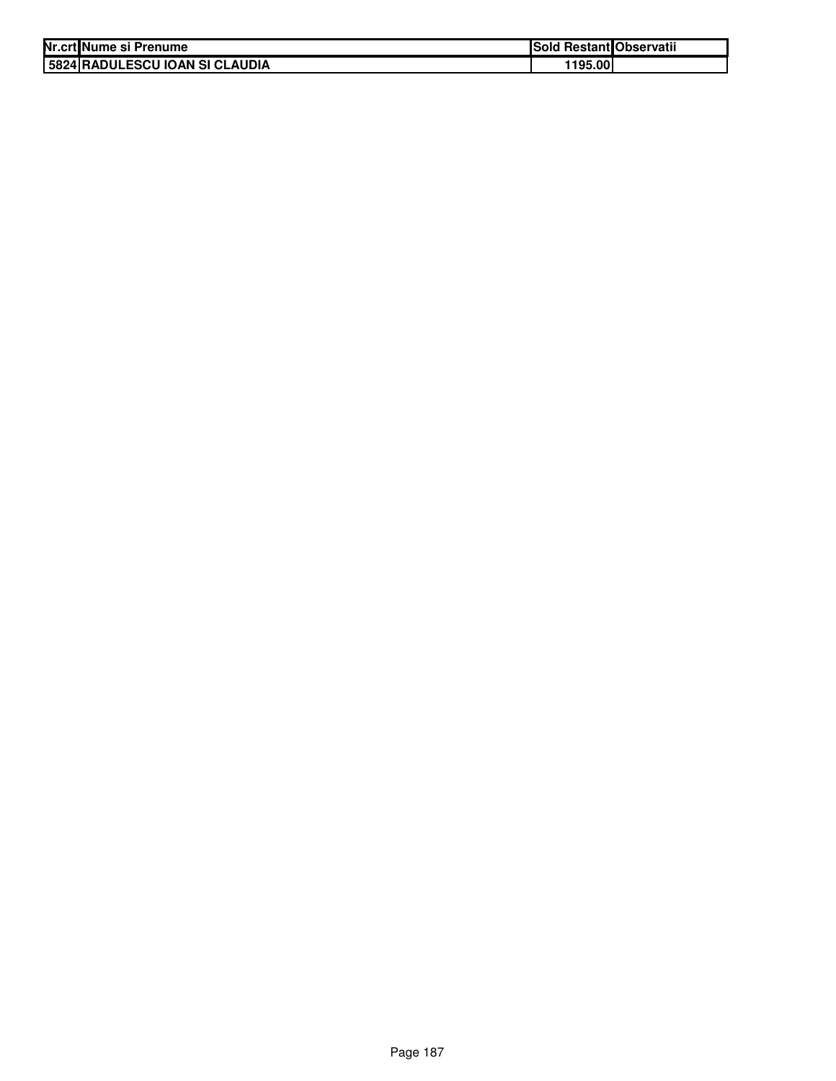| Nr.crt Nume si Prenume         | <b>Sold Restant Observatii</b> |  |
|--------------------------------|--------------------------------|--|
| 5824 RADULESCU IOAN SI CLAUDIA | 1195.00                        |  |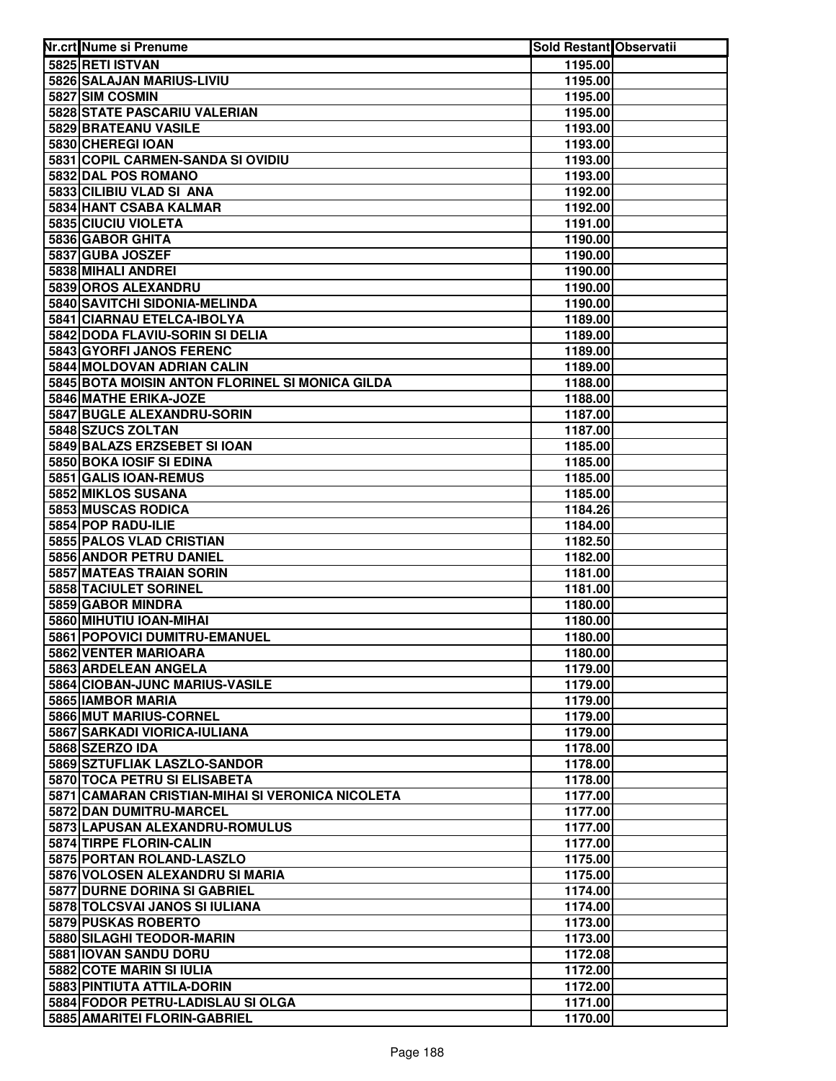| Nr.crt Nume si Prenume                           | Sold Restant Observatii |  |
|--------------------------------------------------|-------------------------|--|
| 5825 RETI ISTVAN                                 | 1195.00                 |  |
| 5826 SALAJAN MARIUS-LIVIU                        | 1195.00                 |  |
| 5827 SIM COSMIN                                  | 1195.00                 |  |
| 5828 STATE PASCARIU VALERIAN                     | 1195.00                 |  |
| 5829 BRATEANU VASILE                             | 1193.00                 |  |
| 5830 CHEREGI IOAN                                | 1193.00                 |  |
| 5831 COPIL CARMEN-SANDA SI OVIDIU                | 1193.00                 |  |
| 5832 DAL POS ROMANO                              | 1193.00                 |  |
| 5833 CILIBIU VLAD SI ANA                         | 1192.00                 |  |
| 5834 HANT CSABA KALMAR                           | 1192.00                 |  |
| 5835 CIUCIU VIOLETA                              | 1191.00                 |  |
| 5836 GABOR GHITA                                 | 1190.00                 |  |
| 5837 GUBA JOSZEF                                 | 1190.00                 |  |
| 5838 MIHALI ANDREI                               | 1190.00                 |  |
| 5839 OROS ALEXANDRU                              | 1190.00                 |  |
| 5840 SAVITCHI SIDONIA-MELINDA                    | 1190.00                 |  |
| 5841 CIARNAU ETELCA-IBOLYA                       | 1189.00                 |  |
| 5842 DODA FLAVIU-SORIN SI DELIA                  | 1189.00                 |  |
| 5843 GYORFI JANOS FERENC                         | 1189.00                 |  |
| 5844 MOLDOVAN ADRIAN CALIN                       | 1189.00                 |  |
| 5845 BOTA MOISIN ANTON FLORINEL SI MONICA GILDA  | 1188.00                 |  |
| 5846 MATHE ERIKA-JOZE                            | 1188.00                 |  |
| 5847 BUGLE ALEXANDRU-SORIN                       | 1187.00                 |  |
| 5848 SZUCS ZOLTAN                                | 1187.00                 |  |
| 5849 BALAZS ERZSEBET SI IOAN                     | 1185.00                 |  |
| 5850 BOKA IOSIF SI EDINA                         | 1185.00                 |  |
| 5851 GALIS IOAN-REMUS                            | 1185.00                 |  |
| 5852 MIKLOS SUSANA                               | 1185.00                 |  |
| 5853 MUSCAS RODICA                               | 1184.26                 |  |
| 5854 POP RADU-ILIE                               | 1184.00                 |  |
| 5855 PALOS VLAD CRISTIAN                         | 1182.50                 |  |
| 5856 ANDOR PETRU DANIEL                          | 1182.00                 |  |
| 5857 MATEAS TRAIAN SORIN                         | 1181.00                 |  |
| 5858 TACIULET SORINEL                            | 1181.00                 |  |
| 5859 GABOR MINDRA                                | 1180.00                 |  |
| 5860 MIHUTIU IOAN-MIHAI                          | 1180.00                 |  |
| 5861 POPOVICI DUMITRU-EMANUEL                    | 1180.00                 |  |
| 5862 VENTER MARIOARA                             | 1180.00                 |  |
| 5863 ARDELEAN ANGELA                             | 1179.00                 |  |
| 5864 CIOBAN-JUNC MARIUS-VASILE                   | 1179.00                 |  |
| 5865 IAMBOR MARIA                                | 1179.00                 |  |
| 5866 MUT MARIUS-CORNEL                           | 1179.00                 |  |
| <b>5867 SARKADI VIORICA-IULIANA</b>              | 1179.00                 |  |
| 5868 SZERZO IDA                                  | 1178.00                 |  |
| 5869 SZTUFLIAK LASZLO-SANDOR                     | 1178.00                 |  |
| 5870 TOCA PETRU SI ELISABETA                     | 1178.00                 |  |
| 5871 CAMARAN CRISTIAN-MIHAI SI VERONICA NICOLETA | 1177.00                 |  |
| 5872 DAN DUMITRU-MARCEL                          | 1177.00                 |  |
| 5873 LAPUSAN ALEXANDRU-ROMULUS                   | 1177.00                 |  |
| 5874 TIRPE FLORIN-CALIN                          | 1177.00                 |  |
| 5875 PORTAN ROLAND-LASZLO                        | 1175.00                 |  |
| 5876 VOLOSEN ALEXANDRU SI MARIA                  | 1175.00                 |  |
| 5877 DURNE DORINA SI GABRIEL                     | 1174.00                 |  |
| 5878 TOLCSVAI JANOS SI IULIANA                   | 1174.00                 |  |
| 5879 PUSKAS ROBERTO                              | 1173.00                 |  |
| 5880 SILAGHI TEODOR-MARIN                        | 1173.00                 |  |
| 5881 IOVAN SANDU DORU                            | 1172.08                 |  |
| 5882 COTE MARIN SI IULIA                         | 1172.00                 |  |
| 5883 PINTIUTA ATTILA-DORIN                       | 1172.00                 |  |
| 5884 FODOR PETRU-LADISLAU SI OLGA                | 1171.00                 |  |
| 5885 AMARITEI FLORIN-GABRIEL                     | 1170.00                 |  |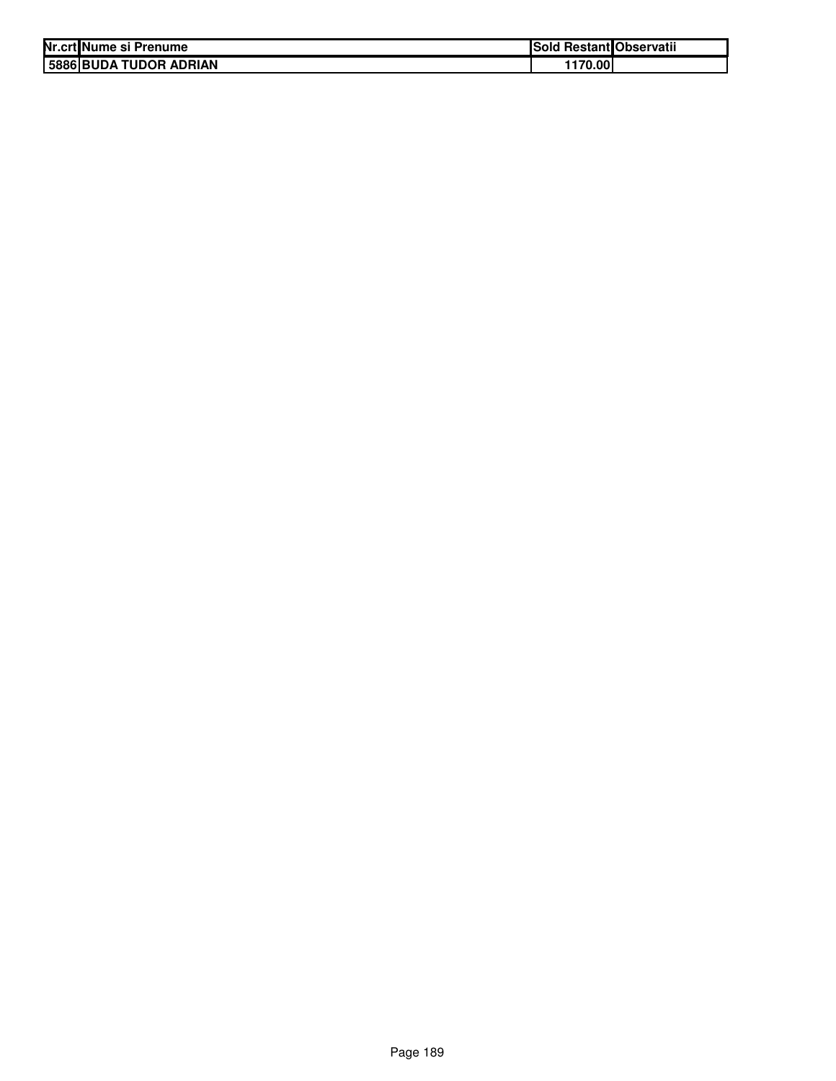| Nr.crt Nume si Prenume | <b>Sold Restant Observatii</b> |  |
|------------------------|--------------------------------|--|
| 5886 BUDA TUDOR ADRIAN | 1170.00                        |  |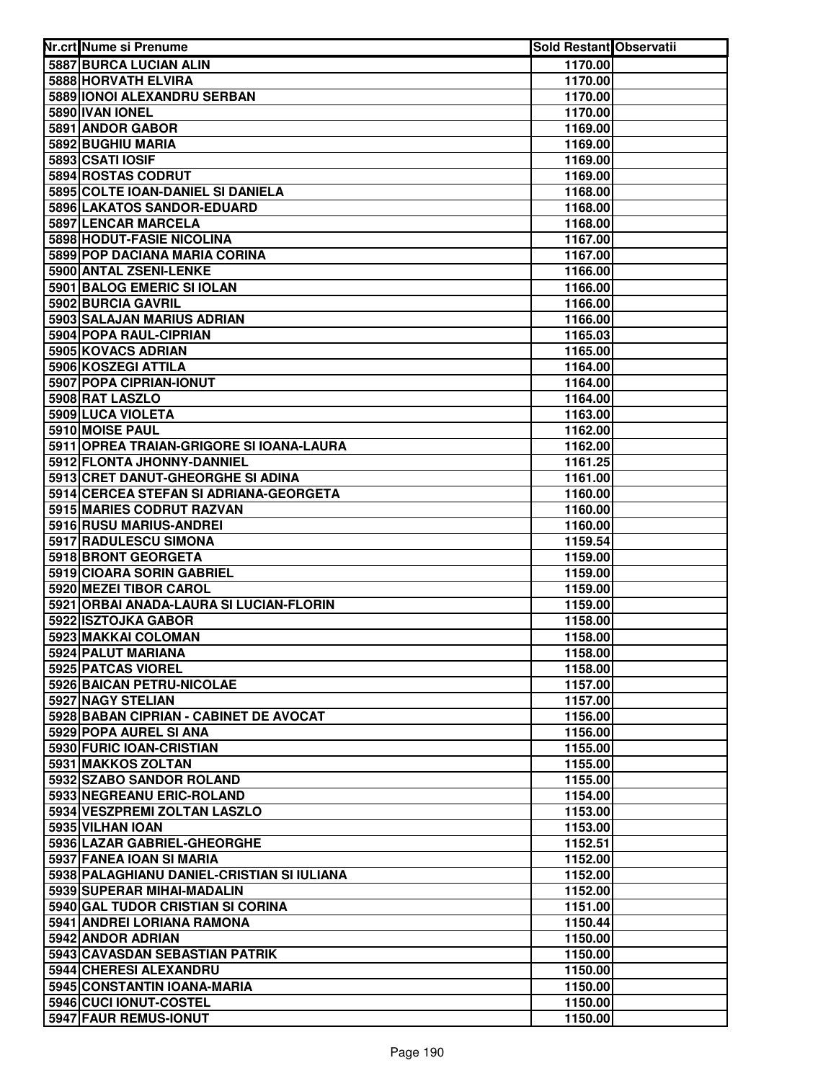| Nr.crt Nume si Prenume                                          | <b>Sold Restant Observatii</b> |  |
|-----------------------------------------------------------------|--------------------------------|--|
| 5887 BURCA LUCIAN ALIN                                          | 1170.00                        |  |
| 5888 HORVATH ELVIRA                                             | 1170.00                        |  |
| 5889 IONOI ALEXANDRU SERBAN                                     | 1170.00                        |  |
| 5890 IVAN IONEL                                                 | 1170.00                        |  |
| 5891 ANDOR GABOR                                                | 1169.00                        |  |
| 5892 BUGHIU MARIA                                               | 1169.00                        |  |
| 5893 CSATI IOSIF                                                | 1169.00                        |  |
| 5894 ROSTAS CODRUT                                              | 1169.00                        |  |
| 5895 COLTE IOAN-DANIEL SI DANIELA                               | 1168.00                        |  |
| 5896 LAKATOS SANDOR-EDUARD                                      | 1168.00                        |  |
| 5897 LENCAR MARCELA                                             | 1168.00                        |  |
| 5898 HODUT-FASIE NICOLINA                                       | 1167.00                        |  |
| 5899 POP DACIANA MARIA CORINA                                   | 1167.00                        |  |
| 5900 ANTAL ZSENI-LENKE                                          | 1166.00                        |  |
| 5901 BALOG EMERIC SI IOLAN                                      | 1166.00                        |  |
| 5902 BURCIA GAVRIL                                              | 1166.00                        |  |
| 5903 SALAJAN MARIUS ADRIAN                                      | 1166.00                        |  |
| 5904 POPA RAUL-CIPRIAN                                          | 1165.03                        |  |
| 5905 KOVACS ADRIAN                                              | 1165.00                        |  |
| 5906 KOSZEGI ATTILA                                             | 1164.00                        |  |
| 5907 POPA CIPRIAN-IONUT                                         | 1164.00                        |  |
| 5908 RAT LASZLO                                                 | 1164.00                        |  |
| 5909 LUCA VIOLETA                                               | 1163.00                        |  |
| 5910 MOISE PAUL                                                 | 1162.00                        |  |
| 5911 OPREA TRAIAN-GRIGORE SI IOANA-LAURA                        | 1162.00                        |  |
| 5912 FLONTA JHONNY-DANNIEL                                      | 1161.25                        |  |
| 5913 CRET DANUT-GHEORGHE SI ADINA                               | 1161.00                        |  |
| 5914 CERCEA STEFAN SI ADRIANA-GEORGETA                          | 1160.00                        |  |
| 5915 MARIES CODRUT RAZVAN                                       | 1160.00                        |  |
| 5916 RUSU MARIUS-ANDREI                                         | 1160.00                        |  |
| 5917 RADULESCU SIMONA                                           | 1159.54                        |  |
| 5918 BRONT GEORGETA                                             | 1159.00                        |  |
| 5919 CIOARA SORIN GABRIEL                                       | 1159.00                        |  |
| 5920 MEZEI TIBOR CAROL                                          | 1159.00                        |  |
| 5921 ORBAI ANADA-LAURA SI LUCIAN-FLORIN                         | 1159.00                        |  |
| 5922 ISZTOJKA GABOR                                             | 1158.00                        |  |
| 5923 MAKKAI COLOMAN                                             | 1158.00                        |  |
| 5924 PALUT MARIANA                                              | 1158.00                        |  |
| 5925 PATCAS VIOREL                                              | 1158.00                        |  |
| 5926 BAICAN PETRU-NICOLAE                                       | 1157.00                        |  |
| 5927 NAGY STELIAN                                               | 1157.00                        |  |
| 5928 BABAN CIPRIAN - CABINET DE AVOCAT                          | 1156.00                        |  |
| 5929 POPA AUREL SI ANA                                          | 1156.00                        |  |
| 5930 FURIC IOAN-CRISTIAN                                        | 1155.00                        |  |
| 5931 MAKKOS ZOLTAN                                              | 1155.00                        |  |
| 5932 SZABO SANDOR ROLAND                                        | 1155.00                        |  |
| 5933 NEGREANU ERIC-ROLAND                                       | 1154.00                        |  |
| 5934 VESZPREMI ZOLTAN LASZLO                                    | 1153.00                        |  |
| 5935 VILHAN IOAN                                                | 1153.00                        |  |
| 5936 LAZAR GABRIEL-GHEORGHE                                     | 1152.51                        |  |
| 5937 FANEA IOAN SI MARIA                                        | 1152.00                        |  |
| 5938 PALAGHIANU DANIEL-CRISTIAN SI IULIANA                      | 1152.00                        |  |
| 5939 SUPERAR MIHAI-MADALIN                                      | 1152.00                        |  |
| 5940 GAL TUDOR CRISTIAN SI CORINA<br>5941 ANDREI LORIANA RAMONA | 1151.00                        |  |
| 5942 ANDOR ADRIAN                                               | 1150.44                        |  |
| 5943 CAVASDAN SEBASTIAN PATRIK                                  | 1150.00<br>1150.00             |  |
| 5944 CHERESI ALEXANDRU                                          | 1150.00                        |  |
| 5945 CONSTANTIN IOANA-MARIA                                     | 1150.00                        |  |
| 5946 CUCI IONUT-COSTEL                                          | 1150.00                        |  |
| 5947 FAUR REMUS-IONUT                                           | 1150.00                        |  |
|                                                                 |                                |  |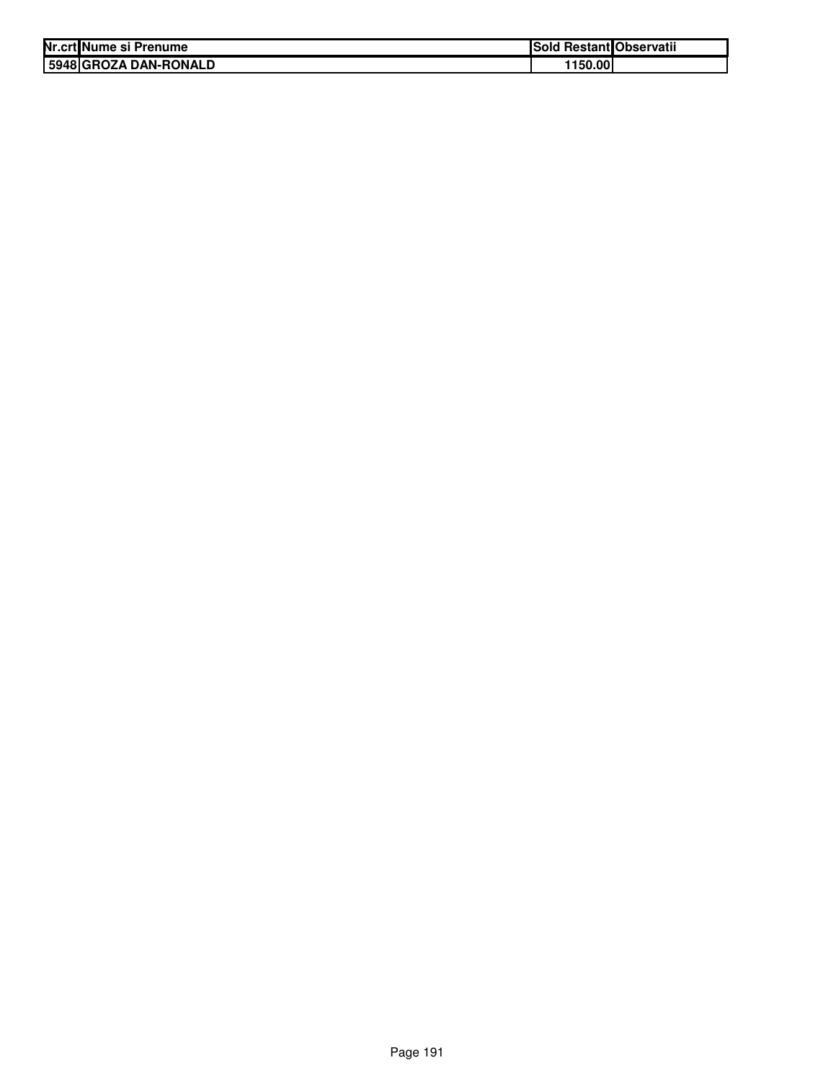| Nr.crt Nume si Prenume | Sold Restant Observatii |
|------------------------|-------------------------|
| 5948 GROZA DAN-RONALD  | 1150.00l                |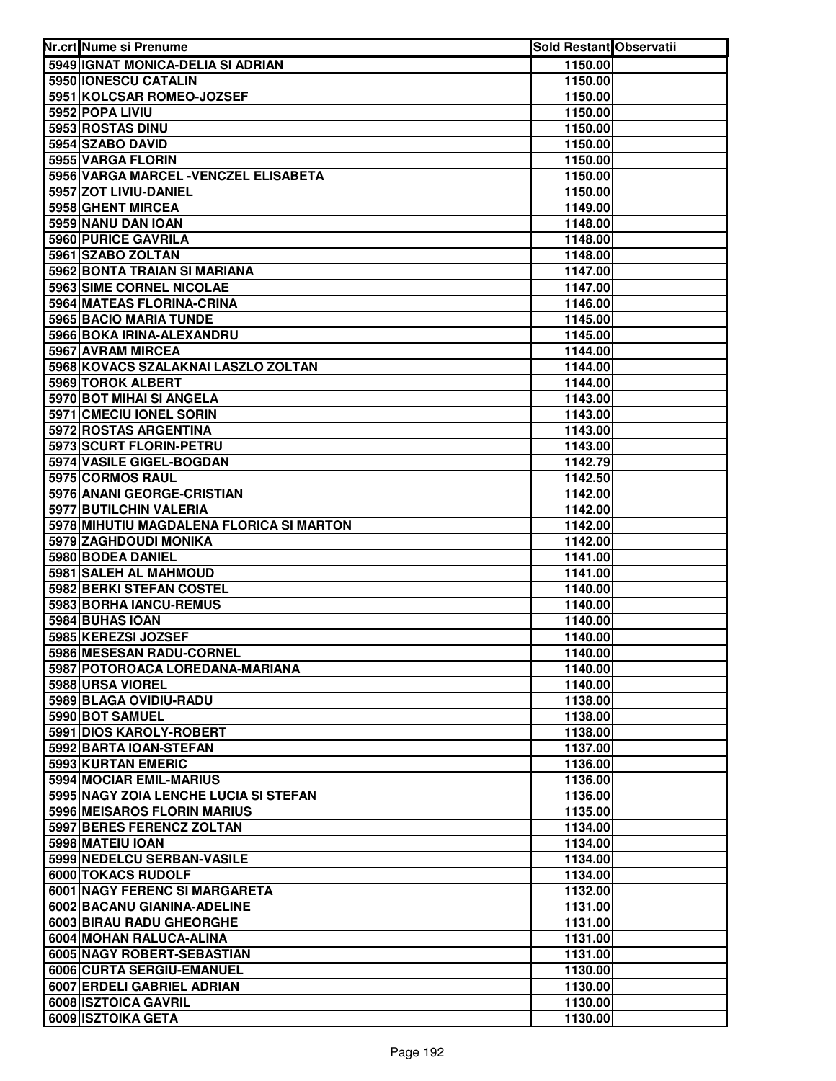| Nr.crt Nume si Prenume                           | Sold Restant Observatii |  |
|--------------------------------------------------|-------------------------|--|
| 5949 IGNAT MONICA-DELIA SI ADRIAN                | 1150.00                 |  |
| 5950 IONESCU CATALIN                             | 1150.00                 |  |
| 5951 KOLCSAR ROMEO-JOZSEF                        | 1150.00                 |  |
| 5952 POPA LIVIU                                  | 1150.00                 |  |
| 5953 ROSTAS DINU                                 | 1150.00                 |  |
| 5954 SZABO DAVID                                 | 1150.00                 |  |
| 5955 VARGA FLORIN                                | 1150.00                 |  |
| 5956 VARGA MARCEL - VENCZEL ELISABETA            | 1150.00                 |  |
| 5957 ZOT LIVIU-DANIEL                            | 1150.00                 |  |
| 5958 GHENT MIRCEA                                | 1149.00                 |  |
| 5959 NANU DAN IOAN                               | 1148.00                 |  |
| 5960 PURICE GAVRILA                              | 1148.00                 |  |
| 5961 SZABO ZOLTAN                                | 1148.00                 |  |
| 5962 BONTA TRAIAN SI MARIANA                     | 1147.00                 |  |
| 5963 SIME CORNEL NICOLAE                         | 1147.00                 |  |
| 5964 MATEAS FLORINA-CRINA                        | 1146.00                 |  |
| 5965 BACIO MARIA TUNDE                           | 1145.00                 |  |
| 5966 BOKA IRINA-ALEXANDRU                        | 1145.00                 |  |
| 5967 AVRAM MIRCEA                                | 1144.00                 |  |
| 5968 KOVACS SZALAKNAI LASZLO ZOLTAN              | 1144.00                 |  |
| 5969 TOROK ALBERT                                | 1144.00                 |  |
| 5970 BOT MIHAI SI ANGELA                         | 1143.00                 |  |
| 5971 CMECIU IONEL SORIN                          | 1143.00                 |  |
| 5972 ROSTAS ARGENTINA                            | 1143.00                 |  |
| 5973 SCURT FLORIN-PETRU                          | 1143.00                 |  |
| 5974 VASILE GIGEL-BOGDAN                         | 1142.79                 |  |
| 5975 CORMOS RAUL                                 | 1142.50                 |  |
| 5976 ANANI GEORGE-CRISTIAN                       | 1142.00                 |  |
| 5977 BUTILCHIN VALERIA                           | 1142.00                 |  |
| 5978 MIHUTIU MAGDALENA FLORICA SI MARTON         | 1142.00                 |  |
| 5979 ZAGHDOUDI MONIKA                            | 1142.00                 |  |
| 5980 BODEA DANIEL                                | 1141.00                 |  |
| 5981 SALEH AL MAHMOUD                            | 1141.00                 |  |
| 5982 BERKI STEFAN COSTEL                         | 1140.00                 |  |
| 5983 BORHA IANCU-REMUS                           | 1140.00                 |  |
| 5984 BUHAS IOAN                                  | 1140.00                 |  |
| 5985 KEREZSI JOZSEF                              | 1140.00                 |  |
| 5986 MESESAN RADU-CORNEL                         | 1140.00                 |  |
| 5987 POTOROACA LOREDANA-MARIANA                  | 1140.00                 |  |
| 5988 URSA VIOREL                                 | 1140.00                 |  |
| 5989 BLAGA OVIDIU-RADU                           | 1138.00                 |  |
| 5990 BOT SAMUEL                                  | 1138.00                 |  |
| 5991 DIOS KAROLY-ROBERT                          | 1138.00                 |  |
| 5992 BARTA IOAN-STEFAN                           | 1137.00                 |  |
| 5993 KURTAN EMERIC                               | 1136.00                 |  |
| 5994 MOCIAR EMIL-MARIUS                          | 1136.00                 |  |
| 5995 NAGY ZOIA LENCHE LUCIA SI STEFAN            | 1136.00                 |  |
| 5996 MEISAROS FLORIN MARIUS                      | 1135.00                 |  |
| 5997 BERES FERENCZ ZOLTAN                        | 1134.00                 |  |
| 5998 MATEIU IOAN                                 | 1134.00                 |  |
| 5999 NEDELCU SERBAN-VASILE<br>6000 TOKACS RUDOLF | 1134.00                 |  |
| 6001 NAGY FERENC SI MARGARETA                    | 1134.00                 |  |
| 6002 BACANU GIANINA-ADELINE                      | 1132.00<br>1131.00      |  |
| 6003 BIRAU RADU GHEORGHE                         | 1131.00                 |  |
| 6004 MOHAN RALUCA-ALINA                          | 1131.00                 |  |
| 6005 NAGY ROBERT-SEBASTIAN                       | 1131.00                 |  |
| 6006 CURTA SERGIU-EMANUEL                        | 1130.00                 |  |
| 6007 ERDELI GABRIEL ADRIAN                       | 1130.00                 |  |
| 6008 ISZTOICA GAVRIL                             | 1130.00                 |  |
| 6009 ISZTOIKA GETA                               | 1130.00                 |  |
|                                                  |                         |  |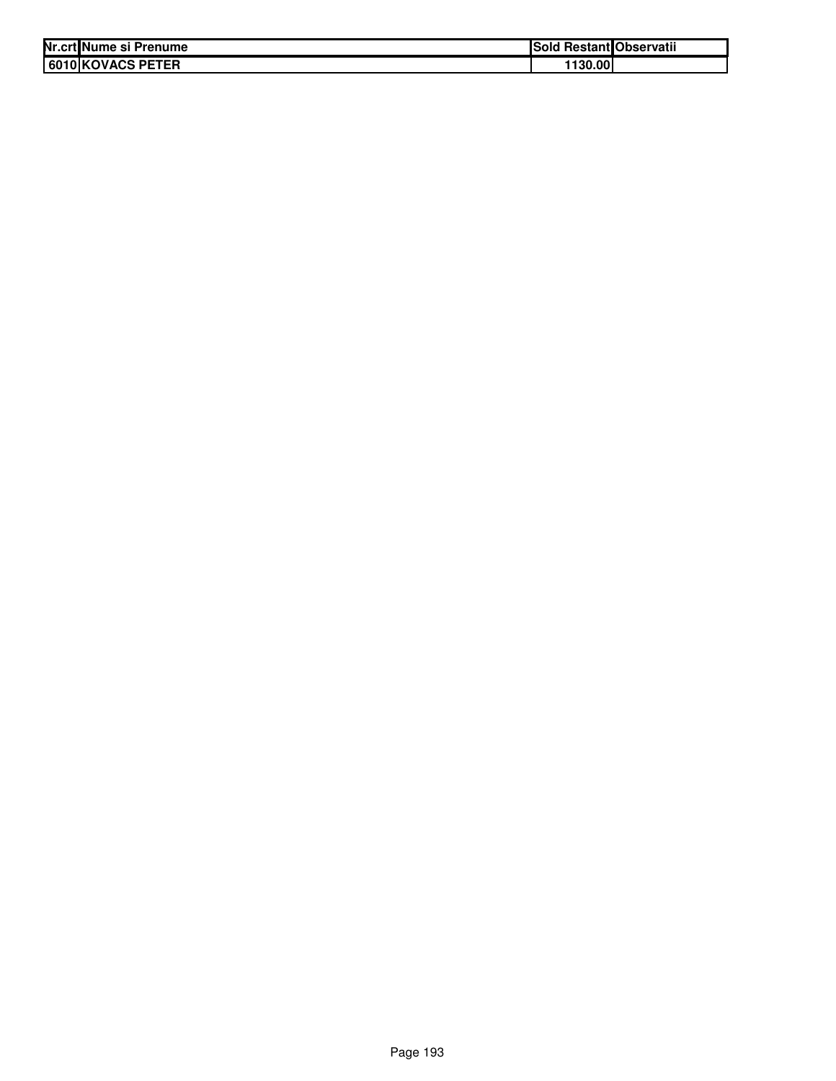| Nr.crt Nume si Prenume | ISold  | l Restant Observatii |
|------------------------|--------|----------------------|
| 6010 KOVACS PETER      | 130.00 |                      |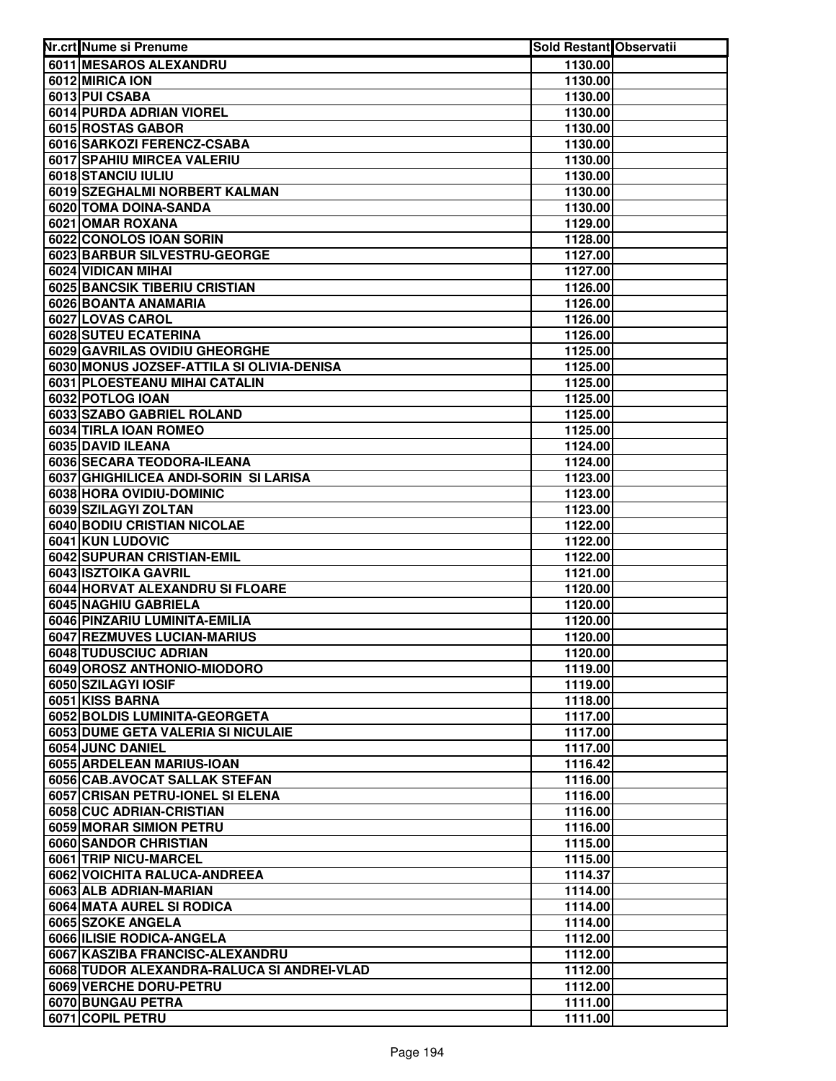| Nr.crt Nume si Prenume                                 | <b>Sold Restant Observatii</b> |  |
|--------------------------------------------------------|--------------------------------|--|
| 6011 MESAROS ALEXANDRU                                 | 1130.00                        |  |
| 6012 MIRICA ION                                        | 1130.00                        |  |
| 6013 PUI CSABA                                         | 1130.00                        |  |
| 6014 PURDA ADRIAN VIOREL                               | 1130.00                        |  |
| 6015 ROSTAS GABOR                                      | 1130.00                        |  |
| 6016 SARKOZI FERENCZ-CSABA                             | 1130.00                        |  |
| 6017 SPAHIU MIRCEA VALERIU                             | 1130.00                        |  |
| 6018 STANCIU IULIU                                     | 1130.00                        |  |
| 6019 SZEGHALMI NORBERT KALMAN                          | 1130.00                        |  |
| 6020 TOMA DOINA-SANDA                                  | 1130.00                        |  |
| 6021 OMAR ROXANA                                       | 1129.00                        |  |
| 6022 CONOLOS IOAN SORIN                                | 1128.00                        |  |
| 6023 BARBUR SILVESTRU-GEORGE                           | 1127.00                        |  |
| 6024 VIDICAN MIHAI                                     | 1127.00                        |  |
| 6025 BANCSIK TIBERIU CRISTIAN                          | 1126.00                        |  |
| 6026 BOANTA ANAMARIA                                   | 1126.00                        |  |
| 6027 LOVAS CAROL                                       | 1126.00                        |  |
| 6028 SUTEU ECATERINA                                   | 1126.00                        |  |
| 6029 GAVRILAS OVIDIU GHEORGHE                          | 1125.00                        |  |
| 6030 MONUS JOZSEF-ATTILA SI OLIVIA-DENISA              | 1125.00                        |  |
| 6031 PLOESTEANU MIHAI CATALIN                          | 1125.00                        |  |
| 6032 POTLOG IOAN                                       | 1125.00                        |  |
| 6033 SZABO GABRIEL ROLAND                              | 1125.00                        |  |
| 6034 TIRLA IOAN ROMEO                                  | 1125.00                        |  |
| 6035 DAVID ILEANA                                      | 1124.00                        |  |
| 6036 SECARA TEODORA-ILEANA                             | 1124.00                        |  |
| 6037 GHIGHILICEA ANDI-SORIN SI LARISA                  | 1123.00                        |  |
| 6038 HORA OVIDIU-DOMINIC                               | 1123.00                        |  |
| 6039 SZILAGYI ZOLTAN                                   | 1123.00                        |  |
| 6040 BODIU CRISTIAN NICOLAE                            | 1122.00                        |  |
| 6041 KUN LUDOVIC                                       | 1122.00                        |  |
| 6042 SUPURAN CRISTIAN-EMIL                             | 1122.00                        |  |
| 6043 ISZTOIKA GAVRIL                                   | 1121.00                        |  |
| 6044 HORVAT ALEXANDRU SI FLOARE                        | 1120.00                        |  |
| 6045 NAGHIU GABRIELA                                   | 1120.00                        |  |
| 6046 PINZARIU LUMINITA-EMILIA                          | 1120.00                        |  |
| 6047 REZMUVES LUCIAN-MARIUS                            | 1120.00                        |  |
| 6048 TUDUSCIUC ADRIAN                                  | 1120.00                        |  |
| 6049 OROSZ ANTHONIO-MIODORO                            | 1119.00                        |  |
| 6050 SZILAGYI IOSIF                                    | 1119.00                        |  |
| 6051 KISS BARNA                                        | 1118.00                        |  |
| 6052 BOLDIS LUMINITA-GEORGETA                          | 1117.00                        |  |
| 6053 DUME GETA VALERIA SI NICULAIE<br>6054 JUNC DANIEL | 1117.00<br>1117.00             |  |
| 6055 ARDELEAN MARIUS-IOAN                              | 1116.42                        |  |
| 6056 CAB.AVOCAT SALLAK STEFAN                          | 1116.00                        |  |
| 6057 CRISAN PETRU-IONEL SI ELENA                       | 1116.00                        |  |
| 6058 CUC ADRIAN-CRISTIAN                               | 1116.00                        |  |
| 6059 MORAR SIMION PETRU                                | 1116.00                        |  |
| 6060 SANDOR CHRISTIAN                                  | 1115.00                        |  |
| 6061 TRIP NICU-MARCEL                                  | 1115.00                        |  |
| 6062 VOICHITA RALUCA-ANDREEA                           | 1114.37                        |  |
| 6063 ALB ADRIAN-MARIAN                                 | 1114.00                        |  |
| 6064 MATA AUREL SI RODICA                              | 1114.00                        |  |
| 6065 SZOKE ANGELA                                      | 1114.00                        |  |
| 6066 ILISIE RODICA-ANGELA                              | 1112.00                        |  |
| 6067 KASZIBA FRANCISC-ALEXANDRU                        | 1112.00                        |  |
| 6068 TUDOR ALEXANDRA-RALUCA SI ANDREI-VLAD             | 1112.00                        |  |
| 6069 VERCHE DORU-PETRU                                 | 1112.00                        |  |
| 6070 BUNGAU PETRA                                      | 1111.00                        |  |
| 6071 COPIL PETRU                                       | 1111.00                        |  |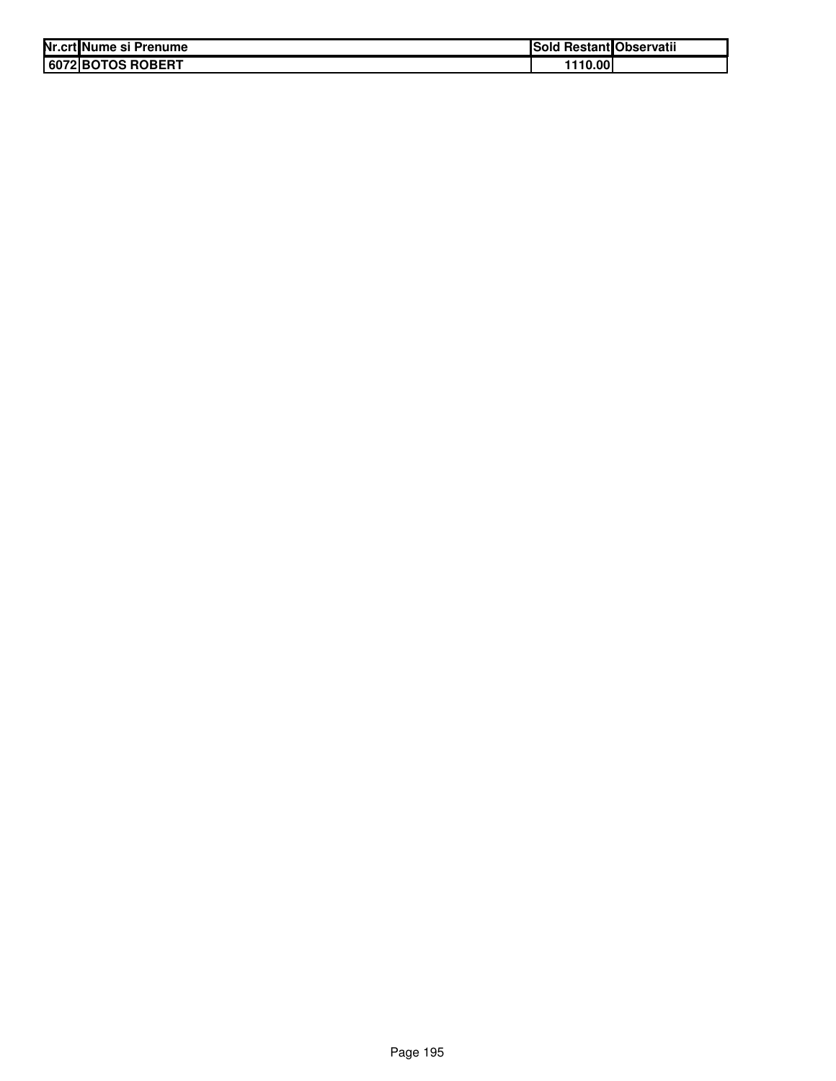| Nr.crt Nume si Prenume | Sold Restant Observatii |
|------------------------|-------------------------|
| 6072 BOTOS ROBERT      | 1110.00                 |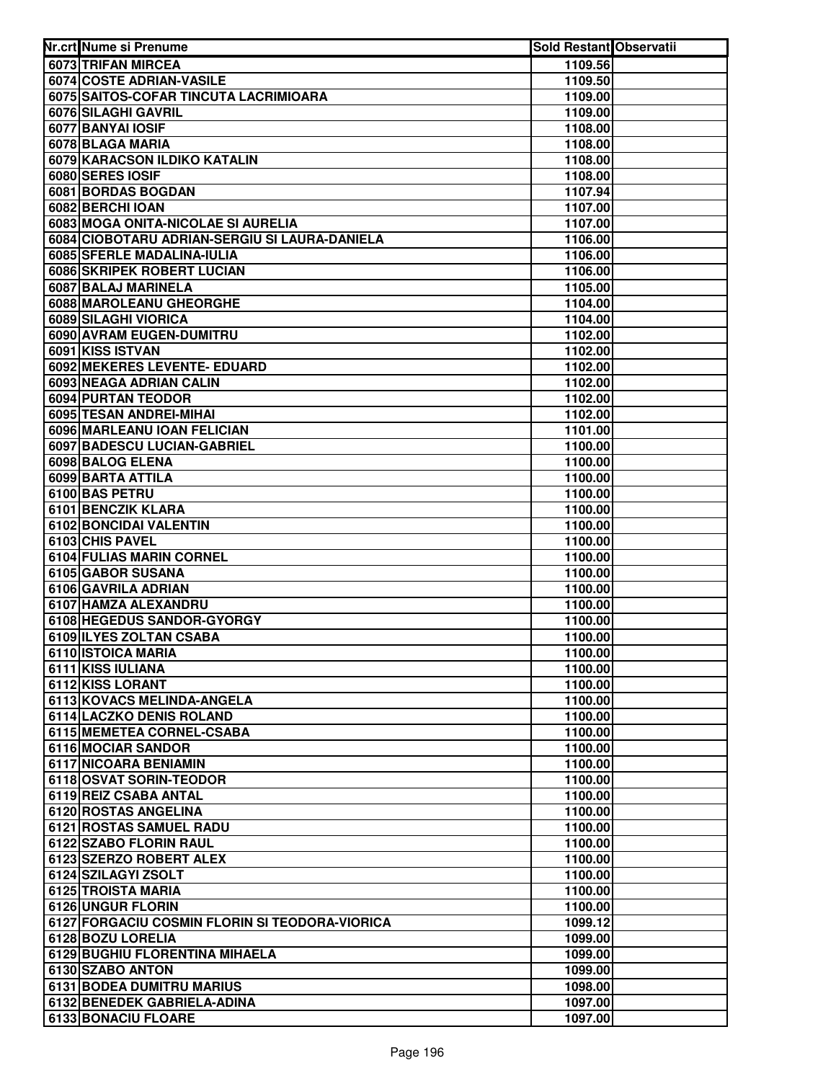| Nr.crt Nume si Prenume                                | Sold Restant Observatii |  |
|-------------------------------------------------------|-------------------------|--|
| 6073 TRIFAN MIRCEA                                    | 1109.56                 |  |
| 6074 COSTE ADRIAN-VASILE                              | 1109.50                 |  |
| 6075 SAITOS-COFAR TINCUTA LACRIMIOARA                 | 1109.00                 |  |
| 6076 SILAGHI GAVRIL                                   | 1109.00                 |  |
| 6077 BANYAI IOSIF                                     | 1108.00                 |  |
| 6078 BLAGA MARIA                                      | 1108.00                 |  |
| 6079 KARACSON ILDIKO KATALIN                          | 1108.00                 |  |
| 6080 SERES IOSIF                                      | 1108.00                 |  |
| 6081 BORDAS BOGDAN                                    | 1107.94                 |  |
| 6082 BERCHI IOAN                                      | 1107.00                 |  |
| 6083 MOGA ONITA-NICOLAE SI AURELIA                    | 1107.00                 |  |
| 6084 CIOBOTARU ADRIAN-SERGIU SI LAURA-DANIELA         | 1106.00                 |  |
| 6085 SFERLE MADALINA-IULIA                            | 1106.00                 |  |
| 6086 SKRIPEK ROBERT LUCIAN                            | 1106.00                 |  |
| 6087 BALAJ MARINELA                                   | 1105.00                 |  |
| 6088 MAROLEANU GHEORGHE                               | 1104.00                 |  |
| 6089 SILAGHI VIORICA                                  | 1104.00                 |  |
| 6090 AVRAM EUGEN-DUMITRU                              | 1102.00                 |  |
| 6091 KISS ISTVAN                                      | 1102.00                 |  |
| 6092 MEKERES LEVENTE- EDUARD                          | 1102.00                 |  |
| 6093 NEAGA ADRIAN CALIN                               | 1102.00                 |  |
| 6094 PURTAN TEODOR                                    | 1102.00                 |  |
| 6095 TESAN ANDREI-MIHAI                               | 1102.00                 |  |
| 6096 MARLEANU IOAN FELICIAN                           | 1101.00                 |  |
| 6097 BADESCU LUCIAN-GABRIEL                           | 1100.00                 |  |
| 6098 BALOG ELENA                                      | 1100.00                 |  |
| 6099 BARTA ATTILA                                     | 1100.00                 |  |
| 6100 BAS PETRU                                        | 1100.00                 |  |
| 6101 BENCZIK KLARA                                    | 1100.00                 |  |
| 6102 BONCIDAI VALENTIN                                | 1100.00                 |  |
| 6103 CHIS PAVEL                                       | 1100.00                 |  |
| 6104 FULIAS MARIN CORNEL                              | 1100.00                 |  |
| 6105 GABOR SUSANA                                     | 1100.00                 |  |
| 6106 GAVRILA ADRIAN                                   | 1100.00                 |  |
| 6107 HAMZA ALEXANDRU                                  | 1100.00                 |  |
| 6108 HEGEDUS SANDOR-GYORGY<br>6109 ILYES ZOLTAN CSABA | 1100.00                 |  |
| 6110 ISTOICA MARIA                                    | 1100.00<br>1100.00      |  |
|                                                       | 1100.00                 |  |
| 6111 KISS IULIANA                                     |                         |  |
| 6112 KISS LORANT<br>6113 KOVACS MELINDA-ANGELA        | 1100.00<br>1100.00      |  |
| 6114 LACZKO DENIS ROLAND                              | 1100.00                 |  |
| 6115 MEMETEA CORNEL-CSABA                             | 1100.00                 |  |
| 6116 MOCIAR SANDOR                                    | 1100.00                 |  |
| 6117 NICOARA BENIAMIN                                 | 1100.00                 |  |
| 6118 OSVAT SORIN-TEODOR                               | 1100.00                 |  |
| 6119 REIZ CSABA ANTAL                                 | 1100.00                 |  |
| 6120 ROSTAS ANGELINA                                  | 1100.00                 |  |
| 6121 ROSTAS SAMUEL RADU                               | 1100.00                 |  |
| 6122 SZABO FLORIN RAUL                                | 1100.00                 |  |
| 6123 SZERZO ROBERT ALEX                               | 1100.00                 |  |
| 6124 SZILAGYI ZSOLT                                   | 1100.00                 |  |
| 6125 TROISTA MARIA                                    | 1100.00                 |  |
| 6126 UNGUR FLORIN                                     | 1100.00                 |  |
| 6127 FORGACIU COSMIN FLORIN SI TEODORA-VIORICA        | 1099.12                 |  |
| 6128 BOZU LORELIA                                     | 1099.00                 |  |
| 6129 BUGHIU FLORENTINA MIHAELA                        | 1099.00                 |  |
| 6130 SZABO ANTON                                      | 1099.00                 |  |
| 6131 BODEA DUMITRU MARIUS                             | 1098.00                 |  |
| 6132 BENEDEK GABRIELA-ADINA                           | 1097.00                 |  |
| 6133 BONACIU FLOARE                                   | 1097.00                 |  |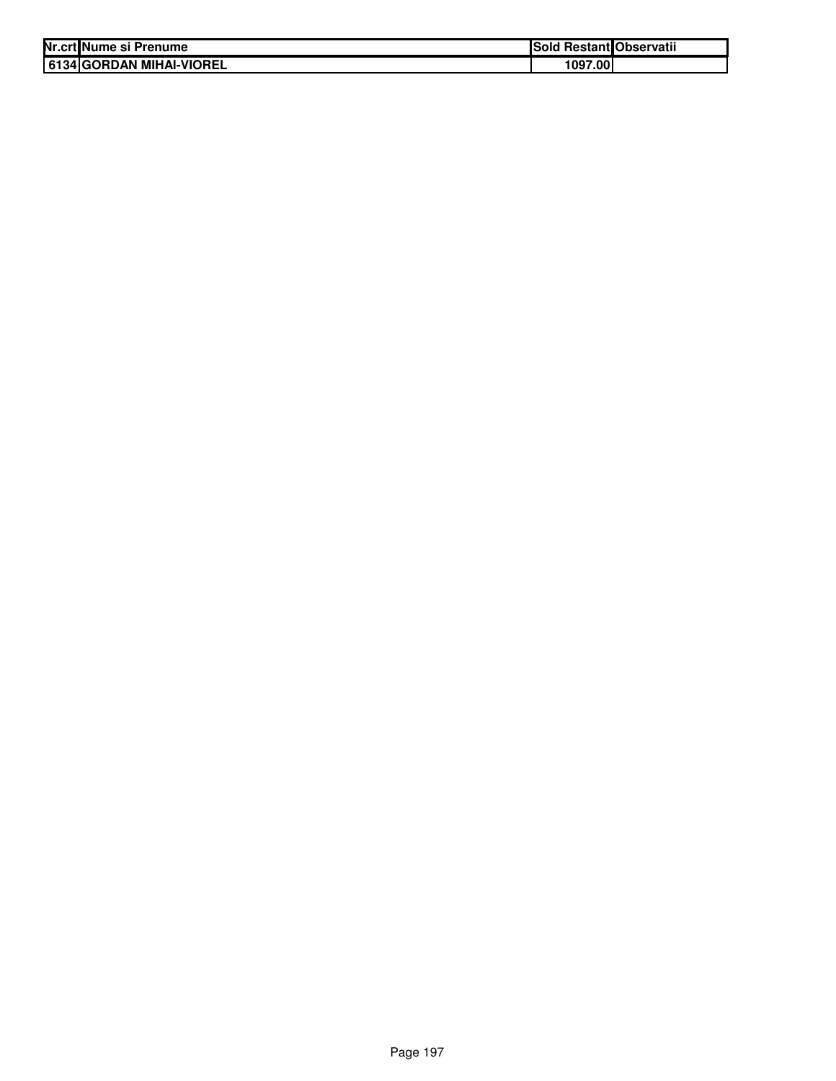| Nr.crt Nume si Prenume   | Sold Restant Observatii |  |
|--------------------------|-------------------------|--|
| 6134 GORDAN MIHAI-VIOREL | 1097.00                 |  |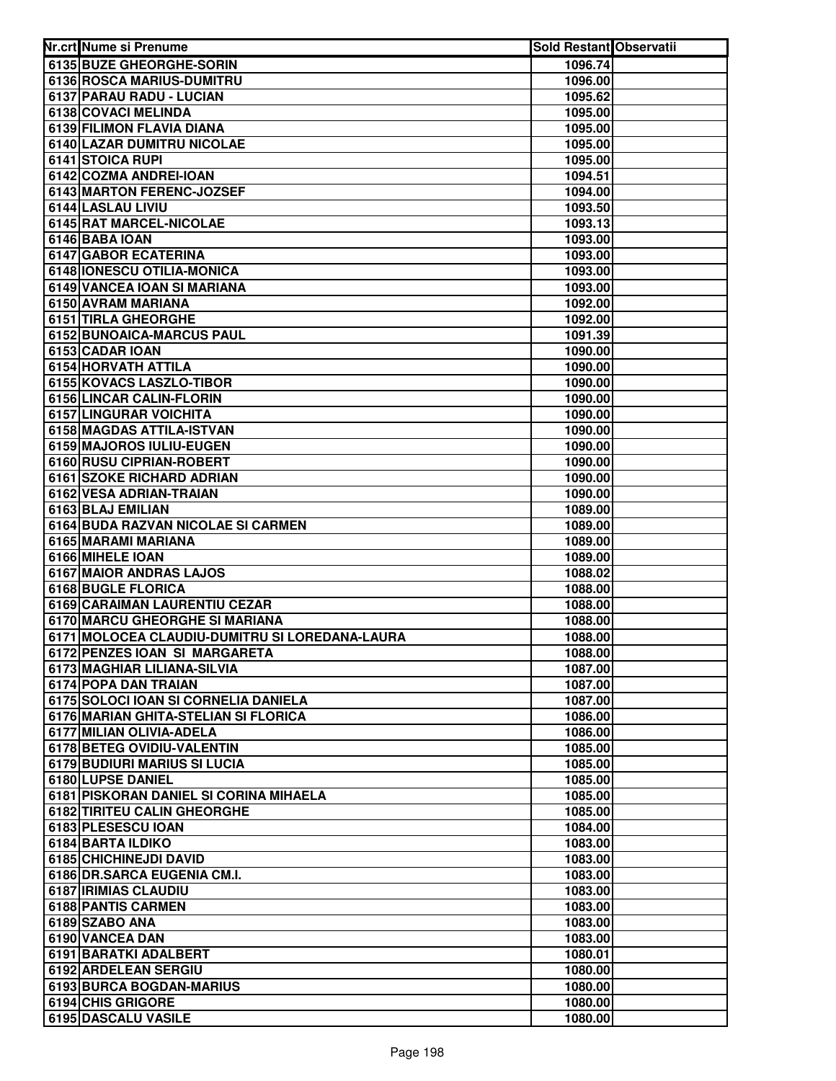| Nr.crt Nume si Prenume                         | <b>Sold Restant Observatii</b> |  |
|------------------------------------------------|--------------------------------|--|
| 6135 BUZE GHEORGHE-SORIN                       | 1096.74                        |  |
| 6136 ROSCA MARIUS-DUMITRU                      | 1096.00                        |  |
| 6137 PARAU RADU - LUCIAN                       | 1095.62                        |  |
| 6138 COVACI MELINDA                            | 1095.00                        |  |
| 6139 FILIMON FLAVIA DIANA                      | 1095.00                        |  |
| 6140 LAZAR DUMITRU NICOLAE                     | 1095.00                        |  |
| 6141 STOICA RUPI                               | 1095.00                        |  |
| 6142 COZMA ANDREI-IOAN                         | 1094.51                        |  |
| 6143 MARTON FERENC-JOZSEF                      | 1094.00                        |  |
| 6144 LASLAU LIVIU                              | 1093.50                        |  |
| 6145 RAT MARCEL-NICOLAE                        | 1093.13                        |  |
| 6146 BABA IOAN                                 | 1093.00                        |  |
| <b>6147 GABOR ECATERINA</b>                    | 1093.00                        |  |
| 6148 IONESCU OTILIA-MONICA                     | 1093.00                        |  |
| 6149 VANCEA IOAN SI MARIANA                    | 1093.00                        |  |
| 6150 AVRAM MARIANA                             | 1092.00                        |  |
| 6151 TIRLA GHEORGHE                            | 1092.00                        |  |
| 6152 BUNOAICA-MARCUS PAUL                      | 1091.39                        |  |
| 6153 CADAR IOAN                                | 1090.00                        |  |
| 6154 HORVATH ATTILA                            | 1090.00                        |  |
| 6155 KOVACS LASZLO-TIBOR                       | 1090.00                        |  |
| 6156 LINCAR CALIN-FLORIN                       | 1090.00                        |  |
| 6157 LINGURAR VOICHITA                         | 1090.00                        |  |
| 6158 MAGDAS ATTILA-ISTVAN                      | 1090.00                        |  |
| 6159 MAJOROS IULIU-EUGEN                       | 1090.00                        |  |
| 6160 RUSU CIPRIAN-ROBERT                       | 1090.00                        |  |
| 6161 SZOKE RICHARD ADRIAN                      | 1090.00                        |  |
| 6162 VESA ADRIAN-TRAIAN                        | 1090.00                        |  |
| 6163 BLAJ EMILIAN                              | 1089.00                        |  |
| 6164 BUDA RAZVAN NICOLAE SI CARMEN             | 1089.00                        |  |
| 6165 MARAMI MARIANA                            | 1089.00                        |  |
| 6166 MIHELE IOAN                               | 1089.00                        |  |
| 6167 MAIOR ANDRAS LAJOS                        | 1088.02                        |  |
| 6168 BUGLE FLORICA                             | 1088.00                        |  |
| 6169 CARAIMAN LAURENTIU CEZAR                  | 1088.00                        |  |
| 6170 MARCU GHEORGHE SI MARIANA                 | 1088.00                        |  |
| 6171 MOLOCEA CLAUDIU-DUMITRU SI LOREDANA-LAURA | 1088.00                        |  |
| 6172 PENZES IOAN SI MARGARETA                  | 1088.00                        |  |
| 6173 MAGHIAR LILIANA-SILVIA                    | 1087.00                        |  |
| 6174 POPA DAN TRAIAN                           | 1087.00                        |  |
| 6175 SOLOCI IOAN SI CORNELIA DANIELA           | 1087.00                        |  |
| 6176 MARIAN GHITA-STELIAN SI FLORICA           | 1086.00                        |  |
| 6177 MILIAN OLIVIA-ADELA                       | 1086.00                        |  |
| 6178 BETEG OVIDIU-VALENTIN                     | 1085.00                        |  |
| <b>6179 BUDIURI MARIUS SI LUCIA</b>            | 1085.00                        |  |
| 6180 LUPSE DANIEL                              | 1085.00                        |  |
| 6181 PISKORAN DANIEL SI CORINA MIHAELA         | 1085.00                        |  |
| 6182 TIRITEU CALIN GHEORGHE                    | 1085.00                        |  |
| 6183 PLESESCU IOAN                             | 1084.00                        |  |
| 6184 BARTA ILDIKO                              | 1083.00                        |  |
| 6185 CHICHINEJDI DAVID                         | 1083.00                        |  |
| 6186 DR.SARCA EUGENIA CM.I.                    | 1083.00                        |  |
| 6187 IRIMIAS CLAUDIU                           | 1083.00                        |  |
| 6188 PANTIS CARMEN                             | 1083.00                        |  |
| 6189 SZABO ANA                                 | 1083.00                        |  |
| 6190 VANCEA DAN                                | 1083.00                        |  |
| 6191 BARATKI ADALBERT                          | 1080.01                        |  |
| 6192 ARDELEAN SERGIU                           | 1080.00                        |  |
| 6193 BURCA BOGDAN-MARIUS                       | 1080.00                        |  |
| 6194 CHIS GRIGORE                              | 1080.00                        |  |
| 6195 DASCALU VASILE                            | 1080.00                        |  |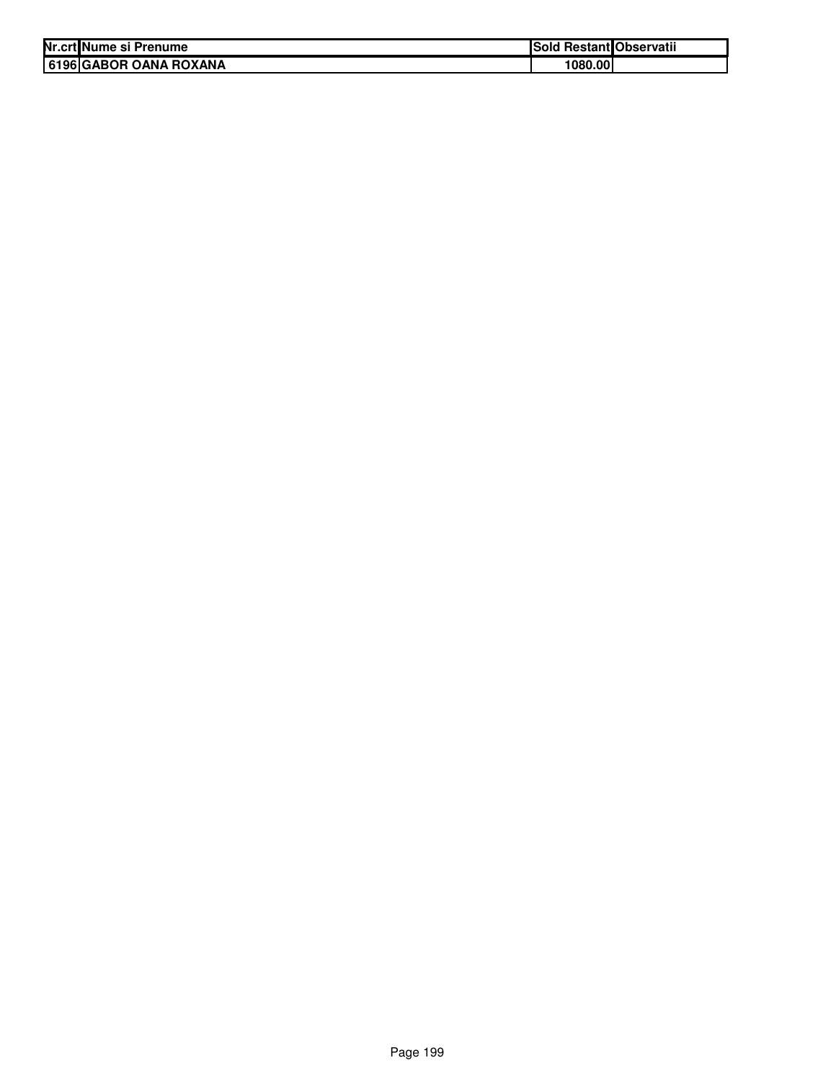| Nr.crt Nume si Prenume | Sold Restant Observatii |  |
|------------------------|-------------------------|--|
| 6196 GABOR OANA ROXANA | 1080.00                 |  |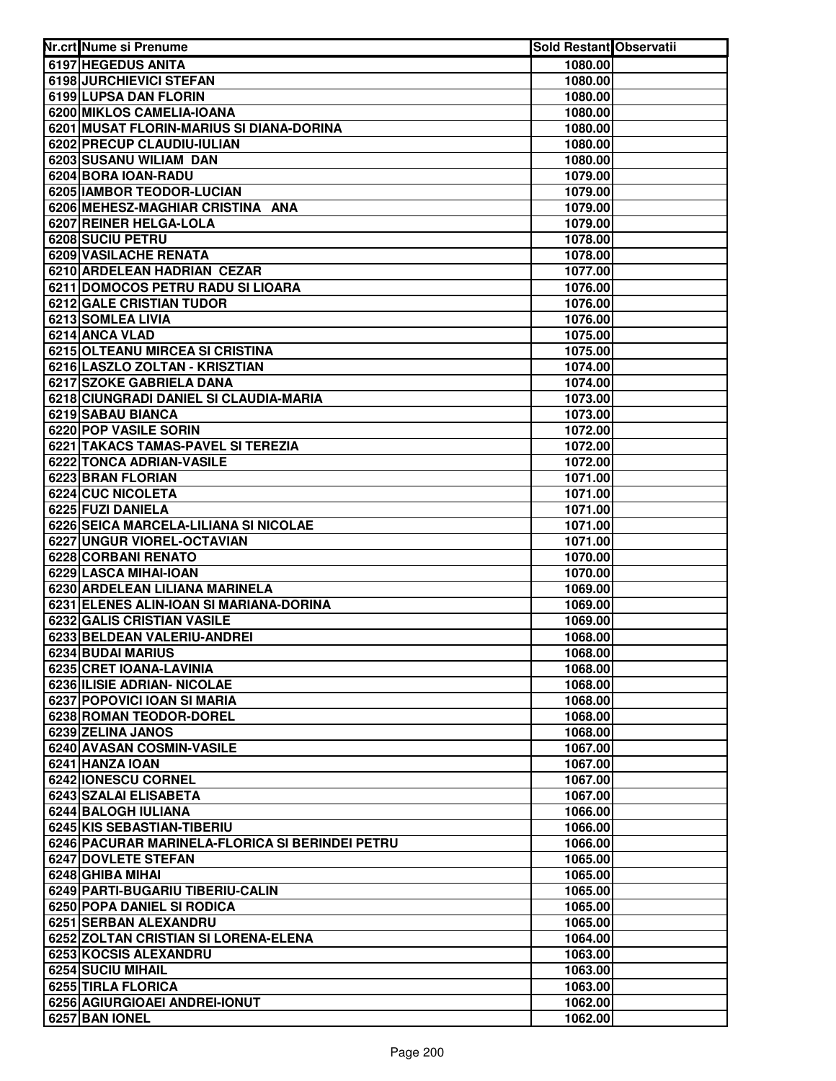| Nr.crt Nume si Prenume                                                    | <b>Sold Restant Observatii</b> |  |
|---------------------------------------------------------------------------|--------------------------------|--|
| 6197 HEGEDUS ANITA                                                        | 1080.00                        |  |
| 6198 JURCHIEVICI STEFAN                                                   | 1080.00                        |  |
| 6199 LUPSA DAN FLORIN                                                     | 1080.00                        |  |
| 6200 MIKLOS CAMELIA-IOANA                                                 | 1080.00                        |  |
| 6201 MUSAT FLORIN-MARIUS SI DIANA-DORINA                                  | 1080.00                        |  |
| 6202 PRECUP CLAUDIU-IULIAN                                                | 1080.00                        |  |
| 6203 SUSANU WILIAM DAN                                                    | 1080.00                        |  |
| 6204 BORA IOAN-RADU                                                       | 1079.00                        |  |
| 6205 IAMBOR TEODOR-LUCIAN                                                 | 1079.00                        |  |
| 6206 MEHESZ-MAGHIAR CRISTINA ANA                                          | 1079.00                        |  |
| 6207 REINER HELGA-LOLA                                                    | 1079.00                        |  |
| 6208 SUCIU PETRU                                                          | 1078.00                        |  |
| 6209 VASILACHE RENATA                                                     | 1078.00                        |  |
| 6210 ARDELEAN HADRIAN CEZAR                                               | 1077.00                        |  |
| 6211 DOMOCOS PETRU RADU SI LIOARA                                         | 1076.00                        |  |
| 6212 GALE CRISTIAN TUDOR                                                  | 1076.00                        |  |
| 6213 SOMLEA LIVIA                                                         | 1076.00                        |  |
| 6214 ANCA VLAD                                                            | 1075.00                        |  |
| 6215 OLTEANU MIRCEA SI CRISTINA                                           | 1075.00                        |  |
| 6216 LASZLO ZOLTAN - KRISZTIAN                                            | 1074.00                        |  |
| 6217 SZOKE GABRIELA DANA                                                  | 1074.00                        |  |
| 6218 CIUNGRADI DANIEL SI CLAUDIA-MARIA                                    | 1073.00                        |  |
| 6219 SABAU BIANCA                                                         | 1073.00                        |  |
| 6220 POP VASILE SORIN                                                     | 1072.00                        |  |
| 6221 TAKACS TAMAS-PAVEL SI TEREZIA                                        | 1072.00                        |  |
| 6222 TONCA ADRIAN-VASILE                                                  | 1072.00                        |  |
| 6223 BRAN FLORIAN                                                         | 1071.00                        |  |
| 6224 CUC NICOLETA                                                         | 1071.00                        |  |
| 6225 FUZI DANIELA                                                         | 1071.00                        |  |
| 6226 SEICA MARCELA-LILIANA SI NICOLAE                                     | 1071.00                        |  |
| 6227 UNGUR VIOREL-OCTAVIAN                                                | 1071.00                        |  |
| 6228 CORBANI RENATO                                                       | 1070.00                        |  |
| 6229 LASCA MIHAI-IOAN                                                     | 1070.00                        |  |
| 6230 ARDELEAN LILIANA MARINELA<br>6231 ELENES ALIN-IOAN SI MARIANA-DORINA | 1069.00<br>1069.00             |  |
| <b>6232 GALIS CRISTIAN VASILE</b>                                         | 1069.00                        |  |
| 6233 BELDEAN VALERIU-ANDREI                                               | 1068.00                        |  |
| 6234 BUDAI MARIUS                                                         | 1068.00                        |  |
| 6235 CRET IOANA-LAVINIA                                                   | 1068.00                        |  |
| 6236 ILISIE ADRIAN- NICOLAE                                               | 1068.00                        |  |
| 6237 POPOVICI IOAN SI MARIA                                               | 1068.00                        |  |
| 6238 ROMAN TEODOR-DOREL                                                   | 1068.00                        |  |
| 6239 ZELINA JANOS                                                         | 1068.00                        |  |
| 6240 AVASAN COSMIN-VASILE                                                 | 1067.00                        |  |
| 6241 HANZA IOAN                                                           | 1067.00                        |  |
| 6242 IONESCU CORNEL                                                       | 1067.00                        |  |
| 6243 SZALAI ELISABETA                                                     | 1067.00                        |  |
| 6244 BALOGH IULIANA                                                       | 1066.00                        |  |
| 6245 KIS SEBASTIAN-TIBERIU                                                | 1066.00                        |  |
| 6246 PACURAR MARINELA-FLORICA SI BERINDEI PETRU                           | 1066.00                        |  |
| 6247 DOVLETE STEFAN                                                       | 1065.00                        |  |
| 6248 GHIBA MIHAI                                                          | 1065.00                        |  |
| 6249 PARTI-BUGARIU TIBERIU-CALIN                                          | 1065.00                        |  |
| 6250 POPA DANIEL SI RODICA                                                | 1065.00                        |  |
| 6251 SERBAN ALEXANDRU                                                     | 1065.00                        |  |
| 6252 ZOLTAN CRISTIAN SI LORENA-ELENA                                      | 1064.00                        |  |
| 6253 KOCSIS ALEXANDRU                                                     | 1063.00                        |  |
| 6254 SUCIU MIHAIL                                                         | 1063.00                        |  |
| 6255 TIRLA FLORICA                                                        | 1063.00                        |  |
| 6256 AGIURGIOAEI ANDREI-IONUT                                             | 1062.00                        |  |
| 6257 BAN IONEL                                                            | 1062.00                        |  |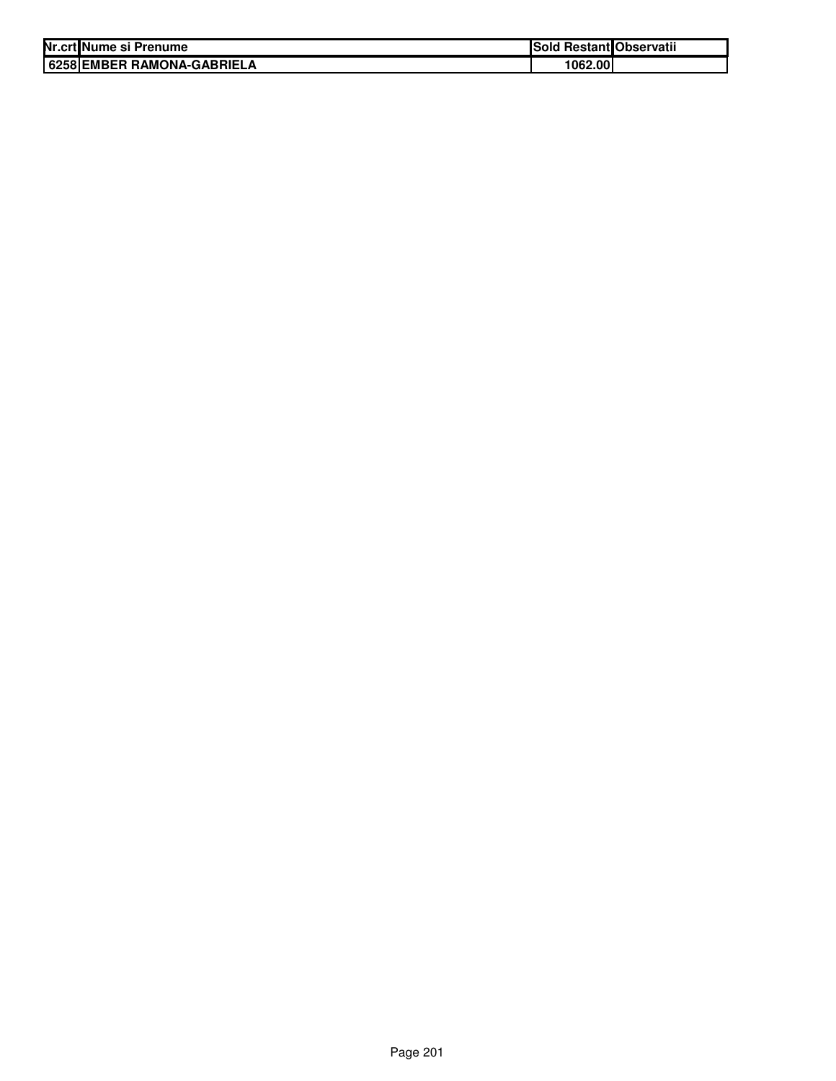| Nr.crt Nume si Prenume     | Sold Restant Observatii |  |
|----------------------------|-------------------------|--|
| 6258 EMBER RAMONA-GABRIELA | 1062.00l                |  |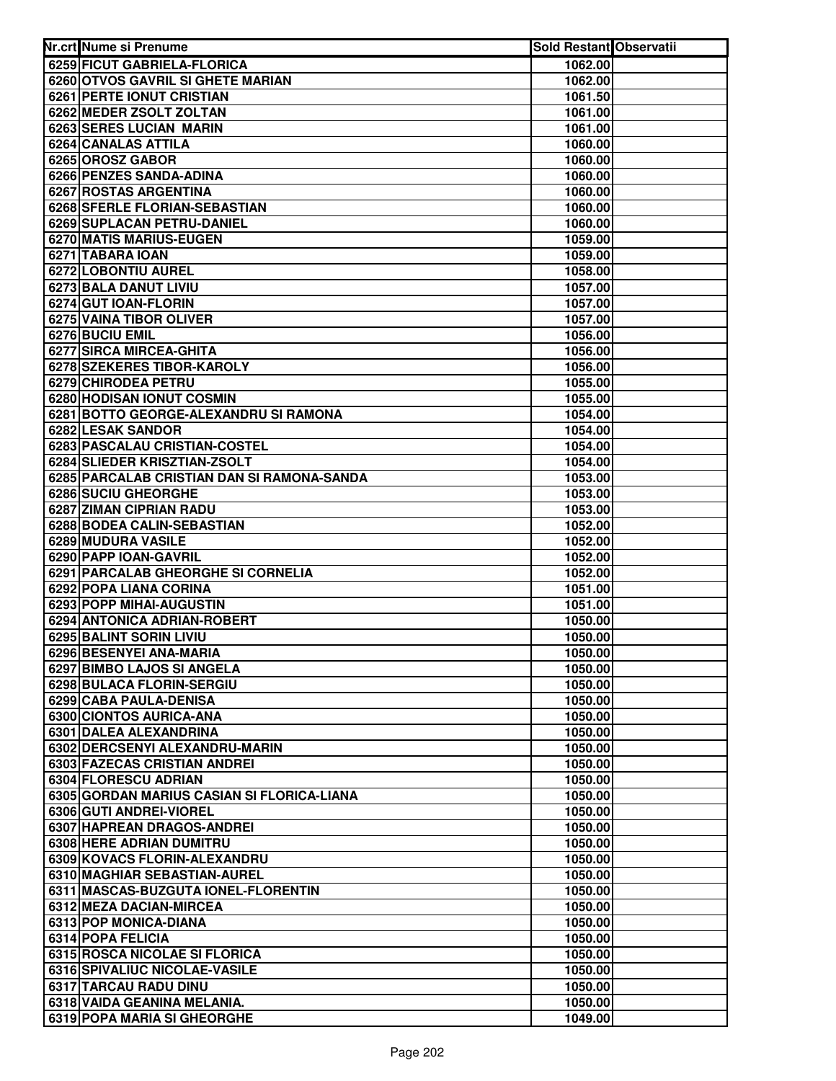| Nr.crt Nume si Prenume                                                | Sold Restant Observatii |  |
|-----------------------------------------------------------------------|-------------------------|--|
| 6259 FICUT GABRIELA-FLORICA                                           | 1062.00                 |  |
| 6260 OTVOS GAVRIL SI GHETE MARIAN                                     | 1062.00                 |  |
| <b>6261 PERTE IONUT CRISTIAN</b>                                      | 1061.50                 |  |
| 6262 MEDER ZSOLT ZOLTAN                                               | 1061.00                 |  |
| 6263 SERES LUCIAN MARIN                                               | 1061.00                 |  |
| 6264 CANALAS ATTILA                                                   | 1060.00                 |  |
| 6265 OROSZ GABOR                                                      | 1060.00                 |  |
| 6266 PENZES SANDA-ADINA                                               | 1060.00                 |  |
| 6267 ROSTAS ARGENTINA                                                 | 1060.00                 |  |
| 6268 SFERLE FLORIAN-SEBASTIAN                                         | 1060.00                 |  |
| <b>6269 SUPLACAN PETRU-DANIEL</b>                                     | 1060.00                 |  |
| 6270 MATIS MARIUS-EUGEN                                               | 1059.00                 |  |
| 6271 TABARA IOAN                                                      | 1059.00                 |  |
| 6272 LOBONTIU AUREL                                                   | 1058.00                 |  |
| 6273 BALA DANUT LIVIU                                                 | 1057.00                 |  |
| 6274 GUT IOAN-FLORIN                                                  | 1057.00                 |  |
| 6275 VAINA TIBOR OLIVER                                               | 1057.00                 |  |
| 6276 BUCIU EMIL                                                       | 1056.00                 |  |
| 6277 SIRCA MIRCEA-GHITA                                               | 1056.00                 |  |
| 6278 SZEKERES TIBOR-KAROLY                                            | 1056.00                 |  |
| 6279 CHIRODEA PETRU                                                   | 1055.00                 |  |
| 6280 HODISAN IONUT COSMIN                                             | 1055.00                 |  |
| 6281 BOTTO GEORGE-ALEXANDRU SI RAMONA                                 | 1054.00                 |  |
| 6282 LESAK SANDOR                                                     | 1054.00                 |  |
| 6283 PASCALAU CRISTIAN-COSTEL                                         | 1054.00                 |  |
| 6284 SLIEDER KRISZTIAN-ZSOLT                                          | 1054.00                 |  |
| 6285 PARCALAB CRISTIAN DAN SI RAMONA-SANDA                            | 1053.00                 |  |
| 6286 SUCIU GHEORGHE                                                   | 1053.00                 |  |
| 6287 ZIMAN CIPRIAN RADU                                               | 1053.00                 |  |
| 6288 BODEA CALIN-SEBASTIAN                                            | 1052.00                 |  |
| 6289 MUDURA VASILE                                                    | 1052.00                 |  |
| 6290 PAPP IOAN-GAVRIL                                                 | 1052.00                 |  |
| 6291 PARCALAB GHEORGHE SI CORNELIA                                    | 1052.00                 |  |
| 6292 POPA LIANA CORINA                                                | 1051.00                 |  |
| 6293 POPP MIHAI-AUGUSTIN                                              | 1051.00                 |  |
| 6294 ANTONICA ADRIAN-ROBERT                                           | 1050.00                 |  |
| 6295 BALINT SORIN LIVIU                                               | 1050.00                 |  |
| 6296 BESENYEI ANA-MARIA                                               | 1050.00                 |  |
| <b>6297 BIMBO LAJOS SI ANGELA</b>                                     | 1050.00                 |  |
| 6298 BULACA FLORIN-SERGIU                                             | 1050.00                 |  |
| 6299 CABA PAULA-DENISA                                                | 1050.00                 |  |
| 6300 CIONTOS AURICA-ANA                                               | 1050.00                 |  |
| 6301 DALEA ALEXANDRINA                                                | 1050.00                 |  |
| 6302 DERCSENYI ALEXANDRU-MARIN<br><b>6303 FAZECAS CRISTIAN ANDREI</b> | 1050.00                 |  |
|                                                                       | 1050.00                 |  |
| 6304 FLORESCU ADRIAN                                                  | 1050.00                 |  |
| 6305 GORDAN MARIUS CASIAN SI FLORICA-LIANA                            | 1050.00                 |  |
| 6306 GUTI ANDREI-VIOREL                                               | 1050.00                 |  |
| 6307 HAPREAN DRAGOS-ANDREI<br>6308 HERE ADRIAN DUMITRU                | 1050.00                 |  |
|                                                                       | 1050.00                 |  |
| 6309 KOVACS FLORIN-ALEXANDRU                                          | 1050.00                 |  |
| 6310 MAGHIAR SEBASTIAN-AUREL                                          | 1050.00                 |  |
| 6311 MASCAS-BUZGUTA IONEL-FLORENTIN<br>6312 MEZA DACIAN-MIRCEA        | 1050.00<br>1050.00      |  |
| 6313 POP MONICA-DIANA                                                 | 1050.00                 |  |
| 6314 POPA FELICIA                                                     | 1050.00                 |  |
| 6315 ROSCA NICOLAE SI FLORICA                                         | 1050.00                 |  |
| 6316 SPIVALIUC NICOLAE-VASILE                                         | 1050.00                 |  |
| 6317 TARCAU RADU DINU                                                 | 1050.00                 |  |
| 6318 VAIDA GEANINA MELANIA.                                           | 1050.00                 |  |
| 6319 POPA MARIA SI GHEORGHE                                           | 1049.00                 |  |
|                                                                       |                         |  |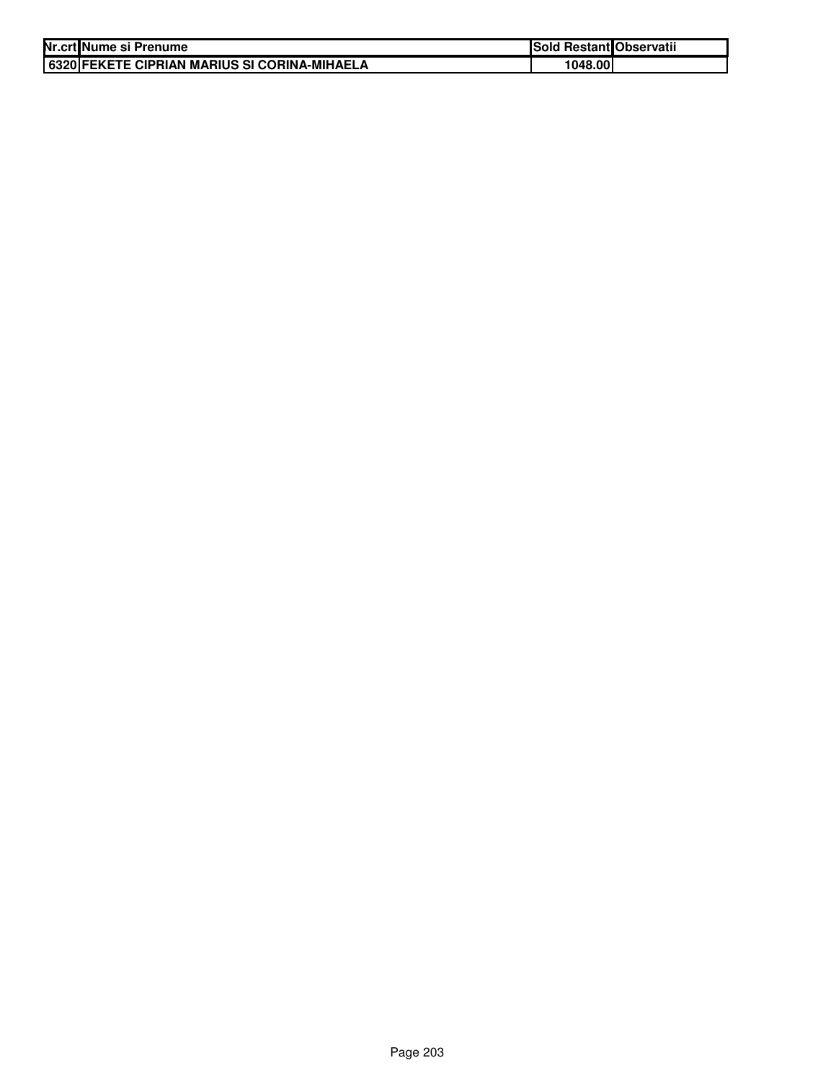| Nr.crt Nume si Prenume                       | <b>Sold Restant Observatii</b> |  |
|----------------------------------------------|--------------------------------|--|
| 6320 FEKETE CIPRIAN MARIUS SI CORINA-MIHAELA | 1048.00l                       |  |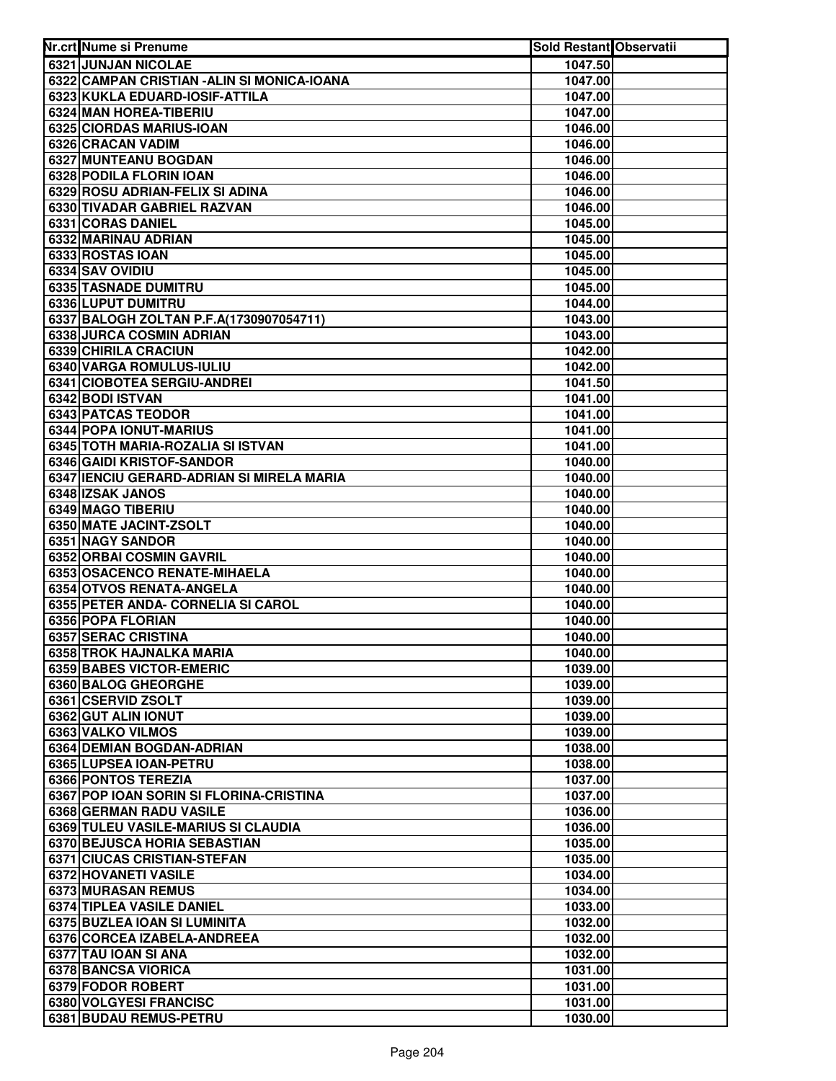| Nr.crt Nume si Prenume                      | <b>Sold Restant Observatii</b> |  |
|---------------------------------------------|--------------------------------|--|
| 6321 JUNJAN NICOLAE                         | 1047.50                        |  |
| 6322 CAMPAN CRISTIAN - ALIN SI MONICA-IOANA | 1047.00                        |  |
| 6323 KUKLA EDUARD-IOSIF-ATTILA              | 1047.00                        |  |
| 6324 MAN HOREA-TIBERIU                      | 1047.00                        |  |
| 6325 CIORDAS MARIUS-IOAN                    | 1046.00                        |  |
| 6326 CRACAN VADIM                           | 1046.00                        |  |
| 6327 MUNTEANU BOGDAN                        | 1046.00                        |  |
| 6328 PODILA FLORIN IOAN                     | 1046.00                        |  |
| 6329 ROSU ADRIAN-FELIX SI ADINA             | 1046.00                        |  |
| 6330 TIVADAR GABRIEL RAZVAN                 | 1046.00                        |  |
| 6331 CORAS DANIEL                           | 1045.00                        |  |
| 6332 MARINAU ADRIAN                         | 1045.00                        |  |
| 6333 ROSTAS IOAN                            | 1045.00                        |  |
| 6334 SAV OVIDIU                             | 1045.00                        |  |
| <b>6335 TASNADE DUMITRU</b>                 | 1045.00                        |  |
| 6336 LUPUT DUMITRU                          | 1044.00                        |  |
| 6337 BALOGH ZOLTAN P.F.A(1730907054711)     | 1043.00                        |  |
| 6338 JURCA COSMIN ADRIAN                    | 1043.00                        |  |
| 6339 CHIRILA CRACIUN                        | 1042.00                        |  |
| 6340 VARGA ROMULUS-IULIU                    | 1042.00                        |  |
| 6341 CIOBOTEA SERGIU-ANDREI                 | 1041.50                        |  |
| 6342 BODI ISTVAN                            | 1041.00                        |  |
| 6343 PATCAS TEODOR                          | 1041.00                        |  |
| 6344 POPA IONUT-MARIUS                      | 1041.00                        |  |
| 6345 TOTH MARIA-ROZALIA SI ISTVAN           | 1041.00                        |  |
| 6346 GAIDI KRISTOF-SANDOR                   | 1040.00                        |  |
| 6347 IENCIU GERARD-ADRIAN SI MIRELA MARIA   | 1040.00                        |  |
| 6348 IZSAK JANOS                            | 1040.00                        |  |
| 6349 MAGO TIBERIU                           | 1040.00                        |  |
| 6350 MATE JACINT-ZSOLT                      | 1040.00                        |  |
| 6351 NAGY SANDOR                            | 1040.00                        |  |
| 6352 ORBAI COSMIN GAVRIL                    | 1040.00                        |  |
| 6353 OSACENCO RENATE-MIHAELA                | 1040.00                        |  |
| 6354 OTVOS RENATA-ANGELA                    | 1040.00                        |  |
| 6355 PETER ANDA- CORNELIA SI CAROL          | 1040.00                        |  |
| 6356 POPA FLORIAN                           | 1040.00                        |  |
| 6357 SERAC CRISTINA                         | 1040.00                        |  |
| 6358 TROK HAJNALKA MARIA                    | 1040.00                        |  |
| 6359 BABES VICTOR-EMERIC                    | 1039.00                        |  |
| 6360 BALOG GHEORGHE                         | 1039.00                        |  |
| 6361 CSERVID ZSOLT                          | 1039.00                        |  |
| 6362 GUT ALIN IONUT                         | 1039.00                        |  |
| 6363 VALKO VILMOS                           | 1039.00                        |  |
| 6364 DEMIAN BOGDAN-ADRIAN                   | 1038.00                        |  |
| 6365 LUPSEA IOAN-PETRU                      | 1038.00                        |  |
| 6366 PONTOS TEREZIA                         | 1037.00                        |  |
| 6367 POP IOAN SORIN SI FLORINA-CRISTINA     | 1037.00                        |  |
| 6368 GERMAN RADU VASILE                     | 1036.00                        |  |
| 6369 TULEU VASILE-MARIUS SI CLAUDIA         | 1036.00                        |  |
| 6370 BEJUSCA HORIA SEBASTIAN                | 1035.00                        |  |
| 6371 CIUCAS CRISTIAN-STEFAN                 | 1035.00                        |  |
| 6372 HOVANETI VASILE                        | 1034.00                        |  |
| 6373 MURASAN REMUS                          | 1034.00                        |  |
| 6374 TIPLEA VASILE DANIEL                   | 1033.00                        |  |
| 6375 BUZLEA IOAN SI LUMINITA                | 1032.00                        |  |
| 6376 CORCEA IZABELA-ANDREEA                 | 1032.00                        |  |
| 6377 TAU IOAN SI ANA<br>6378 BANCSA VIORICA | 1032.00                        |  |
| 6379 FODOR ROBERT                           | 1031.00                        |  |
| 6380 VOLGYESI FRANCISC                      | 1031.00<br>1031.00             |  |
| 6381 BUDAU REMUS-PETRU                      | 1030.00                        |  |
|                                             |                                |  |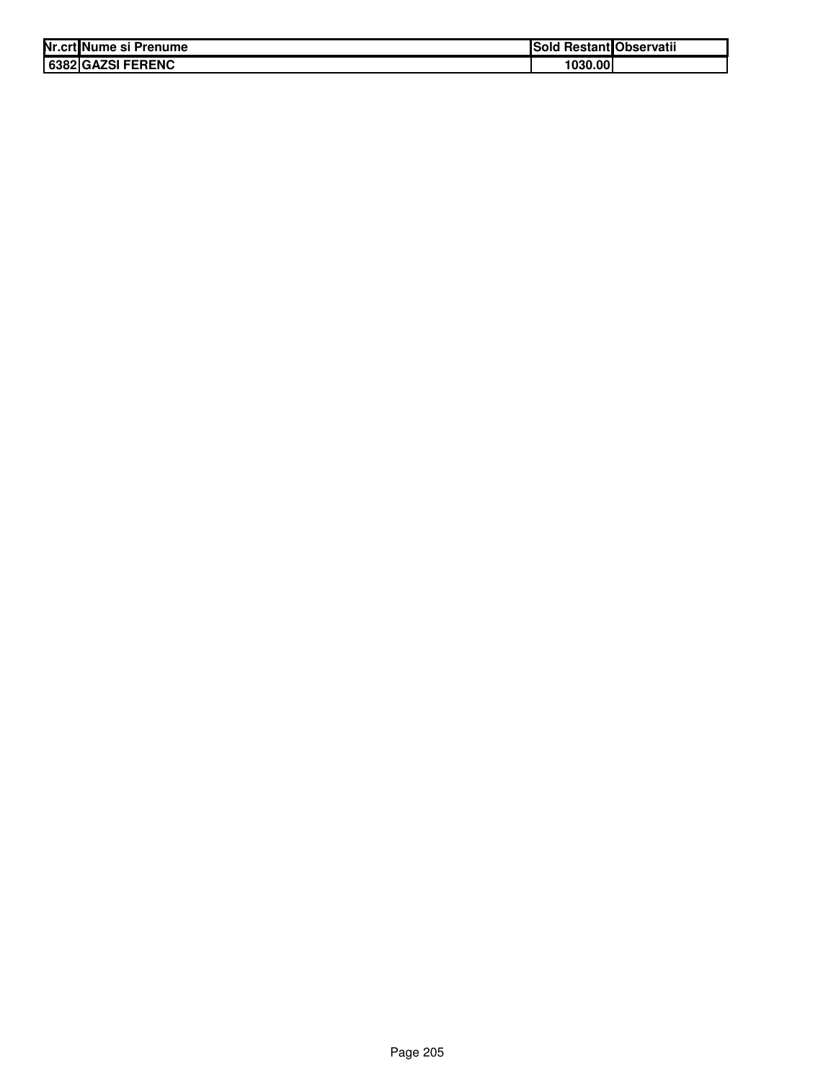| Nr.crt Nume si Prenume | ISold   | <b>Restant Observatii</b> |
|------------------------|---------|---------------------------|
| 6382 GAZSI FERENC      | 1030.00 |                           |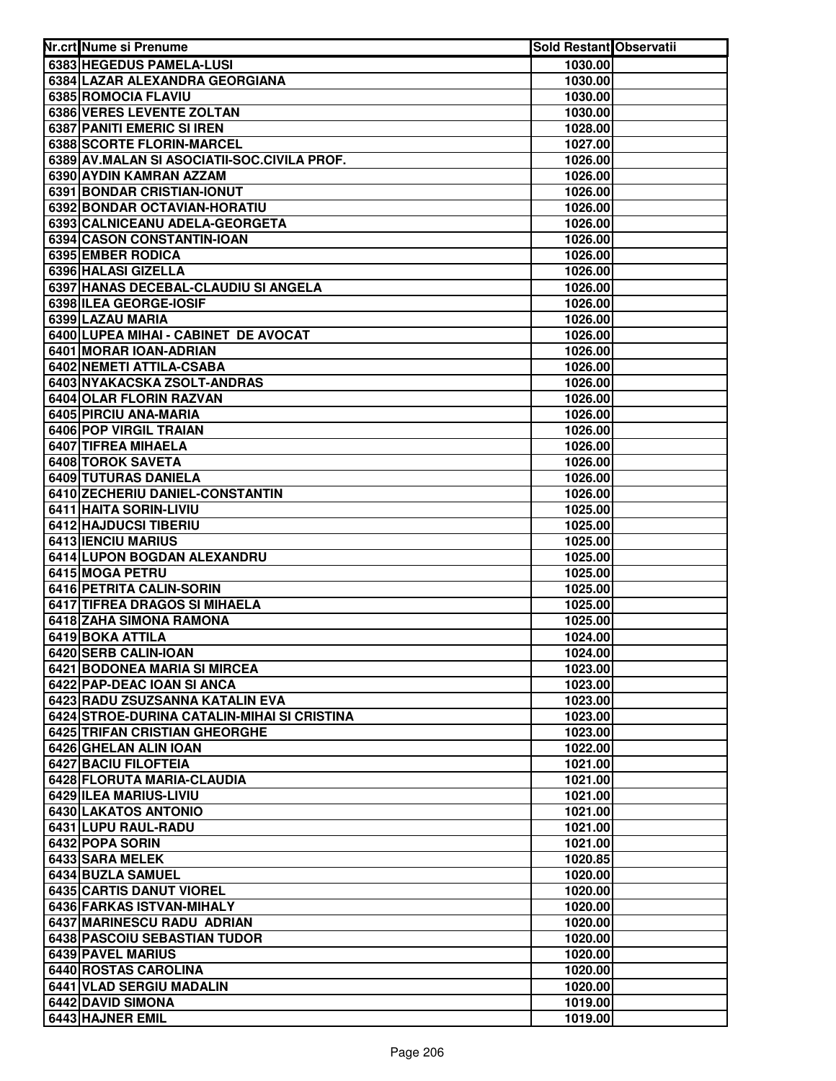| Nr.crt Nume si Prenume                      | Sold Restant Observatii |  |
|---------------------------------------------|-------------------------|--|
| 6383 HEGEDUS PAMELA-LUSI                    | 1030.00                 |  |
| 6384 LAZAR ALEXANDRA GEORGIANA              | 1030.00                 |  |
| 6385 ROMOCIA FLAVIU                         | 1030.00                 |  |
| 6386 VERES LEVENTE ZOLTAN                   | 1030.00                 |  |
| 6387 PANITI EMERIC SI IREN                  | 1028.00                 |  |
| 6388 SCORTE FLORIN-MARCEL                   | 1027.00                 |  |
| 6389 AV.MALAN SI ASOCIATII-SOC.CIVILA PROF. | 1026.00                 |  |
| 6390 AYDIN KAMRAN AZZAM                     | 1026.00                 |  |
| 6391 BONDAR CRISTIAN-IONUT                  | 1026.00                 |  |
| 6392 BONDAR OCTAVIAN-HORATIU                | 1026.00                 |  |
| 6393 CALNICEANU ADELA-GEORGETA              | 1026.00                 |  |
| 6394 CASON CONSTANTIN-IOAN                  | 1026.00                 |  |
| 6395 EMBER RODICA                           | 1026.00                 |  |
| 6396 HALASI GIZELLA                         | 1026.00                 |  |
| 6397 HANAS DECEBAL-CLAUDIU SI ANGELA        | 1026.00                 |  |
| 6398 ILEA GEORGE-IOSIF                      | 1026.00                 |  |
| 6399 LAZAU MARIA                            | 1026.00                 |  |
| 6400 LUPEA MIHAI - CABINET DE AVOCAT        | 1026.00                 |  |
| 6401 MORAR IOAN-ADRIAN                      | 1026.00                 |  |
| 6402 NEMETI ATTILA-CSABA                    | 1026.00                 |  |
| 6403 NYAKACSKA ZSOLT-ANDRAS                 | 1026.00                 |  |
| 6404 OLAR FLORIN RAZVAN                     | 1026.00                 |  |
| 6405 PIRCIU ANA-MARIA                       | 1026.00                 |  |
| 6406 POP VIRGIL TRAIAN                      | 1026.00                 |  |
| 6407 TIFREA MIHAELA                         | 1026.00                 |  |
| 6408 TOROK SAVETA                           | 1026.00                 |  |
| 6409 TUTURAS DANIELA                        | 1026.00                 |  |
| 6410 ZECHERIU DANIEL-CONSTANTIN             | 1026.00                 |  |
| 6411 HAITA SORIN-LIVIU                      | 1025.00                 |  |
| 6412 HAJDUCSI TIBERIU                       | 1025.00                 |  |
| 6413 IENCIU MARIUS                          | 1025.00                 |  |
| 6414 LUPON BOGDAN ALEXANDRU                 | 1025.00                 |  |
| 6415 MOGA PETRU                             | 1025.00                 |  |
| 6416 PETRITA CALIN-SORIN                    | 1025.00                 |  |
| 6417 TIFREA DRAGOS SI MIHAELA               | 1025.00                 |  |
| 6418 ZAHA SIMONA RAMONA                     | 1025.00                 |  |
| 6419 BOKA ATTILA                            | 1024.00                 |  |
| 6420 SERB CALIN-IOAN                        | 1024.00                 |  |
| 6421 BODONEA MARIA SI MIRCEA                | 1023.00                 |  |
| 6422 PAP-DEAC IOAN SI ANCA                  | 1023.00                 |  |
| 6423 RADU ZSUZSANNA KATALIN EVA             | 1023.00                 |  |
| 6424 STROE-DURINA CATALIN-MIHAI SI CRISTINA | 1023.00                 |  |
| 6425 TRIFAN CRISTIAN GHEORGHE               | 1023.00                 |  |
| 6426 GHELAN ALIN IOAN                       | 1022.00                 |  |
| <b>6427 BACIU FILOFTEIA</b>                 | 1021.00                 |  |
| 6428 FLORUTA MARIA-CLAUDIA                  | 1021.00                 |  |
| 6429 ILEA MARIUS-LIVIU                      | 1021.00                 |  |
| 6430 LAKATOS ANTONIO                        | 1021.00                 |  |
| 6431 LUPU RAUL-RADU                         | 1021.00                 |  |
| 6432 POPA SORIN                             | 1021.00                 |  |
| 6433 SARA MELEK                             | 1020.85                 |  |
| 6434 BUZLA SAMUEL                           | 1020.00                 |  |
| 6435 CARTIS DANUT VIOREL                    | 1020.00                 |  |
| 6436 FARKAS ISTVAN-MIHALY                   | 1020.00                 |  |
| 6437 MARINESCU RADU ADRIAN                  | 1020.00                 |  |
| 6438 PASCOIU SEBASTIAN TUDOR                | 1020.00                 |  |
| 6439 PAVEL MARIUS                           | 1020.00                 |  |
| 6440 ROSTAS CAROLINA                        | 1020.00                 |  |
| 6441 VLAD SERGIU MADALIN                    | 1020.00                 |  |
| 6442 DAVID SIMONA                           | 1019.00                 |  |
| 6443 HAJNER EMIL                            | 1019.00                 |  |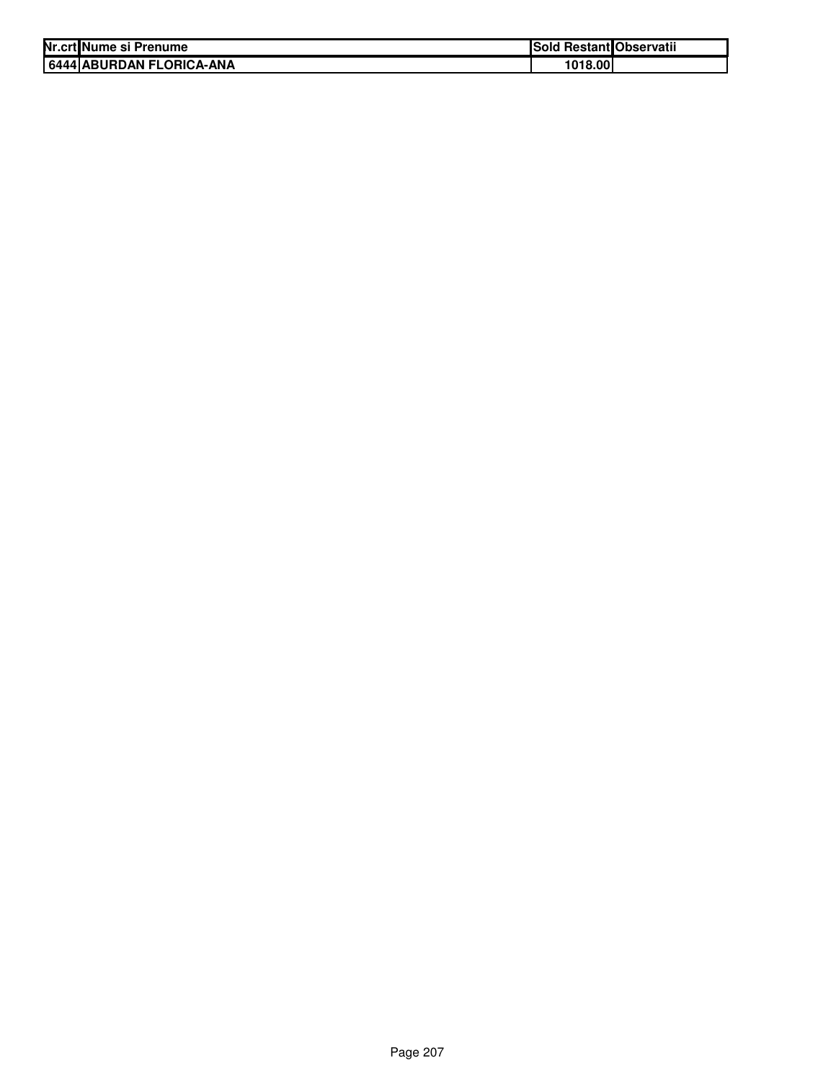| Nr.crt Nume si Prenume   | Sold Restant Observatii |  |
|--------------------------|-------------------------|--|
| 6444 ABURDAN FLORICA-ANA | 1018.00                 |  |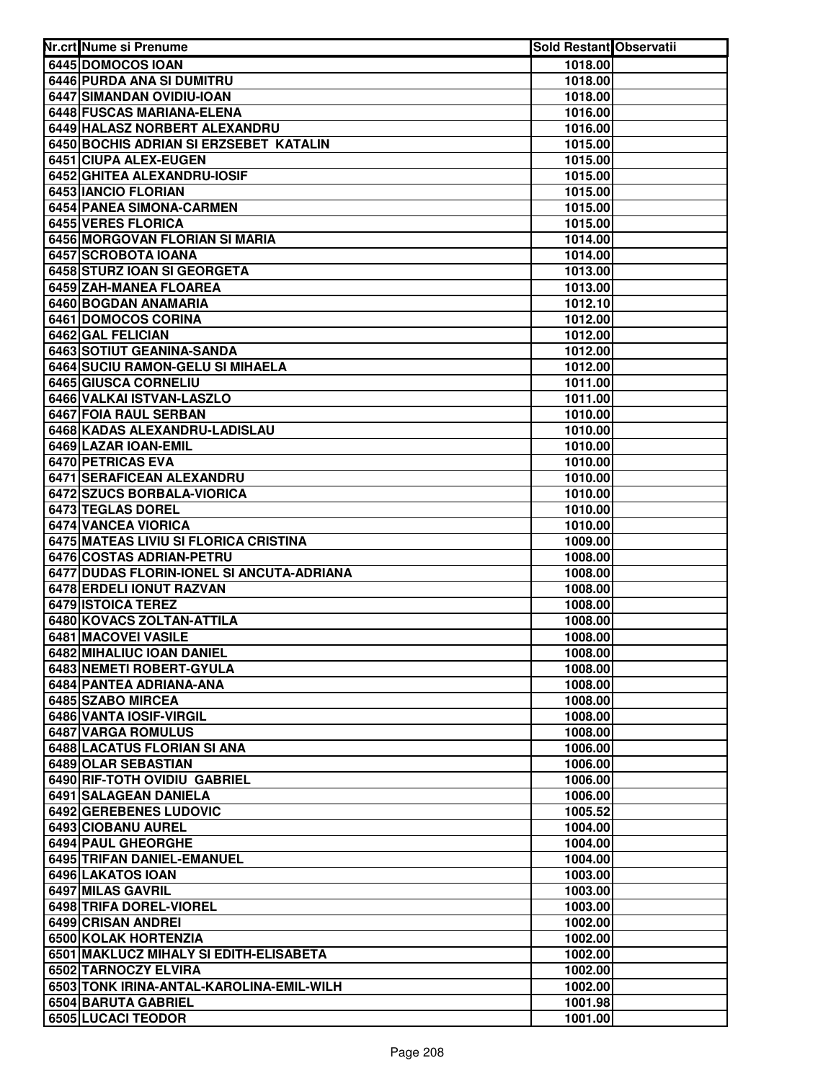| 6445 DOMOCOS IOAN<br>1018.00<br>6446 PURDA ANA SI DUMITRU<br>1018.00<br>6447 SIMANDAN OVIDIU-IOAN<br>1018.00<br>6448 FUSCAS MARIANA-ELENA<br>1016.00<br>6449 HALASZ NORBERT ALEXANDRU<br>1016.00<br>6450 BOCHIS ADRIAN SI ERZSEBET KATALIN<br>1015.00<br>6451 CIUPA ALEX-EUGEN<br>1015.00<br>6452 GHITEA ALEXANDRU-IOSIF<br>1015.00<br>6453 IANCIO FLORIAN<br>1015.00<br>6454 PANEA SIMONA-CARMEN<br>1015.00<br>6455 VERES FLORICA<br>1015.00<br>6456 MORGOVAN FLORIAN SI MARIA<br>1014.00<br>6457 SCROBOTA IOANA<br>1014.00<br>6458 STURZ IOAN SI GEORGETA<br>1013.00<br>6459 ZAH-MANEA FLOAREA<br>1013.00<br>6460 BOGDAN ANAMARIA<br>1012.10<br>6461 DOMOCOS CORINA<br>1012.00<br>6462 GAL FELICIAN<br>1012.00<br><b>6463 SOTIUT GEANINA-SANDA</b><br>1012.00<br>6464 SUCIU RAMON-GELU SI MIHAELA<br>1012.00<br>6465 GIUSCA CORNELIU<br>1011.00<br>6466 VALKAI ISTVAN-LASZLO<br>1011.00<br>6467 FOIA RAUL SERBAN<br>1010.00<br>6468 KADAS ALEXANDRU-LADISLAU<br>1010.00<br>6469 LAZAR IOAN-EMIL<br>1010.00<br>6470 PETRICAS EVA<br>1010.00<br>6471 SERAFICEAN ALEXANDRU<br>1010.00<br>6472 SZUCS BORBALA-VIORICA<br>1010.00<br>6473 TEGLAS DOREL<br>1010.00<br>6474 VANCEA VIORICA<br>1010.00<br>6475 MATEAS LIVIU SI FLORICA CRISTINA<br>1009.00<br>6476 COSTAS ADRIAN-PETRU<br>1008.00<br>6477 DUDAS FLORIN-IONEL SI ANCUTA-ADRIANA<br>1008.00<br>6478 ERDELI IONUT RAZVAN<br>1008.00<br>6479 ISTOICA TEREZ<br>1008.00<br>6480 KOVACS ZOLTAN-ATTILA<br>1008.00<br>6481 MACOVEI VASILE<br>1008.00<br><b>6482 MIHALIUC IOAN DANIEL</b><br>1008.00<br>6483 NEMETI ROBERT-GYULA<br>1008.00<br>6484 PANTEA ADRIANA-ANA<br>1008.00<br>6485 SZABO MIRCEA<br>1008.00<br>6486 VANTA IOSIF-VIRGIL<br>1008.00<br>6487 VARGA ROMULUS<br>1008.00<br>6488 LACATUS FLORIAN SI ANA<br>1006.00<br>6489 OLAR SEBASTIAN<br>1006.00<br>6490 RIF-TOTH OVIDIU GABRIEL<br>1006.00<br>6491 SALAGEAN DANIELA<br>1006.00<br>6492 GEREBENES LUDOVIC<br>1005.52<br>6493 CIOBANU AUREL<br>1004.00<br>6494 PAUL GHEORGHE<br>1004.00<br>6495 TRIFAN DANIEL-EMANUEL<br>1004.00<br>6496 LAKATOS IOAN<br>1003.00<br>6497 MILAS GAVRIL<br>1003.00<br>6498 TRIFA DOREL-VIOREL<br>1003.00<br>6499 CRISAN ANDREI<br>1002.00<br>6500 KOLAK HORTENZIA<br>1002.00<br>6501 MAKLUCZ MIHALY SI EDITH-ELISABETA<br>1002.00<br>6502 TARNOCZY ELVIRA<br>1002.00<br>6503 TONK IRINA-ANTAL-KAROLINA-EMIL-WILH<br>1002.00<br>6504 BARUTA GABRIEL<br>1001.98<br>6505 LUCACI TEODOR<br>1001.00 | Nr.crt Nume si Prenume | <b>Sold Restant Observatii</b> |  |
|------------------------------------------------------------------------------------------------------------------------------------------------------------------------------------------------------------------------------------------------------------------------------------------------------------------------------------------------------------------------------------------------------------------------------------------------------------------------------------------------------------------------------------------------------------------------------------------------------------------------------------------------------------------------------------------------------------------------------------------------------------------------------------------------------------------------------------------------------------------------------------------------------------------------------------------------------------------------------------------------------------------------------------------------------------------------------------------------------------------------------------------------------------------------------------------------------------------------------------------------------------------------------------------------------------------------------------------------------------------------------------------------------------------------------------------------------------------------------------------------------------------------------------------------------------------------------------------------------------------------------------------------------------------------------------------------------------------------------------------------------------------------------------------------------------------------------------------------------------------------------------------------------------------------------------------------------------------------------------------------------------------------------------------------------------------------------------------------------------------------------------------------------------------------------------------------------------------------------------------------------------------------------------------------------------------------------------------------------------------------------------------------------------------------------------------------|------------------------|--------------------------------|--|
|                                                                                                                                                                                                                                                                                                                                                                                                                                                                                                                                                                                                                                                                                                                                                                                                                                                                                                                                                                                                                                                                                                                                                                                                                                                                                                                                                                                                                                                                                                                                                                                                                                                                                                                                                                                                                                                                                                                                                                                                                                                                                                                                                                                                                                                                                                                                                                                                                                                |                        |                                |  |
|                                                                                                                                                                                                                                                                                                                                                                                                                                                                                                                                                                                                                                                                                                                                                                                                                                                                                                                                                                                                                                                                                                                                                                                                                                                                                                                                                                                                                                                                                                                                                                                                                                                                                                                                                                                                                                                                                                                                                                                                                                                                                                                                                                                                                                                                                                                                                                                                                                                |                        |                                |  |
|                                                                                                                                                                                                                                                                                                                                                                                                                                                                                                                                                                                                                                                                                                                                                                                                                                                                                                                                                                                                                                                                                                                                                                                                                                                                                                                                                                                                                                                                                                                                                                                                                                                                                                                                                                                                                                                                                                                                                                                                                                                                                                                                                                                                                                                                                                                                                                                                                                                |                        |                                |  |
|                                                                                                                                                                                                                                                                                                                                                                                                                                                                                                                                                                                                                                                                                                                                                                                                                                                                                                                                                                                                                                                                                                                                                                                                                                                                                                                                                                                                                                                                                                                                                                                                                                                                                                                                                                                                                                                                                                                                                                                                                                                                                                                                                                                                                                                                                                                                                                                                                                                |                        |                                |  |
|                                                                                                                                                                                                                                                                                                                                                                                                                                                                                                                                                                                                                                                                                                                                                                                                                                                                                                                                                                                                                                                                                                                                                                                                                                                                                                                                                                                                                                                                                                                                                                                                                                                                                                                                                                                                                                                                                                                                                                                                                                                                                                                                                                                                                                                                                                                                                                                                                                                |                        |                                |  |
|                                                                                                                                                                                                                                                                                                                                                                                                                                                                                                                                                                                                                                                                                                                                                                                                                                                                                                                                                                                                                                                                                                                                                                                                                                                                                                                                                                                                                                                                                                                                                                                                                                                                                                                                                                                                                                                                                                                                                                                                                                                                                                                                                                                                                                                                                                                                                                                                                                                |                        |                                |  |
|                                                                                                                                                                                                                                                                                                                                                                                                                                                                                                                                                                                                                                                                                                                                                                                                                                                                                                                                                                                                                                                                                                                                                                                                                                                                                                                                                                                                                                                                                                                                                                                                                                                                                                                                                                                                                                                                                                                                                                                                                                                                                                                                                                                                                                                                                                                                                                                                                                                |                        |                                |  |
|                                                                                                                                                                                                                                                                                                                                                                                                                                                                                                                                                                                                                                                                                                                                                                                                                                                                                                                                                                                                                                                                                                                                                                                                                                                                                                                                                                                                                                                                                                                                                                                                                                                                                                                                                                                                                                                                                                                                                                                                                                                                                                                                                                                                                                                                                                                                                                                                                                                |                        |                                |  |
|                                                                                                                                                                                                                                                                                                                                                                                                                                                                                                                                                                                                                                                                                                                                                                                                                                                                                                                                                                                                                                                                                                                                                                                                                                                                                                                                                                                                                                                                                                                                                                                                                                                                                                                                                                                                                                                                                                                                                                                                                                                                                                                                                                                                                                                                                                                                                                                                                                                |                        |                                |  |
|                                                                                                                                                                                                                                                                                                                                                                                                                                                                                                                                                                                                                                                                                                                                                                                                                                                                                                                                                                                                                                                                                                                                                                                                                                                                                                                                                                                                                                                                                                                                                                                                                                                                                                                                                                                                                                                                                                                                                                                                                                                                                                                                                                                                                                                                                                                                                                                                                                                |                        |                                |  |
|                                                                                                                                                                                                                                                                                                                                                                                                                                                                                                                                                                                                                                                                                                                                                                                                                                                                                                                                                                                                                                                                                                                                                                                                                                                                                                                                                                                                                                                                                                                                                                                                                                                                                                                                                                                                                                                                                                                                                                                                                                                                                                                                                                                                                                                                                                                                                                                                                                                |                        |                                |  |
|                                                                                                                                                                                                                                                                                                                                                                                                                                                                                                                                                                                                                                                                                                                                                                                                                                                                                                                                                                                                                                                                                                                                                                                                                                                                                                                                                                                                                                                                                                                                                                                                                                                                                                                                                                                                                                                                                                                                                                                                                                                                                                                                                                                                                                                                                                                                                                                                                                                |                        |                                |  |
|                                                                                                                                                                                                                                                                                                                                                                                                                                                                                                                                                                                                                                                                                                                                                                                                                                                                                                                                                                                                                                                                                                                                                                                                                                                                                                                                                                                                                                                                                                                                                                                                                                                                                                                                                                                                                                                                                                                                                                                                                                                                                                                                                                                                                                                                                                                                                                                                                                                |                        |                                |  |
|                                                                                                                                                                                                                                                                                                                                                                                                                                                                                                                                                                                                                                                                                                                                                                                                                                                                                                                                                                                                                                                                                                                                                                                                                                                                                                                                                                                                                                                                                                                                                                                                                                                                                                                                                                                                                                                                                                                                                                                                                                                                                                                                                                                                                                                                                                                                                                                                                                                |                        |                                |  |
|                                                                                                                                                                                                                                                                                                                                                                                                                                                                                                                                                                                                                                                                                                                                                                                                                                                                                                                                                                                                                                                                                                                                                                                                                                                                                                                                                                                                                                                                                                                                                                                                                                                                                                                                                                                                                                                                                                                                                                                                                                                                                                                                                                                                                                                                                                                                                                                                                                                |                        |                                |  |
|                                                                                                                                                                                                                                                                                                                                                                                                                                                                                                                                                                                                                                                                                                                                                                                                                                                                                                                                                                                                                                                                                                                                                                                                                                                                                                                                                                                                                                                                                                                                                                                                                                                                                                                                                                                                                                                                                                                                                                                                                                                                                                                                                                                                                                                                                                                                                                                                                                                |                        |                                |  |
|                                                                                                                                                                                                                                                                                                                                                                                                                                                                                                                                                                                                                                                                                                                                                                                                                                                                                                                                                                                                                                                                                                                                                                                                                                                                                                                                                                                                                                                                                                                                                                                                                                                                                                                                                                                                                                                                                                                                                                                                                                                                                                                                                                                                                                                                                                                                                                                                                                                |                        |                                |  |
|                                                                                                                                                                                                                                                                                                                                                                                                                                                                                                                                                                                                                                                                                                                                                                                                                                                                                                                                                                                                                                                                                                                                                                                                                                                                                                                                                                                                                                                                                                                                                                                                                                                                                                                                                                                                                                                                                                                                                                                                                                                                                                                                                                                                                                                                                                                                                                                                                                                |                        |                                |  |
|                                                                                                                                                                                                                                                                                                                                                                                                                                                                                                                                                                                                                                                                                                                                                                                                                                                                                                                                                                                                                                                                                                                                                                                                                                                                                                                                                                                                                                                                                                                                                                                                                                                                                                                                                                                                                                                                                                                                                                                                                                                                                                                                                                                                                                                                                                                                                                                                                                                |                        |                                |  |
|                                                                                                                                                                                                                                                                                                                                                                                                                                                                                                                                                                                                                                                                                                                                                                                                                                                                                                                                                                                                                                                                                                                                                                                                                                                                                                                                                                                                                                                                                                                                                                                                                                                                                                                                                                                                                                                                                                                                                                                                                                                                                                                                                                                                                                                                                                                                                                                                                                                |                        |                                |  |
|                                                                                                                                                                                                                                                                                                                                                                                                                                                                                                                                                                                                                                                                                                                                                                                                                                                                                                                                                                                                                                                                                                                                                                                                                                                                                                                                                                                                                                                                                                                                                                                                                                                                                                                                                                                                                                                                                                                                                                                                                                                                                                                                                                                                                                                                                                                                                                                                                                                |                        |                                |  |
|                                                                                                                                                                                                                                                                                                                                                                                                                                                                                                                                                                                                                                                                                                                                                                                                                                                                                                                                                                                                                                                                                                                                                                                                                                                                                                                                                                                                                                                                                                                                                                                                                                                                                                                                                                                                                                                                                                                                                                                                                                                                                                                                                                                                                                                                                                                                                                                                                                                |                        |                                |  |
|                                                                                                                                                                                                                                                                                                                                                                                                                                                                                                                                                                                                                                                                                                                                                                                                                                                                                                                                                                                                                                                                                                                                                                                                                                                                                                                                                                                                                                                                                                                                                                                                                                                                                                                                                                                                                                                                                                                                                                                                                                                                                                                                                                                                                                                                                                                                                                                                                                                |                        |                                |  |
|                                                                                                                                                                                                                                                                                                                                                                                                                                                                                                                                                                                                                                                                                                                                                                                                                                                                                                                                                                                                                                                                                                                                                                                                                                                                                                                                                                                                                                                                                                                                                                                                                                                                                                                                                                                                                                                                                                                                                                                                                                                                                                                                                                                                                                                                                                                                                                                                                                                |                        |                                |  |
|                                                                                                                                                                                                                                                                                                                                                                                                                                                                                                                                                                                                                                                                                                                                                                                                                                                                                                                                                                                                                                                                                                                                                                                                                                                                                                                                                                                                                                                                                                                                                                                                                                                                                                                                                                                                                                                                                                                                                                                                                                                                                                                                                                                                                                                                                                                                                                                                                                                |                        |                                |  |
|                                                                                                                                                                                                                                                                                                                                                                                                                                                                                                                                                                                                                                                                                                                                                                                                                                                                                                                                                                                                                                                                                                                                                                                                                                                                                                                                                                                                                                                                                                                                                                                                                                                                                                                                                                                                                                                                                                                                                                                                                                                                                                                                                                                                                                                                                                                                                                                                                                                |                        |                                |  |
|                                                                                                                                                                                                                                                                                                                                                                                                                                                                                                                                                                                                                                                                                                                                                                                                                                                                                                                                                                                                                                                                                                                                                                                                                                                                                                                                                                                                                                                                                                                                                                                                                                                                                                                                                                                                                                                                                                                                                                                                                                                                                                                                                                                                                                                                                                                                                                                                                                                |                        |                                |  |
|                                                                                                                                                                                                                                                                                                                                                                                                                                                                                                                                                                                                                                                                                                                                                                                                                                                                                                                                                                                                                                                                                                                                                                                                                                                                                                                                                                                                                                                                                                                                                                                                                                                                                                                                                                                                                                                                                                                                                                                                                                                                                                                                                                                                                                                                                                                                                                                                                                                |                        |                                |  |
|                                                                                                                                                                                                                                                                                                                                                                                                                                                                                                                                                                                                                                                                                                                                                                                                                                                                                                                                                                                                                                                                                                                                                                                                                                                                                                                                                                                                                                                                                                                                                                                                                                                                                                                                                                                                                                                                                                                                                                                                                                                                                                                                                                                                                                                                                                                                                                                                                                                |                        |                                |  |
|                                                                                                                                                                                                                                                                                                                                                                                                                                                                                                                                                                                                                                                                                                                                                                                                                                                                                                                                                                                                                                                                                                                                                                                                                                                                                                                                                                                                                                                                                                                                                                                                                                                                                                                                                                                                                                                                                                                                                                                                                                                                                                                                                                                                                                                                                                                                                                                                                                                |                        |                                |  |
|                                                                                                                                                                                                                                                                                                                                                                                                                                                                                                                                                                                                                                                                                                                                                                                                                                                                                                                                                                                                                                                                                                                                                                                                                                                                                                                                                                                                                                                                                                                                                                                                                                                                                                                                                                                                                                                                                                                                                                                                                                                                                                                                                                                                                                                                                                                                                                                                                                                |                        |                                |  |
|                                                                                                                                                                                                                                                                                                                                                                                                                                                                                                                                                                                                                                                                                                                                                                                                                                                                                                                                                                                                                                                                                                                                                                                                                                                                                                                                                                                                                                                                                                                                                                                                                                                                                                                                                                                                                                                                                                                                                                                                                                                                                                                                                                                                                                                                                                                                                                                                                                                |                        |                                |  |
|                                                                                                                                                                                                                                                                                                                                                                                                                                                                                                                                                                                                                                                                                                                                                                                                                                                                                                                                                                                                                                                                                                                                                                                                                                                                                                                                                                                                                                                                                                                                                                                                                                                                                                                                                                                                                                                                                                                                                                                                                                                                                                                                                                                                                                                                                                                                                                                                                                                |                        |                                |  |
|                                                                                                                                                                                                                                                                                                                                                                                                                                                                                                                                                                                                                                                                                                                                                                                                                                                                                                                                                                                                                                                                                                                                                                                                                                                                                                                                                                                                                                                                                                                                                                                                                                                                                                                                                                                                                                                                                                                                                                                                                                                                                                                                                                                                                                                                                                                                                                                                                                                |                        |                                |  |
|                                                                                                                                                                                                                                                                                                                                                                                                                                                                                                                                                                                                                                                                                                                                                                                                                                                                                                                                                                                                                                                                                                                                                                                                                                                                                                                                                                                                                                                                                                                                                                                                                                                                                                                                                                                                                                                                                                                                                                                                                                                                                                                                                                                                                                                                                                                                                                                                                                                |                        |                                |  |
|                                                                                                                                                                                                                                                                                                                                                                                                                                                                                                                                                                                                                                                                                                                                                                                                                                                                                                                                                                                                                                                                                                                                                                                                                                                                                                                                                                                                                                                                                                                                                                                                                                                                                                                                                                                                                                                                                                                                                                                                                                                                                                                                                                                                                                                                                                                                                                                                                                                |                        |                                |  |
|                                                                                                                                                                                                                                                                                                                                                                                                                                                                                                                                                                                                                                                                                                                                                                                                                                                                                                                                                                                                                                                                                                                                                                                                                                                                                                                                                                                                                                                                                                                                                                                                                                                                                                                                                                                                                                                                                                                                                                                                                                                                                                                                                                                                                                                                                                                                                                                                                                                |                        |                                |  |
|                                                                                                                                                                                                                                                                                                                                                                                                                                                                                                                                                                                                                                                                                                                                                                                                                                                                                                                                                                                                                                                                                                                                                                                                                                                                                                                                                                                                                                                                                                                                                                                                                                                                                                                                                                                                                                                                                                                                                                                                                                                                                                                                                                                                                                                                                                                                                                                                                                                |                        |                                |  |
|                                                                                                                                                                                                                                                                                                                                                                                                                                                                                                                                                                                                                                                                                                                                                                                                                                                                                                                                                                                                                                                                                                                                                                                                                                                                                                                                                                                                                                                                                                                                                                                                                                                                                                                                                                                                                                                                                                                                                                                                                                                                                                                                                                                                                                                                                                                                                                                                                                                |                        |                                |  |
|                                                                                                                                                                                                                                                                                                                                                                                                                                                                                                                                                                                                                                                                                                                                                                                                                                                                                                                                                                                                                                                                                                                                                                                                                                                                                                                                                                                                                                                                                                                                                                                                                                                                                                                                                                                                                                                                                                                                                                                                                                                                                                                                                                                                                                                                                                                                                                                                                                                |                        |                                |  |
|                                                                                                                                                                                                                                                                                                                                                                                                                                                                                                                                                                                                                                                                                                                                                                                                                                                                                                                                                                                                                                                                                                                                                                                                                                                                                                                                                                                                                                                                                                                                                                                                                                                                                                                                                                                                                                                                                                                                                                                                                                                                                                                                                                                                                                                                                                                                                                                                                                                |                        |                                |  |
|                                                                                                                                                                                                                                                                                                                                                                                                                                                                                                                                                                                                                                                                                                                                                                                                                                                                                                                                                                                                                                                                                                                                                                                                                                                                                                                                                                                                                                                                                                                                                                                                                                                                                                                                                                                                                                                                                                                                                                                                                                                                                                                                                                                                                                                                                                                                                                                                                                                |                        |                                |  |
|                                                                                                                                                                                                                                                                                                                                                                                                                                                                                                                                                                                                                                                                                                                                                                                                                                                                                                                                                                                                                                                                                                                                                                                                                                                                                                                                                                                                                                                                                                                                                                                                                                                                                                                                                                                                                                                                                                                                                                                                                                                                                                                                                                                                                                                                                                                                                                                                                                                |                        |                                |  |
|                                                                                                                                                                                                                                                                                                                                                                                                                                                                                                                                                                                                                                                                                                                                                                                                                                                                                                                                                                                                                                                                                                                                                                                                                                                                                                                                                                                                                                                                                                                                                                                                                                                                                                                                                                                                                                                                                                                                                                                                                                                                                                                                                                                                                                                                                                                                                                                                                                                |                        |                                |  |
|                                                                                                                                                                                                                                                                                                                                                                                                                                                                                                                                                                                                                                                                                                                                                                                                                                                                                                                                                                                                                                                                                                                                                                                                                                                                                                                                                                                                                                                                                                                                                                                                                                                                                                                                                                                                                                                                                                                                                                                                                                                                                                                                                                                                                                                                                                                                                                                                                                                |                        |                                |  |
|                                                                                                                                                                                                                                                                                                                                                                                                                                                                                                                                                                                                                                                                                                                                                                                                                                                                                                                                                                                                                                                                                                                                                                                                                                                                                                                                                                                                                                                                                                                                                                                                                                                                                                                                                                                                                                                                                                                                                                                                                                                                                                                                                                                                                                                                                                                                                                                                                                                |                        |                                |  |
|                                                                                                                                                                                                                                                                                                                                                                                                                                                                                                                                                                                                                                                                                                                                                                                                                                                                                                                                                                                                                                                                                                                                                                                                                                                                                                                                                                                                                                                                                                                                                                                                                                                                                                                                                                                                                                                                                                                                                                                                                                                                                                                                                                                                                                                                                                                                                                                                                                                |                        |                                |  |
|                                                                                                                                                                                                                                                                                                                                                                                                                                                                                                                                                                                                                                                                                                                                                                                                                                                                                                                                                                                                                                                                                                                                                                                                                                                                                                                                                                                                                                                                                                                                                                                                                                                                                                                                                                                                                                                                                                                                                                                                                                                                                                                                                                                                                                                                                                                                                                                                                                                |                        |                                |  |
|                                                                                                                                                                                                                                                                                                                                                                                                                                                                                                                                                                                                                                                                                                                                                                                                                                                                                                                                                                                                                                                                                                                                                                                                                                                                                                                                                                                                                                                                                                                                                                                                                                                                                                                                                                                                                                                                                                                                                                                                                                                                                                                                                                                                                                                                                                                                                                                                                                                |                        |                                |  |
|                                                                                                                                                                                                                                                                                                                                                                                                                                                                                                                                                                                                                                                                                                                                                                                                                                                                                                                                                                                                                                                                                                                                                                                                                                                                                                                                                                                                                                                                                                                                                                                                                                                                                                                                                                                                                                                                                                                                                                                                                                                                                                                                                                                                                                                                                                                                                                                                                                                |                        |                                |  |
|                                                                                                                                                                                                                                                                                                                                                                                                                                                                                                                                                                                                                                                                                                                                                                                                                                                                                                                                                                                                                                                                                                                                                                                                                                                                                                                                                                                                                                                                                                                                                                                                                                                                                                                                                                                                                                                                                                                                                                                                                                                                                                                                                                                                                                                                                                                                                                                                                                                |                        |                                |  |
|                                                                                                                                                                                                                                                                                                                                                                                                                                                                                                                                                                                                                                                                                                                                                                                                                                                                                                                                                                                                                                                                                                                                                                                                                                                                                                                                                                                                                                                                                                                                                                                                                                                                                                                                                                                                                                                                                                                                                                                                                                                                                                                                                                                                                                                                                                                                                                                                                                                |                        |                                |  |
|                                                                                                                                                                                                                                                                                                                                                                                                                                                                                                                                                                                                                                                                                                                                                                                                                                                                                                                                                                                                                                                                                                                                                                                                                                                                                                                                                                                                                                                                                                                                                                                                                                                                                                                                                                                                                                                                                                                                                                                                                                                                                                                                                                                                                                                                                                                                                                                                                                                |                        |                                |  |
|                                                                                                                                                                                                                                                                                                                                                                                                                                                                                                                                                                                                                                                                                                                                                                                                                                                                                                                                                                                                                                                                                                                                                                                                                                                                                                                                                                                                                                                                                                                                                                                                                                                                                                                                                                                                                                                                                                                                                                                                                                                                                                                                                                                                                                                                                                                                                                                                                                                |                        |                                |  |
|                                                                                                                                                                                                                                                                                                                                                                                                                                                                                                                                                                                                                                                                                                                                                                                                                                                                                                                                                                                                                                                                                                                                                                                                                                                                                                                                                                                                                                                                                                                                                                                                                                                                                                                                                                                                                                                                                                                                                                                                                                                                                                                                                                                                                                                                                                                                                                                                                                                |                        |                                |  |
|                                                                                                                                                                                                                                                                                                                                                                                                                                                                                                                                                                                                                                                                                                                                                                                                                                                                                                                                                                                                                                                                                                                                                                                                                                                                                                                                                                                                                                                                                                                                                                                                                                                                                                                                                                                                                                                                                                                                                                                                                                                                                                                                                                                                                                                                                                                                                                                                                                                |                        |                                |  |
|                                                                                                                                                                                                                                                                                                                                                                                                                                                                                                                                                                                                                                                                                                                                                                                                                                                                                                                                                                                                                                                                                                                                                                                                                                                                                                                                                                                                                                                                                                                                                                                                                                                                                                                                                                                                                                                                                                                                                                                                                                                                                                                                                                                                                                                                                                                                                                                                                                                |                        |                                |  |
|                                                                                                                                                                                                                                                                                                                                                                                                                                                                                                                                                                                                                                                                                                                                                                                                                                                                                                                                                                                                                                                                                                                                                                                                                                                                                                                                                                                                                                                                                                                                                                                                                                                                                                                                                                                                                                                                                                                                                                                                                                                                                                                                                                                                                                                                                                                                                                                                                                                |                        |                                |  |
|                                                                                                                                                                                                                                                                                                                                                                                                                                                                                                                                                                                                                                                                                                                                                                                                                                                                                                                                                                                                                                                                                                                                                                                                                                                                                                                                                                                                                                                                                                                                                                                                                                                                                                                                                                                                                                                                                                                                                                                                                                                                                                                                                                                                                                                                                                                                                                                                                                                |                        |                                |  |
|                                                                                                                                                                                                                                                                                                                                                                                                                                                                                                                                                                                                                                                                                                                                                                                                                                                                                                                                                                                                                                                                                                                                                                                                                                                                                                                                                                                                                                                                                                                                                                                                                                                                                                                                                                                                                                                                                                                                                                                                                                                                                                                                                                                                                                                                                                                                                                                                                                                |                        |                                |  |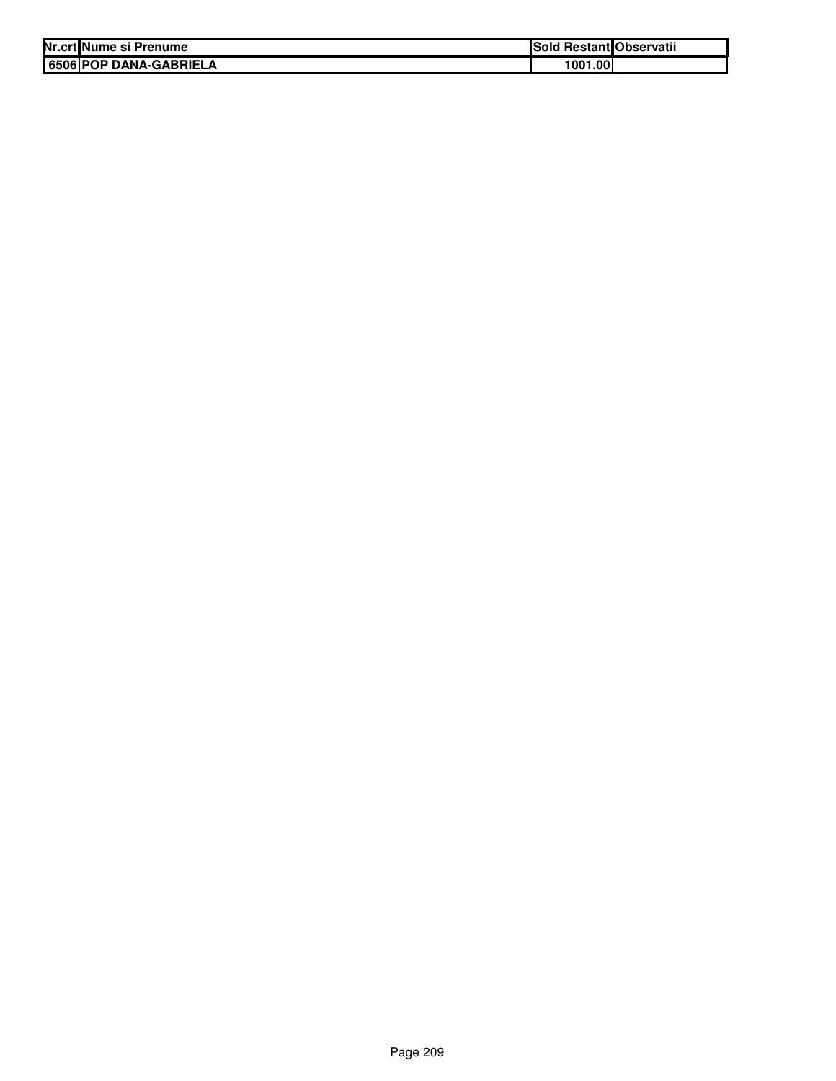| Nr.crt Nume si Prenume        | Sold Restant Observatii |  |
|-------------------------------|-------------------------|--|
| <b>6506 POP DANA-GABRIELA</b> | 1001.001                |  |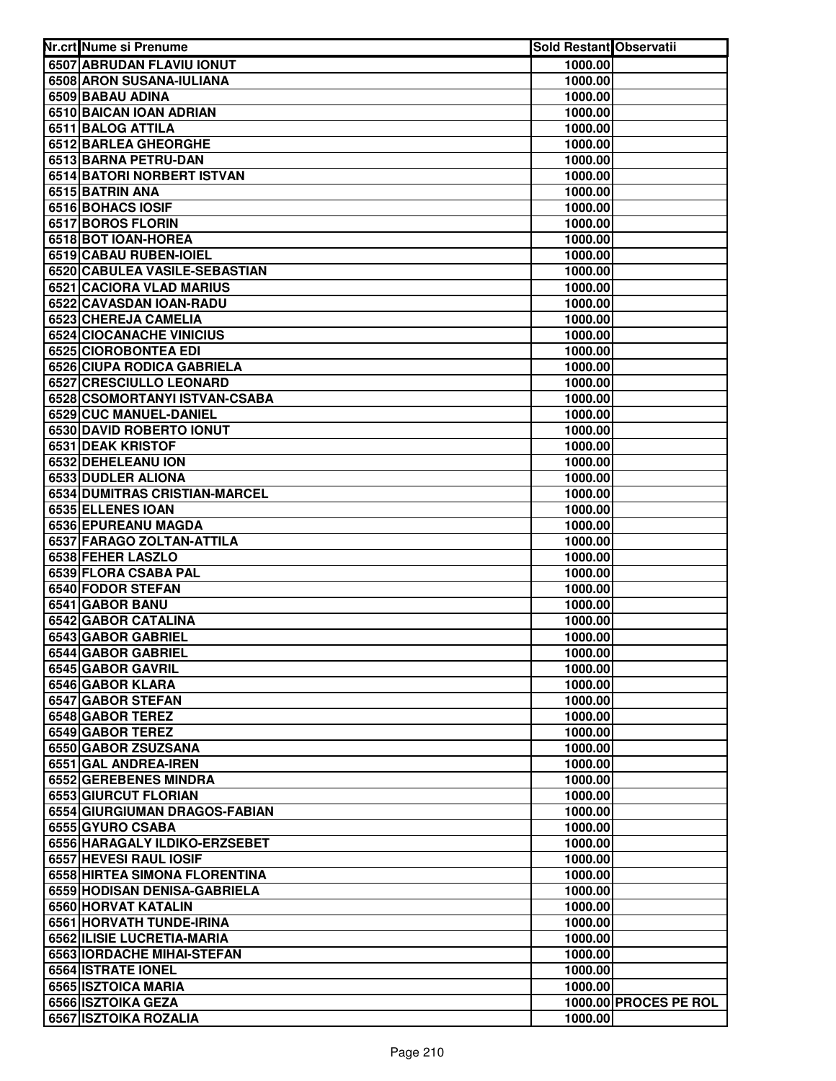| Nr.crt Nume si Prenume                 | <b>Sold Restant Observatii</b> |                       |
|----------------------------------------|--------------------------------|-----------------------|
| 6507 ABRUDAN FLAVIU IONUT              | 1000.00                        |                       |
| 6508 ARON SUSANA-IULIANA               | 1000.00                        |                       |
| 6509 BABAU ADINA                       | 1000.00                        |                       |
| 6510 BAICAN IOAN ADRIAN                | 1000.00                        |                       |
| 6511 BALOG ATTILA                      | 1000.00                        |                       |
| 6512 BARLEA GHEORGHE                   | 1000.00                        |                       |
| 6513 BARNA PETRU-DAN                   | 1000.00                        |                       |
| 6514 BATORI NORBERT ISTVAN             | 1000.00                        |                       |
| 6515 BATRIN ANA                        | 1000.00                        |                       |
| 6516 BOHACS IOSIF                      | 1000.00                        |                       |
| 6517 BOROS FLORIN                      | 1000.00                        |                       |
| 6518 BOT IOAN-HOREA                    | 1000.00                        |                       |
| 6519 CABAU RUBEN-IOIEL                 | 1000.00                        |                       |
| 6520 CABULEA VASILE-SEBASTIAN          | 1000.00                        |                       |
| 6521 CACIORA VLAD MARIUS               | 1000.00                        |                       |
| 6522 CAVASDAN IOAN-RADU                | 1000.00                        |                       |
| 6523 CHEREJA CAMELIA                   | 1000.00                        |                       |
| <b>6524 CIOCANACHE VINICIUS</b>        | 1000.00                        |                       |
| 6525 CIOROBONTEA EDI                   | 1000.00                        |                       |
| 6526 CIUPA RODICA GABRIELA             | 1000.00                        |                       |
| <b>6527 CRESCIULLO LEONARD</b>         | 1000.00                        |                       |
| 6528 CSOMORTANYI ISTVAN-CSABA          | 1000.00                        |                       |
| 6529 CUC MANUEL-DANIEL                 | 1000.00                        |                       |
| 6530 DAVID ROBERTO IONUT               | 1000.00                        |                       |
| 6531 DEAK KRISTOF                      | 1000.00                        |                       |
| 6532 DEHELEANU ION                     | 1000.00                        |                       |
| 6533 DUDLER ALIONA                     | 1000.00                        |                       |
| 6534 DUMITRAS CRISTIAN-MARCEL          | 1000.00                        |                       |
| 6535 ELLENES IOAN                      | 1000.00                        |                       |
| 6536 EPUREANU MAGDA                    | 1000.00                        |                       |
| 6537 FARAGO ZOLTAN-ATTILA              | 1000.00                        |                       |
| 6538 FEHER LASZLO                      | 1000.00                        |                       |
| 6539 FLORA CSABA PAL                   | 1000.00                        |                       |
| 6540 FODOR STEFAN                      | 1000.00                        |                       |
| 6541 GABOR BANU<br>6542 GABOR CATALINA | 1000.00                        |                       |
| 6543 GABOR GABRIEL                     | 1000.00<br>1000.00             |                       |
| 6544 GABOR GABRIEL                     | 1000.00                        |                       |
| 6545 GABOR GAVRIL                      | 1000.00                        |                       |
| 6546 GABOR KLARA                       | 1000.00                        |                       |
| 6547 GABOR STEFAN                      | 1000.00                        |                       |
| 6548 GABOR TEREZ                       | 1000.00                        |                       |
| 6549 GABOR TEREZ                       | 1000.00                        |                       |
| 6550 GABOR ZSUZSANA                    | 1000.00                        |                       |
| 6551 GAL ANDREA-IREN                   | 1000.00                        |                       |
| 6552 GEREBENES MINDRA                  | 1000.00                        |                       |
| 6553 GIURCUT FLORIAN                   | 1000.00                        |                       |
| 6554 GIURGIUMAN DRAGOS-FABIAN          | 1000.00                        |                       |
| 6555 GYURO CSABA                       | 1000.00                        |                       |
| 6556 HARAGALY ILDIKO-ERZSEBET          | 1000.00                        |                       |
| 6557 HEVESI RAUL IOSIF                 | 1000.00                        |                       |
| 6558 HIRTEA SIMONA FLORENTINA          | 1000.00                        |                       |
| 6559 HODISAN DENISA-GABRIELA           | 1000.00                        |                       |
| 6560 HORVAT KATALIN                    | 1000.00                        |                       |
| 6561 HORVATH TUNDE-IRINA               | 1000.00                        |                       |
| 6562 ILISIE LUCRETIA-MARIA             | 1000.00                        |                       |
| 6563 IORDACHE MIHAI-STEFAN             | 1000.00                        |                       |
| 6564 ISTRATE IONEL                     | 1000.00                        |                       |
| 6565 ISZTOICA MARIA                    | 1000.00                        |                       |
| 6566 ISZTOIKA GEZA                     |                                | 1000.00 PROCES PE ROL |
| 6567 ISZTOIKA ROZALIA                  | 1000.00                        |                       |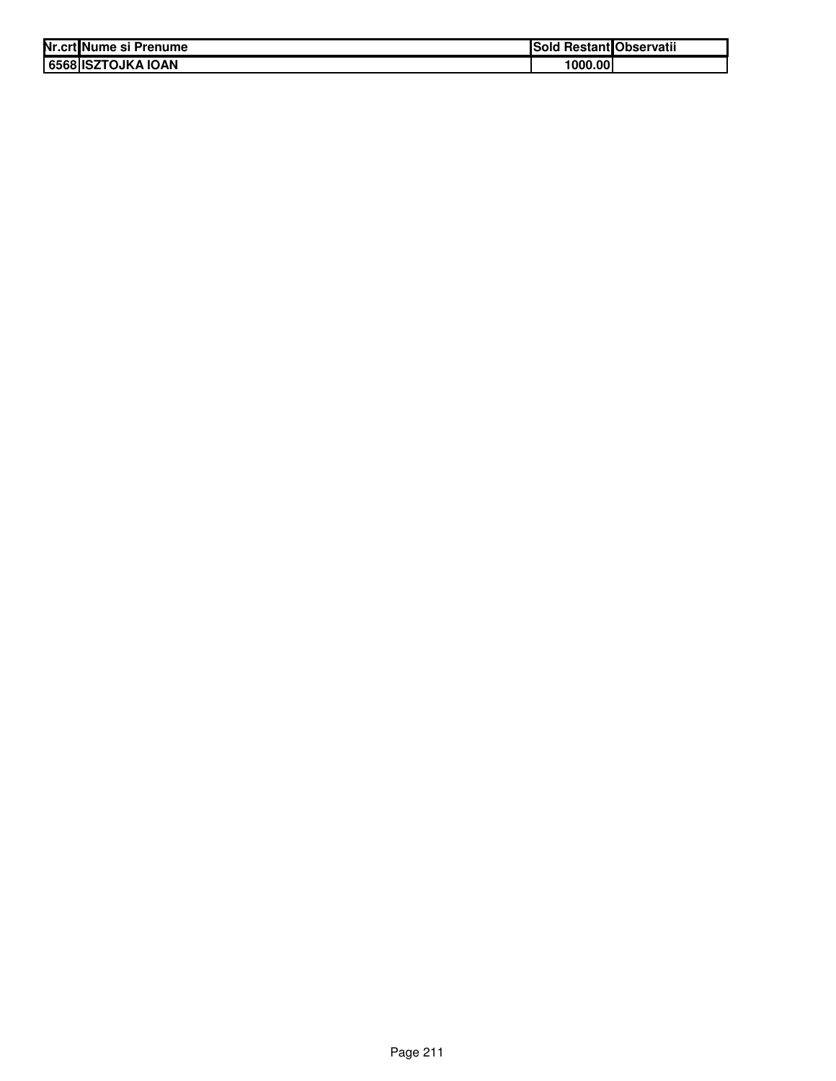| Nr.crt Nume si Prenume | ISold   | <b>Restant Observatii</b> |
|------------------------|---------|---------------------------|
| 6568 ISZTOJKA IOAN     | 1000.00 |                           |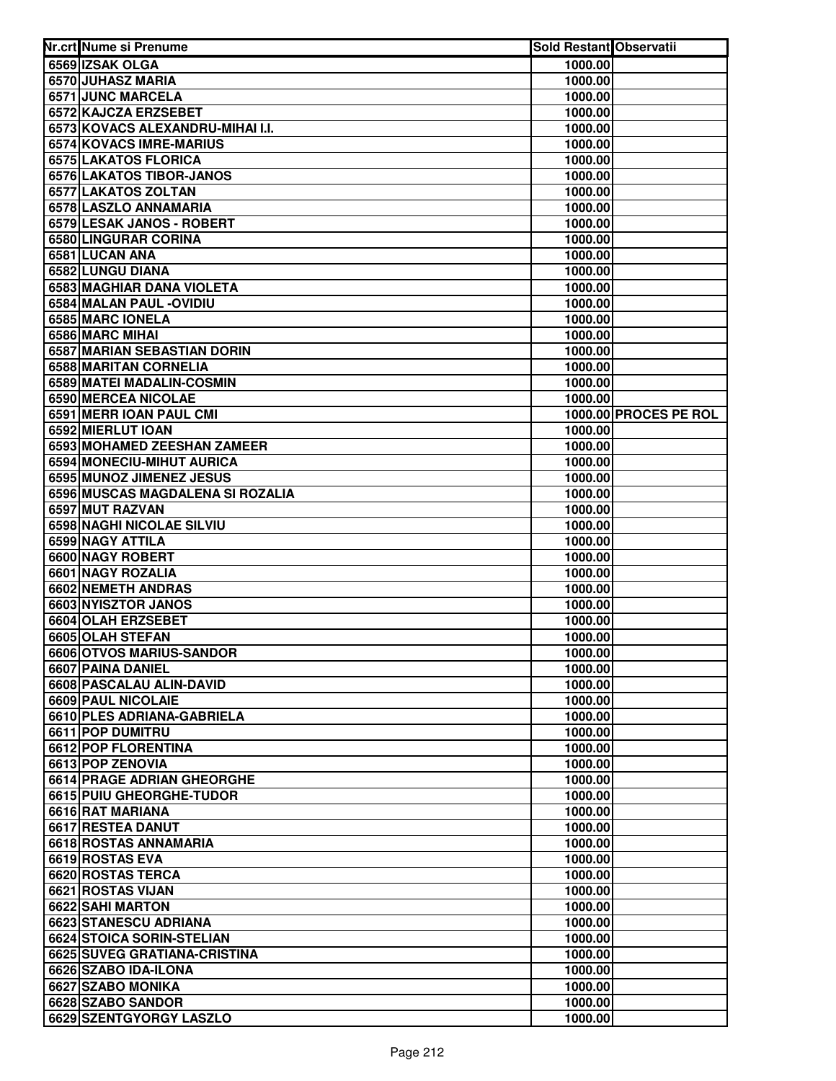| Nr.crt Nume si Prenume           | Sold Restant Observatii |                       |
|----------------------------------|-------------------------|-----------------------|
| 6569 IZSAK OLGA                  | 1000.00                 |                       |
| 6570 JUHASZ MARIA                | 1000.00                 |                       |
| 6571 JUNC MARCELA                | 1000.00                 |                       |
| 6572 KAJCZA ERZSEBET             | 1000.00                 |                       |
| 6573 KOVACS ALEXANDRU-MIHAI I.I. | 1000.00                 |                       |
| 6574 KOVACS IMRE-MARIUS          | 1000.00                 |                       |
| 6575 LAKATOS FLORICA             | 1000.00                 |                       |
| 6576 LAKATOS TIBOR-JANOS         | 1000.00                 |                       |
| 6577 LAKATOS ZOLTAN              | 1000.00                 |                       |
| 6578 LASZLO ANNAMARIA            | 1000.00                 |                       |
| 6579 LESAK JANOS - ROBERT        | 1000.00                 |                       |
| 6580 LINGURAR CORINA             | 1000.00                 |                       |
| 6581 LUCAN ANA                   | 1000.00                 |                       |
| 6582 LUNGU DIANA                 | 1000.00                 |                       |
| 6583 MAGHIAR DANA VIOLETA        | 1000.00                 |                       |
| 6584 MALAN PAUL - OVIDIU         | 1000.00                 |                       |
| 6585 MARC IONELA                 | 1000.00                 |                       |
| 6586 MARC MIHAI                  | 1000.00                 |                       |
| 6587 MARIAN SEBASTIAN DORIN      | 1000.00                 |                       |
| 6588 MARITAN CORNELIA            | 1000.00                 |                       |
| 6589 MATEI MADALIN-COSMIN        | 1000.00                 |                       |
| 6590 MERCEA NICOLAE              | 1000.00                 |                       |
| 6591 MERR IOAN PAUL CMI          |                         | 1000.00 PROCES PE ROL |
| 6592 MIERLUT IOAN                | 1000.00                 |                       |
| 6593 MOHAMED ZEESHAN ZAMEER      | 1000.00                 |                       |
| 6594 MONECIU-MIHUT AURICA        | 1000.00                 |                       |
| 6595 MUNOZ JIMENEZ JESUS         | 1000.00                 |                       |
| 6596 MUSCAS MAGDALENA SI ROZALIA | 1000.00                 |                       |
| 6597 MUT RAZVAN                  | 1000.00                 |                       |
| 6598 NAGHI NICOLAE SILVIU        | 1000.00                 |                       |
| 6599 NAGY ATTILA                 | 1000.00                 |                       |
| 6600 NAGY ROBERT                 | 1000.00                 |                       |
| 6601 NAGY ROZALIA                | 1000.00                 |                       |
| 6602 NEMETH ANDRAS               | 1000.00                 |                       |
| 6603 NYISZTOR JANOS              | 1000.00                 |                       |
| 6604 OLAH ERZSEBET               | 1000.00                 |                       |
| 6605 OLAH STEFAN                 | 1000.00                 |                       |
| 6606 OTVOS MARIUS-SANDOR         | 1000.00                 |                       |
| 6607 PAINA DANIEL                | 1000.00                 |                       |
| 6608 PASCALAU ALIN-DAVID         | 1000.00                 |                       |
| <b>6609 PAUL NICOLAIE</b>        | 1000.00                 |                       |
| 6610 PLES ADRIANA-GABRIELA       | 1000.00                 |                       |
| 6611 POP DUMITRU                 | 1000.00                 |                       |
| 6612 POP FLORENTINA              | 1000.00                 |                       |
| 6613 POP ZENOVIA                 | 1000.00                 |                       |
| 6614 PRAGE ADRIAN GHEORGHE       | 1000.00                 |                       |
| 6615 PUIU GHEORGHE-TUDOR         | 1000.00                 |                       |
| 6616 RAT MARIANA                 | 1000.00                 |                       |
| 6617 RESTEA DANUT                | 1000.00                 |                       |
| 6618 ROSTAS ANNAMARIA            | 1000.00                 |                       |
| 6619 ROSTAS EVA                  | 1000.00                 |                       |
| 6620 ROSTAS TERCA                | 1000.00                 |                       |
| 6621 ROSTAS VIJAN                | 1000.00                 |                       |
| 6622 SAHI MARTON                 | 1000.00                 |                       |
| 6623 STANESCU ADRIANA            | 1000.00                 |                       |
| 6624 STOICA SORIN-STELIAN        | 1000.00                 |                       |
| 6625 SUVEG GRATIANA-CRISTINA     | 1000.00                 |                       |
| 6626 SZABO IDA-ILONA             | 1000.00                 |                       |
| 6627 SZABO MONIKA                | 1000.00                 |                       |
| 6628 SZABO SANDOR                | 1000.00                 |                       |
| 6629 SZENTGYORGY LASZLO          | 1000.00                 |                       |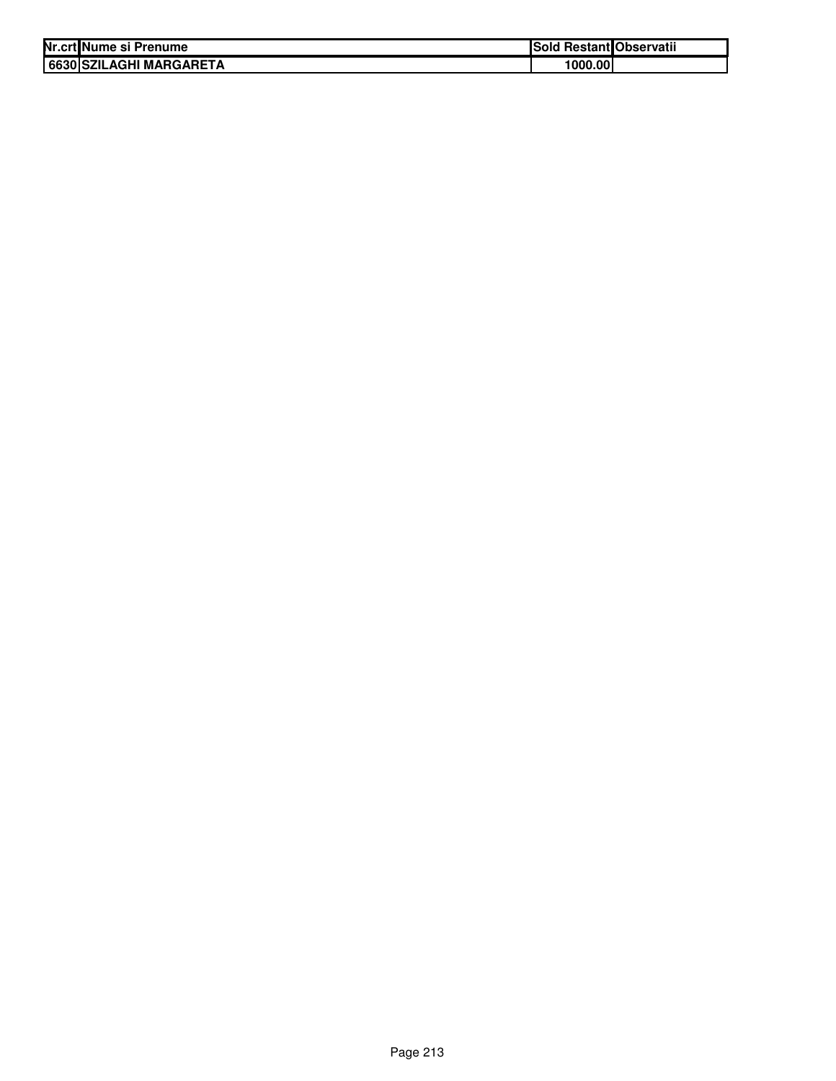| Nr.crt Nume si Prenume  | <b>Sold Restant Observatii</b> |  |
|-------------------------|--------------------------------|--|
| 6630 SZILAGHI MARGARETA | 1000.00                        |  |